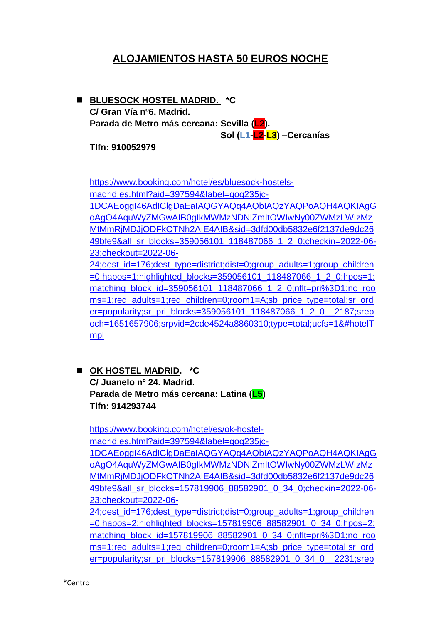# **ALOJAMIENTOS HASTA 50 EUROS NOCHE**

◼ **BLUESOCK HOSTEL MADRID. \*C C/ Gran Vía nº6, Madrid. Parada de Metro más cercana: Sevilla (L2). Sol (L1-L2-L3) –Cercanías**

**Tlfn: 910052979**

[https://www.booking.com/hotel/es/bluesock-hostels](https://www.booking.com/hotel/es/bluesock-hostels-madrid.es.html?aid=397594&label=gog235jc-1DCAEoggI46AdIClgDaEaIAQGYAQq4AQbIAQzYAQPoAQH4AQKIAgGoAgO4AquWyZMGwAIB0gIkMWMzNDNlZmItOWIwNy00ZWMzLWIzMzMtMmRjMDJjODFkOTNh2AIE4AIB&sid=3dfd00db5832e6f2137de9dc2649bfe9&all_sr_blocks=359056101_118487066_1_2_0;checkin=2022-06-23;checkout=2022-06-24;dest_id=176;dest_type=district;dist=0;group_adults=1;group_children=0;hapos=1;highlighted_blocks=359056101_118487066_1_2_0;hpos=1;matching_block_id=359056101_118487066_1_2_0;nflt=pri%3D1;no_rooms=1;req_adults=1;req_children=0;room1=A;sb_price_type=total;sr_order=popularity;sr_pri_blocks=359056101_118487066_1_2_0__2187;srepoch=1651657906;srpvid=2cde4524a8860310;type=total;ucfs=1&#hotelTmpl)[madrid.es.html?aid=397594&label=gog235jc-](https://www.booking.com/hotel/es/bluesock-hostels-madrid.es.html?aid=397594&label=gog235jc-1DCAEoggI46AdIClgDaEaIAQGYAQq4AQbIAQzYAQPoAQH4AQKIAgGoAgO4AquWyZMGwAIB0gIkMWMzNDNlZmItOWIwNy00ZWMzLWIzMzMtMmRjMDJjODFkOTNh2AIE4AIB&sid=3dfd00db5832e6f2137de9dc2649bfe9&all_sr_blocks=359056101_118487066_1_2_0;checkin=2022-06-23;checkout=2022-06-24;dest_id=176;dest_type=district;dist=0;group_adults=1;group_children=0;hapos=1;highlighted_blocks=359056101_118487066_1_2_0;hpos=1;matching_block_id=359056101_118487066_1_2_0;nflt=pri%3D1;no_rooms=1;req_adults=1;req_children=0;room1=A;sb_price_type=total;sr_order=popularity;sr_pri_blocks=359056101_118487066_1_2_0__2187;srepoch=1651657906;srpvid=2cde4524a8860310;type=total;ucfs=1&#hotelTmpl)[1DCAEoggI46AdIClgDaEaIAQGYAQq4AQbIAQzYAQPoAQH4AQKIAgG](https://www.booking.com/hotel/es/bluesock-hostels-madrid.es.html?aid=397594&label=gog235jc-1DCAEoggI46AdIClgDaEaIAQGYAQq4AQbIAQzYAQPoAQH4AQKIAgGoAgO4AquWyZMGwAIB0gIkMWMzNDNlZmItOWIwNy00ZWMzLWIzMzMtMmRjMDJjODFkOTNh2AIE4AIB&sid=3dfd00db5832e6f2137de9dc2649bfe9&all_sr_blocks=359056101_118487066_1_2_0;checkin=2022-06-23;checkout=2022-06-24;dest_id=176;dest_type=district;dist=0;group_adults=1;group_children=0;hapos=1;highlighted_blocks=359056101_118487066_1_2_0;hpos=1;matching_block_id=359056101_118487066_1_2_0;nflt=pri%3D1;no_rooms=1;req_adults=1;req_children=0;room1=A;sb_price_type=total;sr_order=popularity;sr_pri_blocks=359056101_118487066_1_2_0__2187;srepoch=1651657906;srpvid=2cde4524a8860310;type=total;ucfs=1&#hotelTmpl) [oAgO4AquWyZMGwAIB0gIkMWMzNDNlZmItOWIwNy00ZWMzLWIzMz](https://www.booking.com/hotel/es/bluesock-hostels-madrid.es.html?aid=397594&label=gog235jc-1DCAEoggI46AdIClgDaEaIAQGYAQq4AQbIAQzYAQPoAQH4AQKIAgGoAgO4AquWyZMGwAIB0gIkMWMzNDNlZmItOWIwNy00ZWMzLWIzMzMtMmRjMDJjODFkOTNh2AIE4AIB&sid=3dfd00db5832e6f2137de9dc2649bfe9&all_sr_blocks=359056101_118487066_1_2_0;checkin=2022-06-23;checkout=2022-06-24;dest_id=176;dest_type=district;dist=0;group_adults=1;group_children=0;hapos=1;highlighted_blocks=359056101_118487066_1_2_0;hpos=1;matching_block_id=359056101_118487066_1_2_0;nflt=pri%3D1;no_rooms=1;req_adults=1;req_children=0;room1=A;sb_price_type=total;sr_order=popularity;sr_pri_blocks=359056101_118487066_1_2_0__2187;srepoch=1651657906;srpvid=2cde4524a8860310;type=total;ucfs=1&#hotelTmpl) [MtMmRjMDJjODFkOTNh2AIE4AIB&sid=3dfd00db5832e6f2137de9dc26](https://www.booking.com/hotel/es/bluesock-hostels-madrid.es.html?aid=397594&label=gog235jc-1DCAEoggI46AdIClgDaEaIAQGYAQq4AQbIAQzYAQPoAQH4AQKIAgGoAgO4AquWyZMGwAIB0gIkMWMzNDNlZmItOWIwNy00ZWMzLWIzMzMtMmRjMDJjODFkOTNh2AIE4AIB&sid=3dfd00db5832e6f2137de9dc2649bfe9&all_sr_blocks=359056101_118487066_1_2_0;checkin=2022-06-23;checkout=2022-06-24;dest_id=176;dest_type=district;dist=0;group_adults=1;group_children=0;hapos=1;highlighted_blocks=359056101_118487066_1_2_0;hpos=1;matching_block_id=359056101_118487066_1_2_0;nflt=pri%3D1;no_rooms=1;req_adults=1;req_children=0;room1=A;sb_price_type=total;sr_order=popularity;sr_pri_blocks=359056101_118487066_1_2_0__2187;srepoch=1651657906;srpvid=2cde4524a8860310;type=total;ucfs=1&#hotelTmpl) [49bfe9&all\\_sr\\_blocks=359056101\\_118487066\\_1\\_2\\_0;checkin=2022-06-](https://www.booking.com/hotel/es/bluesock-hostels-madrid.es.html?aid=397594&label=gog235jc-1DCAEoggI46AdIClgDaEaIAQGYAQq4AQbIAQzYAQPoAQH4AQKIAgGoAgO4AquWyZMGwAIB0gIkMWMzNDNlZmItOWIwNy00ZWMzLWIzMzMtMmRjMDJjODFkOTNh2AIE4AIB&sid=3dfd00db5832e6f2137de9dc2649bfe9&all_sr_blocks=359056101_118487066_1_2_0;checkin=2022-06-23;checkout=2022-06-24;dest_id=176;dest_type=district;dist=0;group_adults=1;group_children=0;hapos=1;highlighted_blocks=359056101_118487066_1_2_0;hpos=1;matching_block_id=359056101_118487066_1_2_0;nflt=pri%3D1;no_rooms=1;req_adults=1;req_children=0;room1=A;sb_price_type=total;sr_order=popularity;sr_pri_blocks=359056101_118487066_1_2_0__2187;srepoch=1651657906;srpvid=2cde4524a8860310;type=total;ucfs=1&#hotelTmpl) [23;checkout=2022-06-](https://www.booking.com/hotel/es/bluesock-hostels-madrid.es.html?aid=397594&label=gog235jc-1DCAEoggI46AdIClgDaEaIAQGYAQq4AQbIAQzYAQPoAQH4AQKIAgGoAgO4AquWyZMGwAIB0gIkMWMzNDNlZmItOWIwNy00ZWMzLWIzMzMtMmRjMDJjODFkOTNh2AIE4AIB&sid=3dfd00db5832e6f2137de9dc2649bfe9&all_sr_blocks=359056101_118487066_1_2_0;checkin=2022-06-23;checkout=2022-06-24;dest_id=176;dest_type=district;dist=0;group_adults=1;group_children=0;hapos=1;highlighted_blocks=359056101_118487066_1_2_0;hpos=1;matching_block_id=359056101_118487066_1_2_0;nflt=pri%3D1;no_rooms=1;req_adults=1;req_children=0;room1=A;sb_price_type=total;sr_order=popularity;sr_pri_blocks=359056101_118487066_1_2_0__2187;srepoch=1651657906;srpvid=2cde4524a8860310;type=total;ucfs=1&#hotelTmpl) [24;dest\\_id=176;dest\\_type=district;dist=0;group\\_adults=1;group\\_children](https://www.booking.com/hotel/es/bluesock-hostels-madrid.es.html?aid=397594&label=gog235jc-1DCAEoggI46AdIClgDaEaIAQGYAQq4AQbIAQzYAQPoAQH4AQKIAgGoAgO4AquWyZMGwAIB0gIkMWMzNDNlZmItOWIwNy00ZWMzLWIzMzMtMmRjMDJjODFkOTNh2AIE4AIB&sid=3dfd00db5832e6f2137de9dc2649bfe9&all_sr_blocks=359056101_118487066_1_2_0;checkin=2022-06-23;checkout=2022-06-24;dest_id=176;dest_type=district;dist=0;group_adults=1;group_children=0;hapos=1;highlighted_blocks=359056101_118487066_1_2_0;hpos=1;matching_block_id=359056101_118487066_1_2_0;nflt=pri%3D1;no_rooms=1;req_adults=1;req_children=0;room1=A;sb_price_type=total;sr_order=popularity;sr_pri_blocks=359056101_118487066_1_2_0__2187;srepoch=1651657906;srpvid=2cde4524a8860310;type=total;ucfs=1&#hotelTmpl)  $=0$ ;hapos=1;highlighted\_blocks=359056101\_118487066\_1\_2\_0;hpos=1; matching block id=359056101 118487066 1 2 0;nflt=pri%3D1;no roo [ms=1;req\\_adults=1;req\\_children=0;room1=A;sb\\_price\\_type=total;sr\\_ord](https://www.booking.com/hotel/es/bluesock-hostels-madrid.es.html?aid=397594&label=gog235jc-1DCAEoggI46AdIClgDaEaIAQGYAQq4AQbIAQzYAQPoAQH4AQKIAgGoAgO4AquWyZMGwAIB0gIkMWMzNDNlZmItOWIwNy00ZWMzLWIzMzMtMmRjMDJjODFkOTNh2AIE4AIB&sid=3dfd00db5832e6f2137de9dc2649bfe9&all_sr_blocks=359056101_118487066_1_2_0;checkin=2022-06-23;checkout=2022-06-24;dest_id=176;dest_type=district;dist=0;group_adults=1;group_children=0;hapos=1;highlighted_blocks=359056101_118487066_1_2_0;hpos=1;matching_block_id=359056101_118487066_1_2_0;nflt=pri%3D1;no_rooms=1;req_adults=1;req_children=0;room1=A;sb_price_type=total;sr_order=popularity;sr_pri_blocks=359056101_118487066_1_2_0__2187;srepoch=1651657906;srpvid=2cde4524a8860310;type=total;ucfs=1&#hotelTmpl) [er=popularity;sr\\_pri\\_blocks=359056101\\_118487066\\_1\\_2\\_0\\_\\_2187;srep](https://www.booking.com/hotel/es/bluesock-hostels-madrid.es.html?aid=397594&label=gog235jc-1DCAEoggI46AdIClgDaEaIAQGYAQq4AQbIAQzYAQPoAQH4AQKIAgGoAgO4AquWyZMGwAIB0gIkMWMzNDNlZmItOWIwNy00ZWMzLWIzMzMtMmRjMDJjODFkOTNh2AIE4AIB&sid=3dfd00db5832e6f2137de9dc2649bfe9&all_sr_blocks=359056101_118487066_1_2_0;checkin=2022-06-23;checkout=2022-06-24;dest_id=176;dest_type=district;dist=0;group_adults=1;group_children=0;hapos=1;highlighted_blocks=359056101_118487066_1_2_0;hpos=1;matching_block_id=359056101_118487066_1_2_0;nflt=pri%3D1;no_rooms=1;req_adults=1;req_children=0;room1=A;sb_price_type=total;sr_order=popularity;sr_pri_blocks=359056101_118487066_1_2_0__2187;srepoch=1651657906;srpvid=2cde4524a8860310;type=total;ucfs=1&#hotelTmpl) [och=1651657906;srpvid=2cde4524a8860310;type=total;ucfs=1&#hotelT](https://www.booking.com/hotel/es/bluesock-hostels-madrid.es.html?aid=397594&label=gog235jc-1DCAEoggI46AdIClgDaEaIAQGYAQq4AQbIAQzYAQPoAQH4AQKIAgGoAgO4AquWyZMGwAIB0gIkMWMzNDNlZmItOWIwNy00ZWMzLWIzMzMtMmRjMDJjODFkOTNh2AIE4AIB&sid=3dfd00db5832e6f2137de9dc2649bfe9&all_sr_blocks=359056101_118487066_1_2_0;checkin=2022-06-23;checkout=2022-06-24;dest_id=176;dest_type=district;dist=0;group_adults=1;group_children=0;hapos=1;highlighted_blocks=359056101_118487066_1_2_0;hpos=1;matching_block_id=359056101_118487066_1_2_0;nflt=pri%3D1;no_rooms=1;req_adults=1;req_children=0;room1=A;sb_price_type=total;sr_order=popularity;sr_pri_blocks=359056101_118487066_1_2_0__2187;srepoch=1651657906;srpvid=2cde4524a8860310;type=total;ucfs=1&#hotelTmpl) [mpl](https://www.booking.com/hotel/es/bluesock-hostels-madrid.es.html?aid=397594&label=gog235jc-1DCAEoggI46AdIClgDaEaIAQGYAQq4AQbIAQzYAQPoAQH4AQKIAgGoAgO4AquWyZMGwAIB0gIkMWMzNDNlZmItOWIwNy00ZWMzLWIzMzMtMmRjMDJjODFkOTNh2AIE4AIB&sid=3dfd00db5832e6f2137de9dc2649bfe9&all_sr_blocks=359056101_118487066_1_2_0;checkin=2022-06-23;checkout=2022-06-24;dest_id=176;dest_type=district;dist=0;group_adults=1;group_children=0;hapos=1;highlighted_blocks=359056101_118487066_1_2_0;hpos=1;matching_block_id=359056101_118487066_1_2_0;nflt=pri%3D1;no_rooms=1;req_adults=1;req_children=0;room1=A;sb_price_type=total;sr_order=popularity;sr_pri_blocks=359056101_118487066_1_2_0__2187;srepoch=1651657906;srpvid=2cde4524a8860310;type=total;ucfs=1&#hotelTmpl)

■ OK HOSTEL MADRID. **\*C C/ Juanelo nº 24. Madrid. Parada de Metro más cercana: Latina (L5) Tlfn: 914293744**

[https://www.booking.com/hotel/es/ok-hostel](https://www.booking.com/hotel/es/ok-hostel-madrid.es.html?aid=397594&label=gog235jc-1DCAEoggI46AdIClgDaEaIAQGYAQq4AQbIAQzYAQPoAQH4AQKIAgGoAgO4AquWyZMGwAIB0gIkMWMzNDNlZmItOWIwNy00ZWMzLWIzMzMtMmRjMDJjODFkOTNh2AIE4AIB&sid=3dfd00db5832e6f2137de9dc2649bfe9&all_sr_blocks=157819906_88582901_0_34_0;checkin=2022-06-23;checkout=2022-06-24;dest_id=176;dest_type=district;dist=0;group_adults=1;group_children=0;hapos=2;highlighted_blocks=157819906_88582901_0_34_0;hpos=2;matching_block_id=157819906_88582901_0_34_0;nflt=pri%3D1;no_rooms=1;req_adults=1;req_children=0;room1=A;sb_price_type=total;sr_order=popularity;sr_pri_blocks=157819906_88582901_0_34_0__2231;srepoch=1651657906;srpvid=2cde4524a8860310;type=total;ucfs=1&#hotelTmpl)[madrid.es.html?aid=397594&label=gog235jc-](https://www.booking.com/hotel/es/ok-hostel-madrid.es.html?aid=397594&label=gog235jc-1DCAEoggI46AdIClgDaEaIAQGYAQq4AQbIAQzYAQPoAQH4AQKIAgGoAgO4AquWyZMGwAIB0gIkMWMzNDNlZmItOWIwNy00ZWMzLWIzMzMtMmRjMDJjODFkOTNh2AIE4AIB&sid=3dfd00db5832e6f2137de9dc2649bfe9&all_sr_blocks=157819906_88582901_0_34_0;checkin=2022-06-23;checkout=2022-06-24;dest_id=176;dest_type=district;dist=0;group_adults=1;group_children=0;hapos=2;highlighted_blocks=157819906_88582901_0_34_0;hpos=2;matching_block_id=157819906_88582901_0_34_0;nflt=pri%3D1;no_rooms=1;req_adults=1;req_children=0;room1=A;sb_price_type=total;sr_order=popularity;sr_pri_blocks=157819906_88582901_0_34_0__2231;srepoch=1651657906;srpvid=2cde4524a8860310;type=total;ucfs=1&#hotelTmpl)[1DCAEoggI46AdIClgDaEaIAQGYAQq4AQbIAQzYAQPoAQH4AQKIAgG](https://www.booking.com/hotel/es/ok-hostel-madrid.es.html?aid=397594&label=gog235jc-1DCAEoggI46AdIClgDaEaIAQGYAQq4AQbIAQzYAQPoAQH4AQKIAgGoAgO4AquWyZMGwAIB0gIkMWMzNDNlZmItOWIwNy00ZWMzLWIzMzMtMmRjMDJjODFkOTNh2AIE4AIB&sid=3dfd00db5832e6f2137de9dc2649bfe9&all_sr_blocks=157819906_88582901_0_34_0;checkin=2022-06-23;checkout=2022-06-24;dest_id=176;dest_type=district;dist=0;group_adults=1;group_children=0;hapos=2;highlighted_blocks=157819906_88582901_0_34_0;hpos=2;matching_block_id=157819906_88582901_0_34_0;nflt=pri%3D1;no_rooms=1;req_adults=1;req_children=0;room1=A;sb_price_type=total;sr_order=popularity;sr_pri_blocks=157819906_88582901_0_34_0__2231;srepoch=1651657906;srpvid=2cde4524a8860310;type=total;ucfs=1&#hotelTmpl) [oAgO4AquWyZMGwAIB0gIkMWMzNDNlZmItOWIwNy00ZWMzLWIzMz](https://www.booking.com/hotel/es/ok-hostel-madrid.es.html?aid=397594&label=gog235jc-1DCAEoggI46AdIClgDaEaIAQGYAQq4AQbIAQzYAQPoAQH4AQKIAgGoAgO4AquWyZMGwAIB0gIkMWMzNDNlZmItOWIwNy00ZWMzLWIzMzMtMmRjMDJjODFkOTNh2AIE4AIB&sid=3dfd00db5832e6f2137de9dc2649bfe9&all_sr_blocks=157819906_88582901_0_34_0;checkin=2022-06-23;checkout=2022-06-24;dest_id=176;dest_type=district;dist=0;group_adults=1;group_children=0;hapos=2;highlighted_blocks=157819906_88582901_0_34_0;hpos=2;matching_block_id=157819906_88582901_0_34_0;nflt=pri%3D1;no_rooms=1;req_adults=1;req_children=0;room1=A;sb_price_type=total;sr_order=popularity;sr_pri_blocks=157819906_88582901_0_34_0__2231;srepoch=1651657906;srpvid=2cde4524a8860310;type=total;ucfs=1&#hotelTmpl) [MtMmRjMDJjODFkOTNh2AIE4AIB&sid=3dfd00db5832e6f2137de9dc26](https://www.booking.com/hotel/es/ok-hostel-madrid.es.html?aid=397594&label=gog235jc-1DCAEoggI46AdIClgDaEaIAQGYAQq4AQbIAQzYAQPoAQH4AQKIAgGoAgO4AquWyZMGwAIB0gIkMWMzNDNlZmItOWIwNy00ZWMzLWIzMzMtMmRjMDJjODFkOTNh2AIE4AIB&sid=3dfd00db5832e6f2137de9dc2649bfe9&all_sr_blocks=157819906_88582901_0_34_0;checkin=2022-06-23;checkout=2022-06-24;dest_id=176;dest_type=district;dist=0;group_adults=1;group_children=0;hapos=2;highlighted_blocks=157819906_88582901_0_34_0;hpos=2;matching_block_id=157819906_88582901_0_34_0;nflt=pri%3D1;no_rooms=1;req_adults=1;req_children=0;room1=A;sb_price_type=total;sr_order=popularity;sr_pri_blocks=157819906_88582901_0_34_0__2231;srepoch=1651657906;srpvid=2cde4524a8860310;type=total;ucfs=1&#hotelTmpl) [49bfe9&all\\_sr\\_blocks=157819906\\_88582901\\_0\\_34\\_0;checkin=2022-06-](https://www.booking.com/hotel/es/ok-hostel-madrid.es.html?aid=397594&label=gog235jc-1DCAEoggI46AdIClgDaEaIAQGYAQq4AQbIAQzYAQPoAQH4AQKIAgGoAgO4AquWyZMGwAIB0gIkMWMzNDNlZmItOWIwNy00ZWMzLWIzMzMtMmRjMDJjODFkOTNh2AIE4AIB&sid=3dfd00db5832e6f2137de9dc2649bfe9&all_sr_blocks=157819906_88582901_0_34_0;checkin=2022-06-23;checkout=2022-06-24;dest_id=176;dest_type=district;dist=0;group_adults=1;group_children=0;hapos=2;highlighted_blocks=157819906_88582901_0_34_0;hpos=2;matching_block_id=157819906_88582901_0_34_0;nflt=pri%3D1;no_rooms=1;req_adults=1;req_children=0;room1=A;sb_price_type=total;sr_order=popularity;sr_pri_blocks=157819906_88582901_0_34_0__2231;srepoch=1651657906;srpvid=2cde4524a8860310;type=total;ucfs=1&#hotelTmpl) [23;checkout=2022-06-](https://www.booking.com/hotel/es/ok-hostel-madrid.es.html?aid=397594&label=gog235jc-1DCAEoggI46AdIClgDaEaIAQGYAQq4AQbIAQzYAQPoAQH4AQKIAgGoAgO4AquWyZMGwAIB0gIkMWMzNDNlZmItOWIwNy00ZWMzLWIzMzMtMmRjMDJjODFkOTNh2AIE4AIB&sid=3dfd00db5832e6f2137de9dc2649bfe9&all_sr_blocks=157819906_88582901_0_34_0;checkin=2022-06-23;checkout=2022-06-24;dest_id=176;dest_type=district;dist=0;group_adults=1;group_children=0;hapos=2;highlighted_blocks=157819906_88582901_0_34_0;hpos=2;matching_block_id=157819906_88582901_0_34_0;nflt=pri%3D1;no_rooms=1;req_adults=1;req_children=0;room1=A;sb_price_type=total;sr_order=popularity;sr_pri_blocks=157819906_88582901_0_34_0__2231;srepoch=1651657906;srpvid=2cde4524a8860310;type=total;ucfs=1&#hotelTmpl) [24;dest\\_id=176;dest\\_type=district;dist=0;group\\_adults=1;group\\_children](https://www.booking.com/hotel/es/ok-hostel-madrid.es.html?aid=397594&label=gog235jc-1DCAEoggI46AdIClgDaEaIAQGYAQq4AQbIAQzYAQPoAQH4AQKIAgGoAgO4AquWyZMGwAIB0gIkMWMzNDNlZmItOWIwNy00ZWMzLWIzMzMtMmRjMDJjODFkOTNh2AIE4AIB&sid=3dfd00db5832e6f2137de9dc2649bfe9&all_sr_blocks=157819906_88582901_0_34_0;checkin=2022-06-23;checkout=2022-06-24;dest_id=176;dest_type=district;dist=0;group_adults=1;group_children=0;hapos=2;highlighted_blocks=157819906_88582901_0_34_0;hpos=2;matching_block_id=157819906_88582901_0_34_0;nflt=pri%3D1;no_rooms=1;req_adults=1;req_children=0;room1=A;sb_price_type=total;sr_order=popularity;sr_pri_blocks=157819906_88582901_0_34_0__2231;srepoch=1651657906;srpvid=2cde4524a8860310;type=total;ucfs=1&#hotelTmpl) [=0;hapos=2;highlighted\\_blocks=157819906\\_88582901\\_0\\_34\\_0;hpos=2;](https://www.booking.com/hotel/es/ok-hostel-madrid.es.html?aid=397594&label=gog235jc-1DCAEoggI46AdIClgDaEaIAQGYAQq4AQbIAQzYAQPoAQH4AQKIAgGoAgO4AquWyZMGwAIB0gIkMWMzNDNlZmItOWIwNy00ZWMzLWIzMzMtMmRjMDJjODFkOTNh2AIE4AIB&sid=3dfd00db5832e6f2137de9dc2649bfe9&all_sr_blocks=157819906_88582901_0_34_0;checkin=2022-06-23;checkout=2022-06-24;dest_id=176;dest_type=district;dist=0;group_adults=1;group_children=0;hapos=2;highlighted_blocks=157819906_88582901_0_34_0;hpos=2;matching_block_id=157819906_88582901_0_34_0;nflt=pri%3D1;no_rooms=1;req_adults=1;req_children=0;room1=A;sb_price_type=total;sr_order=popularity;sr_pri_blocks=157819906_88582901_0_34_0__2231;srepoch=1651657906;srpvid=2cde4524a8860310;type=total;ucfs=1&#hotelTmpl) matching block id=157819906\_88582901\_0\_34\_0;nflt=pri%3D1;no\_roo [ms=1;req\\_adults=1;req\\_children=0;room1=A;sb\\_price\\_type=total;sr\\_ord](https://www.booking.com/hotel/es/ok-hostel-madrid.es.html?aid=397594&label=gog235jc-1DCAEoggI46AdIClgDaEaIAQGYAQq4AQbIAQzYAQPoAQH4AQKIAgGoAgO4AquWyZMGwAIB0gIkMWMzNDNlZmItOWIwNy00ZWMzLWIzMzMtMmRjMDJjODFkOTNh2AIE4AIB&sid=3dfd00db5832e6f2137de9dc2649bfe9&all_sr_blocks=157819906_88582901_0_34_0;checkin=2022-06-23;checkout=2022-06-24;dest_id=176;dest_type=district;dist=0;group_adults=1;group_children=0;hapos=2;highlighted_blocks=157819906_88582901_0_34_0;hpos=2;matching_block_id=157819906_88582901_0_34_0;nflt=pri%3D1;no_rooms=1;req_adults=1;req_children=0;room1=A;sb_price_type=total;sr_order=popularity;sr_pri_blocks=157819906_88582901_0_34_0__2231;srepoch=1651657906;srpvid=2cde4524a8860310;type=total;ucfs=1&#hotelTmpl) [er=popularity;sr\\_pri\\_blocks=157819906\\_88582901\\_0\\_34\\_0\\_\\_2231;srep](https://www.booking.com/hotel/es/ok-hostel-madrid.es.html?aid=397594&label=gog235jc-1DCAEoggI46AdIClgDaEaIAQGYAQq4AQbIAQzYAQPoAQH4AQKIAgGoAgO4AquWyZMGwAIB0gIkMWMzNDNlZmItOWIwNy00ZWMzLWIzMzMtMmRjMDJjODFkOTNh2AIE4AIB&sid=3dfd00db5832e6f2137de9dc2649bfe9&all_sr_blocks=157819906_88582901_0_34_0;checkin=2022-06-23;checkout=2022-06-24;dest_id=176;dest_type=district;dist=0;group_adults=1;group_children=0;hapos=2;highlighted_blocks=157819906_88582901_0_34_0;hpos=2;matching_block_id=157819906_88582901_0_34_0;nflt=pri%3D1;no_rooms=1;req_adults=1;req_children=0;room1=A;sb_price_type=total;sr_order=popularity;sr_pri_blocks=157819906_88582901_0_34_0__2231;srepoch=1651657906;srpvid=2cde4524a8860310;type=total;ucfs=1&#hotelTmpl)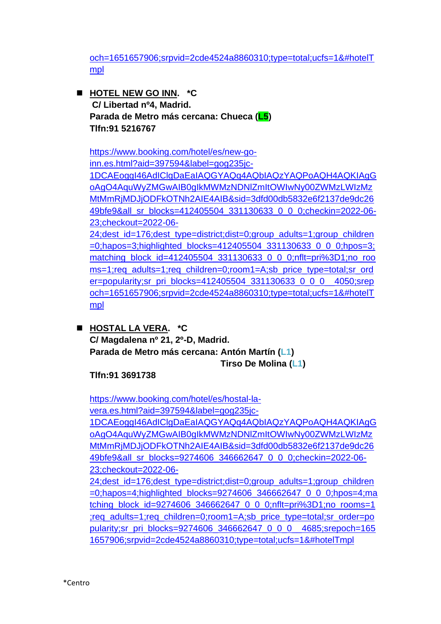[och=1651657906;srpvid=2cde4524a8860310;type=total;ucfs=1&#hotelT](https://www.booking.com/hotel/es/ok-hostel-madrid.es.html?aid=397594&label=gog235jc-1DCAEoggI46AdIClgDaEaIAQGYAQq4AQbIAQzYAQPoAQH4AQKIAgGoAgO4AquWyZMGwAIB0gIkMWMzNDNlZmItOWIwNy00ZWMzLWIzMzMtMmRjMDJjODFkOTNh2AIE4AIB&sid=3dfd00db5832e6f2137de9dc2649bfe9&all_sr_blocks=157819906_88582901_0_34_0;checkin=2022-06-23;checkout=2022-06-24;dest_id=176;dest_type=district;dist=0;group_adults=1;group_children=0;hapos=2;highlighted_blocks=157819906_88582901_0_34_0;hpos=2;matching_block_id=157819906_88582901_0_34_0;nflt=pri%3D1;no_rooms=1;req_adults=1;req_children=0;room1=A;sb_price_type=total;sr_order=popularity;sr_pri_blocks=157819906_88582901_0_34_0__2231;srepoch=1651657906;srpvid=2cde4524a8860310;type=total;ucfs=1&#hotelTmpl) [mpl](https://www.booking.com/hotel/es/ok-hostel-madrid.es.html?aid=397594&label=gog235jc-1DCAEoggI46AdIClgDaEaIAQGYAQq4AQbIAQzYAQPoAQH4AQKIAgGoAgO4AquWyZMGwAIB0gIkMWMzNDNlZmItOWIwNy00ZWMzLWIzMzMtMmRjMDJjODFkOTNh2AIE4AIB&sid=3dfd00db5832e6f2137de9dc2649bfe9&all_sr_blocks=157819906_88582901_0_34_0;checkin=2022-06-23;checkout=2022-06-24;dest_id=176;dest_type=district;dist=0;group_adults=1;group_children=0;hapos=2;highlighted_blocks=157819906_88582901_0_34_0;hpos=2;matching_block_id=157819906_88582901_0_34_0;nflt=pri%3D1;no_rooms=1;req_adults=1;req_children=0;room1=A;sb_price_type=total;sr_order=popularity;sr_pri_blocks=157819906_88582901_0_34_0__2231;srepoch=1651657906;srpvid=2cde4524a8860310;type=total;ucfs=1&#hotelTmpl)

■ HOTEL NEW GO INN. **\*C C/ Libertad nº4, Madrid. Parada de Metro más cercana: Chueca (L5) Tlfn:91 5216767**

[https://www.booking.com/hotel/es/new-go](https://www.booking.com/hotel/es/new-go-inn.es.html?aid=397594&label=gog235jc-1DCAEoggI46AdIClgDaEaIAQGYAQq4AQbIAQzYAQPoAQH4AQKIAgGoAgO4AquWyZMGwAIB0gIkMWMzNDNlZmItOWIwNy00ZWMzLWIzMzMtMmRjMDJjODFkOTNh2AIE4AIB&sid=3dfd00db5832e6f2137de9dc2649bfe9&all_sr_blocks=412405504_331130633_0_0_0;checkin=2022-06-23;checkout=2022-06-24;dest_id=176;dest_type=district;dist=0;group_adults=1;group_children=0;hapos=3;highlighted_blocks=412405504_331130633_0_0_0;hpos=3;matching_block_id=412405504_331130633_0_0_0;nflt=pri%3D1;no_rooms=1;req_adults=1;req_children=0;room1=A;sb_price_type=total;sr_order=popularity;sr_pri_blocks=412405504_331130633_0_0_0__4050;srepoch=1651657906;srpvid=2cde4524a8860310;type=total;ucfs=1&#hotelTmpl)[inn.es.html?aid=397594&label=gog235jc-](https://www.booking.com/hotel/es/new-go-inn.es.html?aid=397594&label=gog235jc-1DCAEoggI46AdIClgDaEaIAQGYAQq4AQbIAQzYAQPoAQH4AQKIAgGoAgO4AquWyZMGwAIB0gIkMWMzNDNlZmItOWIwNy00ZWMzLWIzMzMtMmRjMDJjODFkOTNh2AIE4AIB&sid=3dfd00db5832e6f2137de9dc2649bfe9&all_sr_blocks=412405504_331130633_0_0_0;checkin=2022-06-23;checkout=2022-06-24;dest_id=176;dest_type=district;dist=0;group_adults=1;group_children=0;hapos=3;highlighted_blocks=412405504_331130633_0_0_0;hpos=3;matching_block_id=412405504_331130633_0_0_0;nflt=pri%3D1;no_rooms=1;req_adults=1;req_children=0;room1=A;sb_price_type=total;sr_order=popularity;sr_pri_blocks=412405504_331130633_0_0_0__4050;srepoch=1651657906;srpvid=2cde4524a8860310;type=total;ucfs=1&#hotelTmpl)[1DCAEoggI46AdIClgDaEaIAQGYAQq4AQbIAQzYAQPoAQH4AQKIAgG](https://www.booking.com/hotel/es/new-go-inn.es.html?aid=397594&label=gog235jc-1DCAEoggI46AdIClgDaEaIAQGYAQq4AQbIAQzYAQPoAQH4AQKIAgGoAgO4AquWyZMGwAIB0gIkMWMzNDNlZmItOWIwNy00ZWMzLWIzMzMtMmRjMDJjODFkOTNh2AIE4AIB&sid=3dfd00db5832e6f2137de9dc2649bfe9&all_sr_blocks=412405504_331130633_0_0_0;checkin=2022-06-23;checkout=2022-06-24;dest_id=176;dest_type=district;dist=0;group_adults=1;group_children=0;hapos=3;highlighted_blocks=412405504_331130633_0_0_0;hpos=3;matching_block_id=412405504_331130633_0_0_0;nflt=pri%3D1;no_rooms=1;req_adults=1;req_children=0;room1=A;sb_price_type=total;sr_order=popularity;sr_pri_blocks=412405504_331130633_0_0_0__4050;srepoch=1651657906;srpvid=2cde4524a8860310;type=total;ucfs=1&#hotelTmpl) [oAgO4AquWyZMGwAIB0gIkMWMzNDNlZmItOWIwNy00ZWMzLWIzMz](https://www.booking.com/hotel/es/new-go-inn.es.html?aid=397594&label=gog235jc-1DCAEoggI46AdIClgDaEaIAQGYAQq4AQbIAQzYAQPoAQH4AQKIAgGoAgO4AquWyZMGwAIB0gIkMWMzNDNlZmItOWIwNy00ZWMzLWIzMzMtMmRjMDJjODFkOTNh2AIE4AIB&sid=3dfd00db5832e6f2137de9dc2649bfe9&all_sr_blocks=412405504_331130633_0_0_0;checkin=2022-06-23;checkout=2022-06-24;dest_id=176;dest_type=district;dist=0;group_adults=1;group_children=0;hapos=3;highlighted_blocks=412405504_331130633_0_0_0;hpos=3;matching_block_id=412405504_331130633_0_0_0;nflt=pri%3D1;no_rooms=1;req_adults=1;req_children=0;room1=A;sb_price_type=total;sr_order=popularity;sr_pri_blocks=412405504_331130633_0_0_0__4050;srepoch=1651657906;srpvid=2cde4524a8860310;type=total;ucfs=1&#hotelTmpl) [MtMmRjMDJjODFkOTNh2AIE4AIB&sid=3dfd00db5832e6f2137de9dc26](https://www.booking.com/hotel/es/new-go-inn.es.html?aid=397594&label=gog235jc-1DCAEoggI46AdIClgDaEaIAQGYAQq4AQbIAQzYAQPoAQH4AQKIAgGoAgO4AquWyZMGwAIB0gIkMWMzNDNlZmItOWIwNy00ZWMzLWIzMzMtMmRjMDJjODFkOTNh2AIE4AIB&sid=3dfd00db5832e6f2137de9dc2649bfe9&all_sr_blocks=412405504_331130633_0_0_0;checkin=2022-06-23;checkout=2022-06-24;dest_id=176;dest_type=district;dist=0;group_adults=1;group_children=0;hapos=3;highlighted_blocks=412405504_331130633_0_0_0;hpos=3;matching_block_id=412405504_331130633_0_0_0;nflt=pri%3D1;no_rooms=1;req_adults=1;req_children=0;room1=A;sb_price_type=total;sr_order=popularity;sr_pri_blocks=412405504_331130633_0_0_0__4050;srepoch=1651657906;srpvid=2cde4524a8860310;type=total;ucfs=1&#hotelTmpl) [49bfe9&all\\_sr\\_blocks=412405504\\_331130633\\_0\\_0\\_0;checkin=2022-06-](https://www.booking.com/hotel/es/new-go-inn.es.html?aid=397594&label=gog235jc-1DCAEoggI46AdIClgDaEaIAQGYAQq4AQbIAQzYAQPoAQH4AQKIAgGoAgO4AquWyZMGwAIB0gIkMWMzNDNlZmItOWIwNy00ZWMzLWIzMzMtMmRjMDJjODFkOTNh2AIE4AIB&sid=3dfd00db5832e6f2137de9dc2649bfe9&all_sr_blocks=412405504_331130633_0_0_0;checkin=2022-06-23;checkout=2022-06-24;dest_id=176;dest_type=district;dist=0;group_adults=1;group_children=0;hapos=3;highlighted_blocks=412405504_331130633_0_0_0;hpos=3;matching_block_id=412405504_331130633_0_0_0;nflt=pri%3D1;no_rooms=1;req_adults=1;req_children=0;room1=A;sb_price_type=total;sr_order=popularity;sr_pri_blocks=412405504_331130633_0_0_0__4050;srepoch=1651657906;srpvid=2cde4524a8860310;type=total;ucfs=1&#hotelTmpl) [23;checkout=2022-06-](https://www.booking.com/hotel/es/new-go-inn.es.html?aid=397594&label=gog235jc-1DCAEoggI46AdIClgDaEaIAQGYAQq4AQbIAQzYAQPoAQH4AQKIAgGoAgO4AquWyZMGwAIB0gIkMWMzNDNlZmItOWIwNy00ZWMzLWIzMzMtMmRjMDJjODFkOTNh2AIE4AIB&sid=3dfd00db5832e6f2137de9dc2649bfe9&all_sr_blocks=412405504_331130633_0_0_0;checkin=2022-06-23;checkout=2022-06-24;dest_id=176;dest_type=district;dist=0;group_adults=1;group_children=0;hapos=3;highlighted_blocks=412405504_331130633_0_0_0;hpos=3;matching_block_id=412405504_331130633_0_0_0;nflt=pri%3D1;no_rooms=1;req_adults=1;req_children=0;room1=A;sb_price_type=total;sr_order=popularity;sr_pri_blocks=412405504_331130633_0_0_0__4050;srepoch=1651657906;srpvid=2cde4524a8860310;type=total;ucfs=1&#hotelTmpl) [24;dest\\_id=176;dest\\_type=district;dist=0;group\\_adults=1;group\\_children](https://www.booking.com/hotel/es/new-go-inn.es.html?aid=397594&label=gog235jc-1DCAEoggI46AdIClgDaEaIAQGYAQq4AQbIAQzYAQPoAQH4AQKIAgGoAgO4AquWyZMGwAIB0gIkMWMzNDNlZmItOWIwNy00ZWMzLWIzMzMtMmRjMDJjODFkOTNh2AIE4AIB&sid=3dfd00db5832e6f2137de9dc2649bfe9&all_sr_blocks=412405504_331130633_0_0_0;checkin=2022-06-23;checkout=2022-06-24;dest_id=176;dest_type=district;dist=0;group_adults=1;group_children=0;hapos=3;highlighted_blocks=412405504_331130633_0_0_0;hpos=3;matching_block_id=412405504_331130633_0_0_0;nflt=pri%3D1;no_rooms=1;req_adults=1;req_children=0;room1=A;sb_price_type=total;sr_order=popularity;sr_pri_blocks=412405504_331130633_0_0_0__4050;srepoch=1651657906;srpvid=2cde4524a8860310;type=total;ucfs=1&#hotelTmpl) [=0;hapos=3;highlighted\\_blocks=412405504\\_331130633\\_0\\_0\\_0;hpos=3;](https://www.booking.com/hotel/es/new-go-inn.es.html?aid=397594&label=gog235jc-1DCAEoggI46AdIClgDaEaIAQGYAQq4AQbIAQzYAQPoAQH4AQKIAgGoAgO4AquWyZMGwAIB0gIkMWMzNDNlZmItOWIwNy00ZWMzLWIzMzMtMmRjMDJjODFkOTNh2AIE4AIB&sid=3dfd00db5832e6f2137de9dc2649bfe9&all_sr_blocks=412405504_331130633_0_0_0;checkin=2022-06-23;checkout=2022-06-24;dest_id=176;dest_type=district;dist=0;group_adults=1;group_children=0;hapos=3;highlighted_blocks=412405504_331130633_0_0_0;hpos=3;matching_block_id=412405504_331130633_0_0_0;nflt=pri%3D1;no_rooms=1;req_adults=1;req_children=0;room1=A;sb_price_type=total;sr_order=popularity;sr_pri_blocks=412405504_331130633_0_0_0__4050;srepoch=1651657906;srpvid=2cde4524a8860310;type=total;ucfs=1&#hotelTmpl) [matching\\_block\\_id=412405504\\_331130633\\_0\\_0\\_0;nflt=pri%3D1;no\\_roo](https://www.booking.com/hotel/es/new-go-inn.es.html?aid=397594&label=gog235jc-1DCAEoggI46AdIClgDaEaIAQGYAQq4AQbIAQzYAQPoAQH4AQKIAgGoAgO4AquWyZMGwAIB0gIkMWMzNDNlZmItOWIwNy00ZWMzLWIzMzMtMmRjMDJjODFkOTNh2AIE4AIB&sid=3dfd00db5832e6f2137de9dc2649bfe9&all_sr_blocks=412405504_331130633_0_0_0;checkin=2022-06-23;checkout=2022-06-24;dest_id=176;dest_type=district;dist=0;group_adults=1;group_children=0;hapos=3;highlighted_blocks=412405504_331130633_0_0_0;hpos=3;matching_block_id=412405504_331130633_0_0_0;nflt=pri%3D1;no_rooms=1;req_adults=1;req_children=0;room1=A;sb_price_type=total;sr_order=popularity;sr_pri_blocks=412405504_331130633_0_0_0__4050;srepoch=1651657906;srpvid=2cde4524a8860310;type=total;ucfs=1&#hotelTmpl) [ms=1;req\\_adults=1;req\\_children=0;room1=A;sb\\_price\\_type=total;sr\\_ord](https://www.booking.com/hotel/es/new-go-inn.es.html?aid=397594&label=gog235jc-1DCAEoggI46AdIClgDaEaIAQGYAQq4AQbIAQzYAQPoAQH4AQKIAgGoAgO4AquWyZMGwAIB0gIkMWMzNDNlZmItOWIwNy00ZWMzLWIzMzMtMmRjMDJjODFkOTNh2AIE4AIB&sid=3dfd00db5832e6f2137de9dc2649bfe9&all_sr_blocks=412405504_331130633_0_0_0;checkin=2022-06-23;checkout=2022-06-24;dest_id=176;dest_type=district;dist=0;group_adults=1;group_children=0;hapos=3;highlighted_blocks=412405504_331130633_0_0_0;hpos=3;matching_block_id=412405504_331130633_0_0_0;nflt=pri%3D1;no_rooms=1;req_adults=1;req_children=0;room1=A;sb_price_type=total;sr_order=popularity;sr_pri_blocks=412405504_331130633_0_0_0__4050;srepoch=1651657906;srpvid=2cde4524a8860310;type=total;ucfs=1&#hotelTmpl) er=popularity; sr\_pri\_blocks=412405504\_331130633\_0\_0\_0\_\_4050; srep [och=1651657906;srpvid=2cde4524a8860310;type=total;ucfs=1&#hotelT](https://www.booking.com/hotel/es/new-go-inn.es.html?aid=397594&label=gog235jc-1DCAEoggI46AdIClgDaEaIAQGYAQq4AQbIAQzYAQPoAQH4AQKIAgGoAgO4AquWyZMGwAIB0gIkMWMzNDNlZmItOWIwNy00ZWMzLWIzMzMtMmRjMDJjODFkOTNh2AIE4AIB&sid=3dfd00db5832e6f2137de9dc2649bfe9&all_sr_blocks=412405504_331130633_0_0_0;checkin=2022-06-23;checkout=2022-06-24;dest_id=176;dest_type=district;dist=0;group_adults=1;group_children=0;hapos=3;highlighted_blocks=412405504_331130633_0_0_0;hpos=3;matching_block_id=412405504_331130633_0_0_0;nflt=pri%3D1;no_rooms=1;req_adults=1;req_children=0;room1=A;sb_price_type=total;sr_order=popularity;sr_pri_blocks=412405504_331130633_0_0_0__4050;srepoch=1651657906;srpvid=2cde4524a8860310;type=total;ucfs=1&#hotelTmpl)

[mpl](https://www.booking.com/hotel/es/new-go-inn.es.html?aid=397594&label=gog235jc-1DCAEoggI46AdIClgDaEaIAQGYAQq4AQbIAQzYAQPoAQH4AQKIAgGoAgO4AquWyZMGwAIB0gIkMWMzNDNlZmItOWIwNy00ZWMzLWIzMzMtMmRjMDJjODFkOTNh2AIE4AIB&sid=3dfd00db5832e6f2137de9dc2649bfe9&all_sr_blocks=412405504_331130633_0_0_0;checkin=2022-06-23;checkout=2022-06-24;dest_id=176;dest_type=district;dist=0;group_adults=1;group_children=0;hapos=3;highlighted_blocks=412405504_331130633_0_0_0;hpos=3;matching_block_id=412405504_331130633_0_0_0;nflt=pri%3D1;no_rooms=1;req_adults=1;req_children=0;room1=A;sb_price_type=total;sr_order=popularity;sr_pri_blocks=412405504_331130633_0_0_0__4050;srepoch=1651657906;srpvid=2cde4524a8860310;type=total;ucfs=1&#hotelTmpl)

◼ **HOSTAL LA VERA. \*C C/ Magdalena nº 21, 2º-D, Madrid. Parada de Metro más cercana: Antón Martín (L1) Tirso De Molina (L1)**

**Tlfn:91 3691738**

[https://www.booking.com/hotel/es/hostal-la](https://www.booking.com/hotel/es/hostal-la-vera.es.html?aid=397594&label=gog235jc-1DCAEoggI46AdIClgDaEaIAQGYAQq4AQbIAQzYAQPoAQH4AQKIAgGoAgO4AquWyZMGwAIB0gIkMWMzNDNlZmItOWIwNy00ZWMzLWIzMzMtMmRjMDJjODFkOTNh2AIE4AIB&sid=3dfd00db5832e6f2137de9dc2649bfe9&all_sr_blocks=9274606_346662647_0_0_0;checkin=2022-06-23;checkout=2022-06-24;dest_id=176;dest_type=district;dist=0;group_adults=1;group_children=0;hapos=4;highlighted_blocks=9274606_346662647_0_0_0;hpos=4;matching_block_id=9274606_346662647_0_0_0;nflt=pri%3D1;no_rooms=1;req_adults=1;req_children=0;room1=A;sb_price_type=total;sr_order=popularity;sr_pri_blocks=9274606_346662647_0_0_0__4685;srepoch=1651657906;srpvid=2cde4524a8860310;type=total;ucfs=1&#hotelTmpl)[vera.es.html?aid=397594&label=gog235jc-](https://www.booking.com/hotel/es/hostal-la-vera.es.html?aid=397594&label=gog235jc-1DCAEoggI46AdIClgDaEaIAQGYAQq4AQbIAQzYAQPoAQH4AQKIAgGoAgO4AquWyZMGwAIB0gIkMWMzNDNlZmItOWIwNy00ZWMzLWIzMzMtMmRjMDJjODFkOTNh2AIE4AIB&sid=3dfd00db5832e6f2137de9dc2649bfe9&all_sr_blocks=9274606_346662647_0_0_0;checkin=2022-06-23;checkout=2022-06-24;dest_id=176;dest_type=district;dist=0;group_adults=1;group_children=0;hapos=4;highlighted_blocks=9274606_346662647_0_0_0;hpos=4;matching_block_id=9274606_346662647_0_0_0;nflt=pri%3D1;no_rooms=1;req_adults=1;req_children=0;room1=A;sb_price_type=total;sr_order=popularity;sr_pri_blocks=9274606_346662647_0_0_0__4685;srepoch=1651657906;srpvid=2cde4524a8860310;type=total;ucfs=1&#hotelTmpl)

[1DCAEoggI46AdIClgDaEaIAQGYAQq4AQbIAQzYAQPoAQH4AQKIAgG](https://www.booking.com/hotel/es/hostal-la-vera.es.html?aid=397594&label=gog235jc-1DCAEoggI46AdIClgDaEaIAQGYAQq4AQbIAQzYAQPoAQH4AQKIAgGoAgO4AquWyZMGwAIB0gIkMWMzNDNlZmItOWIwNy00ZWMzLWIzMzMtMmRjMDJjODFkOTNh2AIE4AIB&sid=3dfd00db5832e6f2137de9dc2649bfe9&all_sr_blocks=9274606_346662647_0_0_0;checkin=2022-06-23;checkout=2022-06-24;dest_id=176;dest_type=district;dist=0;group_adults=1;group_children=0;hapos=4;highlighted_blocks=9274606_346662647_0_0_0;hpos=4;matching_block_id=9274606_346662647_0_0_0;nflt=pri%3D1;no_rooms=1;req_adults=1;req_children=0;room1=A;sb_price_type=total;sr_order=popularity;sr_pri_blocks=9274606_346662647_0_0_0__4685;srepoch=1651657906;srpvid=2cde4524a8860310;type=total;ucfs=1&#hotelTmpl) [oAgO4AquWyZMGwAIB0gIkMWMzNDNlZmItOWIwNy00ZWMzLWIzMz](https://www.booking.com/hotel/es/hostal-la-vera.es.html?aid=397594&label=gog235jc-1DCAEoggI46AdIClgDaEaIAQGYAQq4AQbIAQzYAQPoAQH4AQKIAgGoAgO4AquWyZMGwAIB0gIkMWMzNDNlZmItOWIwNy00ZWMzLWIzMzMtMmRjMDJjODFkOTNh2AIE4AIB&sid=3dfd00db5832e6f2137de9dc2649bfe9&all_sr_blocks=9274606_346662647_0_0_0;checkin=2022-06-23;checkout=2022-06-24;dest_id=176;dest_type=district;dist=0;group_adults=1;group_children=0;hapos=4;highlighted_blocks=9274606_346662647_0_0_0;hpos=4;matching_block_id=9274606_346662647_0_0_0;nflt=pri%3D1;no_rooms=1;req_adults=1;req_children=0;room1=A;sb_price_type=total;sr_order=popularity;sr_pri_blocks=9274606_346662647_0_0_0__4685;srepoch=1651657906;srpvid=2cde4524a8860310;type=total;ucfs=1&#hotelTmpl) [MtMmRjMDJjODFkOTNh2AIE4AIB&sid=3dfd00db5832e6f2137de9dc26](https://www.booking.com/hotel/es/hostal-la-vera.es.html?aid=397594&label=gog235jc-1DCAEoggI46AdIClgDaEaIAQGYAQq4AQbIAQzYAQPoAQH4AQKIAgGoAgO4AquWyZMGwAIB0gIkMWMzNDNlZmItOWIwNy00ZWMzLWIzMzMtMmRjMDJjODFkOTNh2AIE4AIB&sid=3dfd00db5832e6f2137de9dc2649bfe9&all_sr_blocks=9274606_346662647_0_0_0;checkin=2022-06-23;checkout=2022-06-24;dest_id=176;dest_type=district;dist=0;group_adults=1;group_children=0;hapos=4;highlighted_blocks=9274606_346662647_0_0_0;hpos=4;matching_block_id=9274606_346662647_0_0_0;nflt=pri%3D1;no_rooms=1;req_adults=1;req_children=0;room1=A;sb_price_type=total;sr_order=popularity;sr_pri_blocks=9274606_346662647_0_0_0__4685;srepoch=1651657906;srpvid=2cde4524a8860310;type=total;ucfs=1&#hotelTmpl) [49bfe9&all\\_sr\\_blocks=9274606\\_346662647\\_0\\_0\\_0;checkin=2022-06-](https://www.booking.com/hotel/es/hostal-la-vera.es.html?aid=397594&label=gog235jc-1DCAEoggI46AdIClgDaEaIAQGYAQq4AQbIAQzYAQPoAQH4AQKIAgGoAgO4AquWyZMGwAIB0gIkMWMzNDNlZmItOWIwNy00ZWMzLWIzMzMtMmRjMDJjODFkOTNh2AIE4AIB&sid=3dfd00db5832e6f2137de9dc2649bfe9&all_sr_blocks=9274606_346662647_0_0_0;checkin=2022-06-23;checkout=2022-06-24;dest_id=176;dest_type=district;dist=0;group_adults=1;group_children=0;hapos=4;highlighted_blocks=9274606_346662647_0_0_0;hpos=4;matching_block_id=9274606_346662647_0_0_0;nflt=pri%3D1;no_rooms=1;req_adults=1;req_children=0;room1=A;sb_price_type=total;sr_order=popularity;sr_pri_blocks=9274606_346662647_0_0_0__4685;srepoch=1651657906;srpvid=2cde4524a8860310;type=total;ucfs=1&#hotelTmpl) [23;checkout=2022-06-](https://www.booking.com/hotel/es/hostal-la-vera.es.html?aid=397594&label=gog235jc-1DCAEoggI46AdIClgDaEaIAQGYAQq4AQbIAQzYAQPoAQH4AQKIAgGoAgO4AquWyZMGwAIB0gIkMWMzNDNlZmItOWIwNy00ZWMzLWIzMzMtMmRjMDJjODFkOTNh2AIE4AIB&sid=3dfd00db5832e6f2137de9dc2649bfe9&all_sr_blocks=9274606_346662647_0_0_0;checkin=2022-06-23;checkout=2022-06-24;dest_id=176;dest_type=district;dist=0;group_adults=1;group_children=0;hapos=4;highlighted_blocks=9274606_346662647_0_0_0;hpos=4;matching_block_id=9274606_346662647_0_0_0;nflt=pri%3D1;no_rooms=1;req_adults=1;req_children=0;room1=A;sb_price_type=total;sr_order=popularity;sr_pri_blocks=9274606_346662647_0_0_0__4685;srepoch=1651657906;srpvid=2cde4524a8860310;type=total;ucfs=1&#hotelTmpl)

[24;dest\\_id=176;dest\\_type=district;dist=0;group\\_adults=1;group\\_children](https://www.booking.com/hotel/es/hostal-la-vera.es.html?aid=397594&label=gog235jc-1DCAEoggI46AdIClgDaEaIAQGYAQq4AQbIAQzYAQPoAQH4AQKIAgGoAgO4AquWyZMGwAIB0gIkMWMzNDNlZmItOWIwNy00ZWMzLWIzMzMtMmRjMDJjODFkOTNh2AIE4AIB&sid=3dfd00db5832e6f2137de9dc2649bfe9&all_sr_blocks=9274606_346662647_0_0_0;checkin=2022-06-23;checkout=2022-06-24;dest_id=176;dest_type=district;dist=0;group_adults=1;group_children=0;hapos=4;highlighted_blocks=9274606_346662647_0_0_0;hpos=4;matching_block_id=9274606_346662647_0_0_0;nflt=pri%3D1;no_rooms=1;req_adults=1;req_children=0;room1=A;sb_price_type=total;sr_order=popularity;sr_pri_blocks=9274606_346662647_0_0_0__4685;srepoch=1651657906;srpvid=2cde4524a8860310;type=total;ucfs=1&#hotelTmpl)  $=0$ ;hapos=4;highlighted\_blocks=9274606\_346662647\_0\_0\_0;hpos=4;ma [tching\\_block\\_id=9274606\\_346662647\\_0\\_0\\_0;nflt=pri%3D1;no\\_rooms=1](https://www.booking.com/hotel/es/hostal-la-vera.es.html?aid=397594&label=gog235jc-1DCAEoggI46AdIClgDaEaIAQGYAQq4AQbIAQzYAQPoAQH4AQKIAgGoAgO4AquWyZMGwAIB0gIkMWMzNDNlZmItOWIwNy00ZWMzLWIzMzMtMmRjMDJjODFkOTNh2AIE4AIB&sid=3dfd00db5832e6f2137de9dc2649bfe9&all_sr_blocks=9274606_346662647_0_0_0;checkin=2022-06-23;checkout=2022-06-24;dest_id=176;dest_type=district;dist=0;group_adults=1;group_children=0;hapos=4;highlighted_blocks=9274606_346662647_0_0_0;hpos=4;matching_block_id=9274606_346662647_0_0_0;nflt=pri%3D1;no_rooms=1;req_adults=1;req_children=0;room1=A;sb_price_type=total;sr_order=popularity;sr_pri_blocks=9274606_346662647_0_0_0__4685;srepoch=1651657906;srpvid=2cde4524a8860310;type=total;ucfs=1&#hotelTmpl) [;req\\_adults=1;req\\_children=0;room1=A;sb\\_price\\_type=total;sr\\_order=po](https://www.booking.com/hotel/es/hostal-la-vera.es.html?aid=397594&label=gog235jc-1DCAEoggI46AdIClgDaEaIAQGYAQq4AQbIAQzYAQPoAQH4AQKIAgGoAgO4AquWyZMGwAIB0gIkMWMzNDNlZmItOWIwNy00ZWMzLWIzMzMtMmRjMDJjODFkOTNh2AIE4AIB&sid=3dfd00db5832e6f2137de9dc2649bfe9&all_sr_blocks=9274606_346662647_0_0_0;checkin=2022-06-23;checkout=2022-06-24;dest_id=176;dest_type=district;dist=0;group_adults=1;group_children=0;hapos=4;highlighted_blocks=9274606_346662647_0_0_0;hpos=4;matching_block_id=9274606_346662647_0_0_0;nflt=pri%3D1;no_rooms=1;req_adults=1;req_children=0;room1=A;sb_price_type=total;sr_order=popularity;sr_pri_blocks=9274606_346662647_0_0_0__4685;srepoch=1651657906;srpvid=2cde4524a8860310;type=total;ucfs=1&#hotelTmpl) [pularity;sr\\_pri\\_blocks=9274606\\_346662647\\_0\\_0\\_0\\_\\_4685;srepoch=165](https://www.booking.com/hotel/es/hostal-la-vera.es.html?aid=397594&label=gog235jc-1DCAEoggI46AdIClgDaEaIAQGYAQq4AQbIAQzYAQPoAQH4AQKIAgGoAgO4AquWyZMGwAIB0gIkMWMzNDNlZmItOWIwNy00ZWMzLWIzMzMtMmRjMDJjODFkOTNh2AIE4AIB&sid=3dfd00db5832e6f2137de9dc2649bfe9&all_sr_blocks=9274606_346662647_0_0_0;checkin=2022-06-23;checkout=2022-06-24;dest_id=176;dest_type=district;dist=0;group_adults=1;group_children=0;hapos=4;highlighted_blocks=9274606_346662647_0_0_0;hpos=4;matching_block_id=9274606_346662647_0_0_0;nflt=pri%3D1;no_rooms=1;req_adults=1;req_children=0;room1=A;sb_price_type=total;sr_order=popularity;sr_pri_blocks=9274606_346662647_0_0_0__4685;srepoch=1651657906;srpvid=2cde4524a8860310;type=total;ucfs=1&#hotelTmpl) [1657906;srpvid=2cde4524a8860310;type=total;ucfs=1&#hotelTmpl](https://www.booking.com/hotel/es/hostal-la-vera.es.html?aid=397594&label=gog235jc-1DCAEoggI46AdIClgDaEaIAQGYAQq4AQbIAQzYAQPoAQH4AQKIAgGoAgO4AquWyZMGwAIB0gIkMWMzNDNlZmItOWIwNy00ZWMzLWIzMzMtMmRjMDJjODFkOTNh2AIE4AIB&sid=3dfd00db5832e6f2137de9dc2649bfe9&all_sr_blocks=9274606_346662647_0_0_0;checkin=2022-06-23;checkout=2022-06-24;dest_id=176;dest_type=district;dist=0;group_adults=1;group_children=0;hapos=4;highlighted_blocks=9274606_346662647_0_0_0;hpos=4;matching_block_id=9274606_346662647_0_0_0;nflt=pri%3D1;no_rooms=1;req_adults=1;req_children=0;room1=A;sb_price_type=total;sr_order=popularity;sr_pri_blocks=9274606_346662647_0_0_0__4685;srepoch=1651657906;srpvid=2cde4524a8860310;type=total;ucfs=1&#hotelTmpl)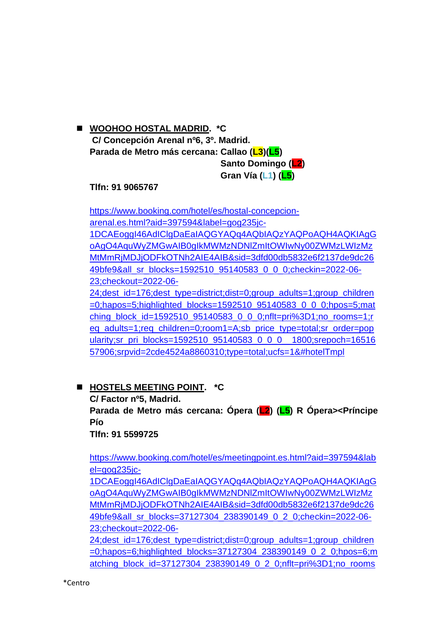#### ◼ **WOOHOO HOSTAL MADRID. \*C C/ Concepción Arenal nº6, 3º. Madrid.**

**Parada de Metro más cercana: Callao (L3)(L5) Santo Domingo (L2)**

**Gran Vía (L1) (L5)**

**Tlfn: 91 9065767**

[https://www.booking.com/hotel/es/hostal-concepcion](https://www.booking.com/hotel/es/hostal-concepcion-arenal.es.html?aid=397594&label=gog235jc-1DCAEoggI46AdIClgDaEaIAQGYAQq4AQbIAQzYAQPoAQH4AQKIAgGoAgO4AquWyZMGwAIB0gIkMWMzNDNlZmItOWIwNy00ZWMzLWIzMzMtMmRjMDJjODFkOTNh2AIE4AIB&sid=3dfd00db5832e6f2137de9dc2649bfe9&all_sr_blocks=1592510_95140583_0_0_0;checkin=2022-06-23;checkout=2022-06-24;dest_id=176;dest_type=district;dist=0;group_adults=1;group_children=0;hapos=5;highlighted_blocks=1592510_95140583_0_0_0;hpos=5;matching_block_id=1592510_95140583_0_0_0;nflt=pri%3D1;no_rooms=1;req_adults=1;req_children=0;room1=A;sb_price_type=total;sr_order=popularity;sr_pri_blocks=1592510_95140583_0_0_0__1800;srepoch=1651657906;srpvid=2cde4524a8860310;type=total;ucfs=1&#hotelTmpl)[arenal.es.html?aid=397594&label=gog235jc-](https://www.booking.com/hotel/es/hostal-concepcion-arenal.es.html?aid=397594&label=gog235jc-1DCAEoggI46AdIClgDaEaIAQGYAQq4AQbIAQzYAQPoAQH4AQKIAgGoAgO4AquWyZMGwAIB0gIkMWMzNDNlZmItOWIwNy00ZWMzLWIzMzMtMmRjMDJjODFkOTNh2AIE4AIB&sid=3dfd00db5832e6f2137de9dc2649bfe9&all_sr_blocks=1592510_95140583_0_0_0;checkin=2022-06-23;checkout=2022-06-24;dest_id=176;dest_type=district;dist=0;group_adults=1;group_children=0;hapos=5;highlighted_blocks=1592510_95140583_0_0_0;hpos=5;matching_block_id=1592510_95140583_0_0_0;nflt=pri%3D1;no_rooms=1;req_adults=1;req_children=0;room1=A;sb_price_type=total;sr_order=popularity;sr_pri_blocks=1592510_95140583_0_0_0__1800;srepoch=1651657906;srpvid=2cde4524a8860310;type=total;ucfs=1&#hotelTmpl)[1DCAEoggI46AdIClgDaEaIAQGYAQq4AQbIAQzYAQPoAQH4AQKIAgG](https://www.booking.com/hotel/es/hostal-concepcion-arenal.es.html?aid=397594&label=gog235jc-1DCAEoggI46AdIClgDaEaIAQGYAQq4AQbIAQzYAQPoAQH4AQKIAgGoAgO4AquWyZMGwAIB0gIkMWMzNDNlZmItOWIwNy00ZWMzLWIzMzMtMmRjMDJjODFkOTNh2AIE4AIB&sid=3dfd00db5832e6f2137de9dc2649bfe9&all_sr_blocks=1592510_95140583_0_0_0;checkin=2022-06-23;checkout=2022-06-24;dest_id=176;dest_type=district;dist=0;group_adults=1;group_children=0;hapos=5;highlighted_blocks=1592510_95140583_0_0_0;hpos=5;matching_block_id=1592510_95140583_0_0_0;nflt=pri%3D1;no_rooms=1;req_adults=1;req_children=0;room1=A;sb_price_type=total;sr_order=popularity;sr_pri_blocks=1592510_95140583_0_0_0__1800;srepoch=1651657906;srpvid=2cde4524a8860310;type=total;ucfs=1&#hotelTmpl) [oAgO4AquWyZMGwAIB0gIkMWMzNDNlZmItOWIwNy00ZWMzLWIzMz](https://www.booking.com/hotel/es/hostal-concepcion-arenal.es.html?aid=397594&label=gog235jc-1DCAEoggI46AdIClgDaEaIAQGYAQq4AQbIAQzYAQPoAQH4AQKIAgGoAgO4AquWyZMGwAIB0gIkMWMzNDNlZmItOWIwNy00ZWMzLWIzMzMtMmRjMDJjODFkOTNh2AIE4AIB&sid=3dfd00db5832e6f2137de9dc2649bfe9&all_sr_blocks=1592510_95140583_0_0_0;checkin=2022-06-23;checkout=2022-06-24;dest_id=176;dest_type=district;dist=0;group_adults=1;group_children=0;hapos=5;highlighted_blocks=1592510_95140583_0_0_0;hpos=5;matching_block_id=1592510_95140583_0_0_0;nflt=pri%3D1;no_rooms=1;req_adults=1;req_children=0;room1=A;sb_price_type=total;sr_order=popularity;sr_pri_blocks=1592510_95140583_0_0_0__1800;srepoch=1651657906;srpvid=2cde4524a8860310;type=total;ucfs=1&#hotelTmpl) [MtMmRjMDJjODFkOTNh2AIE4AIB&sid=3dfd00db5832e6f2137de9dc26](https://www.booking.com/hotel/es/hostal-concepcion-arenal.es.html?aid=397594&label=gog235jc-1DCAEoggI46AdIClgDaEaIAQGYAQq4AQbIAQzYAQPoAQH4AQKIAgGoAgO4AquWyZMGwAIB0gIkMWMzNDNlZmItOWIwNy00ZWMzLWIzMzMtMmRjMDJjODFkOTNh2AIE4AIB&sid=3dfd00db5832e6f2137de9dc2649bfe9&all_sr_blocks=1592510_95140583_0_0_0;checkin=2022-06-23;checkout=2022-06-24;dest_id=176;dest_type=district;dist=0;group_adults=1;group_children=0;hapos=5;highlighted_blocks=1592510_95140583_0_0_0;hpos=5;matching_block_id=1592510_95140583_0_0_0;nflt=pri%3D1;no_rooms=1;req_adults=1;req_children=0;room1=A;sb_price_type=total;sr_order=popularity;sr_pri_blocks=1592510_95140583_0_0_0__1800;srepoch=1651657906;srpvid=2cde4524a8860310;type=total;ucfs=1&#hotelTmpl) [49bfe9&all\\_sr\\_blocks=1592510\\_95140583\\_0\\_0\\_0;checkin=2022-06-](https://www.booking.com/hotel/es/hostal-concepcion-arenal.es.html?aid=397594&label=gog235jc-1DCAEoggI46AdIClgDaEaIAQGYAQq4AQbIAQzYAQPoAQH4AQKIAgGoAgO4AquWyZMGwAIB0gIkMWMzNDNlZmItOWIwNy00ZWMzLWIzMzMtMmRjMDJjODFkOTNh2AIE4AIB&sid=3dfd00db5832e6f2137de9dc2649bfe9&all_sr_blocks=1592510_95140583_0_0_0;checkin=2022-06-23;checkout=2022-06-24;dest_id=176;dest_type=district;dist=0;group_adults=1;group_children=0;hapos=5;highlighted_blocks=1592510_95140583_0_0_0;hpos=5;matching_block_id=1592510_95140583_0_0_0;nflt=pri%3D1;no_rooms=1;req_adults=1;req_children=0;room1=A;sb_price_type=total;sr_order=popularity;sr_pri_blocks=1592510_95140583_0_0_0__1800;srepoch=1651657906;srpvid=2cde4524a8860310;type=total;ucfs=1&#hotelTmpl) [23;checkout=2022-06-](https://www.booking.com/hotel/es/hostal-concepcion-arenal.es.html?aid=397594&label=gog235jc-1DCAEoggI46AdIClgDaEaIAQGYAQq4AQbIAQzYAQPoAQH4AQKIAgGoAgO4AquWyZMGwAIB0gIkMWMzNDNlZmItOWIwNy00ZWMzLWIzMzMtMmRjMDJjODFkOTNh2AIE4AIB&sid=3dfd00db5832e6f2137de9dc2649bfe9&all_sr_blocks=1592510_95140583_0_0_0;checkin=2022-06-23;checkout=2022-06-24;dest_id=176;dest_type=district;dist=0;group_adults=1;group_children=0;hapos=5;highlighted_blocks=1592510_95140583_0_0_0;hpos=5;matching_block_id=1592510_95140583_0_0_0;nflt=pri%3D1;no_rooms=1;req_adults=1;req_children=0;room1=A;sb_price_type=total;sr_order=popularity;sr_pri_blocks=1592510_95140583_0_0_0__1800;srepoch=1651657906;srpvid=2cde4524a8860310;type=total;ucfs=1&#hotelTmpl) [24;dest\\_id=176;dest\\_type=district;dist=0;group\\_adults=1;group\\_children](https://www.booking.com/hotel/es/hostal-concepcion-arenal.es.html?aid=397594&label=gog235jc-1DCAEoggI46AdIClgDaEaIAQGYAQq4AQbIAQzYAQPoAQH4AQKIAgGoAgO4AquWyZMGwAIB0gIkMWMzNDNlZmItOWIwNy00ZWMzLWIzMzMtMmRjMDJjODFkOTNh2AIE4AIB&sid=3dfd00db5832e6f2137de9dc2649bfe9&all_sr_blocks=1592510_95140583_0_0_0;checkin=2022-06-23;checkout=2022-06-24;dest_id=176;dest_type=district;dist=0;group_adults=1;group_children=0;hapos=5;highlighted_blocks=1592510_95140583_0_0_0;hpos=5;matching_block_id=1592510_95140583_0_0_0;nflt=pri%3D1;no_rooms=1;req_adults=1;req_children=0;room1=A;sb_price_type=total;sr_order=popularity;sr_pri_blocks=1592510_95140583_0_0_0__1800;srepoch=1651657906;srpvid=2cde4524a8860310;type=total;ucfs=1&#hotelTmpl) [=0;hapos=5;highlighted\\_blocks=1592510\\_95140583\\_0\\_0\\_0;hpos=5;mat](https://www.booking.com/hotel/es/hostal-concepcion-arenal.es.html?aid=397594&label=gog235jc-1DCAEoggI46AdIClgDaEaIAQGYAQq4AQbIAQzYAQPoAQH4AQKIAgGoAgO4AquWyZMGwAIB0gIkMWMzNDNlZmItOWIwNy00ZWMzLWIzMzMtMmRjMDJjODFkOTNh2AIE4AIB&sid=3dfd00db5832e6f2137de9dc2649bfe9&all_sr_blocks=1592510_95140583_0_0_0;checkin=2022-06-23;checkout=2022-06-24;dest_id=176;dest_type=district;dist=0;group_adults=1;group_children=0;hapos=5;highlighted_blocks=1592510_95140583_0_0_0;hpos=5;matching_block_id=1592510_95140583_0_0_0;nflt=pri%3D1;no_rooms=1;req_adults=1;req_children=0;room1=A;sb_price_type=total;sr_order=popularity;sr_pri_blocks=1592510_95140583_0_0_0__1800;srepoch=1651657906;srpvid=2cde4524a8860310;type=total;ucfs=1&#hotelTmpl) [ching\\_block\\_id=1592510\\_95140583\\_0\\_0\\_0;nflt=pri%3D1;no\\_rooms=1;r](https://www.booking.com/hotel/es/hostal-concepcion-arenal.es.html?aid=397594&label=gog235jc-1DCAEoggI46AdIClgDaEaIAQGYAQq4AQbIAQzYAQPoAQH4AQKIAgGoAgO4AquWyZMGwAIB0gIkMWMzNDNlZmItOWIwNy00ZWMzLWIzMzMtMmRjMDJjODFkOTNh2AIE4AIB&sid=3dfd00db5832e6f2137de9dc2649bfe9&all_sr_blocks=1592510_95140583_0_0_0;checkin=2022-06-23;checkout=2022-06-24;dest_id=176;dest_type=district;dist=0;group_adults=1;group_children=0;hapos=5;highlighted_blocks=1592510_95140583_0_0_0;hpos=5;matching_block_id=1592510_95140583_0_0_0;nflt=pri%3D1;no_rooms=1;req_adults=1;req_children=0;room1=A;sb_price_type=total;sr_order=popularity;sr_pri_blocks=1592510_95140583_0_0_0__1800;srepoch=1651657906;srpvid=2cde4524a8860310;type=total;ucfs=1&#hotelTmpl) eq adults=1;req\_children=0;room1=A;sb\_price\_type=total;sr\_order=pop [ularity;sr\\_pri\\_blocks=1592510\\_95140583\\_0\\_0\\_0\\_\\_1800;srepoch=16516](https://www.booking.com/hotel/es/hostal-concepcion-arenal.es.html?aid=397594&label=gog235jc-1DCAEoggI46AdIClgDaEaIAQGYAQq4AQbIAQzYAQPoAQH4AQKIAgGoAgO4AquWyZMGwAIB0gIkMWMzNDNlZmItOWIwNy00ZWMzLWIzMzMtMmRjMDJjODFkOTNh2AIE4AIB&sid=3dfd00db5832e6f2137de9dc2649bfe9&all_sr_blocks=1592510_95140583_0_0_0;checkin=2022-06-23;checkout=2022-06-24;dest_id=176;dest_type=district;dist=0;group_adults=1;group_children=0;hapos=5;highlighted_blocks=1592510_95140583_0_0_0;hpos=5;matching_block_id=1592510_95140583_0_0_0;nflt=pri%3D1;no_rooms=1;req_adults=1;req_children=0;room1=A;sb_price_type=total;sr_order=popularity;sr_pri_blocks=1592510_95140583_0_0_0__1800;srepoch=1651657906;srpvid=2cde4524a8860310;type=total;ucfs=1&#hotelTmpl) [57906;srpvid=2cde4524a8860310;type=total;ucfs=1&#hotelTmpl](https://www.booking.com/hotel/es/hostal-concepcion-arenal.es.html?aid=397594&label=gog235jc-1DCAEoggI46AdIClgDaEaIAQGYAQq4AQbIAQzYAQPoAQH4AQKIAgGoAgO4AquWyZMGwAIB0gIkMWMzNDNlZmItOWIwNy00ZWMzLWIzMzMtMmRjMDJjODFkOTNh2AIE4AIB&sid=3dfd00db5832e6f2137de9dc2649bfe9&all_sr_blocks=1592510_95140583_0_0_0;checkin=2022-06-23;checkout=2022-06-24;dest_id=176;dest_type=district;dist=0;group_adults=1;group_children=0;hapos=5;highlighted_blocks=1592510_95140583_0_0_0;hpos=5;matching_block_id=1592510_95140583_0_0_0;nflt=pri%3D1;no_rooms=1;req_adults=1;req_children=0;room1=A;sb_price_type=total;sr_order=popularity;sr_pri_blocks=1592510_95140583_0_0_0__1800;srepoch=1651657906;srpvid=2cde4524a8860310;type=total;ucfs=1&#hotelTmpl)

# ■ HOSTELS MEETING POINT. <sup>\*</sup>C

**C/ Factor nº5, Madrid.**

**Parada de Metro más cercana: Ópera (L2) (L5) R Ópera><Príncipe Pío**

**Tlfn: 91 5599725**

[https://www.booking.com/hotel/es/meetingpoint.es.html?aid=397594&lab](https://www.booking.com/hotel/es/meetingpoint.es.html?aid=397594&label=gog235jc-1DCAEoggI46AdIClgDaEaIAQGYAQq4AQbIAQzYAQPoAQH4AQKIAgGoAgO4AquWyZMGwAIB0gIkMWMzNDNlZmItOWIwNy00ZWMzLWIzMzMtMmRjMDJjODFkOTNh2AIE4AIB&sid=3dfd00db5832e6f2137de9dc2649bfe9&all_sr_blocks=37127304_238390149_0_2_0;checkin=2022-06-23;checkout=2022-06-24;dest_id=176;dest_type=district;dist=0;group_adults=1;group_children=0;hapos=6;highlighted_blocks=37127304_238390149_0_2_0;hpos=6;matching_block_id=37127304_238390149_0_2_0;nflt=pri%3D1;no_rooms=1;req_adults=1;req_children=0;room1=A;sb_price_type=total;sr_order=popularity;sr_pri_blocks=37127304_238390149_0_2_0__2000;srepoch=1651657906;srpvid=2cde4524a8860310;type=total;ucfs=1&#hotelTmpl) [el=gog235jc-](https://www.booking.com/hotel/es/meetingpoint.es.html?aid=397594&label=gog235jc-1DCAEoggI46AdIClgDaEaIAQGYAQq4AQbIAQzYAQPoAQH4AQKIAgGoAgO4AquWyZMGwAIB0gIkMWMzNDNlZmItOWIwNy00ZWMzLWIzMzMtMmRjMDJjODFkOTNh2AIE4AIB&sid=3dfd00db5832e6f2137de9dc2649bfe9&all_sr_blocks=37127304_238390149_0_2_0;checkin=2022-06-23;checkout=2022-06-24;dest_id=176;dest_type=district;dist=0;group_adults=1;group_children=0;hapos=6;highlighted_blocks=37127304_238390149_0_2_0;hpos=6;matching_block_id=37127304_238390149_0_2_0;nflt=pri%3D1;no_rooms=1;req_adults=1;req_children=0;room1=A;sb_price_type=total;sr_order=popularity;sr_pri_blocks=37127304_238390149_0_2_0__2000;srepoch=1651657906;srpvid=2cde4524a8860310;type=total;ucfs=1&#hotelTmpl)

[1DCAEoggI46AdIClgDaEaIAQGYAQq4AQbIAQzYAQPoAQH4AQKIAgG](https://www.booking.com/hotel/es/meetingpoint.es.html?aid=397594&label=gog235jc-1DCAEoggI46AdIClgDaEaIAQGYAQq4AQbIAQzYAQPoAQH4AQKIAgGoAgO4AquWyZMGwAIB0gIkMWMzNDNlZmItOWIwNy00ZWMzLWIzMzMtMmRjMDJjODFkOTNh2AIE4AIB&sid=3dfd00db5832e6f2137de9dc2649bfe9&all_sr_blocks=37127304_238390149_0_2_0;checkin=2022-06-23;checkout=2022-06-24;dest_id=176;dest_type=district;dist=0;group_adults=1;group_children=0;hapos=6;highlighted_blocks=37127304_238390149_0_2_0;hpos=6;matching_block_id=37127304_238390149_0_2_0;nflt=pri%3D1;no_rooms=1;req_adults=1;req_children=0;room1=A;sb_price_type=total;sr_order=popularity;sr_pri_blocks=37127304_238390149_0_2_0__2000;srepoch=1651657906;srpvid=2cde4524a8860310;type=total;ucfs=1&#hotelTmpl) [oAgO4AquWyZMGwAIB0gIkMWMzNDNlZmItOWIwNy00ZWMzLWIzMz](https://www.booking.com/hotel/es/meetingpoint.es.html?aid=397594&label=gog235jc-1DCAEoggI46AdIClgDaEaIAQGYAQq4AQbIAQzYAQPoAQH4AQKIAgGoAgO4AquWyZMGwAIB0gIkMWMzNDNlZmItOWIwNy00ZWMzLWIzMzMtMmRjMDJjODFkOTNh2AIE4AIB&sid=3dfd00db5832e6f2137de9dc2649bfe9&all_sr_blocks=37127304_238390149_0_2_0;checkin=2022-06-23;checkout=2022-06-24;dest_id=176;dest_type=district;dist=0;group_adults=1;group_children=0;hapos=6;highlighted_blocks=37127304_238390149_0_2_0;hpos=6;matching_block_id=37127304_238390149_0_2_0;nflt=pri%3D1;no_rooms=1;req_adults=1;req_children=0;room1=A;sb_price_type=total;sr_order=popularity;sr_pri_blocks=37127304_238390149_0_2_0__2000;srepoch=1651657906;srpvid=2cde4524a8860310;type=total;ucfs=1&#hotelTmpl) [MtMmRjMDJjODFkOTNh2AIE4AIB&sid=3dfd00db5832e6f2137de9dc26](https://www.booking.com/hotel/es/meetingpoint.es.html?aid=397594&label=gog235jc-1DCAEoggI46AdIClgDaEaIAQGYAQq4AQbIAQzYAQPoAQH4AQKIAgGoAgO4AquWyZMGwAIB0gIkMWMzNDNlZmItOWIwNy00ZWMzLWIzMzMtMmRjMDJjODFkOTNh2AIE4AIB&sid=3dfd00db5832e6f2137de9dc2649bfe9&all_sr_blocks=37127304_238390149_0_2_0;checkin=2022-06-23;checkout=2022-06-24;dest_id=176;dest_type=district;dist=0;group_adults=1;group_children=0;hapos=6;highlighted_blocks=37127304_238390149_0_2_0;hpos=6;matching_block_id=37127304_238390149_0_2_0;nflt=pri%3D1;no_rooms=1;req_adults=1;req_children=0;room1=A;sb_price_type=total;sr_order=popularity;sr_pri_blocks=37127304_238390149_0_2_0__2000;srepoch=1651657906;srpvid=2cde4524a8860310;type=total;ucfs=1&#hotelTmpl) [49bfe9&all\\_sr\\_blocks=37127304\\_238390149\\_0\\_2\\_0;checkin=2022-06-](https://www.booking.com/hotel/es/meetingpoint.es.html?aid=397594&label=gog235jc-1DCAEoggI46AdIClgDaEaIAQGYAQq4AQbIAQzYAQPoAQH4AQKIAgGoAgO4AquWyZMGwAIB0gIkMWMzNDNlZmItOWIwNy00ZWMzLWIzMzMtMmRjMDJjODFkOTNh2AIE4AIB&sid=3dfd00db5832e6f2137de9dc2649bfe9&all_sr_blocks=37127304_238390149_0_2_0;checkin=2022-06-23;checkout=2022-06-24;dest_id=176;dest_type=district;dist=0;group_adults=1;group_children=0;hapos=6;highlighted_blocks=37127304_238390149_0_2_0;hpos=6;matching_block_id=37127304_238390149_0_2_0;nflt=pri%3D1;no_rooms=1;req_adults=1;req_children=0;room1=A;sb_price_type=total;sr_order=popularity;sr_pri_blocks=37127304_238390149_0_2_0__2000;srepoch=1651657906;srpvid=2cde4524a8860310;type=total;ucfs=1&#hotelTmpl) [23;checkout=2022-06-](https://www.booking.com/hotel/es/meetingpoint.es.html?aid=397594&label=gog235jc-1DCAEoggI46AdIClgDaEaIAQGYAQq4AQbIAQzYAQPoAQH4AQKIAgGoAgO4AquWyZMGwAIB0gIkMWMzNDNlZmItOWIwNy00ZWMzLWIzMzMtMmRjMDJjODFkOTNh2AIE4AIB&sid=3dfd00db5832e6f2137de9dc2649bfe9&all_sr_blocks=37127304_238390149_0_2_0;checkin=2022-06-23;checkout=2022-06-24;dest_id=176;dest_type=district;dist=0;group_adults=1;group_children=0;hapos=6;highlighted_blocks=37127304_238390149_0_2_0;hpos=6;matching_block_id=37127304_238390149_0_2_0;nflt=pri%3D1;no_rooms=1;req_adults=1;req_children=0;room1=A;sb_price_type=total;sr_order=popularity;sr_pri_blocks=37127304_238390149_0_2_0__2000;srepoch=1651657906;srpvid=2cde4524a8860310;type=total;ucfs=1&#hotelTmpl)

[24;dest\\_id=176;dest\\_type=district;dist=0;group\\_adults=1;group\\_children](https://www.booking.com/hotel/es/meetingpoint.es.html?aid=397594&label=gog235jc-1DCAEoggI46AdIClgDaEaIAQGYAQq4AQbIAQzYAQPoAQH4AQKIAgGoAgO4AquWyZMGwAIB0gIkMWMzNDNlZmItOWIwNy00ZWMzLWIzMzMtMmRjMDJjODFkOTNh2AIE4AIB&sid=3dfd00db5832e6f2137de9dc2649bfe9&all_sr_blocks=37127304_238390149_0_2_0;checkin=2022-06-23;checkout=2022-06-24;dest_id=176;dest_type=district;dist=0;group_adults=1;group_children=0;hapos=6;highlighted_blocks=37127304_238390149_0_2_0;hpos=6;matching_block_id=37127304_238390149_0_2_0;nflt=pri%3D1;no_rooms=1;req_adults=1;req_children=0;room1=A;sb_price_type=total;sr_order=popularity;sr_pri_blocks=37127304_238390149_0_2_0__2000;srepoch=1651657906;srpvid=2cde4524a8860310;type=total;ucfs=1&#hotelTmpl) [=0;hapos=6;highlighted\\_blocks=37127304\\_238390149\\_0\\_2\\_0;hpos=6;m](https://www.booking.com/hotel/es/meetingpoint.es.html?aid=397594&label=gog235jc-1DCAEoggI46AdIClgDaEaIAQGYAQq4AQbIAQzYAQPoAQH4AQKIAgGoAgO4AquWyZMGwAIB0gIkMWMzNDNlZmItOWIwNy00ZWMzLWIzMzMtMmRjMDJjODFkOTNh2AIE4AIB&sid=3dfd00db5832e6f2137de9dc2649bfe9&all_sr_blocks=37127304_238390149_0_2_0;checkin=2022-06-23;checkout=2022-06-24;dest_id=176;dest_type=district;dist=0;group_adults=1;group_children=0;hapos=6;highlighted_blocks=37127304_238390149_0_2_0;hpos=6;matching_block_id=37127304_238390149_0_2_0;nflt=pri%3D1;no_rooms=1;req_adults=1;req_children=0;room1=A;sb_price_type=total;sr_order=popularity;sr_pri_blocks=37127304_238390149_0_2_0__2000;srepoch=1651657906;srpvid=2cde4524a8860310;type=total;ucfs=1&#hotelTmpl) [atching\\_block\\_id=37127304\\_238390149\\_0\\_2\\_0;nflt=pri%3D1;no\\_rooms](https://www.booking.com/hotel/es/meetingpoint.es.html?aid=397594&label=gog235jc-1DCAEoggI46AdIClgDaEaIAQGYAQq4AQbIAQzYAQPoAQH4AQKIAgGoAgO4AquWyZMGwAIB0gIkMWMzNDNlZmItOWIwNy00ZWMzLWIzMzMtMmRjMDJjODFkOTNh2AIE4AIB&sid=3dfd00db5832e6f2137de9dc2649bfe9&all_sr_blocks=37127304_238390149_0_2_0;checkin=2022-06-23;checkout=2022-06-24;dest_id=176;dest_type=district;dist=0;group_adults=1;group_children=0;hapos=6;highlighted_blocks=37127304_238390149_0_2_0;hpos=6;matching_block_id=37127304_238390149_0_2_0;nflt=pri%3D1;no_rooms=1;req_adults=1;req_children=0;room1=A;sb_price_type=total;sr_order=popularity;sr_pri_blocks=37127304_238390149_0_2_0__2000;srepoch=1651657906;srpvid=2cde4524a8860310;type=total;ucfs=1&#hotelTmpl)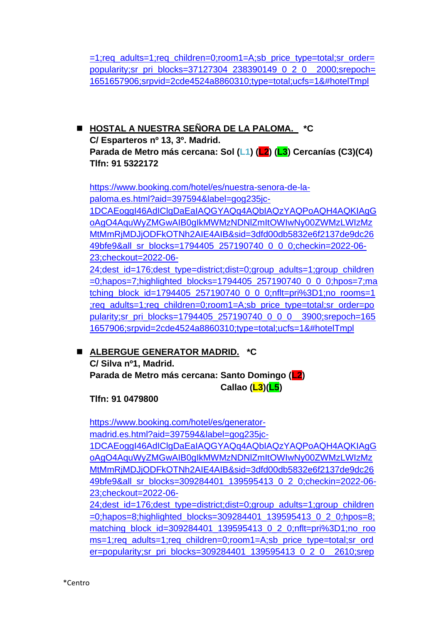[=1;req\\_adults=1;req\\_children=0;room1=A;sb\\_price\\_type=total;sr\\_order=](https://www.booking.com/hotel/es/meetingpoint.es.html?aid=397594&label=gog235jc-1DCAEoggI46AdIClgDaEaIAQGYAQq4AQbIAQzYAQPoAQH4AQKIAgGoAgO4AquWyZMGwAIB0gIkMWMzNDNlZmItOWIwNy00ZWMzLWIzMzMtMmRjMDJjODFkOTNh2AIE4AIB&sid=3dfd00db5832e6f2137de9dc2649bfe9&all_sr_blocks=37127304_238390149_0_2_0;checkin=2022-06-23;checkout=2022-06-24;dest_id=176;dest_type=district;dist=0;group_adults=1;group_children=0;hapos=6;highlighted_blocks=37127304_238390149_0_2_0;hpos=6;matching_block_id=37127304_238390149_0_2_0;nflt=pri%3D1;no_rooms=1;req_adults=1;req_children=0;room1=A;sb_price_type=total;sr_order=popularity;sr_pri_blocks=37127304_238390149_0_2_0__2000;srepoch=1651657906;srpvid=2cde4524a8860310;type=total;ucfs=1&#hotelTmpl) [popularity;sr\\_pri\\_blocks=37127304\\_238390149\\_0\\_2\\_0\\_\\_2000;srepoch=](https://www.booking.com/hotel/es/meetingpoint.es.html?aid=397594&label=gog235jc-1DCAEoggI46AdIClgDaEaIAQGYAQq4AQbIAQzYAQPoAQH4AQKIAgGoAgO4AquWyZMGwAIB0gIkMWMzNDNlZmItOWIwNy00ZWMzLWIzMzMtMmRjMDJjODFkOTNh2AIE4AIB&sid=3dfd00db5832e6f2137de9dc2649bfe9&all_sr_blocks=37127304_238390149_0_2_0;checkin=2022-06-23;checkout=2022-06-24;dest_id=176;dest_type=district;dist=0;group_adults=1;group_children=0;hapos=6;highlighted_blocks=37127304_238390149_0_2_0;hpos=6;matching_block_id=37127304_238390149_0_2_0;nflt=pri%3D1;no_rooms=1;req_adults=1;req_children=0;room1=A;sb_price_type=total;sr_order=popularity;sr_pri_blocks=37127304_238390149_0_2_0__2000;srepoch=1651657906;srpvid=2cde4524a8860310;type=total;ucfs=1&#hotelTmpl) [1651657906;srpvid=2cde4524a8860310;type=total;ucfs=1&#hotelTmpl](https://www.booking.com/hotel/es/meetingpoint.es.html?aid=397594&label=gog235jc-1DCAEoggI46AdIClgDaEaIAQGYAQq4AQbIAQzYAQPoAQH4AQKIAgGoAgO4AquWyZMGwAIB0gIkMWMzNDNlZmItOWIwNy00ZWMzLWIzMzMtMmRjMDJjODFkOTNh2AIE4AIB&sid=3dfd00db5832e6f2137de9dc2649bfe9&all_sr_blocks=37127304_238390149_0_2_0;checkin=2022-06-23;checkout=2022-06-24;dest_id=176;dest_type=district;dist=0;group_adults=1;group_children=0;hapos=6;highlighted_blocks=37127304_238390149_0_2_0;hpos=6;matching_block_id=37127304_238390149_0_2_0;nflt=pri%3D1;no_rooms=1;req_adults=1;req_children=0;room1=A;sb_price_type=total;sr_order=popularity;sr_pri_blocks=37127304_238390149_0_2_0__2000;srepoch=1651657906;srpvid=2cde4524a8860310;type=total;ucfs=1&#hotelTmpl)

◼ **HOSTAL A NUESTRA SEÑORA DE LA PALOMA. \*C C/ Esparteros nº 13, 3º. Madrid. Parada de Metro más cercana: Sol (L1) (L2) (L3) Cercanías (C3)(C4) Tlfn: 91 5322172**

[https://www.booking.com/hotel/es/nuestra-senora-de-la](https://www.booking.com/hotel/es/nuestra-senora-de-la-paloma.es.html?aid=397594&label=gog235jc-1DCAEoggI46AdIClgDaEaIAQGYAQq4AQbIAQzYAQPoAQH4AQKIAgGoAgO4AquWyZMGwAIB0gIkMWMzNDNlZmItOWIwNy00ZWMzLWIzMzMtMmRjMDJjODFkOTNh2AIE4AIB&sid=3dfd00db5832e6f2137de9dc2649bfe9&all_sr_blocks=1794405_257190740_0_0_0;checkin=2022-06-23;checkout=2022-06-24;dest_id=176;dest_type=district;dist=0;group_adults=1;group_children=0;hapos=7;highlighted_blocks=1794405_257190740_0_0_0;hpos=7;matching_block_id=1794405_257190740_0_0_0;nflt=pri%3D1;no_rooms=1;req_adults=1;req_children=0;room1=A;sb_price_type=total;sr_order=popularity;sr_pri_blocks=1794405_257190740_0_0_0__3900;srepoch=1651657906;srpvid=2cde4524a8860310;type=total;ucfs=1&#hotelTmpl)[paloma.es.html?aid=397594&label=gog235jc-](https://www.booking.com/hotel/es/nuestra-senora-de-la-paloma.es.html?aid=397594&label=gog235jc-1DCAEoggI46AdIClgDaEaIAQGYAQq4AQbIAQzYAQPoAQH4AQKIAgGoAgO4AquWyZMGwAIB0gIkMWMzNDNlZmItOWIwNy00ZWMzLWIzMzMtMmRjMDJjODFkOTNh2AIE4AIB&sid=3dfd00db5832e6f2137de9dc2649bfe9&all_sr_blocks=1794405_257190740_0_0_0;checkin=2022-06-23;checkout=2022-06-24;dest_id=176;dest_type=district;dist=0;group_adults=1;group_children=0;hapos=7;highlighted_blocks=1794405_257190740_0_0_0;hpos=7;matching_block_id=1794405_257190740_0_0_0;nflt=pri%3D1;no_rooms=1;req_adults=1;req_children=0;room1=A;sb_price_type=total;sr_order=popularity;sr_pri_blocks=1794405_257190740_0_0_0__3900;srepoch=1651657906;srpvid=2cde4524a8860310;type=total;ucfs=1&#hotelTmpl)

[1DCAEoggI46AdIClgDaEaIAQGYAQq4AQbIAQzYAQPoAQH4AQKIAgG](https://www.booking.com/hotel/es/nuestra-senora-de-la-paloma.es.html?aid=397594&label=gog235jc-1DCAEoggI46AdIClgDaEaIAQGYAQq4AQbIAQzYAQPoAQH4AQKIAgGoAgO4AquWyZMGwAIB0gIkMWMzNDNlZmItOWIwNy00ZWMzLWIzMzMtMmRjMDJjODFkOTNh2AIE4AIB&sid=3dfd00db5832e6f2137de9dc2649bfe9&all_sr_blocks=1794405_257190740_0_0_0;checkin=2022-06-23;checkout=2022-06-24;dest_id=176;dest_type=district;dist=0;group_adults=1;group_children=0;hapos=7;highlighted_blocks=1794405_257190740_0_0_0;hpos=7;matching_block_id=1794405_257190740_0_0_0;nflt=pri%3D1;no_rooms=1;req_adults=1;req_children=0;room1=A;sb_price_type=total;sr_order=popularity;sr_pri_blocks=1794405_257190740_0_0_0__3900;srepoch=1651657906;srpvid=2cde4524a8860310;type=total;ucfs=1&#hotelTmpl) [oAgO4AquWyZMGwAIB0gIkMWMzNDNlZmItOWIwNy00ZWMzLWIzMz](https://www.booking.com/hotel/es/nuestra-senora-de-la-paloma.es.html?aid=397594&label=gog235jc-1DCAEoggI46AdIClgDaEaIAQGYAQq4AQbIAQzYAQPoAQH4AQKIAgGoAgO4AquWyZMGwAIB0gIkMWMzNDNlZmItOWIwNy00ZWMzLWIzMzMtMmRjMDJjODFkOTNh2AIE4AIB&sid=3dfd00db5832e6f2137de9dc2649bfe9&all_sr_blocks=1794405_257190740_0_0_0;checkin=2022-06-23;checkout=2022-06-24;dest_id=176;dest_type=district;dist=0;group_adults=1;group_children=0;hapos=7;highlighted_blocks=1794405_257190740_0_0_0;hpos=7;matching_block_id=1794405_257190740_0_0_0;nflt=pri%3D1;no_rooms=1;req_adults=1;req_children=0;room1=A;sb_price_type=total;sr_order=popularity;sr_pri_blocks=1794405_257190740_0_0_0__3900;srepoch=1651657906;srpvid=2cde4524a8860310;type=total;ucfs=1&#hotelTmpl) [MtMmRjMDJjODFkOTNh2AIE4AIB&sid=3dfd00db5832e6f2137de9dc26](https://www.booking.com/hotel/es/nuestra-senora-de-la-paloma.es.html?aid=397594&label=gog235jc-1DCAEoggI46AdIClgDaEaIAQGYAQq4AQbIAQzYAQPoAQH4AQKIAgGoAgO4AquWyZMGwAIB0gIkMWMzNDNlZmItOWIwNy00ZWMzLWIzMzMtMmRjMDJjODFkOTNh2AIE4AIB&sid=3dfd00db5832e6f2137de9dc2649bfe9&all_sr_blocks=1794405_257190740_0_0_0;checkin=2022-06-23;checkout=2022-06-24;dest_id=176;dest_type=district;dist=0;group_adults=1;group_children=0;hapos=7;highlighted_blocks=1794405_257190740_0_0_0;hpos=7;matching_block_id=1794405_257190740_0_0_0;nflt=pri%3D1;no_rooms=1;req_adults=1;req_children=0;room1=A;sb_price_type=total;sr_order=popularity;sr_pri_blocks=1794405_257190740_0_0_0__3900;srepoch=1651657906;srpvid=2cde4524a8860310;type=total;ucfs=1&#hotelTmpl) [49bfe9&all\\_sr\\_blocks=1794405\\_257190740\\_0\\_0\\_0;checkin=2022-06-](https://www.booking.com/hotel/es/nuestra-senora-de-la-paloma.es.html?aid=397594&label=gog235jc-1DCAEoggI46AdIClgDaEaIAQGYAQq4AQbIAQzYAQPoAQH4AQKIAgGoAgO4AquWyZMGwAIB0gIkMWMzNDNlZmItOWIwNy00ZWMzLWIzMzMtMmRjMDJjODFkOTNh2AIE4AIB&sid=3dfd00db5832e6f2137de9dc2649bfe9&all_sr_blocks=1794405_257190740_0_0_0;checkin=2022-06-23;checkout=2022-06-24;dest_id=176;dest_type=district;dist=0;group_adults=1;group_children=0;hapos=7;highlighted_blocks=1794405_257190740_0_0_0;hpos=7;matching_block_id=1794405_257190740_0_0_0;nflt=pri%3D1;no_rooms=1;req_adults=1;req_children=0;room1=A;sb_price_type=total;sr_order=popularity;sr_pri_blocks=1794405_257190740_0_0_0__3900;srepoch=1651657906;srpvid=2cde4524a8860310;type=total;ucfs=1&#hotelTmpl) [23;checkout=2022-06-](https://www.booking.com/hotel/es/nuestra-senora-de-la-paloma.es.html?aid=397594&label=gog235jc-1DCAEoggI46AdIClgDaEaIAQGYAQq4AQbIAQzYAQPoAQH4AQKIAgGoAgO4AquWyZMGwAIB0gIkMWMzNDNlZmItOWIwNy00ZWMzLWIzMzMtMmRjMDJjODFkOTNh2AIE4AIB&sid=3dfd00db5832e6f2137de9dc2649bfe9&all_sr_blocks=1794405_257190740_0_0_0;checkin=2022-06-23;checkout=2022-06-24;dest_id=176;dest_type=district;dist=0;group_adults=1;group_children=0;hapos=7;highlighted_blocks=1794405_257190740_0_0_0;hpos=7;matching_block_id=1794405_257190740_0_0_0;nflt=pri%3D1;no_rooms=1;req_adults=1;req_children=0;room1=A;sb_price_type=total;sr_order=popularity;sr_pri_blocks=1794405_257190740_0_0_0__3900;srepoch=1651657906;srpvid=2cde4524a8860310;type=total;ucfs=1&#hotelTmpl)

[24;dest\\_id=176;dest\\_type=district;dist=0;group\\_adults=1;group\\_children](https://www.booking.com/hotel/es/nuestra-senora-de-la-paloma.es.html?aid=397594&label=gog235jc-1DCAEoggI46AdIClgDaEaIAQGYAQq4AQbIAQzYAQPoAQH4AQKIAgGoAgO4AquWyZMGwAIB0gIkMWMzNDNlZmItOWIwNy00ZWMzLWIzMzMtMmRjMDJjODFkOTNh2AIE4AIB&sid=3dfd00db5832e6f2137de9dc2649bfe9&all_sr_blocks=1794405_257190740_0_0_0;checkin=2022-06-23;checkout=2022-06-24;dest_id=176;dest_type=district;dist=0;group_adults=1;group_children=0;hapos=7;highlighted_blocks=1794405_257190740_0_0_0;hpos=7;matching_block_id=1794405_257190740_0_0_0;nflt=pri%3D1;no_rooms=1;req_adults=1;req_children=0;room1=A;sb_price_type=total;sr_order=popularity;sr_pri_blocks=1794405_257190740_0_0_0__3900;srepoch=1651657906;srpvid=2cde4524a8860310;type=total;ucfs=1&#hotelTmpl) [=0;hapos=7;highlighted\\_blocks=1794405\\_257190740\\_0\\_0\\_0;hpos=7;ma](https://www.booking.com/hotel/es/nuestra-senora-de-la-paloma.es.html?aid=397594&label=gog235jc-1DCAEoggI46AdIClgDaEaIAQGYAQq4AQbIAQzYAQPoAQH4AQKIAgGoAgO4AquWyZMGwAIB0gIkMWMzNDNlZmItOWIwNy00ZWMzLWIzMzMtMmRjMDJjODFkOTNh2AIE4AIB&sid=3dfd00db5832e6f2137de9dc2649bfe9&all_sr_blocks=1794405_257190740_0_0_0;checkin=2022-06-23;checkout=2022-06-24;dest_id=176;dest_type=district;dist=0;group_adults=1;group_children=0;hapos=7;highlighted_blocks=1794405_257190740_0_0_0;hpos=7;matching_block_id=1794405_257190740_0_0_0;nflt=pri%3D1;no_rooms=1;req_adults=1;req_children=0;room1=A;sb_price_type=total;sr_order=popularity;sr_pri_blocks=1794405_257190740_0_0_0__3900;srepoch=1651657906;srpvid=2cde4524a8860310;type=total;ucfs=1&#hotelTmpl) [tching\\_block\\_id=1794405\\_257190740\\_0\\_0\\_0;nflt=pri%3D1;no\\_rooms=1](https://www.booking.com/hotel/es/nuestra-senora-de-la-paloma.es.html?aid=397594&label=gog235jc-1DCAEoggI46AdIClgDaEaIAQGYAQq4AQbIAQzYAQPoAQH4AQKIAgGoAgO4AquWyZMGwAIB0gIkMWMzNDNlZmItOWIwNy00ZWMzLWIzMzMtMmRjMDJjODFkOTNh2AIE4AIB&sid=3dfd00db5832e6f2137de9dc2649bfe9&all_sr_blocks=1794405_257190740_0_0_0;checkin=2022-06-23;checkout=2022-06-24;dest_id=176;dest_type=district;dist=0;group_adults=1;group_children=0;hapos=7;highlighted_blocks=1794405_257190740_0_0_0;hpos=7;matching_block_id=1794405_257190740_0_0_0;nflt=pri%3D1;no_rooms=1;req_adults=1;req_children=0;room1=A;sb_price_type=total;sr_order=popularity;sr_pri_blocks=1794405_257190740_0_0_0__3900;srepoch=1651657906;srpvid=2cde4524a8860310;type=total;ucfs=1&#hotelTmpl) [;req\\_adults=1;req\\_children=0;room1=A;sb\\_price\\_type=total;sr\\_order=po](https://www.booking.com/hotel/es/nuestra-senora-de-la-paloma.es.html?aid=397594&label=gog235jc-1DCAEoggI46AdIClgDaEaIAQGYAQq4AQbIAQzYAQPoAQH4AQKIAgGoAgO4AquWyZMGwAIB0gIkMWMzNDNlZmItOWIwNy00ZWMzLWIzMzMtMmRjMDJjODFkOTNh2AIE4AIB&sid=3dfd00db5832e6f2137de9dc2649bfe9&all_sr_blocks=1794405_257190740_0_0_0;checkin=2022-06-23;checkout=2022-06-24;dest_id=176;dest_type=district;dist=0;group_adults=1;group_children=0;hapos=7;highlighted_blocks=1794405_257190740_0_0_0;hpos=7;matching_block_id=1794405_257190740_0_0_0;nflt=pri%3D1;no_rooms=1;req_adults=1;req_children=0;room1=A;sb_price_type=total;sr_order=popularity;sr_pri_blocks=1794405_257190740_0_0_0__3900;srepoch=1651657906;srpvid=2cde4524a8860310;type=total;ucfs=1&#hotelTmpl) [pularity;sr\\_pri\\_blocks=1794405\\_257190740\\_0\\_0\\_0\\_\\_3900;srepoch=165](https://www.booking.com/hotel/es/nuestra-senora-de-la-paloma.es.html?aid=397594&label=gog235jc-1DCAEoggI46AdIClgDaEaIAQGYAQq4AQbIAQzYAQPoAQH4AQKIAgGoAgO4AquWyZMGwAIB0gIkMWMzNDNlZmItOWIwNy00ZWMzLWIzMzMtMmRjMDJjODFkOTNh2AIE4AIB&sid=3dfd00db5832e6f2137de9dc2649bfe9&all_sr_blocks=1794405_257190740_0_0_0;checkin=2022-06-23;checkout=2022-06-24;dest_id=176;dest_type=district;dist=0;group_adults=1;group_children=0;hapos=7;highlighted_blocks=1794405_257190740_0_0_0;hpos=7;matching_block_id=1794405_257190740_0_0_0;nflt=pri%3D1;no_rooms=1;req_adults=1;req_children=0;room1=A;sb_price_type=total;sr_order=popularity;sr_pri_blocks=1794405_257190740_0_0_0__3900;srepoch=1651657906;srpvid=2cde4524a8860310;type=total;ucfs=1&#hotelTmpl) [1657906;srpvid=2cde4524a8860310;type=total;ucfs=1&#hotelTmpl](https://www.booking.com/hotel/es/nuestra-senora-de-la-paloma.es.html?aid=397594&label=gog235jc-1DCAEoggI46AdIClgDaEaIAQGYAQq4AQbIAQzYAQPoAQH4AQKIAgGoAgO4AquWyZMGwAIB0gIkMWMzNDNlZmItOWIwNy00ZWMzLWIzMzMtMmRjMDJjODFkOTNh2AIE4AIB&sid=3dfd00db5832e6f2137de9dc2649bfe9&all_sr_blocks=1794405_257190740_0_0_0;checkin=2022-06-23;checkout=2022-06-24;dest_id=176;dest_type=district;dist=0;group_adults=1;group_children=0;hapos=7;highlighted_blocks=1794405_257190740_0_0_0;hpos=7;matching_block_id=1794405_257190740_0_0_0;nflt=pri%3D1;no_rooms=1;req_adults=1;req_children=0;room1=A;sb_price_type=total;sr_order=popularity;sr_pri_blocks=1794405_257190740_0_0_0__3900;srepoch=1651657906;srpvid=2cde4524a8860310;type=total;ucfs=1&#hotelTmpl)

◼ **ALBERGUE GENERATOR MADRID. \*C**

**C/ Silva nº1, Madrid.**

**Parada de Metro más cercana: Santo Domingo (L2) Callao (L3)(L5)**

**Tlfn: 91 0479800**

[https://www.booking.com/hotel/es/generator](https://www.booking.com/hotel/es/generator-madrid.es.html?aid=397594&label=gog235jc-1DCAEoggI46AdIClgDaEaIAQGYAQq4AQbIAQzYAQPoAQH4AQKIAgGoAgO4AquWyZMGwAIB0gIkMWMzNDNlZmItOWIwNy00ZWMzLWIzMzMtMmRjMDJjODFkOTNh2AIE4AIB&sid=3dfd00db5832e6f2137de9dc2649bfe9&all_sr_blocks=309284401_139595413_0_2_0;checkin=2022-06-23;checkout=2022-06-24;dest_id=176;dest_type=district;dist=0;group_adults=1;group_children=0;hapos=8;highlighted_blocks=309284401_139595413_0_2_0;hpos=8;matching_block_id=309284401_139595413_0_2_0;nflt=pri%3D1;no_rooms=1;req_adults=1;req_children=0;room1=A;sb_price_type=total;sr_order=popularity;sr_pri_blocks=309284401_139595413_0_2_0__2610;srepoch=1651657906;srpvid=2cde4524a8860310;type=total;ucfs=1&#hotelTmpl)[madrid.es.html?aid=397594&label=gog235jc-](https://www.booking.com/hotel/es/generator-madrid.es.html?aid=397594&label=gog235jc-1DCAEoggI46AdIClgDaEaIAQGYAQq4AQbIAQzYAQPoAQH4AQKIAgGoAgO4AquWyZMGwAIB0gIkMWMzNDNlZmItOWIwNy00ZWMzLWIzMzMtMmRjMDJjODFkOTNh2AIE4AIB&sid=3dfd00db5832e6f2137de9dc2649bfe9&all_sr_blocks=309284401_139595413_0_2_0;checkin=2022-06-23;checkout=2022-06-24;dest_id=176;dest_type=district;dist=0;group_adults=1;group_children=0;hapos=8;highlighted_blocks=309284401_139595413_0_2_0;hpos=8;matching_block_id=309284401_139595413_0_2_0;nflt=pri%3D1;no_rooms=1;req_adults=1;req_children=0;room1=A;sb_price_type=total;sr_order=popularity;sr_pri_blocks=309284401_139595413_0_2_0__2610;srepoch=1651657906;srpvid=2cde4524a8860310;type=total;ucfs=1&#hotelTmpl)

[1DCAEoggI46AdIClgDaEaIAQGYAQq4AQbIAQzYAQPoAQH4AQKIAgG](https://www.booking.com/hotel/es/generator-madrid.es.html?aid=397594&label=gog235jc-1DCAEoggI46AdIClgDaEaIAQGYAQq4AQbIAQzYAQPoAQH4AQKIAgGoAgO4AquWyZMGwAIB0gIkMWMzNDNlZmItOWIwNy00ZWMzLWIzMzMtMmRjMDJjODFkOTNh2AIE4AIB&sid=3dfd00db5832e6f2137de9dc2649bfe9&all_sr_blocks=309284401_139595413_0_2_0;checkin=2022-06-23;checkout=2022-06-24;dest_id=176;dest_type=district;dist=0;group_adults=1;group_children=0;hapos=8;highlighted_blocks=309284401_139595413_0_2_0;hpos=8;matching_block_id=309284401_139595413_0_2_0;nflt=pri%3D1;no_rooms=1;req_adults=1;req_children=0;room1=A;sb_price_type=total;sr_order=popularity;sr_pri_blocks=309284401_139595413_0_2_0__2610;srepoch=1651657906;srpvid=2cde4524a8860310;type=total;ucfs=1&#hotelTmpl) [oAgO4AquWyZMGwAIB0gIkMWMzNDNlZmItOWIwNy00ZWMzLWIzMz](https://www.booking.com/hotel/es/generator-madrid.es.html?aid=397594&label=gog235jc-1DCAEoggI46AdIClgDaEaIAQGYAQq4AQbIAQzYAQPoAQH4AQKIAgGoAgO4AquWyZMGwAIB0gIkMWMzNDNlZmItOWIwNy00ZWMzLWIzMzMtMmRjMDJjODFkOTNh2AIE4AIB&sid=3dfd00db5832e6f2137de9dc2649bfe9&all_sr_blocks=309284401_139595413_0_2_0;checkin=2022-06-23;checkout=2022-06-24;dest_id=176;dest_type=district;dist=0;group_adults=1;group_children=0;hapos=8;highlighted_blocks=309284401_139595413_0_2_0;hpos=8;matching_block_id=309284401_139595413_0_2_0;nflt=pri%3D1;no_rooms=1;req_adults=1;req_children=0;room1=A;sb_price_type=total;sr_order=popularity;sr_pri_blocks=309284401_139595413_0_2_0__2610;srepoch=1651657906;srpvid=2cde4524a8860310;type=total;ucfs=1&#hotelTmpl) [MtMmRjMDJjODFkOTNh2AIE4AIB&sid=3dfd00db5832e6f2137de9dc26](https://www.booking.com/hotel/es/generator-madrid.es.html?aid=397594&label=gog235jc-1DCAEoggI46AdIClgDaEaIAQGYAQq4AQbIAQzYAQPoAQH4AQKIAgGoAgO4AquWyZMGwAIB0gIkMWMzNDNlZmItOWIwNy00ZWMzLWIzMzMtMmRjMDJjODFkOTNh2AIE4AIB&sid=3dfd00db5832e6f2137de9dc2649bfe9&all_sr_blocks=309284401_139595413_0_2_0;checkin=2022-06-23;checkout=2022-06-24;dest_id=176;dest_type=district;dist=0;group_adults=1;group_children=0;hapos=8;highlighted_blocks=309284401_139595413_0_2_0;hpos=8;matching_block_id=309284401_139595413_0_2_0;nflt=pri%3D1;no_rooms=1;req_adults=1;req_children=0;room1=A;sb_price_type=total;sr_order=popularity;sr_pri_blocks=309284401_139595413_0_2_0__2610;srepoch=1651657906;srpvid=2cde4524a8860310;type=total;ucfs=1&#hotelTmpl) [49bfe9&all\\_sr\\_blocks=309284401\\_139595413\\_0\\_2\\_0;checkin=2022-06-](https://www.booking.com/hotel/es/generator-madrid.es.html?aid=397594&label=gog235jc-1DCAEoggI46AdIClgDaEaIAQGYAQq4AQbIAQzYAQPoAQH4AQKIAgGoAgO4AquWyZMGwAIB0gIkMWMzNDNlZmItOWIwNy00ZWMzLWIzMzMtMmRjMDJjODFkOTNh2AIE4AIB&sid=3dfd00db5832e6f2137de9dc2649bfe9&all_sr_blocks=309284401_139595413_0_2_0;checkin=2022-06-23;checkout=2022-06-24;dest_id=176;dest_type=district;dist=0;group_adults=1;group_children=0;hapos=8;highlighted_blocks=309284401_139595413_0_2_0;hpos=8;matching_block_id=309284401_139595413_0_2_0;nflt=pri%3D1;no_rooms=1;req_adults=1;req_children=0;room1=A;sb_price_type=total;sr_order=popularity;sr_pri_blocks=309284401_139595413_0_2_0__2610;srepoch=1651657906;srpvid=2cde4524a8860310;type=total;ucfs=1&#hotelTmpl) [23;checkout=2022-06-](https://www.booking.com/hotel/es/generator-madrid.es.html?aid=397594&label=gog235jc-1DCAEoggI46AdIClgDaEaIAQGYAQq4AQbIAQzYAQPoAQH4AQKIAgGoAgO4AquWyZMGwAIB0gIkMWMzNDNlZmItOWIwNy00ZWMzLWIzMzMtMmRjMDJjODFkOTNh2AIE4AIB&sid=3dfd00db5832e6f2137de9dc2649bfe9&all_sr_blocks=309284401_139595413_0_2_0;checkin=2022-06-23;checkout=2022-06-24;dest_id=176;dest_type=district;dist=0;group_adults=1;group_children=0;hapos=8;highlighted_blocks=309284401_139595413_0_2_0;hpos=8;matching_block_id=309284401_139595413_0_2_0;nflt=pri%3D1;no_rooms=1;req_adults=1;req_children=0;room1=A;sb_price_type=total;sr_order=popularity;sr_pri_blocks=309284401_139595413_0_2_0__2610;srepoch=1651657906;srpvid=2cde4524a8860310;type=total;ucfs=1&#hotelTmpl)

[24;dest\\_id=176;dest\\_type=district;dist=0;group\\_adults=1;group\\_children](https://www.booking.com/hotel/es/generator-madrid.es.html?aid=397594&label=gog235jc-1DCAEoggI46AdIClgDaEaIAQGYAQq4AQbIAQzYAQPoAQH4AQKIAgGoAgO4AquWyZMGwAIB0gIkMWMzNDNlZmItOWIwNy00ZWMzLWIzMzMtMmRjMDJjODFkOTNh2AIE4AIB&sid=3dfd00db5832e6f2137de9dc2649bfe9&all_sr_blocks=309284401_139595413_0_2_0;checkin=2022-06-23;checkout=2022-06-24;dest_id=176;dest_type=district;dist=0;group_adults=1;group_children=0;hapos=8;highlighted_blocks=309284401_139595413_0_2_0;hpos=8;matching_block_id=309284401_139595413_0_2_0;nflt=pri%3D1;no_rooms=1;req_adults=1;req_children=0;room1=A;sb_price_type=total;sr_order=popularity;sr_pri_blocks=309284401_139595413_0_2_0__2610;srepoch=1651657906;srpvid=2cde4524a8860310;type=total;ucfs=1&#hotelTmpl) [=0;hapos=8;highlighted\\_blocks=309284401\\_139595413\\_0\\_2\\_0;hpos=8;](https://www.booking.com/hotel/es/generator-madrid.es.html?aid=397594&label=gog235jc-1DCAEoggI46AdIClgDaEaIAQGYAQq4AQbIAQzYAQPoAQH4AQKIAgGoAgO4AquWyZMGwAIB0gIkMWMzNDNlZmItOWIwNy00ZWMzLWIzMzMtMmRjMDJjODFkOTNh2AIE4AIB&sid=3dfd00db5832e6f2137de9dc2649bfe9&all_sr_blocks=309284401_139595413_0_2_0;checkin=2022-06-23;checkout=2022-06-24;dest_id=176;dest_type=district;dist=0;group_adults=1;group_children=0;hapos=8;highlighted_blocks=309284401_139595413_0_2_0;hpos=8;matching_block_id=309284401_139595413_0_2_0;nflt=pri%3D1;no_rooms=1;req_adults=1;req_children=0;room1=A;sb_price_type=total;sr_order=popularity;sr_pri_blocks=309284401_139595413_0_2_0__2610;srepoch=1651657906;srpvid=2cde4524a8860310;type=total;ucfs=1&#hotelTmpl) [matching\\_block\\_id=309284401\\_139595413\\_0\\_2\\_0;nflt=pri%3D1;no\\_roo](https://www.booking.com/hotel/es/generator-madrid.es.html?aid=397594&label=gog235jc-1DCAEoggI46AdIClgDaEaIAQGYAQq4AQbIAQzYAQPoAQH4AQKIAgGoAgO4AquWyZMGwAIB0gIkMWMzNDNlZmItOWIwNy00ZWMzLWIzMzMtMmRjMDJjODFkOTNh2AIE4AIB&sid=3dfd00db5832e6f2137de9dc2649bfe9&all_sr_blocks=309284401_139595413_0_2_0;checkin=2022-06-23;checkout=2022-06-24;dest_id=176;dest_type=district;dist=0;group_adults=1;group_children=0;hapos=8;highlighted_blocks=309284401_139595413_0_2_0;hpos=8;matching_block_id=309284401_139595413_0_2_0;nflt=pri%3D1;no_rooms=1;req_adults=1;req_children=0;room1=A;sb_price_type=total;sr_order=popularity;sr_pri_blocks=309284401_139595413_0_2_0__2610;srepoch=1651657906;srpvid=2cde4524a8860310;type=total;ucfs=1&#hotelTmpl) [ms=1;req\\_adults=1;req\\_children=0;room1=A;sb\\_price\\_type=total;sr\\_ord](https://www.booking.com/hotel/es/generator-madrid.es.html?aid=397594&label=gog235jc-1DCAEoggI46AdIClgDaEaIAQGYAQq4AQbIAQzYAQPoAQH4AQKIAgGoAgO4AquWyZMGwAIB0gIkMWMzNDNlZmItOWIwNy00ZWMzLWIzMzMtMmRjMDJjODFkOTNh2AIE4AIB&sid=3dfd00db5832e6f2137de9dc2649bfe9&all_sr_blocks=309284401_139595413_0_2_0;checkin=2022-06-23;checkout=2022-06-24;dest_id=176;dest_type=district;dist=0;group_adults=1;group_children=0;hapos=8;highlighted_blocks=309284401_139595413_0_2_0;hpos=8;matching_block_id=309284401_139595413_0_2_0;nflt=pri%3D1;no_rooms=1;req_adults=1;req_children=0;room1=A;sb_price_type=total;sr_order=popularity;sr_pri_blocks=309284401_139595413_0_2_0__2610;srepoch=1651657906;srpvid=2cde4524a8860310;type=total;ucfs=1&#hotelTmpl) [er=popularity;sr\\_pri\\_blocks=309284401\\_139595413\\_0\\_2\\_0\\_\\_2610;srep](https://www.booking.com/hotel/es/generator-madrid.es.html?aid=397594&label=gog235jc-1DCAEoggI46AdIClgDaEaIAQGYAQq4AQbIAQzYAQPoAQH4AQKIAgGoAgO4AquWyZMGwAIB0gIkMWMzNDNlZmItOWIwNy00ZWMzLWIzMzMtMmRjMDJjODFkOTNh2AIE4AIB&sid=3dfd00db5832e6f2137de9dc2649bfe9&all_sr_blocks=309284401_139595413_0_2_0;checkin=2022-06-23;checkout=2022-06-24;dest_id=176;dest_type=district;dist=0;group_adults=1;group_children=0;hapos=8;highlighted_blocks=309284401_139595413_0_2_0;hpos=8;matching_block_id=309284401_139595413_0_2_0;nflt=pri%3D1;no_rooms=1;req_adults=1;req_children=0;room1=A;sb_price_type=total;sr_order=popularity;sr_pri_blocks=309284401_139595413_0_2_0__2610;srepoch=1651657906;srpvid=2cde4524a8860310;type=total;ucfs=1&#hotelTmpl)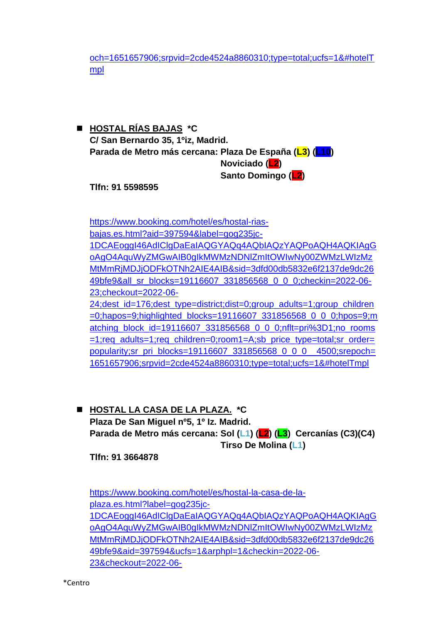[och=1651657906;srpvid=2cde4524a8860310;type=total;ucfs=1&#hotelT](https://www.booking.com/hotel/es/generator-madrid.es.html?aid=397594&label=gog235jc-1DCAEoggI46AdIClgDaEaIAQGYAQq4AQbIAQzYAQPoAQH4AQKIAgGoAgO4AquWyZMGwAIB0gIkMWMzNDNlZmItOWIwNy00ZWMzLWIzMzMtMmRjMDJjODFkOTNh2AIE4AIB&sid=3dfd00db5832e6f2137de9dc2649bfe9&all_sr_blocks=309284401_139595413_0_2_0;checkin=2022-06-23;checkout=2022-06-24;dest_id=176;dest_type=district;dist=0;group_adults=1;group_children=0;hapos=8;highlighted_blocks=309284401_139595413_0_2_0;hpos=8;matching_block_id=309284401_139595413_0_2_0;nflt=pri%3D1;no_rooms=1;req_adults=1;req_children=0;room1=A;sb_price_type=total;sr_order=popularity;sr_pri_blocks=309284401_139595413_0_2_0__2610;srepoch=1651657906;srpvid=2cde4524a8860310;type=total;ucfs=1&#hotelTmpl) [mpl](https://www.booking.com/hotel/es/generator-madrid.es.html?aid=397594&label=gog235jc-1DCAEoggI46AdIClgDaEaIAQGYAQq4AQbIAQzYAQPoAQH4AQKIAgGoAgO4AquWyZMGwAIB0gIkMWMzNDNlZmItOWIwNy00ZWMzLWIzMzMtMmRjMDJjODFkOTNh2AIE4AIB&sid=3dfd00db5832e6f2137de9dc2649bfe9&all_sr_blocks=309284401_139595413_0_2_0;checkin=2022-06-23;checkout=2022-06-24;dest_id=176;dest_type=district;dist=0;group_adults=1;group_children=0;hapos=8;highlighted_blocks=309284401_139595413_0_2_0;hpos=8;matching_block_id=309284401_139595413_0_2_0;nflt=pri%3D1;no_rooms=1;req_adults=1;req_children=0;room1=A;sb_price_type=total;sr_order=popularity;sr_pri_blocks=309284401_139595413_0_2_0__2610;srepoch=1651657906;srpvid=2cde4524a8860310;type=total;ucfs=1&#hotelTmpl)

◼ **HOSTAL RÍAS BAJAS \*C C/ San Bernardo 35, 1ºiz, Madrid. Parada de Metro más cercana: Plaza De España (L3) (L10) Noviciado (L2) Santo Domingo (L2)**

**Tlfn: 91 5598595**

[https://www.booking.com/hotel/es/hostal-rias](https://www.booking.com/hotel/es/hostal-rias-bajas.es.html?aid=397594&label=gog235jc-1DCAEoggI46AdIClgDaEaIAQGYAQq4AQbIAQzYAQPoAQH4AQKIAgGoAgO4AquWyZMGwAIB0gIkMWMzNDNlZmItOWIwNy00ZWMzLWIzMzMtMmRjMDJjODFkOTNh2AIE4AIB&sid=3dfd00db5832e6f2137de9dc2649bfe9&all_sr_blocks=19116607_331856568_0_0_0;checkin=2022-06-23;checkout=2022-06-24;dest_id=176;dest_type=district;dist=0;group_adults=1;group_children=0;hapos=9;highlighted_blocks=19116607_331856568_0_0_0;hpos=9;matching_block_id=19116607_331856568_0_0_0;nflt=pri%3D1;no_rooms=1;req_adults=1;req_children=0;room1=A;sb_price_type=total;sr_order=popularity;sr_pri_blocks=19116607_331856568_0_0_0__4500;srepoch=1651657906;srpvid=2cde4524a8860310;type=total;ucfs=1&#hotelTmpl)[bajas.es.html?aid=397594&label=gog235jc-](https://www.booking.com/hotel/es/hostal-rias-bajas.es.html?aid=397594&label=gog235jc-1DCAEoggI46AdIClgDaEaIAQGYAQq4AQbIAQzYAQPoAQH4AQKIAgGoAgO4AquWyZMGwAIB0gIkMWMzNDNlZmItOWIwNy00ZWMzLWIzMzMtMmRjMDJjODFkOTNh2AIE4AIB&sid=3dfd00db5832e6f2137de9dc2649bfe9&all_sr_blocks=19116607_331856568_0_0_0;checkin=2022-06-23;checkout=2022-06-24;dest_id=176;dest_type=district;dist=0;group_adults=1;group_children=0;hapos=9;highlighted_blocks=19116607_331856568_0_0_0;hpos=9;matching_block_id=19116607_331856568_0_0_0;nflt=pri%3D1;no_rooms=1;req_adults=1;req_children=0;room1=A;sb_price_type=total;sr_order=popularity;sr_pri_blocks=19116607_331856568_0_0_0__4500;srepoch=1651657906;srpvid=2cde4524a8860310;type=total;ucfs=1&#hotelTmpl)

[1DCAEoggI46AdIClgDaEaIAQGYAQq4AQbIAQzYAQPoAQH4AQKIAgG](https://www.booking.com/hotel/es/hostal-rias-bajas.es.html?aid=397594&label=gog235jc-1DCAEoggI46AdIClgDaEaIAQGYAQq4AQbIAQzYAQPoAQH4AQKIAgGoAgO4AquWyZMGwAIB0gIkMWMzNDNlZmItOWIwNy00ZWMzLWIzMzMtMmRjMDJjODFkOTNh2AIE4AIB&sid=3dfd00db5832e6f2137de9dc2649bfe9&all_sr_blocks=19116607_331856568_0_0_0;checkin=2022-06-23;checkout=2022-06-24;dest_id=176;dest_type=district;dist=0;group_adults=1;group_children=0;hapos=9;highlighted_blocks=19116607_331856568_0_0_0;hpos=9;matching_block_id=19116607_331856568_0_0_0;nflt=pri%3D1;no_rooms=1;req_adults=1;req_children=0;room1=A;sb_price_type=total;sr_order=popularity;sr_pri_blocks=19116607_331856568_0_0_0__4500;srepoch=1651657906;srpvid=2cde4524a8860310;type=total;ucfs=1&#hotelTmpl) [oAgO4AquWyZMGwAIB0gIkMWMzNDNlZmItOWIwNy00ZWMzLWIzMz](https://www.booking.com/hotel/es/hostal-rias-bajas.es.html?aid=397594&label=gog235jc-1DCAEoggI46AdIClgDaEaIAQGYAQq4AQbIAQzYAQPoAQH4AQKIAgGoAgO4AquWyZMGwAIB0gIkMWMzNDNlZmItOWIwNy00ZWMzLWIzMzMtMmRjMDJjODFkOTNh2AIE4AIB&sid=3dfd00db5832e6f2137de9dc2649bfe9&all_sr_blocks=19116607_331856568_0_0_0;checkin=2022-06-23;checkout=2022-06-24;dest_id=176;dest_type=district;dist=0;group_adults=1;group_children=0;hapos=9;highlighted_blocks=19116607_331856568_0_0_0;hpos=9;matching_block_id=19116607_331856568_0_0_0;nflt=pri%3D1;no_rooms=1;req_adults=1;req_children=0;room1=A;sb_price_type=total;sr_order=popularity;sr_pri_blocks=19116607_331856568_0_0_0__4500;srepoch=1651657906;srpvid=2cde4524a8860310;type=total;ucfs=1&#hotelTmpl) [MtMmRjMDJjODFkOTNh2AIE4AIB&sid=3dfd00db5832e6f2137de9dc26](https://www.booking.com/hotel/es/hostal-rias-bajas.es.html?aid=397594&label=gog235jc-1DCAEoggI46AdIClgDaEaIAQGYAQq4AQbIAQzYAQPoAQH4AQKIAgGoAgO4AquWyZMGwAIB0gIkMWMzNDNlZmItOWIwNy00ZWMzLWIzMzMtMmRjMDJjODFkOTNh2AIE4AIB&sid=3dfd00db5832e6f2137de9dc2649bfe9&all_sr_blocks=19116607_331856568_0_0_0;checkin=2022-06-23;checkout=2022-06-24;dest_id=176;dest_type=district;dist=0;group_adults=1;group_children=0;hapos=9;highlighted_blocks=19116607_331856568_0_0_0;hpos=9;matching_block_id=19116607_331856568_0_0_0;nflt=pri%3D1;no_rooms=1;req_adults=1;req_children=0;room1=A;sb_price_type=total;sr_order=popularity;sr_pri_blocks=19116607_331856568_0_0_0__4500;srepoch=1651657906;srpvid=2cde4524a8860310;type=total;ucfs=1&#hotelTmpl) [49bfe9&all\\_sr\\_blocks=19116607\\_331856568\\_0\\_0\\_0;checkin=2022-06-](https://www.booking.com/hotel/es/hostal-rias-bajas.es.html?aid=397594&label=gog235jc-1DCAEoggI46AdIClgDaEaIAQGYAQq4AQbIAQzYAQPoAQH4AQKIAgGoAgO4AquWyZMGwAIB0gIkMWMzNDNlZmItOWIwNy00ZWMzLWIzMzMtMmRjMDJjODFkOTNh2AIE4AIB&sid=3dfd00db5832e6f2137de9dc2649bfe9&all_sr_blocks=19116607_331856568_0_0_0;checkin=2022-06-23;checkout=2022-06-24;dest_id=176;dest_type=district;dist=0;group_adults=1;group_children=0;hapos=9;highlighted_blocks=19116607_331856568_0_0_0;hpos=9;matching_block_id=19116607_331856568_0_0_0;nflt=pri%3D1;no_rooms=1;req_adults=1;req_children=0;room1=A;sb_price_type=total;sr_order=popularity;sr_pri_blocks=19116607_331856568_0_0_0__4500;srepoch=1651657906;srpvid=2cde4524a8860310;type=total;ucfs=1&#hotelTmpl) [23;checkout=2022-06-](https://www.booking.com/hotel/es/hostal-rias-bajas.es.html?aid=397594&label=gog235jc-1DCAEoggI46AdIClgDaEaIAQGYAQq4AQbIAQzYAQPoAQH4AQKIAgGoAgO4AquWyZMGwAIB0gIkMWMzNDNlZmItOWIwNy00ZWMzLWIzMzMtMmRjMDJjODFkOTNh2AIE4AIB&sid=3dfd00db5832e6f2137de9dc2649bfe9&all_sr_blocks=19116607_331856568_0_0_0;checkin=2022-06-23;checkout=2022-06-24;dest_id=176;dest_type=district;dist=0;group_adults=1;group_children=0;hapos=9;highlighted_blocks=19116607_331856568_0_0_0;hpos=9;matching_block_id=19116607_331856568_0_0_0;nflt=pri%3D1;no_rooms=1;req_adults=1;req_children=0;room1=A;sb_price_type=total;sr_order=popularity;sr_pri_blocks=19116607_331856568_0_0_0__4500;srepoch=1651657906;srpvid=2cde4524a8860310;type=total;ucfs=1&#hotelTmpl)

[24;dest\\_id=176;dest\\_type=district;dist=0;group\\_adults=1;group\\_children](https://www.booking.com/hotel/es/hostal-rias-bajas.es.html?aid=397594&label=gog235jc-1DCAEoggI46AdIClgDaEaIAQGYAQq4AQbIAQzYAQPoAQH4AQKIAgGoAgO4AquWyZMGwAIB0gIkMWMzNDNlZmItOWIwNy00ZWMzLWIzMzMtMmRjMDJjODFkOTNh2AIE4AIB&sid=3dfd00db5832e6f2137de9dc2649bfe9&all_sr_blocks=19116607_331856568_0_0_0;checkin=2022-06-23;checkout=2022-06-24;dest_id=176;dest_type=district;dist=0;group_adults=1;group_children=0;hapos=9;highlighted_blocks=19116607_331856568_0_0_0;hpos=9;matching_block_id=19116607_331856568_0_0_0;nflt=pri%3D1;no_rooms=1;req_adults=1;req_children=0;room1=A;sb_price_type=total;sr_order=popularity;sr_pri_blocks=19116607_331856568_0_0_0__4500;srepoch=1651657906;srpvid=2cde4524a8860310;type=total;ucfs=1&#hotelTmpl) [=0;hapos=9;highlighted\\_blocks=19116607\\_331856568\\_0\\_0\\_0;hpos=9;m](https://www.booking.com/hotel/es/hostal-rias-bajas.es.html?aid=397594&label=gog235jc-1DCAEoggI46AdIClgDaEaIAQGYAQq4AQbIAQzYAQPoAQH4AQKIAgGoAgO4AquWyZMGwAIB0gIkMWMzNDNlZmItOWIwNy00ZWMzLWIzMzMtMmRjMDJjODFkOTNh2AIE4AIB&sid=3dfd00db5832e6f2137de9dc2649bfe9&all_sr_blocks=19116607_331856568_0_0_0;checkin=2022-06-23;checkout=2022-06-24;dest_id=176;dest_type=district;dist=0;group_adults=1;group_children=0;hapos=9;highlighted_blocks=19116607_331856568_0_0_0;hpos=9;matching_block_id=19116607_331856568_0_0_0;nflt=pri%3D1;no_rooms=1;req_adults=1;req_children=0;room1=A;sb_price_type=total;sr_order=popularity;sr_pri_blocks=19116607_331856568_0_0_0__4500;srepoch=1651657906;srpvid=2cde4524a8860310;type=total;ucfs=1&#hotelTmpl) [atching\\_block\\_id=19116607\\_331856568\\_0\\_0\\_0;nflt=pri%3D1;no\\_rooms](https://www.booking.com/hotel/es/hostal-rias-bajas.es.html?aid=397594&label=gog235jc-1DCAEoggI46AdIClgDaEaIAQGYAQq4AQbIAQzYAQPoAQH4AQKIAgGoAgO4AquWyZMGwAIB0gIkMWMzNDNlZmItOWIwNy00ZWMzLWIzMzMtMmRjMDJjODFkOTNh2AIE4AIB&sid=3dfd00db5832e6f2137de9dc2649bfe9&all_sr_blocks=19116607_331856568_0_0_0;checkin=2022-06-23;checkout=2022-06-24;dest_id=176;dest_type=district;dist=0;group_adults=1;group_children=0;hapos=9;highlighted_blocks=19116607_331856568_0_0_0;hpos=9;matching_block_id=19116607_331856568_0_0_0;nflt=pri%3D1;no_rooms=1;req_adults=1;req_children=0;room1=A;sb_price_type=total;sr_order=popularity;sr_pri_blocks=19116607_331856568_0_0_0__4500;srepoch=1651657906;srpvid=2cde4524a8860310;type=total;ucfs=1&#hotelTmpl) [=1;req\\_adults=1;req\\_children=0;room1=A;sb\\_price\\_type=total;sr\\_order=](https://www.booking.com/hotel/es/hostal-rias-bajas.es.html?aid=397594&label=gog235jc-1DCAEoggI46AdIClgDaEaIAQGYAQq4AQbIAQzYAQPoAQH4AQKIAgGoAgO4AquWyZMGwAIB0gIkMWMzNDNlZmItOWIwNy00ZWMzLWIzMzMtMmRjMDJjODFkOTNh2AIE4AIB&sid=3dfd00db5832e6f2137de9dc2649bfe9&all_sr_blocks=19116607_331856568_0_0_0;checkin=2022-06-23;checkout=2022-06-24;dest_id=176;dest_type=district;dist=0;group_adults=1;group_children=0;hapos=9;highlighted_blocks=19116607_331856568_0_0_0;hpos=9;matching_block_id=19116607_331856568_0_0_0;nflt=pri%3D1;no_rooms=1;req_adults=1;req_children=0;room1=A;sb_price_type=total;sr_order=popularity;sr_pri_blocks=19116607_331856568_0_0_0__4500;srepoch=1651657906;srpvid=2cde4524a8860310;type=total;ucfs=1&#hotelTmpl) [popularity;sr\\_pri\\_blocks=19116607\\_331856568\\_0\\_0\\_0\\_\\_4500;srepoch=](https://www.booking.com/hotel/es/hostal-rias-bajas.es.html?aid=397594&label=gog235jc-1DCAEoggI46AdIClgDaEaIAQGYAQq4AQbIAQzYAQPoAQH4AQKIAgGoAgO4AquWyZMGwAIB0gIkMWMzNDNlZmItOWIwNy00ZWMzLWIzMzMtMmRjMDJjODFkOTNh2AIE4AIB&sid=3dfd00db5832e6f2137de9dc2649bfe9&all_sr_blocks=19116607_331856568_0_0_0;checkin=2022-06-23;checkout=2022-06-24;dest_id=176;dest_type=district;dist=0;group_adults=1;group_children=0;hapos=9;highlighted_blocks=19116607_331856568_0_0_0;hpos=9;matching_block_id=19116607_331856568_0_0_0;nflt=pri%3D1;no_rooms=1;req_adults=1;req_children=0;room1=A;sb_price_type=total;sr_order=popularity;sr_pri_blocks=19116607_331856568_0_0_0__4500;srepoch=1651657906;srpvid=2cde4524a8860310;type=total;ucfs=1&#hotelTmpl) [1651657906;srpvid=2cde4524a8860310;type=total;ucfs=1&#hotelTmpl](https://www.booking.com/hotel/es/hostal-rias-bajas.es.html?aid=397594&label=gog235jc-1DCAEoggI46AdIClgDaEaIAQGYAQq4AQbIAQzYAQPoAQH4AQKIAgGoAgO4AquWyZMGwAIB0gIkMWMzNDNlZmItOWIwNy00ZWMzLWIzMzMtMmRjMDJjODFkOTNh2AIE4AIB&sid=3dfd00db5832e6f2137de9dc2649bfe9&all_sr_blocks=19116607_331856568_0_0_0;checkin=2022-06-23;checkout=2022-06-24;dest_id=176;dest_type=district;dist=0;group_adults=1;group_children=0;hapos=9;highlighted_blocks=19116607_331856568_0_0_0;hpos=9;matching_block_id=19116607_331856568_0_0_0;nflt=pri%3D1;no_rooms=1;req_adults=1;req_children=0;room1=A;sb_price_type=total;sr_order=popularity;sr_pri_blocks=19116607_331856568_0_0_0__4500;srepoch=1651657906;srpvid=2cde4524a8860310;type=total;ucfs=1&#hotelTmpl)

◼ **HOSTAL LA CASA DE LA PLAZA. \*C Plaza De San Miguel nº5, 1º Iz. Madrid. Parada de Metro más cercana: Sol (L1) (L2) (L3) Cercanías (C3)(C4) Tirso De Molina (L1)**

**Tlfn: 91 3664878**

[https://www.booking.com/hotel/es/hostal-la-casa-de-la](https://www.booking.com/hotel/es/hostal-la-casa-de-la-plaza.es.html?label=gog235jc-1DCAEoggI46AdIClgDaEaIAQGYAQq4AQbIAQzYAQPoAQH4AQKIAgGoAgO4AquWyZMGwAIB0gIkMWMzNDNlZmItOWIwNy00ZWMzLWIzMzMtMmRjMDJjODFkOTNh2AIE4AIB&sid=3dfd00db5832e6f2137de9dc2649bfe9&aid=397594&ucfs=1&arphpl=1&checkin=2022-06-23&checkout=2022-06-24&dest_id=176&dest_type=district&group_adults=1&req_adults=1&no_rooms=1&group_children=0&req_children=0&hpos=10&hapos=10&sr_order=popularity&nflt=pri%3D1&srpvid=2cde4524a8860310&srepoch=1651657906&all_sr_blocks=18866307_279845728_0_0_0&highlighted_blocks=18866307_279845728_0_0_0&matching_block_id=18866307_279845728_0_0_0&sr_pri_blocks=18866307_279845728_0_0_0__3510&from=searchresults#hotelTmpl)[plaza.es.html?label=gog235jc-](https://www.booking.com/hotel/es/hostal-la-casa-de-la-plaza.es.html?label=gog235jc-1DCAEoggI46AdIClgDaEaIAQGYAQq4AQbIAQzYAQPoAQH4AQKIAgGoAgO4AquWyZMGwAIB0gIkMWMzNDNlZmItOWIwNy00ZWMzLWIzMzMtMmRjMDJjODFkOTNh2AIE4AIB&sid=3dfd00db5832e6f2137de9dc2649bfe9&aid=397594&ucfs=1&arphpl=1&checkin=2022-06-23&checkout=2022-06-24&dest_id=176&dest_type=district&group_adults=1&req_adults=1&no_rooms=1&group_children=0&req_children=0&hpos=10&hapos=10&sr_order=popularity&nflt=pri%3D1&srpvid=2cde4524a8860310&srepoch=1651657906&all_sr_blocks=18866307_279845728_0_0_0&highlighted_blocks=18866307_279845728_0_0_0&matching_block_id=18866307_279845728_0_0_0&sr_pri_blocks=18866307_279845728_0_0_0__3510&from=searchresults#hotelTmpl)[1DCAEoggI46AdIClgDaEaIAQGYAQq4AQbIAQzYAQPoAQH4AQKIAgG](https://www.booking.com/hotel/es/hostal-la-casa-de-la-plaza.es.html?label=gog235jc-1DCAEoggI46AdIClgDaEaIAQGYAQq4AQbIAQzYAQPoAQH4AQKIAgGoAgO4AquWyZMGwAIB0gIkMWMzNDNlZmItOWIwNy00ZWMzLWIzMzMtMmRjMDJjODFkOTNh2AIE4AIB&sid=3dfd00db5832e6f2137de9dc2649bfe9&aid=397594&ucfs=1&arphpl=1&checkin=2022-06-23&checkout=2022-06-24&dest_id=176&dest_type=district&group_adults=1&req_adults=1&no_rooms=1&group_children=0&req_children=0&hpos=10&hapos=10&sr_order=popularity&nflt=pri%3D1&srpvid=2cde4524a8860310&srepoch=1651657906&all_sr_blocks=18866307_279845728_0_0_0&highlighted_blocks=18866307_279845728_0_0_0&matching_block_id=18866307_279845728_0_0_0&sr_pri_blocks=18866307_279845728_0_0_0__3510&from=searchresults#hotelTmpl) [oAgO4AquWyZMGwAIB0gIkMWMzNDNlZmItOWIwNy00ZWMzLWIzMz](https://www.booking.com/hotel/es/hostal-la-casa-de-la-plaza.es.html?label=gog235jc-1DCAEoggI46AdIClgDaEaIAQGYAQq4AQbIAQzYAQPoAQH4AQKIAgGoAgO4AquWyZMGwAIB0gIkMWMzNDNlZmItOWIwNy00ZWMzLWIzMzMtMmRjMDJjODFkOTNh2AIE4AIB&sid=3dfd00db5832e6f2137de9dc2649bfe9&aid=397594&ucfs=1&arphpl=1&checkin=2022-06-23&checkout=2022-06-24&dest_id=176&dest_type=district&group_adults=1&req_adults=1&no_rooms=1&group_children=0&req_children=0&hpos=10&hapos=10&sr_order=popularity&nflt=pri%3D1&srpvid=2cde4524a8860310&srepoch=1651657906&all_sr_blocks=18866307_279845728_0_0_0&highlighted_blocks=18866307_279845728_0_0_0&matching_block_id=18866307_279845728_0_0_0&sr_pri_blocks=18866307_279845728_0_0_0__3510&from=searchresults#hotelTmpl) [MtMmRjMDJjODFkOTNh2AIE4AIB&sid=3dfd00db5832e6f2137de9dc26](https://www.booking.com/hotel/es/hostal-la-casa-de-la-plaza.es.html?label=gog235jc-1DCAEoggI46AdIClgDaEaIAQGYAQq4AQbIAQzYAQPoAQH4AQKIAgGoAgO4AquWyZMGwAIB0gIkMWMzNDNlZmItOWIwNy00ZWMzLWIzMzMtMmRjMDJjODFkOTNh2AIE4AIB&sid=3dfd00db5832e6f2137de9dc2649bfe9&aid=397594&ucfs=1&arphpl=1&checkin=2022-06-23&checkout=2022-06-24&dest_id=176&dest_type=district&group_adults=1&req_adults=1&no_rooms=1&group_children=0&req_children=0&hpos=10&hapos=10&sr_order=popularity&nflt=pri%3D1&srpvid=2cde4524a8860310&srepoch=1651657906&all_sr_blocks=18866307_279845728_0_0_0&highlighted_blocks=18866307_279845728_0_0_0&matching_block_id=18866307_279845728_0_0_0&sr_pri_blocks=18866307_279845728_0_0_0__3510&from=searchresults#hotelTmpl) [49bfe9&aid=397594&ucfs=1&arphpl=1&checkin=2022-06-](https://www.booking.com/hotel/es/hostal-la-casa-de-la-plaza.es.html?label=gog235jc-1DCAEoggI46AdIClgDaEaIAQGYAQq4AQbIAQzYAQPoAQH4AQKIAgGoAgO4AquWyZMGwAIB0gIkMWMzNDNlZmItOWIwNy00ZWMzLWIzMzMtMmRjMDJjODFkOTNh2AIE4AIB&sid=3dfd00db5832e6f2137de9dc2649bfe9&aid=397594&ucfs=1&arphpl=1&checkin=2022-06-23&checkout=2022-06-24&dest_id=176&dest_type=district&group_adults=1&req_adults=1&no_rooms=1&group_children=0&req_children=0&hpos=10&hapos=10&sr_order=popularity&nflt=pri%3D1&srpvid=2cde4524a8860310&srepoch=1651657906&all_sr_blocks=18866307_279845728_0_0_0&highlighted_blocks=18866307_279845728_0_0_0&matching_block_id=18866307_279845728_0_0_0&sr_pri_blocks=18866307_279845728_0_0_0__3510&from=searchresults#hotelTmpl) [23&checkout=2022-06-](https://www.booking.com/hotel/es/hostal-la-casa-de-la-plaza.es.html?label=gog235jc-1DCAEoggI46AdIClgDaEaIAQGYAQq4AQbIAQzYAQPoAQH4AQKIAgGoAgO4AquWyZMGwAIB0gIkMWMzNDNlZmItOWIwNy00ZWMzLWIzMzMtMmRjMDJjODFkOTNh2AIE4AIB&sid=3dfd00db5832e6f2137de9dc2649bfe9&aid=397594&ucfs=1&arphpl=1&checkin=2022-06-23&checkout=2022-06-24&dest_id=176&dest_type=district&group_adults=1&req_adults=1&no_rooms=1&group_children=0&req_children=0&hpos=10&hapos=10&sr_order=popularity&nflt=pri%3D1&srpvid=2cde4524a8860310&srepoch=1651657906&all_sr_blocks=18866307_279845728_0_0_0&highlighted_blocks=18866307_279845728_0_0_0&matching_block_id=18866307_279845728_0_0_0&sr_pri_blocks=18866307_279845728_0_0_0__3510&from=searchresults#hotelTmpl)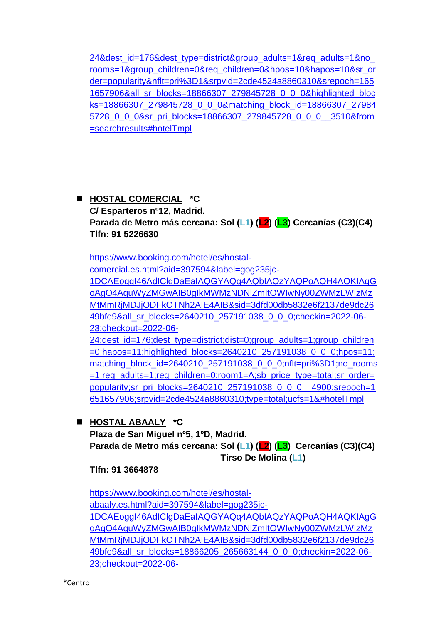[24&dest\\_id=176&dest\\_type=district&group\\_adults=1&req\\_adults=1&no\\_](https://www.booking.com/hotel/es/hostal-la-casa-de-la-plaza.es.html?label=gog235jc-1DCAEoggI46AdIClgDaEaIAQGYAQq4AQbIAQzYAQPoAQH4AQKIAgGoAgO4AquWyZMGwAIB0gIkMWMzNDNlZmItOWIwNy00ZWMzLWIzMzMtMmRjMDJjODFkOTNh2AIE4AIB&sid=3dfd00db5832e6f2137de9dc2649bfe9&aid=397594&ucfs=1&arphpl=1&checkin=2022-06-23&checkout=2022-06-24&dest_id=176&dest_type=district&group_adults=1&req_adults=1&no_rooms=1&group_children=0&req_children=0&hpos=10&hapos=10&sr_order=popularity&nflt=pri%3D1&srpvid=2cde4524a8860310&srepoch=1651657906&all_sr_blocks=18866307_279845728_0_0_0&highlighted_blocks=18866307_279845728_0_0_0&matching_block_id=18866307_279845728_0_0_0&sr_pri_blocks=18866307_279845728_0_0_0__3510&from=searchresults#hotelTmpl) [rooms=1&group\\_children=0&req\\_children=0&hpos=10&hapos=10&sr\\_or](https://www.booking.com/hotel/es/hostal-la-casa-de-la-plaza.es.html?label=gog235jc-1DCAEoggI46AdIClgDaEaIAQGYAQq4AQbIAQzYAQPoAQH4AQKIAgGoAgO4AquWyZMGwAIB0gIkMWMzNDNlZmItOWIwNy00ZWMzLWIzMzMtMmRjMDJjODFkOTNh2AIE4AIB&sid=3dfd00db5832e6f2137de9dc2649bfe9&aid=397594&ucfs=1&arphpl=1&checkin=2022-06-23&checkout=2022-06-24&dest_id=176&dest_type=district&group_adults=1&req_adults=1&no_rooms=1&group_children=0&req_children=0&hpos=10&hapos=10&sr_order=popularity&nflt=pri%3D1&srpvid=2cde4524a8860310&srepoch=1651657906&all_sr_blocks=18866307_279845728_0_0_0&highlighted_blocks=18866307_279845728_0_0_0&matching_block_id=18866307_279845728_0_0_0&sr_pri_blocks=18866307_279845728_0_0_0__3510&from=searchresults#hotelTmpl) [der=popularity&nflt=pri%3D1&srpvid=2cde4524a8860310&srepoch=165](https://www.booking.com/hotel/es/hostal-la-casa-de-la-plaza.es.html?label=gog235jc-1DCAEoggI46AdIClgDaEaIAQGYAQq4AQbIAQzYAQPoAQH4AQKIAgGoAgO4AquWyZMGwAIB0gIkMWMzNDNlZmItOWIwNy00ZWMzLWIzMzMtMmRjMDJjODFkOTNh2AIE4AIB&sid=3dfd00db5832e6f2137de9dc2649bfe9&aid=397594&ucfs=1&arphpl=1&checkin=2022-06-23&checkout=2022-06-24&dest_id=176&dest_type=district&group_adults=1&req_adults=1&no_rooms=1&group_children=0&req_children=0&hpos=10&hapos=10&sr_order=popularity&nflt=pri%3D1&srpvid=2cde4524a8860310&srepoch=1651657906&all_sr_blocks=18866307_279845728_0_0_0&highlighted_blocks=18866307_279845728_0_0_0&matching_block_id=18866307_279845728_0_0_0&sr_pri_blocks=18866307_279845728_0_0_0__3510&from=searchresults#hotelTmpl) [1657906&all\\_sr\\_blocks=18866307\\_279845728\\_0\\_0\\_0&highlighted\\_bloc](https://www.booking.com/hotel/es/hostal-la-casa-de-la-plaza.es.html?label=gog235jc-1DCAEoggI46AdIClgDaEaIAQGYAQq4AQbIAQzYAQPoAQH4AQKIAgGoAgO4AquWyZMGwAIB0gIkMWMzNDNlZmItOWIwNy00ZWMzLWIzMzMtMmRjMDJjODFkOTNh2AIE4AIB&sid=3dfd00db5832e6f2137de9dc2649bfe9&aid=397594&ucfs=1&arphpl=1&checkin=2022-06-23&checkout=2022-06-24&dest_id=176&dest_type=district&group_adults=1&req_adults=1&no_rooms=1&group_children=0&req_children=0&hpos=10&hapos=10&sr_order=popularity&nflt=pri%3D1&srpvid=2cde4524a8860310&srepoch=1651657906&all_sr_blocks=18866307_279845728_0_0_0&highlighted_blocks=18866307_279845728_0_0_0&matching_block_id=18866307_279845728_0_0_0&sr_pri_blocks=18866307_279845728_0_0_0__3510&from=searchresults#hotelTmpl) [ks=18866307\\_279845728\\_0\\_0\\_0&matching\\_block\\_id=18866307\\_27984](https://www.booking.com/hotel/es/hostal-la-casa-de-la-plaza.es.html?label=gog235jc-1DCAEoggI46AdIClgDaEaIAQGYAQq4AQbIAQzYAQPoAQH4AQKIAgGoAgO4AquWyZMGwAIB0gIkMWMzNDNlZmItOWIwNy00ZWMzLWIzMzMtMmRjMDJjODFkOTNh2AIE4AIB&sid=3dfd00db5832e6f2137de9dc2649bfe9&aid=397594&ucfs=1&arphpl=1&checkin=2022-06-23&checkout=2022-06-24&dest_id=176&dest_type=district&group_adults=1&req_adults=1&no_rooms=1&group_children=0&req_children=0&hpos=10&hapos=10&sr_order=popularity&nflt=pri%3D1&srpvid=2cde4524a8860310&srepoch=1651657906&all_sr_blocks=18866307_279845728_0_0_0&highlighted_blocks=18866307_279845728_0_0_0&matching_block_id=18866307_279845728_0_0_0&sr_pri_blocks=18866307_279845728_0_0_0__3510&from=searchresults#hotelTmpl) [5728\\_0\\_0\\_0&sr\\_pri\\_blocks=18866307\\_279845728\\_0\\_0\\_0\\_\\_3510&from](https://www.booking.com/hotel/es/hostal-la-casa-de-la-plaza.es.html?label=gog235jc-1DCAEoggI46AdIClgDaEaIAQGYAQq4AQbIAQzYAQPoAQH4AQKIAgGoAgO4AquWyZMGwAIB0gIkMWMzNDNlZmItOWIwNy00ZWMzLWIzMzMtMmRjMDJjODFkOTNh2AIE4AIB&sid=3dfd00db5832e6f2137de9dc2649bfe9&aid=397594&ucfs=1&arphpl=1&checkin=2022-06-23&checkout=2022-06-24&dest_id=176&dest_type=district&group_adults=1&req_adults=1&no_rooms=1&group_children=0&req_children=0&hpos=10&hapos=10&sr_order=popularity&nflt=pri%3D1&srpvid=2cde4524a8860310&srepoch=1651657906&all_sr_blocks=18866307_279845728_0_0_0&highlighted_blocks=18866307_279845728_0_0_0&matching_block_id=18866307_279845728_0_0_0&sr_pri_blocks=18866307_279845728_0_0_0__3510&from=searchresults#hotelTmpl) [=searchresults#hotelTmpl](https://www.booking.com/hotel/es/hostal-la-casa-de-la-plaza.es.html?label=gog235jc-1DCAEoggI46AdIClgDaEaIAQGYAQq4AQbIAQzYAQPoAQH4AQKIAgGoAgO4AquWyZMGwAIB0gIkMWMzNDNlZmItOWIwNy00ZWMzLWIzMzMtMmRjMDJjODFkOTNh2AIE4AIB&sid=3dfd00db5832e6f2137de9dc2649bfe9&aid=397594&ucfs=1&arphpl=1&checkin=2022-06-23&checkout=2022-06-24&dest_id=176&dest_type=district&group_adults=1&req_adults=1&no_rooms=1&group_children=0&req_children=0&hpos=10&hapos=10&sr_order=popularity&nflt=pri%3D1&srpvid=2cde4524a8860310&srepoch=1651657906&all_sr_blocks=18866307_279845728_0_0_0&highlighted_blocks=18866307_279845728_0_0_0&matching_block_id=18866307_279845728_0_0_0&sr_pri_blocks=18866307_279845728_0_0_0__3510&from=searchresults#hotelTmpl)

# ◼ **HOSTAL COMERCIAL \*C C/ Esparteros nº12, Madrid. Parada de Metro más cercana: Sol (L1) (L2) (L3) Cercanías (C3)(C4) Tlfn: 91 5226630**

[https://www.booking.com/hotel/es/hostal-](https://www.booking.com/hotel/es/hostal-comercial.es.html?aid=397594&label=gog235jc-1DCAEoggI46AdIClgDaEaIAQGYAQq4AQbIAQzYAQPoAQH4AQKIAgGoAgO4AquWyZMGwAIB0gIkMWMzNDNlZmItOWIwNy00ZWMzLWIzMzMtMmRjMDJjODFkOTNh2AIE4AIB&sid=3dfd00db5832e6f2137de9dc2649bfe9&all_sr_blocks=2640210_257191038_0_0_0;checkin=2022-06-23;checkout=2022-06-24;dest_id=176;dest_type=district;dist=0;group_adults=1;group_children=0;hapos=11;highlighted_blocks=2640210_257191038_0_0_0;hpos=11;matching_block_id=2640210_257191038_0_0_0;nflt=pri%3D1;no_rooms=1;req_adults=1;req_children=0;room1=A;sb_price_type=total;sr_order=popularity;sr_pri_blocks=2640210_257191038_0_0_0__4900;srepoch=1651657906;srpvid=2cde4524a8860310;type=total;ucfs=1&#hotelTmpl)

[comercial.es.html?aid=397594&label=gog235jc-](https://www.booking.com/hotel/es/hostal-comercial.es.html?aid=397594&label=gog235jc-1DCAEoggI46AdIClgDaEaIAQGYAQq4AQbIAQzYAQPoAQH4AQKIAgGoAgO4AquWyZMGwAIB0gIkMWMzNDNlZmItOWIwNy00ZWMzLWIzMzMtMmRjMDJjODFkOTNh2AIE4AIB&sid=3dfd00db5832e6f2137de9dc2649bfe9&all_sr_blocks=2640210_257191038_0_0_0;checkin=2022-06-23;checkout=2022-06-24;dest_id=176;dest_type=district;dist=0;group_adults=1;group_children=0;hapos=11;highlighted_blocks=2640210_257191038_0_0_0;hpos=11;matching_block_id=2640210_257191038_0_0_0;nflt=pri%3D1;no_rooms=1;req_adults=1;req_children=0;room1=A;sb_price_type=total;sr_order=popularity;sr_pri_blocks=2640210_257191038_0_0_0__4900;srepoch=1651657906;srpvid=2cde4524a8860310;type=total;ucfs=1&#hotelTmpl)

[1DCAEoggI46AdIClgDaEaIAQGYAQq4AQbIAQzYAQPoAQH4AQKIAgG](https://www.booking.com/hotel/es/hostal-comercial.es.html?aid=397594&label=gog235jc-1DCAEoggI46AdIClgDaEaIAQGYAQq4AQbIAQzYAQPoAQH4AQKIAgGoAgO4AquWyZMGwAIB0gIkMWMzNDNlZmItOWIwNy00ZWMzLWIzMzMtMmRjMDJjODFkOTNh2AIE4AIB&sid=3dfd00db5832e6f2137de9dc2649bfe9&all_sr_blocks=2640210_257191038_0_0_0;checkin=2022-06-23;checkout=2022-06-24;dest_id=176;dest_type=district;dist=0;group_adults=1;group_children=0;hapos=11;highlighted_blocks=2640210_257191038_0_0_0;hpos=11;matching_block_id=2640210_257191038_0_0_0;nflt=pri%3D1;no_rooms=1;req_adults=1;req_children=0;room1=A;sb_price_type=total;sr_order=popularity;sr_pri_blocks=2640210_257191038_0_0_0__4900;srepoch=1651657906;srpvid=2cde4524a8860310;type=total;ucfs=1&#hotelTmpl) [oAgO4AquWyZMGwAIB0gIkMWMzNDNlZmItOWIwNy00ZWMzLWIzMz](https://www.booking.com/hotel/es/hostal-comercial.es.html?aid=397594&label=gog235jc-1DCAEoggI46AdIClgDaEaIAQGYAQq4AQbIAQzYAQPoAQH4AQKIAgGoAgO4AquWyZMGwAIB0gIkMWMzNDNlZmItOWIwNy00ZWMzLWIzMzMtMmRjMDJjODFkOTNh2AIE4AIB&sid=3dfd00db5832e6f2137de9dc2649bfe9&all_sr_blocks=2640210_257191038_0_0_0;checkin=2022-06-23;checkout=2022-06-24;dest_id=176;dest_type=district;dist=0;group_adults=1;group_children=0;hapos=11;highlighted_blocks=2640210_257191038_0_0_0;hpos=11;matching_block_id=2640210_257191038_0_0_0;nflt=pri%3D1;no_rooms=1;req_adults=1;req_children=0;room1=A;sb_price_type=total;sr_order=popularity;sr_pri_blocks=2640210_257191038_0_0_0__4900;srepoch=1651657906;srpvid=2cde4524a8860310;type=total;ucfs=1&#hotelTmpl) [MtMmRjMDJjODFkOTNh2AIE4AIB&sid=3dfd00db5832e6f2137de9dc26](https://www.booking.com/hotel/es/hostal-comercial.es.html?aid=397594&label=gog235jc-1DCAEoggI46AdIClgDaEaIAQGYAQq4AQbIAQzYAQPoAQH4AQKIAgGoAgO4AquWyZMGwAIB0gIkMWMzNDNlZmItOWIwNy00ZWMzLWIzMzMtMmRjMDJjODFkOTNh2AIE4AIB&sid=3dfd00db5832e6f2137de9dc2649bfe9&all_sr_blocks=2640210_257191038_0_0_0;checkin=2022-06-23;checkout=2022-06-24;dest_id=176;dest_type=district;dist=0;group_adults=1;group_children=0;hapos=11;highlighted_blocks=2640210_257191038_0_0_0;hpos=11;matching_block_id=2640210_257191038_0_0_0;nflt=pri%3D1;no_rooms=1;req_adults=1;req_children=0;room1=A;sb_price_type=total;sr_order=popularity;sr_pri_blocks=2640210_257191038_0_0_0__4900;srepoch=1651657906;srpvid=2cde4524a8860310;type=total;ucfs=1&#hotelTmpl) [49bfe9&all\\_sr\\_blocks=2640210\\_257191038\\_0\\_0\\_0;checkin=2022-06-](https://www.booking.com/hotel/es/hostal-comercial.es.html?aid=397594&label=gog235jc-1DCAEoggI46AdIClgDaEaIAQGYAQq4AQbIAQzYAQPoAQH4AQKIAgGoAgO4AquWyZMGwAIB0gIkMWMzNDNlZmItOWIwNy00ZWMzLWIzMzMtMmRjMDJjODFkOTNh2AIE4AIB&sid=3dfd00db5832e6f2137de9dc2649bfe9&all_sr_blocks=2640210_257191038_0_0_0;checkin=2022-06-23;checkout=2022-06-24;dest_id=176;dest_type=district;dist=0;group_adults=1;group_children=0;hapos=11;highlighted_blocks=2640210_257191038_0_0_0;hpos=11;matching_block_id=2640210_257191038_0_0_0;nflt=pri%3D1;no_rooms=1;req_adults=1;req_children=0;room1=A;sb_price_type=total;sr_order=popularity;sr_pri_blocks=2640210_257191038_0_0_0__4900;srepoch=1651657906;srpvid=2cde4524a8860310;type=total;ucfs=1&#hotelTmpl) [23;checkout=2022-06-](https://www.booking.com/hotel/es/hostal-comercial.es.html?aid=397594&label=gog235jc-1DCAEoggI46AdIClgDaEaIAQGYAQq4AQbIAQzYAQPoAQH4AQKIAgGoAgO4AquWyZMGwAIB0gIkMWMzNDNlZmItOWIwNy00ZWMzLWIzMzMtMmRjMDJjODFkOTNh2AIE4AIB&sid=3dfd00db5832e6f2137de9dc2649bfe9&all_sr_blocks=2640210_257191038_0_0_0;checkin=2022-06-23;checkout=2022-06-24;dest_id=176;dest_type=district;dist=0;group_adults=1;group_children=0;hapos=11;highlighted_blocks=2640210_257191038_0_0_0;hpos=11;matching_block_id=2640210_257191038_0_0_0;nflt=pri%3D1;no_rooms=1;req_adults=1;req_children=0;room1=A;sb_price_type=total;sr_order=popularity;sr_pri_blocks=2640210_257191038_0_0_0__4900;srepoch=1651657906;srpvid=2cde4524a8860310;type=total;ucfs=1&#hotelTmpl)

[24;dest\\_id=176;dest\\_type=district;dist=0;group\\_adults=1;group\\_children](https://www.booking.com/hotel/es/hostal-comercial.es.html?aid=397594&label=gog235jc-1DCAEoggI46AdIClgDaEaIAQGYAQq4AQbIAQzYAQPoAQH4AQKIAgGoAgO4AquWyZMGwAIB0gIkMWMzNDNlZmItOWIwNy00ZWMzLWIzMzMtMmRjMDJjODFkOTNh2AIE4AIB&sid=3dfd00db5832e6f2137de9dc2649bfe9&all_sr_blocks=2640210_257191038_0_0_0;checkin=2022-06-23;checkout=2022-06-24;dest_id=176;dest_type=district;dist=0;group_adults=1;group_children=0;hapos=11;highlighted_blocks=2640210_257191038_0_0_0;hpos=11;matching_block_id=2640210_257191038_0_0_0;nflt=pri%3D1;no_rooms=1;req_adults=1;req_children=0;room1=A;sb_price_type=total;sr_order=popularity;sr_pri_blocks=2640210_257191038_0_0_0__4900;srepoch=1651657906;srpvid=2cde4524a8860310;type=total;ucfs=1&#hotelTmpl) [=0;hapos=11;highlighted\\_blocks=2640210\\_257191038\\_0\\_0\\_0;hpos=11;](https://www.booking.com/hotel/es/hostal-comercial.es.html?aid=397594&label=gog235jc-1DCAEoggI46AdIClgDaEaIAQGYAQq4AQbIAQzYAQPoAQH4AQKIAgGoAgO4AquWyZMGwAIB0gIkMWMzNDNlZmItOWIwNy00ZWMzLWIzMzMtMmRjMDJjODFkOTNh2AIE4AIB&sid=3dfd00db5832e6f2137de9dc2649bfe9&all_sr_blocks=2640210_257191038_0_0_0;checkin=2022-06-23;checkout=2022-06-24;dest_id=176;dest_type=district;dist=0;group_adults=1;group_children=0;hapos=11;highlighted_blocks=2640210_257191038_0_0_0;hpos=11;matching_block_id=2640210_257191038_0_0_0;nflt=pri%3D1;no_rooms=1;req_adults=1;req_children=0;room1=A;sb_price_type=total;sr_order=popularity;sr_pri_blocks=2640210_257191038_0_0_0__4900;srepoch=1651657906;srpvid=2cde4524a8860310;type=total;ucfs=1&#hotelTmpl) matching block  $id=2640210$  257191038 0 0 0;nflt=pri%3D1;no rooms [=1;req\\_adults=1;req\\_children=0;room1=A;sb\\_price\\_type=total;sr\\_order=](https://www.booking.com/hotel/es/hostal-comercial.es.html?aid=397594&label=gog235jc-1DCAEoggI46AdIClgDaEaIAQGYAQq4AQbIAQzYAQPoAQH4AQKIAgGoAgO4AquWyZMGwAIB0gIkMWMzNDNlZmItOWIwNy00ZWMzLWIzMzMtMmRjMDJjODFkOTNh2AIE4AIB&sid=3dfd00db5832e6f2137de9dc2649bfe9&all_sr_blocks=2640210_257191038_0_0_0;checkin=2022-06-23;checkout=2022-06-24;dest_id=176;dest_type=district;dist=0;group_adults=1;group_children=0;hapos=11;highlighted_blocks=2640210_257191038_0_0_0;hpos=11;matching_block_id=2640210_257191038_0_0_0;nflt=pri%3D1;no_rooms=1;req_adults=1;req_children=0;room1=A;sb_price_type=total;sr_order=popularity;sr_pri_blocks=2640210_257191038_0_0_0__4900;srepoch=1651657906;srpvid=2cde4524a8860310;type=total;ucfs=1&#hotelTmpl) [popularity;sr\\_pri\\_blocks=2640210\\_257191038\\_0\\_0\\_0\\_\\_4900;srepoch=1](https://www.booking.com/hotel/es/hostal-comercial.es.html?aid=397594&label=gog235jc-1DCAEoggI46AdIClgDaEaIAQGYAQq4AQbIAQzYAQPoAQH4AQKIAgGoAgO4AquWyZMGwAIB0gIkMWMzNDNlZmItOWIwNy00ZWMzLWIzMzMtMmRjMDJjODFkOTNh2AIE4AIB&sid=3dfd00db5832e6f2137de9dc2649bfe9&all_sr_blocks=2640210_257191038_0_0_0;checkin=2022-06-23;checkout=2022-06-24;dest_id=176;dest_type=district;dist=0;group_adults=1;group_children=0;hapos=11;highlighted_blocks=2640210_257191038_0_0_0;hpos=11;matching_block_id=2640210_257191038_0_0_0;nflt=pri%3D1;no_rooms=1;req_adults=1;req_children=0;room1=A;sb_price_type=total;sr_order=popularity;sr_pri_blocks=2640210_257191038_0_0_0__4900;srepoch=1651657906;srpvid=2cde4524a8860310;type=total;ucfs=1&#hotelTmpl) [651657906;srpvid=2cde4524a8860310;type=total;ucfs=1&#hotelTmpl](https://www.booking.com/hotel/es/hostal-comercial.es.html?aid=397594&label=gog235jc-1DCAEoggI46AdIClgDaEaIAQGYAQq4AQbIAQzYAQPoAQH4AQKIAgGoAgO4AquWyZMGwAIB0gIkMWMzNDNlZmItOWIwNy00ZWMzLWIzMzMtMmRjMDJjODFkOTNh2AIE4AIB&sid=3dfd00db5832e6f2137de9dc2649bfe9&all_sr_blocks=2640210_257191038_0_0_0;checkin=2022-06-23;checkout=2022-06-24;dest_id=176;dest_type=district;dist=0;group_adults=1;group_children=0;hapos=11;highlighted_blocks=2640210_257191038_0_0_0;hpos=11;matching_block_id=2640210_257191038_0_0_0;nflt=pri%3D1;no_rooms=1;req_adults=1;req_children=0;room1=A;sb_price_type=total;sr_order=popularity;sr_pri_blocks=2640210_257191038_0_0_0__4900;srepoch=1651657906;srpvid=2cde4524a8860310;type=total;ucfs=1&#hotelTmpl)

## ◼ **HOSTAL ABAALY \*C**

**Plaza de San Miguel nº5, 1ºD, Madrid. Parada de Metro más cercana: Sol (L1) (L2) (L3) Cercanías (C3)(C4) Tirso De Molina (L1)**

**Tlfn: 91 3664878**

[https://www.booking.com/hotel/es/hostal](https://www.booking.com/hotel/es/hostal-abaaly.es.html?aid=397594&label=gog235jc-1DCAEoggI46AdIClgDaEaIAQGYAQq4AQbIAQzYAQPoAQH4AQKIAgGoAgO4AquWyZMGwAIB0gIkMWMzNDNlZmItOWIwNy00ZWMzLWIzMzMtMmRjMDJjODFkOTNh2AIE4AIB&sid=3dfd00db5832e6f2137de9dc2649bfe9&all_sr_blocks=18866205_265663144_0_0_0;checkin=2022-06-23;checkout=2022-06-24;dest_id=176;dest_type=district;dist=0;group_adults=1;group_children=0;hapos=12;highlighted_blocks=18866205_265663144_0_0_0;hpos=12;matching_block_id=18866205_265663144_0_0_0;nflt=pri%3D1;no_rooms=1;req_adults=1;req_children=0;room1=A;sb_price_type=total;sr_order=popularity;sr_pri_blocks=18866205_265663144_0_0_0__3500;srepoch=1651657906;srpvid=2cde4524a8860310;type=total;ucfs=1&#hotelTmpl)[abaaly.es.html?aid=397594&label=gog235jc-](https://www.booking.com/hotel/es/hostal-abaaly.es.html?aid=397594&label=gog235jc-1DCAEoggI46AdIClgDaEaIAQGYAQq4AQbIAQzYAQPoAQH4AQKIAgGoAgO4AquWyZMGwAIB0gIkMWMzNDNlZmItOWIwNy00ZWMzLWIzMzMtMmRjMDJjODFkOTNh2AIE4AIB&sid=3dfd00db5832e6f2137de9dc2649bfe9&all_sr_blocks=18866205_265663144_0_0_0;checkin=2022-06-23;checkout=2022-06-24;dest_id=176;dest_type=district;dist=0;group_adults=1;group_children=0;hapos=12;highlighted_blocks=18866205_265663144_0_0_0;hpos=12;matching_block_id=18866205_265663144_0_0_0;nflt=pri%3D1;no_rooms=1;req_adults=1;req_children=0;room1=A;sb_price_type=total;sr_order=popularity;sr_pri_blocks=18866205_265663144_0_0_0__3500;srepoch=1651657906;srpvid=2cde4524a8860310;type=total;ucfs=1&#hotelTmpl)[1DCAEoggI46AdIClgDaEaIAQGYAQq4AQbIAQzYAQPoAQH4AQKIAgG](https://www.booking.com/hotel/es/hostal-abaaly.es.html?aid=397594&label=gog235jc-1DCAEoggI46AdIClgDaEaIAQGYAQq4AQbIAQzYAQPoAQH4AQKIAgGoAgO4AquWyZMGwAIB0gIkMWMzNDNlZmItOWIwNy00ZWMzLWIzMzMtMmRjMDJjODFkOTNh2AIE4AIB&sid=3dfd00db5832e6f2137de9dc2649bfe9&all_sr_blocks=18866205_265663144_0_0_0;checkin=2022-06-23;checkout=2022-06-24;dest_id=176;dest_type=district;dist=0;group_adults=1;group_children=0;hapos=12;highlighted_blocks=18866205_265663144_0_0_0;hpos=12;matching_block_id=18866205_265663144_0_0_0;nflt=pri%3D1;no_rooms=1;req_adults=1;req_children=0;room1=A;sb_price_type=total;sr_order=popularity;sr_pri_blocks=18866205_265663144_0_0_0__3500;srepoch=1651657906;srpvid=2cde4524a8860310;type=total;ucfs=1&#hotelTmpl) [oAgO4AquWyZMGwAIB0gIkMWMzNDNlZmItOWIwNy00ZWMzLWIzMz](https://www.booking.com/hotel/es/hostal-abaaly.es.html?aid=397594&label=gog235jc-1DCAEoggI46AdIClgDaEaIAQGYAQq4AQbIAQzYAQPoAQH4AQKIAgGoAgO4AquWyZMGwAIB0gIkMWMzNDNlZmItOWIwNy00ZWMzLWIzMzMtMmRjMDJjODFkOTNh2AIE4AIB&sid=3dfd00db5832e6f2137de9dc2649bfe9&all_sr_blocks=18866205_265663144_0_0_0;checkin=2022-06-23;checkout=2022-06-24;dest_id=176;dest_type=district;dist=0;group_adults=1;group_children=0;hapos=12;highlighted_blocks=18866205_265663144_0_0_0;hpos=12;matching_block_id=18866205_265663144_0_0_0;nflt=pri%3D1;no_rooms=1;req_adults=1;req_children=0;room1=A;sb_price_type=total;sr_order=popularity;sr_pri_blocks=18866205_265663144_0_0_0__3500;srepoch=1651657906;srpvid=2cde4524a8860310;type=total;ucfs=1&#hotelTmpl) [MtMmRjMDJjODFkOTNh2AIE4AIB&sid=3dfd00db5832e6f2137de9dc26](https://www.booking.com/hotel/es/hostal-abaaly.es.html?aid=397594&label=gog235jc-1DCAEoggI46AdIClgDaEaIAQGYAQq4AQbIAQzYAQPoAQH4AQKIAgGoAgO4AquWyZMGwAIB0gIkMWMzNDNlZmItOWIwNy00ZWMzLWIzMzMtMmRjMDJjODFkOTNh2AIE4AIB&sid=3dfd00db5832e6f2137de9dc2649bfe9&all_sr_blocks=18866205_265663144_0_0_0;checkin=2022-06-23;checkout=2022-06-24;dest_id=176;dest_type=district;dist=0;group_adults=1;group_children=0;hapos=12;highlighted_blocks=18866205_265663144_0_0_0;hpos=12;matching_block_id=18866205_265663144_0_0_0;nflt=pri%3D1;no_rooms=1;req_adults=1;req_children=0;room1=A;sb_price_type=total;sr_order=popularity;sr_pri_blocks=18866205_265663144_0_0_0__3500;srepoch=1651657906;srpvid=2cde4524a8860310;type=total;ucfs=1&#hotelTmpl) [49bfe9&all\\_sr\\_blocks=18866205\\_265663144\\_0\\_0\\_0;checkin=2022-06-](https://www.booking.com/hotel/es/hostal-abaaly.es.html?aid=397594&label=gog235jc-1DCAEoggI46AdIClgDaEaIAQGYAQq4AQbIAQzYAQPoAQH4AQKIAgGoAgO4AquWyZMGwAIB0gIkMWMzNDNlZmItOWIwNy00ZWMzLWIzMzMtMmRjMDJjODFkOTNh2AIE4AIB&sid=3dfd00db5832e6f2137de9dc2649bfe9&all_sr_blocks=18866205_265663144_0_0_0;checkin=2022-06-23;checkout=2022-06-24;dest_id=176;dest_type=district;dist=0;group_adults=1;group_children=0;hapos=12;highlighted_blocks=18866205_265663144_0_0_0;hpos=12;matching_block_id=18866205_265663144_0_0_0;nflt=pri%3D1;no_rooms=1;req_adults=1;req_children=0;room1=A;sb_price_type=total;sr_order=popularity;sr_pri_blocks=18866205_265663144_0_0_0__3500;srepoch=1651657906;srpvid=2cde4524a8860310;type=total;ucfs=1&#hotelTmpl) [23;checkout=2022-06-](https://www.booking.com/hotel/es/hostal-abaaly.es.html?aid=397594&label=gog235jc-1DCAEoggI46AdIClgDaEaIAQGYAQq4AQbIAQzYAQPoAQH4AQKIAgGoAgO4AquWyZMGwAIB0gIkMWMzNDNlZmItOWIwNy00ZWMzLWIzMzMtMmRjMDJjODFkOTNh2AIE4AIB&sid=3dfd00db5832e6f2137de9dc2649bfe9&all_sr_blocks=18866205_265663144_0_0_0;checkin=2022-06-23;checkout=2022-06-24;dest_id=176;dest_type=district;dist=0;group_adults=1;group_children=0;hapos=12;highlighted_blocks=18866205_265663144_0_0_0;hpos=12;matching_block_id=18866205_265663144_0_0_0;nflt=pri%3D1;no_rooms=1;req_adults=1;req_children=0;room1=A;sb_price_type=total;sr_order=popularity;sr_pri_blocks=18866205_265663144_0_0_0__3500;srepoch=1651657906;srpvid=2cde4524a8860310;type=total;ucfs=1&#hotelTmpl)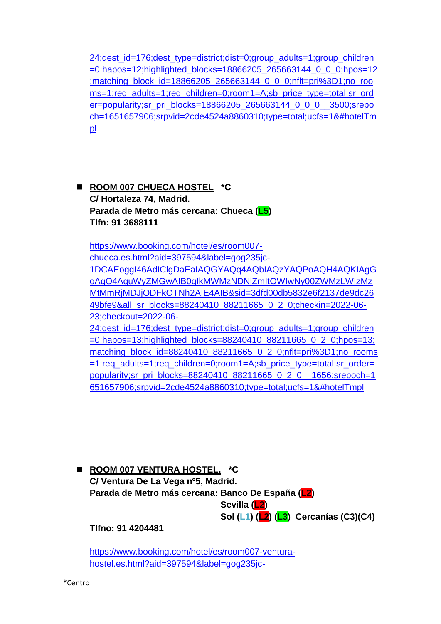[24;dest\\_id=176;dest\\_type=district;dist=0;group\\_adults=1;group\\_children](https://www.booking.com/hotel/es/hostal-abaaly.es.html?aid=397594&label=gog235jc-1DCAEoggI46AdIClgDaEaIAQGYAQq4AQbIAQzYAQPoAQH4AQKIAgGoAgO4AquWyZMGwAIB0gIkMWMzNDNlZmItOWIwNy00ZWMzLWIzMzMtMmRjMDJjODFkOTNh2AIE4AIB&sid=3dfd00db5832e6f2137de9dc2649bfe9&all_sr_blocks=18866205_265663144_0_0_0;checkin=2022-06-23;checkout=2022-06-24;dest_id=176;dest_type=district;dist=0;group_adults=1;group_children=0;hapos=12;highlighted_blocks=18866205_265663144_0_0_0;hpos=12;matching_block_id=18866205_265663144_0_0_0;nflt=pri%3D1;no_rooms=1;req_adults=1;req_children=0;room1=A;sb_price_type=total;sr_order=popularity;sr_pri_blocks=18866205_265663144_0_0_0__3500;srepoch=1651657906;srpvid=2cde4524a8860310;type=total;ucfs=1&#hotelTmpl) [=0;hapos=12;highlighted\\_blocks=18866205\\_265663144\\_0\\_0\\_0;hpos=12](https://www.booking.com/hotel/es/hostal-abaaly.es.html?aid=397594&label=gog235jc-1DCAEoggI46AdIClgDaEaIAQGYAQq4AQbIAQzYAQPoAQH4AQKIAgGoAgO4AquWyZMGwAIB0gIkMWMzNDNlZmItOWIwNy00ZWMzLWIzMzMtMmRjMDJjODFkOTNh2AIE4AIB&sid=3dfd00db5832e6f2137de9dc2649bfe9&all_sr_blocks=18866205_265663144_0_0_0;checkin=2022-06-23;checkout=2022-06-24;dest_id=176;dest_type=district;dist=0;group_adults=1;group_children=0;hapos=12;highlighted_blocks=18866205_265663144_0_0_0;hpos=12;matching_block_id=18866205_265663144_0_0_0;nflt=pri%3D1;no_rooms=1;req_adults=1;req_children=0;room1=A;sb_price_type=total;sr_order=popularity;sr_pri_blocks=18866205_265663144_0_0_0__3500;srepoch=1651657906;srpvid=2cde4524a8860310;type=total;ucfs=1&#hotelTmpl) [;matching\\_block\\_id=18866205\\_265663144\\_0\\_0\\_0;nflt=pri%3D1;no\\_roo](https://www.booking.com/hotel/es/hostal-abaaly.es.html?aid=397594&label=gog235jc-1DCAEoggI46AdIClgDaEaIAQGYAQq4AQbIAQzYAQPoAQH4AQKIAgGoAgO4AquWyZMGwAIB0gIkMWMzNDNlZmItOWIwNy00ZWMzLWIzMzMtMmRjMDJjODFkOTNh2AIE4AIB&sid=3dfd00db5832e6f2137de9dc2649bfe9&all_sr_blocks=18866205_265663144_0_0_0;checkin=2022-06-23;checkout=2022-06-24;dest_id=176;dest_type=district;dist=0;group_adults=1;group_children=0;hapos=12;highlighted_blocks=18866205_265663144_0_0_0;hpos=12;matching_block_id=18866205_265663144_0_0_0;nflt=pri%3D1;no_rooms=1;req_adults=1;req_children=0;room1=A;sb_price_type=total;sr_order=popularity;sr_pri_blocks=18866205_265663144_0_0_0__3500;srepoch=1651657906;srpvid=2cde4524a8860310;type=total;ucfs=1&#hotelTmpl) [ms=1;req\\_adults=1;req\\_children=0;room1=A;sb\\_price\\_type=total;sr\\_ord](https://www.booking.com/hotel/es/hostal-abaaly.es.html?aid=397594&label=gog235jc-1DCAEoggI46AdIClgDaEaIAQGYAQq4AQbIAQzYAQPoAQH4AQKIAgGoAgO4AquWyZMGwAIB0gIkMWMzNDNlZmItOWIwNy00ZWMzLWIzMzMtMmRjMDJjODFkOTNh2AIE4AIB&sid=3dfd00db5832e6f2137de9dc2649bfe9&all_sr_blocks=18866205_265663144_0_0_0;checkin=2022-06-23;checkout=2022-06-24;dest_id=176;dest_type=district;dist=0;group_adults=1;group_children=0;hapos=12;highlighted_blocks=18866205_265663144_0_0_0;hpos=12;matching_block_id=18866205_265663144_0_0_0;nflt=pri%3D1;no_rooms=1;req_adults=1;req_children=0;room1=A;sb_price_type=total;sr_order=popularity;sr_pri_blocks=18866205_265663144_0_0_0__3500;srepoch=1651657906;srpvid=2cde4524a8860310;type=total;ucfs=1&#hotelTmpl) [er=popularity;sr\\_pri\\_blocks=18866205\\_265663144\\_0\\_0\\_0\\_\\_3500;srepo](https://www.booking.com/hotel/es/hostal-abaaly.es.html?aid=397594&label=gog235jc-1DCAEoggI46AdIClgDaEaIAQGYAQq4AQbIAQzYAQPoAQH4AQKIAgGoAgO4AquWyZMGwAIB0gIkMWMzNDNlZmItOWIwNy00ZWMzLWIzMzMtMmRjMDJjODFkOTNh2AIE4AIB&sid=3dfd00db5832e6f2137de9dc2649bfe9&all_sr_blocks=18866205_265663144_0_0_0;checkin=2022-06-23;checkout=2022-06-24;dest_id=176;dest_type=district;dist=0;group_adults=1;group_children=0;hapos=12;highlighted_blocks=18866205_265663144_0_0_0;hpos=12;matching_block_id=18866205_265663144_0_0_0;nflt=pri%3D1;no_rooms=1;req_adults=1;req_children=0;room1=A;sb_price_type=total;sr_order=popularity;sr_pri_blocks=18866205_265663144_0_0_0__3500;srepoch=1651657906;srpvid=2cde4524a8860310;type=total;ucfs=1&#hotelTmpl) [ch=1651657906;srpvid=2cde4524a8860310;type=total;ucfs=1&#hotelTm](https://www.booking.com/hotel/es/hostal-abaaly.es.html?aid=397594&label=gog235jc-1DCAEoggI46AdIClgDaEaIAQGYAQq4AQbIAQzYAQPoAQH4AQKIAgGoAgO4AquWyZMGwAIB0gIkMWMzNDNlZmItOWIwNy00ZWMzLWIzMzMtMmRjMDJjODFkOTNh2AIE4AIB&sid=3dfd00db5832e6f2137de9dc2649bfe9&all_sr_blocks=18866205_265663144_0_0_0;checkin=2022-06-23;checkout=2022-06-24;dest_id=176;dest_type=district;dist=0;group_adults=1;group_children=0;hapos=12;highlighted_blocks=18866205_265663144_0_0_0;hpos=12;matching_block_id=18866205_265663144_0_0_0;nflt=pri%3D1;no_rooms=1;req_adults=1;req_children=0;room1=A;sb_price_type=total;sr_order=popularity;sr_pri_blocks=18866205_265663144_0_0_0__3500;srepoch=1651657906;srpvid=2cde4524a8860310;type=total;ucfs=1&#hotelTmpl) [pl](https://www.booking.com/hotel/es/hostal-abaaly.es.html?aid=397594&label=gog235jc-1DCAEoggI46AdIClgDaEaIAQGYAQq4AQbIAQzYAQPoAQH4AQKIAgGoAgO4AquWyZMGwAIB0gIkMWMzNDNlZmItOWIwNy00ZWMzLWIzMzMtMmRjMDJjODFkOTNh2AIE4AIB&sid=3dfd00db5832e6f2137de9dc2649bfe9&all_sr_blocks=18866205_265663144_0_0_0;checkin=2022-06-23;checkout=2022-06-24;dest_id=176;dest_type=district;dist=0;group_adults=1;group_children=0;hapos=12;highlighted_blocks=18866205_265663144_0_0_0;hpos=12;matching_block_id=18866205_265663144_0_0_0;nflt=pri%3D1;no_rooms=1;req_adults=1;req_children=0;room1=A;sb_price_type=total;sr_order=popularity;sr_pri_blocks=18866205_265663144_0_0_0__3500;srepoch=1651657906;srpvid=2cde4524a8860310;type=total;ucfs=1&#hotelTmpl)

## ◼ **ROOM 007 CHUECA HOSTEL \*C C/ Hortaleza 74, Madrid. Parada de Metro más cercana: Chueca (L5) Tlfn: 91 3688111**

[https://www.booking.com/hotel/es/room007](https://www.booking.com/hotel/es/room007-chueca.es.html?aid=397594&label=gog235jc-1DCAEoggI46AdIClgDaEaIAQGYAQq4AQbIAQzYAQPoAQH4AQKIAgGoAgO4AquWyZMGwAIB0gIkMWMzNDNlZmItOWIwNy00ZWMzLWIzMzMtMmRjMDJjODFkOTNh2AIE4AIB&sid=3dfd00db5832e6f2137de9dc2649bfe9&all_sr_blocks=88240410_88211665_0_2_0;checkin=2022-06-23;checkout=2022-06-24;dest_id=176;dest_type=district;dist=0;group_adults=1;group_children=0;hapos=13;highlighted_blocks=88240410_88211665_0_2_0;hpos=13;matching_block_id=88240410_88211665_0_2_0;nflt=pri%3D1;no_rooms=1;req_adults=1;req_children=0;room1=A;sb_price_type=total;sr_order=popularity;sr_pri_blocks=88240410_88211665_0_2_0__1656;srepoch=1651657906;srpvid=2cde4524a8860310;type=total;ucfs=1&#hotelTmpl) [chueca.es.html?aid=397594&label=gog235jc-](https://www.booking.com/hotel/es/room007-chueca.es.html?aid=397594&label=gog235jc-1DCAEoggI46AdIClgDaEaIAQGYAQq4AQbIAQzYAQPoAQH4AQKIAgGoAgO4AquWyZMGwAIB0gIkMWMzNDNlZmItOWIwNy00ZWMzLWIzMzMtMmRjMDJjODFkOTNh2AIE4AIB&sid=3dfd00db5832e6f2137de9dc2649bfe9&all_sr_blocks=88240410_88211665_0_2_0;checkin=2022-06-23;checkout=2022-06-24;dest_id=176;dest_type=district;dist=0;group_adults=1;group_children=0;hapos=13;highlighted_blocks=88240410_88211665_0_2_0;hpos=13;matching_block_id=88240410_88211665_0_2_0;nflt=pri%3D1;no_rooms=1;req_adults=1;req_children=0;room1=A;sb_price_type=total;sr_order=popularity;sr_pri_blocks=88240410_88211665_0_2_0__1656;srepoch=1651657906;srpvid=2cde4524a8860310;type=total;ucfs=1&#hotelTmpl)[1DCAEoggI46AdIClgDaEaIAQGYAQq4AQbIAQzYAQPoAQH4AQKIAgG](https://www.booking.com/hotel/es/room007-chueca.es.html?aid=397594&label=gog235jc-1DCAEoggI46AdIClgDaEaIAQGYAQq4AQbIAQzYAQPoAQH4AQKIAgGoAgO4AquWyZMGwAIB0gIkMWMzNDNlZmItOWIwNy00ZWMzLWIzMzMtMmRjMDJjODFkOTNh2AIE4AIB&sid=3dfd00db5832e6f2137de9dc2649bfe9&all_sr_blocks=88240410_88211665_0_2_0;checkin=2022-06-23;checkout=2022-06-24;dest_id=176;dest_type=district;dist=0;group_adults=1;group_children=0;hapos=13;highlighted_blocks=88240410_88211665_0_2_0;hpos=13;matching_block_id=88240410_88211665_0_2_0;nflt=pri%3D1;no_rooms=1;req_adults=1;req_children=0;room1=A;sb_price_type=total;sr_order=popularity;sr_pri_blocks=88240410_88211665_0_2_0__1656;srepoch=1651657906;srpvid=2cde4524a8860310;type=total;ucfs=1&#hotelTmpl) [oAgO4AquWyZMGwAIB0gIkMWMzNDNlZmItOWIwNy00ZWMzLWIzMz](https://www.booking.com/hotel/es/room007-chueca.es.html?aid=397594&label=gog235jc-1DCAEoggI46AdIClgDaEaIAQGYAQq4AQbIAQzYAQPoAQH4AQKIAgGoAgO4AquWyZMGwAIB0gIkMWMzNDNlZmItOWIwNy00ZWMzLWIzMzMtMmRjMDJjODFkOTNh2AIE4AIB&sid=3dfd00db5832e6f2137de9dc2649bfe9&all_sr_blocks=88240410_88211665_0_2_0;checkin=2022-06-23;checkout=2022-06-24;dest_id=176;dest_type=district;dist=0;group_adults=1;group_children=0;hapos=13;highlighted_blocks=88240410_88211665_0_2_0;hpos=13;matching_block_id=88240410_88211665_0_2_0;nflt=pri%3D1;no_rooms=1;req_adults=1;req_children=0;room1=A;sb_price_type=total;sr_order=popularity;sr_pri_blocks=88240410_88211665_0_2_0__1656;srepoch=1651657906;srpvid=2cde4524a8860310;type=total;ucfs=1&#hotelTmpl) [MtMmRjMDJjODFkOTNh2AIE4AIB&sid=3dfd00db5832e6f2137de9dc26](https://www.booking.com/hotel/es/room007-chueca.es.html?aid=397594&label=gog235jc-1DCAEoggI46AdIClgDaEaIAQGYAQq4AQbIAQzYAQPoAQH4AQKIAgGoAgO4AquWyZMGwAIB0gIkMWMzNDNlZmItOWIwNy00ZWMzLWIzMzMtMmRjMDJjODFkOTNh2AIE4AIB&sid=3dfd00db5832e6f2137de9dc2649bfe9&all_sr_blocks=88240410_88211665_0_2_0;checkin=2022-06-23;checkout=2022-06-24;dest_id=176;dest_type=district;dist=0;group_adults=1;group_children=0;hapos=13;highlighted_blocks=88240410_88211665_0_2_0;hpos=13;matching_block_id=88240410_88211665_0_2_0;nflt=pri%3D1;no_rooms=1;req_adults=1;req_children=0;room1=A;sb_price_type=total;sr_order=popularity;sr_pri_blocks=88240410_88211665_0_2_0__1656;srepoch=1651657906;srpvid=2cde4524a8860310;type=total;ucfs=1&#hotelTmpl) [49bfe9&all\\_sr\\_blocks=88240410\\_88211665\\_0\\_2\\_0;checkin=2022-06-](https://www.booking.com/hotel/es/room007-chueca.es.html?aid=397594&label=gog235jc-1DCAEoggI46AdIClgDaEaIAQGYAQq4AQbIAQzYAQPoAQH4AQKIAgGoAgO4AquWyZMGwAIB0gIkMWMzNDNlZmItOWIwNy00ZWMzLWIzMzMtMmRjMDJjODFkOTNh2AIE4AIB&sid=3dfd00db5832e6f2137de9dc2649bfe9&all_sr_blocks=88240410_88211665_0_2_0;checkin=2022-06-23;checkout=2022-06-24;dest_id=176;dest_type=district;dist=0;group_adults=1;group_children=0;hapos=13;highlighted_blocks=88240410_88211665_0_2_0;hpos=13;matching_block_id=88240410_88211665_0_2_0;nflt=pri%3D1;no_rooms=1;req_adults=1;req_children=0;room1=A;sb_price_type=total;sr_order=popularity;sr_pri_blocks=88240410_88211665_0_2_0__1656;srepoch=1651657906;srpvid=2cde4524a8860310;type=total;ucfs=1&#hotelTmpl) [23;checkout=2022-06-](https://www.booking.com/hotel/es/room007-chueca.es.html?aid=397594&label=gog235jc-1DCAEoggI46AdIClgDaEaIAQGYAQq4AQbIAQzYAQPoAQH4AQKIAgGoAgO4AquWyZMGwAIB0gIkMWMzNDNlZmItOWIwNy00ZWMzLWIzMzMtMmRjMDJjODFkOTNh2AIE4AIB&sid=3dfd00db5832e6f2137de9dc2649bfe9&all_sr_blocks=88240410_88211665_0_2_0;checkin=2022-06-23;checkout=2022-06-24;dest_id=176;dest_type=district;dist=0;group_adults=1;group_children=0;hapos=13;highlighted_blocks=88240410_88211665_0_2_0;hpos=13;matching_block_id=88240410_88211665_0_2_0;nflt=pri%3D1;no_rooms=1;req_adults=1;req_children=0;room1=A;sb_price_type=total;sr_order=popularity;sr_pri_blocks=88240410_88211665_0_2_0__1656;srepoch=1651657906;srpvid=2cde4524a8860310;type=total;ucfs=1&#hotelTmpl) [24;dest\\_id=176;dest\\_type=district;dist=0;group\\_adults=1;group\\_children](https://www.booking.com/hotel/es/room007-chueca.es.html?aid=397594&label=gog235jc-1DCAEoggI46AdIClgDaEaIAQGYAQq4AQbIAQzYAQPoAQH4AQKIAgGoAgO4AquWyZMGwAIB0gIkMWMzNDNlZmItOWIwNy00ZWMzLWIzMzMtMmRjMDJjODFkOTNh2AIE4AIB&sid=3dfd00db5832e6f2137de9dc2649bfe9&all_sr_blocks=88240410_88211665_0_2_0;checkin=2022-06-23;checkout=2022-06-24;dest_id=176;dest_type=district;dist=0;group_adults=1;group_children=0;hapos=13;highlighted_blocks=88240410_88211665_0_2_0;hpos=13;matching_block_id=88240410_88211665_0_2_0;nflt=pri%3D1;no_rooms=1;req_adults=1;req_children=0;room1=A;sb_price_type=total;sr_order=popularity;sr_pri_blocks=88240410_88211665_0_2_0__1656;srepoch=1651657906;srpvid=2cde4524a8860310;type=total;ucfs=1&#hotelTmpl)

[=0;hapos=13;highlighted\\_blocks=88240410\\_88211665\\_0\\_2\\_0;hpos=13;](https://www.booking.com/hotel/es/room007-chueca.es.html?aid=397594&label=gog235jc-1DCAEoggI46AdIClgDaEaIAQGYAQq4AQbIAQzYAQPoAQH4AQKIAgGoAgO4AquWyZMGwAIB0gIkMWMzNDNlZmItOWIwNy00ZWMzLWIzMzMtMmRjMDJjODFkOTNh2AIE4AIB&sid=3dfd00db5832e6f2137de9dc2649bfe9&all_sr_blocks=88240410_88211665_0_2_0;checkin=2022-06-23;checkout=2022-06-24;dest_id=176;dest_type=district;dist=0;group_adults=1;group_children=0;hapos=13;highlighted_blocks=88240410_88211665_0_2_0;hpos=13;matching_block_id=88240410_88211665_0_2_0;nflt=pri%3D1;no_rooms=1;req_adults=1;req_children=0;room1=A;sb_price_type=total;sr_order=popularity;sr_pri_blocks=88240410_88211665_0_2_0__1656;srepoch=1651657906;srpvid=2cde4524a8860310;type=total;ucfs=1&#hotelTmpl) [matching\\_block\\_id=88240410\\_88211665\\_0\\_2\\_0;nflt=pri%3D1;no\\_rooms](https://www.booking.com/hotel/es/room007-chueca.es.html?aid=397594&label=gog235jc-1DCAEoggI46AdIClgDaEaIAQGYAQq4AQbIAQzYAQPoAQH4AQKIAgGoAgO4AquWyZMGwAIB0gIkMWMzNDNlZmItOWIwNy00ZWMzLWIzMzMtMmRjMDJjODFkOTNh2AIE4AIB&sid=3dfd00db5832e6f2137de9dc2649bfe9&all_sr_blocks=88240410_88211665_0_2_0;checkin=2022-06-23;checkout=2022-06-24;dest_id=176;dest_type=district;dist=0;group_adults=1;group_children=0;hapos=13;highlighted_blocks=88240410_88211665_0_2_0;hpos=13;matching_block_id=88240410_88211665_0_2_0;nflt=pri%3D1;no_rooms=1;req_adults=1;req_children=0;room1=A;sb_price_type=total;sr_order=popularity;sr_pri_blocks=88240410_88211665_0_2_0__1656;srepoch=1651657906;srpvid=2cde4524a8860310;type=total;ucfs=1&#hotelTmpl) [=1;req\\_adults=1;req\\_children=0;room1=A;sb\\_price\\_type=total;sr\\_order=](https://www.booking.com/hotel/es/room007-chueca.es.html?aid=397594&label=gog235jc-1DCAEoggI46AdIClgDaEaIAQGYAQq4AQbIAQzYAQPoAQH4AQKIAgGoAgO4AquWyZMGwAIB0gIkMWMzNDNlZmItOWIwNy00ZWMzLWIzMzMtMmRjMDJjODFkOTNh2AIE4AIB&sid=3dfd00db5832e6f2137de9dc2649bfe9&all_sr_blocks=88240410_88211665_0_2_0;checkin=2022-06-23;checkout=2022-06-24;dest_id=176;dest_type=district;dist=0;group_adults=1;group_children=0;hapos=13;highlighted_blocks=88240410_88211665_0_2_0;hpos=13;matching_block_id=88240410_88211665_0_2_0;nflt=pri%3D1;no_rooms=1;req_adults=1;req_children=0;room1=A;sb_price_type=total;sr_order=popularity;sr_pri_blocks=88240410_88211665_0_2_0__1656;srepoch=1651657906;srpvid=2cde4524a8860310;type=total;ucfs=1&#hotelTmpl) [popularity;sr\\_pri\\_blocks=88240410\\_88211665\\_0\\_2\\_0\\_\\_1656;srepoch=1](https://www.booking.com/hotel/es/room007-chueca.es.html?aid=397594&label=gog235jc-1DCAEoggI46AdIClgDaEaIAQGYAQq4AQbIAQzYAQPoAQH4AQKIAgGoAgO4AquWyZMGwAIB0gIkMWMzNDNlZmItOWIwNy00ZWMzLWIzMzMtMmRjMDJjODFkOTNh2AIE4AIB&sid=3dfd00db5832e6f2137de9dc2649bfe9&all_sr_blocks=88240410_88211665_0_2_0;checkin=2022-06-23;checkout=2022-06-24;dest_id=176;dest_type=district;dist=0;group_adults=1;group_children=0;hapos=13;highlighted_blocks=88240410_88211665_0_2_0;hpos=13;matching_block_id=88240410_88211665_0_2_0;nflt=pri%3D1;no_rooms=1;req_adults=1;req_children=0;room1=A;sb_price_type=total;sr_order=popularity;sr_pri_blocks=88240410_88211665_0_2_0__1656;srepoch=1651657906;srpvid=2cde4524a8860310;type=total;ucfs=1&#hotelTmpl) [651657906;srpvid=2cde4524a8860310;type=total;ucfs=1&#hotelTmpl](https://www.booking.com/hotel/es/room007-chueca.es.html?aid=397594&label=gog235jc-1DCAEoggI46AdIClgDaEaIAQGYAQq4AQbIAQzYAQPoAQH4AQKIAgGoAgO4AquWyZMGwAIB0gIkMWMzNDNlZmItOWIwNy00ZWMzLWIzMzMtMmRjMDJjODFkOTNh2AIE4AIB&sid=3dfd00db5832e6f2137de9dc2649bfe9&all_sr_blocks=88240410_88211665_0_2_0;checkin=2022-06-23;checkout=2022-06-24;dest_id=176;dest_type=district;dist=0;group_adults=1;group_children=0;hapos=13;highlighted_blocks=88240410_88211665_0_2_0;hpos=13;matching_block_id=88240410_88211665_0_2_0;nflt=pri%3D1;no_rooms=1;req_adults=1;req_children=0;room1=A;sb_price_type=total;sr_order=popularity;sr_pri_blocks=88240410_88211665_0_2_0__1656;srepoch=1651657906;srpvid=2cde4524a8860310;type=total;ucfs=1&#hotelTmpl)

◼ **ROOM 007 VENTURA HOSTEL. \*C C/ Ventura De La Vega nº5, Madrid. Parada de Metro más cercana: Banco De España (L2) Sevilla (L2) Sol (L1) (L2) (L3) Cercanías (C3)(C4)**

**Tlfno: 91 4204481**

[https://www.booking.com/hotel/es/room007-ventura](https://www.booking.com/hotel/es/room007-ventura-hostel.es.html?aid=397594&label=gog235jc-1DCAEoggI46AdIClgDaEaIAQGYAQq4AQbIAQzYAQPoAQH4AQKIAgGoAgO4AquWyZMGwAIB0gIkMWMzNDNlZmItOWIwNy00ZWMzLWIzMzMtMmRjMDJjODFkOTNh2AIE4AIB&sid=3dfd00db5832e6f2137de9dc2649bfe9&all_sr_blocks=47211911_88209751_0_2_0;checkin=2022-06-23;checkout=2022-06-24;dest_id=176;dest_type=district;dist=0;group_adults=1;group_children=0;hapos=14;highlighted_blocks=47211911_88209751_0_2_0;hpos=14;map=1;matching_block_id=47211911_88209751_0_2_0;nflt=pri%3D1;no_rooms=1;req_adults=1;req_children=0;room1=A;sb_price_type=total;sr_order=popularity;sr_pri_blocks=47211911_88209751_0_2_0__1890;srepoch=1651657906;srpvid=2cde4524a8860310;type=total;ucfs=1&#map_closed)[hostel.es.html?aid=397594&label=gog235jc-](https://www.booking.com/hotel/es/room007-ventura-hostel.es.html?aid=397594&label=gog235jc-1DCAEoggI46AdIClgDaEaIAQGYAQq4AQbIAQzYAQPoAQH4AQKIAgGoAgO4AquWyZMGwAIB0gIkMWMzNDNlZmItOWIwNy00ZWMzLWIzMzMtMmRjMDJjODFkOTNh2AIE4AIB&sid=3dfd00db5832e6f2137de9dc2649bfe9&all_sr_blocks=47211911_88209751_0_2_0;checkin=2022-06-23;checkout=2022-06-24;dest_id=176;dest_type=district;dist=0;group_adults=1;group_children=0;hapos=14;highlighted_blocks=47211911_88209751_0_2_0;hpos=14;map=1;matching_block_id=47211911_88209751_0_2_0;nflt=pri%3D1;no_rooms=1;req_adults=1;req_children=0;room1=A;sb_price_type=total;sr_order=popularity;sr_pri_blocks=47211911_88209751_0_2_0__1890;srepoch=1651657906;srpvid=2cde4524a8860310;type=total;ucfs=1&#map_closed)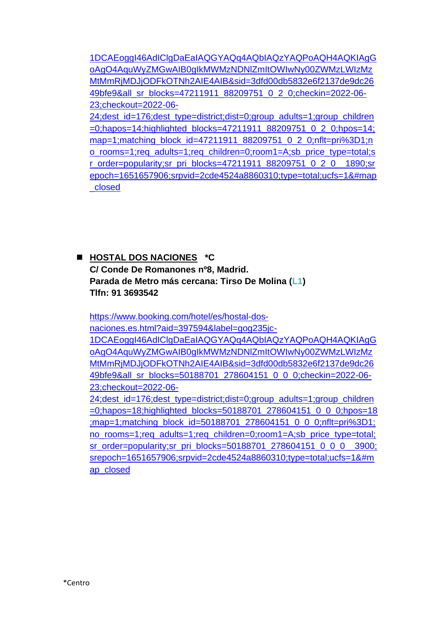[1DCAEoggI46AdIClgDaEaIAQGYAQq4AQbIAQzYAQPoAQH4AQKIAgG](https://www.booking.com/hotel/es/room007-ventura-hostel.es.html?aid=397594&label=gog235jc-1DCAEoggI46AdIClgDaEaIAQGYAQq4AQbIAQzYAQPoAQH4AQKIAgGoAgO4AquWyZMGwAIB0gIkMWMzNDNlZmItOWIwNy00ZWMzLWIzMzMtMmRjMDJjODFkOTNh2AIE4AIB&sid=3dfd00db5832e6f2137de9dc2649bfe9&all_sr_blocks=47211911_88209751_0_2_0;checkin=2022-06-23;checkout=2022-06-24;dest_id=176;dest_type=district;dist=0;group_adults=1;group_children=0;hapos=14;highlighted_blocks=47211911_88209751_0_2_0;hpos=14;map=1;matching_block_id=47211911_88209751_0_2_0;nflt=pri%3D1;no_rooms=1;req_adults=1;req_children=0;room1=A;sb_price_type=total;sr_order=popularity;sr_pri_blocks=47211911_88209751_0_2_0__1890;srepoch=1651657906;srpvid=2cde4524a8860310;type=total;ucfs=1&#map_closed) [oAgO4AquWyZMGwAIB0gIkMWMzNDNlZmItOWIwNy00ZWMzLWIzMz](https://www.booking.com/hotel/es/room007-ventura-hostel.es.html?aid=397594&label=gog235jc-1DCAEoggI46AdIClgDaEaIAQGYAQq4AQbIAQzYAQPoAQH4AQKIAgGoAgO4AquWyZMGwAIB0gIkMWMzNDNlZmItOWIwNy00ZWMzLWIzMzMtMmRjMDJjODFkOTNh2AIE4AIB&sid=3dfd00db5832e6f2137de9dc2649bfe9&all_sr_blocks=47211911_88209751_0_2_0;checkin=2022-06-23;checkout=2022-06-24;dest_id=176;dest_type=district;dist=0;group_adults=1;group_children=0;hapos=14;highlighted_blocks=47211911_88209751_0_2_0;hpos=14;map=1;matching_block_id=47211911_88209751_0_2_0;nflt=pri%3D1;no_rooms=1;req_adults=1;req_children=0;room1=A;sb_price_type=total;sr_order=popularity;sr_pri_blocks=47211911_88209751_0_2_0__1890;srepoch=1651657906;srpvid=2cde4524a8860310;type=total;ucfs=1&#map_closed) [MtMmRjMDJjODFkOTNh2AIE4AIB&sid=3dfd00db5832e6f2137de9dc26](https://www.booking.com/hotel/es/room007-ventura-hostel.es.html?aid=397594&label=gog235jc-1DCAEoggI46AdIClgDaEaIAQGYAQq4AQbIAQzYAQPoAQH4AQKIAgGoAgO4AquWyZMGwAIB0gIkMWMzNDNlZmItOWIwNy00ZWMzLWIzMzMtMmRjMDJjODFkOTNh2AIE4AIB&sid=3dfd00db5832e6f2137de9dc2649bfe9&all_sr_blocks=47211911_88209751_0_2_0;checkin=2022-06-23;checkout=2022-06-24;dest_id=176;dest_type=district;dist=0;group_adults=1;group_children=0;hapos=14;highlighted_blocks=47211911_88209751_0_2_0;hpos=14;map=1;matching_block_id=47211911_88209751_0_2_0;nflt=pri%3D1;no_rooms=1;req_adults=1;req_children=0;room1=A;sb_price_type=total;sr_order=popularity;sr_pri_blocks=47211911_88209751_0_2_0__1890;srepoch=1651657906;srpvid=2cde4524a8860310;type=total;ucfs=1&#map_closed) [49bfe9&all\\_sr\\_blocks=47211911\\_88209751\\_0\\_2\\_0;checkin=2022-06-](https://www.booking.com/hotel/es/room007-ventura-hostel.es.html?aid=397594&label=gog235jc-1DCAEoggI46AdIClgDaEaIAQGYAQq4AQbIAQzYAQPoAQH4AQKIAgGoAgO4AquWyZMGwAIB0gIkMWMzNDNlZmItOWIwNy00ZWMzLWIzMzMtMmRjMDJjODFkOTNh2AIE4AIB&sid=3dfd00db5832e6f2137de9dc2649bfe9&all_sr_blocks=47211911_88209751_0_2_0;checkin=2022-06-23;checkout=2022-06-24;dest_id=176;dest_type=district;dist=0;group_adults=1;group_children=0;hapos=14;highlighted_blocks=47211911_88209751_0_2_0;hpos=14;map=1;matching_block_id=47211911_88209751_0_2_0;nflt=pri%3D1;no_rooms=1;req_adults=1;req_children=0;room1=A;sb_price_type=total;sr_order=popularity;sr_pri_blocks=47211911_88209751_0_2_0__1890;srepoch=1651657906;srpvid=2cde4524a8860310;type=total;ucfs=1&#map_closed) [23;checkout=2022-06-](https://www.booking.com/hotel/es/room007-ventura-hostel.es.html?aid=397594&label=gog235jc-1DCAEoggI46AdIClgDaEaIAQGYAQq4AQbIAQzYAQPoAQH4AQKIAgGoAgO4AquWyZMGwAIB0gIkMWMzNDNlZmItOWIwNy00ZWMzLWIzMzMtMmRjMDJjODFkOTNh2AIE4AIB&sid=3dfd00db5832e6f2137de9dc2649bfe9&all_sr_blocks=47211911_88209751_0_2_0;checkin=2022-06-23;checkout=2022-06-24;dest_id=176;dest_type=district;dist=0;group_adults=1;group_children=0;hapos=14;highlighted_blocks=47211911_88209751_0_2_0;hpos=14;map=1;matching_block_id=47211911_88209751_0_2_0;nflt=pri%3D1;no_rooms=1;req_adults=1;req_children=0;room1=A;sb_price_type=total;sr_order=popularity;sr_pri_blocks=47211911_88209751_0_2_0__1890;srepoch=1651657906;srpvid=2cde4524a8860310;type=total;ucfs=1&#map_closed)

[24;dest\\_id=176;dest\\_type=district;dist=0;group\\_adults=1;group\\_children](https://www.booking.com/hotel/es/room007-ventura-hostel.es.html?aid=397594&label=gog235jc-1DCAEoggI46AdIClgDaEaIAQGYAQq4AQbIAQzYAQPoAQH4AQKIAgGoAgO4AquWyZMGwAIB0gIkMWMzNDNlZmItOWIwNy00ZWMzLWIzMzMtMmRjMDJjODFkOTNh2AIE4AIB&sid=3dfd00db5832e6f2137de9dc2649bfe9&all_sr_blocks=47211911_88209751_0_2_0;checkin=2022-06-23;checkout=2022-06-24;dest_id=176;dest_type=district;dist=0;group_adults=1;group_children=0;hapos=14;highlighted_blocks=47211911_88209751_0_2_0;hpos=14;map=1;matching_block_id=47211911_88209751_0_2_0;nflt=pri%3D1;no_rooms=1;req_adults=1;req_children=0;room1=A;sb_price_type=total;sr_order=popularity;sr_pri_blocks=47211911_88209751_0_2_0__1890;srepoch=1651657906;srpvid=2cde4524a8860310;type=total;ucfs=1&#map_closed) [=0;hapos=14;highlighted\\_blocks=47211911\\_88209751\\_0\\_2\\_0;hpos=14;](https://www.booking.com/hotel/es/room007-ventura-hostel.es.html?aid=397594&label=gog235jc-1DCAEoggI46AdIClgDaEaIAQGYAQq4AQbIAQzYAQPoAQH4AQKIAgGoAgO4AquWyZMGwAIB0gIkMWMzNDNlZmItOWIwNy00ZWMzLWIzMzMtMmRjMDJjODFkOTNh2AIE4AIB&sid=3dfd00db5832e6f2137de9dc2649bfe9&all_sr_blocks=47211911_88209751_0_2_0;checkin=2022-06-23;checkout=2022-06-24;dest_id=176;dest_type=district;dist=0;group_adults=1;group_children=0;hapos=14;highlighted_blocks=47211911_88209751_0_2_0;hpos=14;map=1;matching_block_id=47211911_88209751_0_2_0;nflt=pri%3D1;no_rooms=1;req_adults=1;req_children=0;room1=A;sb_price_type=total;sr_order=popularity;sr_pri_blocks=47211911_88209751_0_2_0__1890;srepoch=1651657906;srpvid=2cde4524a8860310;type=total;ucfs=1&#map_closed) [map=1;matching\\_block\\_id=47211911\\_88209751\\_0\\_2\\_0;nflt=pri%3D1;n](https://www.booking.com/hotel/es/room007-ventura-hostel.es.html?aid=397594&label=gog235jc-1DCAEoggI46AdIClgDaEaIAQGYAQq4AQbIAQzYAQPoAQH4AQKIAgGoAgO4AquWyZMGwAIB0gIkMWMzNDNlZmItOWIwNy00ZWMzLWIzMzMtMmRjMDJjODFkOTNh2AIE4AIB&sid=3dfd00db5832e6f2137de9dc2649bfe9&all_sr_blocks=47211911_88209751_0_2_0;checkin=2022-06-23;checkout=2022-06-24;dest_id=176;dest_type=district;dist=0;group_adults=1;group_children=0;hapos=14;highlighted_blocks=47211911_88209751_0_2_0;hpos=14;map=1;matching_block_id=47211911_88209751_0_2_0;nflt=pri%3D1;no_rooms=1;req_adults=1;req_children=0;room1=A;sb_price_type=total;sr_order=popularity;sr_pri_blocks=47211911_88209751_0_2_0__1890;srepoch=1651657906;srpvid=2cde4524a8860310;type=total;ucfs=1&#map_closed) [o\\_rooms=1;req\\_adults=1;req\\_children=0;room1=A;sb\\_price\\_type=total;s](https://www.booking.com/hotel/es/room007-ventura-hostel.es.html?aid=397594&label=gog235jc-1DCAEoggI46AdIClgDaEaIAQGYAQq4AQbIAQzYAQPoAQH4AQKIAgGoAgO4AquWyZMGwAIB0gIkMWMzNDNlZmItOWIwNy00ZWMzLWIzMzMtMmRjMDJjODFkOTNh2AIE4AIB&sid=3dfd00db5832e6f2137de9dc2649bfe9&all_sr_blocks=47211911_88209751_0_2_0;checkin=2022-06-23;checkout=2022-06-24;dest_id=176;dest_type=district;dist=0;group_adults=1;group_children=0;hapos=14;highlighted_blocks=47211911_88209751_0_2_0;hpos=14;map=1;matching_block_id=47211911_88209751_0_2_0;nflt=pri%3D1;no_rooms=1;req_adults=1;req_children=0;room1=A;sb_price_type=total;sr_order=popularity;sr_pri_blocks=47211911_88209751_0_2_0__1890;srepoch=1651657906;srpvid=2cde4524a8860310;type=total;ucfs=1&#map_closed) [r\\_order=popularity;sr\\_pri\\_blocks=47211911\\_88209751\\_0\\_2\\_0\\_\\_1890;sr](https://www.booking.com/hotel/es/room007-ventura-hostel.es.html?aid=397594&label=gog235jc-1DCAEoggI46AdIClgDaEaIAQGYAQq4AQbIAQzYAQPoAQH4AQKIAgGoAgO4AquWyZMGwAIB0gIkMWMzNDNlZmItOWIwNy00ZWMzLWIzMzMtMmRjMDJjODFkOTNh2AIE4AIB&sid=3dfd00db5832e6f2137de9dc2649bfe9&all_sr_blocks=47211911_88209751_0_2_0;checkin=2022-06-23;checkout=2022-06-24;dest_id=176;dest_type=district;dist=0;group_adults=1;group_children=0;hapos=14;highlighted_blocks=47211911_88209751_0_2_0;hpos=14;map=1;matching_block_id=47211911_88209751_0_2_0;nflt=pri%3D1;no_rooms=1;req_adults=1;req_children=0;room1=A;sb_price_type=total;sr_order=popularity;sr_pri_blocks=47211911_88209751_0_2_0__1890;srepoch=1651657906;srpvid=2cde4524a8860310;type=total;ucfs=1&#map_closed) [epoch=1651657906;srpvid=2cde4524a8860310;type=total;ucfs=1&#map](https://www.booking.com/hotel/es/room007-ventura-hostel.es.html?aid=397594&label=gog235jc-1DCAEoggI46AdIClgDaEaIAQGYAQq4AQbIAQzYAQPoAQH4AQKIAgGoAgO4AquWyZMGwAIB0gIkMWMzNDNlZmItOWIwNy00ZWMzLWIzMzMtMmRjMDJjODFkOTNh2AIE4AIB&sid=3dfd00db5832e6f2137de9dc2649bfe9&all_sr_blocks=47211911_88209751_0_2_0;checkin=2022-06-23;checkout=2022-06-24;dest_id=176;dest_type=district;dist=0;group_adults=1;group_children=0;hapos=14;highlighted_blocks=47211911_88209751_0_2_0;hpos=14;map=1;matching_block_id=47211911_88209751_0_2_0;nflt=pri%3D1;no_rooms=1;req_adults=1;req_children=0;room1=A;sb_price_type=total;sr_order=popularity;sr_pri_blocks=47211911_88209751_0_2_0__1890;srepoch=1651657906;srpvid=2cde4524a8860310;type=total;ucfs=1&#map_closed) [\\_closed](https://www.booking.com/hotel/es/room007-ventura-hostel.es.html?aid=397594&label=gog235jc-1DCAEoggI46AdIClgDaEaIAQGYAQq4AQbIAQzYAQPoAQH4AQKIAgGoAgO4AquWyZMGwAIB0gIkMWMzNDNlZmItOWIwNy00ZWMzLWIzMzMtMmRjMDJjODFkOTNh2AIE4AIB&sid=3dfd00db5832e6f2137de9dc2649bfe9&all_sr_blocks=47211911_88209751_0_2_0;checkin=2022-06-23;checkout=2022-06-24;dest_id=176;dest_type=district;dist=0;group_adults=1;group_children=0;hapos=14;highlighted_blocks=47211911_88209751_0_2_0;hpos=14;map=1;matching_block_id=47211911_88209751_0_2_0;nflt=pri%3D1;no_rooms=1;req_adults=1;req_children=0;room1=A;sb_price_type=total;sr_order=popularity;sr_pri_blocks=47211911_88209751_0_2_0__1890;srepoch=1651657906;srpvid=2cde4524a8860310;type=total;ucfs=1&#map_closed)

◼ **HOSTAL DOS NACIONES \*C C/ Conde De Romanones nº8, Madrid. Parada de Metro más cercana: Tirso De Molina (L1) Tlfn: 91 3693542**

[https://www.booking.com/hotel/es/hostal-dos](https://www.booking.com/hotel/es/hostal-dos-naciones.es.html?aid=397594&label=gog235jc-1DCAEoggI46AdIClgDaEaIAQGYAQq4AQbIAQzYAQPoAQH4AQKIAgGoAgO4AquWyZMGwAIB0gIkMWMzNDNlZmItOWIwNy00ZWMzLWIzMzMtMmRjMDJjODFkOTNh2AIE4AIB&sid=3dfd00db5832e6f2137de9dc2649bfe9&all_sr_blocks=50188701_278604151_0_0_0;checkin=2022-06-23;checkout=2022-06-24;dest_id=176;dest_type=district;dist=0;group_adults=1;group_children=0;hapos=18;highlighted_blocks=50188701_278604151_0_0_0;hpos=18;map=1;matching_block_id=50188701_278604151_0_0_0;nflt=pri%3D1;no_rooms=1;req_adults=1;req_children=0;room1=A;sb_price_type=total;sr_order=popularity;sr_pri_blocks=50188701_278604151_0_0_0__3900;srepoch=1651657906;srpvid=2cde4524a8860310;type=total;ucfs=1&#map_closed)[naciones.es.html?aid=397594&label=gog235jc-](https://www.booking.com/hotel/es/hostal-dos-naciones.es.html?aid=397594&label=gog235jc-1DCAEoggI46AdIClgDaEaIAQGYAQq4AQbIAQzYAQPoAQH4AQKIAgGoAgO4AquWyZMGwAIB0gIkMWMzNDNlZmItOWIwNy00ZWMzLWIzMzMtMmRjMDJjODFkOTNh2AIE4AIB&sid=3dfd00db5832e6f2137de9dc2649bfe9&all_sr_blocks=50188701_278604151_0_0_0;checkin=2022-06-23;checkout=2022-06-24;dest_id=176;dest_type=district;dist=0;group_adults=1;group_children=0;hapos=18;highlighted_blocks=50188701_278604151_0_0_0;hpos=18;map=1;matching_block_id=50188701_278604151_0_0_0;nflt=pri%3D1;no_rooms=1;req_adults=1;req_children=0;room1=A;sb_price_type=total;sr_order=popularity;sr_pri_blocks=50188701_278604151_0_0_0__3900;srepoch=1651657906;srpvid=2cde4524a8860310;type=total;ucfs=1&#map_closed)[1DCAEoggI46AdIClgDaEaIAQGYAQq4AQbIAQzYAQPoAQH4AQKIAgG](https://www.booking.com/hotel/es/hostal-dos-naciones.es.html?aid=397594&label=gog235jc-1DCAEoggI46AdIClgDaEaIAQGYAQq4AQbIAQzYAQPoAQH4AQKIAgGoAgO4AquWyZMGwAIB0gIkMWMzNDNlZmItOWIwNy00ZWMzLWIzMzMtMmRjMDJjODFkOTNh2AIE4AIB&sid=3dfd00db5832e6f2137de9dc2649bfe9&all_sr_blocks=50188701_278604151_0_0_0;checkin=2022-06-23;checkout=2022-06-24;dest_id=176;dest_type=district;dist=0;group_adults=1;group_children=0;hapos=18;highlighted_blocks=50188701_278604151_0_0_0;hpos=18;map=1;matching_block_id=50188701_278604151_0_0_0;nflt=pri%3D1;no_rooms=1;req_adults=1;req_children=0;room1=A;sb_price_type=total;sr_order=popularity;sr_pri_blocks=50188701_278604151_0_0_0__3900;srepoch=1651657906;srpvid=2cde4524a8860310;type=total;ucfs=1&#map_closed) [oAgO4AquWyZMGwAIB0gIkMWMzNDNlZmItOWIwNy00ZWMzLWIzMz](https://www.booking.com/hotel/es/hostal-dos-naciones.es.html?aid=397594&label=gog235jc-1DCAEoggI46AdIClgDaEaIAQGYAQq4AQbIAQzYAQPoAQH4AQKIAgGoAgO4AquWyZMGwAIB0gIkMWMzNDNlZmItOWIwNy00ZWMzLWIzMzMtMmRjMDJjODFkOTNh2AIE4AIB&sid=3dfd00db5832e6f2137de9dc2649bfe9&all_sr_blocks=50188701_278604151_0_0_0;checkin=2022-06-23;checkout=2022-06-24;dest_id=176;dest_type=district;dist=0;group_adults=1;group_children=0;hapos=18;highlighted_blocks=50188701_278604151_0_0_0;hpos=18;map=1;matching_block_id=50188701_278604151_0_0_0;nflt=pri%3D1;no_rooms=1;req_adults=1;req_children=0;room1=A;sb_price_type=total;sr_order=popularity;sr_pri_blocks=50188701_278604151_0_0_0__3900;srepoch=1651657906;srpvid=2cde4524a8860310;type=total;ucfs=1&#map_closed) [MtMmRjMDJjODFkOTNh2AIE4AIB&sid=3dfd00db5832e6f2137de9dc26](https://www.booking.com/hotel/es/hostal-dos-naciones.es.html?aid=397594&label=gog235jc-1DCAEoggI46AdIClgDaEaIAQGYAQq4AQbIAQzYAQPoAQH4AQKIAgGoAgO4AquWyZMGwAIB0gIkMWMzNDNlZmItOWIwNy00ZWMzLWIzMzMtMmRjMDJjODFkOTNh2AIE4AIB&sid=3dfd00db5832e6f2137de9dc2649bfe9&all_sr_blocks=50188701_278604151_0_0_0;checkin=2022-06-23;checkout=2022-06-24;dest_id=176;dest_type=district;dist=0;group_adults=1;group_children=0;hapos=18;highlighted_blocks=50188701_278604151_0_0_0;hpos=18;map=1;matching_block_id=50188701_278604151_0_0_0;nflt=pri%3D1;no_rooms=1;req_adults=1;req_children=0;room1=A;sb_price_type=total;sr_order=popularity;sr_pri_blocks=50188701_278604151_0_0_0__3900;srepoch=1651657906;srpvid=2cde4524a8860310;type=total;ucfs=1&#map_closed) [49bfe9&all\\_sr\\_blocks=50188701\\_278604151\\_0\\_0\\_0;checkin=2022-06-](https://www.booking.com/hotel/es/hostal-dos-naciones.es.html?aid=397594&label=gog235jc-1DCAEoggI46AdIClgDaEaIAQGYAQq4AQbIAQzYAQPoAQH4AQKIAgGoAgO4AquWyZMGwAIB0gIkMWMzNDNlZmItOWIwNy00ZWMzLWIzMzMtMmRjMDJjODFkOTNh2AIE4AIB&sid=3dfd00db5832e6f2137de9dc2649bfe9&all_sr_blocks=50188701_278604151_0_0_0;checkin=2022-06-23;checkout=2022-06-24;dest_id=176;dest_type=district;dist=0;group_adults=1;group_children=0;hapos=18;highlighted_blocks=50188701_278604151_0_0_0;hpos=18;map=1;matching_block_id=50188701_278604151_0_0_0;nflt=pri%3D1;no_rooms=1;req_adults=1;req_children=0;room1=A;sb_price_type=total;sr_order=popularity;sr_pri_blocks=50188701_278604151_0_0_0__3900;srepoch=1651657906;srpvid=2cde4524a8860310;type=total;ucfs=1&#map_closed) [23;checkout=2022-06-](https://www.booking.com/hotel/es/hostal-dos-naciones.es.html?aid=397594&label=gog235jc-1DCAEoggI46AdIClgDaEaIAQGYAQq4AQbIAQzYAQPoAQH4AQKIAgGoAgO4AquWyZMGwAIB0gIkMWMzNDNlZmItOWIwNy00ZWMzLWIzMzMtMmRjMDJjODFkOTNh2AIE4AIB&sid=3dfd00db5832e6f2137de9dc2649bfe9&all_sr_blocks=50188701_278604151_0_0_0;checkin=2022-06-23;checkout=2022-06-24;dest_id=176;dest_type=district;dist=0;group_adults=1;group_children=0;hapos=18;highlighted_blocks=50188701_278604151_0_0_0;hpos=18;map=1;matching_block_id=50188701_278604151_0_0_0;nflt=pri%3D1;no_rooms=1;req_adults=1;req_children=0;room1=A;sb_price_type=total;sr_order=popularity;sr_pri_blocks=50188701_278604151_0_0_0__3900;srepoch=1651657906;srpvid=2cde4524a8860310;type=total;ucfs=1&#map_closed) [24;dest\\_id=176;dest\\_type=district;dist=0;group\\_adults=1;group\\_children](https://www.booking.com/hotel/es/hostal-dos-naciones.es.html?aid=397594&label=gog235jc-1DCAEoggI46AdIClgDaEaIAQGYAQq4AQbIAQzYAQPoAQH4AQKIAgGoAgO4AquWyZMGwAIB0gIkMWMzNDNlZmItOWIwNy00ZWMzLWIzMzMtMmRjMDJjODFkOTNh2AIE4AIB&sid=3dfd00db5832e6f2137de9dc2649bfe9&all_sr_blocks=50188701_278604151_0_0_0;checkin=2022-06-23;checkout=2022-06-24;dest_id=176;dest_type=district;dist=0;group_adults=1;group_children=0;hapos=18;highlighted_blocks=50188701_278604151_0_0_0;hpos=18;map=1;matching_block_id=50188701_278604151_0_0_0;nflt=pri%3D1;no_rooms=1;req_adults=1;req_children=0;room1=A;sb_price_type=total;sr_order=popularity;sr_pri_blocks=50188701_278604151_0_0_0__3900;srepoch=1651657906;srpvid=2cde4524a8860310;type=total;ucfs=1&#map_closed) [=0;hapos=18;highlighted\\_blocks=50188701\\_278604151\\_0\\_0\\_0;hpos=18](https://www.booking.com/hotel/es/hostal-dos-naciones.es.html?aid=397594&label=gog235jc-1DCAEoggI46AdIClgDaEaIAQGYAQq4AQbIAQzYAQPoAQH4AQKIAgGoAgO4AquWyZMGwAIB0gIkMWMzNDNlZmItOWIwNy00ZWMzLWIzMzMtMmRjMDJjODFkOTNh2AIE4AIB&sid=3dfd00db5832e6f2137de9dc2649bfe9&all_sr_blocks=50188701_278604151_0_0_0;checkin=2022-06-23;checkout=2022-06-24;dest_id=176;dest_type=district;dist=0;group_adults=1;group_children=0;hapos=18;highlighted_blocks=50188701_278604151_0_0_0;hpos=18;map=1;matching_block_id=50188701_278604151_0_0_0;nflt=pri%3D1;no_rooms=1;req_adults=1;req_children=0;room1=A;sb_price_type=total;sr_order=popularity;sr_pri_blocks=50188701_278604151_0_0_0__3900;srepoch=1651657906;srpvid=2cde4524a8860310;type=total;ucfs=1&#map_closed) [;map=1;matching\\_block\\_id=50188701\\_278604151\\_0\\_0\\_0;nflt=pri%3D1;](https://www.booking.com/hotel/es/hostal-dos-naciones.es.html?aid=397594&label=gog235jc-1DCAEoggI46AdIClgDaEaIAQGYAQq4AQbIAQzYAQPoAQH4AQKIAgGoAgO4AquWyZMGwAIB0gIkMWMzNDNlZmItOWIwNy00ZWMzLWIzMzMtMmRjMDJjODFkOTNh2AIE4AIB&sid=3dfd00db5832e6f2137de9dc2649bfe9&all_sr_blocks=50188701_278604151_0_0_0;checkin=2022-06-23;checkout=2022-06-24;dest_id=176;dest_type=district;dist=0;group_adults=1;group_children=0;hapos=18;highlighted_blocks=50188701_278604151_0_0_0;hpos=18;map=1;matching_block_id=50188701_278604151_0_0_0;nflt=pri%3D1;no_rooms=1;req_adults=1;req_children=0;room1=A;sb_price_type=total;sr_order=popularity;sr_pri_blocks=50188701_278604151_0_0_0__3900;srepoch=1651657906;srpvid=2cde4524a8860310;type=total;ucfs=1&#map_closed) [no\\_rooms=1;req\\_adults=1;req\\_children=0;room1=A;sb\\_price\\_type=total;](https://www.booking.com/hotel/es/hostal-dos-naciones.es.html?aid=397594&label=gog235jc-1DCAEoggI46AdIClgDaEaIAQGYAQq4AQbIAQzYAQPoAQH4AQKIAgGoAgO4AquWyZMGwAIB0gIkMWMzNDNlZmItOWIwNy00ZWMzLWIzMzMtMmRjMDJjODFkOTNh2AIE4AIB&sid=3dfd00db5832e6f2137de9dc2649bfe9&all_sr_blocks=50188701_278604151_0_0_0;checkin=2022-06-23;checkout=2022-06-24;dest_id=176;dest_type=district;dist=0;group_adults=1;group_children=0;hapos=18;highlighted_blocks=50188701_278604151_0_0_0;hpos=18;map=1;matching_block_id=50188701_278604151_0_0_0;nflt=pri%3D1;no_rooms=1;req_adults=1;req_children=0;room1=A;sb_price_type=total;sr_order=popularity;sr_pri_blocks=50188701_278604151_0_0_0__3900;srepoch=1651657906;srpvid=2cde4524a8860310;type=total;ucfs=1&#map_closed) [sr\\_order=popularity;sr\\_pri\\_blocks=50188701\\_278604151\\_0\\_0\\_0\\_\\_3900;](https://www.booking.com/hotel/es/hostal-dos-naciones.es.html?aid=397594&label=gog235jc-1DCAEoggI46AdIClgDaEaIAQGYAQq4AQbIAQzYAQPoAQH4AQKIAgGoAgO4AquWyZMGwAIB0gIkMWMzNDNlZmItOWIwNy00ZWMzLWIzMzMtMmRjMDJjODFkOTNh2AIE4AIB&sid=3dfd00db5832e6f2137de9dc2649bfe9&all_sr_blocks=50188701_278604151_0_0_0;checkin=2022-06-23;checkout=2022-06-24;dest_id=176;dest_type=district;dist=0;group_adults=1;group_children=0;hapos=18;highlighted_blocks=50188701_278604151_0_0_0;hpos=18;map=1;matching_block_id=50188701_278604151_0_0_0;nflt=pri%3D1;no_rooms=1;req_adults=1;req_children=0;room1=A;sb_price_type=total;sr_order=popularity;sr_pri_blocks=50188701_278604151_0_0_0__3900;srepoch=1651657906;srpvid=2cde4524a8860310;type=total;ucfs=1&#map_closed) [srepoch=1651657906;srpvid=2cde4524a8860310;type=total;ucfs=1&#m](https://www.booking.com/hotel/es/hostal-dos-naciones.es.html?aid=397594&label=gog235jc-1DCAEoggI46AdIClgDaEaIAQGYAQq4AQbIAQzYAQPoAQH4AQKIAgGoAgO4AquWyZMGwAIB0gIkMWMzNDNlZmItOWIwNy00ZWMzLWIzMzMtMmRjMDJjODFkOTNh2AIE4AIB&sid=3dfd00db5832e6f2137de9dc2649bfe9&all_sr_blocks=50188701_278604151_0_0_0;checkin=2022-06-23;checkout=2022-06-24;dest_id=176;dest_type=district;dist=0;group_adults=1;group_children=0;hapos=18;highlighted_blocks=50188701_278604151_0_0_0;hpos=18;map=1;matching_block_id=50188701_278604151_0_0_0;nflt=pri%3D1;no_rooms=1;req_adults=1;req_children=0;room1=A;sb_price_type=total;sr_order=popularity;sr_pri_blocks=50188701_278604151_0_0_0__3900;srepoch=1651657906;srpvid=2cde4524a8860310;type=total;ucfs=1&#map_closed) [ap\\_closed](https://www.booking.com/hotel/es/hostal-dos-naciones.es.html?aid=397594&label=gog235jc-1DCAEoggI46AdIClgDaEaIAQGYAQq4AQbIAQzYAQPoAQH4AQKIAgGoAgO4AquWyZMGwAIB0gIkMWMzNDNlZmItOWIwNy00ZWMzLWIzMzMtMmRjMDJjODFkOTNh2AIE4AIB&sid=3dfd00db5832e6f2137de9dc2649bfe9&all_sr_blocks=50188701_278604151_0_0_0;checkin=2022-06-23;checkout=2022-06-24;dest_id=176;dest_type=district;dist=0;group_adults=1;group_children=0;hapos=18;highlighted_blocks=50188701_278604151_0_0_0;hpos=18;map=1;matching_block_id=50188701_278604151_0_0_0;nflt=pri%3D1;no_rooms=1;req_adults=1;req_children=0;room1=A;sb_price_type=total;sr_order=popularity;sr_pri_blocks=50188701_278604151_0_0_0__3900;srepoch=1651657906;srpvid=2cde4524a8860310;type=total;ucfs=1&#map_closed)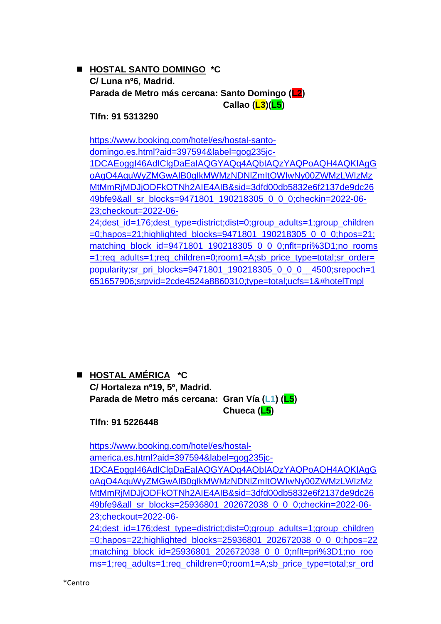#### ◼ **HOSTAL SANTO DOMINGO \*C C/ Luna nº6, Madrid. Parada de Metro más cercana: Santo Domingo (L2) Callao (L3)(L5)**

**Tlfn: 91 5313290**

[https://www.booking.com/hotel/es/hostal-santo](https://www.booking.com/hotel/es/hostal-santo-domingo.es.html?aid=397594&label=gog235jc-1DCAEoggI46AdIClgDaEaIAQGYAQq4AQbIAQzYAQPoAQH4AQKIAgGoAgO4AquWyZMGwAIB0gIkMWMzNDNlZmItOWIwNy00ZWMzLWIzMzMtMmRjMDJjODFkOTNh2AIE4AIB&sid=3dfd00db5832e6f2137de9dc2649bfe9&all_sr_blocks=9471801_190218305_0_0_0;checkin=2022-06-23;checkout=2022-06-24;dest_id=176;dest_type=district;dist=0;group_adults=1;group_children=0;hapos=21;highlighted_blocks=9471801_190218305_0_0_0;hpos=21;matching_block_id=9471801_190218305_0_0_0;nflt=pri%3D1;no_rooms=1;req_adults=1;req_children=0;room1=A;sb_price_type=total;sr_order=popularity;sr_pri_blocks=9471801_190218305_0_0_0__4500;srepoch=1651657906;srpvid=2cde4524a8860310;type=total;ucfs=1&#hotelTmpl)[domingo.es.html?aid=397594&label=gog235jc-](https://www.booking.com/hotel/es/hostal-santo-domingo.es.html?aid=397594&label=gog235jc-1DCAEoggI46AdIClgDaEaIAQGYAQq4AQbIAQzYAQPoAQH4AQKIAgGoAgO4AquWyZMGwAIB0gIkMWMzNDNlZmItOWIwNy00ZWMzLWIzMzMtMmRjMDJjODFkOTNh2AIE4AIB&sid=3dfd00db5832e6f2137de9dc2649bfe9&all_sr_blocks=9471801_190218305_0_0_0;checkin=2022-06-23;checkout=2022-06-24;dest_id=176;dest_type=district;dist=0;group_adults=1;group_children=0;hapos=21;highlighted_blocks=9471801_190218305_0_0_0;hpos=21;matching_block_id=9471801_190218305_0_0_0;nflt=pri%3D1;no_rooms=1;req_adults=1;req_children=0;room1=A;sb_price_type=total;sr_order=popularity;sr_pri_blocks=9471801_190218305_0_0_0__4500;srepoch=1651657906;srpvid=2cde4524a8860310;type=total;ucfs=1&#hotelTmpl)[1DCAEoggI46AdIClgDaEaIAQGYAQq4AQbIAQzYAQPoAQH4AQKIAgG](https://www.booking.com/hotel/es/hostal-santo-domingo.es.html?aid=397594&label=gog235jc-1DCAEoggI46AdIClgDaEaIAQGYAQq4AQbIAQzYAQPoAQH4AQKIAgGoAgO4AquWyZMGwAIB0gIkMWMzNDNlZmItOWIwNy00ZWMzLWIzMzMtMmRjMDJjODFkOTNh2AIE4AIB&sid=3dfd00db5832e6f2137de9dc2649bfe9&all_sr_blocks=9471801_190218305_0_0_0;checkin=2022-06-23;checkout=2022-06-24;dest_id=176;dest_type=district;dist=0;group_adults=1;group_children=0;hapos=21;highlighted_blocks=9471801_190218305_0_0_0;hpos=21;matching_block_id=9471801_190218305_0_0_0;nflt=pri%3D1;no_rooms=1;req_adults=1;req_children=0;room1=A;sb_price_type=total;sr_order=popularity;sr_pri_blocks=9471801_190218305_0_0_0__4500;srepoch=1651657906;srpvid=2cde4524a8860310;type=total;ucfs=1&#hotelTmpl) [oAgO4AquWyZMGwAIB0gIkMWMzNDNlZmItOWIwNy00ZWMzLWIzMz](https://www.booking.com/hotel/es/hostal-santo-domingo.es.html?aid=397594&label=gog235jc-1DCAEoggI46AdIClgDaEaIAQGYAQq4AQbIAQzYAQPoAQH4AQKIAgGoAgO4AquWyZMGwAIB0gIkMWMzNDNlZmItOWIwNy00ZWMzLWIzMzMtMmRjMDJjODFkOTNh2AIE4AIB&sid=3dfd00db5832e6f2137de9dc2649bfe9&all_sr_blocks=9471801_190218305_0_0_0;checkin=2022-06-23;checkout=2022-06-24;dest_id=176;dest_type=district;dist=0;group_adults=1;group_children=0;hapos=21;highlighted_blocks=9471801_190218305_0_0_0;hpos=21;matching_block_id=9471801_190218305_0_0_0;nflt=pri%3D1;no_rooms=1;req_adults=1;req_children=0;room1=A;sb_price_type=total;sr_order=popularity;sr_pri_blocks=9471801_190218305_0_0_0__4500;srepoch=1651657906;srpvid=2cde4524a8860310;type=total;ucfs=1&#hotelTmpl) [MtMmRjMDJjODFkOTNh2AIE4AIB&sid=3dfd00db5832e6f2137de9dc26](https://www.booking.com/hotel/es/hostal-santo-domingo.es.html?aid=397594&label=gog235jc-1DCAEoggI46AdIClgDaEaIAQGYAQq4AQbIAQzYAQPoAQH4AQKIAgGoAgO4AquWyZMGwAIB0gIkMWMzNDNlZmItOWIwNy00ZWMzLWIzMzMtMmRjMDJjODFkOTNh2AIE4AIB&sid=3dfd00db5832e6f2137de9dc2649bfe9&all_sr_blocks=9471801_190218305_0_0_0;checkin=2022-06-23;checkout=2022-06-24;dest_id=176;dest_type=district;dist=0;group_adults=1;group_children=0;hapos=21;highlighted_blocks=9471801_190218305_0_0_0;hpos=21;matching_block_id=9471801_190218305_0_0_0;nflt=pri%3D1;no_rooms=1;req_adults=1;req_children=0;room1=A;sb_price_type=total;sr_order=popularity;sr_pri_blocks=9471801_190218305_0_0_0__4500;srepoch=1651657906;srpvid=2cde4524a8860310;type=total;ucfs=1&#hotelTmpl) [49bfe9&all\\_sr\\_blocks=9471801\\_190218305\\_0\\_0\\_0;checkin=2022-06-](https://www.booking.com/hotel/es/hostal-santo-domingo.es.html?aid=397594&label=gog235jc-1DCAEoggI46AdIClgDaEaIAQGYAQq4AQbIAQzYAQPoAQH4AQKIAgGoAgO4AquWyZMGwAIB0gIkMWMzNDNlZmItOWIwNy00ZWMzLWIzMzMtMmRjMDJjODFkOTNh2AIE4AIB&sid=3dfd00db5832e6f2137de9dc2649bfe9&all_sr_blocks=9471801_190218305_0_0_0;checkin=2022-06-23;checkout=2022-06-24;dest_id=176;dest_type=district;dist=0;group_adults=1;group_children=0;hapos=21;highlighted_blocks=9471801_190218305_0_0_0;hpos=21;matching_block_id=9471801_190218305_0_0_0;nflt=pri%3D1;no_rooms=1;req_adults=1;req_children=0;room1=A;sb_price_type=total;sr_order=popularity;sr_pri_blocks=9471801_190218305_0_0_0__4500;srepoch=1651657906;srpvid=2cde4524a8860310;type=total;ucfs=1&#hotelTmpl) [23;checkout=2022-06-](https://www.booking.com/hotel/es/hostal-santo-domingo.es.html?aid=397594&label=gog235jc-1DCAEoggI46AdIClgDaEaIAQGYAQq4AQbIAQzYAQPoAQH4AQKIAgGoAgO4AquWyZMGwAIB0gIkMWMzNDNlZmItOWIwNy00ZWMzLWIzMzMtMmRjMDJjODFkOTNh2AIE4AIB&sid=3dfd00db5832e6f2137de9dc2649bfe9&all_sr_blocks=9471801_190218305_0_0_0;checkin=2022-06-23;checkout=2022-06-24;dest_id=176;dest_type=district;dist=0;group_adults=1;group_children=0;hapos=21;highlighted_blocks=9471801_190218305_0_0_0;hpos=21;matching_block_id=9471801_190218305_0_0_0;nflt=pri%3D1;no_rooms=1;req_adults=1;req_children=0;room1=A;sb_price_type=total;sr_order=popularity;sr_pri_blocks=9471801_190218305_0_0_0__4500;srepoch=1651657906;srpvid=2cde4524a8860310;type=total;ucfs=1&#hotelTmpl)

[24;dest\\_id=176;dest\\_type=district;dist=0;group\\_adults=1;group\\_children](https://www.booking.com/hotel/es/hostal-santo-domingo.es.html?aid=397594&label=gog235jc-1DCAEoggI46AdIClgDaEaIAQGYAQq4AQbIAQzYAQPoAQH4AQKIAgGoAgO4AquWyZMGwAIB0gIkMWMzNDNlZmItOWIwNy00ZWMzLWIzMzMtMmRjMDJjODFkOTNh2AIE4AIB&sid=3dfd00db5832e6f2137de9dc2649bfe9&all_sr_blocks=9471801_190218305_0_0_0;checkin=2022-06-23;checkout=2022-06-24;dest_id=176;dest_type=district;dist=0;group_adults=1;group_children=0;hapos=21;highlighted_blocks=9471801_190218305_0_0_0;hpos=21;matching_block_id=9471801_190218305_0_0_0;nflt=pri%3D1;no_rooms=1;req_adults=1;req_children=0;room1=A;sb_price_type=total;sr_order=popularity;sr_pri_blocks=9471801_190218305_0_0_0__4500;srepoch=1651657906;srpvid=2cde4524a8860310;type=total;ucfs=1&#hotelTmpl) [=0;hapos=21;highlighted\\_blocks=9471801\\_190218305\\_0\\_0\\_0;hpos=21;](https://www.booking.com/hotel/es/hostal-santo-domingo.es.html?aid=397594&label=gog235jc-1DCAEoggI46AdIClgDaEaIAQGYAQq4AQbIAQzYAQPoAQH4AQKIAgGoAgO4AquWyZMGwAIB0gIkMWMzNDNlZmItOWIwNy00ZWMzLWIzMzMtMmRjMDJjODFkOTNh2AIE4AIB&sid=3dfd00db5832e6f2137de9dc2649bfe9&all_sr_blocks=9471801_190218305_0_0_0;checkin=2022-06-23;checkout=2022-06-24;dest_id=176;dest_type=district;dist=0;group_adults=1;group_children=0;hapos=21;highlighted_blocks=9471801_190218305_0_0_0;hpos=21;matching_block_id=9471801_190218305_0_0_0;nflt=pri%3D1;no_rooms=1;req_adults=1;req_children=0;room1=A;sb_price_type=total;sr_order=popularity;sr_pri_blocks=9471801_190218305_0_0_0__4500;srepoch=1651657906;srpvid=2cde4524a8860310;type=total;ucfs=1&#hotelTmpl) [matching\\_block\\_id=9471801\\_190218305\\_0\\_0\\_0;nflt=pri%3D1;no\\_rooms](https://www.booking.com/hotel/es/hostal-santo-domingo.es.html?aid=397594&label=gog235jc-1DCAEoggI46AdIClgDaEaIAQGYAQq4AQbIAQzYAQPoAQH4AQKIAgGoAgO4AquWyZMGwAIB0gIkMWMzNDNlZmItOWIwNy00ZWMzLWIzMzMtMmRjMDJjODFkOTNh2AIE4AIB&sid=3dfd00db5832e6f2137de9dc2649bfe9&all_sr_blocks=9471801_190218305_0_0_0;checkin=2022-06-23;checkout=2022-06-24;dest_id=176;dest_type=district;dist=0;group_adults=1;group_children=0;hapos=21;highlighted_blocks=9471801_190218305_0_0_0;hpos=21;matching_block_id=9471801_190218305_0_0_0;nflt=pri%3D1;no_rooms=1;req_adults=1;req_children=0;room1=A;sb_price_type=total;sr_order=popularity;sr_pri_blocks=9471801_190218305_0_0_0__4500;srepoch=1651657906;srpvid=2cde4524a8860310;type=total;ucfs=1&#hotelTmpl) [=1;req\\_adults=1;req\\_children=0;room1=A;sb\\_price\\_type=total;sr\\_order=](https://www.booking.com/hotel/es/hostal-santo-domingo.es.html?aid=397594&label=gog235jc-1DCAEoggI46AdIClgDaEaIAQGYAQq4AQbIAQzYAQPoAQH4AQKIAgGoAgO4AquWyZMGwAIB0gIkMWMzNDNlZmItOWIwNy00ZWMzLWIzMzMtMmRjMDJjODFkOTNh2AIE4AIB&sid=3dfd00db5832e6f2137de9dc2649bfe9&all_sr_blocks=9471801_190218305_0_0_0;checkin=2022-06-23;checkout=2022-06-24;dest_id=176;dest_type=district;dist=0;group_adults=1;group_children=0;hapos=21;highlighted_blocks=9471801_190218305_0_0_0;hpos=21;matching_block_id=9471801_190218305_0_0_0;nflt=pri%3D1;no_rooms=1;req_adults=1;req_children=0;room1=A;sb_price_type=total;sr_order=popularity;sr_pri_blocks=9471801_190218305_0_0_0__4500;srepoch=1651657906;srpvid=2cde4524a8860310;type=total;ucfs=1&#hotelTmpl) [popularity;sr\\_pri\\_blocks=9471801\\_190218305\\_0\\_0\\_0\\_\\_4500;srepoch=1](https://www.booking.com/hotel/es/hostal-santo-domingo.es.html?aid=397594&label=gog235jc-1DCAEoggI46AdIClgDaEaIAQGYAQq4AQbIAQzYAQPoAQH4AQKIAgGoAgO4AquWyZMGwAIB0gIkMWMzNDNlZmItOWIwNy00ZWMzLWIzMzMtMmRjMDJjODFkOTNh2AIE4AIB&sid=3dfd00db5832e6f2137de9dc2649bfe9&all_sr_blocks=9471801_190218305_0_0_0;checkin=2022-06-23;checkout=2022-06-24;dest_id=176;dest_type=district;dist=0;group_adults=1;group_children=0;hapos=21;highlighted_blocks=9471801_190218305_0_0_0;hpos=21;matching_block_id=9471801_190218305_0_0_0;nflt=pri%3D1;no_rooms=1;req_adults=1;req_children=0;room1=A;sb_price_type=total;sr_order=popularity;sr_pri_blocks=9471801_190218305_0_0_0__4500;srepoch=1651657906;srpvid=2cde4524a8860310;type=total;ucfs=1&#hotelTmpl) [651657906;srpvid=2cde4524a8860310;type=total;ucfs=1&#hotelTmpl](https://www.booking.com/hotel/es/hostal-santo-domingo.es.html?aid=397594&label=gog235jc-1DCAEoggI46AdIClgDaEaIAQGYAQq4AQbIAQzYAQPoAQH4AQKIAgGoAgO4AquWyZMGwAIB0gIkMWMzNDNlZmItOWIwNy00ZWMzLWIzMzMtMmRjMDJjODFkOTNh2AIE4AIB&sid=3dfd00db5832e6f2137de9dc2649bfe9&all_sr_blocks=9471801_190218305_0_0_0;checkin=2022-06-23;checkout=2022-06-24;dest_id=176;dest_type=district;dist=0;group_adults=1;group_children=0;hapos=21;highlighted_blocks=9471801_190218305_0_0_0;hpos=21;matching_block_id=9471801_190218305_0_0_0;nflt=pri%3D1;no_rooms=1;req_adults=1;req_children=0;room1=A;sb_price_type=total;sr_order=popularity;sr_pri_blocks=9471801_190218305_0_0_0__4500;srepoch=1651657906;srpvid=2cde4524a8860310;type=total;ucfs=1&#hotelTmpl)

◼ **HOSTAL AMÉRICA \*C C/ Hortaleza nº19, 5º, Madrid. Parada de Metro más cercana: Gran Vía (L1) (L5) Chueca (L5)**

**Tlfn: 91 5226448**

[https://www.booking.com/hotel/es/hostal](https://www.booking.com/hotel/es/hostal-america.es.html?aid=397594&label=gog235jc-1DCAEoggI46AdIClgDaEaIAQGYAQq4AQbIAQzYAQPoAQH4AQKIAgGoAgO4AquWyZMGwAIB0gIkMWMzNDNlZmItOWIwNy00ZWMzLWIzMzMtMmRjMDJjODFkOTNh2AIE4AIB&sid=3dfd00db5832e6f2137de9dc2649bfe9&all_sr_blocks=25936801_202672038_0_0_0;checkin=2022-06-23;checkout=2022-06-24;dest_id=176;dest_type=district;dist=0;group_adults=1;group_children=0;hapos=22;highlighted_blocks=25936801_202672038_0_0_0;hpos=22;matching_block_id=25936801_202672038_0_0_0;nflt=pri%3D1;no_rooms=1;req_adults=1;req_children=0;room1=A;sb_price_type=total;sr_order=popularity;sr_pri_blocks=25936801_202672038_0_0_0__5000;srepoch=1651657906;srpvid=2cde4524a8860310;type=total;ucfs=1&#hotelTmpl)[america.es.html?aid=397594&label=gog235jc-](https://www.booking.com/hotel/es/hostal-america.es.html?aid=397594&label=gog235jc-1DCAEoggI46AdIClgDaEaIAQGYAQq4AQbIAQzYAQPoAQH4AQKIAgGoAgO4AquWyZMGwAIB0gIkMWMzNDNlZmItOWIwNy00ZWMzLWIzMzMtMmRjMDJjODFkOTNh2AIE4AIB&sid=3dfd00db5832e6f2137de9dc2649bfe9&all_sr_blocks=25936801_202672038_0_0_0;checkin=2022-06-23;checkout=2022-06-24;dest_id=176;dest_type=district;dist=0;group_adults=1;group_children=0;hapos=22;highlighted_blocks=25936801_202672038_0_0_0;hpos=22;matching_block_id=25936801_202672038_0_0_0;nflt=pri%3D1;no_rooms=1;req_adults=1;req_children=0;room1=A;sb_price_type=total;sr_order=popularity;sr_pri_blocks=25936801_202672038_0_0_0__5000;srepoch=1651657906;srpvid=2cde4524a8860310;type=total;ucfs=1&#hotelTmpl)[1DCAEoggI46AdIClgDaEaIAQGYAQq4AQbIAQzYAQPoAQH4AQKIAgG](https://www.booking.com/hotel/es/hostal-america.es.html?aid=397594&label=gog235jc-1DCAEoggI46AdIClgDaEaIAQGYAQq4AQbIAQzYAQPoAQH4AQKIAgGoAgO4AquWyZMGwAIB0gIkMWMzNDNlZmItOWIwNy00ZWMzLWIzMzMtMmRjMDJjODFkOTNh2AIE4AIB&sid=3dfd00db5832e6f2137de9dc2649bfe9&all_sr_blocks=25936801_202672038_0_0_0;checkin=2022-06-23;checkout=2022-06-24;dest_id=176;dest_type=district;dist=0;group_adults=1;group_children=0;hapos=22;highlighted_blocks=25936801_202672038_0_0_0;hpos=22;matching_block_id=25936801_202672038_0_0_0;nflt=pri%3D1;no_rooms=1;req_adults=1;req_children=0;room1=A;sb_price_type=total;sr_order=popularity;sr_pri_blocks=25936801_202672038_0_0_0__5000;srepoch=1651657906;srpvid=2cde4524a8860310;type=total;ucfs=1&#hotelTmpl)

[oAgO4AquWyZMGwAIB0gIkMWMzNDNlZmItOWIwNy00ZWMzLWIzMz](https://www.booking.com/hotel/es/hostal-america.es.html?aid=397594&label=gog235jc-1DCAEoggI46AdIClgDaEaIAQGYAQq4AQbIAQzYAQPoAQH4AQKIAgGoAgO4AquWyZMGwAIB0gIkMWMzNDNlZmItOWIwNy00ZWMzLWIzMzMtMmRjMDJjODFkOTNh2AIE4AIB&sid=3dfd00db5832e6f2137de9dc2649bfe9&all_sr_blocks=25936801_202672038_0_0_0;checkin=2022-06-23;checkout=2022-06-24;dest_id=176;dest_type=district;dist=0;group_adults=1;group_children=0;hapos=22;highlighted_blocks=25936801_202672038_0_0_0;hpos=22;matching_block_id=25936801_202672038_0_0_0;nflt=pri%3D1;no_rooms=1;req_adults=1;req_children=0;room1=A;sb_price_type=total;sr_order=popularity;sr_pri_blocks=25936801_202672038_0_0_0__5000;srepoch=1651657906;srpvid=2cde4524a8860310;type=total;ucfs=1&#hotelTmpl) [MtMmRjMDJjODFkOTNh2AIE4AIB&sid=3dfd00db5832e6f2137de9dc26](https://www.booking.com/hotel/es/hostal-america.es.html?aid=397594&label=gog235jc-1DCAEoggI46AdIClgDaEaIAQGYAQq4AQbIAQzYAQPoAQH4AQKIAgGoAgO4AquWyZMGwAIB0gIkMWMzNDNlZmItOWIwNy00ZWMzLWIzMzMtMmRjMDJjODFkOTNh2AIE4AIB&sid=3dfd00db5832e6f2137de9dc2649bfe9&all_sr_blocks=25936801_202672038_0_0_0;checkin=2022-06-23;checkout=2022-06-24;dest_id=176;dest_type=district;dist=0;group_adults=1;group_children=0;hapos=22;highlighted_blocks=25936801_202672038_0_0_0;hpos=22;matching_block_id=25936801_202672038_0_0_0;nflt=pri%3D1;no_rooms=1;req_adults=1;req_children=0;room1=A;sb_price_type=total;sr_order=popularity;sr_pri_blocks=25936801_202672038_0_0_0__5000;srepoch=1651657906;srpvid=2cde4524a8860310;type=total;ucfs=1&#hotelTmpl) [49bfe9&all\\_sr\\_blocks=25936801\\_202672038\\_0\\_0\\_0;checkin=2022-06-](https://www.booking.com/hotel/es/hostal-america.es.html?aid=397594&label=gog235jc-1DCAEoggI46AdIClgDaEaIAQGYAQq4AQbIAQzYAQPoAQH4AQKIAgGoAgO4AquWyZMGwAIB0gIkMWMzNDNlZmItOWIwNy00ZWMzLWIzMzMtMmRjMDJjODFkOTNh2AIE4AIB&sid=3dfd00db5832e6f2137de9dc2649bfe9&all_sr_blocks=25936801_202672038_0_0_0;checkin=2022-06-23;checkout=2022-06-24;dest_id=176;dest_type=district;dist=0;group_adults=1;group_children=0;hapos=22;highlighted_blocks=25936801_202672038_0_0_0;hpos=22;matching_block_id=25936801_202672038_0_0_0;nflt=pri%3D1;no_rooms=1;req_adults=1;req_children=0;room1=A;sb_price_type=total;sr_order=popularity;sr_pri_blocks=25936801_202672038_0_0_0__5000;srepoch=1651657906;srpvid=2cde4524a8860310;type=total;ucfs=1&#hotelTmpl) [23;checkout=2022-06-](https://www.booking.com/hotel/es/hostal-america.es.html?aid=397594&label=gog235jc-1DCAEoggI46AdIClgDaEaIAQGYAQq4AQbIAQzYAQPoAQH4AQKIAgGoAgO4AquWyZMGwAIB0gIkMWMzNDNlZmItOWIwNy00ZWMzLWIzMzMtMmRjMDJjODFkOTNh2AIE4AIB&sid=3dfd00db5832e6f2137de9dc2649bfe9&all_sr_blocks=25936801_202672038_0_0_0;checkin=2022-06-23;checkout=2022-06-24;dest_id=176;dest_type=district;dist=0;group_adults=1;group_children=0;hapos=22;highlighted_blocks=25936801_202672038_0_0_0;hpos=22;matching_block_id=25936801_202672038_0_0_0;nflt=pri%3D1;no_rooms=1;req_adults=1;req_children=0;room1=A;sb_price_type=total;sr_order=popularity;sr_pri_blocks=25936801_202672038_0_0_0__5000;srepoch=1651657906;srpvid=2cde4524a8860310;type=total;ucfs=1&#hotelTmpl)

[24;dest\\_id=176;dest\\_type=district;dist=0;group\\_adults=1;group\\_children](https://www.booking.com/hotel/es/hostal-america.es.html?aid=397594&label=gog235jc-1DCAEoggI46AdIClgDaEaIAQGYAQq4AQbIAQzYAQPoAQH4AQKIAgGoAgO4AquWyZMGwAIB0gIkMWMzNDNlZmItOWIwNy00ZWMzLWIzMzMtMmRjMDJjODFkOTNh2AIE4AIB&sid=3dfd00db5832e6f2137de9dc2649bfe9&all_sr_blocks=25936801_202672038_0_0_0;checkin=2022-06-23;checkout=2022-06-24;dest_id=176;dest_type=district;dist=0;group_adults=1;group_children=0;hapos=22;highlighted_blocks=25936801_202672038_0_0_0;hpos=22;matching_block_id=25936801_202672038_0_0_0;nflt=pri%3D1;no_rooms=1;req_adults=1;req_children=0;room1=A;sb_price_type=total;sr_order=popularity;sr_pri_blocks=25936801_202672038_0_0_0__5000;srepoch=1651657906;srpvid=2cde4524a8860310;type=total;ucfs=1&#hotelTmpl) [=0;hapos=22;highlighted\\_blocks=25936801\\_202672038\\_0\\_0\\_0;hpos=22](https://www.booking.com/hotel/es/hostal-america.es.html?aid=397594&label=gog235jc-1DCAEoggI46AdIClgDaEaIAQGYAQq4AQbIAQzYAQPoAQH4AQKIAgGoAgO4AquWyZMGwAIB0gIkMWMzNDNlZmItOWIwNy00ZWMzLWIzMzMtMmRjMDJjODFkOTNh2AIE4AIB&sid=3dfd00db5832e6f2137de9dc2649bfe9&all_sr_blocks=25936801_202672038_0_0_0;checkin=2022-06-23;checkout=2022-06-24;dest_id=176;dest_type=district;dist=0;group_adults=1;group_children=0;hapos=22;highlighted_blocks=25936801_202672038_0_0_0;hpos=22;matching_block_id=25936801_202672038_0_0_0;nflt=pri%3D1;no_rooms=1;req_adults=1;req_children=0;room1=A;sb_price_type=total;sr_order=popularity;sr_pri_blocks=25936801_202672038_0_0_0__5000;srepoch=1651657906;srpvid=2cde4524a8860310;type=total;ucfs=1&#hotelTmpl) [;matching\\_block\\_id=25936801\\_202672038\\_0\\_0\\_0;nflt=pri%3D1;no\\_roo](https://www.booking.com/hotel/es/hostal-america.es.html?aid=397594&label=gog235jc-1DCAEoggI46AdIClgDaEaIAQGYAQq4AQbIAQzYAQPoAQH4AQKIAgGoAgO4AquWyZMGwAIB0gIkMWMzNDNlZmItOWIwNy00ZWMzLWIzMzMtMmRjMDJjODFkOTNh2AIE4AIB&sid=3dfd00db5832e6f2137de9dc2649bfe9&all_sr_blocks=25936801_202672038_0_0_0;checkin=2022-06-23;checkout=2022-06-24;dest_id=176;dest_type=district;dist=0;group_adults=1;group_children=0;hapos=22;highlighted_blocks=25936801_202672038_0_0_0;hpos=22;matching_block_id=25936801_202672038_0_0_0;nflt=pri%3D1;no_rooms=1;req_adults=1;req_children=0;room1=A;sb_price_type=total;sr_order=popularity;sr_pri_blocks=25936801_202672038_0_0_0__5000;srepoch=1651657906;srpvid=2cde4524a8860310;type=total;ucfs=1&#hotelTmpl) [ms=1;req\\_adults=1;req\\_children=0;room1=A;sb\\_price\\_type=total;sr\\_ord](https://www.booking.com/hotel/es/hostal-america.es.html?aid=397594&label=gog235jc-1DCAEoggI46AdIClgDaEaIAQGYAQq4AQbIAQzYAQPoAQH4AQKIAgGoAgO4AquWyZMGwAIB0gIkMWMzNDNlZmItOWIwNy00ZWMzLWIzMzMtMmRjMDJjODFkOTNh2AIE4AIB&sid=3dfd00db5832e6f2137de9dc2649bfe9&all_sr_blocks=25936801_202672038_0_0_0;checkin=2022-06-23;checkout=2022-06-24;dest_id=176;dest_type=district;dist=0;group_adults=1;group_children=0;hapos=22;highlighted_blocks=25936801_202672038_0_0_0;hpos=22;matching_block_id=25936801_202672038_0_0_0;nflt=pri%3D1;no_rooms=1;req_adults=1;req_children=0;room1=A;sb_price_type=total;sr_order=popularity;sr_pri_blocks=25936801_202672038_0_0_0__5000;srepoch=1651657906;srpvid=2cde4524a8860310;type=total;ucfs=1&#hotelTmpl)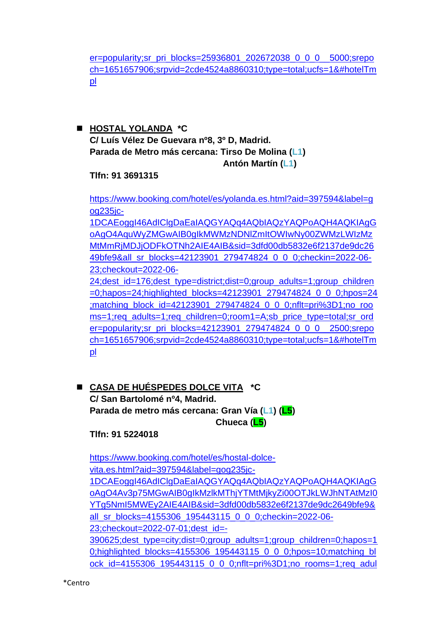[er=popularity;sr\\_pri\\_blocks=25936801\\_202672038\\_0\\_0\\_0\\_\\_5000;srepo](https://www.booking.com/hotel/es/hostal-america.es.html?aid=397594&label=gog235jc-1DCAEoggI46AdIClgDaEaIAQGYAQq4AQbIAQzYAQPoAQH4AQKIAgGoAgO4AquWyZMGwAIB0gIkMWMzNDNlZmItOWIwNy00ZWMzLWIzMzMtMmRjMDJjODFkOTNh2AIE4AIB&sid=3dfd00db5832e6f2137de9dc2649bfe9&all_sr_blocks=25936801_202672038_0_0_0;checkin=2022-06-23;checkout=2022-06-24;dest_id=176;dest_type=district;dist=0;group_adults=1;group_children=0;hapos=22;highlighted_blocks=25936801_202672038_0_0_0;hpos=22;matching_block_id=25936801_202672038_0_0_0;nflt=pri%3D1;no_rooms=1;req_adults=1;req_children=0;room1=A;sb_price_type=total;sr_order=popularity;sr_pri_blocks=25936801_202672038_0_0_0__5000;srepoch=1651657906;srpvid=2cde4524a8860310;type=total;ucfs=1&#hotelTmpl) [ch=1651657906;srpvid=2cde4524a8860310;type=total;ucfs=1&#hotelTm](https://www.booking.com/hotel/es/hostal-america.es.html?aid=397594&label=gog235jc-1DCAEoggI46AdIClgDaEaIAQGYAQq4AQbIAQzYAQPoAQH4AQKIAgGoAgO4AquWyZMGwAIB0gIkMWMzNDNlZmItOWIwNy00ZWMzLWIzMzMtMmRjMDJjODFkOTNh2AIE4AIB&sid=3dfd00db5832e6f2137de9dc2649bfe9&all_sr_blocks=25936801_202672038_0_0_0;checkin=2022-06-23;checkout=2022-06-24;dest_id=176;dest_type=district;dist=0;group_adults=1;group_children=0;hapos=22;highlighted_blocks=25936801_202672038_0_0_0;hpos=22;matching_block_id=25936801_202672038_0_0_0;nflt=pri%3D1;no_rooms=1;req_adults=1;req_children=0;room1=A;sb_price_type=total;sr_order=popularity;sr_pri_blocks=25936801_202672038_0_0_0__5000;srepoch=1651657906;srpvid=2cde4524a8860310;type=total;ucfs=1&#hotelTmpl) [pl](https://www.booking.com/hotel/es/hostal-america.es.html?aid=397594&label=gog235jc-1DCAEoggI46AdIClgDaEaIAQGYAQq4AQbIAQzYAQPoAQH4AQKIAgGoAgO4AquWyZMGwAIB0gIkMWMzNDNlZmItOWIwNy00ZWMzLWIzMzMtMmRjMDJjODFkOTNh2AIE4AIB&sid=3dfd00db5832e6f2137de9dc2649bfe9&all_sr_blocks=25936801_202672038_0_0_0;checkin=2022-06-23;checkout=2022-06-24;dest_id=176;dest_type=district;dist=0;group_adults=1;group_children=0;hapos=22;highlighted_blocks=25936801_202672038_0_0_0;hpos=22;matching_block_id=25936801_202672038_0_0_0;nflt=pri%3D1;no_rooms=1;req_adults=1;req_children=0;room1=A;sb_price_type=total;sr_order=popularity;sr_pri_blocks=25936801_202672038_0_0_0__5000;srepoch=1651657906;srpvid=2cde4524a8860310;type=total;ucfs=1&#hotelTmpl)

◼ **HOSTAL YOLANDA \*C C/ Luís Vélez De Guevara nº8, 3º D, Madrid. Parada de Metro más cercana: Tirso De Molina (L1) Antón Martín (L1)**

**Tlfn: 91 3691315**

[https://www.booking.com/hotel/es/yolanda.es.html?aid=397594&label=g](https://www.booking.com/hotel/es/yolanda.es.html?aid=397594&label=gog235jc-1DCAEoggI46AdIClgDaEaIAQGYAQq4AQbIAQzYAQPoAQH4AQKIAgGoAgO4AquWyZMGwAIB0gIkMWMzNDNlZmItOWIwNy00ZWMzLWIzMzMtMmRjMDJjODFkOTNh2AIE4AIB&sid=3dfd00db5832e6f2137de9dc2649bfe9&all_sr_blocks=42123901_279474824_0_0_0;checkin=2022-06-23;checkout=2022-06-24;dest_id=176;dest_type=district;dist=0;group_adults=1;group_children=0;hapos=24;highlighted_blocks=42123901_279474824_0_0_0;hpos=24;matching_block_id=42123901_279474824_0_0_0;nflt=pri%3D1;no_rooms=1;req_adults=1;req_children=0;room1=A;sb_price_type=total;sr_order=popularity;sr_pri_blocks=42123901_279474824_0_0_0__2500;srepoch=1651657906;srpvid=2cde4524a8860310;type=total;ucfs=1&#hotelTmpl) og<sub>235ic</sub>-

[1DCAEoggI46AdIClgDaEaIAQGYAQq4AQbIAQzYAQPoAQH4AQKIAgG](https://www.booking.com/hotel/es/yolanda.es.html?aid=397594&label=gog235jc-1DCAEoggI46AdIClgDaEaIAQGYAQq4AQbIAQzYAQPoAQH4AQKIAgGoAgO4AquWyZMGwAIB0gIkMWMzNDNlZmItOWIwNy00ZWMzLWIzMzMtMmRjMDJjODFkOTNh2AIE4AIB&sid=3dfd00db5832e6f2137de9dc2649bfe9&all_sr_blocks=42123901_279474824_0_0_0;checkin=2022-06-23;checkout=2022-06-24;dest_id=176;dest_type=district;dist=0;group_adults=1;group_children=0;hapos=24;highlighted_blocks=42123901_279474824_0_0_0;hpos=24;matching_block_id=42123901_279474824_0_0_0;nflt=pri%3D1;no_rooms=1;req_adults=1;req_children=0;room1=A;sb_price_type=total;sr_order=popularity;sr_pri_blocks=42123901_279474824_0_0_0__2500;srepoch=1651657906;srpvid=2cde4524a8860310;type=total;ucfs=1&#hotelTmpl) [oAgO4AquWyZMGwAIB0gIkMWMzNDNlZmItOWIwNy00ZWMzLWIzMz](https://www.booking.com/hotel/es/yolanda.es.html?aid=397594&label=gog235jc-1DCAEoggI46AdIClgDaEaIAQGYAQq4AQbIAQzYAQPoAQH4AQKIAgGoAgO4AquWyZMGwAIB0gIkMWMzNDNlZmItOWIwNy00ZWMzLWIzMzMtMmRjMDJjODFkOTNh2AIE4AIB&sid=3dfd00db5832e6f2137de9dc2649bfe9&all_sr_blocks=42123901_279474824_0_0_0;checkin=2022-06-23;checkout=2022-06-24;dest_id=176;dest_type=district;dist=0;group_adults=1;group_children=0;hapos=24;highlighted_blocks=42123901_279474824_0_0_0;hpos=24;matching_block_id=42123901_279474824_0_0_0;nflt=pri%3D1;no_rooms=1;req_adults=1;req_children=0;room1=A;sb_price_type=total;sr_order=popularity;sr_pri_blocks=42123901_279474824_0_0_0__2500;srepoch=1651657906;srpvid=2cde4524a8860310;type=total;ucfs=1&#hotelTmpl) [MtMmRjMDJjODFkOTNh2AIE4AIB&sid=3dfd00db5832e6f2137de9dc26](https://www.booking.com/hotel/es/yolanda.es.html?aid=397594&label=gog235jc-1DCAEoggI46AdIClgDaEaIAQGYAQq4AQbIAQzYAQPoAQH4AQKIAgGoAgO4AquWyZMGwAIB0gIkMWMzNDNlZmItOWIwNy00ZWMzLWIzMzMtMmRjMDJjODFkOTNh2AIE4AIB&sid=3dfd00db5832e6f2137de9dc2649bfe9&all_sr_blocks=42123901_279474824_0_0_0;checkin=2022-06-23;checkout=2022-06-24;dest_id=176;dest_type=district;dist=0;group_adults=1;group_children=0;hapos=24;highlighted_blocks=42123901_279474824_0_0_0;hpos=24;matching_block_id=42123901_279474824_0_0_0;nflt=pri%3D1;no_rooms=1;req_adults=1;req_children=0;room1=A;sb_price_type=total;sr_order=popularity;sr_pri_blocks=42123901_279474824_0_0_0__2500;srepoch=1651657906;srpvid=2cde4524a8860310;type=total;ucfs=1&#hotelTmpl) [49bfe9&all\\_sr\\_blocks=42123901\\_279474824\\_0\\_0\\_0;checkin=2022-06-](https://www.booking.com/hotel/es/yolanda.es.html?aid=397594&label=gog235jc-1DCAEoggI46AdIClgDaEaIAQGYAQq4AQbIAQzYAQPoAQH4AQKIAgGoAgO4AquWyZMGwAIB0gIkMWMzNDNlZmItOWIwNy00ZWMzLWIzMzMtMmRjMDJjODFkOTNh2AIE4AIB&sid=3dfd00db5832e6f2137de9dc2649bfe9&all_sr_blocks=42123901_279474824_0_0_0;checkin=2022-06-23;checkout=2022-06-24;dest_id=176;dest_type=district;dist=0;group_adults=1;group_children=0;hapos=24;highlighted_blocks=42123901_279474824_0_0_0;hpos=24;matching_block_id=42123901_279474824_0_0_0;nflt=pri%3D1;no_rooms=1;req_adults=1;req_children=0;room1=A;sb_price_type=total;sr_order=popularity;sr_pri_blocks=42123901_279474824_0_0_0__2500;srepoch=1651657906;srpvid=2cde4524a8860310;type=total;ucfs=1&#hotelTmpl) [23;checkout=2022-06-](https://www.booking.com/hotel/es/yolanda.es.html?aid=397594&label=gog235jc-1DCAEoggI46AdIClgDaEaIAQGYAQq4AQbIAQzYAQPoAQH4AQKIAgGoAgO4AquWyZMGwAIB0gIkMWMzNDNlZmItOWIwNy00ZWMzLWIzMzMtMmRjMDJjODFkOTNh2AIE4AIB&sid=3dfd00db5832e6f2137de9dc2649bfe9&all_sr_blocks=42123901_279474824_0_0_0;checkin=2022-06-23;checkout=2022-06-24;dest_id=176;dest_type=district;dist=0;group_adults=1;group_children=0;hapos=24;highlighted_blocks=42123901_279474824_0_0_0;hpos=24;matching_block_id=42123901_279474824_0_0_0;nflt=pri%3D1;no_rooms=1;req_adults=1;req_children=0;room1=A;sb_price_type=total;sr_order=popularity;sr_pri_blocks=42123901_279474824_0_0_0__2500;srepoch=1651657906;srpvid=2cde4524a8860310;type=total;ucfs=1&#hotelTmpl)

[24;dest\\_id=176;dest\\_type=district;dist=0;group\\_adults=1;group\\_children](https://www.booking.com/hotel/es/yolanda.es.html?aid=397594&label=gog235jc-1DCAEoggI46AdIClgDaEaIAQGYAQq4AQbIAQzYAQPoAQH4AQKIAgGoAgO4AquWyZMGwAIB0gIkMWMzNDNlZmItOWIwNy00ZWMzLWIzMzMtMmRjMDJjODFkOTNh2AIE4AIB&sid=3dfd00db5832e6f2137de9dc2649bfe9&all_sr_blocks=42123901_279474824_0_0_0;checkin=2022-06-23;checkout=2022-06-24;dest_id=176;dest_type=district;dist=0;group_adults=1;group_children=0;hapos=24;highlighted_blocks=42123901_279474824_0_0_0;hpos=24;matching_block_id=42123901_279474824_0_0_0;nflt=pri%3D1;no_rooms=1;req_adults=1;req_children=0;room1=A;sb_price_type=total;sr_order=popularity;sr_pri_blocks=42123901_279474824_0_0_0__2500;srepoch=1651657906;srpvid=2cde4524a8860310;type=total;ucfs=1&#hotelTmpl)  $=0$ ;hapos=24;highlighted\_blocks=42123901\_279474824\_0\_0\_0;hpos=24 [;matching\\_block\\_id=42123901\\_279474824\\_0\\_0\\_0;nflt=pri%3D1;no\\_roo](https://www.booking.com/hotel/es/yolanda.es.html?aid=397594&label=gog235jc-1DCAEoggI46AdIClgDaEaIAQGYAQq4AQbIAQzYAQPoAQH4AQKIAgGoAgO4AquWyZMGwAIB0gIkMWMzNDNlZmItOWIwNy00ZWMzLWIzMzMtMmRjMDJjODFkOTNh2AIE4AIB&sid=3dfd00db5832e6f2137de9dc2649bfe9&all_sr_blocks=42123901_279474824_0_0_0;checkin=2022-06-23;checkout=2022-06-24;dest_id=176;dest_type=district;dist=0;group_adults=1;group_children=0;hapos=24;highlighted_blocks=42123901_279474824_0_0_0;hpos=24;matching_block_id=42123901_279474824_0_0_0;nflt=pri%3D1;no_rooms=1;req_adults=1;req_children=0;room1=A;sb_price_type=total;sr_order=popularity;sr_pri_blocks=42123901_279474824_0_0_0__2500;srepoch=1651657906;srpvid=2cde4524a8860310;type=total;ucfs=1&#hotelTmpl) [ms=1;req\\_adults=1;req\\_children=0;room1=A;sb\\_price\\_type=total;sr\\_ord](https://www.booking.com/hotel/es/yolanda.es.html?aid=397594&label=gog235jc-1DCAEoggI46AdIClgDaEaIAQGYAQq4AQbIAQzYAQPoAQH4AQKIAgGoAgO4AquWyZMGwAIB0gIkMWMzNDNlZmItOWIwNy00ZWMzLWIzMzMtMmRjMDJjODFkOTNh2AIE4AIB&sid=3dfd00db5832e6f2137de9dc2649bfe9&all_sr_blocks=42123901_279474824_0_0_0;checkin=2022-06-23;checkout=2022-06-24;dest_id=176;dest_type=district;dist=0;group_adults=1;group_children=0;hapos=24;highlighted_blocks=42123901_279474824_0_0_0;hpos=24;matching_block_id=42123901_279474824_0_0_0;nflt=pri%3D1;no_rooms=1;req_adults=1;req_children=0;room1=A;sb_price_type=total;sr_order=popularity;sr_pri_blocks=42123901_279474824_0_0_0__2500;srepoch=1651657906;srpvid=2cde4524a8860310;type=total;ucfs=1&#hotelTmpl) [er=popularity;sr\\_pri\\_blocks=42123901\\_279474824\\_0\\_0\\_0\\_\\_2500;srepo](https://www.booking.com/hotel/es/yolanda.es.html?aid=397594&label=gog235jc-1DCAEoggI46AdIClgDaEaIAQGYAQq4AQbIAQzYAQPoAQH4AQKIAgGoAgO4AquWyZMGwAIB0gIkMWMzNDNlZmItOWIwNy00ZWMzLWIzMzMtMmRjMDJjODFkOTNh2AIE4AIB&sid=3dfd00db5832e6f2137de9dc2649bfe9&all_sr_blocks=42123901_279474824_0_0_0;checkin=2022-06-23;checkout=2022-06-24;dest_id=176;dest_type=district;dist=0;group_adults=1;group_children=0;hapos=24;highlighted_blocks=42123901_279474824_0_0_0;hpos=24;matching_block_id=42123901_279474824_0_0_0;nflt=pri%3D1;no_rooms=1;req_adults=1;req_children=0;room1=A;sb_price_type=total;sr_order=popularity;sr_pri_blocks=42123901_279474824_0_0_0__2500;srepoch=1651657906;srpvid=2cde4524a8860310;type=total;ucfs=1&#hotelTmpl) [ch=1651657906;srpvid=2cde4524a8860310;type=total;ucfs=1&#hotelTm](https://www.booking.com/hotel/es/yolanda.es.html?aid=397594&label=gog235jc-1DCAEoggI46AdIClgDaEaIAQGYAQq4AQbIAQzYAQPoAQH4AQKIAgGoAgO4AquWyZMGwAIB0gIkMWMzNDNlZmItOWIwNy00ZWMzLWIzMzMtMmRjMDJjODFkOTNh2AIE4AIB&sid=3dfd00db5832e6f2137de9dc2649bfe9&all_sr_blocks=42123901_279474824_0_0_0;checkin=2022-06-23;checkout=2022-06-24;dest_id=176;dest_type=district;dist=0;group_adults=1;group_children=0;hapos=24;highlighted_blocks=42123901_279474824_0_0_0;hpos=24;matching_block_id=42123901_279474824_0_0_0;nflt=pri%3D1;no_rooms=1;req_adults=1;req_children=0;room1=A;sb_price_type=total;sr_order=popularity;sr_pri_blocks=42123901_279474824_0_0_0__2500;srepoch=1651657906;srpvid=2cde4524a8860310;type=total;ucfs=1&#hotelTmpl) [pl](https://www.booking.com/hotel/es/yolanda.es.html?aid=397594&label=gog235jc-1DCAEoggI46AdIClgDaEaIAQGYAQq4AQbIAQzYAQPoAQH4AQKIAgGoAgO4AquWyZMGwAIB0gIkMWMzNDNlZmItOWIwNy00ZWMzLWIzMzMtMmRjMDJjODFkOTNh2AIE4AIB&sid=3dfd00db5832e6f2137de9dc2649bfe9&all_sr_blocks=42123901_279474824_0_0_0;checkin=2022-06-23;checkout=2022-06-24;dest_id=176;dest_type=district;dist=0;group_adults=1;group_children=0;hapos=24;highlighted_blocks=42123901_279474824_0_0_0;hpos=24;matching_block_id=42123901_279474824_0_0_0;nflt=pri%3D1;no_rooms=1;req_adults=1;req_children=0;room1=A;sb_price_type=total;sr_order=popularity;sr_pri_blocks=42123901_279474824_0_0_0__2500;srepoch=1651657906;srpvid=2cde4524a8860310;type=total;ucfs=1&#hotelTmpl)

◼ **CASA DE HUÉSPEDES DOLCE VITA \*C C/ San Bartolomé nº4, Madrid. Parada de metro más cercana: Gran Vía (L1) (L5) Chueca (L5)**

**Tlfn: 91 5224018**

[https://www.booking.com/hotel/es/hostal-dolce](https://www.booking.com/hotel/es/hostal-dolce-vita.es.html?aid=397594&label=gog235jc-1DCAEoggI46AdIClgDaEaIAQGYAQq4AQbIAQzYAQPoAQH4AQKIAgGoAgO4Av3p75MGwAIB0gIkMzlkMThjYTMtMjkyZi00OTJkLWJhNTAtMzI0YTg5NmI5MWEy2AIE4AIB&sid=3dfd00db5832e6f2137de9dc2649bfe9&all_sr_blocks=4155306_195443115_0_0_0;checkin=2022-06-23;checkout=2022-07-01;dest_id=-390625;dest_type=city;dist=0;group_adults=1;group_children=0;hapos=10;highlighted_blocks=4155306_195443115_0_0_0;hpos=10;matching_block_id=4155306_195443115_0_0_0;nflt=pri%3D1;no_rooms=1;req_adults=1;req_children=0;room1=A;sb_price_type=total;sr_order=popularity;sr_pri_blocks=4155306_195443115_0_0_0__31960;srepoch=1652290843;srpvid=3e797c466d6b031b;type=total;ucfs=1&#availability)[vita.es.html?aid=397594&label=gog235jc-](https://www.booking.com/hotel/es/hostal-dolce-vita.es.html?aid=397594&label=gog235jc-1DCAEoggI46AdIClgDaEaIAQGYAQq4AQbIAQzYAQPoAQH4AQKIAgGoAgO4Av3p75MGwAIB0gIkMzlkMThjYTMtMjkyZi00OTJkLWJhNTAtMzI0YTg5NmI5MWEy2AIE4AIB&sid=3dfd00db5832e6f2137de9dc2649bfe9&all_sr_blocks=4155306_195443115_0_0_0;checkin=2022-06-23;checkout=2022-07-01;dest_id=-390625;dest_type=city;dist=0;group_adults=1;group_children=0;hapos=10;highlighted_blocks=4155306_195443115_0_0_0;hpos=10;matching_block_id=4155306_195443115_0_0_0;nflt=pri%3D1;no_rooms=1;req_adults=1;req_children=0;room1=A;sb_price_type=total;sr_order=popularity;sr_pri_blocks=4155306_195443115_0_0_0__31960;srepoch=1652290843;srpvid=3e797c466d6b031b;type=total;ucfs=1&#availability)[1DCAEoggI46AdIClgDaEaIAQGYAQq4AQbIAQzYAQPoAQH4AQKIAgG](https://www.booking.com/hotel/es/hostal-dolce-vita.es.html?aid=397594&label=gog235jc-1DCAEoggI46AdIClgDaEaIAQGYAQq4AQbIAQzYAQPoAQH4AQKIAgGoAgO4Av3p75MGwAIB0gIkMzlkMThjYTMtMjkyZi00OTJkLWJhNTAtMzI0YTg5NmI5MWEy2AIE4AIB&sid=3dfd00db5832e6f2137de9dc2649bfe9&all_sr_blocks=4155306_195443115_0_0_0;checkin=2022-06-23;checkout=2022-07-01;dest_id=-390625;dest_type=city;dist=0;group_adults=1;group_children=0;hapos=10;highlighted_blocks=4155306_195443115_0_0_0;hpos=10;matching_block_id=4155306_195443115_0_0_0;nflt=pri%3D1;no_rooms=1;req_adults=1;req_children=0;room1=A;sb_price_type=total;sr_order=popularity;sr_pri_blocks=4155306_195443115_0_0_0__31960;srepoch=1652290843;srpvid=3e797c466d6b031b;type=total;ucfs=1&#availability) [oAgO4Av3p75MGwAIB0gIkMzlkMThjYTMtMjkyZi00OTJkLWJhNTAtMzI0](https://www.booking.com/hotel/es/hostal-dolce-vita.es.html?aid=397594&label=gog235jc-1DCAEoggI46AdIClgDaEaIAQGYAQq4AQbIAQzYAQPoAQH4AQKIAgGoAgO4Av3p75MGwAIB0gIkMzlkMThjYTMtMjkyZi00OTJkLWJhNTAtMzI0YTg5NmI5MWEy2AIE4AIB&sid=3dfd00db5832e6f2137de9dc2649bfe9&all_sr_blocks=4155306_195443115_0_0_0;checkin=2022-06-23;checkout=2022-07-01;dest_id=-390625;dest_type=city;dist=0;group_adults=1;group_children=0;hapos=10;highlighted_blocks=4155306_195443115_0_0_0;hpos=10;matching_block_id=4155306_195443115_0_0_0;nflt=pri%3D1;no_rooms=1;req_adults=1;req_children=0;room1=A;sb_price_type=total;sr_order=popularity;sr_pri_blocks=4155306_195443115_0_0_0__31960;srepoch=1652290843;srpvid=3e797c466d6b031b;type=total;ucfs=1&#availability) [YTg5NmI5MWEy2AIE4AIB&sid=3dfd00db5832e6f2137de9dc2649bfe9&](https://www.booking.com/hotel/es/hostal-dolce-vita.es.html?aid=397594&label=gog235jc-1DCAEoggI46AdIClgDaEaIAQGYAQq4AQbIAQzYAQPoAQH4AQKIAgGoAgO4Av3p75MGwAIB0gIkMzlkMThjYTMtMjkyZi00OTJkLWJhNTAtMzI0YTg5NmI5MWEy2AIE4AIB&sid=3dfd00db5832e6f2137de9dc2649bfe9&all_sr_blocks=4155306_195443115_0_0_0;checkin=2022-06-23;checkout=2022-07-01;dest_id=-390625;dest_type=city;dist=0;group_adults=1;group_children=0;hapos=10;highlighted_blocks=4155306_195443115_0_0_0;hpos=10;matching_block_id=4155306_195443115_0_0_0;nflt=pri%3D1;no_rooms=1;req_adults=1;req_children=0;room1=A;sb_price_type=total;sr_order=popularity;sr_pri_blocks=4155306_195443115_0_0_0__31960;srepoch=1652290843;srpvid=3e797c466d6b031b;type=total;ucfs=1&#availability) [all\\_sr\\_blocks=4155306\\_195443115\\_0\\_0\\_0;checkin=2022-06-](https://www.booking.com/hotel/es/hostal-dolce-vita.es.html?aid=397594&label=gog235jc-1DCAEoggI46AdIClgDaEaIAQGYAQq4AQbIAQzYAQPoAQH4AQKIAgGoAgO4Av3p75MGwAIB0gIkMzlkMThjYTMtMjkyZi00OTJkLWJhNTAtMzI0YTg5NmI5MWEy2AIE4AIB&sid=3dfd00db5832e6f2137de9dc2649bfe9&all_sr_blocks=4155306_195443115_0_0_0;checkin=2022-06-23;checkout=2022-07-01;dest_id=-390625;dest_type=city;dist=0;group_adults=1;group_children=0;hapos=10;highlighted_blocks=4155306_195443115_0_0_0;hpos=10;matching_block_id=4155306_195443115_0_0_0;nflt=pri%3D1;no_rooms=1;req_adults=1;req_children=0;room1=A;sb_price_type=total;sr_order=popularity;sr_pri_blocks=4155306_195443115_0_0_0__31960;srepoch=1652290843;srpvid=3e797c466d6b031b;type=total;ucfs=1&#availability) [23;checkout=2022-07-01;dest\\_id=-](https://www.booking.com/hotel/es/hostal-dolce-vita.es.html?aid=397594&label=gog235jc-1DCAEoggI46AdIClgDaEaIAQGYAQq4AQbIAQzYAQPoAQH4AQKIAgGoAgO4Av3p75MGwAIB0gIkMzlkMThjYTMtMjkyZi00OTJkLWJhNTAtMzI0YTg5NmI5MWEy2AIE4AIB&sid=3dfd00db5832e6f2137de9dc2649bfe9&all_sr_blocks=4155306_195443115_0_0_0;checkin=2022-06-23;checkout=2022-07-01;dest_id=-390625;dest_type=city;dist=0;group_adults=1;group_children=0;hapos=10;highlighted_blocks=4155306_195443115_0_0_0;hpos=10;matching_block_id=4155306_195443115_0_0_0;nflt=pri%3D1;no_rooms=1;req_adults=1;req_children=0;room1=A;sb_price_type=total;sr_order=popularity;sr_pri_blocks=4155306_195443115_0_0_0__31960;srepoch=1652290843;srpvid=3e797c466d6b031b;type=total;ucfs=1&#availability) [390625;dest\\_type=city;dist=0;group\\_adults=1;group\\_children=0;hapos=1](https://www.booking.com/hotel/es/hostal-dolce-vita.es.html?aid=397594&label=gog235jc-1DCAEoggI46AdIClgDaEaIAQGYAQq4AQbIAQzYAQPoAQH4AQKIAgGoAgO4Av3p75MGwAIB0gIkMzlkMThjYTMtMjkyZi00OTJkLWJhNTAtMzI0YTg5NmI5MWEy2AIE4AIB&sid=3dfd00db5832e6f2137de9dc2649bfe9&all_sr_blocks=4155306_195443115_0_0_0;checkin=2022-06-23;checkout=2022-07-01;dest_id=-390625;dest_type=city;dist=0;group_adults=1;group_children=0;hapos=10;highlighted_blocks=4155306_195443115_0_0_0;hpos=10;matching_block_id=4155306_195443115_0_0_0;nflt=pri%3D1;no_rooms=1;req_adults=1;req_children=0;room1=A;sb_price_type=total;sr_order=popularity;sr_pri_blocks=4155306_195443115_0_0_0__31960;srepoch=1652290843;srpvid=3e797c466d6b031b;type=total;ucfs=1&#availability) [0;highlighted\\_blocks=4155306\\_195443115\\_0\\_0\\_0;hpos=10;matching\\_bl](https://www.booking.com/hotel/es/hostal-dolce-vita.es.html?aid=397594&label=gog235jc-1DCAEoggI46AdIClgDaEaIAQGYAQq4AQbIAQzYAQPoAQH4AQKIAgGoAgO4Av3p75MGwAIB0gIkMzlkMThjYTMtMjkyZi00OTJkLWJhNTAtMzI0YTg5NmI5MWEy2AIE4AIB&sid=3dfd00db5832e6f2137de9dc2649bfe9&all_sr_blocks=4155306_195443115_0_0_0;checkin=2022-06-23;checkout=2022-07-01;dest_id=-390625;dest_type=city;dist=0;group_adults=1;group_children=0;hapos=10;highlighted_blocks=4155306_195443115_0_0_0;hpos=10;matching_block_id=4155306_195443115_0_0_0;nflt=pri%3D1;no_rooms=1;req_adults=1;req_children=0;room1=A;sb_price_type=total;sr_order=popularity;sr_pri_blocks=4155306_195443115_0_0_0__31960;srepoch=1652290843;srpvid=3e797c466d6b031b;type=total;ucfs=1&#availability) [ock\\_id=4155306\\_195443115\\_0\\_0\\_0;nflt=pri%3D1;no\\_rooms=1;req\\_adul](https://www.booking.com/hotel/es/hostal-dolce-vita.es.html?aid=397594&label=gog235jc-1DCAEoggI46AdIClgDaEaIAQGYAQq4AQbIAQzYAQPoAQH4AQKIAgGoAgO4Av3p75MGwAIB0gIkMzlkMThjYTMtMjkyZi00OTJkLWJhNTAtMzI0YTg5NmI5MWEy2AIE4AIB&sid=3dfd00db5832e6f2137de9dc2649bfe9&all_sr_blocks=4155306_195443115_0_0_0;checkin=2022-06-23;checkout=2022-07-01;dest_id=-390625;dest_type=city;dist=0;group_adults=1;group_children=0;hapos=10;highlighted_blocks=4155306_195443115_0_0_0;hpos=10;matching_block_id=4155306_195443115_0_0_0;nflt=pri%3D1;no_rooms=1;req_adults=1;req_children=0;room1=A;sb_price_type=total;sr_order=popularity;sr_pri_blocks=4155306_195443115_0_0_0__31960;srepoch=1652290843;srpvid=3e797c466d6b031b;type=total;ucfs=1&#availability)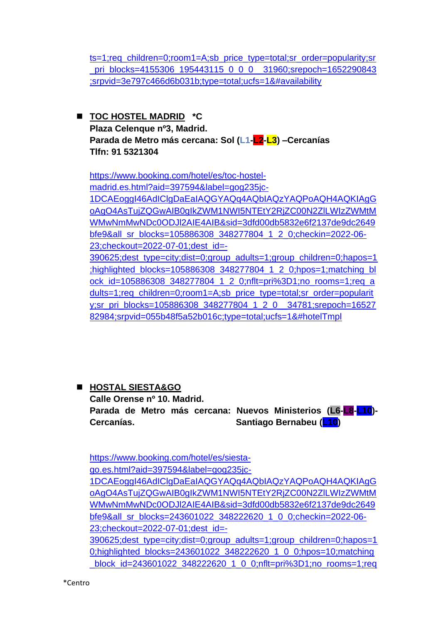[ts=1;req\\_children=0;room1=A;sb\\_price\\_type=total;sr\\_order=popularity;sr](https://www.booking.com/hotel/es/hostal-dolce-vita.es.html?aid=397594&label=gog235jc-1DCAEoggI46AdIClgDaEaIAQGYAQq4AQbIAQzYAQPoAQH4AQKIAgGoAgO4Av3p75MGwAIB0gIkMzlkMThjYTMtMjkyZi00OTJkLWJhNTAtMzI0YTg5NmI5MWEy2AIE4AIB&sid=3dfd00db5832e6f2137de9dc2649bfe9&all_sr_blocks=4155306_195443115_0_0_0;checkin=2022-06-23;checkout=2022-07-01;dest_id=-390625;dest_type=city;dist=0;group_adults=1;group_children=0;hapos=10;highlighted_blocks=4155306_195443115_0_0_0;hpos=10;matching_block_id=4155306_195443115_0_0_0;nflt=pri%3D1;no_rooms=1;req_adults=1;req_children=0;room1=A;sb_price_type=total;sr_order=popularity;sr_pri_blocks=4155306_195443115_0_0_0__31960;srepoch=1652290843;srpvid=3e797c466d6b031b;type=total;ucfs=1&#availability) pri\_blocks=4155306\_195443115\_0\_0\_0\_\_31960;srepoch=1652290843 [;srpvid=3e797c466d6b031b;type=total;ucfs=1&#availability](https://www.booking.com/hotel/es/hostal-dolce-vita.es.html?aid=397594&label=gog235jc-1DCAEoggI46AdIClgDaEaIAQGYAQq4AQbIAQzYAQPoAQH4AQKIAgGoAgO4Av3p75MGwAIB0gIkMzlkMThjYTMtMjkyZi00OTJkLWJhNTAtMzI0YTg5NmI5MWEy2AIE4AIB&sid=3dfd00db5832e6f2137de9dc2649bfe9&all_sr_blocks=4155306_195443115_0_0_0;checkin=2022-06-23;checkout=2022-07-01;dest_id=-390625;dest_type=city;dist=0;group_adults=1;group_children=0;hapos=10;highlighted_blocks=4155306_195443115_0_0_0;hpos=10;matching_block_id=4155306_195443115_0_0_0;nflt=pri%3D1;no_rooms=1;req_adults=1;req_children=0;room1=A;sb_price_type=total;sr_order=popularity;sr_pri_blocks=4155306_195443115_0_0_0__31960;srepoch=1652290843;srpvid=3e797c466d6b031b;type=total;ucfs=1&#availability)

◼ **TOC HOSTEL MADRID \*C Plaza Celenque nº3, Madrid. Parada de Metro más cercana: Sol (L1-L2-L3) –Cercanías Tlfn: 91 5321304**

[https://www.booking.com/hotel/es/toc-hostel](https://www.booking.com/hotel/es/toc-hostel-madrid.es.html?aid=397594&label=gog235jc-1DCAEoggI46AdIClgDaEaIAQGYAQq4AQbIAQzYAQPoAQH4AQKIAgGoAgO4AsTujZQGwAIB0gIkZWM1NWI5NTEtY2RjZC00N2ZlLWIzZWMtMWMwNmMwNDc0ODJl2AIE4AIB&sid=3dfd00db5832e6f2137de9dc2649bfe9&all_sr_blocks=105886308_348277804_1_2_0;checkin=2022-06-23;checkout=2022-07-01;dest_id=-390625;dest_type=city;dist=0;group_adults=1;group_children=0;hapos=1;highlighted_blocks=105886308_348277804_1_2_0;hpos=1;matching_block_id=105886308_348277804_1_2_0;nflt=pri%3D1;no_rooms=1;req_adults=1;req_children=0;room1=A;sb_price_type=total;sr_order=popularity;sr_pri_blocks=105886308_348277804_1_2_0__34781;srepoch=1652782984;srpvid=055b48f5a52b016c;type=total;ucfs=1&#hotelTmpl)[madrid.es.html?aid=397594&label=gog235jc-](https://www.booking.com/hotel/es/toc-hostel-madrid.es.html?aid=397594&label=gog235jc-1DCAEoggI46AdIClgDaEaIAQGYAQq4AQbIAQzYAQPoAQH4AQKIAgGoAgO4AsTujZQGwAIB0gIkZWM1NWI5NTEtY2RjZC00N2ZlLWIzZWMtMWMwNmMwNDc0ODJl2AIE4AIB&sid=3dfd00db5832e6f2137de9dc2649bfe9&all_sr_blocks=105886308_348277804_1_2_0;checkin=2022-06-23;checkout=2022-07-01;dest_id=-390625;dest_type=city;dist=0;group_adults=1;group_children=0;hapos=1;highlighted_blocks=105886308_348277804_1_2_0;hpos=1;matching_block_id=105886308_348277804_1_2_0;nflt=pri%3D1;no_rooms=1;req_adults=1;req_children=0;room1=A;sb_price_type=total;sr_order=popularity;sr_pri_blocks=105886308_348277804_1_2_0__34781;srepoch=1652782984;srpvid=055b48f5a52b016c;type=total;ucfs=1&#hotelTmpl)[1DCAEoggI46AdIClgDaEaIAQGYAQq4AQbIAQzYAQPoAQH4AQKIAgG](https://www.booking.com/hotel/es/toc-hostel-madrid.es.html?aid=397594&label=gog235jc-1DCAEoggI46AdIClgDaEaIAQGYAQq4AQbIAQzYAQPoAQH4AQKIAgGoAgO4AsTujZQGwAIB0gIkZWM1NWI5NTEtY2RjZC00N2ZlLWIzZWMtMWMwNmMwNDc0ODJl2AIE4AIB&sid=3dfd00db5832e6f2137de9dc2649bfe9&all_sr_blocks=105886308_348277804_1_2_0;checkin=2022-06-23;checkout=2022-07-01;dest_id=-390625;dest_type=city;dist=0;group_adults=1;group_children=0;hapos=1;highlighted_blocks=105886308_348277804_1_2_0;hpos=1;matching_block_id=105886308_348277804_1_2_0;nflt=pri%3D1;no_rooms=1;req_adults=1;req_children=0;room1=A;sb_price_type=total;sr_order=popularity;sr_pri_blocks=105886308_348277804_1_2_0__34781;srepoch=1652782984;srpvid=055b48f5a52b016c;type=total;ucfs=1&#hotelTmpl) [oAgO4AsTujZQGwAIB0gIkZWM1NWI5NTEtY2RjZC00N2ZlLWIzZWMtM](https://www.booking.com/hotel/es/toc-hostel-madrid.es.html?aid=397594&label=gog235jc-1DCAEoggI46AdIClgDaEaIAQGYAQq4AQbIAQzYAQPoAQH4AQKIAgGoAgO4AsTujZQGwAIB0gIkZWM1NWI5NTEtY2RjZC00N2ZlLWIzZWMtMWMwNmMwNDc0ODJl2AIE4AIB&sid=3dfd00db5832e6f2137de9dc2649bfe9&all_sr_blocks=105886308_348277804_1_2_0;checkin=2022-06-23;checkout=2022-07-01;dest_id=-390625;dest_type=city;dist=0;group_adults=1;group_children=0;hapos=1;highlighted_blocks=105886308_348277804_1_2_0;hpos=1;matching_block_id=105886308_348277804_1_2_0;nflt=pri%3D1;no_rooms=1;req_adults=1;req_children=0;room1=A;sb_price_type=total;sr_order=popularity;sr_pri_blocks=105886308_348277804_1_2_0__34781;srepoch=1652782984;srpvid=055b48f5a52b016c;type=total;ucfs=1&#hotelTmpl) [WMwNmMwNDc0ODJl2AIE4AIB&sid=3dfd00db5832e6f2137de9dc2649](https://www.booking.com/hotel/es/toc-hostel-madrid.es.html?aid=397594&label=gog235jc-1DCAEoggI46AdIClgDaEaIAQGYAQq4AQbIAQzYAQPoAQH4AQKIAgGoAgO4AsTujZQGwAIB0gIkZWM1NWI5NTEtY2RjZC00N2ZlLWIzZWMtMWMwNmMwNDc0ODJl2AIE4AIB&sid=3dfd00db5832e6f2137de9dc2649bfe9&all_sr_blocks=105886308_348277804_1_2_0;checkin=2022-06-23;checkout=2022-07-01;dest_id=-390625;dest_type=city;dist=0;group_adults=1;group_children=0;hapos=1;highlighted_blocks=105886308_348277804_1_2_0;hpos=1;matching_block_id=105886308_348277804_1_2_0;nflt=pri%3D1;no_rooms=1;req_adults=1;req_children=0;room1=A;sb_price_type=total;sr_order=popularity;sr_pri_blocks=105886308_348277804_1_2_0__34781;srepoch=1652782984;srpvid=055b48f5a52b016c;type=total;ucfs=1&#hotelTmpl) [bfe9&all\\_sr\\_blocks=105886308\\_348277804\\_1\\_2\\_0;checkin=2022-06-](https://www.booking.com/hotel/es/toc-hostel-madrid.es.html?aid=397594&label=gog235jc-1DCAEoggI46AdIClgDaEaIAQGYAQq4AQbIAQzYAQPoAQH4AQKIAgGoAgO4AsTujZQGwAIB0gIkZWM1NWI5NTEtY2RjZC00N2ZlLWIzZWMtMWMwNmMwNDc0ODJl2AIE4AIB&sid=3dfd00db5832e6f2137de9dc2649bfe9&all_sr_blocks=105886308_348277804_1_2_0;checkin=2022-06-23;checkout=2022-07-01;dest_id=-390625;dest_type=city;dist=0;group_adults=1;group_children=0;hapos=1;highlighted_blocks=105886308_348277804_1_2_0;hpos=1;matching_block_id=105886308_348277804_1_2_0;nflt=pri%3D1;no_rooms=1;req_adults=1;req_children=0;room1=A;sb_price_type=total;sr_order=popularity;sr_pri_blocks=105886308_348277804_1_2_0__34781;srepoch=1652782984;srpvid=055b48f5a52b016c;type=total;ucfs=1&#hotelTmpl) [23;checkout=2022-07-01;dest\\_id=-](https://www.booking.com/hotel/es/toc-hostel-madrid.es.html?aid=397594&label=gog235jc-1DCAEoggI46AdIClgDaEaIAQGYAQq4AQbIAQzYAQPoAQH4AQKIAgGoAgO4AsTujZQGwAIB0gIkZWM1NWI5NTEtY2RjZC00N2ZlLWIzZWMtMWMwNmMwNDc0ODJl2AIE4AIB&sid=3dfd00db5832e6f2137de9dc2649bfe9&all_sr_blocks=105886308_348277804_1_2_0;checkin=2022-06-23;checkout=2022-07-01;dest_id=-390625;dest_type=city;dist=0;group_adults=1;group_children=0;hapos=1;highlighted_blocks=105886308_348277804_1_2_0;hpos=1;matching_block_id=105886308_348277804_1_2_0;nflt=pri%3D1;no_rooms=1;req_adults=1;req_children=0;room1=A;sb_price_type=total;sr_order=popularity;sr_pri_blocks=105886308_348277804_1_2_0__34781;srepoch=1652782984;srpvid=055b48f5a52b016c;type=total;ucfs=1&#hotelTmpl) [390625;dest\\_type=city;dist=0;group\\_adults=1;group\\_children=0;hapos=1](https://www.booking.com/hotel/es/toc-hostel-madrid.es.html?aid=397594&label=gog235jc-1DCAEoggI46AdIClgDaEaIAQGYAQq4AQbIAQzYAQPoAQH4AQKIAgGoAgO4AsTujZQGwAIB0gIkZWM1NWI5NTEtY2RjZC00N2ZlLWIzZWMtMWMwNmMwNDc0ODJl2AIE4AIB&sid=3dfd00db5832e6f2137de9dc2649bfe9&all_sr_blocks=105886308_348277804_1_2_0;checkin=2022-06-23;checkout=2022-07-01;dest_id=-390625;dest_type=city;dist=0;group_adults=1;group_children=0;hapos=1;highlighted_blocks=105886308_348277804_1_2_0;hpos=1;matching_block_id=105886308_348277804_1_2_0;nflt=pri%3D1;no_rooms=1;req_adults=1;req_children=0;room1=A;sb_price_type=total;sr_order=popularity;sr_pri_blocks=105886308_348277804_1_2_0__34781;srepoch=1652782984;srpvid=055b48f5a52b016c;type=total;ucfs=1&#hotelTmpl) [;highlighted\\_blocks=105886308\\_348277804\\_1\\_2\\_0;hpos=1;matching\\_bl](https://www.booking.com/hotel/es/toc-hostel-madrid.es.html?aid=397594&label=gog235jc-1DCAEoggI46AdIClgDaEaIAQGYAQq4AQbIAQzYAQPoAQH4AQKIAgGoAgO4AsTujZQGwAIB0gIkZWM1NWI5NTEtY2RjZC00N2ZlLWIzZWMtMWMwNmMwNDc0ODJl2AIE4AIB&sid=3dfd00db5832e6f2137de9dc2649bfe9&all_sr_blocks=105886308_348277804_1_2_0;checkin=2022-06-23;checkout=2022-07-01;dest_id=-390625;dest_type=city;dist=0;group_adults=1;group_children=0;hapos=1;highlighted_blocks=105886308_348277804_1_2_0;hpos=1;matching_block_id=105886308_348277804_1_2_0;nflt=pri%3D1;no_rooms=1;req_adults=1;req_children=0;room1=A;sb_price_type=total;sr_order=popularity;sr_pri_blocks=105886308_348277804_1_2_0__34781;srepoch=1652782984;srpvid=055b48f5a52b016c;type=total;ucfs=1&#hotelTmpl) [ock\\_id=105886308\\_348277804\\_1\\_2\\_0;nflt=pri%3D1;no\\_rooms=1;req\\_a](https://www.booking.com/hotel/es/toc-hostel-madrid.es.html?aid=397594&label=gog235jc-1DCAEoggI46AdIClgDaEaIAQGYAQq4AQbIAQzYAQPoAQH4AQKIAgGoAgO4AsTujZQGwAIB0gIkZWM1NWI5NTEtY2RjZC00N2ZlLWIzZWMtMWMwNmMwNDc0ODJl2AIE4AIB&sid=3dfd00db5832e6f2137de9dc2649bfe9&all_sr_blocks=105886308_348277804_1_2_0;checkin=2022-06-23;checkout=2022-07-01;dest_id=-390625;dest_type=city;dist=0;group_adults=1;group_children=0;hapos=1;highlighted_blocks=105886308_348277804_1_2_0;hpos=1;matching_block_id=105886308_348277804_1_2_0;nflt=pri%3D1;no_rooms=1;req_adults=1;req_children=0;room1=A;sb_price_type=total;sr_order=popularity;sr_pri_blocks=105886308_348277804_1_2_0__34781;srepoch=1652782984;srpvid=055b48f5a52b016c;type=total;ucfs=1&#hotelTmpl) [dults=1;req\\_children=0;room1=A;sb\\_price\\_type=total;sr\\_order=popularit](https://www.booking.com/hotel/es/toc-hostel-madrid.es.html?aid=397594&label=gog235jc-1DCAEoggI46AdIClgDaEaIAQGYAQq4AQbIAQzYAQPoAQH4AQKIAgGoAgO4AsTujZQGwAIB0gIkZWM1NWI5NTEtY2RjZC00N2ZlLWIzZWMtMWMwNmMwNDc0ODJl2AIE4AIB&sid=3dfd00db5832e6f2137de9dc2649bfe9&all_sr_blocks=105886308_348277804_1_2_0;checkin=2022-06-23;checkout=2022-07-01;dest_id=-390625;dest_type=city;dist=0;group_adults=1;group_children=0;hapos=1;highlighted_blocks=105886308_348277804_1_2_0;hpos=1;matching_block_id=105886308_348277804_1_2_0;nflt=pri%3D1;no_rooms=1;req_adults=1;req_children=0;room1=A;sb_price_type=total;sr_order=popularity;sr_pri_blocks=105886308_348277804_1_2_0__34781;srepoch=1652782984;srpvid=055b48f5a52b016c;type=total;ucfs=1&#hotelTmpl) [y;sr\\_pri\\_blocks=105886308\\_348277804\\_1\\_2\\_0\\_\\_34781;srepoch=16527](https://www.booking.com/hotel/es/toc-hostel-madrid.es.html?aid=397594&label=gog235jc-1DCAEoggI46AdIClgDaEaIAQGYAQq4AQbIAQzYAQPoAQH4AQKIAgGoAgO4AsTujZQGwAIB0gIkZWM1NWI5NTEtY2RjZC00N2ZlLWIzZWMtMWMwNmMwNDc0ODJl2AIE4AIB&sid=3dfd00db5832e6f2137de9dc2649bfe9&all_sr_blocks=105886308_348277804_1_2_0;checkin=2022-06-23;checkout=2022-07-01;dest_id=-390625;dest_type=city;dist=0;group_adults=1;group_children=0;hapos=1;highlighted_blocks=105886308_348277804_1_2_0;hpos=1;matching_block_id=105886308_348277804_1_2_0;nflt=pri%3D1;no_rooms=1;req_adults=1;req_children=0;room1=A;sb_price_type=total;sr_order=popularity;sr_pri_blocks=105886308_348277804_1_2_0__34781;srepoch=1652782984;srpvid=055b48f5a52b016c;type=total;ucfs=1&#hotelTmpl) [82984;srpvid=055b48f5a52b016c;type=total;ucfs=1&#hotelTmpl](https://www.booking.com/hotel/es/toc-hostel-madrid.es.html?aid=397594&label=gog235jc-1DCAEoggI46AdIClgDaEaIAQGYAQq4AQbIAQzYAQPoAQH4AQKIAgGoAgO4AsTujZQGwAIB0gIkZWM1NWI5NTEtY2RjZC00N2ZlLWIzZWMtMWMwNmMwNDc0ODJl2AIE4AIB&sid=3dfd00db5832e6f2137de9dc2649bfe9&all_sr_blocks=105886308_348277804_1_2_0;checkin=2022-06-23;checkout=2022-07-01;dest_id=-390625;dest_type=city;dist=0;group_adults=1;group_children=0;hapos=1;highlighted_blocks=105886308_348277804_1_2_0;hpos=1;matching_block_id=105886308_348277804_1_2_0;nflt=pri%3D1;no_rooms=1;req_adults=1;req_children=0;room1=A;sb_price_type=total;sr_order=popularity;sr_pri_blocks=105886308_348277804_1_2_0__34781;srepoch=1652782984;srpvid=055b48f5a52b016c;type=total;ucfs=1&#hotelTmpl)

◼ **HOSTAL SIESTA&GO Calle Orense nº 10. Madrid. Parada de Metro más cercana: Nuevos Ministerios (L6-L8-L10)- Cercanías. Santiago Bernabeu (L10)**

[https://www.booking.com/hotel/es/siesta](https://www.booking.com/hotel/es/siesta-go.es.html?aid=397594&label=gog235jc-1DCAEoggI46AdIClgDaEaIAQGYAQq4AQbIAQzYAQPoAQH4AQKIAgGoAgO4AsTujZQGwAIB0gIkZWM1NWI5NTEtY2RjZC00N2ZlLWIzZWMtMWMwNmMwNDc0ODJl2AIE4AIB&sid=3dfd00db5832e6f2137de9dc2649bfe9&all_sr_blocks=243601022_348222620_1_0_0;checkin=2022-06-23;checkout=2022-07-01;dest_id=-390625;dest_type=city;dist=0;group_adults=1;group_children=0;hapos=10;highlighted_blocks=243601022_348222620_1_0_0;hpos=10;matching_block_id=243601022_348222620_1_0_0;nflt=pri%3D1;no_rooms=1;req_adults=1;req_children=0;room1=A;sb_price_type=total;sr_order=popularity;sr_pri_blocks=243601022_348222620_1_0_0__17526;srepoch=1652782984;srpvid=055b48f5a52b016c;type=total;ucfs=1&#hotelTmpl)[go.es.html?aid=397594&label=gog235jc-](https://www.booking.com/hotel/es/siesta-go.es.html?aid=397594&label=gog235jc-1DCAEoggI46AdIClgDaEaIAQGYAQq4AQbIAQzYAQPoAQH4AQKIAgGoAgO4AsTujZQGwAIB0gIkZWM1NWI5NTEtY2RjZC00N2ZlLWIzZWMtMWMwNmMwNDc0ODJl2AIE4AIB&sid=3dfd00db5832e6f2137de9dc2649bfe9&all_sr_blocks=243601022_348222620_1_0_0;checkin=2022-06-23;checkout=2022-07-01;dest_id=-390625;dest_type=city;dist=0;group_adults=1;group_children=0;hapos=10;highlighted_blocks=243601022_348222620_1_0_0;hpos=10;matching_block_id=243601022_348222620_1_0_0;nflt=pri%3D1;no_rooms=1;req_adults=1;req_children=0;room1=A;sb_price_type=total;sr_order=popularity;sr_pri_blocks=243601022_348222620_1_0_0__17526;srepoch=1652782984;srpvid=055b48f5a52b016c;type=total;ucfs=1&#hotelTmpl)[1DCAEoggI46AdIClgDaEaIAQGYAQq4AQbIAQzYAQPoAQH4AQKIAgG](https://www.booking.com/hotel/es/siesta-go.es.html?aid=397594&label=gog235jc-1DCAEoggI46AdIClgDaEaIAQGYAQq4AQbIAQzYAQPoAQH4AQKIAgGoAgO4AsTujZQGwAIB0gIkZWM1NWI5NTEtY2RjZC00N2ZlLWIzZWMtMWMwNmMwNDc0ODJl2AIE4AIB&sid=3dfd00db5832e6f2137de9dc2649bfe9&all_sr_blocks=243601022_348222620_1_0_0;checkin=2022-06-23;checkout=2022-07-01;dest_id=-390625;dest_type=city;dist=0;group_adults=1;group_children=0;hapos=10;highlighted_blocks=243601022_348222620_1_0_0;hpos=10;matching_block_id=243601022_348222620_1_0_0;nflt=pri%3D1;no_rooms=1;req_adults=1;req_children=0;room1=A;sb_price_type=total;sr_order=popularity;sr_pri_blocks=243601022_348222620_1_0_0__17526;srepoch=1652782984;srpvid=055b48f5a52b016c;type=total;ucfs=1&#hotelTmpl) [oAgO4AsTujZQGwAIB0gIkZWM1NWI5NTEtY2RjZC00N2ZlLWIzZWMtM](https://www.booking.com/hotel/es/siesta-go.es.html?aid=397594&label=gog235jc-1DCAEoggI46AdIClgDaEaIAQGYAQq4AQbIAQzYAQPoAQH4AQKIAgGoAgO4AsTujZQGwAIB0gIkZWM1NWI5NTEtY2RjZC00N2ZlLWIzZWMtMWMwNmMwNDc0ODJl2AIE4AIB&sid=3dfd00db5832e6f2137de9dc2649bfe9&all_sr_blocks=243601022_348222620_1_0_0;checkin=2022-06-23;checkout=2022-07-01;dest_id=-390625;dest_type=city;dist=0;group_adults=1;group_children=0;hapos=10;highlighted_blocks=243601022_348222620_1_0_0;hpos=10;matching_block_id=243601022_348222620_1_0_0;nflt=pri%3D1;no_rooms=1;req_adults=1;req_children=0;room1=A;sb_price_type=total;sr_order=popularity;sr_pri_blocks=243601022_348222620_1_0_0__17526;srepoch=1652782984;srpvid=055b48f5a52b016c;type=total;ucfs=1&#hotelTmpl) [WMwNmMwNDc0ODJl2AIE4AIB&sid=3dfd00db5832e6f2137de9dc2649](https://www.booking.com/hotel/es/siesta-go.es.html?aid=397594&label=gog235jc-1DCAEoggI46AdIClgDaEaIAQGYAQq4AQbIAQzYAQPoAQH4AQKIAgGoAgO4AsTujZQGwAIB0gIkZWM1NWI5NTEtY2RjZC00N2ZlLWIzZWMtMWMwNmMwNDc0ODJl2AIE4AIB&sid=3dfd00db5832e6f2137de9dc2649bfe9&all_sr_blocks=243601022_348222620_1_0_0;checkin=2022-06-23;checkout=2022-07-01;dest_id=-390625;dest_type=city;dist=0;group_adults=1;group_children=0;hapos=10;highlighted_blocks=243601022_348222620_1_0_0;hpos=10;matching_block_id=243601022_348222620_1_0_0;nflt=pri%3D1;no_rooms=1;req_adults=1;req_children=0;room1=A;sb_price_type=total;sr_order=popularity;sr_pri_blocks=243601022_348222620_1_0_0__17526;srepoch=1652782984;srpvid=055b48f5a52b016c;type=total;ucfs=1&#hotelTmpl) [bfe9&all\\_sr\\_blocks=243601022\\_348222620\\_1\\_0\\_0;checkin=2022-06-](https://www.booking.com/hotel/es/siesta-go.es.html?aid=397594&label=gog235jc-1DCAEoggI46AdIClgDaEaIAQGYAQq4AQbIAQzYAQPoAQH4AQKIAgGoAgO4AsTujZQGwAIB0gIkZWM1NWI5NTEtY2RjZC00N2ZlLWIzZWMtMWMwNmMwNDc0ODJl2AIE4AIB&sid=3dfd00db5832e6f2137de9dc2649bfe9&all_sr_blocks=243601022_348222620_1_0_0;checkin=2022-06-23;checkout=2022-07-01;dest_id=-390625;dest_type=city;dist=0;group_adults=1;group_children=0;hapos=10;highlighted_blocks=243601022_348222620_1_0_0;hpos=10;matching_block_id=243601022_348222620_1_0_0;nflt=pri%3D1;no_rooms=1;req_adults=1;req_children=0;room1=A;sb_price_type=total;sr_order=popularity;sr_pri_blocks=243601022_348222620_1_0_0__17526;srepoch=1652782984;srpvid=055b48f5a52b016c;type=total;ucfs=1&#hotelTmpl) [23;checkout=2022-07-01;dest\\_id=-](https://www.booking.com/hotel/es/siesta-go.es.html?aid=397594&label=gog235jc-1DCAEoggI46AdIClgDaEaIAQGYAQq4AQbIAQzYAQPoAQH4AQKIAgGoAgO4AsTujZQGwAIB0gIkZWM1NWI5NTEtY2RjZC00N2ZlLWIzZWMtMWMwNmMwNDc0ODJl2AIE4AIB&sid=3dfd00db5832e6f2137de9dc2649bfe9&all_sr_blocks=243601022_348222620_1_0_0;checkin=2022-06-23;checkout=2022-07-01;dest_id=-390625;dest_type=city;dist=0;group_adults=1;group_children=0;hapos=10;highlighted_blocks=243601022_348222620_1_0_0;hpos=10;matching_block_id=243601022_348222620_1_0_0;nflt=pri%3D1;no_rooms=1;req_adults=1;req_children=0;room1=A;sb_price_type=total;sr_order=popularity;sr_pri_blocks=243601022_348222620_1_0_0__17526;srepoch=1652782984;srpvid=055b48f5a52b016c;type=total;ucfs=1&#hotelTmpl) [390625;dest\\_type=city;dist=0;group\\_adults=1;group\\_children=0;hapos=1](https://www.booking.com/hotel/es/siesta-go.es.html?aid=397594&label=gog235jc-1DCAEoggI46AdIClgDaEaIAQGYAQq4AQbIAQzYAQPoAQH4AQKIAgGoAgO4AsTujZQGwAIB0gIkZWM1NWI5NTEtY2RjZC00N2ZlLWIzZWMtMWMwNmMwNDc0ODJl2AIE4AIB&sid=3dfd00db5832e6f2137de9dc2649bfe9&all_sr_blocks=243601022_348222620_1_0_0;checkin=2022-06-23;checkout=2022-07-01;dest_id=-390625;dest_type=city;dist=0;group_adults=1;group_children=0;hapos=10;highlighted_blocks=243601022_348222620_1_0_0;hpos=10;matching_block_id=243601022_348222620_1_0_0;nflt=pri%3D1;no_rooms=1;req_adults=1;req_children=0;room1=A;sb_price_type=total;sr_order=popularity;sr_pri_blocks=243601022_348222620_1_0_0__17526;srepoch=1652782984;srpvid=055b48f5a52b016c;type=total;ucfs=1&#hotelTmpl) [0;highlighted\\_blocks=243601022\\_348222620\\_1\\_0\\_0;hpos=10;matching](https://www.booking.com/hotel/es/siesta-go.es.html?aid=397594&label=gog235jc-1DCAEoggI46AdIClgDaEaIAQGYAQq4AQbIAQzYAQPoAQH4AQKIAgGoAgO4AsTujZQGwAIB0gIkZWM1NWI5NTEtY2RjZC00N2ZlLWIzZWMtMWMwNmMwNDc0ODJl2AIE4AIB&sid=3dfd00db5832e6f2137de9dc2649bfe9&all_sr_blocks=243601022_348222620_1_0_0;checkin=2022-06-23;checkout=2022-07-01;dest_id=-390625;dest_type=city;dist=0;group_adults=1;group_children=0;hapos=10;highlighted_blocks=243601022_348222620_1_0_0;hpos=10;matching_block_id=243601022_348222620_1_0_0;nflt=pri%3D1;no_rooms=1;req_adults=1;req_children=0;room1=A;sb_price_type=total;sr_order=popularity;sr_pri_blocks=243601022_348222620_1_0_0__17526;srepoch=1652782984;srpvid=055b48f5a52b016c;type=total;ucfs=1&#hotelTmpl) block\_id=243601022\_348222620\_1\_0\_0;nflt=pri%3D1;no\_rooms=1;req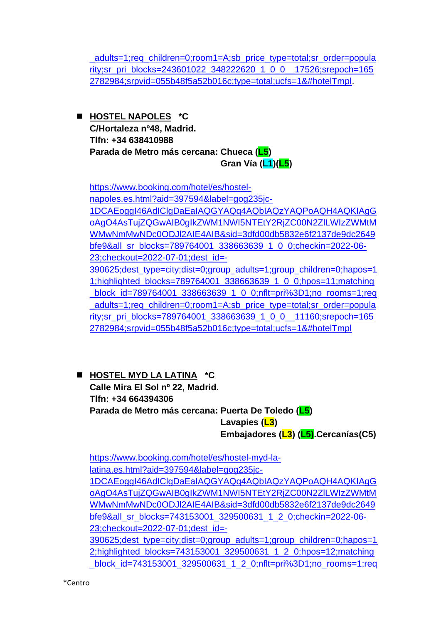adults=1;req\_children=0;room1=A;sb\_price\_type=total;sr\_order=popula [rity;sr\\_pri\\_blocks=243601022\\_348222620\\_1\\_0\\_0\\_\\_17526;srepoch=165](https://www.booking.com/hotel/es/siesta-go.es.html?aid=397594&label=gog235jc-1DCAEoggI46AdIClgDaEaIAQGYAQq4AQbIAQzYAQPoAQH4AQKIAgGoAgO4AsTujZQGwAIB0gIkZWM1NWI5NTEtY2RjZC00N2ZlLWIzZWMtMWMwNmMwNDc0ODJl2AIE4AIB&sid=3dfd00db5832e6f2137de9dc2649bfe9&all_sr_blocks=243601022_348222620_1_0_0;checkin=2022-06-23;checkout=2022-07-01;dest_id=-390625;dest_type=city;dist=0;group_adults=1;group_children=0;hapos=10;highlighted_blocks=243601022_348222620_1_0_0;hpos=10;matching_block_id=243601022_348222620_1_0_0;nflt=pri%3D1;no_rooms=1;req_adults=1;req_children=0;room1=A;sb_price_type=total;sr_order=popularity;sr_pri_blocks=243601022_348222620_1_0_0__17526;srepoch=1652782984;srpvid=055b48f5a52b016c;type=total;ucfs=1&#hotelTmpl) [2782984;srpvid=055b48f5a52b016c;type=total;ucfs=1&#hotelTmpl.](https://www.booking.com/hotel/es/siesta-go.es.html?aid=397594&label=gog235jc-1DCAEoggI46AdIClgDaEaIAQGYAQq4AQbIAQzYAQPoAQH4AQKIAgGoAgO4AsTujZQGwAIB0gIkZWM1NWI5NTEtY2RjZC00N2ZlLWIzZWMtMWMwNmMwNDc0ODJl2AIE4AIB&sid=3dfd00db5832e6f2137de9dc2649bfe9&all_sr_blocks=243601022_348222620_1_0_0;checkin=2022-06-23;checkout=2022-07-01;dest_id=-390625;dest_type=city;dist=0;group_adults=1;group_children=0;hapos=10;highlighted_blocks=243601022_348222620_1_0_0;hpos=10;matching_block_id=243601022_348222620_1_0_0;nflt=pri%3D1;no_rooms=1;req_adults=1;req_children=0;room1=A;sb_price_type=total;sr_order=popularity;sr_pri_blocks=243601022_348222620_1_0_0__17526;srepoch=1652782984;srpvid=055b48f5a52b016c;type=total;ucfs=1&#hotelTmpl)

◼ **HOSTEL NAPOLES \*C C/Hortaleza nº48, Madrid. Tlfn: +34 638410988 Parada de Metro más cercana: Chueca (L5) Gran Vía (L1)(L5)**

[https://www.booking.com/hotel/es/hostel](https://www.booking.com/hotel/es/hostel-napoles.es.html?aid=397594&label=gog235jc-1DCAEoggI46AdIClgDaEaIAQGYAQq4AQbIAQzYAQPoAQH4AQKIAgGoAgO4AsTujZQGwAIB0gIkZWM1NWI5NTEtY2RjZC00N2ZlLWIzZWMtMWMwNmMwNDc0ODJl2AIE4AIB&sid=3dfd00db5832e6f2137de9dc2649bfe9&all_sr_blocks=789764001_338663639_1_0_0;checkin=2022-06-23;checkout=2022-07-01;dest_id=-390625;dest_type=city;dist=0;group_adults=1;group_children=0;hapos=11;highlighted_blocks=789764001_338663639_1_0_0;hpos=11;matching_block_id=789764001_338663639_1_0_0;nflt=pri%3D1;no_rooms=1;req_adults=1;req_children=0;room1=A;sb_price_type=total;sr_order=popularity;sr_pri_blocks=789764001_338663639_1_0_0__11160;srepoch=1652782984;srpvid=055b48f5a52b016c;type=total;ucfs=1&#hotelTmpl)[napoles.es.html?aid=397594&label=gog235jc-](https://www.booking.com/hotel/es/hostel-napoles.es.html?aid=397594&label=gog235jc-1DCAEoggI46AdIClgDaEaIAQGYAQq4AQbIAQzYAQPoAQH4AQKIAgGoAgO4AsTujZQGwAIB0gIkZWM1NWI5NTEtY2RjZC00N2ZlLWIzZWMtMWMwNmMwNDc0ODJl2AIE4AIB&sid=3dfd00db5832e6f2137de9dc2649bfe9&all_sr_blocks=789764001_338663639_1_0_0;checkin=2022-06-23;checkout=2022-07-01;dest_id=-390625;dest_type=city;dist=0;group_adults=1;group_children=0;hapos=11;highlighted_blocks=789764001_338663639_1_0_0;hpos=11;matching_block_id=789764001_338663639_1_0_0;nflt=pri%3D1;no_rooms=1;req_adults=1;req_children=0;room1=A;sb_price_type=total;sr_order=popularity;sr_pri_blocks=789764001_338663639_1_0_0__11160;srepoch=1652782984;srpvid=055b48f5a52b016c;type=total;ucfs=1&#hotelTmpl)[1DCAEoggI46AdIClgDaEaIAQGYAQq4AQbIAQzYAQPoAQH4AQKIAgG](https://www.booking.com/hotel/es/hostel-napoles.es.html?aid=397594&label=gog235jc-1DCAEoggI46AdIClgDaEaIAQGYAQq4AQbIAQzYAQPoAQH4AQKIAgGoAgO4AsTujZQGwAIB0gIkZWM1NWI5NTEtY2RjZC00N2ZlLWIzZWMtMWMwNmMwNDc0ODJl2AIE4AIB&sid=3dfd00db5832e6f2137de9dc2649bfe9&all_sr_blocks=789764001_338663639_1_0_0;checkin=2022-06-23;checkout=2022-07-01;dest_id=-390625;dest_type=city;dist=0;group_adults=1;group_children=0;hapos=11;highlighted_blocks=789764001_338663639_1_0_0;hpos=11;matching_block_id=789764001_338663639_1_0_0;nflt=pri%3D1;no_rooms=1;req_adults=1;req_children=0;room1=A;sb_price_type=total;sr_order=popularity;sr_pri_blocks=789764001_338663639_1_0_0__11160;srepoch=1652782984;srpvid=055b48f5a52b016c;type=total;ucfs=1&#hotelTmpl) [oAgO4AsTujZQGwAIB0gIkZWM1NWI5NTEtY2RjZC00N2ZlLWIzZWMtM](https://www.booking.com/hotel/es/hostel-napoles.es.html?aid=397594&label=gog235jc-1DCAEoggI46AdIClgDaEaIAQGYAQq4AQbIAQzYAQPoAQH4AQKIAgGoAgO4AsTujZQGwAIB0gIkZWM1NWI5NTEtY2RjZC00N2ZlLWIzZWMtMWMwNmMwNDc0ODJl2AIE4AIB&sid=3dfd00db5832e6f2137de9dc2649bfe9&all_sr_blocks=789764001_338663639_1_0_0;checkin=2022-06-23;checkout=2022-07-01;dest_id=-390625;dest_type=city;dist=0;group_adults=1;group_children=0;hapos=11;highlighted_blocks=789764001_338663639_1_0_0;hpos=11;matching_block_id=789764001_338663639_1_0_0;nflt=pri%3D1;no_rooms=1;req_adults=1;req_children=0;room1=A;sb_price_type=total;sr_order=popularity;sr_pri_blocks=789764001_338663639_1_0_0__11160;srepoch=1652782984;srpvid=055b48f5a52b016c;type=total;ucfs=1&#hotelTmpl) [WMwNmMwNDc0ODJl2AIE4AIB&sid=3dfd00db5832e6f2137de9dc2649](https://www.booking.com/hotel/es/hostel-napoles.es.html?aid=397594&label=gog235jc-1DCAEoggI46AdIClgDaEaIAQGYAQq4AQbIAQzYAQPoAQH4AQKIAgGoAgO4AsTujZQGwAIB0gIkZWM1NWI5NTEtY2RjZC00N2ZlLWIzZWMtMWMwNmMwNDc0ODJl2AIE4AIB&sid=3dfd00db5832e6f2137de9dc2649bfe9&all_sr_blocks=789764001_338663639_1_0_0;checkin=2022-06-23;checkout=2022-07-01;dest_id=-390625;dest_type=city;dist=0;group_adults=1;group_children=0;hapos=11;highlighted_blocks=789764001_338663639_1_0_0;hpos=11;matching_block_id=789764001_338663639_1_0_0;nflt=pri%3D1;no_rooms=1;req_adults=1;req_children=0;room1=A;sb_price_type=total;sr_order=popularity;sr_pri_blocks=789764001_338663639_1_0_0__11160;srepoch=1652782984;srpvid=055b48f5a52b016c;type=total;ucfs=1&#hotelTmpl) [bfe9&all\\_sr\\_blocks=789764001\\_338663639\\_1\\_0\\_0;checkin=2022-06-](https://www.booking.com/hotel/es/hostel-napoles.es.html?aid=397594&label=gog235jc-1DCAEoggI46AdIClgDaEaIAQGYAQq4AQbIAQzYAQPoAQH4AQKIAgGoAgO4AsTujZQGwAIB0gIkZWM1NWI5NTEtY2RjZC00N2ZlLWIzZWMtMWMwNmMwNDc0ODJl2AIE4AIB&sid=3dfd00db5832e6f2137de9dc2649bfe9&all_sr_blocks=789764001_338663639_1_0_0;checkin=2022-06-23;checkout=2022-07-01;dest_id=-390625;dest_type=city;dist=0;group_adults=1;group_children=0;hapos=11;highlighted_blocks=789764001_338663639_1_0_0;hpos=11;matching_block_id=789764001_338663639_1_0_0;nflt=pri%3D1;no_rooms=1;req_adults=1;req_children=0;room1=A;sb_price_type=total;sr_order=popularity;sr_pri_blocks=789764001_338663639_1_0_0__11160;srepoch=1652782984;srpvid=055b48f5a52b016c;type=total;ucfs=1&#hotelTmpl) [23;checkout=2022-07-01;dest\\_id=-](https://www.booking.com/hotel/es/hostel-napoles.es.html?aid=397594&label=gog235jc-1DCAEoggI46AdIClgDaEaIAQGYAQq4AQbIAQzYAQPoAQH4AQKIAgGoAgO4AsTujZQGwAIB0gIkZWM1NWI5NTEtY2RjZC00N2ZlLWIzZWMtMWMwNmMwNDc0ODJl2AIE4AIB&sid=3dfd00db5832e6f2137de9dc2649bfe9&all_sr_blocks=789764001_338663639_1_0_0;checkin=2022-06-23;checkout=2022-07-01;dest_id=-390625;dest_type=city;dist=0;group_adults=1;group_children=0;hapos=11;highlighted_blocks=789764001_338663639_1_0_0;hpos=11;matching_block_id=789764001_338663639_1_0_0;nflt=pri%3D1;no_rooms=1;req_adults=1;req_children=0;room1=A;sb_price_type=total;sr_order=popularity;sr_pri_blocks=789764001_338663639_1_0_0__11160;srepoch=1652782984;srpvid=055b48f5a52b016c;type=total;ucfs=1&#hotelTmpl) [390625;dest\\_type=city;dist=0;group\\_adults=1;group\\_children=0;hapos=1](https://www.booking.com/hotel/es/hostel-napoles.es.html?aid=397594&label=gog235jc-1DCAEoggI46AdIClgDaEaIAQGYAQq4AQbIAQzYAQPoAQH4AQKIAgGoAgO4AsTujZQGwAIB0gIkZWM1NWI5NTEtY2RjZC00N2ZlLWIzZWMtMWMwNmMwNDc0ODJl2AIE4AIB&sid=3dfd00db5832e6f2137de9dc2649bfe9&all_sr_blocks=789764001_338663639_1_0_0;checkin=2022-06-23;checkout=2022-07-01;dest_id=-390625;dest_type=city;dist=0;group_adults=1;group_children=0;hapos=11;highlighted_blocks=789764001_338663639_1_0_0;hpos=11;matching_block_id=789764001_338663639_1_0_0;nflt=pri%3D1;no_rooms=1;req_adults=1;req_children=0;room1=A;sb_price_type=total;sr_order=popularity;sr_pri_blocks=789764001_338663639_1_0_0__11160;srepoch=1652782984;srpvid=055b48f5a52b016c;type=total;ucfs=1&#hotelTmpl) [1;highlighted\\_blocks=789764001\\_338663639\\_1\\_0\\_0;hpos=11;matching](https://www.booking.com/hotel/es/hostel-napoles.es.html?aid=397594&label=gog235jc-1DCAEoggI46AdIClgDaEaIAQGYAQq4AQbIAQzYAQPoAQH4AQKIAgGoAgO4AsTujZQGwAIB0gIkZWM1NWI5NTEtY2RjZC00N2ZlLWIzZWMtMWMwNmMwNDc0ODJl2AIE4AIB&sid=3dfd00db5832e6f2137de9dc2649bfe9&all_sr_blocks=789764001_338663639_1_0_0;checkin=2022-06-23;checkout=2022-07-01;dest_id=-390625;dest_type=city;dist=0;group_adults=1;group_children=0;hapos=11;highlighted_blocks=789764001_338663639_1_0_0;hpos=11;matching_block_id=789764001_338663639_1_0_0;nflt=pri%3D1;no_rooms=1;req_adults=1;req_children=0;room1=A;sb_price_type=total;sr_order=popularity;sr_pri_blocks=789764001_338663639_1_0_0__11160;srepoch=1652782984;srpvid=055b48f5a52b016c;type=total;ucfs=1&#hotelTmpl) block\_id=789764001\_338663639\_1\_0\_0;nflt=pri%3D1;no\_rooms=1;req adults=1;req\_children=0;room1=A;sb\_price\_type=total;sr\_order=popula [rity;sr\\_pri\\_blocks=789764001\\_338663639\\_1\\_0\\_0\\_\\_11160;srepoch=165](https://www.booking.com/hotel/es/hostel-napoles.es.html?aid=397594&label=gog235jc-1DCAEoggI46AdIClgDaEaIAQGYAQq4AQbIAQzYAQPoAQH4AQKIAgGoAgO4AsTujZQGwAIB0gIkZWM1NWI5NTEtY2RjZC00N2ZlLWIzZWMtMWMwNmMwNDc0ODJl2AIE4AIB&sid=3dfd00db5832e6f2137de9dc2649bfe9&all_sr_blocks=789764001_338663639_1_0_0;checkin=2022-06-23;checkout=2022-07-01;dest_id=-390625;dest_type=city;dist=0;group_adults=1;group_children=0;hapos=11;highlighted_blocks=789764001_338663639_1_0_0;hpos=11;matching_block_id=789764001_338663639_1_0_0;nflt=pri%3D1;no_rooms=1;req_adults=1;req_children=0;room1=A;sb_price_type=total;sr_order=popularity;sr_pri_blocks=789764001_338663639_1_0_0__11160;srepoch=1652782984;srpvid=055b48f5a52b016c;type=total;ucfs=1&#hotelTmpl) [2782984;srpvid=055b48f5a52b016c;type=total;ucfs=1&#hotelTmpl](https://www.booking.com/hotel/es/hostel-napoles.es.html?aid=397594&label=gog235jc-1DCAEoggI46AdIClgDaEaIAQGYAQq4AQbIAQzYAQPoAQH4AQKIAgGoAgO4AsTujZQGwAIB0gIkZWM1NWI5NTEtY2RjZC00N2ZlLWIzZWMtMWMwNmMwNDc0ODJl2AIE4AIB&sid=3dfd00db5832e6f2137de9dc2649bfe9&all_sr_blocks=789764001_338663639_1_0_0;checkin=2022-06-23;checkout=2022-07-01;dest_id=-390625;dest_type=city;dist=0;group_adults=1;group_children=0;hapos=11;highlighted_blocks=789764001_338663639_1_0_0;hpos=11;matching_block_id=789764001_338663639_1_0_0;nflt=pri%3D1;no_rooms=1;req_adults=1;req_children=0;room1=A;sb_price_type=total;sr_order=popularity;sr_pri_blocks=789764001_338663639_1_0_0__11160;srepoch=1652782984;srpvid=055b48f5a52b016c;type=total;ucfs=1&#hotelTmpl)

◼ **HOSTEL MYD LA LATINA \*C Calle Mira El Sol nº 22, Madrid. Tlfn: +34 664394306 Parada de Metro más cercana: Puerta De Toledo (L5) Lavapies (L3) Embajadores (L3) (L5).Cercanías(C5)**

[https://www.booking.com/hotel/es/hostel-myd-la](https://www.booking.com/hotel/es/hostel-myd-la-latina.es.html?aid=397594&label=gog235jc-1DCAEoggI46AdIClgDaEaIAQGYAQq4AQbIAQzYAQPoAQH4AQKIAgGoAgO4AsTujZQGwAIB0gIkZWM1NWI5NTEtY2RjZC00N2ZlLWIzZWMtMWMwNmMwNDc0ODJl2AIE4AIB&sid=3dfd00db5832e6f2137de9dc2649bfe9&all_sr_blocks=743153001_329500631_1_2_0;checkin=2022-06-23;checkout=2022-07-01;dest_id=-390625;dest_type=city;dist=0;group_adults=1;group_children=0;hapos=12;highlighted_blocks=743153001_329500631_1_2_0;hpos=12;matching_block_id=743153001_329500631_1_2_0;nflt=pri%3D1;no_rooms=1;req_adults=1;req_children=0;room1=A;sb_price_type=total;sr_order=popularity;sr_pri_blocks=743153001_329500631_1_2_0__26942;srepoch=1652782984;srpvid=055b48f5a52b016c;type=total;ucfs=1&#hotelTmpl)[latina.es.html?aid=397594&label=gog235jc-](https://www.booking.com/hotel/es/hostel-myd-la-latina.es.html?aid=397594&label=gog235jc-1DCAEoggI46AdIClgDaEaIAQGYAQq4AQbIAQzYAQPoAQH4AQKIAgGoAgO4AsTujZQGwAIB0gIkZWM1NWI5NTEtY2RjZC00N2ZlLWIzZWMtMWMwNmMwNDc0ODJl2AIE4AIB&sid=3dfd00db5832e6f2137de9dc2649bfe9&all_sr_blocks=743153001_329500631_1_2_0;checkin=2022-06-23;checkout=2022-07-01;dest_id=-390625;dest_type=city;dist=0;group_adults=1;group_children=0;hapos=12;highlighted_blocks=743153001_329500631_1_2_0;hpos=12;matching_block_id=743153001_329500631_1_2_0;nflt=pri%3D1;no_rooms=1;req_adults=1;req_children=0;room1=A;sb_price_type=total;sr_order=popularity;sr_pri_blocks=743153001_329500631_1_2_0__26942;srepoch=1652782984;srpvid=055b48f5a52b016c;type=total;ucfs=1&#hotelTmpl)[1DCAEoggI46AdIClgDaEaIAQGYAQq4AQbIAQzYAQPoAQH4AQKIAgG](https://www.booking.com/hotel/es/hostel-myd-la-latina.es.html?aid=397594&label=gog235jc-1DCAEoggI46AdIClgDaEaIAQGYAQq4AQbIAQzYAQPoAQH4AQKIAgGoAgO4AsTujZQGwAIB0gIkZWM1NWI5NTEtY2RjZC00N2ZlLWIzZWMtMWMwNmMwNDc0ODJl2AIE4AIB&sid=3dfd00db5832e6f2137de9dc2649bfe9&all_sr_blocks=743153001_329500631_1_2_0;checkin=2022-06-23;checkout=2022-07-01;dest_id=-390625;dest_type=city;dist=0;group_adults=1;group_children=0;hapos=12;highlighted_blocks=743153001_329500631_1_2_0;hpos=12;matching_block_id=743153001_329500631_1_2_0;nflt=pri%3D1;no_rooms=1;req_adults=1;req_children=0;room1=A;sb_price_type=total;sr_order=popularity;sr_pri_blocks=743153001_329500631_1_2_0__26942;srepoch=1652782984;srpvid=055b48f5a52b016c;type=total;ucfs=1&#hotelTmpl) [oAgO4AsTujZQGwAIB0gIkZWM1NWI5NTEtY2RjZC00N2ZlLWIzZWMtM](https://www.booking.com/hotel/es/hostel-myd-la-latina.es.html?aid=397594&label=gog235jc-1DCAEoggI46AdIClgDaEaIAQGYAQq4AQbIAQzYAQPoAQH4AQKIAgGoAgO4AsTujZQGwAIB0gIkZWM1NWI5NTEtY2RjZC00N2ZlLWIzZWMtMWMwNmMwNDc0ODJl2AIE4AIB&sid=3dfd00db5832e6f2137de9dc2649bfe9&all_sr_blocks=743153001_329500631_1_2_0;checkin=2022-06-23;checkout=2022-07-01;dest_id=-390625;dest_type=city;dist=0;group_adults=1;group_children=0;hapos=12;highlighted_blocks=743153001_329500631_1_2_0;hpos=12;matching_block_id=743153001_329500631_1_2_0;nflt=pri%3D1;no_rooms=1;req_adults=1;req_children=0;room1=A;sb_price_type=total;sr_order=popularity;sr_pri_blocks=743153001_329500631_1_2_0__26942;srepoch=1652782984;srpvid=055b48f5a52b016c;type=total;ucfs=1&#hotelTmpl) [WMwNmMwNDc0ODJl2AIE4AIB&sid=3dfd00db5832e6f2137de9dc2649](https://www.booking.com/hotel/es/hostel-myd-la-latina.es.html?aid=397594&label=gog235jc-1DCAEoggI46AdIClgDaEaIAQGYAQq4AQbIAQzYAQPoAQH4AQKIAgGoAgO4AsTujZQGwAIB0gIkZWM1NWI5NTEtY2RjZC00N2ZlLWIzZWMtMWMwNmMwNDc0ODJl2AIE4AIB&sid=3dfd00db5832e6f2137de9dc2649bfe9&all_sr_blocks=743153001_329500631_1_2_0;checkin=2022-06-23;checkout=2022-07-01;dest_id=-390625;dest_type=city;dist=0;group_adults=1;group_children=0;hapos=12;highlighted_blocks=743153001_329500631_1_2_0;hpos=12;matching_block_id=743153001_329500631_1_2_0;nflt=pri%3D1;no_rooms=1;req_adults=1;req_children=0;room1=A;sb_price_type=total;sr_order=popularity;sr_pri_blocks=743153001_329500631_1_2_0__26942;srepoch=1652782984;srpvid=055b48f5a52b016c;type=total;ucfs=1&#hotelTmpl) [bfe9&all\\_sr\\_blocks=743153001\\_329500631\\_1\\_2\\_0;checkin=2022-06-](https://www.booking.com/hotel/es/hostel-myd-la-latina.es.html?aid=397594&label=gog235jc-1DCAEoggI46AdIClgDaEaIAQGYAQq4AQbIAQzYAQPoAQH4AQKIAgGoAgO4AsTujZQGwAIB0gIkZWM1NWI5NTEtY2RjZC00N2ZlLWIzZWMtMWMwNmMwNDc0ODJl2AIE4AIB&sid=3dfd00db5832e6f2137de9dc2649bfe9&all_sr_blocks=743153001_329500631_1_2_0;checkin=2022-06-23;checkout=2022-07-01;dest_id=-390625;dest_type=city;dist=0;group_adults=1;group_children=0;hapos=12;highlighted_blocks=743153001_329500631_1_2_0;hpos=12;matching_block_id=743153001_329500631_1_2_0;nflt=pri%3D1;no_rooms=1;req_adults=1;req_children=0;room1=A;sb_price_type=total;sr_order=popularity;sr_pri_blocks=743153001_329500631_1_2_0__26942;srepoch=1652782984;srpvid=055b48f5a52b016c;type=total;ucfs=1&#hotelTmpl) [23;checkout=2022-07-01;dest\\_id=-](https://www.booking.com/hotel/es/hostel-myd-la-latina.es.html?aid=397594&label=gog235jc-1DCAEoggI46AdIClgDaEaIAQGYAQq4AQbIAQzYAQPoAQH4AQKIAgGoAgO4AsTujZQGwAIB0gIkZWM1NWI5NTEtY2RjZC00N2ZlLWIzZWMtMWMwNmMwNDc0ODJl2AIE4AIB&sid=3dfd00db5832e6f2137de9dc2649bfe9&all_sr_blocks=743153001_329500631_1_2_0;checkin=2022-06-23;checkout=2022-07-01;dest_id=-390625;dest_type=city;dist=0;group_adults=1;group_children=0;hapos=12;highlighted_blocks=743153001_329500631_1_2_0;hpos=12;matching_block_id=743153001_329500631_1_2_0;nflt=pri%3D1;no_rooms=1;req_adults=1;req_children=0;room1=A;sb_price_type=total;sr_order=popularity;sr_pri_blocks=743153001_329500631_1_2_0__26942;srepoch=1652782984;srpvid=055b48f5a52b016c;type=total;ucfs=1&#hotelTmpl) [390625;dest\\_type=city;dist=0;group\\_adults=1;group\\_children=0;hapos=1](https://www.booking.com/hotel/es/hostel-myd-la-latina.es.html?aid=397594&label=gog235jc-1DCAEoggI46AdIClgDaEaIAQGYAQq4AQbIAQzYAQPoAQH4AQKIAgGoAgO4AsTujZQGwAIB0gIkZWM1NWI5NTEtY2RjZC00N2ZlLWIzZWMtMWMwNmMwNDc0ODJl2AIE4AIB&sid=3dfd00db5832e6f2137de9dc2649bfe9&all_sr_blocks=743153001_329500631_1_2_0;checkin=2022-06-23;checkout=2022-07-01;dest_id=-390625;dest_type=city;dist=0;group_adults=1;group_children=0;hapos=12;highlighted_blocks=743153001_329500631_1_2_0;hpos=12;matching_block_id=743153001_329500631_1_2_0;nflt=pri%3D1;no_rooms=1;req_adults=1;req_children=0;room1=A;sb_price_type=total;sr_order=popularity;sr_pri_blocks=743153001_329500631_1_2_0__26942;srepoch=1652782984;srpvid=055b48f5a52b016c;type=total;ucfs=1&#hotelTmpl) [2;highlighted\\_blocks=743153001\\_329500631\\_1\\_2\\_0;hpos=12;matching](https://www.booking.com/hotel/es/hostel-myd-la-latina.es.html?aid=397594&label=gog235jc-1DCAEoggI46AdIClgDaEaIAQGYAQq4AQbIAQzYAQPoAQH4AQKIAgGoAgO4AsTujZQGwAIB0gIkZWM1NWI5NTEtY2RjZC00N2ZlLWIzZWMtMWMwNmMwNDc0ODJl2AIE4AIB&sid=3dfd00db5832e6f2137de9dc2649bfe9&all_sr_blocks=743153001_329500631_1_2_0;checkin=2022-06-23;checkout=2022-07-01;dest_id=-390625;dest_type=city;dist=0;group_adults=1;group_children=0;hapos=12;highlighted_blocks=743153001_329500631_1_2_0;hpos=12;matching_block_id=743153001_329500631_1_2_0;nflt=pri%3D1;no_rooms=1;req_adults=1;req_children=0;room1=A;sb_price_type=total;sr_order=popularity;sr_pri_blocks=743153001_329500631_1_2_0__26942;srepoch=1652782984;srpvid=055b48f5a52b016c;type=total;ucfs=1&#hotelTmpl) block\_id=743153001\_329500631\_1\_2\_0;nflt=pri%3D1;no\_rooms=1;req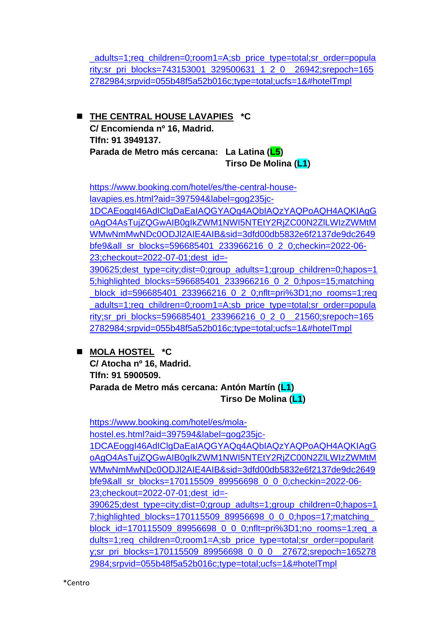adults=1;req\_children=0;room1=A;sb\_price\_type=total;sr\_order=popula [rity;sr\\_pri\\_blocks=743153001\\_329500631\\_1\\_2\\_0\\_\\_26942;srepoch=165](https://www.booking.com/hotel/es/hostel-myd-la-latina.es.html?aid=397594&label=gog235jc-1DCAEoggI46AdIClgDaEaIAQGYAQq4AQbIAQzYAQPoAQH4AQKIAgGoAgO4AsTujZQGwAIB0gIkZWM1NWI5NTEtY2RjZC00N2ZlLWIzZWMtMWMwNmMwNDc0ODJl2AIE4AIB&sid=3dfd00db5832e6f2137de9dc2649bfe9&all_sr_blocks=743153001_329500631_1_2_0;checkin=2022-06-23;checkout=2022-07-01;dest_id=-390625;dest_type=city;dist=0;group_adults=1;group_children=0;hapos=12;highlighted_blocks=743153001_329500631_1_2_0;hpos=12;matching_block_id=743153001_329500631_1_2_0;nflt=pri%3D1;no_rooms=1;req_adults=1;req_children=0;room1=A;sb_price_type=total;sr_order=popularity;sr_pri_blocks=743153001_329500631_1_2_0__26942;srepoch=1652782984;srpvid=055b48f5a52b016c;type=total;ucfs=1&#hotelTmpl) [2782984;srpvid=055b48f5a52b016c;type=total;ucfs=1&#hotelTmpl](https://www.booking.com/hotel/es/hostel-myd-la-latina.es.html?aid=397594&label=gog235jc-1DCAEoggI46AdIClgDaEaIAQGYAQq4AQbIAQzYAQPoAQH4AQKIAgGoAgO4AsTujZQGwAIB0gIkZWM1NWI5NTEtY2RjZC00N2ZlLWIzZWMtMWMwNmMwNDc0ODJl2AIE4AIB&sid=3dfd00db5832e6f2137de9dc2649bfe9&all_sr_blocks=743153001_329500631_1_2_0;checkin=2022-06-23;checkout=2022-07-01;dest_id=-390625;dest_type=city;dist=0;group_adults=1;group_children=0;hapos=12;highlighted_blocks=743153001_329500631_1_2_0;hpos=12;matching_block_id=743153001_329500631_1_2_0;nflt=pri%3D1;no_rooms=1;req_adults=1;req_children=0;room1=A;sb_price_type=total;sr_order=popularity;sr_pri_blocks=743153001_329500631_1_2_0__26942;srepoch=1652782984;srpvid=055b48f5a52b016c;type=total;ucfs=1&#hotelTmpl)

◼ **THE CENTRAL HOUSE LAVAPIES \*C C/ Encomienda nº 16, Madrid. Tlfn: 91 3949137. Parada de Metro más cercana: La Latina (L5) Tirso De Molina (L1)**

[https://www.booking.com/hotel/es/the-central-house](https://www.booking.com/hotel/es/the-central-house-lavapies.es.html?aid=397594&label=gog235jc-1DCAEoggI46AdIClgDaEaIAQGYAQq4AQbIAQzYAQPoAQH4AQKIAgGoAgO4AsTujZQGwAIB0gIkZWM1NWI5NTEtY2RjZC00N2ZlLWIzZWMtMWMwNmMwNDc0ODJl2AIE4AIB&sid=3dfd00db5832e6f2137de9dc2649bfe9&all_sr_blocks=596685401_233966216_0_2_0;checkin=2022-06-23;checkout=2022-07-01;dest_id=-390625;dest_type=city;dist=0;group_adults=1;group_children=0;hapos=15;highlighted_blocks=596685401_233966216_0_2_0;hpos=15;matching_block_id=596685401_233966216_0_2_0;nflt=pri%3D1;no_rooms=1;req_adults=1;req_children=0;room1=A;sb_price_type=total;sr_order=popularity;sr_pri_blocks=596685401_233966216_0_2_0__21560;srepoch=1652782984;srpvid=055b48f5a52b016c;type=total;ucfs=1&#hotelTmpl)[lavapies.es.html?aid=397594&label=gog235jc-](https://www.booking.com/hotel/es/the-central-house-lavapies.es.html?aid=397594&label=gog235jc-1DCAEoggI46AdIClgDaEaIAQGYAQq4AQbIAQzYAQPoAQH4AQKIAgGoAgO4AsTujZQGwAIB0gIkZWM1NWI5NTEtY2RjZC00N2ZlLWIzZWMtMWMwNmMwNDc0ODJl2AIE4AIB&sid=3dfd00db5832e6f2137de9dc2649bfe9&all_sr_blocks=596685401_233966216_0_2_0;checkin=2022-06-23;checkout=2022-07-01;dest_id=-390625;dest_type=city;dist=0;group_adults=1;group_children=0;hapos=15;highlighted_blocks=596685401_233966216_0_2_0;hpos=15;matching_block_id=596685401_233966216_0_2_0;nflt=pri%3D1;no_rooms=1;req_adults=1;req_children=0;room1=A;sb_price_type=total;sr_order=popularity;sr_pri_blocks=596685401_233966216_0_2_0__21560;srepoch=1652782984;srpvid=055b48f5a52b016c;type=total;ucfs=1&#hotelTmpl)[1DCAEoggI46AdIClgDaEaIAQGYAQq4AQbIAQzYAQPoAQH4AQKIAgG](https://www.booking.com/hotel/es/the-central-house-lavapies.es.html?aid=397594&label=gog235jc-1DCAEoggI46AdIClgDaEaIAQGYAQq4AQbIAQzYAQPoAQH4AQKIAgGoAgO4AsTujZQGwAIB0gIkZWM1NWI5NTEtY2RjZC00N2ZlLWIzZWMtMWMwNmMwNDc0ODJl2AIE4AIB&sid=3dfd00db5832e6f2137de9dc2649bfe9&all_sr_blocks=596685401_233966216_0_2_0;checkin=2022-06-23;checkout=2022-07-01;dest_id=-390625;dest_type=city;dist=0;group_adults=1;group_children=0;hapos=15;highlighted_blocks=596685401_233966216_0_2_0;hpos=15;matching_block_id=596685401_233966216_0_2_0;nflt=pri%3D1;no_rooms=1;req_adults=1;req_children=0;room1=A;sb_price_type=total;sr_order=popularity;sr_pri_blocks=596685401_233966216_0_2_0__21560;srepoch=1652782984;srpvid=055b48f5a52b016c;type=total;ucfs=1&#hotelTmpl) [oAgO4AsTujZQGwAIB0gIkZWM1NWI5NTEtY2RjZC00N2ZlLWIzZWMtM](https://www.booking.com/hotel/es/the-central-house-lavapies.es.html?aid=397594&label=gog235jc-1DCAEoggI46AdIClgDaEaIAQGYAQq4AQbIAQzYAQPoAQH4AQKIAgGoAgO4AsTujZQGwAIB0gIkZWM1NWI5NTEtY2RjZC00N2ZlLWIzZWMtMWMwNmMwNDc0ODJl2AIE4AIB&sid=3dfd00db5832e6f2137de9dc2649bfe9&all_sr_blocks=596685401_233966216_0_2_0;checkin=2022-06-23;checkout=2022-07-01;dest_id=-390625;dest_type=city;dist=0;group_adults=1;group_children=0;hapos=15;highlighted_blocks=596685401_233966216_0_2_0;hpos=15;matching_block_id=596685401_233966216_0_2_0;nflt=pri%3D1;no_rooms=1;req_adults=1;req_children=0;room1=A;sb_price_type=total;sr_order=popularity;sr_pri_blocks=596685401_233966216_0_2_0__21560;srepoch=1652782984;srpvid=055b48f5a52b016c;type=total;ucfs=1&#hotelTmpl) [WMwNmMwNDc0ODJl2AIE4AIB&sid=3dfd00db5832e6f2137de9dc2649](https://www.booking.com/hotel/es/the-central-house-lavapies.es.html?aid=397594&label=gog235jc-1DCAEoggI46AdIClgDaEaIAQGYAQq4AQbIAQzYAQPoAQH4AQKIAgGoAgO4AsTujZQGwAIB0gIkZWM1NWI5NTEtY2RjZC00N2ZlLWIzZWMtMWMwNmMwNDc0ODJl2AIE4AIB&sid=3dfd00db5832e6f2137de9dc2649bfe9&all_sr_blocks=596685401_233966216_0_2_0;checkin=2022-06-23;checkout=2022-07-01;dest_id=-390625;dest_type=city;dist=0;group_adults=1;group_children=0;hapos=15;highlighted_blocks=596685401_233966216_0_2_0;hpos=15;matching_block_id=596685401_233966216_0_2_0;nflt=pri%3D1;no_rooms=1;req_adults=1;req_children=0;room1=A;sb_price_type=total;sr_order=popularity;sr_pri_blocks=596685401_233966216_0_2_0__21560;srepoch=1652782984;srpvid=055b48f5a52b016c;type=total;ucfs=1&#hotelTmpl) [bfe9&all\\_sr\\_blocks=596685401\\_233966216\\_0\\_2\\_0;checkin=2022-06-](https://www.booking.com/hotel/es/the-central-house-lavapies.es.html?aid=397594&label=gog235jc-1DCAEoggI46AdIClgDaEaIAQGYAQq4AQbIAQzYAQPoAQH4AQKIAgGoAgO4AsTujZQGwAIB0gIkZWM1NWI5NTEtY2RjZC00N2ZlLWIzZWMtMWMwNmMwNDc0ODJl2AIE4AIB&sid=3dfd00db5832e6f2137de9dc2649bfe9&all_sr_blocks=596685401_233966216_0_2_0;checkin=2022-06-23;checkout=2022-07-01;dest_id=-390625;dest_type=city;dist=0;group_adults=1;group_children=0;hapos=15;highlighted_blocks=596685401_233966216_0_2_0;hpos=15;matching_block_id=596685401_233966216_0_2_0;nflt=pri%3D1;no_rooms=1;req_adults=1;req_children=0;room1=A;sb_price_type=total;sr_order=popularity;sr_pri_blocks=596685401_233966216_0_2_0__21560;srepoch=1652782984;srpvid=055b48f5a52b016c;type=total;ucfs=1&#hotelTmpl) [23;checkout=2022-07-01;dest\\_id=-](https://www.booking.com/hotel/es/the-central-house-lavapies.es.html?aid=397594&label=gog235jc-1DCAEoggI46AdIClgDaEaIAQGYAQq4AQbIAQzYAQPoAQH4AQKIAgGoAgO4AsTujZQGwAIB0gIkZWM1NWI5NTEtY2RjZC00N2ZlLWIzZWMtMWMwNmMwNDc0ODJl2AIE4AIB&sid=3dfd00db5832e6f2137de9dc2649bfe9&all_sr_blocks=596685401_233966216_0_2_0;checkin=2022-06-23;checkout=2022-07-01;dest_id=-390625;dest_type=city;dist=0;group_adults=1;group_children=0;hapos=15;highlighted_blocks=596685401_233966216_0_2_0;hpos=15;matching_block_id=596685401_233966216_0_2_0;nflt=pri%3D1;no_rooms=1;req_adults=1;req_children=0;room1=A;sb_price_type=total;sr_order=popularity;sr_pri_blocks=596685401_233966216_0_2_0__21560;srepoch=1652782984;srpvid=055b48f5a52b016c;type=total;ucfs=1&#hotelTmpl) [390625;dest\\_type=city;dist=0;group\\_adults=1;group\\_children=0;hapos=1](https://www.booking.com/hotel/es/the-central-house-lavapies.es.html?aid=397594&label=gog235jc-1DCAEoggI46AdIClgDaEaIAQGYAQq4AQbIAQzYAQPoAQH4AQKIAgGoAgO4AsTujZQGwAIB0gIkZWM1NWI5NTEtY2RjZC00N2ZlLWIzZWMtMWMwNmMwNDc0ODJl2AIE4AIB&sid=3dfd00db5832e6f2137de9dc2649bfe9&all_sr_blocks=596685401_233966216_0_2_0;checkin=2022-06-23;checkout=2022-07-01;dest_id=-390625;dest_type=city;dist=0;group_adults=1;group_children=0;hapos=15;highlighted_blocks=596685401_233966216_0_2_0;hpos=15;matching_block_id=596685401_233966216_0_2_0;nflt=pri%3D1;no_rooms=1;req_adults=1;req_children=0;room1=A;sb_price_type=total;sr_order=popularity;sr_pri_blocks=596685401_233966216_0_2_0__21560;srepoch=1652782984;srpvid=055b48f5a52b016c;type=total;ucfs=1&#hotelTmpl) [5;highlighted\\_blocks=596685401\\_233966216\\_0\\_2\\_0;hpos=15;matching](https://www.booking.com/hotel/es/the-central-house-lavapies.es.html?aid=397594&label=gog235jc-1DCAEoggI46AdIClgDaEaIAQGYAQq4AQbIAQzYAQPoAQH4AQKIAgGoAgO4AsTujZQGwAIB0gIkZWM1NWI5NTEtY2RjZC00N2ZlLWIzZWMtMWMwNmMwNDc0ODJl2AIE4AIB&sid=3dfd00db5832e6f2137de9dc2649bfe9&all_sr_blocks=596685401_233966216_0_2_0;checkin=2022-06-23;checkout=2022-07-01;dest_id=-390625;dest_type=city;dist=0;group_adults=1;group_children=0;hapos=15;highlighted_blocks=596685401_233966216_0_2_0;hpos=15;matching_block_id=596685401_233966216_0_2_0;nflt=pri%3D1;no_rooms=1;req_adults=1;req_children=0;room1=A;sb_price_type=total;sr_order=popularity;sr_pri_blocks=596685401_233966216_0_2_0__21560;srepoch=1652782984;srpvid=055b48f5a52b016c;type=total;ucfs=1&#hotelTmpl) block id=596685401\_233966216\_0\_2\_0;nflt=pri%3D1;no\_rooms=1;req adults=1;req\_children=0;room1=A;sb\_price\_type=total;sr\_order=popula [rity;sr\\_pri\\_blocks=596685401\\_233966216\\_0\\_2\\_0\\_\\_21560;srepoch=165](https://www.booking.com/hotel/es/the-central-house-lavapies.es.html?aid=397594&label=gog235jc-1DCAEoggI46AdIClgDaEaIAQGYAQq4AQbIAQzYAQPoAQH4AQKIAgGoAgO4AsTujZQGwAIB0gIkZWM1NWI5NTEtY2RjZC00N2ZlLWIzZWMtMWMwNmMwNDc0ODJl2AIE4AIB&sid=3dfd00db5832e6f2137de9dc2649bfe9&all_sr_blocks=596685401_233966216_0_2_0;checkin=2022-06-23;checkout=2022-07-01;dest_id=-390625;dest_type=city;dist=0;group_adults=1;group_children=0;hapos=15;highlighted_blocks=596685401_233966216_0_2_0;hpos=15;matching_block_id=596685401_233966216_0_2_0;nflt=pri%3D1;no_rooms=1;req_adults=1;req_children=0;room1=A;sb_price_type=total;sr_order=popularity;sr_pri_blocks=596685401_233966216_0_2_0__21560;srepoch=1652782984;srpvid=055b48f5a52b016c;type=total;ucfs=1&#hotelTmpl) [2782984;srpvid=055b48f5a52b016c;type=total;ucfs=1&#hotelTmpl](https://www.booking.com/hotel/es/the-central-house-lavapies.es.html?aid=397594&label=gog235jc-1DCAEoggI46AdIClgDaEaIAQGYAQq4AQbIAQzYAQPoAQH4AQKIAgGoAgO4AsTujZQGwAIB0gIkZWM1NWI5NTEtY2RjZC00N2ZlLWIzZWMtMWMwNmMwNDc0ODJl2AIE4AIB&sid=3dfd00db5832e6f2137de9dc2649bfe9&all_sr_blocks=596685401_233966216_0_2_0;checkin=2022-06-23;checkout=2022-07-01;dest_id=-390625;dest_type=city;dist=0;group_adults=1;group_children=0;hapos=15;highlighted_blocks=596685401_233966216_0_2_0;hpos=15;matching_block_id=596685401_233966216_0_2_0;nflt=pri%3D1;no_rooms=1;req_adults=1;req_children=0;room1=A;sb_price_type=total;sr_order=popularity;sr_pri_blocks=596685401_233966216_0_2_0__21560;srepoch=1652782984;srpvid=055b48f5a52b016c;type=total;ucfs=1&#hotelTmpl)

◼ **MOLA HOSTEL \*C**

**C/ Atocha nº 16, Madrid. Tlfn: 91 5900509. Parada de Metro más cercana: Antón Martín (L1) Tirso De Molina (L1)**

[https://www.booking.com/hotel/es/mola](https://www.booking.com/hotel/es/mola-hostel.es.html?aid=397594&label=gog235jc-1DCAEoggI46AdIClgDaEaIAQGYAQq4AQbIAQzYAQPoAQH4AQKIAgGoAgO4AsTujZQGwAIB0gIkZWM1NWI5NTEtY2RjZC00N2ZlLWIzZWMtMWMwNmMwNDc0ODJl2AIE4AIB&sid=3dfd00db5832e6f2137de9dc2649bfe9&all_sr_blocks=170115509_89956698_0_0_0;checkin=2022-06-23;checkout=2022-07-01;dest_id=-390625;dest_type=city;dist=0;group_adults=1;group_children=0;hapos=17;highlighted_blocks=170115509_89956698_0_0_0;hpos=17;matching_block_id=170115509_89956698_0_0_0;nflt=pri%3D1;no_rooms=1;req_adults=1;req_children=0;room1=A;sb_price_type=total;sr_order=popularity;sr_pri_blocks=170115509_89956698_0_0_0__27672;srepoch=1652782984;srpvid=055b48f5a52b016c;type=total;ucfs=1&#hotelTmpl)[hostel.es.html?aid=397594&label=gog235jc-](https://www.booking.com/hotel/es/mola-hostel.es.html?aid=397594&label=gog235jc-1DCAEoggI46AdIClgDaEaIAQGYAQq4AQbIAQzYAQPoAQH4AQKIAgGoAgO4AsTujZQGwAIB0gIkZWM1NWI5NTEtY2RjZC00N2ZlLWIzZWMtMWMwNmMwNDc0ODJl2AIE4AIB&sid=3dfd00db5832e6f2137de9dc2649bfe9&all_sr_blocks=170115509_89956698_0_0_0;checkin=2022-06-23;checkout=2022-07-01;dest_id=-390625;dest_type=city;dist=0;group_adults=1;group_children=0;hapos=17;highlighted_blocks=170115509_89956698_0_0_0;hpos=17;matching_block_id=170115509_89956698_0_0_0;nflt=pri%3D1;no_rooms=1;req_adults=1;req_children=0;room1=A;sb_price_type=total;sr_order=popularity;sr_pri_blocks=170115509_89956698_0_0_0__27672;srepoch=1652782984;srpvid=055b48f5a52b016c;type=total;ucfs=1&#hotelTmpl)[1DCAEoggI46AdIClgDaEaIAQGYAQq4AQbIAQzYAQPoAQH4AQKIAgG](https://www.booking.com/hotel/es/mola-hostel.es.html?aid=397594&label=gog235jc-1DCAEoggI46AdIClgDaEaIAQGYAQq4AQbIAQzYAQPoAQH4AQKIAgGoAgO4AsTujZQGwAIB0gIkZWM1NWI5NTEtY2RjZC00N2ZlLWIzZWMtMWMwNmMwNDc0ODJl2AIE4AIB&sid=3dfd00db5832e6f2137de9dc2649bfe9&all_sr_blocks=170115509_89956698_0_0_0;checkin=2022-06-23;checkout=2022-07-01;dest_id=-390625;dest_type=city;dist=0;group_adults=1;group_children=0;hapos=17;highlighted_blocks=170115509_89956698_0_0_0;hpos=17;matching_block_id=170115509_89956698_0_0_0;nflt=pri%3D1;no_rooms=1;req_adults=1;req_children=0;room1=A;sb_price_type=total;sr_order=popularity;sr_pri_blocks=170115509_89956698_0_0_0__27672;srepoch=1652782984;srpvid=055b48f5a52b016c;type=total;ucfs=1&#hotelTmpl) [oAgO4AsTujZQGwAIB0gIkZWM1NWI5NTEtY2RjZC00N2ZlLWIzZWMtM](https://www.booking.com/hotel/es/mola-hostel.es.html?aid=397594&label=gog235jc-1DCAEoggI46AdIClgDaEaIAQGYAQq4AQbIAQzYAQPoAQH4AQKIAgGoAgO4AsTujZQGwAIB0gIkZWM1NWI5NTEtY2RjZC00N2ZlLWIzZWMtMWMwNmMwNDc0ODJl2AIE4AIB&sid=3dfd00db5832e6f2137de9dc2649bfe9&all_sr_blocks=170115509_89956698_0_0_0;checkin=2022-06-23;checkout=2022-07-01;dest_id=-390625;dest_type=city;dist=0;group_adults=1;group_children=0;hapos=17;highlighted_blocks=170115509_89956698_0_0_0;hpos=17;matching_block_id=170115509_89956698_0_0_0;nflt=pri%3D1;no_rooms=1;req_adults=1;req_children=0;room1=A;sb_price_type=total;sr_order=popularity;sr_pri_blocks=170115509_89956698_0_0_0__27672;srepoch=1652782984;srpvid=055b48f5a52b016c;type=total;ucfs=1&#hotelTmpl) [WMwNmMwNDc0ODJl2AIE4AIB&sid=3dfd00db5832e6f2137de9dc2649](https://www.booking.com/hotel/es/mola-hostel.es.html?aid=397594&label=gog235jc-1DCAEoggI46AdIClgDaEaIAQGYAQq4AQbIAQzYAQPoAQH4AQKIAgGoAgO4AsTujZQGwAIB0gIkZWM1NWI5NTEtY2RjZC00N2ZlLWIzZWMtMWMwNmMwNDc0ODJl2AIE4AIB&sid=3dfd00db5832e6f2137de9dc2649bfe9&all_sr_blocks=170115509_89956698_0_0_0;checkin=2022-06-23;checkout=2022-07-01;dest_id=-390625;dest_type=city;dist=0;group_adults=1;group_children=0;hapos=17;highlighted_blocks=170115509_89956698_0_0_0;hpos=17;matching_block_id=170115509_89956698_0_0_0;nflt=pri%3D1;no_rooms=1;req_adults=1;req_children=0;room1=A;sb_price_type=total;sr_order=popularity;sr_pri_blocks=170115509_89956698_0_0_0__27672;srepoch=1652782984;srpvid=055b48f5a52b016c;type=total;ucfs=1&#hotelTmpl) [bfe9&all\\_sr\\_blocks=170115509\\_89956698\\_0\\_0\\_0;checkin=2022-06-](https://www.booking.com/hotel/es/mola-hostel.es.html?aid=397594&label=gog235jc-1DCAEoggI46AdIClgDaEaIAQGYAQq4AQbIAQzYAQPoAQH4AQKIAgGoAgO4AsTujZQGwAIB0gIkZWM1NWI5NTEtY2RjZC00N2ZlLWIzZWMtMWMwNmMwNDc0ODJl2AIE4AIB&sid=3dfd00db5832e6f2137de9dc2649bfe9&all_sr_blocks=170115509_89956698_0_0_0;checkin=2022-06-23;checkout=2022-07-01;dest_id=-390625;dest_type=city;dist=0;group_adults=1;group_children=0;hapos=17;highlighted_blocks=170115509_89956698_0_0_0;hpos=17;matching_block_id=170115509_89956698_0_0_0;nflt=pri%3D1;no_rooms=1;req_adults=1;req_children=0;room1=A;sb_price_type=total;sr_order=popularity;sr_pri_blocks=170115509_89956698_0_0_0__27672;srepoch=1652782984;srpvid=055b48f5a52b016c;type=total;ucfs=1&#hotelTmpl) [23;checkout=2022-07-01;dest\\_id=-](https://www.booking.com/hotel/es/mola-hostel.es.html?aid=397594&label=gog235jc-1DCAEoggI46AdIClgDaEaIAQGYAQq4AQbIAQzYAQPoAQH4AQKIAgGoAgO4AsTujZQGwAIB0gIkZWM1NWI5NTEtY2RjZC00N2ZlLWIzZWMtMWMwNmMwNDc0ODJl2AIE4AIB&sid=3dfd00db5832e6f2137de9dc2649bfe9&all_sr_blocks=170115509_89956698_0_0_0;checkin=2022-06-23;checkout=2022-07-01;dest_id=-390625;dest_type=city;dist=0;group_adults=1;group_children=0;hapos=17;highlighted_blocks=170115509_89956698_0_0_0;hpos=17;matching_block_id=170115509_89956698_0_0_0;nflt=pri%3D1;no_rooms=1;req_adults=1;req_children=0;room1=A;sb_price_type=total;sr_order=popularity;sr_pri_blocks=170115509_89956698_0_0_0__27672;srepoch=1652782984;srpvid=055b48f5a52b016c;type=total;ucfs=1&#hotelTmpl) [390625;dest\\_type=city;dist=0;group\\_adults=1;group\\_children=0;hapos=1](https://www.booking.com/hotel/es/mola-hostel.es.html?aid=397594&label=gog235jc-1DCAEoggI46AdIClgDaEaIAQGYAQq4AQbIAQzYAQPoAQH4AQKIAgGoAgO4AsTujZQGwAIB0gIkZWM1NWI5NTEtY2RjZC00N2ZlLWIzZWMtMWMwNmMwNDc0ODJl2AIE4AIB&sid=3dfd00db5832e6f2137de9dc2649bfe9&all_sr_blocks=170115509_89956698_0_0_0;checkin=2022-06-23;checkout=2022-07-01;dest_id=-390625;dest_type=city;dist=0;group_adults=1;group_children=0;hapos=17;highlighted_blocks=170115509_89956698_0_0_0;hpos=17;matching_block_id=170115509_89956698_0_0_0;nflt=pri%3D1;no_rooms=1;req_adults=1;req_children=0;room1=A;sb_price_type=total;sr_order=popularity;sr_pri_blocks=170115509_89956698_0_0_0__27672;srepoch=1652782984;srpvid=055b48f5a52b016c;type=total;ucfs=1&#hotelTmpl) 7;highlighted\_blocks=170115509\_89956698\_0\_0\_0;hpos=17;matching block id=170115509 89956698 0 0 0;nflt=pri%3D1;no rooms=1;req\_a [dults=1;req\\_children=0;room1=A;sb\\_price\\_type=total;sr\\_order=popularit](https://www.booking.com/hotel/es/mola-hostel.es.html?aid=397594&label=gog235jc-1DCAEoggI46AdIClgDaEaIAQGYAQq4AQbIAQzYAQPoAQH4AQKIAgGoAgO4AsTujZQGwAIB0gIkZWM1NWI5NTEtY2RjZC00N2ZlLWIzZWMtMWMwNmMwNDc0ODJl2AIE4AIB&sid=3dfd00db5832e6f2137de9dc2649bfe9&all_sr_blocks=170115509_89956698_0_0_0;checkin=2022-06-23;checkout=2022-07-01;dest_id=-390625;dest_type=city;dist=0;group_adults=1;group_children=0;hapos=17;highlighted_blocks=170115509_89956698_0_0_0;hpos=17;matching_block_id=170115509_89956698_0_0_0;nflt=pri%3D1;no_rooms=1;req_adults=1;req_children=0;room1=A;sb_price_type=total;sr_order=popularity;sr_pri_blocks=170115509_89956698_0_0_0__27672;srepoch=1652782984;srpvid=055b48f5a52b016c;type=total;ucfs=1&#hotelTmpl) [y;sr\\_pri\\_blocks=170115509\\_89956698\\_0\\_0\\_0\\_\\_27672;srepoch=165278](https://www.booking.com/hotel/es/mola-hostel.es.html?aid=397594&label=gog235jc-1DCAEoggI46AdIClgDaEaIAQGYAQq4AQbIAQzYAQPoAQH4AQKIAgGoAgO4AsTujZQGwAIB0gIkZWM1NWI5NTEtY2RjZC00N2ZlLWIzZWMtMWMwNmMwNDc0ODJl2AIE4AIB&sid=3dfd00db5832e6f2137de9dc2649bfe9&all_sr_blocks=170115509_89956698_0_0_0;checkin=2022-06-23;checkout=2022-07-01;dest_id=-390625;dest_type=city;dist=0;group_adults=1;group_children=0;hapos=17;highlighted_blocks=170115509_89956698_0_0_0;hpos=17;matching_block_id=170115509_89956698_0_0_0;nflt=pri%3D1;no_rooms=1;req_adults=1;req_children=0;room1=A;sb_price_type=total;sr_order=popularity;sr_pri_blocks=170115509_89956698_0_0_0__27672;srepoch=1652782984;srpvid=055b48f5a52b016c;type=total;ucfs=1&#hotelTmpl) [2984;srpvid=055b48f5a52b016c;type=total;ucfs=1&#hotelTmpl](https://www.booking.com/hotel/es/mola-hostel.es.html?aid=397594&label=gog235jc-1DCAEoggI46AdIClgDaEaIAQGYAQq4AQbIAQzYAQPoAQH4AQKIAgGoAgO4AsTujZQGwAIB0gIkZWM1NWI5NTEtY2RjZC00N2ZlLWIzZWMtMWMwNmMwNDc0ODJl2AIE4AIB&sid=3dfd00db5832e6f2137de9dc2649bfe9&all_sr_blocks=170115509_89956698_0_0_0;checkin=2022-06-23;checkout=2022-07-01;dest_id=-390625;dest_type=city;dist=0;group_adults=1;group_children=0;hapos=17;highlighted_blocks=170115509_89956698_0_0_0;hpos=17;matching_block_id=170115509_89956698_0_0_0;nflt=pri%3D1;no_rooms=1;req_adults=1;req_children=0;room1=A;sb_price_type=total;sr_order=popularity;sr_pri_blocks=170115509_89956698_0_0_0__27672;srepoch=1652782984;srpvid=055b48f5a52b016c;type=total;ucfs=1&#hotelTmpl)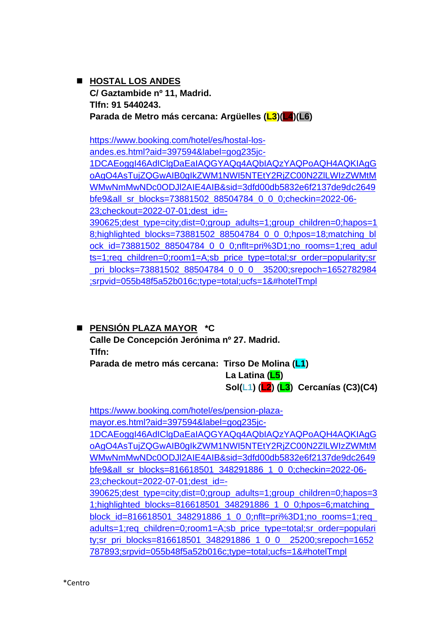◼ **HOSTAL LOS ANDES C/ Gaztambide nº 11, Madrid. Tlfn: 91 5440243. Parada de Metro más cercana: Argüelles (L3)(L4)(L6)**

[https://www.booking.com/hotel/es/hostal-los](https://www.booking.com/hotel/es/hostal-los-andes.es.html?aid=397594&label=gog235jc-1DCAEoggI46AdIClgDaEaIAQGYAQq4AQbIAQzYAQPoAQH4AQKIAgGoAgO4AsTujZQGwAIB0gIkZWM1NWI5NTEtY2RjZC00N2ZlLWIzZWMtMWMwNmMwNDc0ODJl2AIE4AIB&sid=3dfd00db5832e6f2137de9dc2649bfe9&all_sr_blocks=73881502_88504784_0_0_0;checkin=2022-06-23;checkout=2022-07-01;dest_id=-390625;dest_type=city;dist=0;group_adults=1;group_children=0;hapos=18;highlighted_blocks=73881502_88504784_0_0_0;hpos=18;matching_block_id=73881502_88504784_0_0_0;nflt=pri%3D1;no_rooms=1;req_adults=1;req_children=0;room1=A;sb_price_type=total;sr_order=popularity;sr_pri_blocks=73881502_88504784_0_0_0__35200;srepoch=1652782984;srpvid=055b48f5a52b016c;type=total;ucfs=1&#hotelTmpl)[andes.es.html?aid=397594&label=gog235jc-](https://www.booking.com/hotel/es/hostal-los-andes.es.html?aid=397594&label=gog235jc-1DCAEoggI46AdIClgDaEaIAQGYAQq4AQbIAQzYAQPoAQH4AQKIAgGoAgO4AsTujZQGwAIB0gIkZWM1NWI5NTEtY2RjZC00N2ZlLWIzZWMtMWMwNmMwNDc0ODJl2AIE4AIB&sid=3dfd00db5832e6f2137de9dc2649bfe9&all_sr_blocks=73881502_88504784_0_0_0;checkin=2022-06-23;checkout=2022-07-01;dest_id=-390625;dest_type=city;dist=0;group_adults=1;group_children=0;hapos=18;highlighted_blocks=73881502_88504784_0_0_0;hpos=18;matching_block_id=73881502_88504784_0_0_0;nflt=pri%3D1;no_rooms=1;req_adults=1;req_children=0;room1=A;sb_price_type=total;sr_order=popularity;sr_pri_blocks=73881502_88504784_0_0_0__35200;srepoch=1652782984;srpvid=055b48f5a52b016c;type=total;ucfs=1&#hotelTmpl)[1DCAEoggI46AdIClgDaEaIAQGYAQq4AQbIAQzYAQPoAQH4AQKIAgG](https://www.booking.com/hotel/es/hostal-los-andes.es.html?aid=397594&label=gog235jc-1DCAEoggI46AdIClgDaEaIAQGYAQq4AQbIAQzYAQPoAQH4AQKIAgGoAgO4AsTujZQGwAIB0gIkZWM1NWI5NTEtY2RjZC00N2ZlLWIzZWMtMWMwNmMwNDc0ODJl2AIE4AIB&sid=3dfd00db5832e6f2137de9dc2649bfe9&all_sr_blocks=73881502_88504784_0_0_0;checkin=2022-06-23;checkout=2022-07-01;dest_id=-390625;dest_type=city;dist=0;group_adults=1;group_children=0;hapos=18;highlighted_blocks=73881502_88504784_0_0_0;hpos=18;matching_block_id=73881502_88504784_0_0_0;nflt=pri%3D1;no_rooms=1;req_adults=1;req_children=0;room1=A;sb_price_type=total;sr_order=popularity;sr_pri_blocks=73881502_88504784_0_0_0__35200;srepoch=1652782984;srpvid=055b48f5a52b016c;type=total;ucfs=1&#hotelTmpl) [oAgO4AsTujZQGwAIB0gIkZWM1NWI5NTEtY2RjZC00N2ZlLWIzZWMtM](https://www.booking.com/hotel/es/hostal-los-andes.es.html?aid=397594&label=gog235jc-1DCAEoggI46AdIClgDaEaIAQGYAQq4AQbIAQzYAQPoAQH4AQKIAgGoAgO4AsTujZQGwAIB0gIkZWM1NWI5NTEtY2RjZC00N2ZlLWIzZWMtMWMwNmMwNDc0ODJl2AIE4AIB&sid=3dfd00db5832e6f2137de9dc2649bfe9&all_sr_blocks=73881502_88504784_0_0_0;checkin=2022-06-23;checkout=2022-07-01;dest_id=-390625;dest_type=city;dist=0;group_adults=1;group_children=0;hapos=18;highlighted_blocks=73881502_88504784_0_0_0;hpos=18;matching_block_id=73881502_88504784_0_0_0;nflt=pri%3D1;no_rooms=1;req_adults=1;req_children=0;room1=A;sb_price_type=total;sr_order=popularity;sr_pri_blocks=73881502_88504784_0_0_0__35200;srepoch=1652782984;srpvid=055b48f5a52b016c;type=total;ucfs=1&#hotelTmpl) [WMwNmMwNDc0ODJl2AIE4AIB&sid=3dfd00db5832e6f2137de9dc2649](https://www.booking.com/hotel/es/hostal-los-andes.es.html?aid=397594&label=gog235jc-1DCAEoggI46AdIClgDaEaIAQGYAQq4AQbIAQzYAQPoAQH4AQKIAgGoAgO4AsTujZQGwAIB0gIkZWM1NWI5NTEtY2RjZC00N2ZlLWIzZWMtMWMwNmMwNDc0ODJl2AIE4AIB&sid=3dfd00db5832e6f2137de9dc2649bfe9&all_sr_blocks=73881502_88504784_0_0_0;checkin=2022-06-23;checkout=2022-07-01;dest_id=-390625;dest_type=city;dist=0;group_adults=1;group_children=0;hapos=18;highlighted_blocks=73881502_88504784_0_0_0;hpos=18;matching_block_id=73881502_88504784_0_0_0;nflt=pri%3D1;no_rooms=1;req_adults=1;req_children=0;room1=A;sb_price_type=total;sr_order=popularity;sr_pri_blocks=73881502_88504784_0_0_0__35200;srepoch=1652782984;srpvid=055b48f5a52b016c;type=total;ucfs=1&#hotelTmpl) [bfe9&all\\_sr\\_blocks=73881502\\_88504784\\_0\\_0\\_0;checkin=2022-06-](https://www.booking.com/hotel/es/hostal-los-andes.es.html?aid=397594&label=gog235jc-1DCAEoggI46AdIClgDaEaIAQGYAQq4AQbIAQzYAQPoAQH4AQKIAgGoAgO4AsTujZQGwAIB0gIkZWM1NWI5NTEtY2RjZC00N2ZlLWIzZWMtMWMwNmMwNDc0ODJl2AIE4AIB&sid=3dfd00db5832e6f2137de9dc2649bfe9&all_sr_blocks=73881502_88504784_0_0_0;checkin=2022-06-23;checkout=2022-07-01;dest_id=-390625;dest_type=city;dist=0;group_adults=1;group_children=0;hapos=18;highlighted_blocks=73881502_88504784_0_0_0;hpos=18;matching_block_id=73881502_88504784_0_0_0;nflt=pri%3D1;no_rooms=1;req_adults=1;req_children=0;room1=A;sb_price_type=total;sr_order=popularity;sr_pri_blocks=73881502_88504784_0_0_0__35200;srepoch=1652782984;srpvid=055b48f5a52b016c;type=total;ucfs=1&#hotelTmpl) [23;checkout=2022-07-01;dest\\_id=-](https://www.booking.com/hotel/es/hostal-los-andes.es.html?aid=397594&label=gog235jc-1DCAEoggI46AdIClgDaEaIAQGYAQq4AQbIAQzYAQPoAQH4AQKIAgGoAgO4AsTujZQGwAIB0gIkZWM1NWI5NTEtY2RjZC00N2ZlLWIzZWMtMWMwNmMwNDc0ODJl2AIE4AIB&sid=3dfd00db5832e6f2137de9dc2649bfe9&all_sr_blocks=73881502_88504784_0_0_0;checkin=2022-06-23;checkout=2022-07-01;dest_id=-390625;dest_type=city;dist=0;group_adults=1;group_children=0;hapos=18;highlighted_blocks=73881502_88504784_0_0_0;hpos=18;matching_block_id=73881502_88504784_0_0_0;nflt=pri%3D1;no_rooms=1;req_adults=1;req_children=0;room1=A;sb_price_type=total;sr_order=popularity;sr_pri_blocks=73881502_88504784_0_0_0__35200;srepoch=1652782984;srpvid=055b48f5a52b016c;type=total;ucfs=1&#hotelTmpl) [390625;dest\\_type=city;dist=0;group\\_adults=1;group\\_children=0;hapos=1](https://www.booking.com/hotel/es/hostal-los-andes.es.html?aid=397594&label=gog235jc-1DCAEoggI46AdIClgDaEaIAQGYAQq4AQbIAQzYAQPoAQH4AQKIAgGoAgO4AsTujZQGwAIB0gIkZWM1NWI5NTEtY2RjZC00N2ZlLWIzZWMtMWMwNmMwNDc0ODJl2AIE4AIB&sid=3dfd00db5832e6f2137de9dc2649bfe9&all_sr_blocks=73881502_88504784_0_0_0;checkin=2022-06-23;checkout=2022-07-01;dest_id=-390625;dest_type=city;dist=0;group_adults=1;group_children=0;hapos=18;highlighted_blocks=73881502_88504784_0_0_0;hpos=18;matching_block_id=73881502_88504784_0_0_0;nflt=pri%3D1;no_rooms=1;req_adults=1;req_children=0;room1=A;sb_price_type=total;sr_order=popularity;sr_pri_blocks=73881502_88504784_0_0_0__35200;srepoch=1652782984;srpvid=055b48f5a52b016c;type=total;ucfs=1&#hotelTmpl)

[8;highlighted\\_blocks=73881502\\_88504784\\_0\\_0\\_0;hpos=18;matching\\_bl](https://www.booking.com/hotel/es/hostal-los-andes.es.html?aid=397594&label=gog235jc-1DCAEoggI46AdIClgDaEaIAQGYAQq4AQbIAQzYAQPoAQH4AQKIAgGoAgO4AsTujZQGwAIB0gIkZWM1NWI5NTEtY2RjZC00N2ZlLWIzZWMtMWMwNmMwNDc0ODJl2AIE4AIB&sid=3dfd00db5832e6f2137de9dc2649bfe9&all_sr_blocks=73881502_88504784_0_0_0;checkin=2022-06-23;checkout=2022-07-01;dest_id=-390625;dest_type=city;dist=0;group_adults=1;group_children=0;hapos=18;highlighted_blocks=73881502_88504784_0_0_0;hpos=18;matching_block_id=73881502_88504784_0_0_0;nflt=pri%3D1;no_rooms=1;req_adults=1;req_children=0;room1=A;sb_price_type=total;sr_order=popularity;sr_pri_blocks=73881502_88504784_0_0_0__35200;srepoch=1652782984;srpvid=055b48f5a52b016c;type=total;ucfs=1&#hotelTmpl) [ock\\_id=73881502\\_88504784\\_0\\_0\\_0;nflt=pri%3D1;no\\_rooms=1;req\\_adul](https://www.booking.com/hotel/es/hostal-los-andes.es.html?aid=397594&label=gog235jc-1DCAEoggI46AdIClgDaEaIAQGYAQq4AQbIAQzYAQPoAQH4AQKIAgGoAgO4AsTujZQGwAIB0gIkZWM1NWI5NTEtY2RjZC00N2ZlLWIzZWMtMWMwNmMwNDc0ODJl2AIE4AIB&sid=3dfd00db5832e6f2137de9dc2649bfe9&all_sr_blocks=73881502_88504784_0_0_0;checkin=2022-06-23;checkout=2022-07-01;dest_id=-390625;dest_type=city;dist=0;group_adults=1;group_children=0;hapos=18;highlighted_blocks=73881502_88504784_0_0_0;hpos=18;matching_block_id=73881502_88504784_0_0_0;nflt=pri%3D1;no_rooms=1;req_adults=1;req_children=0;room1=A;sb_price_type=total;sr_order=popularity;sr_pri_blocks=73881502_88504784_0_0_0__35200;srepoch=1652782984;srpvid=055b48f5a52b016c;type=total;ucfs=1&#hotelTmpl) [ts=1;req\\_children=0;room1=A;sb\\_price\\_type=total;sr\\_order=popularity;sr](https://www.booking.com/hotel/es/hostal-los-andes.es.html?aid=397594&label=gog235jc-1DCAEoggI46AdIClgDaEaIAQGYAQq4AQbIAQzYAQPoAQH4AQKIAgGoAgO4AsTujZQGwAIB0gIkZWM1NWI5NTEtY2RjZC00N2ZlLWIzZWMtMWMwNmMwNDc0ODJl2AIE4AIB&sid=3dfd00db5832e6f2137de9dc2649bfe9&all_sr_blocks=73881502_88504784_0_0_0;checkin=2022-06-23;checkout=2022-07-01;dest_id=-390625;dest_type=city;dist=0;group_adults=1;group_children=0;hapos=18;highlighted_blocks=73881502_88504784_0_0_0;hpos=18;matching_block_id=73881502_88504784_0_0_0;nflt=pri%3D1;no_rooms=1;req_adults=1;req_children=0;room1=A;sb_price_type=total;sr_order=popularity;sr_pri_blocks=73881502_88504784_0_0_0__35200;srepoch=1652782984;srpvid=055b48f5a52b016c;type=total;ucfs=1&#hotelTmpl) pri\_blocks=73881502\_88504784\_0\_0\_0\_\_35200;srepoch=1652782984 [;srpvid=055b48f5a52b016c;type=total;ucfs=1&#hotelTmpl](https://www.booking.com/hotel/es/hostal-los-andes.es.html?aid=397594&label=gog235jc-1DCAEoggI46AdIClgDaEaIAQGYAQq4AQbIAQzYAQPoAQH4AQKIAgGoAgO4AsTujZQGwAIB0gIkZWM1NWI5NTEtY2RjZC00N2ZlLWIzZWMtMWMwNmMwNDc0ODJl2AIE4AIB&sid=3dfd00db5832e6f2137de9dc2649bfe9&all_sr_blocks=73881502_88504784_0_0_0;checkin=2022-06-23;checkout=2022-07-01;dest_id=-390625;dest_type=city;dist=0;group_adults=1;group_children=0;hapos=18;highlighted_blocks=73881502_88504784_0_0_0;hpos=18;matching_block_id=73881502_88504784_0_0_0;nflt=pri%3D1;no_rooms=1;req_adults=1;req_children=0;room1=A;sb_price_type=total;sr_order=popularity;sr_pri_blocks=73881502_88504784_0_0_0__35200;srepoch=1652782984;srpvid=055b48f5a52b016c;type=total;ucfs=1&#hotelTmpl)

# ◼ **PENSIÓN PLAZA MAYOR \*C**

**Calle De Concepción Jerónima nº 27. Madrid. Tlfn:** 

**Parada de metro más cercana: Tirso De Molina (L1)**

 **La Latina (L5) Sol(L1) (L2) (L3) Cercanías (C3)(C4)** 

[https://www.booking.com/hotel/es/pension-plaza](https://www.booking.com/hotel/es/pension-plaza-mayor.es.html?aid=397594&label=gog235jc-1DCAEoggI46AdIClgDaEaIAQGYAQq4AQbIAQzYAQPoAQH4AQKIAgGoAgO4AsTujZQGwAIB0gIkZWM1NWI5NTEtY2RjZC00N2ZlLWIzZWMtMWMwNmMwNDc0ODJl2AIE4AIB&sid=3dfd00db5832e6f2137de9dc2649bfe9&all_sr_blocks=816618501_348291886_1_0_0;checkin=2022-06-23;checkout=2022-07-01;dest_id=-390625;dest_type=city;dist=0;group_adults=1;group_children=0;hapos=31;highlighted_blocks=816618501_348291886_1_0_0;hpos=6;matching_block_id=816618501_348291886_1_0_0;nflt=pri%3D1;no_rooms=1;req_adults=1;req_children=0;room1=A;sb_price_type=total;sr_order=popularity;sr_pri_blocks=816618501_348291886_1_0_0__25200;srepoch=1652787893;srpvid=055b48f5a52b016c;type=total;ucfs=1&#hotelTmpl)[mayor.es.html?aid=397594&label=gog235jc-](https://www.booking.com/hotel/es/pension-plaza-mayor.es.html?aid=397594&label=gog235jc-1DCAEoggI46AdIClgDaEaIAQGYAQq4AQbIAQzYAQPoAQH4AQKIAgGoAgO4AsTujZQGwAIB0gIkZWM1NWI5NTEtY2RjZC00N2ZlLWIzZWMtMWMwNmMwNDc0ODJl2AIE4AIB&sid=3dfd00db5832e6f2137de9dc2649bfe9&all_sr_blocks=816618501_348291886_1_0_0;checkin=2022-06-23;checkout=2022-07-01;dest_id=-390625;dest_type=city;dist=0;group_adults=1;group_children=0;hapos=31;highlighted_blocks=816618501_348291886_1_0_0;hpos=6;matching_block_id=816618501_348291886_1_0_0;nflt=pri%3D1;no_rooms=1;req_adults=1;req_children=0;room1=A;sb_price_type=total;sr_order=popularity;sr_pri_blocks=816618501_348291886_1_0_0__25200;srepoch=1652787893;srpvid=055b48f5a52b016c;type=total;ucfs=1&#hotelTmpl)

[1DCAEoggI46AdIClgDaEaIAQGYAQq4AQbIAQzYAQPoAQH4AQKIAgG](https://www.booking.com/hotel/es/pension-plaza-mayor.es.html?aid=397594&label=gog235jc-1DCAEoggI46AdIClgDaEaIAQGYAQq4AQbIAQzYAQPoAQH4AQKIAgGoAgO4AsTujZQGwAIB0gIkZWM1NWI5NTEtY2RjZC00N2ZlLWIzZWMtMWMwNmMwNDc0ODJl2AIE4AIB&sid=3dfd00db5832e6f2137de9dc2649bfe9&all_sr_blocks=816618501_348291886_1_0_0;checkin=2022-06-23;checkout=2022-07-01;dest_id=-390625;dest_type=city;dist=0;group_adults=1;group_children=0;hapos=31;highlighted_blocks=816618501_348291886_1_0_0;hpos=6;matching_block_id=816618501_348291886_1_0_0;nflt=pri%3D1;no_rooms=1;req_adults=1;req_children=0;room1=A;sb_price_type=total;sr_order=popularity;sr_pri_blocks=816618501_348291886_1_0_0__25200;srepoch=1652787893;srpvid=055b48f5a52b016c;type=total;ucfs=1&#hotelTmpl) [oAgO4AsTujZQGwAIB0gIkZWM1NWI5NTEtY2RjZC00N2ZlLWIzZWMtM](https://www.booking.com/hotel/es/pension-plaza-mayor.es.html?aid=397594&label=gog235jc-1DCAEoggI46AdIClgDaEaIAQGYAQq4AQbIAQzYAQPoAQH4AQKIAgGoAgO4AsTujZQGwAIB0gIkZWM1NWI5NTEtY2RjZC00N2ZlLWIzZWMtMWMwNmMwNDc0ODJl2AIE4AIB&sid=3dfd00db5832e6f2137de9dc2649bfe9&all_sr_blocks=816618501_348291886_1_0_0;checkin=2022-06-23;checkout=2022-07-01;dest_id=-390625;dest_type=city;dist=0;group_adults=1;group_children=0;hapos=31;highlighted_blocks=816618501_348291886_1_0_0;hpos=6;matching_block_id=816618501_348291886_1_0_0;nflt=pri%3D1;no_rooms=1;req_adults=1;req_children=0;room1=A;sb_price_type=total;sr_order=popularity;sr_pri_blocks=816618501_348291886_1_0_0__25200;srepoch=1652787893;srpvid=055b48f5a52b016c;type=total;ucfs=1&#hotelTmpl) [WMwNmMwNDc0ODJl2AIE4AIB&sid=3dfd00db5832e6f2137de9dc2649](https://www.booking.com/hotel/es/pension-plaza-mayor.es.html?aid=397594&label=gog235jc-1DCAEoggI46AdIClgDaEaIAQGYAQq4AQbIAQzYAQPoAQH4AQKIAgGoAgO4AsTujZQGwAIB0gIkZWM1NWI5NTEtY2RjZC00N2ZlLWIzZWMtMWMwNmMwNDc0ODJl2AIE4AIB&sid=3dfd00db5832e6f2137de9dc2649bfe9&all_sr_blocks=816618501_348291886_1_0_0;checkin=2022-06-23;checkout=2022-07-01;dest_id=-390625;dest_type=city;dist=0;group_adults=1;group_children=0;hapos=31;highlighted_blocks=816618501_348291886_1_0_0;hpos=6;matching_block_id=816618501_348291886_1_0_0;nflt=pri%3D1;no_rooms=1;req_adults=1;req_children=0;room1=A;sb_price_type=total;sr_order=popularity;sr_pri_blocks=816618501_348291886_1_0_0__25200;srepoch=1652787893;srpvid=055b48f5a52b016c;type=total;ucfs=1&#hotelTmpl) [bfe9&all\\_sr\\_blocks=816618501\\_348291886\\_1\\_0\\_0;checkin=2022-06-](https://www.booking.com/hotel/es/pension-plaza-mayor.es.html?aid=397594&label=gog235jc-1DCAEoggI46AdIClgDaEaIAQGYAQq4AQbIAQzYAQPoAQH4AQKIAgGoAgO4AsTujZQGwAIB0gIkZWM1NWI5NTEtY2RjZC00N2ZlLWIzZWMtMWMwNmMwNDc0ODJl2AIE4AIB&sid=3dfd00db5832e6f2137de9dc2649bfe9&all_sr_blocks=816618501_348291886_1_0_0;checkin=2022-06-23;checkout=2022-07-01;dest_id=-390625;dest_type=city;dist=0;group_adults=1;group_children=0;hapos=31;highlighted_blocks=816618501_348291886_1_0_0;hpos=6;matching_block_id=816618501_348291886_1_0_0;nflt=pri%3D1;no_rooms=1;req_adults=1;req_children=0;room1=A;sb_price_type=total;sr_order=popularity;sr_pri_blocks=816618501_348291886_1_0_0__25200;srepoch=1652787893;srpvid=055b48f5a52b016c;type=total;ucfs=1&#hotelTmpl) [23;checkout=2022-07-01;dest\\_id=-](https://www.booking.com/hotel/es/pension-plaza-mayor.es.html?aid=397594&label=gog235jc-1DCAEoggI46AdIClgDaEaIAQGYAQq4AQbIAQzYAQPoAQH4AQKIAgGoAgO4AsTujZQGwAIB0gIkZWM1NWI5NTEtY2RjZC00N2ZlLWIzZWMtMWMwNmMwNDc0ODJl2AIE4AIB&sid=3dfd00db5832e6f2137de9dc2649bfe9&all_sr_blocks=816618501_348291886_1_0_0;checkin=2022-06-23;checkout=2022-07-01;dest_id=-390625;dest_type=city;dist=0;group_adults=1;group_children=0;hapos=31;highlighted_blocks=816618501_348291886_1_0_0;hpos=6;matching_block_id=816618501_348291886_1_0_0;nflt=pri%3D1;no_rooms=1;req_adults=1;req_children=0;room1=A;sb_price_type=total;sr_order=popularity;sr_pri_blocks=816618501_348291886_1_0_0__25200;srepoch=1652787893;srpvid=055b48f5a52b016c;type=total;ucfs=1&#hotelTmpl) [390625;dest\\_type=city;dist=0;group\\_adults=1;group\\_children=0;hapos=3](https://www.booking.com/hotel/es/pension-plaza-mayor.es.html?aid=397594&label=gog235jc-1DCAEoggI46AdIClgDaEaIAQGYAQq4AQbIAQzYAQPoAQH4AQKIAgGoAgO4AsTujZQGwAIB0gIkZWM1NWI5NTEtY2RjZC00N2ZlLWIzZWMtMWMwNmMwNDc0ODJl2AIE4AIB&sid=3dfd00db5832e6f2137de9dc2649bfe9&all_sr_blocks=816618501_348291886_1_0_0;checkin=2022-06-23;checkout=2022-07-01;dest_id=-390625;dest_type=city;dist=0;group_adults=1;group_children=0;hapos=31;highlighted_blocks=816618501_348291886_1_0_0;hpos=6;matching_block_id=816618501_348291886_1_0_0;nflt=pri%3D1;no_rooms=1;req_adults=1;req_children=0;room1=A;sb_price_type=total;sr_order=popularity;sr_pri_blocks=816618501_348291886_1_0_0__25200;srepoch=1652787893;srpvid=055b48f5a52b016c;type=total;ucfs=1&#hotelTmpl) [1;highlighted\\_blocks=816618501\\_348291886\\_1\\_0\\_0;hpos=6;matching\\_](https://www.booking.com/hotel/es/pension-plaza-mayor.es.html?aid=397594&label=gog235jc-1DCAEoggI46AdIClgDaEaIAQGYAQq4AQbIAQzYAQPoAQH4AQKIAgGoAgO4AsTujZQGwAIB0gIkZWM1NWI5NTEtY2RjZC00N2ZlLWIzZWMtMWMwNmMwNDc0ODJl2AIE4AIB&sid=3dfd00db5832e6f2137de9dc2649bfe9&all_sr_blocks=816618501_348291886_1_0_0;checkin=2022-06-23;checkout=2022-07-01;dest_id=-390625;dest_type=city;dist=0;group_adults=1;group_children=0;hapos=31;highlighted_blocks=816618501_348291886_1_0_0;hpos=6;matching_block_id=816618501_348291886_1_0_0;nflt=pri%3D1;no_rooms=1;req_adults=1;req_children=0;room1=A;sb_price_type=total;sr_order=popularity;sr_pri_blocks=816618501_348291886_1_0_0__25200;srepoch=1652787893;srpvid=055b48f5a52b016c;type=total;ucfs=1&#hotelTmpl) [block\\_id=816618501\\_348291886\\_1\\_0\\_0;nflt=pri%3D1;no\\_rooms=1;req\\_](https://www.booking.com/hotel/es/pension-plaza-mayor.es.html?aid=397594&label=gog235jc-1DCAEoggI46AdIClgDaEaIAQGYAQq4AQbIAQzYAQPoAQH4AQKIAgGoAgO4AsTujZQGwAIB0gIkZWM1NWI5NTEtY2RjZC00N2ZlLWIzZWMtMWMwNmMwNDc0ODJl2AIE4AIB&sid=3dfd00db5832e6f2137de9dc2649bfe9&all_sr_blocks=816618501_348291886_1_0_0;checkin=2022-06-23;checkout=2022-07-01;dest_id=-390625;dest_type=city;dist=0;group_adults=1;group_children=0;hapos=31;highlighted_blocks=816618501_348291886_1_0_0;hpos=6;matching_block_id=816618501_348291886_1_0_0;nflt=pri%3D1;no_rooms=1;req_adults=1;req_children=0;room1=A;sb_price_type=total;sr_order=popularity;sr_pri_blocks=816618501_348291886_1_0_0__25200;srepoch=1652787893;srpvid=055b48f5a52b016c;type=total;ucfs=1&#hotelTmpl) [adults=1;req\\_children=0;room1=A;sb\\_price\\_type=total;sr\\_order=populari](https://www.booking.com/hotel/es/pension-plaza-mayor.es.html?aid=397594&label=gog235jc-1DCAEoggI46AdIClgDaEaIAQGYAQq4AQbIAQzYAQPoAQH4AQKIAgGoAgO4AsTujZQGwAIB0gIkZWM1NWI5NTEtY2RjZC00N2ZlLWIzZWMtMWMwNmMwNDc0ODJl2AIE4AIB&sid=3dfd00db5832e6f2137de9dc2649bfe9&all_sr_blocks=816618501_348291886_1_0_0;checkin=2022-06-23;checkout=2022-07-01;dest_id=-390625;dest_type=city;dist=0;group_adults=1;group_children=0;hapos=31;highlighted_blocks=816618501_348291886_1_0_0;hpos=6;matching_block_id=816618501_348291886_1_0_0;nflt=pri%3D1;no_rooms=1;req_adults=1;req_children=0;room1=A;sb_price_type=total;sr_order=popularity;sr_pri_blocks=816618501_348291886_1_0_0__25200;srepoch=1652787893;srpvid=055b48f5a52b016c;type=total;ucfs=1&#hotelTmpl) [ty;sr\\_pri\\_blocks=816618501\\_348291886\\_1\\_0\\_0\\_\\_25200;srepoch=1652](https://www.booking.com/hotel/es/pension-plaza-mayor.es.html?aid=397594&label=gog235jc-1DCAEoggI46AdIClgDaEaIAQGYAQq4AQbIAQzYAQPoAQH4AQKIAgGoAgO4AsTujZQGwAIB0gIkZWM1NWI5NTEtY2RjZC00N2ZlLWIzZWMtMWMwNmMwNDc0ODJl2AIE4AIB&sid=3dfd00db5832e6f2137de9dc2649bfe9&all_sr_blocks=816618501_348291886_1_0_0;checkin=2022-06-23;checkout=2022-07-01;dest_id=-390625;dest_type=city;dist=0;group_adults=1;group_children=0;hapos=31;highlighted_blocks=816618501_348291886_1_0_0;hpos=6;matching_block_id=816618501_348291886_1_0_0;nflt=pri%3D1;no_rooms=1;req_adults=1;req_children=0;room1=A;sb_price_type=total;sr_order=popularity;sr_pri_blocks=816618501_348291886_1_0_0__25200;srepoch=1652787893;srpvid=055b48f5a52b016c;type=total;ucfs=1&#hotelTmpl) [787893;srpvid=055b48f5a52b016c;type=total;ucfs=1&#hotelTmpl](https://www.booking.com/hotel/es/pension-plaza-mayor.es.html?aid=397594&label=gog235jc-1DCAEoggI46AdIClgDaEaIAQGYAQq4AQbIAQzYAQPoAQH4AQKIAgGoAgO4AsTujZQGwAIB0gIkZWM1NWI5NTEtY2RjZC00N2ZlLWIzZWMtMWMwNmMwNDc0ODJl2AIE4AIB&sid=3dfd00db5832e6f2137de9dc2649bfe9&all_sr_blocks=816618501_348291886_1_0_0;checkin=2022-06-23;checkout=2022-07-01;dest_id=-390625;dest_type=city;dist=0;group_adults=1;group_children=0;hapos=31;highlighted_blocks=816618501_348291886_1_0_0;hpos=6;matching_block_id=816618501_348291886_1_0_0;nflt=pri%3D1;no_rooms=1;req_adults=1;req_children=0;room1=A;sb_price_type=total;sr_order=popularity;sr_pri_blocks=816618501_348291886_1_0_0__25200;srepoch=1652787893;srpvid=055b48f5a52b016c;type=total;ucfs=1&#hotelTmpl)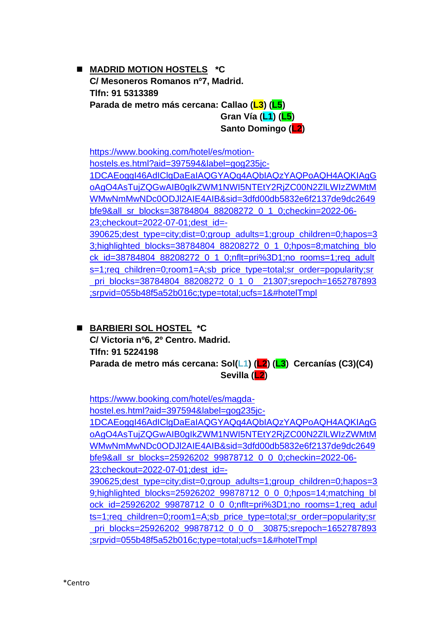◼ **MADRID MOTION HOSTELS \*C C/ Mesoneros Romanos nº7, Madrid. Tlfn: 91 5313389 Parada de metro más cercana: Callao (L3) (L5) Gran Vía (L1) (L5) Santo Domingo (L2)**

[https://www.booking.com/hotel/es/motion](https://www.booking.com/hotel/es/motion-hostels.es.html?aid=397594&label=gog235jc-1DCAEoggI46AdIClgDaEaIAQGYAQq4AQbIAQzYAQPoAQH4AQKIAgGoAgO4AsTujZQGwAIB0gIkZWM1NWI5NTEtY2RjZC00N2ZlLWIzZWMtMWMwNmMwNDc0ODJl2AIE4AIB&sid=3dfd00db5832e6f2137de9dc2649bfe9&all_sr_blocks=38784804_88208272_0_1_0;checkin=2022-06-23;checkout=2022-07-01;dest_id=-390625;dest_type=city;dist=0;group_adults=1;group_children=0;hapos=33;highlighted_blocks=38784804_88208272_0_1_0;hpos=8;matching_block_id=38784804_88208272_0_1_0;nflt=pri%3D1;no_rooms=1;req_adults=1;req_children=0;room1=A;sb_price_type=total;sr_order=popularity;sr_pri_blocks=38784804_88208272_0_1_0__21307;srepoch=1652787893;srpvid=055b48f5a52b016c;type=total;ucfs=1&#hotelTmpl)[hostels.es.html?aid=397594&label=gog235jc-](https://www.booking.com/hotel/es/motion-hostels.es.html?aid=397594&label=gog235jc-1DCAEoggI46AdIClgDaEaIAQGYAQq4AQbIAQzYAQPoAQH4AQKIAgGoAgO4AsTujZQGwAIB0gIkZWM1NWI5NTEtY2RjZC00N2ZlLWIzZWMtMWMwNmMwNDc0ODJl2AIE4AIB&sid=3dfd00db5832e6f2137de9dc2649bfe9&all_sr_blocks=38784804_88208272_0_1_0;checkin=2022-06-23;checkout=2022-07-01;dest_id=-390625;dest_type=city;dist=0;group_adults=1;group_children=0;hapos=33;highlighted_blocks=38784804_88208272_0_1_0;hpos=8;matching_block_id=38784804_88208272_0_1_0;nflt=pri%3D1;no_rooms=1;req_adults=1;req_children=0;room1=A;sb_price_type=total;sr_order=popularity;sr_pri_blocks=38784804_88208272_0_1_0__21307;srepoch=1652787893;srpvid=055b48f5a52b016c;type=total;ucfs=1&#hotelTmpl)[1DCAEoggI46AdIClgDaEaIAQGYAQq4AQbIAQzYAQPoAQH4AQKIAgG](https://www.booking.com/hotel/es/motion-hostels.es.html?aid=397594&label=gog235jc-1DCAEoggI46AdIClgDaEaIAQGYAQq4AQbIAQzYAQPoAQH4AQKIAgGoAgO4AsTujZQGwAIB0gIkZWM1NWI5NTEtY2RjZC00N2ZlLWIzZWMtMWMwNmMwNDc0ODJl2AIE4AIB&sid=3dfd00db5832e6f2137de9dc2649bfe9&all_sr_blocks=38784804_88208272_0_1_0;checkin=2022-06-23;checkout=2022-07-01;dest_id=-390625;dest_type=city;dist=0;group_adults=1;group_children=0;hapos=33;highlighted_blocks=38784804_88208272_0_1_0;hpos=8;matching_block_id=38784804_88208272_0_1_0;nflt=pri%3D1;no_rooms=1;req_adults=1;req_children=0;room1=A;sb_price_type=total;sr_order=popularity;sr_pri_blocks=38784804_88208272_0_1_0__21307;srepoch=1652787893;srpvid=055b48f5a52b016c;type=total;ucfs=1&#hotelTmpl) [oAgO4AsTujZQGwAIB0gIkZWM1NWI5NTEtY2RjZC00N2ZlLWIzZWMtM](https://www.booking.com/hotel/es/motion-hostels.es.html?aid=397594&label=gog235jc-1DCAEoggI46AdIClgDaEaIAQGYAQq4AQbIAQzYAQPoAQH4AQKIAgGoAgO4AsTujZQGwAIB0gIkZWM1NWI5NTEtY2RjZC00N2ZlLWIzZWMtMWMwNmMwNDc0ODJl2AIE4AIB&sid=3dfd00db5832e6f2137de9dc2649bfe9&all_sr_blocks=38784804_88208272_0_1_0;checkin=2022-06-23;checkout=2022-07-01;dest_id=-390625;dest_type=city;dist=0;group_adults=1;group_children=0;hapos=33;highlighted_blocks=38784804_88208272_0_1_0;hpos=8;matching_block_id=38784804_88208272_0_1_0;nflt=pri%3D1;no_rooms=1;req_adults=1;req_children=0;room1=A;sb_price_type=total;sr_order=popularity;sr_pri_blocks=38784804_88208272_0_1_0__21307;srepoch=1652787893;srpvid=055b48f5a52b016c;type=total;ucfs=1&#hotelTmpl) [WMwNmMwNDc0ODJl2AIE4AIB&sid=3dfd00db5832e6f2137de9dc2649](https://www.booking.com/hotel/es/motion-hostels.es.html?aid=397594&label=gog235jc-1DCAEoggI46AdIClgDaEaIAQGYAQq4AQbIAQzYAQPoAQH4AQKIAgGoAgO4AsTujZQGwAIB0gIkZWM1NWI5NTEtY2RjZC00N2ZlLWIzZWMtMWMwNmMwNDc0ODJl2AIE4AIB&sid=3dfd00db5832e6f2137de9dc2649bfe9&all_sr_blocks=38784804_88208272_0_1_0;checkin=2022-06-23;checkout=2022-07-01;dest_id=-390625;dest_type=city;dist=0;group_adults=1;group_children=0;hapos=33;highlighted_blocks=38784804_88208272_0_1_0;hpos=8;matching_block_id=38784804_88208272_0_1_0;nflt=pri%3D1;no_rooms=1;req_adults=1;req_children=0;room1=A;sb_price_type=total;sr_order=popularity;sr_pri_blocks=38784804_88208272_0_1_0__21307;srepoch=1652787893;srpvid=055b48f5a52b016c;type=total;ucfs=1&#hotelTmpl) [bfe9&all\\_sr\\_blocks=38784804\\_88208272\\_0\\_1\\_0;checkin=2022-06-](https://www.booking.com/hotel/es/motion-hostels.es.html?aid=397594&label=gog235jc-1DCAEoggI46AdIClgDaEaIAQGYAQq4AQbIAQzYAQPoAQH4AQKIAgGoAgO4AsTujZQGwAIB0gIkZWM1NWI5NTEtY2RjZC00N2ZlLWIzZWMtMWMwNmMwNDc0ODJl2AIE4AIB&sid=3dfd00db5832e6f2137de9dc2649bfe9&all_sr_blocks=38784804_88208272_0_1_0;checkin=2022-06-23;checkout=2022-07-01;dest_id=-390625;dest_type=city;dist=0;group_adults=1;group_children=0;hapos=33;highlighted_blocks=38784804_88208272_0_1_0;hpos=8;matching_block_id=38784804_88208272_0_1_0;nflt=pri%3D1;no_rooms=1;req_adults=1;req_children=0;room1=A;sb_price_type=total;sr_order=popularity;sr_pri_blocks=38784804_88208272_0_1_0__21307;srepoch=1652787893;srpvid=055b48f5a52b016c;type=total;ucfs=1&#hotelTmpl) [23;checkout=2022-07-01;dest\\_id=-](https://www.booking.com/hotel/es/motion-hostels.es.html?aid=397594&label=gog235jc-1DCAEoggI46AdIClgDaEaIAQGYAQq4AQbIAQzYAQPoAQH4AQKIAgGoAgO4AsTujZQGwAIB0gIkZWM1NWI5NTEtY2RjZC00N2ZlLWIzZWMtMWMwNmMwNDc0ODJl2AIE4AIB&sid=3dfd00db5832e6f2137de9dc2649bfe9&all_sr_blocks=38784804_88208272_0_1_0;checkin=2022-06-23;checkout=2022-07-01;dest_id=-390625;dest_type=city;dist=0;group_adults=1;group_children=0;hapos=33;highlighted_blocks=38784804_88208272_0_1_0;hpos=8;matching_block_id=38784804_88208272_0_1_0;nflt=pri%3D1;no_rooms=1;req_adults=1;req_children=0;room1=A;sb_price_type=total;sr_order=popularity;sr_pri_blocks=38784804_88208272_0_1_0__21307;srepoch=1652787893;srpvid=055b48f5a52b016c;type=total;ucfs=1&#hotelTmpl) [390625;dest\\_type=city;dist=0;group\\_adults=1;group\\_children=0;hapos=3](https://www.booking.com/hotel/es/motion-hostels.es.html?aid=397594&label=gog235jc-1DCAEoggI46AdIClgDaEaIAQGYAQq4AQbIAQzYAQPoAQH4AQKIAgGoAgO4AsTujZQGwAIB0gIkZWM1NWI5NTEtY2RjZC00N2ZlLWIzZWMtMWMwNmMwNDc0ODJl2AIE4AIB&sid=3dfd00db5832e6f2137de9dc2649bfe9&all_sr_blocks=38784804_88208272_0_1_0;checkin=2022-06-23;checkout=2022-07-01;dest_id=-390625;dest_type=city;dist=0;group_adults=1;group_children=0;hapos=33;highlighted_blocks=38784804_88208272_0_1_0;hpos=8;matching_block_id=38784804_88208272_0_1_0;nflt=pri%3D1;no_rooms=1;req_adults=1;req_children=0;room1=A;sb_price_type=total;sr_order=popularity;sr_pri_blocks=38784804_88208272_0_1_0__21307;srepoch=1652787893;srpvid=055b48f5a52b016c;type=total;ucfs=1&#hotelTmpl) [3;highlighted\\_blocks=38784804\\_88208272\\_0\\_1\\_0;hpos=8;matching\\_blo](https://www.booking.com/hotel/es/motion-hostels.es.html?aid=397594&label=gog235jc-1DCAEoggI46AdIClgDaEaIAQGYAQq4AQbIAQzYAQPoAQH4AQKIAgGoAgO4AsTujZQGwAIB0gIkZWM1NWI5NTEtY2RjZC00N2ZlLWIzZWMtMWMwNmMwNDc0ODJl2AIE4AIB&sid=3dfd00db5832e6f2137de9dc2649bfe9&all_sr_blocks=38784804_88208272_0_1_0;checkin=2022-06-23;checkout=2022-07-01;dest_id=-390625;dest_type=city;dist=0;group_adults=1;group_children=0;hapos=33;highlighted_blocks=38784804_88208272_0_1_0;hpos=8;matching_block_id=38784804_88208272_0_1_0;nflt=pri%3D1;no_rooms=1;req_adults=1;req_children=0;room1=A;sb_price_type=total;sr_order=popularity;sr_pri_blocks=38784804_88208272_0_1_0__21307;srepoch=1652787893;srpvid=055b48f5a52b016c;type=total;ucfs=1&#hotelTmpl) [ck\\_id=38784804\\_88208272\\_0\\_1\\_0;nflt=pri%3D1;no\\_rooms=1;req\\_adult](https://www.booking.com/hotel/es/motion-hostels.es.html?aid=397594&label=gog235jc-1DCAEoggI46AdIClgDaEaIAQGYAQq4AQbIAQzYAQPoAQH4AQKIAgGoAgO4AsTujZQGwAIB0gIkZWM1NWI5NTEtY2RjZC00N2ZlLWIzZWMtMWMwNmMwNDc0ODJl2AIE4AIB&sid=3dfd00db5832e6f2137de9dc2649bfe9&all_sr_blocks=38784804_88208272_0_1_0;checkin=2022-06-23;checkout=2022-07-01;dest_id=-390625;dest_type=city;dist=0;group_adults=1;group_children=0;hapos=33;highlighted_blocks=38784804_88208272_0_1_0;hpos=8;matching_block_id=38784804_88208272_0_1_0;nflt=pri%3D1;no_rooms=1;req_adults=1;req_children=0;room1=A;sb_price_type=total;sr_order=popularity;sr_pri_blocks=38784804_88208272_0_1_0__21307;srepoch=1652787893;srpvid=055b48f5a52b016c;type=total;ucfs=1&#hotelTmpl) [s=1;req\\_children=0;room1=A;sb\\_price\\_type=total;sr\\_order=popularity;sr](https://www.booking.com/hotel/es/motion-hostels.es.html?aid=397594&label=gog235jc-1DCAEoggI46AdIClgDaEaIAQGYAQq4AQbIAQzYAQPoAQH4AQKIAgGoAgO4AsTujZQGwAIB0gIkZWM1NWI5NTEtY2RjZC00N2ZlLWIzZWMtMWMwNmMwNDc0ODJl2AIE4AIB&sid=3dfd00db5832e6f2137de9dc2649bfe9&all_sr_blocks=38784804_88208272_0_1_0;checkin=2022-06-23;checkout=2022-07-01;dest_id=-390625;dest_type=city;dist=0;group_adults=1;group_children=0;hapos=33;highlighted_blocks=38784804_88208272_0_1_0;hpos=8;matching_block_id=38784804_88208272_0_1_0;nflt=pri%3D1;no_rooms=1;req_adults=1;req_children=0;room1=A;sb_price_type=total;sr_order=popularity;sr_pri_blocks=38784804_88208272_0_1_0__21307;srepoch=1652787893;srpvid=055b48f5a52b016c;type=total;ucfs=1&#hotelTmpl) pri\_blocks=38784804\_88208272\_0\_1\_0\_\_21307;srepoch=1652787893 [;srpvid=055b48f5a52b016c;type=total;ucfs=1&#hotelTmpl](https://www.booking.com/hotel/es/motion-hostels.es.html?aid=397594&label=gog235jc-1DCAEoggI46AdIClgDaEaIAQGYAQq4AQbIAQzYAQPoAQH4AQKIAgGoAgO4AsTujZQGwAIB0gIkZWM1NWI5NTEtY2RjZC00N2ZlLWIzZWMtMWMwNmMwNDc0ODJl2AIE4AIB&sid=3dfd00db5832e6f2137de9dc2649bfe9&all_sr_blocks=38784804_88208272_0_1_0;checkin=2022-06-23;checkout=2022-07-01;dest_id=-390625;dest_type=city;dist=0;group_adults=1;group_children=0;hapos=33;highlighted_blocks=38784804_88208272_0_1_0;hpos=8;matching_block_id=38784804_88208272_0_1_0;nflt=pri%3D1;no_rooms=1;req_adults=1;req_children=0;room1=A;sb_price_type=total;sr_order=popularity;sr_pri_blocks=38784804_88208272_0_1_0__21307;srepoch=1652787893;srpvid=055b48f5a52b016c;type=total;ucfs=1&#hotelTmpl)

◼ **BARBIERI SOL HOSTEL \*C C/ Victoria nº6, 2º Centro. Madrid. Tlfn: 91 5224198 Parada de metro más cercana: Sol(L1) (L2) (L3) Cercanías (C3)(C4) Sevilla (L2)**

[https://www.booking.com/hotel/es/magda-](https://www.booking.com/hotel/es/magda-hostel.es.html?aid=397594&label=gog235jc-1DCAEoggI46AdIClgDaEaIAQGYAQq4AQbIAQzYAQPoAQH4AQKIAgGoAgO4AsTujZQGwAIB0gIkZWM1NWI5NTEtY2RjZC00N2ZlLWIzZWMtMWMwNmMwNDc0ODJl2AIE4AIB&sid=3dfd00db5832e6f2137de9dc2649bfe9&all_sr_blocks=25926202_99878712_0_0_0;checkin=2022-06-23;checkout=2022-07-01;dest_id=-390625;dest_type=city;dist=0;group_adults=1;group_children=0;hapos=39;highlighted_blocks=25926202_99878712_0_0_0;hpos=14;matching_block_id=25926202_99878712_0_0_0;nflt=pri%3D1;no_rooms=1;req_adults=1;req_children=0;room1=A;sb_price_type=total;sr_order=popularity;sr_pri_blocks=25926202_99878712_0_0_0__30875;srepoch=1652787893;srpvid=055b48f5a52b016c;type=total;ucfs=1&#hotelTmpl)

[hostel.es.html?aid=397594&label=gog235jc-](https://www.booking.com/hotel/es/magda-hostel.es.html?aid=397594&label=gog235jc-1DCAEoggI46AdIClgDaEaIAQGYAQq4AQbIAQzYAQPoAQH4AQKIAgGoAgO4AsTujZQGwAIB0gIkZWM1NWI5NTEtY2RjZC00N2ZlLWIzZWMtMWMwNmMwNDc0ODJl2AIE4AIB&sid=3dfd00db5832e6f2137de9dc2649bfe9&all_sr_blocks=25926202_99878712_0_0_0;checkin=2022-06-23;checkout=2022-07-01;dest_id=-390625;dest_type=city;dist=0;group_adults=1;group_children=0;hapos=39;highlighted_blocks=25926202_99878712_0_0_0;hpos=14;matching_block_id=25926202_99878712_0_0_0;nflt=pri%3D1;no_rooms=1;req_adults=1;req_children=0;room1=A;sb_price_type=total;sr_order=popularity;sr_pri_blocks=25926202_99878712_0_0_0__30875;srepoch=1652787893;srpvid=055b48f5a52b016c;type=total;ucfs=1&#hotelTmpl)

[1DCAEoggI46AdIClgDaEaIAQGYAQq4AQbIAQzYAQPoAQH4AQKIAgG](https://www.booking.com/hotel/es/magda-hostel.es.html?aid=397594&label=gog235jc-1DCAEoggI46AdIClgDaEaIAQGYAQq4AQbIAQzYAQPoAQH4AQKIAgGoAgO4AsTujZQGwAIB0gIkZWM1NWI5NTEtY2RjZC00N2ZlLWIzZWMtMWMwNmMwNDc0ODJl2AIE4AIB&sid=3dfd00db5832e6f2137de9dc2649bfe9&all_sr_blocks=25926202_99878712_0_0_0;checkin=2022-06-23;checkout=2022-07-01;dest_id=-390625;dest_type=city;dist=0;group_adults=1;group_children=0;hapos=39;highlighted_blocks=25926202_99878712_0_0_0;hpos=14;matching_block_id=25926202_99878712_0_0_0;nflt=pri%3D1;no_rooms=1;req_adults=1;req_children=0;room1=A;sb_price_type=total;sr_order=popularity;sr_pri_blocks=25926202_99878712_0_0_0__30875;srepoch=1652787893;srpvid=055b48f5a52b016c;type=total;ucfs=1&#hotelTmpl) [oAgO4AsTujZQGwAIB0gIkZWM1NWI5NTEtY2RjZC00N2ZlLWIzZWMtM](https://www.booking.com/hotel/es/magda-hostel.es.html?aid=397594&label=gog235jc-1DCAEoggI46AdIClgDaEaIAQGYAQq4AQbIAQzYAQPoAQH4AQKIAgGoAgO4AsTujZQGwAIB0gIkZWM1NWI5NTEtY2RjZC00N2ZlLWIzZWMtMWMwNmMwNDc0ODJl2AIE4AIB&sid=3dfd00db5832e6f2137de9dc2649bfe9&all_sr_blocks=25926202_99878712_0_0_0;checkin=2022-06-23;checkout=2022-07-01;dest_id=-390625;dest_type=city;dist=0;group_adults=1;group_children=0;hapos=39;highlighted_blocks=25926202_99878712_0_0_0;hpos=14;matching_block_id=25926202_99878712_0_0_0;nflt=pri%3D1;no_rooms=1;req_adults=1;req_children=0;room1=A;sb_price_type=total;sr_order=popularity;sr_pri_blocks=25926202_99878712_0_0_0__30875;srepoch=1652787893;srpvid=055b48f5a52b016c;type=total;ucfs=1&#hotelTmpl) [WMwNmMwNDc0ODJl2AIE4AIB&sid=3dfd00db5832e6f2137de9dc2649](https://www.booking.com/hotel/es/magda-hostel.es.html?aid=397594&label=gog235jc-1DCAEoggI46AdIClgDaEaIAQGYAQq4AQbIAQzYAQPoAQH4AQKIAgGoAgO4AsTujZQGwAIB0gIkZWM1NWI5NTEtY2RjZC00N2ZlLWIzZWMtMWMwNmMwNDc0ODJl2AIE4AIB&sid=3dfd00db5832e6f2137de9dc2649bfe9&all_sr_blocks=25926202_99878712_0_0_0;checkin=2022-06-23;checkout=2022-07-01;dest_id=-390625;dest_type=city;dist=0;group_adults=1;group_children=0;hapos=39;highlighted_blocks=25926202_99878712_0_0_0;hpos=14;matching_block_id=25926202_99878712_0_0_0;nflt=pri%3D1;no_rooms=1;req_adults=1;req_children=0;room1=A;sb_price_type=total;sr_order=popularity;sr_pri_blocks=25926202_99878712_0_0_0__30875;srepoch=1652787893;srpvid=055b48f5a52b016c;type=total;ucfs=1&#hotelTmpl) [bfe9&all\\_sr\\_blocks=25926202\\_99878712\\_0\\_0\\_0;checkin=2022-06-](https://www.booking.com/hotel/es/magda-hostel.es.html?aid=397594&label=gog235jc-1DCAEoggI46AdIClgDaEaIAQGYAQq4AQbIAQzYAQPoAQH4AQKIAgGoAgO4AsTujZQGwAIB0gIkZWM1NWI5NTEtY2RjZC00N2ZlLWIzZWMtMWMwNmMwNDc0ODJl2AIE4AIB&sid=3dfd00db5832e6f2137de9dc2649bfe9&all_sr_blocks=25926202_99878712_0_0_0;checkin=2022-06-23;checkout=2022-07-01;dest_id=-390625;dest_type=city;dist=0;group_adults=1;group_children=0;hapos=39;highlighted_blocks=25926202_99878712_0_0_0;hpos=14;matching_block_id=25926202_99878712_0_0_0;nflt=pri%3D1;no_rooms=1;req_adults=1;req_children=0;room1=A;sb_price_type=total;sr_order=popularity;sr_pri_blocks=25926202_99878712_0_0_0__30875;srepoch=1652787893;srpvid=055b48f5a52b016c;type=total;ucfs=1&#hotelTmpl) [23;checkout=2022-07-01;dest\\_id=-](https://www.booking.com/hotel/es/magda-hostel.es.html?aid=397594&label=gog235jc-1DCAEoggI46AdIClgDaEaIAQGYAQq4AQbIAQzYAQPoAQH4AQKIAgGoAgO4AsTujZQGwAIB0gIkZWM1NWI5NTEtY2RjZC00N2ZlLWIzZWMtMWMwNmMwNDc0ODJl2AIE4AIB&sid=3dfd00db5832e6f2137de9dc2649bfe9&all_sr_blocks=25926202_99878712_0_0_0;checkin=2022-06-23;checkout=2022-07-01;dest_id=-390625;dest_type=city;dist=0;group_adults=1;group_children=0;hapos=39;highlighted_blocks=25926202_99878712_0_0_0;hpos=14;matching_block_id=25926202_99878712_0_0_0;nflt=pri%3D1;no_rooms=1;req_adults=1;req_children=0;room1=A;sb_price_type=total;sr_order=popularity;sr_pri_blocks=25926202_99878712_0_0_0__30875;srepoch=1652787893;srpvid=055b48f5a52b016c;type=total;ucfs=1&#hotelTmpl)

[390625;dest\\_type=city;dist=0;group\\_adults=1;group\\_children=0;hapos=3](https://www.booking.com/hotel/es/magda-hostel.es.html?aid=397594&label=gog235jc-1DCAEoggI46AdIClgDaEaIAQGYAQq4AQbIAQzYAQPoAQH4AQKIAgGoAgO4AsTujZQGwAIB0gIkZWM1NWI5NTEtY2RjZC00N2ZlLWIzZWMtMWMwNmMwNDc0ODJl2AIE4AIB&sid=3dfd00db5832e6f2137de9dc2649bfe9&all_sr_blocks=25926202_99878712_0_0_0;checkin=2022-06-23;checkout=2022-07-01;dest_id=-390625;dest_type=city;dist=0;group_adults=1;group_children=0;hapos=39;highlighted_blocks=25926202_99878712_0_0_0;hpos=14;matching_block_id=25926202_99878712_0_0_0;nflt=pri%3D1;no_rooms=1;req_adults=1;req_children=0;room1=A;sb_price_type=total;sr_order=popularity;sr_pri_blocks=25926202_99878712_0_0_0__30875;srepoch=1652787893;srpvid=055b48f5a52b016c;type=total;ucfs=1&#hotelTmpl) [9;highlighted\\_blocks=25926202\\_99878712\\_0\\_0\\_0;hpos=14;matching\\_bl](https://www.booking.com/hotel/es/magda-hostel.es.html?aid=397594&label=gog235jc-1DCAEoggI46AdIClgDaEaIAQGYAQq4AQbIAQzYAQPoAQH4AQKIAgGoAgO4AsTujZQGwAIB0gIkZWM1NWI5NTEtY2RjZC00N2ZlLWIzZWMtMWMwNmMwNDc0ODJl2AIE4AIB&sid=3dfd00db5832e6f2137de9dc2649bfe9&all_sr_blocks=25926202_99878712_0_0_0;checkin=2022-06-23;checkout=2022-07-01;dest_id=-390625;dest_type=city;dist=0;group_adults=1;group_children=0;hapos=39;highlighted_blocks=25926202_99878712_0_0_0;hpos=14;matching_block_id=25926202_99878712_0_0_0;nflt=pri%3D1;no_rooms=1;req_adults=1;req_children=0;room1=A;sb_price_type=total;sr_order=popularity;sr_pri_blocks=25926202_99878712_0_0_0__30875;srepoch=1652787893;srpvid=055b48f5a52b016c;type=total;ucfs=1&#hotelTmpl) [ock\\_id=25926202\\_99878712\\_0\\_0\\_0;nflt=pri%3D1;no\\_rooms=1;req\\_adul](https://www.booking.com/hotel/es/magda-hostel.es.html?aid=397594&label=gog235jc-1DCAEoggI46AdIClgDaEaIAQGYAQq4AQbIAQzYAQPoAQH4AQKIAgGoAgO4AsTujZQGwAIB0gIkZWM1NWI5NTEtY2RjZC00N2ZlLWIzZWMtMWMwNmMwNDc0ODJl2AIE4AIB&sid=3dfd00db5832e6f2137de9dc2649bfe9&all_sr_blocks=25926202_99878712_0_0_0;checkin=2022-06-23;checkout=2022-07-01;dest_id=-390625;dest_type=city;dist=0;group_adults=1;group_children=0;hapos=39;highlighted_blocks=25926202_99878712_0_0_0;hpos=14;matching_block_id=25926202_99878712_0_0_0;nflt=pri%3D1;no_rooms=1;req_adults=1;req_children=0;room1=A;sb_price_type=total;sr_order=popularity;sr_pri_blocks=25926202_99878712_0_0_0__30875;srepoch=1652787893;srpvid=055b48f5a52b016c;type=total;ucfs=1&#hotelTmpl) [ts=1;req\\_children=0;room1=A;sb\\_price\\_type=total;sr\\_order=popularity;sr](https://www.booking.com/hotel/es/magda-hostel.es.html?aid=397594&label=gog235jc-1DCAEoggI46AdIClgDaEaIAQGYAQq4AQbIAQzYAQPoAQH4AQKIAgGoAgO4AsTujZQGwAIB0gIkZWM1NWI5NTEtY2RjZC00N2ZlLWIzZWMtMWMwNmMwNDc0ODJl2AIE4AIB&sid=3dfd00db5832e6f2137de9dc2649bfe9&all_sr_blocks=25926202_99878712_0_0_0;checkin=2022-06-23;checkout=2022-07-01;dest_id=-390625;dest_type=city;dist=0;group_adults=1;group_children=0;hapos=39;highlighted_blocks=25926202_99878712_0_0_0;hpos=14;matching_block_id=25926202_99878712_0_0_0;nflt=pri%3D1;no_rooms=1;req_adults=1;req_children=0;room1=A;sb_price_type=total;sr_order=popularity;sr_pri_blocks=25926202_99878712_0_0_0__30875;srepoch=1652787893;srpvid=055b48f5a52b016c;type=total;ucfs=1&#hotelTmpl) pri\_blocks=25926202\_99878712\_0\_0\_0\_\_30875;srepoch=1652787893 [;srpvid=055b48f5a52b016c;type=total;ucfs=1&#hotelTmpl](https://www.booking.com/hotel/es/magda-hostel.es.html?aid=397594&label=gog235jc-1DCAEoggI46AdIClgDaEaIAQGYAQq4AQbIAQzYAQPoAQH4AQKIAgGoAgO4AsTujZQGwAIB0gIkZWM1NWI5NTEtY2RjZC00N2ZlLWIzZWMtMWMwNmMwNDc0ODJl2AIE4AIB&sid=3dfd00db5832e6f2137de9dc2649bfe9&all_sr_blocks=25926202_99878712_0_0_0;checkin=2022-06-23;checkout=2022-07-01;dest_id=-390625;dest_type=city;dist=0;group_adults=1;group_children=0;hapos=39;highlighted_blocks=25926202_99878712_0_0_0;hpos=14;matching_block_id=25926202_99878712_0_0_0;nflt=pri%3D1;no_rooms=1;req_adults=1;req_children=0;room1=A;sb_price_type=total;sr_order=popularity;sr_pri_blocks=25926202_99878712_0_0_0__30875;srepoch=1652787893;srpvid=055b48f5a52b016c;type=total;ucfs=1&#hotelTmpl)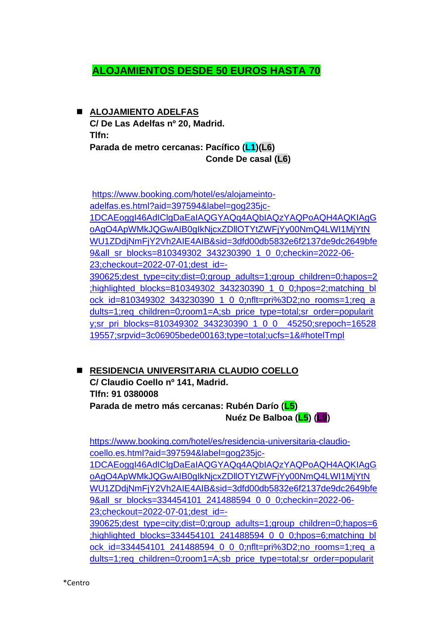# **ALOJAMIENTOS DESDE 50 EUROS HASTA 70**

#### ◼ **ALOJAMIENTO ADELFAS**

**C/ De Las Adelfas nº 20, Madrid. Tlfn: Parada de metro cercanas: Pacífico (L1)(L6) Conde De casal (L6)**

[https://www.booking.com/hotel/es/alojameinto](https://www.booking.com/hotel/es/alojameinto-adelfas.es.html?aid=397594&label=gog235jc-1DCAEoggI46AdIClgDaEaIAQGYAQq4AQbIAQzYAQPoAQH4AQKIAgGoAgO4ApWMkJQGwAIB0gIkNjcxZDllOTYtZWFjYy00NmQ4LWI1MjYtNWU1ZDdjNmFjY2Vh2AIE4AIB&sid=3dfd00db5832e6f2137de9dc2649bfe9&all_sr_blocks=810349302_343230390_1_0_0;checkin=2022-06-23;checkout=2022-07-01;dest_id=-390625;dest_type=city;dist=0;group_adults=1;group_children=0;hapos=2;highlighted_blocks=810349302_343230390_1_0_0;hpos=2;matching_block_id=810349302_343230390_1_0_0;nflt=pri%3D2;no_rooms=1;req_adults=1;req_children=0;room1=A;sb_price_type=total;sr_order=popularity;sr_pri_blocks=810349302_343230390_1_0_0__45250;srepoch=1652819557;srpvid=3c06905bede00163;type=total;ucfs=1&#hotelTmpl)[adelfas.es.html?aid=397594&label=gog235jc-](https://www.booking.com/hotel/es/alojameinto-adelfas.es.html?aid=397594&label=gog235jc-1DCAEoggI46AdIClgDaEaIAQGYAQq4AQbIAQzYAQPoAQH4AQKIAgGoAgO4ApWMkJQGwAIB0gIkNjcxZDllOTYtZWFjYy00NmQ4LWI1MjYtNWU1ZDdjNmFjY2Vh2AIE4AIB&sid=3dfd00db5832e6f2137de9dc2649bfe9&all_sr_blocks=810349302_343230390_1_0_0;checkin=2022-06-23;checkout=2022-07-01;dest_id=-390625;dest_type=city;dist=0;group_adults=1;group_children=0;hapos=2;highlighted_blocks=810349302_343230390_1_0_0;hpos=2;matching_block_id=810349302_343230390_1_0_0;nflt=pri%3D2;no_rooms=1;req_adults=1;req_children=0;room1=A;sb_price_type=total;sr_order=popularity;sr_pri_blocks=810349302_343230390_1_0_0__45250;srepoch=1652819557;srpvid=3c06905bede00163;type=total;ucfs=1&#hotelTmpl)[1DCAEoggI46AdIClgDaEaIAQGYAQq4AQbIAQzYAQPoAQH4AQKIAgG](https://www.booking.com/hotel/es/alojameinto-adelfas.es.html?aid=397594&label=gog235jc-1DCAEoggI46AdIClgDaEaIAQGYAQq4AQbIAQzYAQPoAQH4AQKIAgGoAgO4ApWMkJQGwAIB0gIkNjcxZDllOTYtZWFjYy00NmQ4LWI1MjYtNWU1ZDdjNmFjY2Vh2AIE4AIB&sid=3dfd00db5832e6f2137de9dc2649bfe9&all_sr_blocks=810349302_343230390_1_0_0;checkin=2022-06-23;checkout=2022-07-01;dest_id=-390625;dest_type=city;dist=0;group_adults=1;group_children=0;hapos=2;highlighted_blocks=810349302_343230390_1_0_0;hpos=2;matching_block_id=810349302_343230390_1_0_0;nflt=pri%3D2;no_rooms=1;req_adults=1;req_children=0;room1=A;sb_price_type=total;sr_order=popularity;sr_pri_blocks=810349302_343230390_1_0_0__45250;srepoch=1652819557;srpvid=3c06905bede00163;type=total;ucfs=1&#hotelTmpl) [oAgO4ApWMkJQGwAIB0gIkNjcxZDllOTYtZWFjYy00NmQ4LWI1MjYtN](https://www.booking.com/hotel/es/alojameinto-adelfas.es.html?aid=397594&label=gog235jc-1DCAEoggI46AdIClgDaEaIAQGYAQq4AQbIAQzYAQPoAQH4AQKIAgGoAgO4ApWMkJQGwAIB0gIkNjcxZDllOTYtZWFjYy00NmQ4LWI1MjYtNWU1ZDdjNmFjY2Vh2AIE4AIB&sid=3dfd00db5832e6f2137de9dc2649bfe9&all_sr_blocks=810349302_343230390_1_0_0;checkin=2022-06-23;checkout=2022-07-01;dest_id=-390625;dest_type=city;dist=0;group_adults=1;group_children=0;hapos=2;highlighted_blocks=810349302_343230390_1_0_0;hpos=2;matching_block_id=810349302_343230390_1_0_0;nflt=pri%3D2;no_rooms=1;req_adults=1;req_children=0;room1=A;sb_price_type=total;sr_order=popularity;sr_pri_blocks=810349302_343230390_1_0_0__45250;srepoch=1652819557;srpvid=3c06905bede00163;type=total;ucfs=1&#hotelTmpl) [WU1ZDdjNmFjY2Vh2AIE4AIB&sid=3dfd00db5832e6f2137de9dc2649bfe](https://www.booking.com/hotel/es/alojameinto-adelfas.es.html?aid=397594&label=gog235jc-1DCAEoggI46AdIClgDaEaIAQGYAQq4AQbIAQzYAQPoAQH4AQKIAgGoAgO4ApWMkJQGwAIB0gIkNjcxZDllOTYtZWFjYy00NmQ4LWI1MjYtNWU1ZDdjNmFjY2Vh2AIE4AIB&sid=3dfd00db5832e6f2137de9dc2649bfe9&all_sr_blocks=810349302_343230390_1_0_0;checkin=2022-06-23;checkout=2022-07-01;dest_id=-390625;dest_type=city;dist=0;group_adults=1;group_children=0;hapos=2;highlighted_blocks=810349302_343230390_1_0_0;hpos=2;matching_block_id=810349302_343230390_1_0_0;nflt=pri%3D2;no_rooms=1;req_adults=1;req_children=0;room1=A;sb_price_type=total;sr_order=popularity;sr_pri_blocks=810349302_343230390_1_0_0__45250;srepoch=1652819557;srpvid=3c06905bede00163;type=total;ucfs=1&#hotelTmpl) [9&all\\_sr\\_blocks=810349302\\_343230390\\_1\\_0\\_0;checkin=2022-06-](https://www.booking.com/hotel/es/alojameinto-adelfas.es.html?aid=397594&label=gog235jc-1DCAEoggI46AdIClgDaEaIAQGYAQq4AQbIAQzYAQPoAQH4AQKIAgGoAgO4ApWMkJQGwAIB0gIkNjcxZDllOTYtZWFjYy00NmQ4LWI1MjYtNWU1ZDdjNmFjY2Vh2AIE4AIB&sid=3dfd00db5832e6f2137de9dc2649bfe9&all_sr_blocks=810349302_343230390_1_0_0;checkin=2022-06-23;checkout=2022-07-01;dest_id=-390625;dest_type=city;dist=0;group_adults=1;group_children=0;hapos=2;highlighted_blocks=810349302_343230390_1_0_0;hpos=2;matching_block_id=810349302_343230390_1_0_0;nflt=pri%3D2;no_rooms=1;req_adults=1;req_children=0;room1=A;sb_price_type=total;sr_order=popularity;sr_pri_blocks=810349302_343230390_1_0_0__45250;srepoch=1652819557;srpvid=3c06905bede00163;type=total;ucfs=1&#hotelTmpl) [23;checkout=2022-07-01;dest\\_id=-](https://www.booking.com/hotel/es/alojameinto-adelfas.es.html?aid=397594&label=gog235jc-1DCAEoggI46AdIClgDaEaIAQGYAQq4AQbIAQzYAQPoAQH4AQKIAgGoAgO4ApWMkJQGwAIB0gIkNjcxZDllOTYtZWFjYy00NmQ4LWI1MjYtNWU1ZDdjNmFjY2Vh2AIE4AIB&sid=3dfd00db5832e6f2137de9dc2649bfe9&all_sr_blocks=810349302_343230390_1_0_0;checkin=2022-06-23;checkout=2022-07-01;dest_id=-390625;dest_type=city;dist=0;group_adults=1;group_children=0;hapos=2;highlighted_blocks=810349302_343230390_1_0_0;hpos=2;matching_block_id=810349302_343230390_1_0_0;nflt=pri%3D2;no_rooms=1;req_adults=1;req_children=0;room1=A;sb_price_type=total;sr_order=popularity;sr_pri_blocks=810349302_343230390_1_0_0__45250;srepoch=1652819557;srpvid=3c06905bede00163;type=total;ucfs=1&#hotelTmpl) [390625;dest\\_type=city;dist=0;group\\_adults=1;group\\_children=0;hapos=2](https://www.booking.com/hotel/es/alojameinto-adelfas.es.html?aid=397594&label=gog235jc-1DCAEoggI46AdIClgDaEaIAQGYAQq4AQbIAQzYAQPoAQH4AQKIAgGoAgO4ApWMkJQGwAIB0gIkNjcxZDllOTYtZWFjYy00NmQ4LWI1MjYtNWU1ZDdjNmFjY2Vh2AIE4AIB&sid=3dfd00db5832e6f2137de9dc2649bfe9&all_sr_blocks=810349302_343230390_1_0_0;checkin=2022-06-23;checkout=2022-07-01;dest_id=-390625;dest_type=city;dist=0;group_adults=1;group_children=0;hapos=2;highlighted_blocks=810349302_343230390_1_0_0;hpos=2;matching_block_id=810349302_343230390_1_0_0;nflt=pri%3D2;no_rooms=1;req_adults=1;req_children=0;room1=A;sb_price_type=total;sr_order=popularity;sr_pri_blocks=810349302_343230390_1_0_0__45250;srepoch=1652819557;srpvid=3c06905bede00163;type=total;ucfs=1&#hotelTmpl) [;highlighted\\_blocks=810349302\\_343230390\\_1\\_0\\_0;hpos=2;matching\\_bl](https://www.booking.com/hotel/es/alojameinto-adelfas.es.html?aid=397594&label=gog235jc-1DCAEoggI46AdIClgDaEaIAQGYAQq4AQbIAQzYAQPoAQH4AQKIAgGoAgO4ApWMkJQGwAIB0gIkNjcxZDllOTYtZWFjYy00NmQ4LWI1MjYtNWU1ZDdjNmFjY2Vh2AIE4AIB&sid=3dfd00db5832e6f2137de9dc2649bfe9&all_sr_blocks=810349302_343230390_1_0_0;checkin=2022-06-23;checkout=2022-07-01;dest_id=-390625;dest_type=city;dist=0;group_adults=1;group_children=0;hapos=2;highlighted_blocks=810349302_343230390_1_0_0;hpos=2;matching_block_id=810349302_343230390_1_0_0;nflt=pri%3D2;no_rooms=1;req_adults=1;req_children=0;room1=A;sb_price_type=total;sr_order=popularity;sr_pri_blocks=810349302_343230390_1_0_0__45250;srepoch=1652819557;srpvid=3c06905bede00163;type=total;ucfs=1&#hotelTmpl) [ock\\_id=810349302\\_343230390\\_1\\_0\\_0;nflt=pri%3D2;no\\_rooms=1;req\\_a](https://www.booking.com/hotel/es/alojameinto-adelfas.es.html?aid=397594&label=gog235jc-1DCAEoggI46AdIClgDaEaIAQGYAQq4AQbIAQzYAQPoAQH4AQKIAgGoAgO4ApWMkJQGwAIB0gIkNjcxZDllOTYtZWFjYy00NmQ4LWI1MjYtNWU1ZDdjNmFjY2Vh2AIE4AIB&sid=3dfd00db5832e6f2137de9dc2649bfe9&all_sr_blocks=810349302_343230390_1_0_0;checkin=2022-06-23;checkout=2022-07-01;dest_id=-390625;dest_type=city;dist=0;group_adults=1;group_children=0;hapos=2;highlighted_blocks=810349302_343230390_1_0_0;hpos=2;matching_block_id=810349302_343230390_1_0_0;nflt=pri%3D2;no_rooms=1;req_adults=1;req_children=0;room1=A;sb_price_type=total;sr_order=popularity;sr_pri_blocks=810349302_343230390_1_0_0__45250;srepoch=1652819557;srpvid=3c06905bede00163;type=total;ucfs=1&#hotelTmpl) [dults=1;req\\_children=0;room1=A;sb\\_price\\_type=total;sr\\_order=popularit](https://www.booking.com/hotel/es/alojameinto-adelfas.es.html?aid=397594&label=gog235jc-1DCAEoggI46AdIClgDaEaIAQGYAQq4AQbIAQzYAQPoAQH4AQKIAgGoAgO4ApWMkJQGwAIB0gIkNjcxZDllOTYtZWFjYy00NmQ4LWI1MjYtNWU1ZDdjNmFjY2Vh2AIE4AIB&sid=3dfd00db5832e6f2137de9dc2649bfe9&all_sr_blocks=810349302_343230390_1_0_0;checkin=2022-06-23;checkout=2022-07-01;dest_id=-390625;dest_type=city;dist=0;group_adults=1;group_children=0;hapos=2;highlighted_blocks=810349302_343230390_1_0_0;hpos=2;matching_block_id=810349302_343230390_1_0_0;nflt=pri%3D2;no_rooms=1;req_adults=1;req_children=0;room1=A;sb_price_type=total;sr_order=popularity;sr_pri_blocks=810349302_343230390_1_0_0__45250;srepoch=1652819557;srpvid=3c06905bede00163;type=total;ucfs=1&#hotelTmpl) [y;sr\\_pri\\_blocks=810349302\\_343230390\\_1\\_0\\_0\\_\\_45250;srepoch=16528](https://www.booking.com/hotel/es/alojameinto-adelfas.es.html?aid=397594&label=gog235jc-1DCAEoggI46AdIClgDaEaIAQGYAQq4AQbIAQzYAQPoAQH4AQKIAgGoAgO4ApWMkJQGwAIB0gIkNjcxZDllOTYtZWFjYy00NmQ4LWI1MjYtNWU1ZDdjNmFjY2Vh2AIE4AIB&sid=3dfd00db5832e6f2137de9dc2649bfe9&all_sr_blocks=810349302_343230390_1_0_0;checkin=2022-06-23;checkout=2022-07-01;dest_id=-390625;dest_type=city;dist=0;group_adults=1;group_children=0;hapos=2;highlighted_blocks=810349302_343230390_1_0_0;hpos=2;matching_block_id=810349302_343230390_1_0_0;nflt=pri%3D2;no_rooms=1;req_adults=1;req_children=0;room1=A;sb_price_type=total;sr_order=popularity;sr_pri_blocks=810349302_343230390_1_0_0__45250;srepoch=1652819557;srpvid=3c06905bede00163;type=total;ucfs=1&#hotelTmpl)

#### [19557;srpvid=3c06905bede00163;type=total;ucfs=1&#hotelTmpl](https://www.booking.com/hotel/es/alojameinto-adelfas.es.html?aid=397594&label=gog235jc-1DCAEoggI46AdIClgDaEaIAQGYAQq4AQbIAQzYAQPoAQH4AQKIAgGoAgO4ApWMkJQGwAIB0gIkNjcxZDllOTYtZWFjYy00NmQ4LWI1MjYtNWU1ZDdjNmFjY2Vh2AIE4AIB&sid=3dfd00db5832e6f2137de9dc2649bfe9&all_sr_blocks=810349302_343230390_1_0_0;checkin=2022-06-23;checkout=2022-07-01;dest_id=-390625;dest_type=city;dist=0;group_adults=1;group_children=0;hapos=2;highlighted_blocks=810349302_343230390_1_0_0;hpos=2;matching_block_id=810349302_343230390_1_0_0;nflt=pri%3D2;no_rooms=1;req_adults=1;req_children=0;room1=A;sb_price_type=total;sr_order=popularity;sr_pri_blocks=810349302_343230390_1_0_0__45250;srepoch=1652819557;srpvid=3c06905bede00163;type=total;ucfs=1&#hotelTmpl)

◼ **RESIDENCIA UNIVERSITARIA CLAUDIO COELLO C/ Claudio Coello nº 141, Madrid. Tlfn: 91 0380008 Parada de metro más cercanas: Rubén Darío (L5) Nuéz De Balboa (L5) (L9)**

[https://www.booking.com/hotel/es/residencia-universitaria-claudio](https://www.booking.com/hotel/es/residencia-universitaria-claudio-coello.es.html?aid=397594&label=gog235jc-1DCAEoggI46AdIClgDaEaIAQGYAQq4AQbIAQzYAQPoAQH4AQKIAgGoAgO4ApWMkJQGwAIB0gIkNjcxZDllOTYtZWFjYy00NmQ4LWI1MjYtNWU1ZDdjNmFjY2Vh2AIE4AIB&sid=3dfd00db5832e6f2137de9dc2649bfe9&all_sr_blocks=334454101_241488594_0_0_0;checkin=2022-06-23;checkout=2022-07-01;dest_id=-390625;dest_type=city;dist=0;group_adults=1;group_children=0;hapos=6;highlighted_blocks=334454101_241488594_0_0_0;hpos=6;matching_block_id=334454101_241488594_0_0_0;nflt=pri%3D2;no_rooms=1;req_adults=1;req_children=0;room1=A;sb_price_type=total;sr_order=popularity;sr_pri_blocks=334454101_241488594_0_0_0__55100;srepoch=1652819557;srpvid=3c06905bede00163;type=total;ucfs=1&#hotelTmpl)[coello.es.html?aid=397594&label=gog235jc-](https://www.booking.com/hotel/es/residencia-universitaria-claudio-coello.es.html?aid=397594&label=gog235jc-1DCAEoggI46AdIClgDaEaIAQGYAQq4AQbIAQzYAQPoAQH4AQKIAgGoAgO4ApWMkJQGwAIB0gIkNjcxZDllOTYtZWFjYy00NmQ4LWI1MjYtNWU1ZDdjNmFjY2Vh2AIE4AIB&sid=3dfd00db5832e6f2137de9dc2649bfe9&all_sr_blocks=334454101_241488594_0_0_0;checkin=2022-06-23;checkout=2022-07-01;dest_id=-390625;dest_type=city;dist=0;group_adults=1;group_children=0;hapos=6;highlighted_blocks=334454101_241488594_0_0_0;hpos=6;matching_block_id=334454101_241488594_0_0_0;nflt=pri%3D2;no_rooms=1;req_adults=1;req_children=0;room1=A;sb_price_type=total;sr_order=popularity;sr_pri_blocks=334454101_241488594_0_0_0__55100;srepoch=1652819557;srpvid=3c06905bede00163;type=total;ucfs=1&#hotelTmpl)[1DCAEoggI46AdIClgDaEaIAQGYAQq4AQbIAQzYAQPoAQH4AQKIAgG](https://www.booking.com/hotel/es/residencia-universitaria-claudio-coello.es.html?aid=397594&label=gog235jc-1DCAEoggI46AdIClgDaEaIAQGYAQq4AQbIAQzYAQPoAQH4AQKIAgGoAgO4ApWMkJQGwAIB0gIkNjcxZDllOTYtZWFjYy00NmQ4LWI1MjYtNWU1ZDdjNmFjY2Vh2AIE4AIB&sid=3dfd00db5832e6f2137de9dc2649bfe9&all_sr_blocks=334454101_241488594_0_0_0;checkin=2022-06-23;checkout=2022-07-01;dest_id=-390625;dest_type=city;dist=0;group_adults=1;group_children=0;hapos=6;highlighted_blocks=334454101_241488594_0_0_0;hpos=6;matching_block_id=334454101_241488594_0_0_0;nflt=pri%3D2;no_rooms=1;req_adults=1;req_children=0;room1=A;sb_price_type=total;sr_order=popularity;sr_pri_blocks=334454101_241488594_0_0_0__55100;srepoch=1652819557;srpvid=3c06905bede00163;type=total;ucfs=1&#hotelTmpl) [oAgO4ApWMkJQGwAIB0gIkNjcxZDllOTYtZWFjYy00NmQ4LWI1MjYtN](https://www.booking.com/hotel/es/residencia-universitaria-claudio-coello.es.html?aid=397594&label=gog235jc-1DCAEoggI46AdIClgDaEaIAQGYAQq4AQbIAQzYAQPoAQH4AQKIAgGoAgO4ApWMkJQGwAIB0gIkNjcxZDllOTYtZWFjYy00NmQ4LWI1MjYtNWU1ZDdjNmFjY2Vh2AIE4AIB&sid=3dfd00db5832e6f2137de9dc2649bfe9&all_sr_blocks=334454101_241488594_0_0_0;checkin=2022-06-23;checkout=2022-07-01;dest_id=-390625;dest_type=city;dist=0;group_adults=1;group_children=0;hapos=6;highlighted_blocks=334454101_241488594_0_0_0;hpos=6;matching_block_id=334454101_241488594_0_0_0;nflt=pri%3D2;no_rooms=1;req_adults=1;req_children=0;room1=A;sb_price_type=total;sr_order=popularity;sr_pri_blocks=334454101_241488594_0_0_0__55100;srepoch=1652819557;srpvid=3c06905bede00163;type=total;ucfs=1&#hotelTmpl) [WU1ZDdjNmFjY2Vh2AIE4AIB&sid=3dfd00db5832e6f2137de9dc2649bfe](https://www.booking.com/hotel/es/residencia-universitaria-claudio-coello.es.html?aid=397594&label=gog235jc-1DCAEoggI46AdIClgDaEaIAQGYAQq4AQbIAQzYAQPoAQH4AQKIAgGoAgO4ApWMkJQGwAIB0gIkNjcxZDllOTYtZWFjYy00NmQ4LWI1MjYtNWU1ZDdjNmFjY2Vh2AIE4AIB&sid=3dfd00db5832e6f2137de9dc2649bfe9&all_sr_blocks=334454101_241488594_0_0_0;checkin=2022-06-23;checkout=2022-07-01;dest_id=-390625;dest_type=city;dist=0;group_adults=1;group_children=0;hapos=6;highlighted_blocks=334454101_241488594_0_0_0;hpos=6;matching_block_id=334454101_241488594_0_0_0;nflt=pri%3D2;no_rooms=1;req_adults=1;req_children=0;room1=A;sb_price_type=total;sr_order=popularity;sr_pri_blocks=334454101_241488594_0_0_0__55100;srepoch=1652819557;srpvid=3c06905bede00163;type=total;ucfs=1&#hotelTmpl) [9&all\\_sr\\_blocks=334454101\\_241488594\\_0\\_0\\_0;checkin=2022-06-](https://www.booking.com/hotel/es/residencia-universitaria-claudio-coello.es.html?aid=397594&label=gog235jc-1DCAEoggI46AdIClgDaEaIAQGYAQq4AQbIAQzYAQPoAQH4AQKIAgGoAgO4ApWMkJQGwAIB0gIkNjcxZDllOTYtZWFjYy00NmQ4LWI1MjYtNWU1ZDdjNmFjY2Vh2AIE4AIB&sid=3dfd00db5832e6f2137de9dc2649bfe9&all_sr_blocks=334454101_241488594_0_0_0;checkin=2022-06-23;checkout=2022-07-01;dest_id=-390625;dest_type=city;dist=0;group_adults=1;group_children=0;hapos=6;highlighted_blocks=334454101_241488594_0_0_0;hpos=6;matching_block_id=334454101_241488594_0_0_0;nflt=pri%3D2;no_rooms=1;req_adults=1;req_children=0;room1=A;sb_price_type=total;sr_order=popularity;sr_pri_blocks=334454101_241488594_0_0_0__55100;srepoch=1652819557;srpvid=3c06905bede00163;type=total;ucfs=1&#hotelTmpl) [23;checkout=2022-07-01;dest\\_id=-](https://www.booking.com/hotel/es/residencia-universitaria-claudio-coello.es.html?aid=397594&label=gog235jc-1DCAEoggI46AdIClgDaEaIAQGYAQq4AQbIAQzYAQPoAQH4AQKIAgGoAgO4ApWMkJQGwAIB0gIkNjcxZDllOTYtZWFjYy00NmQ4LWI1MjYtNWU1ZDdjNmFjY2Vh2AIE4AIB&sid=3dfd00db5832e6f2137de9dc2649bfe9&all_sr_blocks=334454101_241488594_0_0_0;checkin=2022-06-23;checkout=2022-07-01;dest_id=-390625;dest_type=city;dist=0;group_adults=1;group_children=0;hapos=6;highlighted_blocks=334454101_241488594_0_0_0;hpos=6;matching_block_id=334454101_241488594_0_0_0;nflt=pri%3D2;no_rooms=1;req_adults=1;req_children=0;room1=A;sb_price_type=total;sr_order=popularity;sr_pri_blocks=334454101_241488594_0_0_0__55100;srepoch=1652819557;srpvid=3c06905bede00163;type=total;ucfs=1&#hotelTmpl) [390625;dest\\_type=city;dist=0;group\\_adults=1;group\\_children=0;hapos=6](https://www.booking.com/hotel/es/residencia-universitaria-claudio-coello.es.html?aid=397594&label=gog235jc-1DCAEoggI46AdIClgDaEaIAQGYAQq4AQbIAQzYAQPoAQH4AQKIAgGoAgO4ApWMkJQGwAIB0gIkNjcxZDllOTYtZWFjYy00NmQ4LWI1MjYtNWU1ZDdjNmFjY2Vh2AIE4AIB&sid=3dfd00db5832e6f2137de9dc2649bfe9&all_sr_blocks=334454101_241488594_0_0_0;checkin=2022-06-23;checkout=2022-07-01;dest_id=-390625;dest_type=city;dist=0;group_adults=1;group_children=0;hapos=6;highlighted_blocks=334454101_241488594_0_0_0;hpos=6;matching_block_id=334454101_241488594_0_0_0;nflt=pri%3D2;no_rooms=1;req_adults=1;req_children=0;room1=A;sb_price_type=total;sr_order=popularity;sr_pri_blocks=334454101_241488594_0_0_0__55100;srepoch=1652819557;srpvid=3c06905bede00163;type=total;ucfs=1&#hotelTmpl) [;highlighted\\_blocks=334454101\\_241488594\\_0\\_0\\_0;hpos=6;matching\\_bl](https://www.booking.com/hotel/es/residencia-universitaria-claudio-coello.es.html?aid=397594&label=gog235jc-1DCAEoggI46AdIClgDaEaIAQGYAQq4AQbIAQzYAQPoAQH4AQKIAgGoAgO4ApWMkJQGwAIB0gIkNjcxZDllOTYtZWFjYy00NmQ4LWI1MjYtNWU1ZDdjNmFjY2Vh2AIE4AIB&sid=3dfd00db5832e6f2137de9dc2649bfe9&all_sr_blocks=334454101_241488594_0_0_0;checkin=2022-06-23;checkout=2022-07-01;dest_id=-390625;dest_type=city;dist=0;group_adults=1;group_children=0;hapos=6;highlighted_blocks=334454101_241488594_0_0_0;hpos=6;matching_block_id=334454101_241488594_0_0_0;nflt=pri%3D2;no_rooms=1;req_adults=1;req_children=0;room1=A;sb_price_type=total;sr_order=popularity;sr_pri_blocks=334454101_241488594_0_0_0__55100;srepoch=1652819557;srpvid=3c06905bede00163;type=total;ucfs=1&#hotelTmpl) ock id=334454101\_241488594\_0\_0\_0;nflt=pri%3D2;no\_rooms=1;req\_a [dults=1;req\\_children=0;room1=A;sb\\_price\\_type=total;sr\\_order=popularit](https://www.booking.com/hotel/es/residencia-universitaria-claudio-coello.es.html?aid=397594&label=gog235jc-1DCAEoggI46AdIClgDaEaIAQGYAQq4AQbIAQzYAQPoAQH4AQKIAgGoAgO4ApWMkJQGwAIB0gIkNjcxZDllOTYtZWFjYy00NmQ4LWI1MjYtNWU1ZDdjNmFjY2Vh2AIE4AIB&sid=3dfd00db5832e6f2137de9dc2649bfe9&all_sr_blocks=334454101_241488594_0_0_0;checkin=2022-06-23;checkout=2022-07-01;dest_id=-390625;dest_type=city;dist=0;group_adults=1;group_children=0;hapos=6;highlighted_blocks=334454101_241488594_0_0_0;hpos=6;matching_block_id=334454101_241488594_0_0_0;nflt=pri%3D2;no_rooms=1;req_adults=1;req_children=0;room1=A;sb_price_type=total;sr_order=popularity;sr_pri_blocks=334454101_241488594_0_0_0__55100;srepoch=1652819557;srpvid=3c06905bede00163;type=total;ucfs=1&#hotelTmpl)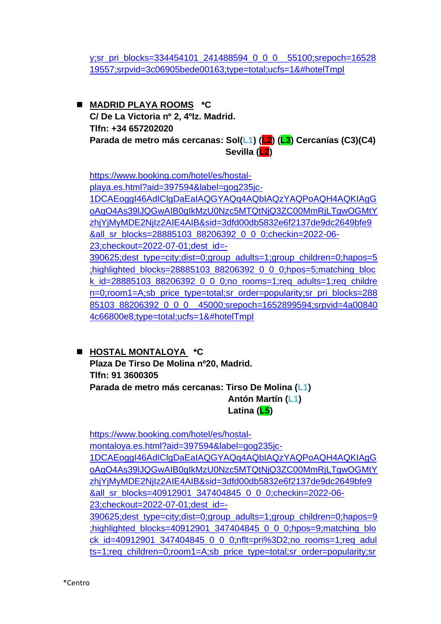[y;sr\\_pri\\_blocks=334454101\\_241488594\\_0\\_0\\_0\\_\\_55100;srepoch=16528](https://www.booking.com/hotel/es/residencia-universitaria-claudio-coello.es.html?aid=397594&label=gog235jc-1DCAEoggI46AdIClgDaEaIAQGYAQq4AQbIAQzYAQPoAQH4AQKIAgGoAgO4ApWMkJQGwAIB0gIkNjcxZDllOTYtZWFjYy00NmQ4LWI1MjYtNWU1ZDdjNmFjY2Vh2AIE4AIB&sid=3dfd00db5832e6f2137de9dc2649bfe9&all_sr_blocks=334454101_241488594_0_0_0;checkin=2022-06-23;checkout=2022-07-01;dest_id=-390625;dest_type=city;dist=0;group_adults=1;group_children=0;hapos=6;highlighted_blocks=334454101_241488594_0_0_0;hpos=6;matching_block_id=334454101_241488594_0_0_0;nflt=pri%3D2;no_rooms=1;req_adults=1;req_children=0;room1=A;sb_price_type=total;sr_order=popularity;sr_pri_blocks=334454101_241488594_0_0_0__55100;srepoch=1652819557;srpvid=3c06905bede00163;type=total;ucfs=1&#hotelTmpl) [19557;srpvid=3c06905bede00163;type=total;ucfs=1&#hotelTmpl](https://www.booking.com/hotel/es/residencia-universitaria-claudio-coello.es.html?aid=397594&label=gog235jc-1DCAEoggI46AdIClgDaEaIAQGYAQq4AQbIAQzYAQPoAQH4AQKIAgGoAgO4ApWMkJQGwAIB0gIkNjcxZDllOTYtZWFjYy00NmQ4LWI1MjYtNWU1ZDdjNmFjY2Vh2AIE4AIB&sid=3dfd00db5832e6f2137de9dc2649bfe9&all_sr_blocks=334454101_241488594_0_0_0;checkin=2022-06-23;checkout=2022-07-01;dest_id=-390625;dest_type=city;dist=0;group_adults=1;group_children=0;hapos=6;highlighted_blocks=334454101_241488594_0_0_0;hpos=6;matching_block_id=334454101_241488594_0_0_0;nflt=pri%3D2;no_rooms=1;req_adults=1;req_children=0;room1=A;sb_price_type=total;sr_order=popularity;sr_pri_blocks=334454101_241488594_0_0_0__55100;srepoch=1652819557;srpvid=3c06905bede00163;type=total;ucfs=1&#hotelTmpl)

◼ **MADRID PLAYA ROOMS \*C C/ De La Victoria nº 2, 4ºIz. Madrid. Tlfn: +34 657202020 Parada de metro más cercanas: Sol(L1) (L2) (L3) Cercanías (C3)(C4) Sevilla (L2)**

[https://www.booking.com/hotel/es/hostal](https://www.booking.com/hotel/es/hostal-playa.es.html?aid=397594&label=gog235jc-1DCAEoggI46AdIClgDaEaIAQGYAQq4AQbIAQzYAQPoAQH4AQKIAgGoAgO4As39lJQGwAIB0gIkMzU0Nzc5MTQtNjQ3ZC00MmRjLTgwOGMtYzhjYjMyMDE2NjIz2AIE4AIB&sid=3dfd00db5832e6f2137de9dc2649bfe9&all_sr_blocks=28885103_88206392_0_0_0;checkin=2022-06-23;checkout=2022-07-01;dest_id=-390625;dest_type=city;dist=0;group_adults=1;group_children=0;hapos=5;highlighted_blocks=28885103_88206392_0_0_0;hpos=5;matching_block_id=28885103_88206392_0_0_0;no_rooms=1;req_adults=1;req_children=0;room1=A;sb_price_type=total;sr_order=popularity;sr_pri_blocks=28885103_88206392_0_0_0__45000;srepoch=1652899594;srpvid=4a008404c66800e8;type=total;ucfs=1&#hotelTmpl)[playa.es.html?aid=397594&label=gog235jc-](https://www.booking.com/hotel/es/hostal-playa.es.html?aid=397594&label=gog235jc-1DCAEoggI46AdIClgDaEaIAQGYAQq4AQbIAQzYAQPoAQH4AQKIAgGoAgO4As39lJQGwAIB0gIkMzU0Nzc5MTQtNjQ3ZC00MmRjLTgwOGMtYzhjYjMyMDE2NjIz2AIE4AIB&sid=3dfd00db5832e6f2137de9dc2649bfe9&all_sr_blocks=28885103_88206392_0_0_0;checkin=2022-06-23;checkout=2022-07-01;dest_id=-390625;dest_type=city;dist=0;group_adults=1;group_children=0;hapos=5;highlighted_blocks=28885103_88206392_0_0_0;hpos=5;matching_block_id=28885103_88206392_0_0_0;no_rooms=1;req_adults=1;req_children=0;room1=A;sb_price_type=total;sr_order=popularity;sr_pri_blocks=28885103_88206392_0_0_0__45000;srepoch=1652899594;srpvid=4a008404c66800e8;type=total;ucfs=1&#hotelTmpl)[1DCAEoggI46AdIClgDaEaIAQGYAQq4AQbIAQzYAQPoAQH4AQKIAgG](https://www.booking.com/hotel/es/hostal-playa.es.html?aid=397594&label=gog235jc-1DCAEoggI46AdIClgDaEaIAQGYAQq4AQbIAQzYAQPoAQH4AQKIAgGoAgO4As39lJQGwAIB0gIkMzU0Nzc5MTQtNjQ3ZC00MmRjLTgwOGMtYzhjYjMyMDE2NjIz2AIE4AIB&sid=3dfd00db5832e6f2137de9dc2649bfe9&all_sr_blocks=28885103_88206392_0_0_0;checkin=2022-06-23;checkout=2022-07-01;dest_id=-390625;dest_type=city;dist=0;group_adults=1;group_children=0;hapos=5;highlighted_blocks=28885103_88206392_0_0_0;hpos=5;matching_block_id=28885103_88206392_0_0_0;no_rooms=1;req_adults=1;req_children=0;room1=A;sb_price_type=total;sr_order=popularity;sr_pri_blocks=28885103_88206392_0_0_0__45000;srepoch=1652899594;srpvid=4a008404c66800e8;type=total;ucfs=1&#hotelTmpl) [oAgO4As39lJQGwAIB0gIkMzU0Nzc5MTQtNjQ3ZC00MmRjLTgwOGMtY](https://www.booking.com/hotel/es/hostal-playa.es.html?aid=397594&label=gog235jc-1DCAEoggI46AdIClgDaEaIAQGYAQq4AQbIAQzYAQPoAQH4AQKIAgGoAgO4As39lJQGwAIB0gIkMzU0Nzc5MTQtNjQ3ZC00MmRjLTgwOGMtYzhjYjMyMDE2NjIz2AIE4AIB&sid=3dfd00db5832e6f2137de9dc2649bfe9&all_sr_blocks=28885103_88206392_0_0_0;checkin=2022-06-23;checkout=2022-07-01;dest_id=-390625;dest_type=city;dist=0;group_adults=1;group_children=0;hapos=5;highlighted_blocks=28885103_88206392_0_0_0;hpos=5;matching_block_id=28885103_88206392_0_0_0;no_rooms=1;req_adults=1;req_children=0;room1=A;sb_price_type=total;sr_order=popularity;sr_pri_blocks=28885103_88206392_0_0_0__45000;srepoch=1652899594;srpvid=4a008404c66800e8;type=total;ucfs=1&#hotelTmpl) [zhjYjMyMDE2NjIz2AIE4AIB&sid=3dfd00db5832e6f2137de9dc2649bfe9](https://www.booking.com/hotel/es/hostal-playa.es.html?aid=397594&label=gog235jc-1DCAEoggI46AdIClgDaEaIAQGYAQq4AQbIAQzYAQPoAQH4AQKIAgGoAgO4As39lJQGwAIB0gIkMzU0Nzc5MTQtNjQ3ZC00MmRjLTgwOGMtYzhjYjMyMDE2NjIz2AIE4AIB&sid=3dfd00db5832e6f2137de9dc2649bfe9&all_sr_blocks=28885103_88206392_0_0_0;checkin=2022-06-23;checkout=2022-07-01;dest_id=-390625;dest_type=city;dist=0;group_adults=1;group_children=0;hapos=5;highlighted_blocks=28885103_88206392_0_0_0;hpos=5;matching_block_id=28885103_88206392_0_0_0;no_rooms=1;req_adults=1;req_children=0;room1=A;sb_price_type=total;sr_order=popularity;sr_pri_blocks=28885103_88206392_0_0_0__45000;srepoch=1652899594;srpvid=4a008404c66800e8;type=total;ucfs=1&#hotelTmpl) [&all\\_sr\\_blocks=28885103\\_88206392\\_0\\_0\\_0;checkin=2022-06-](https://www.booking.com/hotel/es/hostal-playa.es.html?aid=397594&label=gog235jc-1DCAEoggI46AdIClgDaEaIAQGYAQq4AQbIAQzYAQPoAQH4AQKIAgGoAgO4As39lJQGwAIB0gIkMzU0Nzc5MTQtNjQ3ZC00MmRjLTgwOGMtYzhjYjMyMDE2NjIz2AIE4AIB&sid=3dfd00db5832e6f2137de9dc2649bfe9&all_sr_blocks=28885103_88206392_0_0_0;checkin=2022-06-23;checkout=2022-07-01;dest_id=-390625;dest_type=city;dist=0;group_adults=1;group_children=0;hapos=5;highlighted_blocks=28885103_88206392_0_0_0;hpos=5;matching_block_id=28885103_88206392_0_0_0;no_rooms=1;req_adults=1;req_children=0;room1=A;sb_price_type=total;sr_order=popularity;sr_pri_blocks=28885103_88206392_0_0_0__45000;srepoch=1652899594;srpvid=4a008404c66800e8;type=total;ucfs=1&#hotelTmpl) [23;checkout=2022-07-01;dest\\_id=-](https://www.booking.com/hotel/es/hostal-playa.es.html?aid=397594&label=gog235jc-1DCAEoggI46AdIClgDaEaIAQGYAQq4AQbIAQzYAQPoAQH4AQKIAgGoAgO4As39lJQGwAIB0gIkMzU0Nzc5MTQtNjQ3ZC00MmRjLTgwOGMtYzhjYjMyMDE2NjIz2AIE4AIB&sid=3dfd00db5832e6f2137de9dc2649bfe9&all_sr_blocks=28885103_88206392_0_0_0;checkin=2022-06-23;checkout=2022-07-01;dest_id=-390625;dest_type=city;dist=0;group_adults=1;group_children=0;hapos=5;highlighted_blocks=28885103_88206392_0_0_0;hpos=5;matching_block_id=28885103_88206392_0_0_0;no_rooms=1;req_adults=1;req_children=0;room1=A;sb_price_type=total;sr_order=popularity;sr_pri_blocks=28885103_88206392_0_0_0__45000;srepoch=1652899594;srpvid=4a008404c66800e8;type=total;ucfs=1&#hotelTmpl) [390625;dest\\_type=city;dist=0;group\\_adults=1;group\\_children=0;hapos=5](https://www.booking.com/hotel/es/hostal-playa.es.html?aid=397594&label=gog235jc-1DCAEoggI46AdIClgDaEaIAQGYAQq4AQbIAQzYAQPoAQH4AQKIAgGoAgO4As39lJQGwAIB0gIkMzU0Nzc5MTQtNjQ3ZC00MmRjLTgwOGMtYzhjYjMyMDE2NjIz2AIE4AIB&sid=3dfd00db5832e6f2137de9dc2649bfe9&all_sr_blocks=28885103_88206392_0_0_0;checkin=2022-06-23;checkout=2022-07-01;dest_id=-390625;dest_type=city;dist=0;group_adults=1;group_children=0;hapos=5;highlighted_blocks=28885103_88206392_0_0_0;hpos=5;matching_block_id=28885103_88206392_0_0_0;no_rooms=1;req_adults=1;req_children=0;room1=A;sb_price_type=total;sr_order=popularity;sr_pri_blocks=28885103_88206392_0_0_0__45000;srepoch=1652899594;srpvid=4a008404c66800e8;type=total;ucfs=1&#hotelTmpl) ;highlighted blocks=28885103\_88206392\_0\_0\_0;hpos=5;matching\_bloc k id=28885103\_88206392\_0\_0\_0;no\_rooms=1;req\_adults=1;req\_childre [n=0;room1=A;sb\\_price\\_type=total;sr\\_order=popularity;sr\\_pri\\_blocks=288](https://www.booking.com/hotel/es/hostal-playa.es.html?aid=397594&label=gog235jc-1DCAEoggI46AdIClgDaEaIAQGYAQq4AQbIAQzYAQPoAQH4AQKIAgGoAgO4As39lJQGwAIB0gIkMzU0Nzc5MTQtNjQ3ZC00MmRjLTgwOGMtYzhjYjMyMDE2NjIz2AIE4AIB&sid=3dfd00db5832e6f2137de9dc2649bfe9&all_sr_blocks=28885103_88206392_0_0_0;checkin=2022-06-23;checkout=2022-07-01;dest_id=-390625;dest_type=city;dist=0;group_adults=1;group_children=0;hapos=5;highlighted_blocks=28885103_88206392_0_0_0;hpos=5;matching_block_id=28885103_88206392_0_0_0;no_rooms=1;req_adults=1;req_children=0;room1=A;sb_price_type=total;sr_order=popularity;sr_pri_blocks=28885103_88206392_0_0_0__45000;srepoch=1652899594;srpvid=4a008404c66800e8;type=total;ucfs=1&#hotelTmpl) [85103\\_88206392\\_0\\_0\\_0\\_\\_45000;srepoch=1652899594;srpvid=4a00840](https://www.booking.com/hotel/es/hostal-playa.es.html?aid=397594&label=gog235jc-1DCAEoggI46AdIClgDaEaIAQGYAQq4AQbIAQzYAQPoAQH4AQKIAgGoAgO4As39lJQGwAIB0gIkMzU0Nzc5MTQtNjQ3ZC00MmRjLTgwOGMtYzhjYjMyMDE2NjIz2AIE4AIB&sid=3dfd00db5832e6f2137de9dc2649bfe9&all_sr_blocks=28885103_88206392_0_0_0;checkin=2022-06-23;checkout=2022-07-01;dest_id=-390625;dest_type=city;dist=0;group_adults=1;group_children=0;hapos=5;highlighted_blocks=28885103_88206392_0_0_0;hpos=5;matching_block_id=28885103_88206392_0_0_0;no_rooms=1;req_adults=1;req_children=0;room1=A;sb_price_type=total;sr_order=popularity;sr_pri_blocks=28885103_88206392_0_0_0__45000;srepoch=1652899594;srpvid=4a008404c66800e8;type=total;ucfs=1&#hotelTmpl) [4c66800e8;type=total;ucfs=1&#hotelTmpl](https://www.booking.com/hotel/es/hostal-playa.es.html?aid=397594&label=gog235jc-1DCAEoggI46AdIClgDaEaIAQGYAQq4AQbIAQzYAQPoAQH4AQKIAgGoAgO4As39lJQGwAIB0gIkMzU0Nzc5MTQtNjQ3ZC00MmRjLTgwOGMtYzhjYjMyMDE2NjIz2AIE4AIB&sid=3dfd00db5832e6f2137de9dc2649bfe9&all_sr_blocks=28885103_88206392_0_0_0;checkin=2022-06-23;checkout=2022-07-01;dest_id=-390625;dest_type=city;dist=0;group_adults=1;group_children=0;hapos=5;highlighted_blocks=28885103_88206392_0_0_0;hpos=5;matching_block_id=28885103_88206392_0_0_0;no_rooms=1;req_adults=1;req_children=0;room1=A;sb_price_type=total;sr_order=popularity;sr_pri_blocks=28885103_88206392_0_0_0__45000;srepoch=1652899594;srpvid=4a008404c66800e8;type=total;ucfs=1&#hotelTmpl)

◼ **HOSTAL MONTALOYA \*C Plaza De Tirso De Molina nº20, Madrid. Tlfn: 91 3600305 Parada de metro más cercanas: Tirso De Molina (L1) Antón Martín (L1) Latina (L5)**

[https://www.booking.com/hotel/es/hostal](https://www.booking.com/hotel/es/hostal-montaloya.es.html?aid=397594&label=gog235jc-1DCAEoggI46AdIClgDaEaIAQGYAQq4AQbIAQzYAQPoAQH4AQKIAgGoAgO4As39lJQGwAIB0gIkMzU0Nzc5MTQtNjQ3ZC00MmRjLTgwOGMtYzhjYjMyMDE2NjIz2AIE4AIB&sid=3dfd00db5832e6f2137de9dc2649bfe9&all_sr_blocks=40912901_347404845_0_0_0;checkin=2022-06-23;checkout=2022-07-01;dest_id=-390625;dest_type=city;dist=0;group_adults=1;group_children=0;hapos=9;highlighted_blocks=40912901_347404845_0_0_0;hpos=9;matching_block_id=40912901_347404845_0_0_0;nflt=pri%3D2;no_rooms=1;req_adults=1;req_children=0;room1=A;sb_price_type=total;sr_order=popularity;sr_pri_blocks=40912901_347404845_0_0_0__75268;srepoch=1652900924;srpvid=4a008404c66800e8;type=total;ucfs=1&#hotelTmpl)[montaloya.es.html?aid=397594&label=gog235jc-](https://www.booking.com/hotel/es/hostal-montaloya.es.html?aid=397594&label=gog235jc-1DCAEoggI46AdIClgDaEaIAQGYAQq4AQbIAQzYAQPoAQH4AQKIAgGoAgO4As39lJQGwAIB0gIkMzU0Nzc5MTQtNjQ3ZC00MmRjLTgwOGMtYzhjYjMyMDE2NjIz2AIE4AIB&sid=3dfd00db5832e6f2137de9dc2649bfe9&all_sr_blocks=40912901_347404845_0_0_0;checkin=2022-06-23;checkout=2022-07-01;dest_id=-390625;dest_type=city;dist=0;group_adults=1;group_children=0;hapos=9;highlighted_blocks=40912901_347404845_0_0_0;hpos=9;matching_block_id=40912901_347404845_0_0_0;nflt=pri%3D2;no_rooms=1;req_adults=1;req_children=0;room1=A;sb_price_type=total;sr_order=popularity;sr_pri_blocks=40912901_347404845_0_0_0__75268;srepoch=1652900924;srpvid=4a008404c66800e8;type=total;ucfs=1&#hotelTmpl)[1DCAEoggI46AdIClgDaEaIAQGYAQq4AQbIAQzYAQPoAQH4AQKIAgG](https://www.booking.com/hotel/es/hostal-montaloya.es.html?aid=397594&label=gog235jc-1DCAEoggI46AdIClgDaEaIAQGYAQq4AQbIAQzYAQPoAQH4AQKIAgGoAgO4As39lJQGwAIB0gIkMzU0Nzc5MTQtNjQ3ZC00MmRjLTgwOGMtYzhjYjMyMDE2NjIz2AIE4AIB&sid=3dfd00db5832e6f2137de9dc2649bfe9&all_sr_blocks=40912901_347404845_0_0_0;checkin=2022-06-23;checkout=2022-07-01;dest_id=-390625;dest_type=city;dist=0;group_adults=1;group_children=0;hapos=9;highlighted_blocks=40912901_347404845_0_0_0;hpos=9;matching_block_id=40912901_347404845_0_0_0;nflt=pri%3D2;no_rooms=1;req_adults=1;req_children=0;room1=A;sb_price_type=total;sr_order=popularity;sr_pri_blocks=40912901_347404845_0_0_0__75268;srepoch=1652900924;srpvid=4a008404c66800e8;type=total;ucfs=1&#hotelTmpl) [oAgO4As39lJQGwAIB0gIkMzU0Nzc5MTQtNjQ3ZC00MmRjLTgwOGMtY](https://www.booking.com/hotel/es/hostal-montaloya.es.html?aid=397594&label=gog235jc-1DCAEoggI46AdIClgDaEaIAQGYAQq4AQbIAQzYAQPoAQH4AQKIAgGoAgO4As39lJQGwAIB0gIkMzU0Nzc5MTQtNjQ3ZC00MmRjLTgwOGMtYzhjYjMyMDE2NjIz2AIE4AIB&sid=3dfd00db5832e6f2137de9dc2649bfe9&all_sr_blocks=40912901_347404845_0_0_0;checkin=2022-06-23;checkout=2022-07-01;dest_id=-390625;dest_type=city;dist=0;group_adults=1;group_children=0;hapos=9;highlighted_blocks=40912901_347404845_0_0_0;hpos=9;matching_block_id=40912901_347404845_0_0_0;nflt=pri%3D2;no_rooms=1;req_adults=1;req_children=0;room1=A;sb_price_type=total;sr_order=popularity;sr_pri_blocks=40912901_347404845_0_0_0__75268;srepoch=1652900924;srpvid=4a008404c66800e8;type=total;ucfs=1&#hotelTmpl) [zhjYjMyMDE2NjIz2AIE4AIB&sid=3dfd00db5832e6f2137de9dc2649bfe9](https://www.booking.com/hotel/es/hostal-montaloya.es.html?aid=397594&label=gog235jc-1DCAEoggI46AdIClgDaEaIAQGYAQq4AQbIAQzYAQPoAQH4AQKIAgGoAgO4As39lJQGwAIB0gIkMzU0Nzc5MTQtNjQ3ZC00MmRjLTgwOGMtYzhjYjMyMDE2NjIz2AIE4AIB&sid=3dfd00db5832e6f2137de9dc2649bfe9&all_sr_blocks=40912901_347404845_0_0_0;checkin=2022-06-23;checkout=2022-07-01;dest_id=-390625;dest_type=city;dist=0;group_adults=1;group_children=0;hapos=9;highlighted_blocks=40912901_347404845_0_0_0;hpos=9;matching_block_id=40912901_347404845_0_0_0;nflt=pri%3D2;no_rooms=1;req_adults=1;req_children=0;room1=A;sb_price_type=total;sr_order=popularity;sr_pri_blocks=40912901_347404845_0_0_0__75268;srepoch=1652900924;srpvid=4a008404c66800e8;type=total;ucfs=1&#hotelTmpl) [&all\\_sr\\_blocks=40912901\\_347404845\\_0\\_0\\_0;checkin=2022-06-](https://www.booking.com/hotel/es/hostal-montaloya.es.html?aid=397594&label=gog235jc-1DCAEoggI46AdIClgDaEaIAQGYAQq4AQbIAQzYAQPoAQH4AQKIAgGoAgO4As39lJQGwAIB0gIkMzU0Nzc5MTQtNjQ3ZC00MmRjLTgwOGMtYzhjYjMyMDE2NjIz2AIE4AIB&sid=3dfd00db5832e6f2137de9dc2649bfe9&all_sr_blocks=40912901_347404845_0_0_0;checkin=2022-06-23;checkout=2022-07-01;dest_id=-390625;dest_type=city;dist=0;group_adults=1;group_children=0;hapos=9;highlighted_blocks=40912901_347404845_0_0_0;hpos=9;matching_block_id=40912901_347404845_0_0_0;nflt=pri%3D2;no_rooms=1;req_adults=1;req_children=0;room1=A;sb_price_type=total;sr_order=popularity;sr_pri_blocks=40912901_347404845_0_0_0__75268;srepoch=1652900924;srpvid=4a008404c66800e8;type=total;ucfs=1&#hotelTmpl) [23;checkout=2022-07-01;dest\\_id=-](https://www.booking.com/hotel/es/hostal-montaloya.es.html?aid=397594&label=gog235jc-1DCAEoggI46AdIClgDaEaIAQGYAQq4AQbIAQzYAQPoAQH4AQKIAgGoAgO4As39lJQGwAIB0gIkMzU0Nzc5MTQtNjQ3ZC00MmRjLTgwOGMtYzhjYjMyMDE2NjIz2AIE4AIB&sid=3dfd00db5832e6f2137de9dc2649bfe9&all_sr_blocks=40912901_347404845_0_0_0;checkin=2022-06-23;checkout=2022-07-01;dest_id=-390625;dest_type=city;dist=0;group_adults=1;group_children=0;hapos=9;highlighted_blocks=40912901_347404845_0_0_0;hpos=9;matching_block_id=40912901_347404845_0_0_0;nflt=pri%3D2;no_rooms=1;req_adults=1;req_children=0;room1=A;sb_price_type=total;sr_order=popularity;sr_pri_blocks=40912901_347404845_0_0_0__75268;srepoch=1652900924;srpvid=4a008404c66800e8;type=total;ucfs=1&#hotelTmpl) [390625;dest\\_type=city;dist=0;group\\_adults=1;group\\_children=0;hapos=9](https://www.booking.com/hotel/es/hostal-montaloya.es.html?aid=397594&label=gog235jc-1DCAEoggI46AdIClgDaEaIAQGYAQq4AQbIAQzYAQPoAQH4AQKIAgGoAgO4As39lJQGwAIB0gIkMzU0Nzc5MTQtNjQ3ZC00MmRjLTgwOGMtYzhjYjMyMDE2NjIz2AIE4AIB&sid=3dfd00db5832e6f2137de9dc2649bfe9&all_sr_blocks=40912901_347404845_0_0_0;checkin=2022-06-23;checkout=2022-07-01;dest_id=-390625;dest_type=city;dist=0;group_adults=1;group_children=0;hapos=9;highlighted_blocks=40912901_347404845_0_0_0;hpos=9;matching_block_id=40912901_347404845_0_0_0;nflt=pri%3D2;no_rooms=1;req_adults=1;req_children=0;room1=A;sb_price_type=total;sr_order=popularity;sr_pri_blocks=40912901_347404845_0_0_0__75268;srepoch=1652900924;srpvid=4a008404c66800e8;type=total;ucfs=1&#hotelTmpl) [;highlighted\\_blocks=40912901\\_347404845\\_0\\_0\\_0;hpos=9;matching\\_blo](https://www.booking.com/hotel/es/hostal-montaloya.es.html?aid=397594&label=gog235jc-1DCAEoggI46AdIClgDaEaIAQGYAQq4AQbIAQzYAQPoAQH4AQKIAgGoAgO4As39lJQGwAIB0gIkMzU0Nzc5MTQtNjQ3ZC00MmRjLTgwOGMtYzhjYjMyMDE2NjIz2AIE4AIB&sid=3dfd00db5832e6f2137de9dc2649bfe9&all_sr_blocks=40912901_347404845_0_0_0;checkin=2022-06-23;checkout=2022-07-01;dest_id=-390625;dest_type=city;dist=0;group_adults=1;group_children=0;hapos=9;highlighted_blocks=40912901_347404845_0_0_0;hpos=9;matching_block_id=40912901_347404845_0_0_0;nflt=pri%3D2;no_rooms=1;req_adults=1;req_children=0;room1=A;sb_price_type=total;sr_order=popularity;sr_pri_blocks=40912901_347404845_0_0_0__75268;srepoch=1652900924;srpvid=4a008404c66800e8;type=total;ucfs=1&#hotelTmpl) ck id=40912901\_347404845\_0\_0\_0;nflt=pri%3D2;no\_rooms=1;req\_adul [ts=1;req\\_children=0;room1=A;sb\\_price\\_type=total;sr\\_order=popularity;sr](https://www.booking.com/hotel/es/hostal-montaloya.es.html?aid=397594&label=gog235jc-1DCAEoggI46AdIClgDaEaIAQGYAQq4AQbIAQzYAQPoAQH4AQKIAgGoAgO4As39lJQGwAIB0gIkMzU0Nzc5MTQtNjQ3ZC00MmRjLTgwOGMtYzhjYjMyMDE2NjIz2AIE4AIB&sid=3dfd00db5832e6f2137de9dc2649bfe9&all_sr_blocks=40912901_347404845_0_0_0;checkin=2022-06-23;checkout=2022-07-01;dest_id=-390625;dest_type=city;dist=0;group_adults=1;group_children=0;hapos=9;highlighted_blocks=40912901_347404845_0_0_0;hpos=9;matching_block_id=40912901_347404845_0_0_0;nflt=pri%3D2;no_rooms=1;req_adults=1;req_children=0;room1=A;sb_price_type=total;sr_order=popularity;sr_pri_blocks=40912901_347404845_0_0_0__75268;srepoch=1652900924;srpvid=4a008404c66800e8;type=total;ucfs=1&#hotelTmpl)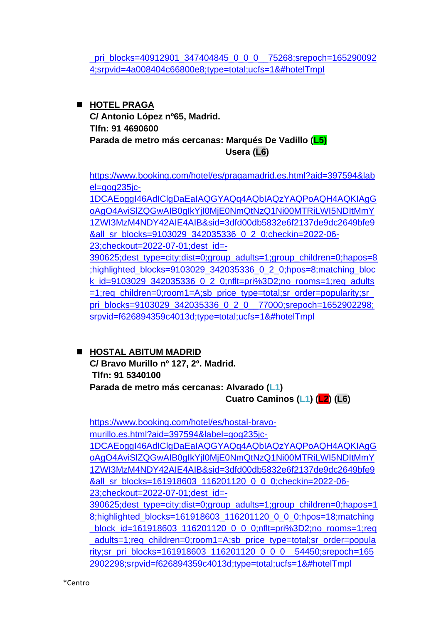pri\_blocks=40912901\_347404845\_0\_0\_0\_75268;srepoch=165290092 [4;srpvid=4a008404c66800e8;type=total;ucfs=1&#hotelTmpl](https://www.booking.com/hotel/es/hostal-montaloya.es.html?aid=397594&label=gog235jc-1DCAEoggI46AdIClgDaEaIAQGYAQq4AQbIAQzYAQPoAQH4AQKIAgGoAgO4As39lJQGwAIB0gIkMzU0Nzc5MTQtNjQ3ZC00MmRjLTgwOGMtYzhjYjMyMDE2NjIz2AIE4AIB&sid=3dfd00db5832e6f2137de9dc2649bfe9&all_sr_blocks=40912901_347404845_0_0_0;checkin=2022-06-23;checkout=2022-07-01;dest_id=-390625;dest_type=city;dist=0;group_adults=1;group_children=0;hapos=9;highlighted_blocks=40912901_347404845_0_0_0;hpos=9;matching_block_id=40912901_347404845_0_0_0;nflt=pri%3D2;no_rooms=1;req_adults=1;req_children=0;room1=A;sb_price_type=total;sr_order=popularity;sr_pri_blocks=40912901_347404845_0_0_0__75268;srepoch=1652900924;srpvid=4a008404c66800e8;type=total;ucfs=1&#hotelTmpl)

### ◼ **HOTEL PRAGA**

**C/ Antonio López nº65, Madrid. Tlfn: 91 4690600 Parada de metro más cercanas: Marqués De Vadillo (L5) Usera (L6)**

[https://www.booking.com/hotel/es/pragamadrid.es.html?aid=397594&lab](https://www.booking.com/hotel/es/pragamadrid.es.html?aid=397594&label=gog235jc-1DCAEoggI46AdIClgDaEaIAQGYAQq4AQbIAQzYAQPoAQH4AQKIAgGoAgO4AviSlZQGwAIB0gIkYjI0MjE0NmQtNzQ1Ni00MTRiLWI5NDItMmY1ZWI3MzM4NDY42AIE4AIB&sid=3dfd00db5832e6f2137de9dc2649bfe9&all_sr_blocks=9103029_342035336_0_2_0;checkin=2022-06-23;checkout=2022-07-01;dest_id=-390625;dest_type=city;dist=0;group_adults=1;group_children=0;hapos=8;highlighted_blocks=9103029_342035336_0_2_0;hpos=8;matching_block_id=9103029_342035336_0_2_0;nflt=pri%3D2;no_rooms=1;req_adults=1;req_children=0;room1=A;sb_price_type=total;sr_order=popularity;sr_pri_blocks=9103029_342035336_0_2_0__77000;srepoch=1652902298;srpvid=f626894359c4013d;type=total;ucfs=1&#hotelTmpl) [el=gog235jc-](https://www.booking.com/hotel/es/pragamadrid.es.html?aid=397594&label=gog235jc-1DCAEoggI46AdIClgDaEaIAQGYAQq4AQbIAQzYAQPoAQH4AQKIAgGoAgO4AviSlZQGwAIB0gIkYjI0MjE0NmQtNzQ1Ni00MTRiLWI5NDItMmY1ZWI3MzM4NDY42AIE4AIB&sid=3dfd00db5832e6f2137de9dc2649bfe9&all_sr_blocks=9103029_342035336_0_2_0;checkin=2022-06-23;checkout=2022-07-01;dest_id=-390625;dest_type=city;dist=0;group_adults=1;group_children=0;hapos=8;highlighted_blocks=9103029_342035336_0_2_0;hpos=8;matching_block_id=9103029_342035336_0_2_0;nflt=pri%3D2;no_rooms=1;req_adults=1;req_children=0;room1=A;sb_price_type=total;sr_order=popularity;sr_pri_blocks=9103029_342035336_0_2_0__77000;srepoch=1652902298;srpvid=f626894359c4013d;type=total;ucfs=1&#hotelTmpl)

[1DCAEoggI46AdIClgDaEaIAQGYAQq4AQbIAQzYAQPoAQH4AQKIAgG](https://www.booking.com/hotel/es/pragamadrid.es.html?aid=397594&label=gog235jc-1DCAEoggI46AdIClgDaEaIAQGYAQq4AQbIAQzYAQPoAQH4AQKIAgGoAgO4AviSlZQGwAIB0gIkYjI0MjE0NmQtNzQ1Ni00MTRiLWI5NDItMmY1ZWI3MzM4NDY42AIE4AIB&sid=3dfd00db5832e6f2137de9dc2649bfe9&all_sr_blocks=9103029_342035336_0_2_0;checkin=2022-06-23;checkout=2022-07-01;dest_id=-390625;dest_type=city;dist=0;group_adults=1;group_children=0;hapos=8;highlighted_blocks=9103029_342035336_0_2_0;hpos=8;matching_block_id=9103029_342035336_0_2_0;nflt=pri%3D2;no_rooms=1;req_adults=1;req_children=0;room1=A;sb_price_type=total;sr_order=popularity;sr_pri_blocks=9103029_342035336_0_2_0__77000;srepoch=1652902298;srpvid=f626894359c4013d;type=total;ucfs=1&#hotelTmpl) [oAgO4AviSlZQGwAIB0gIkYjI0MjE0NmQtNzQ1Ni00MTRiLWI5NDItMmY](https://www.booking.com/hotel/es/pragamadrid.es.html?aid=397594&label=gog235jc-1DCAEoggI46AdIClgDaEaIAQGYAQq4AQbIAQzYAQPoAQH4AQKIAgGoAgO4AviSlZQGwAIB0gIkYjI0MjE0NmQtNzQ1Ni00MTRiLWI5NDItMmY1ZWI3MzM4NDY42AIE4AIB&sid=3dfd00db5832e6f2137de9dc2649bfe9&all_sr_blocks=9103029_342035336_0_2_0;checkin=2022-06-23;checkout=2022-07-01;dest_id=-390625;dest_type=city;dist=0;group_adults=1;group_children=0;hapos=8;highlighted_blocks=9103029_342035336_0_2_0;hpos=8;matching_block_id=9103029_342035336_0_2_0;nflt=pri%3D2;no_rooms=1;req_adults=1;req_children=0;room1=A;sb_price_type=total;sr_order=popularity;sr_pri_blocks=9103029_342035336_0_2_0__77000;srepoch=1652902298;srpvid=f626894359c4013d;type=total;ucfs=1&#hotelTmpl) [1ZWI3MzM4NDY42AIE4AIB&sid=3dfd00db5832e6f2137de9dc2649bfe9](https://www.booking.com/hotel/es/pragamadrid.es.html?aid=397594&label=gog235jc-1DCAEoggI46AdIClgDaEaIAQGYAQq4AQbIAQzYAQPoAQH4AQKIAgGoAgO4AviSlZQGwAIB0gIkYjI0MjE0NmQtNzQ1Ni00MTRiLWI5NDItMmY1ZWI3MzM4NDY42AIE4AIB&sid=3dfd00db5832e6f2137de9dc2649bfe9&all_sr_blocks=9103029_342035336_0_2_0;checkin=2022-06-23;checkout=2022-07-01;dest_id=-390625;dest_type=city;dist=0;group_adults=1;group_children=0;hapos=8;highlighted_blocks=9103029_342035336_0_2_0;hpos=8;matching_block_id=9103029_342035336_0_2_0;nflt=pri%3D2;no_rooms=1;req_adults=1;req_children=0;room1=A;sb_price_type=total;sr_order=popularity;sr_pri_blocks=9103029_342035336_0_2_0__77000;srepoch=1652902298;srpvid=f626894359c4013d;type=total;ucfs=1&#hotelTmpl) [&all\\_sr\\_blocks=9103029\\_342035336\\_0\\_2\\_0;checkin=2022-06-](https://www.booking.com/hotel/es/pragamadrid.es.html?aid=397594&label=gog235jc-1DCAEoggI46AdIClgDaEaIAQGYAQq4AQbIAQzYAQPoAQH4AQKIAgGoAgO4AviSlZQGwAIB0gIkYjI0MjE0NmQtNzQ1Ni00MTRiLWI5NDItMmY1ZWI3MzM4NDY42AIE4AIB&sid=3dfd00db5832e6f2137de9dc2649bfe9&all_sr_blocks=9103029_342035336_0_2_0;checkin=2022-06-23;checkout=2022-07-01;dest_id=-390625;dest_type=city;dist=0;group_adults=1;group_children=0;hapos=8;highlighted_blocks=9103029_342035336_0_2_0;hpos=8;matching_block_id=9103029_342035336_0_2_0;nflt=pri%3D2;no_rooms=1;req_adults=1;req_children=0;room1=A;sb_price_type=total;sr_order=popularity;sr_pri_blocks=9103029_342035336_0_2_0__77000;srepoch=1652902298;srpvid=f626894359c4013d;type=total;ucfs=1&#hotelTmpl) [23;checkout=2022-07-01;dest\\_id=-](https://www.booking.com/hotel/es/pragamadrid.es.html?aid=397594&label=gog235jc-1DCAEoggI46AdIClgDaEaIAQGYAQq4AQbIAQzYAQPoAQH4AQKIAgGoAgO4AviSlZQGwAIB0gIkYjI0MjE0NmQtNzQ1Ni00MTRiLWI5NDItMmY1ZWI3MzM4NDY42AIE4AIB&sid=3dfd00db5832e6f2137de9dc2649bfe9&all_sr_blocks=9103029_342035336_0_2_0;checkin=2022-06-23;checkout=2022-07-01;dest_id=-390625;dest_type=city;dist=0;group_adults=1;group_children=0;hapos=8;highlighted_blocks=9103029_342035336_0_2_0;hpos=8;matching_block_id=9103029_342035336_0_2_0;nflt=pri%3D2;no_rooms=1;req_adults=1;req_children=0;room1=A;sb_price_type=total;sr_order=popularity;sr_pri_blocks=9103029_342035336_0_2_0__77000;srepoch=1652902298;srpvid=f626894359c4013d;type=total;ucfs=1&#hotelTmpl) [390625;dest\\_type=city;dist=0;group\\_adults=1;group\\_children=0;hapos=8](https://www.booking.com/hotel/es/pragamadrid.es.html?aid=397594&label=gog235jc-1DCAEoggI46AdIClgDaEaIAQGYAQq4AQbIAQzYAQPoAQH4AQKIAgGoAgO4AviSlZQGwAIB0gIkYjI0MjE0NmQtNzQ1Ni00MTRiLWI5NDItMmY1ZWI3MzM4NDY42AIE4AIB&sid=3dfd00db5832e6f2137de9dc2649bfe9&all_sr_blocks=9103029_342035336_0_2_0;checkin=2022-06-23;checkout=2022-07-01;dest_id=-390625;dest_type=city;dist=0;group_adults=1;group_children=0;hapos=8;highlighted_blocks=9103029_342035336_0_2_0;hpos=8;matching_block_id=9103029_342035336_0_2_0;nflt=pri%3D2;no_rooms=1;req_adults=1;req_children=0;room1=A;sb_price_type=total;sr_order=popularity;sr_pri_blocks=9103029_342035336_0_2_0__77000;srepoch=1652902298;srpvid=f626894359c4013d;type=total;ucfs=1&#hotelTmpl) [;highlighted\\_blocks=9103029\\_342035336\\_0\\_2\\_0;hpos=8;matching\\_bloc](https://www.booking.com/hotel/es/pragamadrid.es.html?aid=397594&label=gog235jc-1DCAEoggI46AdIClgDaEaIAQGYAQq4AQbIAQzYAQPoAQH4AQKIAgGoAgO4AviSlZQGwAIB0gIkYjI0MjE0NmQtNzQ1Ni00MTRiLWI5NDItMmY1ZWI3MzM4NDY42AIE4AIB&sid=3dfd00db5832e6f2137de9dc2649bfe9&all_sr_blocks=9103029_342035336_0_2_0;checkin=2022-06-23;checkout=2022-07-01;dest_id=-390625;dest_type=city;dist=0;group_adults=1;group_children=0;hapos=8;highlighted_blocks=9103029_342035336_0_2_0;hpos=8;matching_block_id=9103029_342035336_0_2_0;nflt=pri%3D2;no_rooms=1;req_adults=1;req_children=0;room1=A;sb_price_type=total;sr_order=popularity;sr_pri_blocks=9103029_342035336_0_2_0__77000;srepoch=1652902298;srpvid=f626894359c4013d;type=total;ucfs=1&#hotelTmpl) k id=9103029 342035336 0 2 0;nflt=pri%3D2;no rooms=1;req\_adults [=1;req\\_children=0;room1=A;sb\\_price\\_type=total;sr\\_order=popularity;sr\\_](https://www.booking.com/hotel/es/pragamadrid.es.html?aid=397594&label=gog235jc-1DCAEoggI46AdIClgDaEaIAQGYAQq4AQbIAQzYAQPoAQH4AQKIAgGoAgO4AviSlZQGwAIB0gIkYjI0MjE0NmQtNzQ1Ni00MTRiLWI5NDItMmY1ZWI3MzM4NDY42AIE4AIB&sid=3dfd00db5832e6f2137de9dc2649bfe9&all_sr_blocks=9103029_342035336_0_2_0;checkin=2022-06-23;checkout=2022-07-01;dest_id=-390625;dest_type=city;dist=0;group_adults=1;group_children=0;hapos=8;highlighted_blocks=9103029_342035336_0_2_0;hpos=8;matching_block_id=9103029_342035336_0_2_0;nflt=pri%3D2;no_rooms=1;req_adults=1;req_children=0;room1=A;sb_price_type=total;sr_order=popularity;sr_pri_blocks=9103029_342035336_0_2_0__77000;srepoch=1652902298;srpvid=f626894359c4013d;type=total;ucfs=1&#hotelTmpl) [pri\\_blocks=9103029\\_342035336\\_0\\_2\\_0\\_\\_77000;srepoch=1652902298;](https://www.booking.com/hotel/es/pragamadrid.es.html?aid=397594&label=gog235jc-1DCAEoggI46AdIClgDaEaIAQGYAQq4AQbIAQzYAQPoAQH4AQKIAgGoAgO4AviSlZQGwAIB0gIkYjI0MjE0NmQtNzQ1Ni00MTRiLWI5NDItMmY1ZWI3MzM4NDY42AIE4AIB&sid=3dfd00db5832e6f2137de9dc2649bfe9&all_sr_blocks=9103029_342035336_0_2_0;checkin=2022-06-23;checkout=2022-07-01;dest_id=-390625;dest_type=city;dist=0;group_adults=1;group_children=0;hapos=8;highlighted_blocks=9103029_342035336_0_2_0;hpos=8;matching_block_id=9103029_342035336_0_2_0;nflt=pri%3D2;no_rooms=1;req_adults=1;req_children=0;room1=A;sb_price_type=total;sr_order=popularity;sr_pri_blocks=9103029_342035336_0_2_0__77000;srepoch=1652902298;srpvid=f626894359c4013d;type=total;ucfs=1&#hotelTmpl) [srpvid=f626894359c4013d;type=total;ucfs=1&#hotelTmpl](https://www.booking.com/hotel/es/pragamadrid.es.html?aid=397594&label=gog235jc-1DCAEoggI46AdIClgDaEaIAQGYAQq4AQbIAQzYAQPoAQH4AQKIAgGoAgO4AviSlZQGwAIB0gIkYjI0MjE0NmQtNzQ1Ni00MTRiLWI5NDItMmY1ZWI3MzM4NDY42AIE4AIB&sid=3dfd00db5832e6f2137de9dc2649bfe9&all_sr_blocks=9103029_342035336_0_2_0;checkin=2022-06-23;checkout=2022-07-01;dest_id=-390625;dest_type=city;dist=0;group_adults=1;group_children=0;hapos=8;highlighted_blocks=9103029_342035336_0_2_0;hpos=8;matching_block_id=9103029_342035336_0_2_0;nflt=pri%3D2;no_rooms=1;req_adults=1;req_children=0;room1=A;sb_price_type=total;sr_order=popularity;sr_pri_blocks=9103029_342035336_0_2_0__77000;srepoch=1652902298;srpvid=f626894359c4013d;type=total;ucfs=1&#hotelTmpl)

#### ◼ **HOSTAL ABITUM MADRID**

**C/ Bravo Murillo nº 127, 2º. Madrid. Tlfn: 91 5340100 Parada de metro más cercanas: Alvarado (L1) Cuatro Caminos (L1) (L2) (L6)**

[https://www.booking.com/hotel/es/hostal-bravo](https://www.booking.com/hotel/es/hostal-bravo-murillo.es.html?aid=397594&label=gog235jc-1DCAEoggI46AdIClgDaEaIAQGYAQq4AQbIAQzYAQPoAQH4AQKIAgGoAgO4AviSlZQGwAIB0gIkYjI0MjE0NmQtNzQ1Ni00MTRiLWI5NDItMmY1ZWI3MzM4NDY42AIE4AIB&sid=3dfd00db5832e6f2137de9dc2649bfe9&all_sr_blocks=161918603_116201120_0_0_0;checkin=2022-06-23;checkout=2022-07-01;dest_id=-390625;dest_type=city;dist=0;group_adults=1;group_children=0;hapos=18;highlighted_blocks=161918603_116201120_0_0_0;hpos=18;matching_block_id=161918603_116201120_0_0_0;nflt=pri%3D2;no_rooms=1;req_adults=1;req_children=0;room1=A;sb_price_type=total;sr_order=popularity;sr_pri_blocks=161918603_116201120_0_0_0__54450;srepoch=1652902298;srpvid=f626894359c4013d;type=total;ucfs=1&#hotelTmpl)[murillo.es.html?aid=397594&label=gog235jc-](https://www.booking.com/hotel/es/hostal-bravo-murillo.es.html?aid=397594&label=gog235jc-1DCAEoggI46AdIClgDaEaIAQGYAQq4AQbIAQzYAQPoAQH4AQKIAgGoAgO4AviSlZQGwAIB0gIkYjI0MjE0NmQtNzQ1Ni00MTRiLWI5NDItMmY1ZWI3MzM4NDY42AIE4AIB&sid=3dfd00db5832e6f2137de9dc2649bfe9&all_sr_blocks=161918603_116201120_0_0_0;checkin=2022-06-23;checkout=2022-07-01;dest_id=-390625;dest_type=city;dist=0;group_adults=1;group_children=0;hapos=18;highlighted_blocks=161918603_116201120_0_0_0;hpos=18;matching_block_id=161918603_116201120_0_0_0;nflt=pri%3D2;no_rooms=1;req_adults=1;req_children=0;room1=A;sb_price_type=total;sr_order=popularity;sr_pri_blocks=161918603_116201120_0_0_0__54450;srepoch=1652902298;srpvid=f626894359c4013d;type=total;ucfs=1&#hotelTmpl)[1DCAEoggI46AdIClgDaEaIAQGYAQq4AQbIAQzYAQPoAQH4AQKIAgG](https://www.booking.com/hotel/es/hostal-bravo-murillo.es.html?aid=397594&label=gog235jc-1DCAEoggI46AdIClgDaEaIAQGYAQq4AQbIAQzYAQPoAQH4AQKIAgGoAgO4AviSlZQGwAIB0gIkYjI0MjE0NmQtNzQ1Ni00MTRiLWI5NDItMmY1ZWI3MzM4NDY42AIE4AIB&sid=3dfd00db5832e6f2137de9dc2649bfe9&all_sr_blocks=161918603_116201120_0_0_0;checkin=2022-06-23;checkout=2022-07-01;dest_id=-390625;dest_type=city;dist=0;group_adults=1;group_children=0;hapos=18;highlighted_blocks=161918603_116201120_0_0_0;hpos=18;matching_block_id=161918603_116201120_0_0_0;nflt=pri%3D2;no_rooms=1;req_adults=1;req_children=0;room1=A;sb_price_type=total;sr_order=popularity;sr_pri_blocks=161918603_116201120_0_0_0__54450;srepoch=1652902298;srpvid=f626894359c4013d;type=total;ucfs=1&#hotelTmpl) [oAgO4AviSlZQGwAIB0gIkYjI0MjE0NmQtNzQ1Ni00MTRiLWI5NDItMmY](https://www.booking.com/hotel/es/hostal-bravo-murillo.es.html?aid=397594&label=gog235jc-1DCAEoggI46AdIClgDaEaIAQGYAQq4AQbIAQzYAQPoAQH4AQKIAgGoAgO4AviSlZQGwAIB0gIkYjI0MjE0NmQtNzQ1Ni00MTRiLWI5NDItMmY1ZWI3MzM4NDY42AIE4AIB&sid=3dfd00db5832e6f2137de9dc2649bfe9&all_sr_blocks=161918603_116201120_0_0_0;checkin=2022-06-23;checkout=2022-07-01;dest_id=-390625;dest_type=city;dist=0;group_adults=1;group_children=0;hapos=18;highlighted_blocks=161918603_116201120_0_0_0;hpos=18;matching_block_id=161918603_116201120_0_0_0;nflt=pri%3D2;no_rooms=1;req_adults=1;req_children=0;room1=A;sb_price_type=total;sr_order=popularity;sr_pri_blocks=161918603_116201120_0_0_0__54450;srepoch=1652902298;srpvid=f626894359c4013d;type=total;ucfs=1&#hotelTmpl) [1ZWI3MzM4NDY42AIE4AIB&sid=3dfd00db5832e6f2137de9dc2649bfe9](https://www.booking.com/hotel/es/hostal-bravo-murillo.es.html?aid=397594&label=gog235jc-1DCAEoggI46AdIClgDaEaIAQGYAQq4AQbIAQzYAQPoAQH4AQKIAgGoAgO4AviSlZQGwAIB0gIkYjI0MjE0NmQtNzQ1Ni00MTRiLWI5NDItMmY1ZWI3MzM4NDY42AIE4AIB&sid=3dfd00db5832e6f2137de9dc2649bfe9&all_sr_blocks=161918603_116201120_0_0_0;checkin=2022-06-23;checkout=2022-07-01;dest_id=-390625;dest_type=city;dist=0;group_adults=1;group_children=0;hapos=18;highlighted_blocks=161918603_116201120_0_0_0;hpos=18;matching_block_id=161918603_116201120_0_0_0;nflt=pri%3D2;no_rooms=1;req_adults=1;req_children=0;room1=A;sb_price_type=total;sr_order=popularity;sr_pri_blocks=161918603_116201120_0_0_0__54450;srepoch=1652902298;srpvid=f626894359c4013d;type=total;ucfs=1&#hotelTmpl) [&all\\_sr\\_blocks=161918603\\_116201120\\_0\\_0\\_0;checkin=2022-06-](https://www.booking.com/hotel/es/hostal-bravo-murillo.es.html?aid=397594&label=gog235jc-1DCAEoggI46AdIClgDaEaIAQGYAQq4AQbIAQzYAQPoAQH4AQKIAgGoAgO4AviSlZQGwAIB0gIkYjI0MjE0NmQtNzQ1Ni00MTRiLWI5NDItMmY1ZWI3MzM4NDY42AIE4AIB&sid=3dfd00db5832e6f2137de9dc2649bfe9&all_sr_blocks=161918603_116201120_0_0_0;checkin=2022-06-23;checkout=2022-07-01;dest_id=-390625;dest_type=city;dist=0;group_adults=1;group_children=0;hapos=18;highlighted_blocks=161918603_116201120_0_0_0;hpos=18;matching_block_id=161918603_116201120_0_0_0;nflt=pri%3D2;no_rooms=1;req_adults=1;req_children=0;room1=A;sb_price_type=total;sr_order=popularity;sr_pri_blocks=161918603_116201120_0_0_0__54450;srepoch=1652902298;srpvid=f626894359c4013d;type=total;ucfs=1&#hotelTmpl) [23;checkout=2022-07-01;dest\\_id=-](https://www.booking.com/hotel/es/hostal-bravo-murillo.es.html?aid=397594&label=gog235jc-1DCAEoggI46AdIClgDaEaIAQGYAQq4AQbIAQzYAQPoAQH4AQKIAgGoAgO4AviSlZQGwAIB0gIkYjI0MjE0NmQtNzQ1Ni00MTRiLWI5NDItMmY1ZWI3MzM4NDY42AIE4AIB&sid=3dfd00db5832e6f2137de9dc2649bfe9&all_sr_blocks=161918603_116201120_0_0_0;checkin=2022-06-23;checkout=2022-07-01;dest_id=-390625;dest_type=city;dist=0;group_adults=1;group_children=0;hapos=18;highlighted_blocks=161918603_116201120_0_0_0;hpos=18;matching_block_id=161918603_116201120_0_0_0;nflt=pri%3D2;no_rooms=1;req_adults=1;req_children=0;room1=A;sb_price_type=total;sr_order=popularity;sr_pri_blocks=161918603_116201120_0_0_0__54450;srepoch=1652902298;srpvid=f626894359c4013d;type=total;ucfs=1&#hotelTmpl) [390625;dest\\_type=city;dist=0;group\\_adults=1;group\\_children=0;hapos=1](https://www.booking.com/hotel/es/hostal-bravo-murillo.es.html?aid=397594&label=gog235jc-1DCAEoggI46AdIClgDaEaIAQGYAQq4AQbIAQzYAQPoAQH4AQKIAgGoAgO4AviSlZQGwAIB0gIkYjI0MjE0NmQtNzQ1Ni00MTRiLWI5NDItMmY1ZWI3MzM4NDY42AIE4AIB&sid=3dfd00db5832e6f2137de9dc2649bfe9&all_sr_blocks=161918603_116201120_0_0_0;checkin=2022-06-23;checkout=2022-07-01;dest_id=-390625;dest_type=city;dist=0;group_adults=1;group_children=0;hapos=18;highlighted_blocks=161918603_116201120_0_0_0;hpos=18;matching_block_id=161918603_116201120_0_0_0;nflt=pri%3D2;no_rooms=1;req_adults=1;req_children=0;room1=A;sb_price_type=total;sr_order=popularity;sr_pri_blocks=161918603_116201120_0_0_0__54450;srepoch=1652902298;srpvid=f626894359c4013d;type=total;ucfs=1&#hotelTmpl) [8;highlighted\\_blocks=161918603\\_116201120\\_0\\_0\\_0;hpos=18;matching](https://www.booking.com/hotel/es/hostal-bravo-murillo.es.html?aid=397594&label=gog235jc-1DCAEoggI46AdIClgDaEaIAQGYAQq4AQbIAQzYAQPoAQH4AQKIAgGoAgO4AviSlZQGwAIB0gIkYjI0MjE0NmQtNzQ1Ni00MTRiLWI5NDItMmY1ZWI3MzM4NDY42AIE4AIB&sid=3dfd00db5832e6f2137de9dc2649bfe9&all_sr_blocks=161918603_116201120_0_0_0;checkin=2022-06-23;checkout=2022-07-01;dest_id=-390625;dest_type=city;dist=0;group_adults=1;group_children=0;hapos=18;highlighted_blocks=161918603_116201120_0_0_0;hpos=18;matching_block_id=161918603_116201120_0_0_0;nflt=pri%3D2;no_rooms=1;req_adults=1;req_children=0;room1=A;sb_price_type=total;sr_order=popularity;sr_pri_blocks=161918603_116201120_0_0_0__54450;srepoch=1652902298;srpvid=f626894359c4013d;type=total;ucfs=1&#hotelTmpl) block id=161918603 116201120 0 0 0;nflt=pri%3D2;no rooms=1;req adults=1;req\_children=0;room1=A;sb\_price\_type=total;sr\_order=popula rity;sr\_pri\_blocks=161918603\_116201120\_0\_0\_0\_54450;srepoch=165 [2902298;srpvid=f626894359c4013d;type=total;ucfs=1&#hotelTmpl](https://www.booking.com/hotel/es/hostal-bravo-murillo.es.html?aid=397594&label=gog235jc-1DCAEoggI46AdIClgDaEaIAQGYAQq4AQbIAQzYAQPoAQH4AQKIAgGoAgO4AviSlZQGwAIB0gIkYjI0MjE0NmQtNzQ1Ni00MTRiLWI5NDItMmY1ZWI3MzM4NDY42AIE4AIB&sid=3dfd00db5832e6f2137de9dc2649bfe9&all_sr_blocks=161918603_116201120_0_0_0;checkin=2022-06-23;checkout=2022-07-01;dest_id=-390625;dest_type=city;dist=0;group_adults=1;group_children=0;hapos=18;highlighted_blocks=161918603_116201120_0_0_0;hpos=18;matching_block_id=161918603_116201120_0_0_0;nflt=pri%3D2;no_rooms=1;req_adults=1;req_children=0;room1=A;sb_price_type=total;sr_order=popularity;sr_pri_blocks=161918603_116201120_0_0_0__54450;srepoch=1652902298;srpvid=f626894359c4013d;type=total;ucfs=1&#hotelTmpl)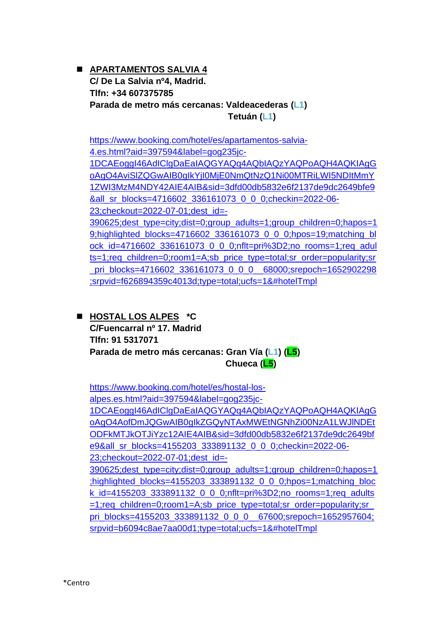◼ **APARTAMENTOS SALVIA 4 C/ De La Salvia nº4, Madrid. Tlfn: +34 607375785 Parada de metro más cercanas: Valdeacederas (L1) Tetuán (L1)**

[https://www.booking.com/hotel/es/apartamentos-salvia-](https://www.booking.com/hotel/es/apartamentos-salvia-4.es.html?aid=397594&label=gog235jc-1DCAEoggI46AdIClgDaEaIAQGYAQq4AQbIAQzYAQPoAQH4AQKIAgGoAgO4AviSlZQGwAIB0gIkYjI0MjE0NmQtNzQ1Ni00MTRiLWI5NDItMmY1ZWI3MzM4NDY42AIE4AIB&sid=3dfd00db5832e6f2137de9dc2649bfe9&all_sr_blocks=4716602_336161073_0_0_0;checkin=2022-06-23;checkout=2022-07-01;dest_id=-390625;dest_type=city;dist=0;group_adults=1;group_children=0;hapos=19;highlighted_blocks=4716602_336161073_0_0_0;hpos=19;matching_block_id=4716602_336161073_0_0_0;nflt=pri%3D2;no_rooms=1;req_adults=1;req_children=0;room1=A;sb_price_type=total;sr_order=popularity;sr_pri_blocks=4716602_336161073_0_0_0__68000;srepoch=1652902298;srpvid=f626894359c4013d;type=total;ucfs=1&#hotelTmpl)[4.es.html?aid=397594&label=gog235jc-](https://www.booking.com/hotel/es/apartamentos-salvia-4.es.html?aid=397594&label=gog235jc-1DCAEoggI46AdIClgDaEaIAQGYAQq4AQbIAQzYAQPoAQH4AQKIAgGoAgO4AviSlZQGwAIB0gIkYjI0MjE0NmQtNzQ1Ni00MTRiLWI5NDItMmY1ZWI3MzM4NDY42AIE4AIB&sid=3dfd00db5832e6f2137de9dc2649bfe9&all_sr_blocks=4716602_336161073_0_0_0;checkin=2022-06-23;checkout=2022-07-01;dest_id=-390625;dest_type=city;dist=0;group_adults=1;group_children=0;hapos=19;highlighted_blocks=4716602_336161073_0_0_0;hpos=19;matching_block_id=4716602_336161073_0_0_0;nflt=pri%3D2;no_rooms=1;req_adults=1;req_children=0;room1=A;sb_price_type=total;sr_order=popularity;sr_pri_blocks=4716602_336161073_0_0_0__68000;srepoch=1652902298;srpvid=f626894359c4013d;type=total;ucfs=1&#hotelTmpl)[1DCAEoggI46AdIClgDaEaIAQGYAQq4AQbIAQzYAQPoAQH4AQKIAgG](https://www.booking.com/hotel/es/apartamentos-salvia-4.es.html?aid=397594&label=gog235jc-1DCAEoggI46AdIClgDaEaIAQGYAQq4AQbIAQzYAQPoAQH4AQKIAgGoAgO4AviSlZQGwAIB0gIkYjI0MjE0NmQtNzQ1Ni00MTRiLWI5NDItMmY1ZWI3MzM4NDY42AIE4AIB&sid=3dfd00db5832e6f2137de9dc2649bfe9&all_sr_blocks=4716602_336161073_0_0_0;checkin=2022-06-23;checkout=2022-07-01;dest_id=-390625;dest_type=city;dist=0;group_adults=1;group_children=0;hapos=19;highlighted_blocks=4716602_336161073_0_0_0;hpos=19;matching_block_id=4716602_336161073_0_0_0;nflt=pri%3D2;no_rooms=1;req_adults=1;req_children=0;room1=A;sb_price_type=total;sr_order=popularity;sr_pri_blocks=4716602_336161073_0_0_0__68000;srepoch=1652902298;srpvid=f626894359c4013d;type=total;ucfs=1&#hotelTmpl) [oAgO4AviSlZQGwAIB0gIkYjI0MjE0NmQtNzQ1Ni00MTRiLWI5NDItMmY](https://www.booking.com/hotel/es/apartamentos-salvia-4.es.html?aid=397594&label=gog235jc-1DCAEoggI46AdIClgDaEaIAQGYAQq4AQbIAQzYAQPoAQH4AQKIAgGoAgO4AviSlZQGwAIB0gIkYjI0MjE0NmQtNzQ1Ni00MTRiLWI5NDItMmY1ZWI3MzM4NDY42AIE4AIB&sid=3dfd00db5832e6f2137de9dc2649bfe9&all_sr_blocks=4716602_336161073_0_0_0;checkin=2022-06-23;checkout=2022-07-01;dest_id=-390625;dest_type=city;dist=0;group_adults=1;group_children=0;hapos=19;highlighted_blocks=4716602_336161073_0_0_0;hpos=19;matching_block_id=4716602_336161073_0_0_0;nflt=pri%3D2;no_rooms=1;req_adults=1;req_children=0;room1=A;sb_price_type=total;sr_order=popularity;sr_pri_blocks=4716602_336161073_0_0_0__68000;srepoch=1652902298;srpvid=f626894359c4013d;type=total;ucfs=1&#hotelTmpl) [1ZWI3MzM4NDY42AIE4AIB&sid=3dfd00db5832e6f2137de9dc2649bfe9](https://www.booking.com/hotel/es/apartamentos-salvia-4.es.html?aid=397594&label=gog235jc-1DCAEoggI46AdIClgDaEaIAQGYAQq4AQbIAQzYAQPoAQH4AQKIAgGoAgO4AviSlZQGwAIB0gIkYjI0MjE0NmQtNzQ1Ni00MTRiLWI5NDItMmY1ZWI3MzM4NDY42AIE4AIB&sid=3dfd00db5832e6f2137de9dc2649bfe9&all_sr_blocks=4716602_336161073_0_0_0;checkin=2022-06-23;checkout=2022-07-01;dest_id=-390625;dest_type=city;dist=0;group_adults=1;group_children=0;hapos=19;highlighted_blocks=4716602_336161073_0_0_0;hpos=19;matching_block_id=4716602_336161073_0_0_0;nflt=pri%3D2;no_rooms=1;req_adults=1;req_children=0;room1=A;sb_price_type=total;sr_order=popularity;sr_pri_blocks=4716602_336161073_0_0_0__68000;srepoch=1652902298;srpvid=f626894359c4013d;type=total;ucfs=1&#hotelTmpl) [&all\\_sr\\_blocks=4716602\\_336161073\\_0\\_0\\_0;checkin=2022-06-](https://www.booking.com/hotel/es/apartamentos-salvia-4.es.html?aid=397594&label=gog235jc-1DCAEoggI46AdIClgDaEaIAQGYAQq4AQbIAQzYAQPoAQH4AQKIAgGoAgO4AviSlZQGwAIB0gIkYjI0MjE0NmQtNzQ1Ni00MTRiLWI5NDItMmY1ZWI3MzM4NDY42AIE4AIB&sid=3dfd00db5832e6f2137de9dc2649bfe9&all_sr_blocks=4716602_336161073_0_0_0;checkin=2022-06-23;checkout=2022-07-01;dest_id=-390625;dest_type=city;dist=0;group_adults=1;group_children=0;hapos=19;highlighted_blocks=4716602_336161073_0_0_0;hpos=19;matching_block_id=4716602_336161073_0_0_0;nflt=pri%3D2;no_rooms=1;req_adults=1;req_children=0;room1=A;sb_price_type=total;sr_order=popularity;sr_pri_blocks=4716602_336161073_0_0_0__68000;srepoch=1652902298;srpvid=f626894359c4013d;type=total;ucfs=1&#hotelTmpl) [23;checkout=2022-07-01;dest\\_id=-](https://www.booking.com/hotel/es/apartamentos-salvia-4.es.html?aid=397594&label=gog235jc-1DCAEoggI46AdIClgDaEaIAQGYAQq4AQbIAQzYAQPoAQH4AQKIAgGoAgO4AviSlZQGwAIB0gIkYjI0MjE0NmQtNzQ1Ni00MTRiLWI5NDItMmY1ZWI3MzM4NDY42AIE4AIB&sid=3dfd00db5832e6f2137de9dc2649bfe9&all_sr_blocks=4716602_336161073_0_0_0;checkin=2022-06-23;checkout=2022-07-01;dest_id=-390625;dest_type=city;dist=0;group_adults=1;group_children=0;hapos=19;highlighted_blocks=4716602_336161073_0_0_0;hpos=19;matching_block_id=4716602_336161073_0_0_0;nflt=pri%3D2;no_rooms=1;req_adults=1;req_children=0;room1=A;sb_price_type=total;sr_order=popularity;sr_pri_blocks=4716602_336161073_0_0_0__68000;srepoch=1652902298;srpvid=f626894359c4013d;type=total;ucfs=1&#hotelTmpl) [390625;dest\\_type=city;dist=0;group\\_adults=1;group\\_children=0;hapos=1](https://www.booking.com/hotel/es/apartamentos-salvia-4.es.html?aid=397594&label=gog235jc-1DCAEoggI46AdIClgDaEaIAQGYAQq4AQbIAQzYAQPoAQH4AQKIAgGoAgO4AviSlZQGwAIB0gIkYjI0MjE0NmQtNzQ1Ni00MTRiLWI5NDItMmY1ZWI3MzM4NDY42AIE4AIB&sid=3dfd00db5832e6f2137de9dc2649bfe9&all_sr_blocks=4716602_336161073_0_0_0;checkin=2022-06-23;checkout=2022-07-01;dest_id=-390625;dest_type=city;dist=0;group_adults=1;group_children=0;hapos=19;highlighted_blocks=4716602_336161073_0_0_0;hpos=19;matching_block_id=4716602_336161073_0_0_0;nflt=pri%3D2;no_rooms=1;req_adults=1;req_children=0;room1=A;sb_price_type=total;sr_order=popularity;sr_pri_blocks=4716602_336161073_0_0_0__68000;srepoch=1652902298;srpvid=f626894359c4013d;type=total;ucfs=1&#hotelTmpl) [9;highlighted\\_blocks=4716602\\_336161073\\_0\\_0\\_0;hpos=19;matching\\_bl](https://www.booking.com/hotel/es/apartamentos-salvia-4.es.html?aid=397594&label=gog235jc-1DCAEoggI46AdIClgDaEaIAQGYAQq4AQbIAQzYAQPoAQH4AQKIAgGoAgO4AviSlZQGwAIB0gIkYjI0MjE0NmQtNzQ1Ni00MTRiLWI5NDItMmY1ZWI3MzM4NDY42AIE4AIB&sid=3dfd00db5832e6f2137de9dc2649bfe9&all_sr_blocks=4716602_336161073_0_0_0;checkin=2022-06-23;checkout=2022-07-01;dest_id=-390625;dest_type=city;dist=0;group_adults=1;group_children=0;hapos=19;highlighted_blocks=4716602_336161073_0_0_0;hpos=19;matching_block_id=4716602_336161073_0_0_0;nflt=pri%3D2;no_rooms=1;req_adults=1;req_children=0;room1=A;sb_price_type=total;sr_order=popularity;sr_pri_blocks=4716602_336161073_0_0_0__68000;srepoch=1652902298;srpvid=f626894359c4013d;type=total;ucfs=1&#hotelTmpl) [ock\\_id=4716602\\_336161073\\_0\\_0\\_0;nflt=pri%3D2;no\\_rooms=1;req\\_adul](https://www.booking.com/hotel/es/apartamentos-salvia-4.es.html?aid=397594&label=gog235jc-1DCAEoggI46AdIClgDaEaIAQGYAQq4AQbIAQzYAQPoAQH4AQKIAgGoAgO4AviSlZQGwAIB0gIkYjI0MjE0NmQtNzQ1Ni00MTRiLWI5NDItMmY1ZWI3MzM4NDY42AIE4AIB&sid=3dfd00db5832e6f2137de9dc2649bfe9&all_sr_blocks=4716602_336161073_0_0_0;checkin=2022-06-23;checkout=2022-07-01;dest_id=-390625;dest_type=city;dist=0;group_adults=1;group_children=0;hapos=19;highlighted_blocks=4716602_336161073_0_0_0;hpos=19;matching_block_id=4716602_336161073_0_0_0;nflt=pri%3D2;no_rooms=1;req_adults=1;req_children=0;room1=A;sb_price_type=total;sr_order=popularity;sr_pri_blocks=4716602_336161073_0_0_0__68000;srepoch=1652902298;srpvid=f626894359c4013d;type=total;ucfs=1&#hotelTmpl) [ts=1;req\\_children=0;room1=A;sb\\_price\\_type=total;sr\\_order=popularity;sr](https://www.booking.com/hotel/es/apartamentos-salvia-4.es.html?aid=397594&label=gog235jc-1DCAEoggI46AdIClgDaEaIAQGYAQq4AQbIAQzYAQPoAQH4AQKIAgGoAgO4AviSlZQGwAIB0gIkYjI0MjE0NmQtNzQ1Ni00MTRiLWI5NDItMmY1ZWI3MzM4NDY42AIE4AIB&sid=3dfd00db5832e6f2137de9dc2649bfe9&all_sr_blocks=4716602_336161073_0_0_0;checkin=2022-06-23;checkout=2022-07-01;dest_id=-390625;dest_type=city;dist=0;group_adults=1;group_children=0;hapos=19;highlighted_blocks=4716602_336161073_0_0_0;hpos=19;matching_block_id=4716602_336161073_0_0_0;nflt=pri%3D2;no_rooms=1;req_adults=1;req_children=0;room1=A;sb_price_type=total;sr_order=popularity;sr_pri_blocks=4716602_336161073_0_0_0__68000;srepoch=1652902298;srpvid=f626894359c4013d;type=total;ucfs=1&#hotelTmpl)

pri\_blocks=4716602\_336161073\_0\_0\_0\_\_68000;srepoch=1652902298 [;srpvid=f626894359c4013d;type=total;ucfs=1&#hotelTmpl](https://www.booking.com/hotel/es/apartamentos-salvia-4.es.html?aid=397594&label=gog235jc-1DCAEoggI46AdIClgDaEaIAQGYAQq4AQbIAQzYAQPoAQH4AQKIAgGoAgO4AviSlZQGwAIB0gIkYjI0MjE0NmQtNzQ1Ni00MTRiLWI5NDItMmY1ZWI3MzM4NDY42AIE4AIB&sid=3dfd00db5832e6f2137de9dc2649bfe9&all_sr_blocks=4716602_336161073_0_0_0;checkin=2022-06-23;checkout=2022-07-01;dest_id=-390625;dest_type=city;dist=0;group_adults=1;group_children=0;hapos=19;highlighted_blocks=4716602_336161073_0_0_0;hpos=19;matching_block_id=4716602_336161073_0_0_0;nflt=pri%3D2;no_rooms=1;req_adults=1;req_children=0;room1=A;sb_price_type=total;sr_order=popularity;sr_pri_blocks=4716602_336161073_0_0_0__68000;srepoch=1652902298;srpvid=f626894359c4013d;type=total;ucfs=1&#hotelTmpl)

◼ **HOSTAL LOS ALPES \*C**

**C/Fuencarral nº 17. Madrid Tlfn: 91 5317071 Parada de metro más cercanas: Gran Vía (L1) (L5) Chueca (L5)**

[https://www.booking.com/hotel/es/hostal-los](https://www.booking.com/hotel/es/hostal-los-alpes.es.html?aid=397594&label=gog235jc-1DCAEoggI46AdIClgDaEaIAQGYAQq4AQbIAQzYAQPoAQH4AQKIAgGoAgO4AofDmJQGwAIB0gIkZGQyNTAxMWEtNGNhZi00NzA1LWJlNDEtODFkMTJkOTJiYzc12AIE4AIB&sid=3dfd00db5832e6f2137de9dc2649bfe9&all_sr_blocks=4155203_333891132_0_0_0;checkin=2022-06-23;checkout=2022-07-01;dest_id=-390625;dest_type=city;dist=0;group_adults=1;group_children=0;hapos=1;highlighted_blocks=4155203_333891132_0_0_0;hpos=1;matching_block_id=4155203_333891132_0_0_0;nflt=pri%3D2;no_rooms=1;req_adults=1;req_children=0;room1=A;sb_price_type=total;sr_order=popularity;sr_pri_blocks=4155203_333891132_0_0_0__67600;srepoch=1652957604;srpvid=b6094c8ae7aa00d1;type=total;ucfs=1&#hotelTmpl)[alpes.es.html?aid=397594&label=gog235jc-](https://www.booking.com/hotel/es/hostal-los-alpes.es.html?aid=397594&label=gog235jc-1DCAEoggI46AdIClgDaEaIAQGYAQq4AQbIAQzYAQPoAQH4AQKIAgGoAgO4AofDmJQGwAIB0gIkZGQyNTAxMWEtNGNhZi00NzA1LWJlNDEtODFkMTJkOTJiYzc12AIE4AIB&sid=3dfd00db5832e6f2137de9dc2649bfe9&all_sr_blocks=4155203_333891132_0_0_0;checkin=2022-06-23;checkout=2022-07-01;dest_id=-390625;dest_type=city;dist=0;group_adults=1;group_children=0;hapos=1;highlighted_blocks=4155203_333891132_0_0_0;hpos=1;matching_block_id=4155203_333891132_0_0_0;nflt=pri%3D2;no_rooms=1;req_adults=1;req_children=0;room1=A;sb_price_type=total;sr_order=popularity;sr_pri_blocks=4155203_333891132_0_0_0__67600;srepoch=1652957604;srpvid=b6094c8ae7aa00d1;type=total;ucfs=1&#hotelTmpl)[1DCAEoggI46AdIClgDaEaIAQGYAQq4AQbIAQzYAQPoAQH4AQKIAgG](https://www.booking.com/hotel/es/hostal-los-alpes.es.html?aid=397594&label=gog235jc-1DCAEoggI46AdIClgDaEaIAQGYAQq4AQbIAQzYAQPoAQH4AQKIAgGoAgO4AofDmJQGwAIB0gIkZGQyNTAxMWEtNGNhZi00NzA1LWJlNDEtODFkMTJkOTJiYzc12AIE4AIB&sid=3dfd00db5832e6f2137de9dc2649bfe9&all_sr_blocks=4155203_333891132_0_0_0;checkin=2022-06-23;checkout=2022-07-01;dest_id=-390625;dest_type=city;dist=0;group_adults=1;group_children=0;hapos=1;highlighted_blocks=4155203_333891132_0_0_0;hpos=1;matching_block_id=4155203_333891132_0_0_0;nflt=pri%3D2;no_rooms=1;req_adults=1;req_children=0;room1=A;sb_price_type=total;sr_order=popularity;sr_pri_blocks=4155203_333891132_0_0_0__67600;srepoch=1652957604;srpvid=b6094c8ae7aa00d1;type=total;ucfs=1&#hotelTmpl) [oAgO4AofDmJQGwAIB0gIkZGQyNTAxMWEtNGNhZi00NzA1LWJlNDEt](https://www.booking.com/hotel/es/hostal-los-alpes.es.html?aid=397594&label=gog235jc-1DCAEoggI46AdIClgDaEaIAQGYAQq4AQbIAQzYAQPoAQH4AQKIAgGoAgO4AofDmJQGwAIB0gIkZGQyNTAxMWEtNGNhZi00NzA1LWJlNDEtODFkMTJkOTJiYzc12AIE4AIB&sid=3dfd00db5832e6f2137de9dc2649bfe9&all_sr_blocks=4155203_333891132_0_0_0;checkin=2022-06-23;checkout=2022-07-01;dest_id=-390625;dest_type=city;dist=0;group_adults=1;group_children=0;hapos=1;highlighted_blocks=4155203_333891132_0_0_0;hpos=1;matching_block_id=4155203_333891132_0_0_0;nflt=pri%3D2;no_rooms=1;req_adults=1;req_children=0;room1=A;sb_price_type=total;sr_order=popularity;sr_pri_blocks=4155203_333891132_0_0_0__67600;srepoch=1652957604;srpvid=b6094c8ae7aa00d1;type=total;ucfs=1&#hotelTmpl) [ODFkMTJkOTJiYzc12AIE4AIB&sid=3dfd00db5832e6f2137de9dc2649bf](https://www.booking.com/hotel/es/hostal-los-alpes.es.html?aid=397594&label=gog235jc-1DCAEoggI46AdIClgDaEaIAQGYAQq4AQbIAQzYAQPoAQH4AQKIAgGoAgO4AofDmJQGwAIB0gIkZGQyNTAxMWEtNGNhZi00NzA1LWJlNDEtODFkMTJkOTJiYzc12AIE4AIB&sid=3dfd00db5832e6f2137de9dc2649bfe9&all_sr_blocks=4155203_333891132_0_0_0;checkin=2022-06-23;checkout=2022-07-01;dest_id=-390625;dest_type=city;dist=0;group_adults=1;group_children=0;hapos=1;highlighted_blocks=4155203_333891132_0_0_0;hpos=1;matching_block_id=4155203_333891132_0_0_0;nflt=pri%3D2;no_rooms=1;req_adults=1;req_children=0;room1=A;sb_price_type=total;sr_order=popularity;sr_pri_blocks=4155203_333891132_0_0_0__67600;srepoch=1652957604;srpvid=b6094c8ae7aa00d1;type=total;ucfs=1&#hotelTmpl) [e9&all\\_sr\\_blocks=4155203\\_333891132\\_0\\_0\\_0;checkin=2022-06-](https://www.booking.com/hotel/es/hostal-los-alpes.es.html?aid=397594&label=gog235jc-1DCAEoggI46AdIClgDaEaIAQGYAQq4AQbIAQzYAQPoAQH4AQKIAgGoAgO4AofDmJQGwAIB0gIkZGQyNTAxMWEtNGNhZi00NzA1LWJlNDEtODFkMTJkOTJiYzc12AIE4AIB&sid=3dfd00db5832e6f2137de9dc2649bfe9&all_sr_blocks=4155203_333891132_0_0_0;checkin=2022-06-23;checkout=2022-07-01;dest_id=-390625;dest_type=city;dist=0;group_adults=1;group_children=0;hapos=1;highlighted_blocks=4155203_333891132_0_0_0;hpos=1;matching_block_id=4155203_333891132_0_0_0;nflt=pri%3D2;no_rooms=1;req_adults=1;req_children=0;room1=A;sb_price_type=total;sr_order=popularity;sr_pri_blocks=4155203_333891132_0_0_0__67600;srepoch=1652957604;srpvid=b6094c8ae7aa00d1;type=total;ucfs=1&#hotelTmpl) [23;checkout=2022-07-01;dest\\_id=-](https://www.booking.com/hotel/es/hostal-los-alpes.es.html?aid=397594&label=gog235jc-1DCAEoggI46AdIClgDaEaIAQGYAQq4AQbIAQzYAQPoAQH4AQKIAgGoAgO4AofDmJQGwAIB0gIkZGQyNTAxMWEtNGNhZi00NzA1LWJlNDEtODFkMTJkOTJiYzc12AIE4AIB&sid=3dfd00db5832e6f2137de9dc2649bfe9&all_sr_blocks=4155203_333891132_0_0_0;checkin=2022-06-23;checkout=2022-07-01;dest_id=-390625;dest_type=city;dist=0;group_adults=1;group_children=0;hapos=1;highlighted_blocks=4155203_333891132_0_0_0;hpos=1;matching_block_id=4155203_333891132_0_0_0;nflt=pri%3D2;no_rooms=1;req_adults=1;req_children=0;room1=A;sb_price_type=total;sr_order=popularity;sr_pri_blocks=4155203_333891132_0_0_0__67600;srepoch=1652957604;srpvid=b6094c8ae7aa00d1;type=total;ucfs=1&#hotelTmpl) [390625;dest\\_type=city;dist=0;group\\_adults=1;group\\_children=0;hapos=1](https://www.booking.com/hotel/es/hostal-los-alpes.es.html?aid=397594&label=gog235jc-1DCAEoggI46AdIClgDaEaIAQGYAQq4AQbIAQzYAQPoAQH4AQKIAgGoAgO4AofDmJQGwAIB0gIkZGQyNTAxMWEtNGNhZi00NzA1LWJlNDEtODFkMTJkOTJiYzc12AIE4AIB&sid=3dfd00db5832e6f2137de9dc2649bfe9&all_sr_blocks=4155203_333891132_0_0_0;checkin=2022-06-23;checkout=2022-07-01;dest_id=-390625;dest_type=city;dist=0;group_adults=1;group_children=0;hapos=1;highlighted_blocks=4155203_333891132_0_0_0;hpos=1;matching_block_id=4155203_333891132_0_0_0;nflt=pri%3D2;no_rooms=1;req_adults=1;req_children=0;room1=A;sb_price_type=total;sr_order=popularity;sr_pri_blocks=4155203_333891132_0_0_0__67600;srepoch=1652957604;srpvid=b6094c8ae7aa00d1;type=total;ucfs=1&#hotelTmpl) [;highlighted\\_blocks=4155203\\_333891132\\_0\\_0\\_0;hpos=1;matching\\_bloc](https://www.booking.com/hotel/es/hostal-los-alpes.es.html?aid=397594&label=gog235jc-1DCAEoggI46AdIClgDaEaIAQGYAQq4AQbIAQzYAQPoAQH4AQKIAgGoAgO4AofDmJQGwAIB0gIkZGQyNTAxMWEtNGNhZi00NzA1LWJlNDEtODFkMTJkOTJiYzc12AIE4AIB&sid=3dfd00db5832e6f2137de9dc2649bfe9&all_sr_blocks=4155203_333891132_0_0_0;checkin=2022-06-23;checkout=2022-07-01;dest_id=-390625;dest_type=city;dist=0;group_adults=1;group_children=0;hapos=1;highlighted_blocks=4155203_333891132_0_0_0;hpos=1;matching_block_id=4155203_333891132_0_0_0;nflt=pri%3D2;no_rooms=1;req_adults=1;req_children=0;room1=A;sb_price_type=total;sr_order=popularity;sr_pri_blocks=4155203_333891132_0_0_0__67600;srepoch=1652957604;srpvid=b6094c8ae7aa00d1;type=total;ucfs=1&#hotelTmpl) [k\\_id=4155203\\_333891132\\_0\\_0\\_0;nflt=pri%3D2;no\\_rooms=1;req\\_adults](https://www.booking.com/hotel/es/hostal-los-alpes.es.html?aid=397594&label=gog235jc-1DCAEoggI46AdIClgDaEaIAQGYAQq4AQbIAQzYAQPoAQH4AQKIAgGoAgO4AofDmJQGwAIB0gIkZGQyNTAxMWEtNGNhZi00NzA1LWJlNDEtODFkMTJkOTJiYzc12AIE4AIB&sid=3dfd00db5832e6f2137de9dc2649bfe9&all_sr_blocks=4155203_333891132_0_0_0;checkin=2022-06-23;checkout=2022-07-01;dest_id=-390625;dest_type=city;dist=0;group_adults=1;group_children=0;hapos=1;highlighted_blocks=4155203_333891132_0_0_0;hpos=1;matching_block_id=4155203_333891132_0_0_0;nflt=pri%3D2;no_rooms=1;req_adults=1;req_children=0;room1=A;sb_price_type=total;sr_order=popularity;sr_pri_blocks=4155203_333891132_0_0_0__67600;srepoch=1652957604;srpvid=b6094c8ae7aa00d1;type=total;ucfs=1&#hotelTmpl) [=1;req\\_children=0;room1=A;sb\\_price\\_type=total;sr\\_order=popularity;sr\\_](https://www.booking.com/hotel/es/hostal-los-alpes.es.html?aid=397594&label=gog235jc-1DCAEoggI46AdIClgDaEaIAQGYAQq4AQbIAQzYAQPoAQH4AQKIAgGoAgO4AofDmJQGwAIB0gIkZGQyNTAxMWEtNGNhZi00NzA1LWJlNDEtODFkMTJkOTJiYzc12AIE4AIB&sid=3dfd00db5832e6f2137de9dc2649bfe9&all_sr_blocks=4155203_333891132_0_0_0;checkin=2022-06-23;checkout=2022-07-01;dest_id=-390625;dest_type=city;dist=0;group_adults=1;group_children=0;hapos=1;highlighted_blocks=4155203_333891132_0_0_0;hpos=1;matching_block_id=4155203_333891132_0_0_0;nflt=pri%3D2;no_rooms=1;req_adults=1;req_children=0;room1=A;sb_price_type=total;sr_order=popularity;sr_pri_blocks=4155203_333891132_0_0_0__67600;srepoch=1652957604;srpvid=b6094c8ae7aa00d1;type=total;ucfs=1&#hotelTmpl) pri\_blocks=4155203\_333891132\_0\_0\_0\_67600;srepoch=1652957604; [srpvid=b6094c8ae7aa00d1;type=total;ucfs=1&#hotelTmpl](https://www.booking.com/hotel/es/hostal-los-alpes.es.html?aid=397594&label=gog235jc-1DCAEoggI46AdIClgDaEaIAQGYAQq4AQbIAQzYAQPoAQH4AQKIAgGoAgO4AofDmJQGwAIB0gIkZGQyNTAxMWEtNGNhZi00NzA1LWJlNDEtODFkMTJkOTJiYzc12AIE4AIB&sid=3dfd00db5832e6f2137de9dc2649bfe9&all_sr_blocks=4155203_333891132_0_0_0;checkin=2022-06-23;checkout=2022-07-01;dest_id=-390625;dest_type=city;dist=0;group_adults=1;group_children=0;hapos=1;highlighted_blocks=4155203_333891132_0_0_0;hpos=1;matching_block_id=4155203_333891132_0_0_0;nflt=pri%3D2;no_rooms=1;req_adults=1;req_children=0;room1=A;sb_price_type=total;sr_order=popularity;sr_pri_blocks=4155203_333891132_0_0_0__67600;srepoch=1652957604;srpvid=b6094c8ae7aa00d1;type=total;ucfs=1&#hotelTmpl)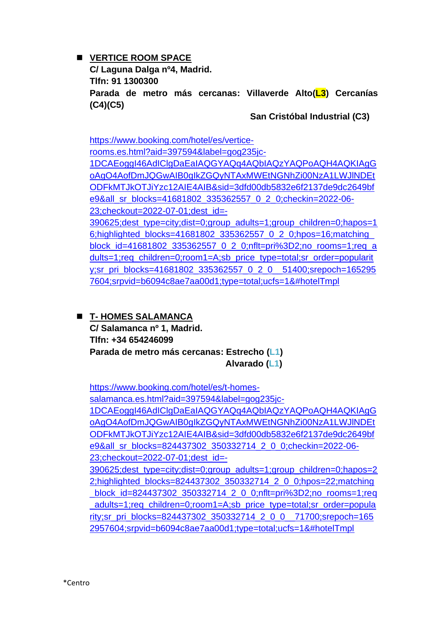◼ **VERTICE ROOM SPACE**

**C/ Laguna Dalga nº4, Madrid. Tlfn: 91 1300300 Parada de metro más cercanas: Villaverde Alto(L3) Cercanías (C4)(C5)** 

**San Cristóbal Industrial (C3)**

[https://www.booking.com/hotel/es/vertice](https://www.booking.com/hotel/es/vertice-rooms.es.html?aid=397594&label=gog235jc-1DCAEoggI46AdIClgDaEaIAQGYAQq4AQbIAQzYAQPoAQH4AQKIAgGoAgO4AofDmJQGwAIB0gIkZGQyNTAxMWEtNGNhZi00NzA1LWJlNDEtODFkMTJkOTJiYzc12AIE4AIB&sid=3dfd00db5832e6f2137de9dc2649bfe9&all_sr_blocks=41681802_335362557_0_2_0;checkin=2022-06-23;checkout=2022-07-01;dest_id=-390625;dest_type=city;dist=0;group_adults=1;group_children=0;hapos=16;highlighted_blocks=41681802_335362557_0_2_0;hpos=16;matching_block_id=41681802_335362557_0_2_0;nflt=pri%3D2;no_rooms=1;req_adults=1;req_children=0;room1=A;sb_price_type=total;sr_order=popularity;sr_pri_blocks=41681802_335362557_0_2_0__51400;srepoch=1652957604;srpvid=b6094c8ae7aa00d1;type=total;ucfs=1&#hotelTmpl)[rooms.es.html?aid=397594&label=gog235jc-](https://www.booking.com/hotel/es/vertice-rooms.es.html?aid=397594&label=gog235jc-1DCAEoggI46AdIClgDaEaIAQGYAQq4AQbIAQzYAQPoAQH4AQKIAgGoAgO4AofDmJQGwAIB0gIkZGQyNTAxMWEtNGNhZi00NzA1LWJlNDEtODFkMTJkOTJiYzc12AIE4AIB&sid=3dfd00db5832e6f2137de9dc2649bfe9&all_sr_blocks=41681802_335362557_0_2_0;checkin=2022-06-23;checkout=2022-07-01;dest_id=-390625;dest_type=city;dist=0;group_adults=1;group_children=0;hapos=16;highlighted_blocks=41681802_335362557_0_2_0;hpos=16;matching_block_id=41681802_335362557_0_2_0;nflt=pri%3D2;no_rooms=1;req_adults=1;req_children=0;room1=A;sb_price_type=total;sr_order=popularity;sr_pri_blocks=41681802_335362557_0_2_0__51400;srepoch=1652957604;srpvid=b6094c8ae7aa00d1;type=total;ucfs=1&#hotelTmpl)[1DCAEoggI46AdIClgDaEaIAQGYAQq4AQbIAQzYAQPoAQH4AQKIAgG](https://www.booking.com/hotel/es/vertice-rooms.es.html?aid=397594&label=gog235jc-1DCAEoggI46AdIClgDaEaIAQGYAQq4AQbIAQzYAQPoAQH4AQKIAgGoAgO4AofDmJQGwAIB0gIkZGQyNTAxMWEtNGNhZi00NzA1LWJlNDEtODFkMTJkOTJiYzc12AIE4AIB&sid=3dfd00db5832e6f2137de9dc2649bfe9&all_sr_blocks=41681802_335362557_0_2_0;checkin=2022-06-23;checkout=2022-07-01;dest_id=-390625;dest_type=city;dist=0;group_adults=1;group_children=0;hapos=16;highlighted_blocks=41681802_335362557_0_2_0;hpos=16;matching_block_id=41681802_335362557_0_2_0;nflt=pri%3D2;no_rooms=1;req_adults=1;req_children=0;room1=A;sb_price_type=total;sr_order=popularity;sr_pri_blocks=41681802_335362557_0_2_0__51400;srepoch=1652957604;srpvid=b6094c8ae7aa00d1;type=total;ucfs=1&#hotelTmpl) [oAgO4AofDmJQGwAIB0gIkZGQyNTAxMWEtNGNhZi00NzA1LWJlNDEt](https://www.booking.com/hotel/es/vertice-rooms.es.html?aid=397594&label=gog235jc-1DCAEoggI46AdIClgDaEaIAQGYAQq4AQbIAQzYAQPoAQH4AQKIAgGoAgO4AofDmJQGwAIB0gIkZGQyNTAxMWEtNGNhZi00NzA1LWJlNDEtODFkMTJkOTJiYzc12AIE4AIB&sid=3dfd00db5832e6f2137de9dc2649bfe9&all_sr_blocks=41681802_335362557_0_2_0;checkin=2022-06-23;checkout=2022-07-01;dest_id=-390625;dest_type=city;dist=0;group_adults=1;group_children=0;hapos=16;highlighted_blocks=41681802_335362557_0_2_0;hpos=16;matching_block_id=41681802_335362557_0_2_0;nflt=pri%3D2;no_rooms=1;req_adults=1;req_children=0;room1=A;sb_price_type=total;sr_order=popularity;sr_pri_blocks=41681802_335362557_0_2_0__51400;srepoch=1652957604;srpvid=b6094c8ae7aa00d1;type=total;ucfs=1&#hotelTmpl) [ODFkMTJkOTJiYzc12AIE4AIB&sid=3dfd00db5832e6f2137de9dc2649bf](https://www.booking.com/hotel/es/vertice-rooms.es.html?aid=397594&label=gog235jc-1DCAEoggI46AdIClgDaEaIAQGYAQq4AQbIAQzYAQPoAQH4AQKIAgGoAgO4AofDmJQGwAIB0gIkZGQyNTAxMWEtNGNhZi00NzA1LWJlNDEtODFkMTJkOTJiYzc12AIE4AIB&sid=3dfd00db5832e6f2137de9dc2649bfe9&all_sr_blocks=41681802_335362557_0_2_0;checkin=2022-06-23;checkout=2022-07-01;dest_id=-390625;dest_type=city;dist=0;group_adults=1;group_children=0;hapos=16;highlighted_blocks=41681802_335362557_0_2_0;hpos=16;matching_block_id=41681802_335362557_0_2_0;nflt=pri%3D2;no_rooms=1;req_adults=1;req_children=0;room1=A;sb_price_type=total;sr_order=popularity;sr_pri_blocks=41681802_335362557_0_2_0__51400;srepoch=1652957604;srpvid=b6094c8ae7aa00d1;type=total;ucfs=1&#hotelTmpl) [e9&all\\_sr\\_blocks=41681802\\_335362557\\_0\\_2\\_0;checkin=2022-06-](https://www.booking.com/hotel/es/vertice-rooms.es.html?aid=397594&label=gog235jc-1DCAEoggI46AdIClgDaEaIAQGYAQq4AQbIAQzYAQPoAQH4AQKIAgGoAgO4AofDmJQGwAIB0gIkZGQyNTAxMWEtNGNhZi00NzA1LWJlNDEtODFkMTJkOTJiYzc12AIE4AIB&sid=3dfd00db5832e6f2137de9dc2649bfe9&all_sr_blocks=41681802_335362557_0_2_0;checkin=2022-06-23;checkout=2022-07-01;dest_id=-390625;dest_type=city;dist=0;group_adults=1;group_children=0;hapos=16;highlighted_blocks=41681802_335362557_0_2_0;hpos=16;matching_block_id=41681802_335362557_0_2_0;nflt=pri%3D2;no_rooms=1;req_adults=1;req_children=0;room1=A;sb_price_type=total;sr_order=popularity;sr_pri_blocks=41681802_335362557_0_2_0__51400;srepoch=1652957604;srpvid=b6094c8ae7aa00d1;type=total;ucfs=1&#hotelTmpl) [23;checkout=2022-07-01;dest\\_id=-](https://www.booking.com/hotel/es/vertice-rooms.es.html?aid=397594&label=gog235jc-1DCAEoggI46AdIClgDaEaIAQGYAQq4AQbIAQzYAQPoAQH4AQKIAgGoAgO4AofDmJQGwAIB0gIkZGQyNTAxMWEtNGNhZi00NzA1LWJlNDEtODFkMTJkOTJiYzc12AIE4AIB&sid=3dfd00db5832e6f2137de9dc2649bfe9&all_sr_blocks=41681802_335362557_0_2_0;checkin=2022-06-23;checkout=2022-07-01;dest_id=-390625;dest_type=city;dist=0;group_adults=1;group_children=0;hapos=16;highlighted_blocks=41681802_335362557_0_2_0;hpos=16;matching_block_id=41681802_335362557_0_2_0;nflt=pri%3D2;no_rooms=1;req_adults=1;req_children=0;room1=A;sb_price_type=total;sr_order=popularity;sr_pri_blocks=41681802_335362557_0_2_0__51400;srepoch=1652957604;srpvid=b6094c8ae7aa00d1;type=total;ucfs=1&#hotelTmpl) [390625;dest\\_type=city;dist=0;group\\_adults=1;group\\_children=0;hapos=1](https://www.booking.com/hotel/es/vertice-rooms.es.html?aid=397594&label=gog235jc-1DCAEoggI46AdIClgDaEaIAQGYAQq4AQbIAQzYAQPoAQH4AQKIAgGoAgO4AofDmJQGwAIB0gIkZGQyNTAxMWEtNGNhZi00NzA1LWJlNDEtODFkMTJkOTJiYzc12AIE4AIB&sid=3dfd00db5832e6f2137de9dc2649bfe9&all_sr_blocks=41681802_335362557_0_2_0;checkin=2022-06-23;checkout=2022-07-01;dest_id=-390625;dest_type=city;dist=0;group_adults=1;group_children=0;hapos=16;highlighted_blocks=41681802_335362557_0_2_0;hpos=16;matching_block_id=41681802_335362557_0_2_0;nflt=pri%3D2;no_rooms=1;req_adults=1;req_children=0;room1=A;sb_price_type=total;sr_order=popularity;sr_pri_blocks=41681802_335362557_0_2_0__51400;srepoch=1652957604;srpvid=b6094c8ae7aa00d1;type=total;ucfs=1&#hotelTmpl) [6;highlighted\\_blocks=41681802\\_335362557\\_0\\_2\\_0;hpos=16;matching\\_](https://www.booking.com/hotel/es/vertice-rooms.es.html?aid=397594&label=gog235jc-1DCAEoggI46AdIClgDaEaIAQGYAQq4AQbIAQzYAQPoAQH4AQKIAgGoAgO4AofDmJQGwAIB0gIkZGQyNTAxMWEtNGNhZi00NzA1LWJlNDEtODFkMTJkOTJiYzc12AIE4AIB&sid=3dfd00db5832e6f2137de9dc2649bfe9&all_sr_blocks=41681802_335362557_0_2_0;checkin=2022-06-23;checkout=2022-07-01;dest_id=-390625;dest_type=city;dist=0;group_adults=1;group_children=0;hapos=16;highlighted_blocks=41681802_335362557_0_2_0;hpos=16;matching_block_id=41681802_335362557_0_2_0;nflt=pri%3D2;no_rooms=1;req_adults=1;req_children=0;room1=A;sb_price_type=total;sr_order=popularity;sr_pri_blocks=41681802_335362557_0_2_0__51400;srepoch=1652957604;srpvid=b6094c8ae7aa00d1;type=total;ucfs=1&#hotelTmpl)

[block\\_id=41681802\\_335362557\\_0\\_2\\_0;nflt=pri%3D2;no\\_rooms=1;req\\_a](https://www.booking.com/hotel/es/vertice-rooms.es.html?aid=397594&label=gog235jc-1DCAEoggI46AdIClgDaEaIAQGYAQq4AQbIAQzYAQPoAQH4AQKIAgGoAgO4AofDmJQGwAIB0gIkZGQyNTAxMWEtNGNhZi00NzA1LWJlNDEtODFkMTJkOTJiYzc12AIE4AIB&sid=3dfd00db5832e6f2137de9dc2649bfe9&all_sr_blocks=41681802_335362557_0_2_0;checkin=2022-06-23;checkout=2022-07-01;dest_id=-390625;dest_type=city;dist=0;group_adults=1;group_children=0;hapos=16;highlighted_blocks=41681802_335362557_0_2_0;hpos=16;matching_block_id=41681802_335362557_0_2_0;nflt=pri%3D2;no_rooms=1;req_adults=1;req_children=0;room1=A;sb_price_type=total;sr_order=popularity;sr_pri_blocks=41681802_335362557_0_2_0__51400;srepoch=1652957604;srpvid=b6094c8ae7aa00d1;type=total;ucfs=1&#hotelTmpl) [dults=1;req\\_children=0;room1=A;sb\\_price\\_type=total;sr\\_order=popularit](https://www.booking.com/hotel/es/vertice-rooms.es.html?aid=397594&label=gog235jc-1DCAEoggI46AdIClgDaEaIAQGYAQq4AQbIAQzYAQPoAQH4AQKIAgGoAgO4AofDmJQGwAIB0gIkZGQyNTAxMWEtNGNhZi00NzA1LWJlNDEtODFkMTJkOTJiYzc12AIE4AIB&sid=3dfd00db5832e6f2137de9dc2649bfe9&all_sr_blocks=41681802_335362557_0_2_0;checkin=2022-06-23;checkout=2022-07-01;dest_id=-390625;dest_type=city;dist=0;group_adults=1;group_children=0;hapos=16;highlighted_blocks=41681802_335362557_0_2_0;hpos=16;matching_block_id=41681802_335362557_0_2_0;nflt=pri%3D2;no_rooms=1;req_adults=1;req_children=0;room1=A;sb_price_type=total;sr_order=popularity;sr_pri_blocks=41681802_335362557_0_2_0__51400;srepoch=1652957604;srpvid=b6094c8ae7aa00d1;type=total;ucfs=1&#hotelTmpl) [y;sr\\_pri\\_blocks=41681802\\_335362557\\_0\\_2\\_0\\_\\_51400;srepoch=165295](https://www.booking.com/hotel/es/vertice-rooms.es.html?aid=397594&label=gog235jc-1DCAEoggI46AdIClgDaEaIAQGYAQq4AQbIAQzYAQPoAQH4AQKIAgGoAgO4AofDmJQGwAIB0gIkZGQyNTAxMWEtNGNhZi00NzA1LWJlNDEtODFkMTJkOTJiYzc12AIE4AIB&sid=3dfd00db5832e6f2137de9dc2649bfe9&all_sr_blocks=41681802_335362557_0_2_0;checkin=2022-06-23;checkout=2022-07-01;dest_id=-390625;dest_type=city;dist=0;group_adults=1;group_children=0;hapos=16;highlighted_blocks=41681802_335362557_0_2_0;hpos=16;matching_block_id=41681802_335362557_0_2_0;nflt=pri%3D2;no_rooms=1;req_adults=1;req_children=0;room1=A;sb_price_type=total;sr_order=popularity;sr_pri_blocks=41681802_335362557_0_2_0__51400;srepoch=1652957604;srpvid=b6094c8ae7aa00d1;type=total;ucfs=1&#hotelTmpl) [7604;srpvid=b6094c8ae7aa00d1;type=total;ucfs=1&#hotelTmpl](https://www.booking.com/hotel/es/vertice-rooms.es.html?aid=397594&label=gog235jc-1DCAEoggI46AdIClgDaEaIAQGYAQq4AQbIAQzYAQPoAQH4AQKIAgGoAgO4AofDmJQGwAIB0gIkZGQyNTAxMWEtNGNhZi00NzA1LWJlNDEtODFkMTJkOTJiYzc12AIE4AIB&sid=3dfd00db5832e6f2137de9dc2649bfe9&all_sr_blocks=41681802_335362557_0_2_0;checkin=2022-06-23;checkout=2022-07-01;dest_id=-390625;dest_type=city;dist=0;group_adults=1;group_children=0;hapos=16;highlighted_blocks=41681802_335362557_0_2_0;hpos=16;matching_block_id=41681802_335362557_0_2_0;nflt=pri%3D2;no_rooms=1;req_adults=1;req_children=0;room1=A;sb_price_type=total;sr_order=popularity;sr_pri_blocks=41681802_335362557_0_2_0__51400;srepoch=1652957604;srpvid=b6094c8ae7aa00d1;type=total;ucfs=1&#hotelTmpl)

◼ **T- HOMES SALAMANCA C/ Salamanca nº 1, Madrid. Tlfn: +34 654246099 Parada de metro más cercanas: Estrecho (L1) Alvarado (L1)**

[https://www.booking.com/hotel/es/t-homes](https://www.booking.com/hotel/es/t-homes-salamanca.es.html?aid=397594&label=gog235jc-1DCAEoggI46AdIClgDaEaIAQGYAQq4AQbIAQzYAQPoAQH4AQKIAgGoAgO4AofDmJQGwAIB0gIkZGQyNTAxMWEtNGNhZi00NzA1LWJlNDEtODFkMTJkOTJiYzc12AIE4AIB&sid=3dfd00db5832e6f2137de9dc2649bfe9&all_sr_blocks=824437302_350332714_2_0_0;checkin=2022-06-23;checkout=2022-07-01;dest_id=-390625;dest_type=city;dist=0;group_adults=1;group_children=0;hapos=22;highlighted_blocks=824437302_350332714_2_0_0;hpos=22;matching_block_id=824437302_350332714_2_0_0;nflt=pri%3D2;no_rooms=1;req_adults=1;req_children=0;room1=A;sb_price_type=total;sr_order=popularity;sr_pri_blocks=824437302_350332714_2_0_0__71700;srepoch=1652957604;srpvid=b6094c8ae7aa00d1;type=total;ucfs=1&#hotelTmpl)[salamanca.es.html?aid=397594&label=gog235jc-](https://www.booking.com/hotel/es/t-homes-salamanca.es.html?aid=397594&label=gog235jc-1DCAEoggI46AdIClgDaEaIAQGYAQq4AQbIAQzYAQPoAQH4AQKIAgGoAgO4AofDmJQGwAIB0gIkZGQyNTAxMWEtNGNhZi00NzA1LWJlNDEtODFkMTJkOTJiYzc12AIE4AIB&sid=3dfd00db5832e6f2137de9dc2649bfe9&all_sr_blocks=824437302_350332714_2_0_0;checkin=2022-06-23;checkout=2022-07-01;dest_id=-390625;dest_type=city;dist=0;group_adults=1;group_children=0;hapos=22;highlighted_blocks=824437302_350332714_2_0_0;hpos=22;matching_block_id=824437302_350332714_2_0_0;nflt=pri%3D2;no_rooms=1;req_adults=1;req_children=0;room1=A;sb_price_type=total;sr_order=popularity;sr_pri_blocks=824437302_350332714_2_0_0__71700;srepoch=1652957604;srpvid=b6094c8ae7aa00d1;type=total;ucfs=1&#hotelTmpl)[1DCAEoggI46AdIClgDaEaIAQGYAQq4AQbIAQzYAQPoAQH4AQKIAgG](https://www.booking.com/hotel/es/t-homes-salamanca.es.html?aid=397594&label=gog235jc-1DCAEoggI46AdIClgDaEaIAQGYAQq4AQbIAQzYAQPoAQH4AQKIAgGoAgO4AofDmJQGwAIB0gIkZGQyNTAxMWEtNGNhZi00NzA1LWJlNDEtODFkMTJkOTJiYzc12AIE4AIB&sid=3dfd00db5832e6f2137de9dc2649bfe9&all_sr_blocks=824437302_350332714_2_0_0;checkin=2022-06-23;checkout=2022-07-01;dest_id=-390625;dest_type=city;dist=0;group_adults=1;group_children=0;hapos=22;highlighted_blocks=824437302_350332714_2_0_0;hpos=22;matching_block_id=824437302_350332714_2_0_0;nflt=pri%3D2;no_rooms=1;req_adults=1;req_children=0;room1=A;sb_price_type=total;sr_order=popularity;sr_pri_blocks=824437302_350332714_2_0_0__71700;srepoch=1652957604;srpvid=b6094c8ae7aa00d1;type=total;ucfs=1&#hotelTmpl) [oAgO4AofDmJQGwAIB0gIkZGQyNTAxMWEtNGNhZi00NzA1LWJlNDEt](https://www.booking.com/hotel/es/t-homes-salamanca.es.html?aid=397594&label=gog235jc-1DCAEoggI46AdIClgDaEaIAQGYAQq4AQbIAQzYAQPoAQH4AQKIAgGoAgO4AofDmJQGwAIB0gIkZGQyNTAxMWEtNGNhZi00NzA1LWJlNDEtODFkMTJkOTJiYzc12AIE4AIB&sid=3dfd00db5832e6f2137de9dc2649bfe9&all_sr_blocks=824437302_350332714_2_0_0;checkin=2022-06-23;checkout=2022-07-01;dest_id=-390625;dest_type=city;dist=0;group_adults=1;group_children=0;hapos=22;highlighted_blocks=824437302_350332714_2_0_0;hpos=22;matching_block_id=824437302_350332714_2_0_0;nflt=pri%3D2;no_rooms=1;req_adults=1;req_children=0;room1=A;sb_price_type=total;sr_order=popularity;sr_pri_blocks=824437302_350332714_2_0_0__71700;srepoch=1652957604;srpvid=b6094c8ae7aa00d1;type=total;ucfs=1&#hotelTmpl) [ODFkMTJkOTJiYzc12AIE4AIB&sid=3dfd00db5832e6f2137de9dc2649bf](https://www.booking.com/hotel/es/t-homes-salamanca.es.html?aid=397594&label=gog235jc-1DCAEoggI46AdIClgDaEaIAQGYAQq4AQbIAQzYAQPoAQH4AQKIAgGoAgO4AofDmJQGwAIB0gIkZGQyNTAxMWEtNGNhZi00NzA1LWJlNDEtODFkMTJkOTJiYzc12AIE4AIB&sid=3dfd00db5832e6f2137de9dc2649bfe9&all_sr_blocks=824437302_350332714_2_0_0;checkin=2022-06-23;checkout=2022-07-01;dest_id=-390625;dest_type=city;dist=0;group_adults=1;group_children=0;hapos=22;highlighted_blocks=824437302_350332714_2_0_0;hpos=22;matching_block_id=824437302_350332714_2_0_0;nflt=pri%3D2;no_rooms=1;req_adults=1;req_children=0;room1=A;sb_price_type=total;sr_order=popularity;sr_pri_blocks=824437302_350332714_2_0_0__71700;srepoch=1652957604;srpvid=b6094c8ae7aa00d1;type=total;ucfs=1&#hotelTmpl) [e9&all\\_sr\\_blocks=824437302\\_350332714\\_2\\_0\\_0;checkin=2022-06-](https://www.booking.com/hotel/es/t-homes-salamanca.es.html?aid=397594&label=gog235jc-1DCAEoggI46AdIClgDaEaIAQGYAQq4AQbIAQzYAQPoAQH4AQKIAgGoAgO4AofDmJQGwAIB0gIkZGQyNTAxMWEtNGNhZi00NzA1LWJlNDEtODFkMTJkOTJiYzc12AIE4AIB&sid=3dfd00db5832e6f2137de9dc2649bfe9&all_sr_blocks=824437302_350332714_2_0_0;checkin=2022-06-23;checkout=2022-07-01;dest_id=-390625;dest_type=city;dist=0;group_adults=1;group_children=0;hapos=22;highlighted_blocks=824437302_350332714_2_0_0;hpos=22;matching_block_id=824437302_350332714_2_0_0;nflt=pri%3D2;no_rooms=1;req_adults=1;req_children=0;room1=A;sb_price_type=total;sr_order=popularity;sr_pri_blocks=824437302_350332714_2_0_0__71700;srepoch=1652957604;srpvid=b6094c8ae7aa00d1;type=total;ucfs=1&#hotelTmpl) [23;checkout=2022-07-01;dest\\_id=-](https://www.booking.com/hotel/es/t-homes-salamanca.es.html?aid=397594&label=gog235jc-1DCAEoggI46AdIClgDaEaIAQGYAQq4AQbIAQzYAQPoAQH4AQKIAgGoAgO4AofDmJQGwAIB0gIkZGQyNTAxMWEtNGNhZi00NzA1LWJlNDEtODFkMTJkOTJiYzc12AIE4AIB&sid=3dfd00db5832e6f2137de9dc2649bfe9&all_sr_blocks=824437302_350332714_2_0_0;checkin=2022-06-23;checkout=2022-07-01;dest_id=-390625;dest_type=city;dist=0;group_adults=1;group_children=0;hapos=22;highlighted_blocks=824437302_350332714_2_0_0;hpos=22;matching_block_id=824437302_350332714_2_0_0;nflt=pri%3D2;no_rooms=1;req_adults=1;req_children=0;room1=A;sb_price_type=total;sr_order=popularity;sr_pri_blocks=824437302_350332714_2_0_0__71700;srepoch=1652957604;srpvid=b6094c8ae7aa00d1;type=total;ucfs=1&#hotelTmpl) [390625;dest\\_type=city;dist=0;group\\_adults=1;group\\_children=0;hapos=2](https://www.booking.com/hotel/es/t-homes-salamanca.es.html?aid=397594&label=gog235jc-1DCAEoggI46AdIClgDaEaIAQGYAQq4AQbIAQzYAQPoAQH4AQKIAgGoAgO4AofDmJQGwAIB0gIkZGQyNTAxMWEtNGNhZi00NzA1LWJlNDEtODFkMTJkOTJiYzc12AIE4AIB&sid=3dfd00db5832e6f2137de9dc2649bfe9&all_sr_blocks=824437302_350332714_2_0_0;checkin=2022-06-23;checkout=2022-07-01;dest_id=-390625;dest_type=city;dist=0;group_adults=1;group_children=0;hapos=22;highlighted_blocks=824437302_350332714_2_0_0;hpos=22;matching_block_id=824437302_350332714_2_0_0;nflt=pri%3D2;no_rooms=1;req_adults=1;req_children=0;room1=A;sb_price_type=total;sr_order=popularity;sr_pri_blocks=824437302_350332714_2_0_0__71700;srepoch=1652957604;srpvid=b6094c8ae7aa00d1;type=total;ucfs=1&#hotelTmpl) [2;highlighted\\_blocks=824437302\\_350332714\\_2\\_0\\_0;hpos=22;matching](https://www.booking.com/hotel/es/t-homes-salamanca.es.html?aid=397594&label=gog235jc-1DCAEoggI46AdIClgDaEaIAQGYAQq4AQbIAQzYAQPoAQH4AQKIAgGoAgO4AofDmJQGwAIB0gIkZGQyNTAxMWEtNGNhZi00NzA1LWJlNDEtODFkMTJkOTJiYzc12AIE4AIB&sid=3dfd00db5832e6f2137de9dc2649bfe9&all_sr_blocks=824437302_350332714_2_0_0;checkin=2022-06-23;checkout=2022-07-01;dest_id=-390625;dest_type=city;dist=0;group_adults=1;group_children=0;hapos=22;highlighted_blocks=824437302_350332714_2_0_0;hpos=22;matching_block_id=824437302_350332714_2_0_0;nflt=pri%3D2;no_rooms=1;req_adults=1;req_children=0;room1=A;sb_price_type=total;sr_order=popularity;sr_pri_blocks=824437302_350332714_2_0_0__71700;srepoch=1652957604;srpvid=b6094c8ae7aa00d1;type=total;ucfs=1&#hotelTmpl) block\_id=824437302\_350332714\_2\_0\_0;nflt=pri%3D2;no\_rooms=1;req adults=1;req\_children=0;room1=A;sb\_price\_type=total;sr\_order=popula [rity;sr\\_pri\\_blocks=824437302\\_350332714\\_2\\_0\\_0\\_\\_71700;srepoch=165](https://www.booking.com/hotel/es/t-homes-salamanca.es.html?aid=397594&label=gog235jc-1DCAEoggI46AdIClgDaEaIAQGYAQq4AQbIAQzYAQPoAQH4AQKIAgGoAgO4AofDmJQGwAIB0gIkZGQyNTAxMWEtNGNhZi00NzA1LWJlNDEtODFkMTJkOTJiYzc12AIE4AIB&sid=3dfd00db5832e6f2137de9dc2649bfe9&all_sr_blocks=824437302_350332714_2_0_0;checkin=2022-06-23;checkout=2022-07-01;dest_id=-390625;dest_type=city;dist=0;group_adults=1;group_children=0;hapos=22;highlighted_blocks=824437302_350332714_2_0_0;hpos=22;matching_block_id=824437302_350332714_2_0_0;nflt=pri%3D2;no_rooms=1;req_adults=1;req_children=0;room1=A;sb_price_type=total;sr_order=popularity;sr_pri_blocks=824437302_350332714_2_0_0__71700;srepoch=1652957604;srpvid=b6094c8ae7aa00d1;type=total;ucfs=1&#hotelTmpl) [2957604;srpvid=b6094c8ae7aa00d1;type=total;ucfs=1&#hotelTmpl](https://www.booking.com/hotel/es/t-homes-salamanca.es.html?aid=397594&label=gog235jc-1DCAEoggI46AdIClgDaEaIAQGYAQq4AQbIAQzYAQPoAQH4AQKIAgGoAgO4AofDmJQGwAIB0gIkZGQyNTAxMWEtNGNhZi00NzA1LWJlNDEtODFkMTJkOTJiYzc12AIE4AIB&sid=3dfd00db5832e6f2137de9dc2649bfe9&all_sr_blocks=824437302_350332714_2_0_0;checkin=2022-06-23;checkout=2022-07-01;dest_id=-390625;dest_type=city;dist=0;group_adults=1;group_children=0;hapos=22;highlighted_blocks=824437302_350332714_2_0_0;hpos=22;matching_block_id=824437302_350332714_2_0_0;nflt=pri%3D2;no_rooms=1;req_adults=1;req_children=0;room1=A;sb_price_type=total;sr_order=popularity;sr_pri_blocks=824437302_350332714_2_0_0__71700;srepoch=1652957604;srpvid=b6094c8ae7aa00d1;type=total;ucfs=1&#hotelTmpl)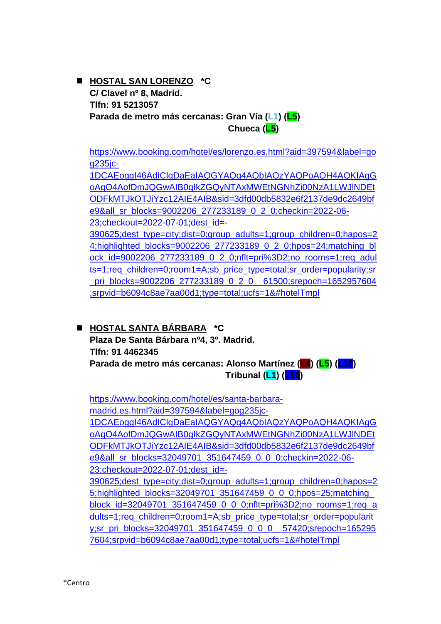#### ◼ **HOSTAL SAN LORENZO \*C C/ Clavel nº 8, Madrid. Tlfn: 91 5213057 Parada de metro más cercanas: Gran Vía (L1) (L5) Chueca (L5)**

[https://www.booking.com/hotel/es/lorenzo.es.html?aid=397594&label=go](https://www.booking.com/hotel/es/lorenzo.es.html?aid=397594&label=gog235jc-1DCAEoggI46AdIClgDaEaIAQGYAQq4AQbIAQzYAQPoAQH4AQKIAgGoAgO4AofDmJQGwAIB0gIkZGQyNTAxMWEtNGNhZi00NzA1LWJlNDEtODFkMTJkOTJiYzc12AIE4AIB&sid=3dfd00db5832e6f2137de9dc2649bfe9&all_sr_blocks=9002206_277233189_0_2_0;checkin=2022-06-23;checkout=2022-07-01;dest_id=-390625;dest_type=city;dist=0;group_adults=1;group_children=0;hapos=24;highlighted_blocks=9002206_277233189_0_2_0;hpos=24;matching_block_id=9002206_277233189_0_2_0;nflt=pri%3D2;no_rooms=1;req_adults=1;req_children=0;room1=A;sb_price_type=total;sr_order=popularity;sr_pri_blocks=9002206_277233189_0_2_0__61500;srepoch=1652957604;srpvid=b6094c8ae7aa00d1;type=total;ucfs=1&#hotelTmpl) [g235jc-](https://www.booking.com/hotel/es/lorenzo.es.html?aid=397594&label=gog235jc-1DCAEoggI46AdIClgDaEaIAQGYAQq4AQbIAQzYAQPoAQH4AQKIAgGoAgO4AofDmJQGwAIB0gIkZGQyNTAxMWEtNGNhZi00NzA1LWJlNDEtODFkMTJkOTJiYzc12AIE4AIB&sid=3dfd00db5832e6f2137de9dc2649bfe9&all_sr_blocks=9002206_277233189_0_2_0;checkin=2022-06-23;checkout=2022-07-01;dest_id=-390625;dest_type=city;dist=0;group_adults=1;group_children=0;hapos=24;highlighted_blocks=9002206_277233189_0_2_0;hpos=24;matching_block_id=9002206_277233189_0_2_0;nflt=pri%3D2;no_rooms=1;req_adults=1;req_children=0;room1=A;sb_price_type=total;sr_order=popularity;sr_pri_blocks=9002206_277233189_0_2_0__61500;srepoch=1652957604;srpvid=b6094c8ae7aa00d1;type=total;ucfs=1&#hotelTmpl)

[1DCAEoggI46AdIClgDaEaIAQGYAQq4AQbIAQzYAQPoAQH4AQKIAgG](https://www.booking.com/hotel/es/lorenzo.es.html?aid=397594&label=gog235jc-1DCAEoggI46AdIClgDaEaIAQGYAQq4AQbIAQzYAQPoAQH4AQKIAgGoAgO4AofDmJQGwAIB0gIkZGQyNTAxMWEtNGNhZi00NzA1LWJlNDEtODFkMTJkOTJiYzc12AIE4AIB&sid=3dfd00db5832e6f2137de9dc2649bfe9&all_sr_blocks=9002206_277233189_0_2_0;checkin=2022-06-23;checkout=2022-07-01;dest_id=-390625;dest_type=city;dist=0;group_adults=1;group_children=0;hapos=24;highlighted_blocks=9002206_277233189_0_2_0;hpos=24;matching_block_id=9002206_277233189_0_2_0;nflt=pri%3D2;no_rooms=1;req_adults=1;req_children=0;room1=A;sb_price_type=total;sr_order=popularity;sr_pri_blocks=9002206_277233189_0_2_0__61500;srepoch=1652957604;srpvid=b6094c8ae7aa00d1;type=total;ucfs=1&#hotelTmpl) [oAgO4AofDmJQGwAIB0gIkZGQyNTAxMWEtNGNhZi00NzA1LWJlNDEt](https://www.booking.com/hotel/es/lorenzo.es.html?aid=397594&label=gog235jc-1DCAEoggI46AdIClgDaEaIAQGYAQq4AQbIAQzYAQPoAQH4AQKIAgGoAgO4AofDmJQGwAIB0gIkZGQyNTAxMWEtNGNhZi00NzA1LWJlNDEtODFkMTJkOTJiYzc12AIE4AIB&sid=3dfd00db5832e6f2137de9dc2649bfe9&all_sr_blocks=9002206_277233189_0_2_0;checkin=2022-06-23;checkout=2022-07-01;dest_id=-390625;dest_type=city;dist=0;group_adults=1;group_children=0;hapos=24;highlighted_blocks=9002206_277233189_0_2_0;hpos=24;matching_block_id=9002206_277233189_0_2_0;nflt=pri%3D2;no_rooms=1;req_adults=1;req_children=0;room1=A;sb_price_type=total;sr_order=popularity;sr_pri_blocks=9002206_277233189_0_2_0__61500;srepoch=1652957604;srpvid=b6094c8ae7aa00d1;type=total;ucfs=1&#hotelTmpl) [ODFkMTJkOTJiYzc12AIE4AIB&sid=3dfd00db5832e6f2137de9dc2649bf](https://www.booking.com/hotel/es/lorenzo.es.html?aid=397594&label=gog235jc-1DCAEoggI46AdIClgDaEaIAQGYAQq4AQbIAQzYAQPoAQH4AQKIAgGoAgO4AofDmJQGwAIB0gIkZGQyNTAxMWEtNGNhZi00NzA1LWJlNDEtODFkMTJkOTJiYzc12AIE4AIB&sid=3dfd00db5832e6f2137de9dc2649bfe9&all_sr_blocks=9002206_277233189_0_2_0;checkin=2022-06-23;checkout=2022-07-01;dest_id=-390625;dest_type=city;dist=0;group_adults=1;group_children=0;hapos=24;highlighted_blocks=9002206_277233189_0_2_0;hpos=24;matching_block_id=9002206_277233189_0_2_0;nflt=pri%3D2;no_rooms=1;req_adults=1;req_children=0;room1=A;sb_price_type=total;sr_order=popularity;sr_pri_blocks=9002206_277233189_0_2_0__61500;srepoch=1652957604;srpvid=b6094c8ae7aa00d1;type=total;ucfs=1&#hotelTmpl) [e9&all\\_sr\\_blocks=9002206\\_277233189\\_0\\_2\\_0;checkin=2022-06-](https://www.booking.com/hotel/es/lorenzo.es.html?aid=397594&label=gog235jc-1DCAEoggI46AdIClgDaEaIAQGYAQq4AQbIAQzYAQPoAQH4AQKIAgGoAgO4AofDmJQGwAIB0gIkZGQyNTAxMWEtNGNhZi00NzA1LWJlNDEtODFkMTJkOTJiYzc12AIE4AIB&sid=3dfd00db5832e6f2137de9dc2649bfe9&all_sr_blocks=9002206_277233189_0_2_0;checkin=2022-06-23;checkout=2022-07-01;dest_id=-390625;dest_type=city;dist=0;group_adults=1;group_children=0;hapos=24;highlighted_blocks=9002206_277233189_0_2_0;hpos=24;matching_block_id=9002206_277233189_0_2_0;nflt=pri%3D2;no_rooms=1;req_adults=1;req_children=0;room1=A;sb_price_type=total;sr_order=popularity;sr_pri_blocks=9002206_277233189_0_2_0__61500;srepoch=1652957604;srpvid=b6094c8ae7aa00d1;type=total;ucfs=1&#hotelTmpl) [23;checkout=2022-07-01;dest\\_id=-](https://www.booking.com/hotel/es/lorenzo.es.html?aid=397594&label=gog235jc-1DCAEoggI46AdIClgDaEaIAQGYAQq4AQbIAQzYAQPoAQH4AQKIAgGoAgO4AofDmJQGwAIB0gIkZGQyNTAxMWEtNGNhZi00NzA1LWJlNDEtODFkMTJkOTJiYzc12AIE4AIB&sid=3dfd00db5832e6f2137de9dc2649bfe9&all_sr_blocks=9002206_277233189_0_2_0;checkin=2022-06-23;checkout=2022-07-01;dest_id=-390625;dest_type=city;dist=0;group_adults=1;group_children=0;hapos=24;highlighted_blocks=9002206_277233189_0_2_0;hpos=24;matching_block_id=9002206_277233189_0_2_0;nflt=pri%3D2;no_rooms=1;req_adults=1;req_children=0;room1=A;sb_price_type=total;sr_order=popularity;sr_pri_blocks=9002206_277233189_0_2_0__61500;srepoch=1652957604;srpvid=b6094c8ae7aa00d1;type=total;ucfs=1&#hotelTmpl)

[390625;dest\\_type=city;dist=0;group\\_adults=1;group\\_children=0;hapos=2](https://www.booking.com/hotel/es/lorenzo.es.html?aid=397594&label=gog235jc-1DCAEoggI46AdIClgDaEaIAQGYAQq4AQbIAQzYAQPoAQH4AQKIAgGoAgO4AofDmJQGwAIB0gIkZGQyNTAxMWEtNGNhZi00NzA1LWJlNDEtODFkMTJkOTJiYzc12AIE4AIB&sid=3dfd00db5832e6f2137de9dc2649bfe9&all_sr_blocks=9002206_277233189_0_2_0;checkin=2022-06-23;checkout=2022-07-01;dest_id=-390625;dest_type=city;dist=0;group_adults=1;group_children=0;hapos=24;highlighted_blocks=9002206_277233189_0_2_0;hpos=24;matching_block_id=9002206_277233189_0_2_0;nflt=pri%3D2;no_rooms=1;req_adults=1;req_children=0;room1=A;sb_price_type=total;sr_order=popularity;sr_pri_blocks=9002206_277233189_0_2_0__61500;srepoch=1652957604;srpvid=b6094c8ae7aa00d1;type=total;ucfs=1&#hotelTmpl) [4;highlighted\\_blocks=9002206\\_277233189\\_0\\_2\\_0;hpos=24;matching\\_bl](https://www.booking.com/hotel/es/lorenzo.es.html?aid=397594&label=gog235jc-1DCAEoggI46AdIClgDaEaIAQGYAQq4AQbIAQzYAQPoAQH4AQKIAgGoAgO4AofDmJQGwAIB0gIkZGQyNTAxMWEtNGNhZi00NzA1LWJlNDEtODFkMTJkOTJiYzc12AIE4AIB&sid=3dfd00db5832e6f2137de9dc2649bfe9&all_sr_blocks=9002206_277233189_0_2_0;checkin=2022-06-23;checkout=2022-07-01;dest_id=-390625;dest_type=city;dist=0;group_adults=1;group_children=0;hapos=24;highlighted_blocks=9002206_277233189_0_2_0;hpos=24;matching_block_id=9002206_277233189_0_2_0;nflt=pri%3D2;no_rooms=1;req_adults=1;req_children=0;room1=A;sb_price_type=total;sr_order=popularity;sr_pri_blocks=9002206_277233189_0_2_0__61500;srepoch=1652957604;srpvid=b6094c8ae7aa00d1;type=total;ucfs=1&#hotelTmpl) ock id=9002206 277233189 0 2 0;nflt=pri%3D2;no\_rooms=1;req\_adul [ts=1;req\\_children=0;room1=A;sb\\_price\\_type=total;sr\\_order=popularity;sr](https://www.booking.com/hotel/es/lorenzo.es.html?aid=397594&label=gog235jc-1DCAEoggI46AdIClgDaEaIAQGYAQq4AQbIAQzYAQPoAQH4AQKIAgGoAgO4AofDmJQGwAIB0gIkZGQyNTAxMWEtNGNhZi00NzA1LWJlNDEtODFkMTJkOTJiYzc12AIE4AIB&sid=3dfd00db5832e6f2137de9dc2649bfe9&all_sr_blocks=9002206_277233189_0_2_0;checkin=2022-06-23;checkout=2022-07-01;dest_id=-390625;dest_type=city;dist=0;group_adults=1;group_children=0;hapos=24;highlighted_blocks=9002206_277233189_0_2_0;hpos=24;matching_block_id=9002206_277233189_0_2_0;nflt=pri%3D2;no_rooms=1;req_adults=1;req_children=0;room1=A;sb_price_type=total;sr_order=popularity;sr_pri_blocks=9002206_277233189_0_2_0__61500;srepoch=1652957604;srpvid=b6094c8ae7aa00d1;type=total;ucfs=1&#hotelTmpl) pri\_blocks=9002206\_277233189\_0\_2\_0\_\_61500;srepoch=1652957604 [;srpvid=b6094c8ae7aa00d1;type=total;ucfs=1&#hotelTmpl](https://www.booking.com/hotel/es/lorenzo.es.html?aid=397594&label=gog235jc-1DCAEoggI46AdIClgDaEaIAQGYAQq4AQbIAQzYAQPoAQH4AQKIAgGoAgO4AofDmJQGwAIB0gIkZGQyNTAxMWEtNGNhZi00NzA1LWJlNDEtODFkMTJkOTJiYzc12AIE4AIB&sid=3dfd00db5832e6f2137de9dc2649bfe9&all_sr_blocks=9002206_277233189_0_2_0;checkin=2022-06-23;checkout=2022-07-01;dest_id=-390625;dest_type=city;dist=0;group_adults=1;group_children=0;hapos=24;highlighted_blocks=9002206_277233189_0_2_0;hpos=24;matching_block_id=9002206_277233189_0_2_0;nflt=pri%3D2;no_rooms=1;req_adults=1;req_children=0;room1=A;sb_price_type=total;sr_order=popularity;sr_pri_blocks=9002206_277233189_0_2_0__61500;srepoch=1652957604;srpvid=b6094c8ae7aa00d1;type=total;ucfs=1&#hotelTmpl)

◼ **HOSTAL SANTA BÁRBARA \*C Plaza De Santa Bárbara nº4, 3º. Madrid. Tlfn: 91 4462345 Parada de metro más cercanas: Alonso Martínez (L4) (L5) (L10) Tribunal (L1) (L10)**

[https://www.booking.com/hotel/es/santa-barbara](https://www.booking.com/hotel/es/santa-barbara-madrid.es.html?aid=397594&label=gog235jc-1DCAEoggI46AdIClgDaEaIAQGYAQq4AQbIAQzYAQPoAQH4AQKIAgGoAgO4AofDmJQGwAIB0gIkZGQyNTAxMWEtNGNhZi00NzA1LWJlNDEtODFkMTJkOTJiYzc12AIE4AIB&sid=3dfd00db5832e6f2137de9dc2649bfe9&all_sr_blocks=32049701_351647459_0_0_0;checkin=2022-06-23;checkout=2022-07-01;dest_id=-390625;dest_type=city;dist=0;group_adults=1;group_children=0;hapos=25;highlighted_blocks=32049701_351647459_0_0_0;hpos=25;matching_block_id=32049701_351647459_0_0_0;nflt=pri%3D2;no_rooms=1;req_adults=1;req_children=0;room1=A;sb_price_type=total;sr_order=popularity;sr_pri_blocks=32049701_351647459_0_0_0__57420;srepoch=1652957604;srpvid=b6094c8ae7aa00d1;type=total;ucfs=1&#hotelTmpl)[madrid.es.html?aid=397594&label=gog235jc-](https://www.booking.com/hotel/es/santa-barbara-madrid.es.html?aid=397594&label=gog235jc-1DCAEoggI46AdIClgDaEaIAQGYAQq4AQbIAQzYAQPoAQH4AQKIAgGoAgO4AofDmJQGwAIB0gIkZGQyNTAxMWEtNGNhZi00NzA1LWJlNDEtODFkMTJkOTJiYzc12AIE4AIB&sid=3dfd00db5832e6f2137de9dc2649bfe9&all_sr_blocks=32049701_351647459_0_0_0;checkin=2022-06-23;checkout=2022-07-01;dest_id=-390625;dest_type=city;dist=0;group_adults=1;group_children=0;hapos=25;highlighted_blocks=32049701_351647459_0_0_0;hpos=25;matching_block_id=32049701_351647459_0_0_0;nflt=pri%3D2;no_rooms=1;req_adults=1;req_children=0;room1=A;sb_price_type=total;sr_order=popularity;sr_pri_blocks=32049701_351647459_0_0_0__57420;srepoch=1652957604;srpvid=b6094c8ae7aa00d1;type=total;ucfs=1&#hotelTmpl)[1DCAEoggI46AdIClgDaEaIAQGYAQq4AQbIAQzYAQPoAQH4AQKIAgG](https://www.booking.com/hotel/es/santa-barbara-madrid.es.html?aid=397594&label=gog235jc-1DCAEoggI46AdIClgDaEaIAQGYAQq4AQbIAQzYAQPoAQH4AQKIAgGoAgO4AofDmJQGwAIB0gIkZGQyNTAxMWEtNGNhZi00NzA1LWJlNDEtODFkMTJkOTJiYzc12AIE4AIB&sid=3dfd00db5832e6f2137de9dc2649bfe9&all_sr_blocks=32049701_351647459_0_0_0;checkin=2022-06-23;checkout=2022-07-01;dest_id=-390625;dest_type=city;dist=0;group_adults=1;group_children=0;hapos=25;highlighted_blocks=32049701_351647459_0_0_0;hpos=25;matching_block_id=32049701_351647459_0_0_0;nflt=pri%3D2;no_rooms=1;req_adults=1;req_children=0;room1=A;sb_price_type=total;sr_order=popularity;sr_pri_blocks=32049701_351647459_0_0_0__57420;srepoch=1652957604;srpvid=b6094c8ae7aa00d1;type=total;ucfs=1&#hotelTmpl) [oAgO4AofDmJQGwAIB0gIkZGQyNTAxMWEtNGNhZi00NzA1LWJlNDEt](https://www.booking.com/hotel/es/santa-barbara-madrid.es.html?aid=397594&label=gog235jc-1DCAEoggI46AdIClgDaEaIAQGYAQq4AQbIAQzYAQPoAQH4AQKIAgGoAgO4AofDmJQGwAIB0gIkZGQyNTAxMWEtNGNhZi00NzA1LWJlNDEtODFkMTJkOTJiYzc12AIE4AIB&sid=3dfd00db5832e6f2137de9dc2649bfe9&all_sr_blocks=32049701_351647459_0_0_0;checkin=2022-06-23;checkout=2022-07-01;dest_id=-390625;dest_type=city;dist=0;group_adults=1;group_children=0;hapos=25;highlighted_blocks=32049701_351647459_0_0_0;hpos=25;matching_block_id=32049701_351647459_0_0_0;nflt=pri%3D2;no_rooms=1;req_adults=1;req_children=0;room1=A;sb_price_type=total;sr_order=popularity;sr_pri_blocks=32049701_351647459_0_0_0__57420;srepoch=1652957604;srpvid=b6094c8ae7aa00d1;type=total;ucfs=1&#hotelTmpl) [ODFkMTJkOTJiYzc12AIE4AIB&sid=3dfd00db5832e6f2137de9dc2649bf](https://www.booking.com/hotel/es/santa-barbara-madrid.es.html?aid=397594&label=gog235jc-1DCAEoggI46AdIClgDaEaIAQGYAQq4AQbIAQzYAQPoAQH4AQKIAgGoAgO4AofDmJQGwAIB0gIkZGQyNTAxMWEtNGNhZi00NzA1LWJlNDEtODFkMTJkOTJiYzc12AIE4AIB&sid=3dfd00db5832e6f2137de9dc2649bfe9&all_sr_blocks=32049701_351647459_0_0_0;checkin=2022-06-23;checkout=2022-07-01;dest_id=-390625;dest_type=city;dist=0;group_adults=1;group_children=0;hapos=25;highlighted_blocks=32049701_351647459_0_0_0;hpos=25;matching_block_id=32049701_351647459_0_0_0;nflt=pri%3D2;no_rooms=1;req_adults=1;req_children=0;room1=A;sb_price_type=total;sr_order=popularity;sr_pri_blocks=32049701_351647459_0_0_0__57420;srepoch=1652957604;srpvid=b6094c8ae7aa00d1;type=total;ucfs=1&#hotelTmpl) [e9&all\\_sr\\_blocks=32049701\\_351647459\\_0\\_0\\_0;checkin=2022-06-](https://www.booking.com/hotel/es/santa-barbara-madrid.es.html?aid=397594&label=gog235jc-1DCAEoggI46AdIClgDaEaIAQGYAQq4AQbIAQzYAQPoAQH4AQKIAgGoAgO4AofDmJQGwAIB0gIkZGQyNTAxMWEtNGNhZi00NzA1LWJlNDEtODFkMTJkOTJiYzc12AIE4AIB&sid=3dfd00db5832e6f2137de9dc2649bfe9&all_sr_blocks=32049701_351647459_0_0_0;checkin=2022-06-23;checkout=2022-07-01;dest_id=-390625;dest_type=city;dist=0;group_adults=1;group_children=0;hapos=25;highlighted_blocks=32049701_351647459_0_0_0;hpos=25;matching_block_id=32049701_351647459_0_0_0;nflt=pri%3D2;no_rooms=1;req_adults=1;req_children=0;room1=A;sb_price_type=total;sr_order=popularity;sr_pri_blocks=32049701_351647459_0_0_0__57420;srepoch=1652957604;srpvid=b6094c8ae7aa00d1;type=total;ucfs=1&#hotelTmpl) [23;checkout=2022-07-01;dest\\_id=-](https://www.booking.com/hotel/es/santa-barbara-madrid.es.html?aid=397594&label=gog235jc-1DCAEoggI46AdIClgDaEaIAQGYAQq4AQbIAQzYAQPoAQH4AQKIAgGoAgO4AofDmJQGwAIB0gIkZGQyNTAxMWEtNGNhZi00NzA1LWJlNDEtODFkMTJkOTJiYzc12AIE4AIB&sid=3dfd00db5832e6f2137de9dc2649bfe9&all_sr_blocks=32049701_351647459_0_0_0;checkin=2022-06-23;checkout=2022-07-01;dest_id=-390625;dest_type=city;dist=0;group_adults=1;group_children=0;hapos=25;highlighted_blocks=32049701_351647459_0_0_0;hpos=25;matching_block_id=32049701_351647459_0_0_0;nflt=pri%3D2;no_rooms=1;req_adults=1;req_children=0;room1=A;sb_price_type=total;sr_order=popularity;sr_pri_blocks=32049701_351647459_0_0_0__57420;srepoch=1652957604;srpvid=b6094c8ae7aa00d1;type=total;ucfs=1&#hotelTmpl) [390625;dest\\_type=city;dist=0;group\\_adults=1;group\\_children=0;hapos=2](https://www.booking.com/hotel/es/santa-barbara-madrid.es.html?aid=397594&label=gog235jc-1DCAEoggI46AdIClgDaEaIAQGYAQq4AQbIAQzYAQPoAQH4AQKIAgGoAgO4AofDmJQGwAIB0gIkZGQyNTAxMWEtNGNhZi00NzA1LWJlNDEtODFkMTJkOTJiYzc12AIE4AIB&sid=3dfd00db5832e6f2137de9dc2649bfe9&all_sr_blocks=32049701_351647459_0_0_0;checkin=2022-06-23;checkout=2022-07-01;dest_id=-390625;dest_type=city;dist=0;group_adults=1;group_children=0;hapos=25;highlighted_blocks=32049701_351647459_0_0_0;hpos=25;matching_block_id=32049701_351647459_0_0_0;nflt=pri%3D2;no_rooms=1;req_adults=1;req_children=0;room1=A;sb_price_type=total;sr_order=popularity;sr_pri_blocks=32049701_351647459_0_0_0__57420;srepoch=1652957604;srpvid=b6094c8ae7aa00d1;type=total;ucfs=1&#hotelTmpl) [5;highlighted\\_blocks=32049701\\_351647459\\_0\\_0\\_0;hpos=25;matching\\_](https://www.booking.com/hotel/es/santa-barbara-madrid.es.html?aid=397594&label=gog235jc-1DCAEoggI46AdIClgDaEaIAQGYAQq4AQbIAQzYAQPoAQH4AQKIAgGoAgO4AofDmJQGwAIB0gIkZGQyNTAxMWEtNGNhZi00NzA1LWJlNDEtODFkMTJkOTJiYzc12AIE4AIB&sid=3dfd00db5832e6f2137de9dc2649bfe9&all_sr_blocks=32049701_351647459_0_0_0;checkin=2022-06-23;checkout=2022-07-01;dest_id=-390625;dest_type=city;dist=0;group_adults=1;group_children=0;hapos=25;highlighted_blocks=32049701_351647459_0_0_0;hpos=25;matching_block_id=32049701_351647459_0_0_0;nflt=pri%3D2;no_rooms=1;req_adults=1;req_children=0;room1=A;sb_price_type=total;sr_order=popularity;sr_pri_blocks=32049701_351647459_0_0_0__57420;srepoch=1652957604;srpvid=b6094c8ae7aa00d1;type=total;ucfs=1&#hotelTmpl) [block\\_id=32049701\\_351647459\\_0\\_0\\_0;nflt=pri%3D2;no\\_rooms=1;req\\_a](https://www.booking.com/hotel/es/santa-barbara-madrid.es.html?aid=397594&label=gog235jc-1DCAEoggI46AdIClgDaEaIAQGYAQq4AQbIAQzYAQPoAQH4AQKIAgGoAgO4AofDmJQGwAIB0gIkZGQyNTAxMWEtNGNhZi00NzA1LWJlNDEtODFkMTJkOTJiYzc12AIE4AIB&sid=3dfd00db5832e6f2137de9dc2649bfe9&all_sr_blocks=32049701_351647459_0_0_0;checkin=2022-06-23;checkout=2022-07-01;dest_id=-390625;dest_type=city;dist=0;group_adults=1;group_children=0;hapos=25;highlighted_blocks=32049701_351647459_0_0_0;hpos=25;matching_block_id=32049701_351647459_0_0_0;nflt=pri%3D2;no_rooms=1;req_adults=1;req_children=0;room1=A;sb_price_type=total;sr_order=popularity;sr_pri_blocks=32049701_351647459_0_0_0__57420;srepoch=1652957604;srpvid=b6094c8ae7aa00d1;type=total;ucfs=1&#hotelTmpl) [dults=1;req\\_children=0;room1=A;sb\\_price\\_type=total;sr\\_order=popularit](https://www.booking.com/hotel/es/santa-barbara-madrid.es.html?aid=397594&label=gog235jc-1DCAEoggI46AdIClgDaEaIAQGYAQq4AQbIAQzYAQPoAQH4AQKIAgGoAgO4AofDmJQGwAIB0gIkZGQyNTAxMWEtNGNhZi00NzA1LWJlNDEtODFkMTJkOTJiYzc12AIE4AIB&sid=3dfd00db5832e6f2137de9dc2649bfe9&all_sr_blocks=32049701_351647459_0_0_0;checkin=2022-06-23;checkout=2022-07-01;dest_id=-390625;dest_type=city;dist=0;group_adults=1;group_children=0;hapos=25;highlighted_blocks=32049701_351647459_0_0_0;hpos=25;matching_block_id=32049701_351647459_0_0_0;nflt=pri%3D2;no_rooms=1;req_adults=1;req_children=0;room1=A;sb_price_type=total;sr_order=popularity;sr_pri_blocks=32049701_351647459_0_0_0__57420;srepoch=1652957604;srpvid=b6094c8ae7aa00d1;type=total;ucfs=1&#hotelTmpl) [y;sr\\_pri\\_blocks=32049701\\_351647459\\_0\\_0\\_0\\_\\_57420;srepoch=165295](https://www.booking.com/hotel/es/santa-barbara-madrid.es.html?aid=397594&label=gog235jc-1DCAEoggI46AdIClgDaEaIAQGYAQq4AQbIAQzYAQPoAQH4AQKIAgGoAgO4AofDmJQGwAIB0gIkZGQyNTAxMWEtNGNhZi00NzA1LWJlNDEtODFkMTJkOTJiYzc12AIE4AIB&sid=3dfd00db5832e6f2137de9dc2649bfe9&all_sr_blocks=32049701_351647459_0_0_0;checkin=2022-06-23;checkout=2022-07-01;dest_id=-390625;dest_type=city;dist=0;group_adults=1;group_children=0;hapos=25;highlighted_blocks=32049701_351647459_0_0_0;hpos=25;matching_block_id=32049701_351647459_0_0_0;nflt=pri%3D2;no_rooms=1;req_adults=1;req_children=0;room1=A;sb_price_type=total;sr_order=popularity;sr_pri_blocks=32049701_351647459_0_0_0__57420;srepoch=1652957604;srpvid=b6094c8ae7aa00d1;type=total;ucfs=1&#hotelTmpl) [7604;srpvid=b6094c8ae7aa00d1;type=total;ucfs=1&#hotelTmpl](https://www.booking.com/hotel/es/santa-barbara-madrid.es.html?aid=397594&label=gog235jc-1DCAEoggI46AdIClgDaEaIAQGYAQq4AQbIAQzYAQPoAQH4AQKIAgGoAgO4AofDmJQGwAIB0gIkZGQyNTAxMWEtNGNhZi00NzA1LWJlNDEtODFkMTJkOTJiYzc12AIE4AIB&sid=3dfd00db5832e6f2137de9dc2649bfe9&all_sr_blocks=32049701_351647459_0_0_0;checkin=2022-06-23;checkout=2022-07-01;dest_id=-390625;dest_type=city;dist=0;group_adults=1;group_children=0;hapos=25;highlighted_blocks=32049701_351647459_0_0_0;hpos=25;matching_block_id=32049701_351647459_0_0_0;nflt=pri%3D2;no_rooms=1;req_adults=1;req_children=0;room1=A;sb_price_type=total;sr_order=popularity;sr_pri_blocks=32049701_351647459_0_0_0__57420;srepoch=1652957604;srpvid=b6094c8ae7aa00d1;type=total;ucfs=1&#hotelTmpl)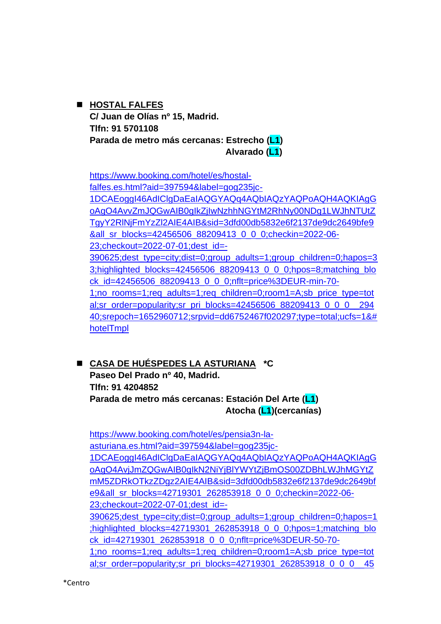# ◼ **HOSTAL FALFES C/ Juan de Olías nº 15, Madrid. Tlfn: 91 5701108 Parada de metro más cercanas: Estrecho (L1) Alvarado (L1)**

[https://www.booking.com/hotel/es/hostal](https://www.booking.com/hotel/es/hostal-falfes.es.html?aid=397594&label=gog235jc-1DCAEoggI46AdIClgDaEaIAQGYAQq4AQbIAQzYAQPoAQH4AQKIAgGoAgO4AvvZmJQGwAIB0gIkZjIwNzhhNGYtM2RhNy00NDg1LWJhNTUtZTgyY2RlNjFmYzZl2AIE4AIB&sid=3dfd00db5832e6f2137de9dc2649bfe9&all_sr_blocks=42456506_88209413_0_0_0;checkin=2022-06-23;checkout=2022-07-01;dest_id=-390625;dest_type=city;dist=0;group_adults=1;group_children=0;hapos=33;highlighted_blocks=42456506_88209413_0_0_0;hpos=8;matching_block_id=42456506_88209413_0_0_0;nflt=price%3DEUR-min-70-1;no_rooms=1;req_adults=1;req_children=0;room1=A;sb_price_type=total;sr_order=popularity;sr_pri_blocks=42456506_88209413_0_0_0__29440;srepoch=1652960712;srpvid=dd6752467f020297;type=total;ucfs=1&#hotelTmpl)[falfes.es.html?aid=397594&label=gog235jc-](https://www.booking.com/hotel/es/hostal-falfes.es.html?aid=397594&label=gog235jc-1DCAEoggI46AdIClgDaEaIAQGYAQq4AQbIAQzYAQPoAQH4AQKIAgGoAgO4AvvZmJQGwAIB0gIkZjIwNzhhNGYtM2RhNy00NDg1LWJhNTUtZTgyY2RlNjFmYzZl2AIE4AIB&sid=3dfd00db5832e6f2137de9dc2649bfe9&all_sr_blocks=42456506_88209413_0_0_0;checkin=2022-06-23;checkout=2022-07-01;dest_id=-390625;dest_type=city;dist=0;group_adults=1;group_children=0;hapos=33;highlighted_blocks=42456506_88209413_0_0_0;hpos=8;matching_block_id=42456506_88209413_0_0_0;nflt=price%3DEUR-min-70-1;no_rooms=1;req_adults=1;req_children=0;room1=A;sb_price_type=total;sr_order=popularity;sr_pri_blocks=42456506_88209413_0_0_0__29440;srepoch=1652960712;srpvid=dd6752467f020297;type=total;ucfs=1&#hotelTmpl)[1DCAEoggI46AdIClgDaEaIAQGYAQq4AQbIAQzYAQPoAQH4AQKIAgG](https://www.booking.com/hotel/es/hostal-falfes.es.html?aid=397594&label=gog235jc-1DCAEoggI46AdIClgDaEaIAQGYAQq4AQbIAQzYAQPoAQH4AQKIAgGoAgO4AvvZmJQGwAIB0gIkZjIwNzhhNGYtM2RhNy00NDg1LWJhNTUtZTgyY2RlNjFmYzZl2AIE4AIB&sid=3dfd00db5832e6f2137de9dc2649bfe9&all_sr_blocks=42456506_88209413_0_0_0;checkin=2022-06-23;checkout=2022-07-01;dest_id=-390625;dest_type=city;dist=0;group_adults=1;group_children=0;hapos=33;highlighted_blocks=42456506_88209413_0_0_0;hpos=8;matching_block_id=42456506_88209413_0_0_0;nflt=price%3DEUR-min-70-1;no_rooms=1;req_adults=1;req_children=0;room1=A;sb_price_type=total;sr_order=popularity;sr_pri_blocks=42456506_88209413_0_0_0__29440;srepoch=1652960712;srpvid=dd6752467f020297;type=total;ucfs=1&#hotelTmpl) [oAgO4AvvZmJQGwAIB0gIkZjIwNzhhNGYtM2RhNy00NDg1LWJhNTUtZ](https://www.booking.com/hotel/es/hostal-falfes.es.html?aid=397594&label=gog235jc-1DCAEoggI46AdIClgDaEaIAQGYAQq4AQbIAQzYAQPoAQH4AQKIAgGoAgO4AvvZmJQGwAIB0gIkZjIwNzhhNGYtM2RhNy00NDg1LWJhNTUtZTgyY2RlNjFmYzZl2AIE4AIB&sid=3dfd00db5832e6f2137de9dc2649bfe9&all_sr_blocks=42456506_88209413_0_0_0;checkin=2022-06-23;checkout=2022-07-01;dest_id=-390625;dest_type=city;dist=0;group_adults=1;group_children=0;hapos=33;highlighted_blocks=42456506_88209413_0_0_0;hpos=8;matching_block_id=42456506_88209413_0_0_0;nflt=price%3DEUR-min-70-1;no_rooms=1;req_adults=1;req_children=0;room1=A;sb_price_type=total;sr_order=popularity;sr_pri_blocks=42456506_88209413_0_0_0__29440;srepoch=1652960712;srpvid=dd6752467f020297;type=total;ucfs=1&#hotelTmpl) [TgyY2RlNjFmYzZl2AIE4AIB&sid=3dfd00db5832e6f2137de9dc2649bfe9](https://www.booking.com/hotel/es/hostal-falfes.es.html?aid=397594&label=gog235jc-1DCAEoggI46AdIClgDaEaIAQGYAQq4AQbIAQzYAQPoAQH4AQKIAgGoAgO4AvvZmJQGwAIB0gIkZjIwNzhhNGYtM2RhNy00NDg1LWJhNTUtZTgyY2RlNjFmYzZl2AIE4AIB&sid=3dfd00db5832e6f2137de9dc2649bfe9&all_sr_blocks=42456506_88209413_0_0_0;checkin=2022-06-23;checkout=2022-07-01;dest_id=-390625;dest_type=city;dist=0;group_adults=1;group_children=0;hapos=33;highlighted_blocks=42456506_88209413_0_0_0;hpos=8;matching_block_id=42456506_88209413_0_0_0;nflt=price%3DEUR-min-70-1;no_rooms=1;req_adults=1;req_children=0;room1=A;sb_price_type=total;sr_order=popularity;sr_pri_blocks=42456506_88209413_0_0_0__29440;srepoch=1652960712;srpvid=dd6752467f020297;type=total;ucfs=1&#hotelTmpl) [&all\\_sr\\_blocks=42456506\\_88209413\\_0\\_0\\_0;checkin=2022-06-](https://www.booking.com/hotel/es/hostal-falfes.es.html?aid=397594&label=gog235jc-1DCAEoggI46AdIClgDaEaIAQGYAQq4AQbIAQzYAQPoAQH4AQKIAgGoAgO4AvvZmJQGwAIB0gIkZjIwNzhhNGYtM2RhNy00NDg1LWJhNTUtZTgyY2RlNjFmYzZl2AIE4AIB&sid=3dfd00db5832e6f2137de9dc2649bfe9&all_sr_blocks=42456506_88209413_0_0_0;checkin=2022-06-23;checkout=2022-07-01;dest_id=-390625;dest_type=city;dist=0;group_adults=1;group_children=0;hapos=33;highlighted_blocks=42456506_88209413_0_0_0;hpos=8;matching_block_id=42456506_88209413_0_0_0;nflt=price%3DEUR-min-70-1;no_rooms=1;req_adults=1;req_children=0;room1=A;sb_price_type=total;sr_order=popularity;sr_pri_blocks=42456506_88209413_0_0_0__29440;srepoch=1652960712;srpvid=dd6752467f020297;type=total;ucfs=1&#hotelTmpl) [23;checkout=2022-07-01;dest\\_id=-](https://www.booking.com/hotel/es/hostal-falfes.es.html?aid=397594&label=gog235jc-1DCAEoggI46AdIClgDaEaIAQGYAQq4AQbIAQzYAQPoAQH4AQKIAgGoAgO4AvvZmJQGwAIB0gIkZjIwNzhhNGYtM2RhNy00NDg1LWJhNTUtZTgyY2RlNjFmYzZl2AIE4AIB&sid=3dfd00db5832e6f2137de9dc2649bfe9&all_sr_blocks=42456506_88209413_0_0_0;checkin=2022-06-23;checkout=2022-07-01;dest_id=-390625;dest_type=city;dist=0;group_adults=1;group_children=0;hapos=33;highlighted_blocks=42456506_88209413_0_0_0;hpos=8;matching_block_id=42456506_88209413_0_0_0;nflt=price%3DEUR-min-70-1;no_rooms=1;req_adults=1;req_children=0;room1=A;sb_price_type=total;sr_order=popularity;sr_pri_blocks=42456506_88209413_0_0_0__29440;srepoch=1652960712;srpvid=dd6752467f020297;type=total;ucfs=1&#hotelTmpl) [390625;dest\\_type=city;dist=0;group\\_adults=1;group\\_children=0;hapos=3](https://www.booking.com/hotel/es/hostal-falfes.es.html?aid=397594&label=gog235jc-1DCAEoggI46AdIClgDaEaIAQGYAQq4AQbIAQzYAQPoAQH4AQKIAgGoAgO4AvvZmJQGwAIB0gIkZjIwNzhhNGYtM2RhNy00NDg1LWJhNTUtZTgyY2RlNjFmYzZl2AIE4AIB&sid=3dfd00db5832e6f2137de9dc2649bfe9&all_sr_blocks=42456506_88209413_0_0_0;checkin=2022-06-23;checkout=2022-07-01;dest_id=-390625;dest_type=city;dist=0;group_adults=1;group_children=0;hapos=33;highlighted_blocks=42456506_88209413_0_0_0;hpos=8;matching_block_id=42456506_88209413_0_0_0;nflt=price%3DEUR-min-70-1;no_rooms=1;req_adults=1;req_children=0;room1=A;sb_price_type=total;sr_order=popularity;sr_pri_blocks=42456506_88209413_0_0_0__29440;srepoch=1652960712;srpvid=dd6752467f020297;type=total;ucfs=1&#hotelTmpl) 3;highlighted blocks=42456506\_88209413\_0\_0\_0;hpos=8;matching\_blo [ck\\_id=42456506\\_88209413\\_0\\_0\\_0;nflt=price%3DEUR-min-70-](https://www.booking.com/hotel/es/hostal-falfes.es.html?aid=397594&label=gog235jc-1DCAEoggI46AdIClgDaEaIAQGYAQq4AQbIAQzYAQPoAQH4AQKIAgGoAgO4AvvZmJQGwAIB0gIkZjIwNzhhNGYtM2RhNy00NDg1LWJhNTUtZTgyY2RlNjFmYzZl2AIE4AIB&sid=3dfd00db5832e6f2137de9dc2649bfe9&all_sr_blocks=42456506_88209413_0_0_0;checkin=2022-06-23;checkout=2022-07-01;dest_id=-390625;dest_type=city;dist=0;group_adults=1;group_children=0;hapos=33;highlighted_blocks=42456506_88209413_0_0_0;hpos=8;matching_block_id=42456506_88209413_0_0_0;nflt=price%3DEUR-min-70-1;no_rooms=1;req_adults=1;req_children=0;room1=A;sb_price_type=total;sr_order=popularity;sr_pri_blocks=42456506_88209413_0_0_0__29440;srepoch=1652960712;srpvid=dd6752467f020297;type=total;ucfs=1&#hotelTmpl) [1;no\\_rooms=1;req\\_adults=1;req\\_children=0;room1=A;sb\\_price\\_type=tot](https://www.booking.com/hotel/es/hostal-falfes.es.html?aid=397594&label=gog235jc-1DCAEoggI46AdIClgDaEaIAQGYAQq4AQbIAQzYAQPoAQH4AQKIAgGoAgO4AvvZmJQGwAIB0gIkZjIwNzhhNGYtM2RhNy00NDg1LWJhNTUtZTgyY2RlNjFmYzZl2AIE4AIB&sid=3dfd00db5832e6f2137de9dc2649bfe9&all_sr_blocks=42456506_88209413_0_0_0;checkin=2022-06-23;checkout=2022-07-01;dest_id=-390625;dest_type=city;dist=0;group_adults=1;group_children=0;hapos=33;highlighted_blocks=42456506_88209413_0_0_0;hpos=8;matching_block_id=42456506_88209413_0_0_0;nflt=price%3DEUR-min-70-1;no_rooms=1;req_adults=1;req_children=0;room1=A;sb_price_type=total;sr_order=popularity;sr_pri_blocks=42456506_88209413_0_0_0__29440;srepoch=1652960712;srpvid=dd6752467f020297;type=total;ucfs=1&#hotelTmpl) [al;sr\\_order=popularity;sr\\_pri\\_blocks=42456506\\_88209413\\_0\\_0\\_0\\_\\_294](https://www.booking.com/hotel/es/hostal-falfes.es.html?aid=397594&label=gog235jc-1DCAEoggI46AdIClgDaEaIAQGYAQq4AQbIAQzYAQPoAQH4AQKIAgGoAgO4AvvZmJQGwAIB0gIkZjIwNzhhNGYtM2RhNy00NDg1LWJhNTUtZTgyY2RlNjFmYzZl2AIE4AIB&sid=3dfd00db5832e6f2137de9dc2649bfe9&all_sr_blocks=42456506_88209413_0_0_0;checkin=2022-06-23;checkout=2022-07-01;dest_id=-390625;dest_type=city;dist=0;group_adults=1;group_children=0;hapos=33;highlighted_blocks=42456506_88209413_0_0_0;hpos=8;matching_block_id=42456506_88209413_0_0_0;nflt=price%3DEUR-min-70-1;no_rooms=1;req_adults=1;req_children=0;room1=A;sb_price_type=total;sr_order=popularity;sr_pri_blocks=42456506_88209413_0_0_0__29440;srepoch=1652960712;srpvid=dd6752467f020297;type=total;ucfs=1&#hotelTmpl) [40;srepoch=1652960712;srpvid=dd6752467f020297;type=total;ucfs=1&#](https://www.booking.com/hotel/es/hostal-falfes.es.html?aid=397594&label=gog235jc-1DCAEoggI46AdIClgDaEaIAQGYAQq4AQbIAQzYAQPoAQH4AQKIAgGoAgO4AvvZmJQGwAIB0gIkZjIwNzhhNGYtM2RhNy00NDg1LWJhNTUtZTgyY2RlNjFmYzZl2AIE4AIB&sid=3dfd00db5832e6f2137de9dc2649bfe9&all_sr_blocks=42456506_88209413_0_0_0;checkin=2022-06-23;checkout=2022-07-01;dest_id=-390625;dest_type=city;dist=0;group_adults=1;group_children=0;hapos=33;highlighted_blocks=42456506_88209413_0_0_0;hpos=8;matching_block_id=42456506_88209413_0_0_0;nflt=price%3DEUR-min-70-1;no_rooms=1;req_adults=1;req_children=0;room1=A;sb_price_type=total;sr_order=popularity;sr_pri_blocks=42456506_88209413_0_0_0__29440;srepoch=1652960712;srpvid=dd6752467f020297;type=total;ucfs=1&#hotelTmpl) [hotelTmpl](https://www.booking.com/hotel/es/hostal-falfes.es.html?aid=397594&label=gog235jc-1DCAEoggI46AdIClgDaEaIAQGYAQq4AQbIAQzYAQPoAQH4AQKIAgGoAgO4AvvZmJQGwAIB0gIkZjIwNzhhNGYtM2RhNy00NDg1LWJhNTUtZTgyY2RlNjFmYzZl2AIE4AIB&sid=3dfd00db5832e6f2137de9dc2649bfe9&all_sr_blocks=42456506_88209413_0_0_0;checkin=2022-06-23;checkout=2022-07-01;dest_id=-390625;dest_type=city;dist=0;group_adults=1;group_children=0;hapos=33;highlighted_blocks=42456506_88209413_0_0_0;hpos=8;matching_block_id=42456506_88209413_0_0_0;nflt=price%3DEUR-min-70-1;no_rooms=1;req_adults=1;req_children=0;room1=A;sb_price_type=total;sr_order=popularity;sr_pri_blocks=42456506_88209413_0_0_0__29440;srepoch=1652960712;srpvid=dd6752467f020297;type=total;ucfs=1&#hotelTmpl)

◼ **CASA DE HUÉSPEDES LA ASTURIANA \*C Paseo Del Prado nº 40, Madrid. Tlfn: 91 4204852 Parada de metro más cercanas: Estación Del Arte (L1) Atocha (L1)(cercanías)**

[https://www.booking.com/hotel/es/pensia3n-la](https://www.booking.com/hotel/es/pensia3n-la-asturiana.es.html?aid=397594&label=gog235jc-1DCAEoggI46AdIClgDaEaIAQGYAQq4AQbIAQzYAQPoAQH4AQKIAgGoAgO4AvjJmZQGwAIB0gIkN2NiYjBlYWYtZjBmOS00ZDBhLWJhMGYtZmM5ZDRkOTkzZDgz2AIE4AIB&sid=3dfd00db5832e6f2137de9dc2649bfe9&all_sr_blocks=42719301_262853918_0_0_0;checkin=2022-06-23;checkout=2022-07-01;dest_id=-390625;dest_type=city;dist=0;group_adults=1;group_children=0;hapos=1;highlighted_blocks=42719301_262853918_0_0_0;hpos=1;matching_block_id=42719301_262853918_0_0_0;nflt=price%3DEUR-50-70-1;no_rooms=1;req_adults=1;req_children=0;room1=A;sb_price_type=total;sr_order=popularity;sr_pri_blocks=42719301_262853918_0_0_0__45180;srepoch=1652974892;srpvid=6ee66e4121f60113;type=total;ucfs=1&#hotelTmpl)[asturiana.es.html?aid=397594&label=gog235jc-](https://www.booking.com/hotel/es/pensia3n-la-asturiana.es.html?aid=397594&label=gog235jc-1DCAEoggI46AdIClgDaEaIAQGYAQq4AQbIAQzYAQPoAQH4AQKIAgGoAgO4AvjJmZQGwAIB0gIkN2NiYjBlYWYtZjBmOS00ZDBhLWJhMGYtZmM5ZDRkOTkzZDgz2AIE4AIB&sid=3dfd00db5832e6f2137de9dc2649bfe9&all_sr_blocks=42719301_262853918_0_0_0;checkin=2022-06-23;checkout=2022-07-01;dest_id=-390625;dest_type=city;dist=0;group_adults=1;group_children=0;hapos=1;highlighted_blocks=42719301_262853918_0_0_0;hpos=1;matching_block_id=42719301_262853918_0_0_0;nflt=price%3DEUR-50-70-1;no_rooms=1;req_adults=1;req_children=0;room1=A;sb_price_type=total;sr_order=popularity;sr_pri_blocks=42719301_262853918_0_0_0__45180;srepoch=1652974892;srpvid=6ee66e4121f60113;type=total;ucfs=1&#hotelTmpl)[1DCAEoggI46AdIClgDaEaIAQGYAQq4AQbIAQzYAQPoAQH4AQKIAgG](https://www.booking.com/hotel/es/pensia3n-la-asturiana.es.html?aid=397594&label=gog235jc-1DCAEoggI46AdIClgDaEaIAQGYAQq4AQbIAQzYAQPoAQH4AQKIAgGoAgO4AvjJmZQGwAIB0gIkN2NiYjBlYWYtZjBmOS00ZDBhLWJhMGYtZmM5ZDRkOTkzZDgz2AIE4AIB&sid=3dfd00db5832e6f2137de9dc2649bfe9&all_sr_blocks=42719301_262853918_0_0_0;checkin=2022-06-23;checkout=2022-07-01;dest_id=-390625;dest_type=city;dist=0;group_adults=1;group_children=0;hapos=1;highlighted_blocks=42719301_262853918_0_0_0;hpos=1;matching_block_id=42719301_262853918_0_0_0;nflt=price%3DEUR-50-70-1;no_rooms=1;req_adults=1;req_children=0;room1=A;sb_price_type=total;sr_order=popularity;sr_pri_blocks=42719301_262853918_0_0_0__45180;srepoch=1652974892;srpvid=6ee66e4121f60113;type=total;ucfs=1&#hotelTmpl) [oAgO4AvjJmZQGwAIB0gIkN2NiYjBlYWYtZjBmOS00ZDBhLWJhMGYtZ](https://www.booking.com/hotel/es/pensia3n-la-asturiana.es.html?aid=397594&label=gog235jc-1DCAEoggI46AdIClgDaEaIAQGYAQq4AQbIAQzYAQPoAQH4AQKIAgGoAgO4AvjJmZQGwAIB0gIkN2NiYjBlYWYtZjBmOS00ZDBhLWJhMGYtZmM5ZDRkOTkzZDgz2AIE4AIB&sid=3dfd00db5832e6f2137de9dc2649bfe9&all_sr_blocks=42719301_262853918_0_0_0;checkin=2022-06-23;checkout=2022-07-01;dest_id=-390625;dest_type=city;dist=0;group_adults=1;group_children=0;hapos=1;highlighted_blocks=42719301_262853918_0_0_0;hpos=1;matching_block_id=42719301_262853918_0_0_0;nflt=price%3DEUR-50-70-1;no_rooms=1;req_adults=1;req_children=0;room1=A;sb_price_type=total;sr_order=popularity;sr_pri_blocks=42719301_262853918_0_0_0__45180;srepoch=1652974892;srpvid=6ee66e4121f60113;type=total;ucfs=1&#hotelTmpl) [mM5ZDRkOTkzZDgz2AIE4AIB&sid=3dfd00db5832e6f2137de9dc2649bf](https://www.booking.com/hotel/es/pensia3n-la-asturiana.es.html?aid=397594&label=gog235jc-1DCAEoggI46AdIClgDaEaIAQGYAQq4AQbIAQzYAQPoAQH4AQKIAgGoAgO4AvjJmZQGwAIB0gIkN2NiYjBlYWYtZjBmOS00ZDBhLWJhMGYtZmM5ZDRkOTkzZDgz2AIE4AIB&sid=3dfd00db5832e6f2137de9dc2649bfe9&all_sr_blocks=42719301_262853918_0_0_0;checkin=2022-06-23;checkout=2022-07-01;dest_id=-390625;dest_type=city;dist=0;group_adults=1;group_children=0;hapos=1;highlighted_blocks=42719301_262853918_0_0_0;hpos=1;matching_block_id=42719301_262853918_0_0_0;nflt=price%3DEUR-50-70-1;no_rooms=1;req_adults=1;req_children=0;room1=A;sb_price_type=total;sr_order=popularity;sr_pri_blocks=42719301_262853918_0_0_0__45180;srepoch=1652974892;srpvid=6ee66e4121f60113;type=total;ucfs=1&#hotelTmpl) [e9&all\\_sr\\_blocks=42719301\\_262853918\\_0\\_0\\_0;checkin=2022-06-](https://www.booking.com/hotel/es/pensia3n-la-asturiana.es.html?aid=397594&label=gog235jc-1DCAEoggI46AdIClgDaEaIAQGYAQq4AQbIAQzYAQPoAQH4AQKIAgGoAgO4AvjJmZQGwAIB0gIkN2NiYjBlYWYtZjBmOS00ZDBhLWJhMGYtZmM5ZDRkOTkzZDgz2AIE4AIB&sid=3dfd00db5832e6f2137de9dc2649bfe9&all_sr_blocks=42719301_262853918_0_0_0;checkin=2022-06-23;checkout=2022-07-01;dest_id=-390625;dest_type=city;dist=0;group_adults=1;group_children=0;hapos=1;highlighted_blocks=42719301_262853918_0_0_0;hpos=1;matching_block_id=42719301_262853918_0_0_0;nflt=price%3DEUR-50-70-1;no_rooms=1;req_adults=1;req_children=0;room1=A;sb_price_type=total;sr_order=popularity;sr_pri_blocks=42719301_262853918_0_0_0__45180;srepoch=1652974892;srpvid=6ee66e4121f60113;type=total;ucfs=1&#hotelTmpl) [23;checkout=2022-07-01;dest\\_id=-](https://www.booking.com/hotel/es/pensia3n-la-asturiana.es.html?aid=397594&label=gog235jc-1DCAEoggI46AdIClgDaEaIAQGYAQq4AQbIAQzYAQPoAQH4AQKIAgGoAgO4AvjJmZQGwAIB0gIkN2NiYjBlYWYtZjBmOS00ZDBhLWJhMGYtZmM5ZDRkOTkzZDgz2AIE4AIB&sid=3dfd00db5832e6f2137de9dc2649bfe9&all_sr_blocks=42719301_262853918_0_0_0;checkin=2022-06-23;checkout=2022-07-01;dest_id=-390625;dest_type=city;dist=0;group_adults=1;group_children=0;hapos=1;highlighted_blocks=42719301_262853918_0_0_0;hpos=1;matching_block_id=42719301_262853918_0_0_0;nflt=price%3DEUR-50-70-1;no_rooms=1;req_adults=1;req_children=0;room1=A;sb_price_type=total;sr_order=popularity;sr_pri_blocks=42719301_262853918_0_0_0__45180;srepoch=1652974892;srpvid=6ee66e4121f60113;type=total;ucfs=1&#hotelTmpl) [390625;dest\\_type=city;dist=0;group\\_adults=1;group\\_children=0;hapos=1](https://www.booking.com/hotel/es/pensia3n-la-asturiana.es.html?aid=397594&label=gog235jc-1DCAEoggI46AdIClgDaEaIAQGYAQq4AQbIAQzYAQPoAQH4AQKIAgGoAgO4AvjJmZQGwAIB0gIkN2NiYjBlYWYtZjBmOS00ZDBhLWJhMGYtZmM5ZDRkOTkzZDgz2AIE4AIB&sid=3dfd00db5832e6f2137de9dc2649bfe9&all_sr_blocks=42719301_262853918_0_0_0;checkin=2022-06-23;checkout=2022-07-01;dest_id=-390625;dest_type=city;dist=0;group_adults=1;group_children=0;hapos=1;highlighted_blocks=42719301_262853918_0_0_0;hpos=1;matching_block_id=42719301_262853918_0_0_0;nflt=price%3DEUR-50-70-1;no_rooms=1;req_adults=1;req_children=0;room1=A;sb_price_type=total;sr_order=popularity;sr_pri_blocks=42719301_262853918_0_0_0__45180;srepoch=1652974892;srpvid=6ee66e4121f60113;type=total;ucfs=1&#hotelTmpl) [;highlighted\\_blocks=42719301\\_262853918\\_0\\_0\\_0;hpos=1;matching\\_blo](https://www.booking.com/hotel/es/pensia3n-la-asturiana.es.html?aid=397594&label=gog235jc-1DCAEoggI46AdIClgDaEaIAQGYAQq4AQbIAQzYAQPoAQH4AQKIAgGoAgO4AvjJmZQGwAIB0gIkN2NiYjBlYWYtZjBmOS00ZDBhLWJhMGYtZmM5ZDRkOTkzZDgz2AIE4AIB&sid=3dfd00db5832e6f2137de9dc2649bfe9&all_sr_blocks=42719301_262853918_0_0_0;checkin=2022-06-23;checkout=2022-07-01;dest_id=-390625;dest_type=city;dist=0;group_adults=1;group_children=0;hapos=1;highlighted_blocks=42719301_262853918_0_0_0;hpos=1;matching_block_id=42719301_262853918_0_0_0;nflt=price%3DEUR-50-70-1;no_rooms=1;req_adults=1;req_children=0;room1=A;sb_price_type=total;sr_order=popularity;sr_pri_blocks=42719301_262853918_0_0_0__45180;srepoch=1652974892;srpvid=6ee66e4121f60113;type=total;ucfs=1&#hotelTmpl) [ck\\_id=42719301\\_262853918\\_0\\_0\\_0;nflt=price%3DEUR-50-70-](https://www.booking.com/hotel/es/pensia3n-la-asturiana.es.html?aid=397594&label=gog235jc-1DCAEoggI46AdIClgDaEaIAQGYAQq4AQbIAQzYAQPoAQH4AQKIAgGoAgO4AvjJmZQGwAIB0gIkN2NiYjBlYWYtZjBmOS00ZDBhLWJhMGYtZmM5ZDRkOTkzZDgz2AIE4AIB&sid=3dfd00db5832e6f2137de9dc2649bfe9&all_sr_blocks=42719301_262853918_0_0_0;checkin=2022-06-23;checkout=2022-07-01;dest_id=-390625;dest_type=city;dist=0;group_adults=1;group_children=0;hapos=1;highlighted_blocks=42719301_262853918_0_0_0;hpos=1;matching_block_id=42719301_262853918_0_0_0;nflt=price%3DEUR-50-70-1;no_rooms=1;req_adults=1;req_children=0;room1=A;sb_price_type=total;sr_order=popularity;sr_pri_blocks=42719301_262853918_0_0_0__45180;srepoch=1652974892;srpvid=6ee66e4121f60113;type=total;ucfs=1&#hotelTmpl) [1;no\\_rooms=1;req\\_adults=1;req\\_children=0;room1=A;sb\\_price\\_type=tot](https://www.booking.com/hotel/es/pensia3n-la-asturiana.es.html?aid=397594&label=gog235jc-1DCAEoggI46AdIClgDaEaIAQGYAQq4AQbIAQzYAQPoAQH4AQKIAgGoAgO4AvjJmZQGwAIB0gIkN2NiYjBlYWYtZjBmOS00ZDBhLWJhMGYtZmM5ZDRkOTkzZDgz2AIE4AIB&sid=3dfd00db5832e6f2137de9dc2649bfe9&all_sr_blocks=42719301_262853918_0_0_0;checkin=2022-06-23;checkout=2022-07-01;dest_id=-390625;dest_type=city;dist=0;group_adults=1;group_children=0;hapos=1;highlighted_blocks=42719301_262853918_0_0_0;hpos=1;matching_block_id=42719301_262853918_0_0_0;nflt=price%3DEUR-50-70-1;no_rooms=1;req_adults=1;req_children=0;room1=A;sb_price_type=total;sr_order=popularity;sr_pri_blocks=42719301_262853918_0_0_0__45180;srepoch=1652974892;srpvid=6ee66e4121f60113;type=total;ucfs=1&#hotelTmpl) [al;sr\\_order=popularity;sr\\_pri\\_blocks=42719301\\_262853918\\_0\\_0\\_0\\_\\_45](https://www.booking.com/hotel/es/pensia3n-la-asturiana.es.html?aid=397594&label=gog235jc-1DCAEoggI46AdIClgDaEaIAQGYAQq4AQbIAQzYAQPoAQH4AQKIAgGoAgO4AvjJmZQGwAIB0gIkN2NiYjBlYWYtZjBmOS00ZDBhLWJhMGYtZmM5ZDRkOTkzZDgz2AIE4AIB&sid=3dfd00db5832e6f2137de9dc2649bfe9&all_sr_blocks=42719301_262853918_0_0_0;checkin=2022-06-23;checkout=2022-07-01;dest_id=-390625;dest_type=city;dist=0;group_adults=1;group_children=0;hapos=1;highlighted_blocks=42719301_262853918_0_0_0;hpos=1;matching_block_id=42719301_262853918_0_0_0;nflt=price%3DEUR-50-70-1;no_rooms=1;req_adults=1;req_children=0;room1=A;sb_price_type=total;sr_order=popularity;sr_pri_blocks=42719301_262853918_0_0_0__45180;srepoch=1652974892;srpvid=6ee66e4121f60113;type=total;ucfs=1&#hotelTmpl)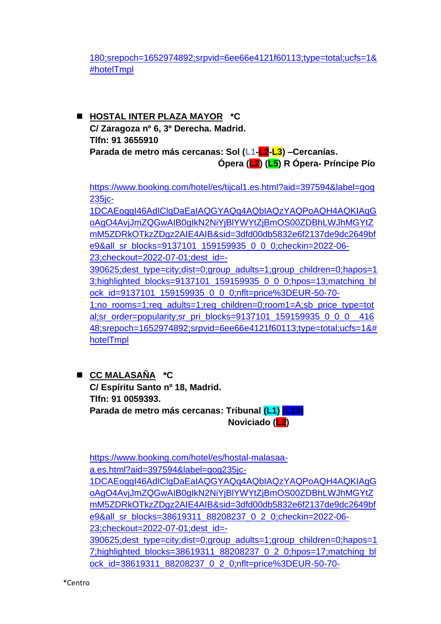[180;srepoch=1652974892;srpvid=6ee66e4121f60113;type=total;ucfs=1&](https://www.booking.com/hotel/es/pensia3n-la-asturiana.es.html?aid=397594&label=gog235jc-1DCAEoggI46AdIClgDaEaIAQGYAQq4AQbIAQzYAQPoAQH4AQKIAgGoAgO4AvjJmZQGwAIB0gIkN2NiYjBlYWYtZjBmOS00ZDBhLWJhMGYtZmM5ZDRkOTkzZDgz2AIE4AIB&sid=3dfd00db5832e6f2137de9dc2649bfe9&all_sr_blocks=42719301_262853918_0_0_0;checkin=2022-06-23;checkout=2022-07-01;dest_id=-390625;dest_type=city;dist=0;group_adults=1;group_children=0;hapos=1;highlighted_blocks=42719301_262853918_0_0_0;hpos=1;matching_block_id=42719301_262853918_0_0_0;nflt=price%3DEUR-50-70-1;no_rooms=1;req_adults=1;req_children=0;room1=A;sb_price_type=total;sr_order=popularity;sr_pri_blocks=42719301_262853918_0_0_0__45180;srepoch=1652974892;srpvid=6ee66e4121f60113;type=total;ucfs=1&#hotelTmpl) [#hotelTmpl](https://www.booking.com/hotel/es/pensia3n-la-asturiana.es.html?aid=397594&label=gog235jc-1DCAEoggI46AdIClgDaEaIAQGYAQq4AQbIAQzYAQPoAQH4AQKIAgGoAgO4AvjJmZQGwAIB0gIkN2NiYjBlYWYtZjBmOS00ZDBhLWJhMGYtZmM5ZDRkOTkzZDgz2AIE4AIB&sid=3dfd00db5832e6f2137de9dc2649bfe9&all_sr_blocks=42719301_262853918_0_0_0;checkin=2022-06-23;checkout=2022-07-01;dest_id=-390625;dest_type=city;dist=0;group_adults=1;group_children=0;hapos=1;highlighted_blocks=42719301_262853918_0_0_0;hpos=1;matching_block_id=42719301_262853918_0_0_0;nflt=price%3DEUR-50-70-1;no_rooms=1;req_adults=1;req_children=0;room1=A;sb_price_type=total;sr_order=popularity;sr_pri_blocks=42719301_262853918_0_0_0__45180;srepoch=1652974892;srpvid=6ee66e4121f60113;type=total;ucfs=1&#hotelTmpl)

◼ **HOSTAL INTER PLAZA MAYOR \*C C/ Zaragoza nº 6, 3º Derecha. Madrid. Tlfn: 91 3655910 Parada de metro más cercanas: Sol (L1-L2-L3) –Cercanías. Ópera (L2) (L5) R Ópera- Príncipe Pío**

[https://www.booking.com/hotel/es/tijcal1.es.html?aid=397594&label=gog](https://www.booking.com/hotel/es/tijcal1.es.html?aid=397594&label=gog235jc-1DCAEoggI46AdIClgDaEaIAQGYAQq4AQbIAQzYAQPoAQH4AQKIAgGoAgO4AvjJmZQGwAIB0gIkN2NiYjBlYWYtZjBmOS00ZDBhLWJhMGYtZmM5ZDRkOTkzZDgz2AIE4AIB&sid=3dfd00db5832e6f2137de9dc2649bfe9&all_sr_blocks=9137101_159159935_0_0_0;checkin=2022-06-23;checkout=2022-07-01;dest_id=-390625;dest_type=city;dist=0;group_adults=1;group_children=0;hapos=13;highlighted_blocks=9137101_159159935_0_0_0;hpos=13;matching_block_id=9137101_159159935_0_0_0;nflt=price%3DEUR-50-70-1;no_rooms=1;req_adults=1;req_children=0;room1=A;sb_price_type=total;sr_order=popularity;sr_pri_blocks=9137101_159159935_0_0_0__41648;srepoch=1652974892;srpvid=6ee66e4121f60113;type=total;ucfs=1&#hotelTmpl) [235jc-](https://www.booking.com/hotel/es/tijcal1.es.html?aid=397594&label=gog235jc-1DCAEoggI46AdIClgDaEaIAQGYAQq4AQbIAQzYAQPoAQH4AQKIAgGoAgO4AvjJmZQGwAIB0gIkN2NiYjBlYWYtZjBmOS00ZDBhLWJhMGYtZmM5ZDRkOTkzZDgz2AIE4AIB&sid=3dfd00db5832e6f2137de9dc2649bfe9&all_sr_blocks=9137101_159159935_0_0_0;checkin=2022-06-23;checkout=2022-07-01;dest_id=-390625;dest_type=city;dist=0;group_adults=1;group_children=0;hapos=13;highlighted_blocks=9137101_159159935_0_0_0;hpos=13;matching_block_id=9137101_159159935_0_0_0;nflt=price%3DEUR-50-70-1;no_rooms=1;req_adults=1;req_children=0;room1=A;sb_price_type=total;sr_order=popularity;sr_pri_blocks=9137101_159159935_0_0_0__41648;srepoch=1652974892;srpvid=6ee66e4121f60113;type=total;ucfs=1&#hotelTmpl)

[1DCAEoggI46AdIClgDaEaIAQGYAQq4AQbIAQzYAQPoAQH4AQKIAgG](https://www.booking.com/hotel/es/tijcal1.es.html?aid=397594&label=gog235jc-1DCAEoggI46AdIClgDaEaIAQGYAQq4AQbIAQzYAQPoAQH4AQKIAgGoAgO4AvjJmZQGwAIB0gIkN2NiYjBlYWYtZjBmOS00ZDBhLWJhMGYtZmM5ZDRkOTkzZDgz2AIE4AIB&sid=3dfd00db5832e6f2137de9dc2649bfe9&all_sr_blocks=9137101_159159935_0_0_0;checkin=2022-06-23;checkout=2022-07-01;dest_id=-390625;dest_type=city;dist=0;group_adults=1;group_children=0;hapos=13;highlighted_blocks=9137101_159159935_0_0_0;hpos=13;matching_block_id=9137101_159159935_0_0_0;nflt=price%3DEUR-50-70-1;no_rooms=1;req_adults=1;req_children=0;room1=A;sb_price_type=total;sr_order=popularity;sr_pri_blocks=9137101_159159935_0_0_0__41648;srepoch=1652974892;srpvid=6ee66e4121f60113;type=total;ucfs=1&#hotelTmpl) [oAgO4AvjJmZQGwAIB0gIkN2NiYjBlYWYtZjBmOS00ZDBhLWJhMGYtZ](https://www.booking.com/hotel/es/tijcal1.es.html?aid=397594&label=gog235jc-1DCAEoggI46AdIClgDaEaIAQGYAQq4AQbIAQzYAQPoAQH4AQKIAgGoAgO4AvjJmZQGwAIB0gIkN2NiYjBlYWYtZjBmOS00ZDBhLWJhMGYtZmM5ZDRkOTkzZDgz2AIE4AIB&sid=3dfd00db5832e6f2137de9dc2649bfe9&all_sr_blocks=9137101_159159935_0_0_0;checkin=2022-06-23;checkout=2022-07-01;dest_id=-390625;dest_type=city;dist=0;group_adults=1;group_children=0;hapos=13;highlighted_blocks=9137101_159159935_0_0_0;hpos=13;matching_block_id=9137101_159159935_0_0_0;nflt=price%3DEUR-50-70-1;no_rooms=1;req_adults=1;req_children=0;room1=A;sb_price_type=total;sr_order=popularity;sr_pri_blocks=9137101_159159935_0_0_0__41648;srepoch=1652974892;srpvid=6ee66e4121f60113;type=total;ucfs=1&#hotelTmpl) [mM5ZDRkOTkzZDgz2AIE4AIB&sid=3dfd00db5832e6f2137de9dc2649bf](https://www.booking.com/hotel/es/tijcal1.es.html?aid=397594&label=gog235jc-1DCAEoggI46AdIClgDaEaIAQGYAQq4AQbIAQzYAQPoAQH4AQKIAgGoAgO4AvjJmZQGwAIB0gIkN2NiYjBlYWYtZjBmOS00ZDBhLWJhMGYtZmM5ZDRkOTkzZDgz2AIE4AIB&sid=3dfd00db5832e6f2137de9dc2649bfe9&all_sr_blocks=9137101_159159935_0_0_0;checkin=2022-06-23;checkout=2022-07-01;dest_id=-390625;dest_type=city;dist=0;group_adults=1;group_children=0;hapos=13;highlighted_blocks=9137101_159159935_0_0_0;hpos=13;matching_block_id=9137101_159159935_0_0_0;nflt=price%3DEUR-50-70-1;no_rooms=1;req_adults=1;req_children=0;room1=A;sb_price_type=total;sr_order=popularity;sr_pri_blocks=9137101_159159935_0_0_0__41648;srepoch=1652974892;srpvid=6ee66e4121f60113;type=total;ucfs=1&#hotelTmpl) [e9&all\\_sr\\_blocks=9137101\\_159159935\\_0\\_0\\_0;checkin=2022-06-](https://www.booking.com/hotel/es/tijcal1.es.html?aid=397594&label=gog235jc-1DCAEoggI46AdIClgDaEaIAQGYAQq4AQbIAQzYAQPoAQH4AQKIAgGoAgO4AvjJmZQGwAIB0gIkN2NiYjBlYWYtZjBmOS00ZDBhLWJhMGYtZmM5ZDRkOTkzZDgz2AIE4AIB&sid=3dfd00db5832e6f2137de9dc2649bfe9&all_sr_blocks=9137101_159159935_0_0_0;checkin=2022-06-23;checkout=2022-07-01;dest_id=-390625;dest_type=city;dist=0;group_adults=1;group_children=0;hapos=13;highlighted_blocks=9137101_159159935_0_0_0;hpos=13;matching_block_id=9137101_159159935_0_0_0;nflt=price%3DEUR-50-70-1;no_rooms=1;req_adults=1;req_children=0;room1=A;sb_price_type=total;sr_order=popularity;sr_pri_blocks=9137101_159159935_0_0_0__41648;srepoch=1652974892;srpvid=6ee66e4121f60113;type=total;ucfs=1&#hotelTmpl) [23;checkout=2022-07-01;dest\\_id=-](https://www.booking.com/hotel/es/tijcal1.es.html?aid=397594&label=gog235jc-1DCAEoggI46AdIClgDaEaIAQGYAQq4AQbIAQzYAQPoAQH4AQKIAgGoAgO4AvjJmZQGwAIB0gIkN2NiYjBlYWYtZjBmOS00ZDBhLWJhMGYtZmM5ZDRkOTkzZDgz2AIE4AIB&sid=3dfd00db5832e6f2137de9dc2649bfe9&all_sr_blocks=9137101_159159935_0_0_0;checkin=2022-06-23;checkout=2022-07-01;dest_id=-390625;dest_type=city;dist=0;group_adults=1;group_children=0;hapos=13;highlighted_blocks=9137101_159159935_0_0_0;hpos=13;matching_block_id=9137101_159159935_0_0_0;nflt=price%3DEUR-50-70-1;no_rooms=1;req_adults=1;req_children=0;room1=A;sb_price_type=total;sr_order=popularity;sr_pri_blocks=9137101_159159935_0_0_0__41648;srepoch=1652974892;srpvid=6ee66e4121f60113;type=total;ucfs=1&#hotelTmpl) [390625;dest\\_type=city;dist=0;group\\_adults=1;group\\_children=0;hapos=1](https://www.booking.com/hotel/es/tijcal1.es.html?aid=397594&label=gog235jc-1DCAEoggI46AdIClgDaEaIAQGYAQq4AQbIAQzYAQPoAQH4AQKIAgGoAgO4AvjJmZQGwAIB0gIkN2NiYjBlYWYtZjBmOS00ZDBhLWJhMGYtZmM5ZDRkOTkzZDgz2AIE4AIB&sid=3dfd00db5832e6f2137de9dc2649bfe9&all_sr_blocks=9137101_159159935_0_0_0;checkin=2022-06-23;checkout=2022-07-01;dest_id=-390625;dest_type=city;dist=0;group_adults=1;group_children=0;hapos=13;highlighted_blocks=9137101_159159935_0_0_0;hpos=13;matching_block_id=9137101_159159935_0_0_0;nflt=price%3DEUR-50-70-1;no_rooms=1;req_adults=1;req_children=0;room1=A;sb_price_type=total;sr_order=popularity;sr_pri_blocks=9137101_159159935_0_0_0__41648;srepoch=1652974892;srpvid=6ee66e4121f60113;type=total;ucfs=1&#hotelTmpl) [3;highlighted\\_blocks=9137101\\_159159935\\_0\\_0\\_0;hpos=13;matching\\_bl](https://www.booking.com/hotel/es/tijcal1.es.html?aid=397594&label=gog235jc-1DCAEoggI46AdIClgDaEaIAQGYAQq4AQbIAQzYAQPoAQH4AQKIAgGoAgO4AvjJmZQGwAIB0gIkN2NiYjBlYWYtZjBmOS00ZDBhLWJhMGYtZmM5ZDRkOTkzZDgz2AIE4AIB&sid=3dfd00db5832e6f2137de9dc2649bfe9&all_sr_blocks=9137101_159159935_0_0_0;checkin=2022-06-23;checkout=2022-07-01;dest_id=-390625;dest_type=city;dist=0;group_adults=1;group_children=0;hapos=13;highlighted_blocks=9137101_159159935_0_0_0;hpos=13;matching_block_id=9137101_159159935_0_0_0;nflt=price%3DEUR-50-70-1;no_rooms=1;req_adults=1;req_children=0;room1=A;sb_price_type=total;sr_order=popularity;sr_pri_blocks=9137101_159159935_0_0_0__41648;srepoch=1652974892;srpvid=6ee66e4121f60113;type=total;ucfs=1&#hotelTmpl) [ock\\_id=9137101\\_159159935\\_0\\_0\\_0;nflt=price%3DEUR-50-70-](https://www.booking.com/hotel/es/tijcal1.es.html?aid=397594&label=gog235jc-1DCAEoggI46AdIClgDaEaIAQGYAQq4AQbIAQzYAQPoAQH4AQKIAgGoAgO4AvjJmZQGwAIB0gIkN2NiYjBlYWYtZjBmOS00ZDBhLWJhMGYtZmM5ZDRkOTkzZDgz2AIE4AIB&sid=3dfd00db5832e6f2137de9dc2649bfe9&all_sr_blocks=9137101_159159935_0_0_0;checkin=2022-06-23;checkout=2022-07-01;dest_id=-390625;dest_type=city;dist=0;group_adults=1;group_children=0;hapos=13;highlighted_blocks=9137101_159159935_0_0_0;hpos=13;matching_block_id=9137101_159159935_0_0_0;nflt=price%3DEUR-50-70-1;no_rooms=1;req_adults=1;req_children=0;room1=A;sb_price_type=total;sr_order=popularity;sr_pri_blocks=9137101_159159935_0_0_0__41648;srepoch=1652974892;srpvid=6ee66e4121f60113;type=total;ucfs=1&#hotelTmpl) [1;no\\_rooms=1;req\\_adults=1;req\\_children=0;room1=A;sb\\_price\\_type=tot](https://www.booking.com/hotel/es/tijcal1.es.html?aid=397594&label=gog235jc-1DCAEoggI46AdIClgDaEaIAQGYAQq4AQbIAQzYAQPoAQH4AQKIAgGoAgO4AvjJmZQGwAIB0gIkN2NiYjBlYWYtZjBmOS00ZDBhLWJhMGYtZmM5ZDRkOTkzZDgz2AIE4AIB&sid=3dfd00db5832e6f2137de9dc2649bfe9&all_sr_blocks=9137101_159159935_0_0_0;checkin=2022-06-23;checkout=2022-07-01;dest_id=-390625;dest_type=city;dist=0;group_adults=1;group_children=0;hapos=13;highlighted_blocks=9137101_159159935_0_0_0;hpos=13;matching_block_id=9137101_159159935_0_0_0;nflt=price%3DEUR-50-70-1;no_rooms=1;req_adults=1;req_children=0;room1=A;sb_price_type=total;sr_order=popularity;sr_pri_blocks=9137101_159159935_0_0_0__41648;srepoch=1652974892;srpvid=6ee66e4121f60113;type=total;ucfs=1&#hotelTmpl) [al;sr\\_order=popularity;sr\\_pri\\_blocks=9137101\\_159159935\\_0\\_0\\_0\\_\\_416](https://www.booking.com/hotel/es/tijcal1.es.html?aid=397594&label=gog235jc-1DCAEoggI46AdIClgDaEaIAQGYAQq4AQbIAQzYAQPoAQH4AQKIAgGoAgO4AvjJmZQGwAIB0gIkN2NiYjBlYWYtZjBmOS00ZDBhLWJhMGYtZmM5ZDRkOTkzZDgz2AIE4AIB&sid=3dfd00db5832e6f2137de9dc2649bfe9&all_sr_blocks=9137101_159159935_0_0_0;checkin=2022-06-23;checkout=2022-07-01;dest_id=-390625;dest_type=city;dist=0;group_adults=1;group_children=0;hapos=13;highlighted_blocks=9137101_159159935_0_0_0;hpos=13;matching_block_id=9137101_159159935_0_0_0;nflt=price%3DEUR-50-70-1;no_rooms=1;req_adults=1;req_children=0;room1=A;sb_price_type=total;sr_order=popularity;sr_pri_blocks=9137101_159159935_0_0_0__41648;srepoch=1652974892;srpvid=6ee66e4121f60113;type=total;ucfs=1&#hotelTmpl) [48;srepoch=1652974892;srpvid=6ee66e4121f60113;type=total;ucfs=1&#](https://www.booking.com/hotel/es/tijcal1.es.html?aid=397594&label=gog235jc-1DCAEoggI46AdIClgDaEaIAQGYAQq4AQbIAQzYAQPoAQH4AQKIAgGoAgO4AvjJmZQGwAIB0gIkN2NiYjBlYWYtZjBmOS00ZDBhLWJhMGYtZmM5ZDRkOTkzZDgz2AIE4AIB&sid=3dfd00db5832e6f2137de9dc2649bfe9&all_sr_blocks=9137101_159159935_0_0_0;checkin=2022-06-23;checkout=2022-07-01;dest_id=-390625;dest_type=city;dist=0;group_adults=1;group_children=0;hapos=13;highlighted_blocks=9137101_159159935_0_0_0;hpos=13;matching_block_id=9137101_159159935_0_0_0;nflt=price%3DEUR-50-70-1;no_rooms=1;req_adults=1;req_children=0;room1=A;sb_price_type=total;sr_order=popularity;sr_pri_blocks=9137101_159159935_0_0_0__41648;srepoch=1652974892;srpvid=6ee66e4121f60113;type=total;ucfs=1&#hotelTmpl) [hotelTmpl](https://www.booking.com/hotel/es/tijcal1.es.html?aid=397594&label=gog235jc-1DCAEoggI46AdIClgDaEaIAQGYAQq4AQbIAQzYAQPoAQH4AQKIAgGoAgO4AvjJmZQGwAIB0gIkN2NiYjBlYWYtZjBmOS00ZDBhLWJhMGYtZmM5ZDRkOTkzZDgz2AIE4AIB&sid=3dfd00db5832e6f2137de9dc2649bfe9&all_sr_blocks=9137101_159159935_0_0_0;checkin=2022-06-23;checkout=2022-07-01;dest_id=-390625;dest_type=city;dist=0;group_adults=1;group_children=0;hapos=13;highlighted_blocks=9137101_159159935_0_0_0;hpos=13;matching_block_id=9137101_159159935_0_0_0;nflt=price%3DEUR-50-70-1;no_rooms=1;req_adults=1;req_children=0;room1=A;sb_price_type=total;sr_order=popularity;sr_pri_blocks=9137101_159159935_0_0_0__41648;srepoch=1652974892;srpvid=6ee66e4121f60113;type=total;ucfs=1&#hotelTmpl)

◼ **CC MALASAÑA \*C C/ Espíritu Santo nº 18, Madrid. Tlfn: 91 0059393. Parada de metro más cercanas: Tribunal (L1) (L10) Noviciado (L2)**

[https://www.booking.com/hotel/es/hostal-malasaa](https://www.booking.com/hotel/es/hostal-malasaa-a.es.html?aid=397594&label=gog235jc-1DCAEoggI46AdIClgDaEaIAQGYAQq4AQbIAQzYAQPoAQH4AQKIAgGoAgO4AvjJmZQGwAIB0gIkN2NiYjBlYWYtZjBmOS00ZDBhLWJhMGYtZmM5ZDRkOTkzZDgz2AIE4AIB&sid=3dfd00db5832e6f2137de9dc2649bfe9&all_sr_blocks=38619311_88208237_0_2_0;checkin=2022-06-23;checkout=2022-07-01;dest_id=-390625;dest_type=city;dist=0;group_adults=1;group_children=0;hapos=17;highlighted_blocks=38619311_88208237_0_2_0;hpos=17;matching_block_id=38619311_88208237_0_2_0;nflt=price%3DEUR-50-70-1;no_rooms=1;req_adults=1;req_children=0;room1=A;sb_price_type=total;sr_order=popularity;sr_pri_blocks=38619311_88208237_0_2_0__50820;srepoch=1652974892;srpvid=6ee66e4121f60113;type=total;ucfs=1&#hotelTmpl)[a.es.html?aid=397594&label=gog235jc-](https://www.booking.com/hotel/es/hostal-malasaa-a.es.html?aid=397594&label=gog235jc-1DCAEoggI46AdIClgDaEaIAQGYAQq4AQbIAQzYAQPoAQH4AQKIAgGoAgO4AvjJmZQGwAIB0gIkN2NiYjBlYWYtZjBmOS00ZDBhLWJhMGYtZmM5ZDRkOTkzZDgz2AIE4AIB&sid=3dfd00db5832e6f2137de9dc2649bfe9&all_sr_blocks=38619311_88208237_0_2_0;checkin=2022-06-23;checkout=2022-07-01;dest_id=-390625;dest_type=city;dist=0;group_adults=1;group_children=0;hapos=17;highlighted_blocks=38619311_88208237_0_2_0;hpos=17;matching_block_id=38619311_88208237_0_2_0;nflt=price%3DEUR-50-70-1;no_rooms=1;req_adults=1;req_children=0;room1=A;sb_price_type=total;sr_order=popularity;sr_pri_blocks=38619311_88208237_0_2_0__50820;srepoch=1652974892;srpvid=6ee66e4121f60113;type=total;ucfs=1&#hotelTmpl)[1DCAEoggI46AdIClgDaEaIAQGYAQq4AQbIAQzYAQPoAQH4AQKIAgG](https://www.booking.com/hotel/es/hostal-malasaa-a.es.html?aid=397594&label=gog235jc-1DCAEoggI46AdIClgDaEaIAQGYAQq4AQbIAQzYAQPoAQH4AQKIAgGoAgO4AvjJmZQGwAIB0gIkN2NiYjBlYWYtZjBmOS00ZDBhLWJhMGYtZmM5ZDRkOTkzZDgz2AIE4AIB&sid=3dfd00db5832e6f2137de9dc2649bfe9&all_sr_blocks=38619311_88208237_0_2_0;checkin=2022-06-23;checkout=2022-07-01;dest_id=-390625;dest_type=city;dist=0;group_adults=1;group_children=0;hapos=17;highlighted_blocks=38619311_88208237_0_2_0;hpos=17;matching_block_id=38619311_88208237_0_2_0;nflt=price%3DEUR-50-70-1;no_rooms=1;req_adults=1;req_children=0;room1=A;sb_price_type=total;sr_order=popularity;sr_pri_blocks=38619311_88208237_0_2_0__50820;srepoch=1652974892;srpvid=6ee66e4121f60113;type=total;ucfs=1&#hotelTmpl) [oAgO4AvjJmZQGwAIB0gIkN2NiYjBlYWYtZjBmOS00ZDBhLWJhMGYtZ](https://www.booking.com/hotel/es/hostal-malasaa-a.es.html?aid=397594&label=gog235jc-1DCAEoggI46AdIClgDaEaIAQGYAQq4AQbIAQzYAQPoAQH4AQKIAgGoAgO4AvjJmZQGwAIB0gIkN2NiYjBlYWYtZjBmOS00ZDBhLWJhMGYtZmM5ZDRkOTkzZDgz2AIE4AIB&sid=3dfd00db5832e6f2137de9dc2649bfe9&all_sr_blocks=38619311_88208237_0_2_0;checkin=2022-06-23;checkout=2022-07-01;dest_id=-390625;dest_type=city;dist=0;group_adults=1;group_children=0;hapos=17;highlighted_blocks=38619311_88208237_0_2_0;hpos=17;matching_block_id=38619311_88208237_0_2_0;nflt=price%3DEUR-50-70-1;no_rooms=1;req_adults=1;req_children=0;room1=A;sb_price_type=total;sr_order=popularity;sr_pri_blocks=38619311_88208237_0_2_0__50820;srepoch=1652974892;srpvid=6ee66e4121f60113;type=total;ucfs=1&#hotelTmpl) [mM5ZDRkOTkzZDgz2AIE4AIB&sid=3dfd00db5832e6f2137de9dc2649bf](https://www.booking.com/hotel/es/hostal-malasaa-a.es.html?aid=397594&label=gog235jc-1DCAEoggI46AdIClgDaEaIAQGYAQq4AQbIAQzYAQPoAQH4AQKIAgGoAgO4AvjJmZQGwAIB0gIkN2NiYjBlYWYtZjBmOS00ZDBhLWJhMGYtZmM5ZDRkOTkzZDgz2AIE4AIB&sid=3dfd00db5832e6f2137de9dc2649bfe9&all_sr_blocks=38619311_88208237_0_2_0;checkin=2022-06-23;checkout=2022-07-01;dest_id=-390625;dest_type=city;dist=0;group_adults=1;group_children=0;hapos=17;highlighted_blocks=38619311_88208237_0_2_0;hpos=17;matching_block_id=38619311_88208237_0_2_0;nflt=price%3DEUR-50-70-1;no_rooms=1;req_adults=1;req_children=0;room1=A;sb_price_type=total;sr_order=popularity;sr_pri_blocks=38619311_88208237_0_2_0__50820;srepoch=1652974892;srpvid=6ee66e4121f60113;type=total;ucfs=1&#hotelTmpl) [e9&all\\_sr\\_blocks=38619311\\_88208237\\_0\\_2\\_0;checkin=2022-06-](https://www.booking.com/hotel/es/hostal-malasaa-a.es.html?aid=397594&label=gog235jc-1DCAEoggI46AdIClgDaEaIAQGYAQq4AQbIAQzYAQPoAQH4AQKIAgGoAgO4AvjJmZQGwAIB0gIkN2NiYjBlYWYtZjBmOS00ZDBhLWJhMGYtZmM5ZDRkOTkzZDgz2AIE4AIB&sid=3dfd00db5832e6f2137de9dc2649bfe9&all_sr_blocks=38619311_88208237_0_2_0;checkin=2022-06-23;checkout=2022-07-01;dest_id=-390625;dest_type=city;dist=0;group_adults=1;group_children=0;hapos=17;highlighted_blocks=38619311_88208237_0_2_0;hpos=17;matching_block_id=38619311_88208237_0_2_0;nflt=price%3DEUR-50-70-1;no_rooms=1;req_adults=1;req_children=0;room1=A;sb_price_type=total;sr_order=popularity;sr_pri_blocks=38619311_88208237_0_2_0__50820;srepoch=1652974892;srpvid=6ee66e4121f60113;type=total;ucfs=1&#hotelTmpl) [23;checkout=2022-07-01;dest\\_id=-](https://www.booking.com/hotel/es/hostal-malasaa-a.es.html?aid=397594&label=gog235jc-1DCAEoggI46AdIClgDaEaIAQGYAQq4AQbIAQzYAQPoAQH4AQKIAgGoAgO4AvjJmZQGwAIB0gIkN2NiYjBlYWYtZjBmOS00ZDBhLWJhMGYtZmM5ZDRkOTkzZDgz2AIE4AIB&sid=3dfd00db5832e6f2137de9dc2649bfe9&all_sr_blocks=38619311_88208237_0_2_0;checkin=2022-06-23;checkout=2022-07-01;dest_id=-390625;dest_type=city;dist=0;group_adults=1;group_children=0;hapos=17;highlighted_blocks=38619311_88208237_0_2_0;hpos=17;matching_block_id=38619311_88208237_0_2_0;nflt=price%3DEUR-50-70-1;no_rooms=1;req_adults=1;req_children=0;room1=A;sb_price_type=total;sr_order=popularity;sr_pri_blocks=38619311_88208237_0_2_0__50820;srepoch=1652974892;srpvid=6ee66e4121f60113;type=total;ucfs=1&#hotelTmpl) [390625;dest\\_type=city;dist=0;group\\_adults=1;group\\_children=0;hapos=1](https://www.booking.com/hotel/es/hostal-malasaa-a.es.html?aid=397594&label=gog235jc-1DCAEoggI46AdIClgDaEaIAQGYAQq4AQbIAQzYAQPoAQH4AQKIAgGoAgO4AvjJmZQGwAIB0gIkN2NiYjBlYWYtZjBmOS00ZDBhLWJhMGYtZmM5ZDRkOTkzZDgz2AIE4AIB&sid=3dfd00db5832e6f2137de9dc2649bfe9&all_sr_blocks=38619311_88208237_0_2_0;checkin=2022-06-23;checkout=2022-07-01;dest_id=-390625;dest_type=city;dist=0;group_adults=1;group_children=0;hapos=17;highlighted_blocks=38619311_88208237_0_2_0;hpos=17;matching_block_id=38619311_88208237_0_2_0;nflt=price%3DEUR-50-70-1;no_rooms=1;req_adults=1;req_children=0;room1=A;sb_price_type=total;sr_order=popularity;sr_pri_blocks=38619311_88208237_0_2_0__50820;srepoch=1652974892;srpvid=6ee66e4121f60113;type=total;ucfs=1&#hotelTmpl) [7;highlighted\\_blocks=38619311\\_88208237\\_0\\_2\\_0;hpos=17;matching\\_bl](https://www.booking.com/hotel/es/hostal-malasaa-a.es.html?aid=397594&label=gog235jc-1DCAEoggI46AdIClgDaEaIAQGYAQq4AQbIAQzYAQPoAQH4AQKIAgGoAgO4AvjJmZQGwAIB0gIkN2NiYjBlYWYtZjBmOS00ZDBhLWJhMGYtZmM5ZDRkOTkzZDgz2AIE4AIB&sid=3dfd00db5832e6f2137de9dc2649bfe9&all_sr_blocks=38619311_88208237_0_2_0;checkin=2022-06-23;checkout=2022-07-01;dest_id=-390625;dest_type=city;dist=0;group_adults=1;group_children=0;hapos=17;highlighted_blocks=38619311_88208237_0_2_0;hpos=17;matching_block_id=38619311_88208237_0_2_0;nflt=price%3DEUR-50-70-1;no_rooms=1;req_adults=1;req_children=0;room1=A;sb_price_type=total;sr_order=popularity;sr_pri_blocks=38619311_88208237_0_2_0__50820;srepoch=1652974892;srpvid=6ee66e4121f60113;type=total;ucfs=1&#hotelTmpl) [ock\\_id=38619311\\_88208237\\_0\\_2\\_0;nflt=price%3DEUR-50-70-](https://www.booking.com/hotel/es/hostal-malasaa-a.es.html?aid=397594&label=gog235jc-1DCAEoggI46AdIClgDaEaIAQGYAQq4AQbIAQzYAQPoAQH4AQKIAgGoAgO4AvjJmZQGwAIB0gIkN2NiYjBlYWYtZjBmOS00ZDBhLWJhMGYtZmM5ZDRkOTkzZDgz2AIE4AIB&sid=3dfd00db5832e6f2137de9dc2649bfe9&all_sr_blocks=38619311_88208237_0_2_0;checkin=2022-06-23;checkout=2022-07-01;dest_id=-390625;dest_type=city;dist=0;group_adults=1;group_children=0;hapos=17;highlighted_blocks=38619311_88208237_0_2_0;hpos=17;matching_block_id=38619311_88208237_0_2_0;nflt=price%3DEUR-50-70-1;no_rooms=1;req_adults=1;req_children=0;room1=A;sb_price_type=total;sr_order=popularity;sr_pri_blocks=38619311_88208237_0_2_0__50820;srepoch=1652974892;srpvid=6ee66e4121f60113;type=total;ucfs=1&#hotelTmpl)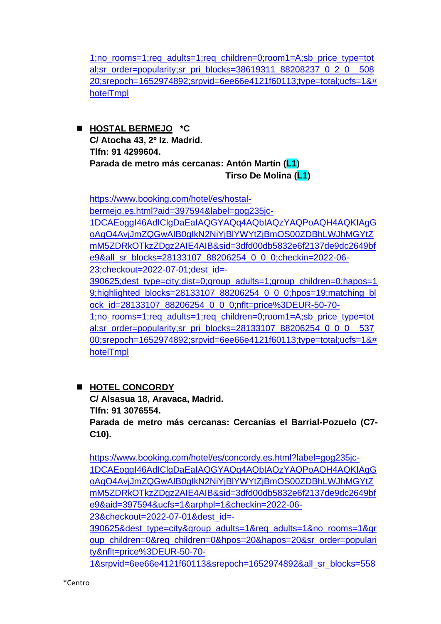[1;no\\_rooms=1;req\\_adults=1;req\\_children=0;room1=A;sb\\_price\\_type=tot](https://www.booking.com/hotel/es/hostal-malasaa-a.es.html?aid=397594&label=gog235jc-1DCAEoggI46AdIClgDaEaIAQGYAQq4AQbIAQzYAQPoAQH4AQKIAgGoAgO4AvjJmZQGwAIB0gIkN2NiYjBlYWYtZjBmOS00ZDBhLWJhMGYtZmM5ZDRkOTkzZDgz2AIE4AIB&sid=3dfd00db5832e6f2137de9dc2649bfe9&all_sr_blocks=38619311_88208237_0_2_0;checkin=2022-06-23;checkout=2022-07-01;dest_id=-390625;dest_type=city;dist=0;group_adults=1;group_children=0;hapos=17;highlighted_blocks=38619311_88208237_0_2_0;hpos=17;matching_block_id=38619311_88208237_0_2_0;nflt=price%3DEUR-50-70-1;no_rooms=1;req_adults=1;req_children=0;room1=A;sb_price_type=total;sr_order=popularity;sr_pri_blocks=38619311_88208237_0_2_0__50820;srepoch=1652974892;srpvid=6ee66e4121f60113;type=total;ucfs=1&#hotelTmpl) [al;sr\\_order=popularity;sr\\_pri\\_blocks=38619311\\_88208237\\_0\\_2\\_0\\_\\_508](https://www.booking.com/hotel/es/hostal-malasaa-a.es.html?aid=397594&label=gog235jc-1DCAEoggI46AdIClgDaEaIAQGYAQq4AQbIAQzYAQPoAQH4AQKIAgGoAgO4AvjJmZQGwAIB0gIkN2NiYjBlYWYtZjBmOS00ZDBhLWJhMGYtZmM5ZDRkOTkzZDgz2AIE4AIB&sid=3dfd00db5832e6f2137de9dc2649bfe9&all_sr_blocks=38619311_88208237_0_2_0;checkin=2022-06-23;checkout=2022-07-01;dest_id=-390625;dest_type=city;dist=0;group_adults=1;group_children=0;hapos=17;highlighted_blocks=38619311_88208237_0_2_0;hpos=17;matching_block_id=38619311_88208237_0_2_0;nflt=price%3DEUR-50-70-1;no_rooms=1;req_adults=1;req_children=0;room1=A;sb_price_type=total;sr_order=popularity;sr_pri_blocks=38619311_88208237_0_2_0__50820;srepoch=1652974892;srpvid=6ee66e4121f60113;type=total;ucfs=1&#hotelTmpl) [20;srepoch=1652974892;srpvid=6ee66e4121f60113;type=total;ucfs=1&#](https://www.booking.com/hotel/es/hostal-malasaa-a.es.html?aid=397594&label=gog235jc-1DCAEoggI46AdIClgDaEaIAQGYAQq4AQbIAQzYAQPoAQH4AQKIAgGoAgO4AvjJmZQGwAIB0gIkN2NiYjBlYWYtZjBmOS00ZDBhLWJhMGYtZmM5ZDRkOTkzZDgz2AIE4AIB&sid=3dfd00db5832e6f2137de9dc2649bfe9&all_sr_blocks=38619311_88208237_0_2_0;checkin=2022-06-23;checkout=2022-07-01;dest_id=-390625;dest_type=city;dist=0;group_adults=1;group_children=0;hapos=17;highlighted_blocks=38619311_88208237_0_2_0;hpos=17;matching_block_id=38619311_88208237_0_2_0;nflt=price%3DEUR-50-70-1;no_rooms=1;req_adults=1;req_children=0;room1=A;sb_price_type=total;sr_order=popularity;sr_pri_blocks=38619311_88208237_0_2_0__50820;srepoch=1652974892;srpvid=6ee66e4121f60113;type=total;ucfs=1&#hotelTmpl) [hotelTmpl](https://www.booking.com/hotel/es/hostal-malasaa-a.es.html?aid=397594&label=gog235jc-1DCAEoggI46AdIClgDaEaIAQGYAQq4AQbIAQzYAQPoAQH4AQKIAgGoAgO4AvjJmZQGwAIB0gIkN2NiYjBlYWYtZjBmOS00ZDBhLWJhMGYtZmM5ZDRkOTkzZDgz2AIE4AIB&sid=3dfd00db5832e6f2137de9dc2649bfe9&all_sr_blocks=38619311_88208237_0_2_0;checkin=2022-06-23;checkout=2022-07-01;dest_id=-390625;dest_type=city;dist=0;group_adults=1;group_children=0;hapos=17;highlighted_blocks=38619311_88208237_0_2_0;hpos=17;matching_block_id=38619311_88208237_0_2_0;nflt=price%3DEUR-50-70-1;no_rooms=1;req_adults=1;req_children=0;room1=A;sb_price_type=total;sr_order=popularity;sr_pri_blocks=38619311_88208237_0_2_0__50820;srepoch=1652974892;srpvid=6ee66e4121f60113;type=total;ucfs=1&#hotelTmpl)

◼ **HOSTAL BERMEJO \*C C/ Atocha 43, 2º Iz. Madrid. Tlfn: 91 4299604. Parada de metro más cercanas: Antón Martín (L1) Tirso De Molina (L1)**

[https://www.booking.com/hotel/es/hostal](https://www.booking.com/hotel/es/hostal-bermejo.es.html?aid=397594&label=gog235jc-1DCAEoggI46AdIClgDaEaIAQGYAQq4AQbIAQzYAQPoAQH4AQKIAgGoAgO4AvjJmZQGwAIB0gIkN2NiYjBlYWYtZjBmOS00ZDBhLWJhMGYtZmM5ZDRkOTkzZDgz2AIE4AIB&sid=3dfd00db5832e6f2137de9dc2649bfe9&all_sr_blocks=28133107_88206254_0_0_0;checkin=2022-06-23;checkout=2022-07-01;dest_id=-390625;dest_type=city;dist=0;group_adults=1;group_children=0;hapos=19;highlighted_blocks=28133107_88206254_0_0_0;hpos=19;matching_block_id=28133107_88206254_0_0_0;nflt=price%3DEUR-50-70-1;no_rooms=1;req_adults=1;req_children=0;room1=A;sb_price_type=total;sr_order=popularity;sr_pri_blocks=28133107_88206254_0_0_0__53700;srepoch=1652974892;srpvid=6ee66e4121f60113;type=total;ucfs=1&#hotelTmpl)[bermejo.es.html?aid=397594&label=gog235jc-](https://www.booking.com/hotel/es/hostal-bermejo.es.html?aid=397594&label=gog235jc-1DCAEoggI46AdIClgDaEaIAQGYAQq4AQbIAQzYAQPoAQH4AQKIAgGoAgO4AvjJmZQGwAIB0gIkN2NiYjBlYWYtZjBmOS00ZDBhLWJhMGYtZmM5ZDRkOTkzZDgz2AIE4AIB&sid=3dfd00db5832e6f2137de9dc2649bfe9&all_sr_blocks=28133107_88206254_0_0_0;checkin=2022-06-23;checkout=2022-07-01;dest_id=-390625;dest_type=city;dist=0;group_adults=1;group_children=0;hapos=19;highlighted_blocks=28133107_88206254_0_0_0;hpos=19;matching_block_id=28133107_88206254_0_0_0;nflt=price%3DEUR-50-70-1;no_rooms=1;req_adults=1;req_children=0;room1=A;sb_price_type=total;sr_order=popularity;sr_pri_blocks=28133107_88206254_0_0_0__53700;srepoch=1652974892;srpvid=6ee66e4121f60113;type=total;ucfs=1&#hotelTmpl)[1DCAEoggI46AdIClgDaEaIAQGYAQq4AQbIAQzYAQPoAQH4AQKIAgG](https://www.booking.com/hotel/es/hostal-bermejo.es.html?aid=397594&label=gog235jc-1DCAEoggI46AdIClgDaEaIAQGYAQq4AQbIAQzYAQPoAQH4AQKIAgGoAgO4AvjJmZQGwAIB0gIkN2NiYjBlYWYtZjBmOS00ZDBhLWJhMGYtZmM5ZDRkOTkzZDgz2AIE4AIB&sid=3dfd00db5832e6f2137de9dc2649bfe9&all_sr_blocks=28133107_88206254_0_0_0;checkin=2022-06-23;checkout=2022-07-01;dest_id=-390625;dest_type=city;dist=0;group_adults=1;group_children=0;hapos=19;highlighted_blocks=28133107_88206254_0_0_0;hpos=19;matching_block_id=28133107_88206254_0_0_0;nflt=price%3DEUR-50-70-1;no_rooms=1;req_adults=1;req_children=0;room1=A;sb_price_type=total;sr_order=popularity;sr_pri_blocks=28133107_88206254_0_0_0__53700;srepoch=1652974892;srpvid=6ee66e4121f60113;type=total;ucfs=1&#hotelTmpl) [oAgO4AvjJmZQGwAIB0gIkN2NiYjBlYWYtZjBmOS00ZDBhLWJhMGYtZ](https://www.booking.com/hotel/es/hostal-bermejo.es.html?aid=397594&label=gog235jc-1DCAEoggI46AdIClgDaEaIAQGYAQq4AQbIAQzYAQPoAQH4AQKIAgGoAgO4AvjJmZQGwAIB0gIkN2NiYjBlYWYtZjBmOS00ZDBhLWJhMGYtZmM5ZDRkOTkzZDgz2AIE4AIB&sid=3dfd00db5832e6f2137de9dc2649bfe9&all_sr_blocks=28133107_88206254_0_0_0;checkin=2022-06-23;checkout=2022-07-01;dest_id=-390625;dest_type=city;dist=0;group_adults=1;group_children=0;hapos=19;highlighted_blocks=28133107_88206254_0_0_0;hpos=19;matching_block_id=28133107_88206254_0_0_0;nflt=price%3DEUR-50-70-1;no_rooms=1;req_adults=1;req_children=0;room1=A;sb_price_type=total;sr_order=popularity;sr_pri_blocks=28133107_88206254_0_0_0__53700;srepoch=1652974892;srpvid=6ee66e4121f60113;type=total;ucfs=1&#hotelTmpl) [mM5ZDRkOTkzZDgz2AIE4AIB&sid=3dfd00db5832e6f2137de9dc2649bf](https://www.booking.com/hotel/es/hostal-bermejo.es.html?aid=397594&label=gog235jc-1DCAEoggI46AdIClgDaEaIAQGYAQq4AQbIAQzYAQPoAQH4AQKIAgGoAgO4AvjJmZQGwAIB0gIkN2NiYjBlYWYtZjBmOS00ZDBhLWJhMGYtZmM5ZDRkOTkzZDgz2AIE4AIB&sid=3dfd00db5832e6f2137de9dc2649bfe9&all_sr_blocks=28133107_88206254_0_0_0;checkin=2022-06-23;checkout=2022-07-01;dest_id=-390625;dest_type=city;dist=0;group_adults=1;group_children=0;hapos=19;highlighted_blocks=28133107_88206254_0_0_0;hpos=19;matching_block_id=28133107_88206254_0_0_0;nflt=price%3DEUR-50-70-1;no_rooms=1;req_adults=1;req_children=0;room1=A;sb_price_type=total;sr_order=popularity;sr_pri_blocks=28133107_88206254_0_0_0__53700;srepoch=1652974892;srpvid=6ee66e4121f60113;type=total;ucfs=1&#hotelTmpl) [e9&all\\_sr\\_blocks=28133107\\_88206254\\_0\\_0\\_0;checkin=2022-06-](https://www.booking.com/hotel/es/hostal-bermejo.es.html?aid=397594&label=gog235jc-1DCAEoggI46AdIClgDaEaIAQGYAQq4AQbIAQzYAQPoAQH4AQKIAgGoAgO4AvjJmZQGwAIB0gIkN2NiYjBlYWYtZjBmOS00ZDBhLWJhMGYtZmM5ZDRkOTkzZDgz2AIE4AIB&sid=3dfd00db5832e6f2137de9dc2649bfe9&all_sr_blocks=28133107_88206254_0_0_0;checkin=2022-06-23;checkout=2022-07-01;dest_id=-390625;dest_type=city;dist=0;group_adults=1;group_children=0;hapos=19;highlighted_blocks=28133107_88206254_0_0_0;hpos=19;matching_block_id=28133107_88206254_0_0_0;nflt=price%3DEUR-50-70-1;no_rooms=1;req_adults=1;req_children=0;room1=A;sb_price_type=total;sr_order=popularity;sr_pri_blocks=28133107_88206254_0_0_0__53700;srepoch=1652974892;srpvid=6ee66e4121f60113;type=total;ucfs=1&#hotelTmpl) [23;checkout=2022-07-01;dest\\_id=-](https://www.booking.com/hotel/es/hostal-bermejo.es.html?aid=397594&label=gog235jc-1DCAEoggI46AdIClgDaEaIAQGYAQq4AQbIAQzYAQPoAQH4AQKIAgGoAgO4AvjJmZQGwAIB0gIkN2NiYjBlYWYtZjBmOS00ZDBhLWJhMGYtZmM5ZDRkOTkzZDgz2AIE4AIB&sid=3dfd00db5832e6f2137de9dc2649bfe9&all_sr_blocks=28133107_88206254_0_0_0;checkin=2022-06-23;checkout=2022-07-01;dest_id=-390625;dest_type=city;dist=0;group_adults=1;group_children=0;hapos=19;highlighted_blocks=28133107_88206254_0_0_0;hpos=19;matching_block_id=28133107_88206254_0_0_0;nflt=price%3DEUR-50-70-1;no_rooms=1;req_adults=1;req_children=0;room1=A;sb_price_type=total;sr_order=popularity;sr_pri_blocks=28133107_88206254_0_0_0__53700;srepoch=1652974892;srpvid=6ee66e4121f60113;type=total;ucfs=1&#hotelTmpl) [390625;dest\\_type=city;dist=0;group\\_adults=1;group\\_children=0;hapos=1](https://www.booking.com/hotel/es/hostal-bermejo.es.html?aid=397594&label=gog235jc-1DCAEoggI46AdIClgDaEaIAQGYAQq4AQbIAQzYAQPoAQH4AQKIAgGoAgO4AvjJmZQGwAIB0gIkN2NiYjBlYWYtZjBmOS00ZDBhLWJhMGYtZmM5ZDRkOTkzZDgz2AIE4AIB&sid=3dfd00db5832e6f2137de9dc2649bfe9&all_sr_blocks=28133107_88206254_0_0_0;checkin=2022-06-23;checkout=2022-07-01;dest_id=-390625;dest_type=city;dist=0;group_adults=1;group_children=0;hapos=19;highlighted_blocks=28133107_88206254_0_0_0;hpos=19;matching_block_id=28133107_88206254_0_0_0;nflt=price%3DEUR-50-70-1;no_rooms=1;req_adults=1;req_children=0;room1=A;sb_price_type=total;sr_order=popularity;sr_pri_blocks=28133107_88206254_0_0_0__53700;srepoch=1652974892;srpvid=6ee66e4121f60113;type=total;ucfs=1&#hotelTmpl) 9:highlighted\_blocks=28133107\_88206254\_0\_0\_0;hpos=19;matching\_bl [ock\\_id=28133107\\_88206254\\_0\\_0\\_0;nflt=price%3DEUR-50-70-](https://www.booking.com/hotel/es/hostal-bermejo.es.html?aid=397594&label=gog235jc-1DCAEoggI46AdIClgDaEaIAQGYAQq4AQbIAQzYAQPoAQH4AQKIAgGoAgO4AvjJmZQGwAIB0gIkN2NiYjBlYWYtZjBmOS00ZDBhLWJhMGYtZmM5ZDRkOTkzZDgz2AIE4AIB&sid=3dfd00db5832e6f2137de9dc2649bfe9&all_sr_blocks=28133107_88206254_0_0_0;checkin=2022-06-23;checkout=2022-07-01;dest_id=-390625;dest_type=city;dist=0;group_adults=1;group_children=0;hapos=19;highlighted_blocks=28133107_88206254_0_0_0;hpos=19;matching_block_id=28133107_88206254_0_0_0;nflt=price%3DEUR-50-70-1;no_rooms=1;req_adults=1;req_children=0;room1=A;sb_price_type=total;sr_order=popularity;sr_pri_blocks=28133107_88206254_0_0_0__53700;srepoch=1652974892;srpvid=6ee66e4121f60113;type=total;ucfs=1&#hotelTmpl) [1;no\\_rooms=1;req\\_adults=1;req\\_children=0;room1=A;sb\\_price\\_type=tot](https://www.booking.com/hotel/es/hostal-bermejo.es.html?aid=397594&label=gog235jc-1DCAEoggI46AdIClgDaEaIAQGYAQq4AQbIAQzYAQPoAQH4AQKIAgGoAgO4AvjJmZQGwAIB0gIkN2NiYjBlYWYtZjBmOS00ZDBhLWJhMGYtZmM5ZDRkOTkzZDgz2AIE4AIB&sid=3dfd00db5832e6f2137de9dc2649bfe9&all_sr_blocks=28133107_88206254_0_0_0;checkin=2022-06-23;checkout=2022-07-01;dest_id=-390625;dest_type=city;dist=0;group_adults=1;group_children=0;hapos=19;highlighted_blocks=28133107_88206254_0_0_0;hpos=19;matching_block_id=28133107_88206254_0_0_0;nflt=price%3DEUR-50-70-1;no_rooms=1;req_adults=1;req_children=0;room1=A;sb_price_type=total;sr_order=popularity;sr_pri_blocks=28133107_88206254_0_0_0__53700;srepoch=1652974892;srpvid=6ee66e4121f60113;type=total;ucfs=1&#hotelTmpl) al;sr\_order=popularity;sr\_pri\_blocks=28133107\_88206254\_0\_0\_0\_537 [00;srepoch=1652974892;srpvid=6ee66e4121f60113;type=total;ucfs=1&#](https://www.booking.com/hotel/es/hostal-bermejo.es.html?aid=397594&label=gog235jc-1DCAEoggI46AdIClgDaEaIAQGYAQq4AQbIAQzYAQPoAQH4AQKIAgGoAgO4AvjJmZQGwAIB0gIkN2NiYjBlYWYtZjBmOS00ZDBhLWJhMGYtZmM5ZDRkOTkzZDgz2AIE4AIB&sid=3dfd00db5832e6f2137de9dc2649bfe9&all_sr_blocks=28133107_88206254_0_0_0;checkin=2022-06-23;checkout=2022-07-01;dest_id=-390625;dest_type=city;dist=0;group_adults=1;group_children=0;hapos=19;highlighted_blocks=28133107_88206254_0_0_0;hpos=19;matching_block_id=28133107_88206254_0_0_0;nflt=price%3DEUR-50-70-1;no_rooms=1;req_adults=1;req_children=0;room1=A;sb_price_type=total;sr_order=popularity;sr_pri_blocks=28133107_88206254_0_0_0__53700;srepoch=1652974892;srpvid=6ee66e4121f60113;type=total;ucfs=1&#hotelTmpl) [hotelTmpl](https://www.booking.com/hotel/es/hostal-bermejo.es.html?aid=397594&label=gog235jc-1DCAEoggI46AdIClgDaEaIAQGYAQq4AQbIAQzYAQPoAQH4AQKIAgGoAgO4AvjJmZQGwAIB0gIkN2NiYjBlYWYtZjBmOS00ZDBhLWJhMGYtZmM5ZDRkOTkzZDgz2AIE4AIB&sid=3dfd00db5832e6f2137de9dc2649bfe9&all_sr_blocks=28133107_88206254_0_0_0;checkin=2022-06-23;checkout=2022-07-01;dest_id=-390625;dest_type=city;dist=0;group_adults=1;group_children=0;hapos=19;highlighted_blocks=28133107_88206254_0_0_0;hpos=19;matching_block_id=28133107_88206254_0_0_0;nflt=price%3DEUR-50-70-1;no_rooms=1;req_adults=1;req_children=0;room1=A;sb_price_type=total;sr_order=popularity;sr_pri_blocks=28133107_88206254_0_0_0__53700;srepoch=1652974892;srpvid=6ee66e4121f60113;type=total;ucfs=1&#hotelTmpl)

## ◼ **HOTEL CONCORDY**

**C/ Alsasua 18, Aravaca, Madrid. Tlfn: 91 3076554.**

**Parada de metro más cercanas: Cercanías el Barrial-Pozuelo (C7- C10).**

[https://www.booking.com/hotel/es/concordy.es.html?label=gog235jc-](https://www.booking.com/hotel/es/concordy.es.html?label=gog235jc-1DCAEoggI46AdIClgDaEaIAQGYAQq4AQbIAQzYAQPoAQH4AQKIAgGoAgO4AvjJmZQGwAIB0gIkN2NiYjBlYWYtZjBmOS00ZDBhLWJhMGYtZmM5ZDRkOTkzZDgz2AIE4AIB&sid=3dfd00db5832e6f2137de9dc2649bfe9&aid=397594&ucfs=1&arphpl=1&checkin=2022-06-23&checkout=2022-07-01&dest_id=-390625&dest_type=city&group_adults=1&req_adults=1&no_rooms=1&group_children=0&req_children=0&hpos=20&hapos=20&sr_order=popularity&nflt=price%3DEUR-50-70-1&srpvid=6ee66e4121f60113&srepoch=1652974892&all_sr_blocks=55870901_299136945_0_0_0&highlighted_blocks=55870901_299136945_0_0_0&matching_block_id=55870901_299136945_0_0_0&sr_pri_blocks=55870901_299136945_0_0_0__44000&from=searchresults#hotelTmpl)[1DCAEoggI46AdIClgDaEaIAQGYAQq4AQbIAQzYAQPoAQH4AQKIAgG](https://www.booking.com/hotel/es/concordy.es.html?label=gog235jc-1DCAEoggI46AdIClgDaEaIAQGYAQq4AQbIAQzYAQPoAQH4AQKIAgGoAgO4AvjJmZQGwAIB0gIkN2NiYjBlYWYtZjBmOS00ZDBhLWJhMGYtZmM5ZDRkOTkzZDgz2AIE4AIB&sid=3dfd00db5832e6f2137de9dc2649bfe9&aid=397594&ucfs=1&arphpl=1&checkin=2022-06-23&checkout=2022-07-01&dest_id=-390625&dest_type=city&group_adults=1&req_adults=1&no_rooms=1&group_children=0&req_children=0&hpos=20&hapos=20&sr_order=popularity&nflt=price%3DEUR-50-70-1&srpvid=6ee66e4121f60113&srepoch=1652974892&all_sr_blocks=55870901_299136945_0_0_0&highlighted_blocks=55870901_299136945_0_0_0&matching_block_id=55870901_299136945_0_0_0&sr_pri_blocks=55870901_299136945_0_0_0__44000&from=searchresults#hotelTmpl) [oAgO4AvjJmZQGwAIB0gIkN2NiYjBlYWYtZjBmOS00ZDBhLWJhMGYtZ](https://www.booking.com/hotel/es/concordy.es.html?label=gog235jc-1DCAEoggI46AdIClgDaEaIAQGYAQq4AQbIAQzYAQPoAQH4AQKIAgGoAgO4AvjJmZQGwAIB0gIkN2NiYjBlYWYtZjBmOS00ZDBhLWJhMGYtZmM5ZDRkOTkzZDgz2AIE4AIB&sid=3dfd00db5832e6f2137de9dc2649bfe9&aid=397594&ucfs=1&arphpl=1&checkin=2022-06-23&checkout=2022-07-01&dest_id=-390625&dest_type=city&group_adults=1&req_adults=1&no_rooms=1&group_children=0&req_children=0&hpos=20&hapos=20&sr_order=popularity&nflt=price%3DEUR-50-70-1&srpvid=6ee66e4121f60113&srepoch=1652974892&all_sr_blocks=55870901_299136945_0_0_0&highlighted_blocks=55870901_299136945_0_0_0&matching_block_id=55870901_299136945_0_0_0&sr_pri_blocks=55870901_299136945_0_0_0__44000&from=searchresults#hotelTmpl) [mM5ZDRkOTkzZDgz2AIE4AIB&sid=3dfd00db5832e6f2137de9dc2649bf](https://www.booking.com/hotel/es/concordy.es.html?label=gog235jc-1DCAEoggI46AdIClgDaEaIAQGYAQq4AQbIAQzYAQPoAQH4AQKIAgGoAgO4AvjJmZQGwAIB0gIkN2NiYjBlYWYtZjBmOS00ZDBhLWJhMGYtZmM5ZDRkOTkzZDgz2AIE4AIB&sid=3dfd00db5832e6f2137de9dc2649bfe9&aid=397594&ucfs=1&arphpl=1&checkin=2022-06-23&checkout=2022-07-01&dest_id=-390625&dest_type=city&group_adults=1&req_adults=1&no_rooms=1&group_children=0&req_children=0&hpos=20&hapos=20&sr_order=popularity&nflt=price%3DEUR-50-70-1&srpvid=6ee66e4121f60113&srepoch=1652974892&all_sr_blocks=55870901_299136945_0_0_0&highlighted_blocks=55870901_299136945_0_0_0&matching_block_id=55870901_299136945_0_0_0&sr_pri_blocks=55870901_299136945_0_0_0__44000&from=searchresults#hotelTmpl) [e9&aid=397594&ucfs=1&arphpl=1&checkin=2022-06-](https://www.booking.com/hotel/es/concordy.es.html?label=gog235jc-1DCAEoggI46AdIClgDaEaIAQGYAQq4AQbIAQzYAQPoAQH4AQKIAgGoAgO4AvjJmZQGwAIB0gIkN2NiYjBlYWYtZjBmOS00ZDBhLWJhMGYtZmM5ZDRkOTkzZDgz2AIE4AIB&sid=3dfd00db5832e6f2137de9dc2649bfe9&aid=397594&ucfs=1&arphpl=1&checkin=2022-06-23&checkout=2022-07-01&dest_id=-390625&dest_type=city&group_adults=1&req_adults=1&no_rooms=1&group_children=0&req_children=0&hpos=20&hapos=20&sr_order=popularity&nflt=price%3DEUR-50-70-1&srpvid=6ee66e4121f60113&srepoch=1652974892&all_sr_blocks=55870901_299136945_0_0_0&highlighted_blocks=55870901_299136945_0_0_0&matching_block_id=55870901_299136945_0_0_0&sr_pri_blocks=55870901_299136945_0_0_0__44000&from=searchresults#hotelTmpl) [23&checkout=2022-07-01&dest\\_id=-](https://www.booking.com/hotel/es/concordy.es.html?label=gog235jc-1DCAEoggI46AdIClgDaEaIAQGYAQq4AQbIAQzYAQPoAQH4AQKIAgGoAgO4AvjJmZQGwAIB0gIkN2NiYjBlYWYtZjBmOS00ZDBhLWJhMGYtZmM5ZDRkOTkzZDgz2AIE4AIB&sid=3dfd00db5832e6f2137de9dc2649bfe9&aid=397594&ucfs=1&arphpl=1&checkin=2022-06-23&checkout=2022-07-01&dest_id=-390625&dest_type=city&group_adults=1&req_adults=1&no_rooms=1&group_children=0&req_children=0&hpos=20&hapos=20&sr_order=popularity&nflt=price%3DEUR-50-70-1&srpvid=6ee66e4121f60113&srepoch=1652974892&all_sr_blocks=55870901_299136945_0_0_0&highlighted_blocks=55870901_299136945_0_0_0&matching_block_id=55870901_299136945_0_0_0&sr_pri_blocks=55870901_299136945_0_0_0__44000&from=searchresults#hotelTmpl) [390625&dest\\_type=city&group\\_adults=1&req\\_adults=1&no\\_rooms=1&gr](https://www.booking.com/hotel/es/concordy.es.html?label=gog235jc-1DCAEoggI46AdIClgDaEaIAQGYAQq4AQbIAQzYAQPoAQH4AQKIAgGoAgO4AvjJmZQGwAIB0gIkN2NiYjBlYWYtZjBmOS00ZDBhLWJhMGYtZmM5ZDRkOTkzZDgz2AIE4AIB&sid=3dfd00db5832e6f2137de9dc2649bfe9&aid=397594&ucfs=1&arphpl=1&checkin=2022-06-23&checkout=2022-07-01&dest_id=-390625&dest_type=city&group_adults=1&req_adults=1&no_rooms=1&group_children=0&req_children=0&hpos=20&hapos=20&sr_order=popularity&nflt=price%3DEUR-50-70-1&srpvid=6ee66e4121f60113&srepoch=1652974892&all_sr_blocks=55870901_299136945_0_0_0&highlighted_blocks=55870901_299136945_0_0_0&matching_block_id=55870901_299136945_0_0_0&sr_pri_blocks=55870901_299136945_0_0_0__44000&from=searchresults#hotelTmpl) [oup\\_children=0&req\\_children=0&hpos=20&hapos=20&sr\\_order=populari](https://www.booking.com/hotel/es/concordy.es.html?label=gog235jc-1DCAEoggI46AdIClgDaEaIAQGYAQq4AQbIAQzYAQPoAQH4AQKIAgGoAgO4AvjJmZQGwAIB0gIkN2NiYjBlYWYtZjBmOS00ZDBhLWJhMGYtZmM5ZDRkOTkzZDgz2AIE4AIB&sid=3dfd00db5832e6f2137de9dc2649bfe9&aid=397594&ucfs=1&arphpl=1&checkin=2022-06-23&checkout=2022-07-01&dest_id=-390625&dest_type=city&group_adults=1&req_adults=1&no_rooms=1&group_children=0&req_children=0&hpos=20&hapos=20&sr_order=popularity&nflt=price%3DEUR-50-70-1&srpvid=6ee66e4121f60113&srepoch=1652974892&all_sr_blocks=55870901_299136945_0_0_0&highlighted_blocks=55870901_299136945_0_0_0&matching_block_id=55870901_299136945_0_0_0&sr_pri_blocks=55870901_299136945_0_0_0__44000&from=searchresults#hotelTmpl) [ty&nflt=price%3DEUR-50-70-](https://www.booking.com/hotel/es/concordy.es.html?label=gog235jc-1DCAEoggI46AdIClgDaEaIAQGYAQq4AQbIAQzYAQPoAQH4AQKIAgGoAgO4AvjJmZQGwAIB0gIkN2NiYjBlYWYtZjBmOS00ZDBhLWJhMGYtZmM5ZDRkOTkzZDgz2AIE4AIB&sid=3dfd00db5832e6f2137de9dc2649bfe9&aid=397594&ucfs=1&arphpl=1&checkin=2022-06-23&checkout=2022-07-01&dest_id=-390625&dest_type=city&group_adults=1&req_adults=1&no_rooms=1&group_children=0&req_children=0&hpos=20&hapos=20&sr_order=popularity&nflt=price%3DEUR-50-70-1&srpvid=6ee66e4121f60113&srepoch=1652974892&all_sr_blocks=55870901_299136945_0_0_0&highlighted_blocks=55870901_299136945_0_0_0&matching_block_id=55870901_299136945_0_0_0&sr_pri_blocks=55870901_299136945_0_0_0__44000&from=searchresults#hotelTmpl)

[1&srpvid=6ee66e4121f60113&srepoch=1652974892&all\\_sr\\_blocks=558](https://www.booking.com/hotel/es/concordy.es.html?label=gog235jc-1DCAEoggI46AdIClgDaEaIAQGYAQq4AQbIAQzYAQPoAQH4AQKIAgGoAgO4AvjJmZQGwAIB0gIkN2NiYjBlYWYtZjBmOS00ZDBhLWJhMGYtZmM5ZDRkOTkzZDgz2AIE4AIB&sid=3dfd00db5832e6f2137de9dc2649bfe9&aid=397594&ucfs=1&arphpl=1&checkin=2022-06-23&checkout=2022-07-01&dest_id=-390625&dest_type=city&group_adults=1&req_adults=1&no_rooms=1&group_children=0&req_children=0&hpos=20&hapos=20&sr_order=popularity&nflt=price%3DEUR-50-70-1&srpvid=6ee66e4121f60113&srepoch=1652974892&all_sr_blocks=55870901_299136945_0_0_0&highlighted_blocks=55870901_299136945_0_0_0&matching_block_id=55870901_299136945_0_0_0&sr_pri_blocks=55870901_299136945_0_0_0__44000&from=searchresults#hotelTmpl)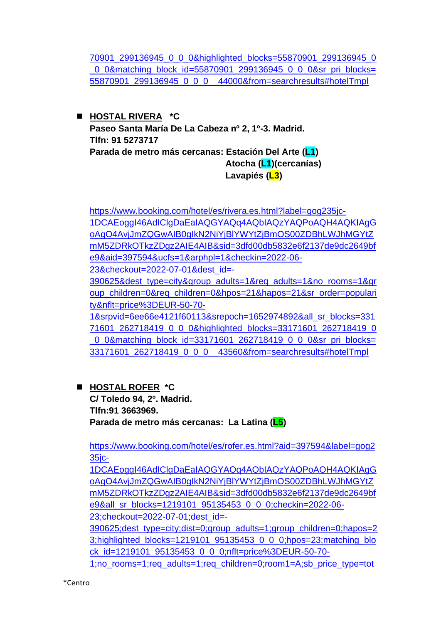[70901\\_299136945\\_0\\_0\\_0&highlighted\\_blocks=55870901\\_299136945\\_0](https://www.booking.com/hotel/es/concordy.es.html?label=gog235jc-1DCAEoggI46AdIClgDaEaIAQGYAQq4AQbIAQzYAQPoAQH4AQKIAgGoAgO4AvjJmZQGwAIB0gIkN2NiYjBlYWYtZjBmOS00ZDBhLWJhMGYtZmM5ZDRkOTkzZDgz2AIE4AIB&sid=3dfd00db5832e6f2137de9dc2649bfe9&aid=397594&ucfs=1&arphpl=1&checkin=2022-06-23&checkout=2022-07-01&dest_id=-390625&dest_type=city&group_adults=1&req_adults=1&no_rooms=1&group_children=0&req_children=0&hpos=20&hapos=20&sr_order=popularity&nflt=price%3DEUR-50-70-1&srpvid=6ee66e4121f60113&srepoch=1652974892&all_sr_blocks=55870901_299136945_0_0_0&highlighted_blocks=55870901_299136945_0_0_0&matching_block_id=55870901_299136945_0_0_0&sr_pri_blocks=55870901_299136945_0_0_0__44000&from=searchresults#hotelTmpl) 0\_0&matching\_block\_id=55870901\_299136945\_0\_0\_0&sr\_pri\_blocks= [55870901\\_299136945\\_0\\_0\\_0\\_\\_44000&from=searchresults#hotelTmpl](https://www.booking.com/hotel/es/concordy.es.html?label=gog235jc-1DCAEoggI46AdIClgDaEaIAQGYAQq4AQbIAQzYAQPoAQH4AQKIAgGoAgO4AvjJmZQGwAIB0gIkN2NiYjBlYWYtZjBmOS00ZDBhLWJhMGYtZmM5ZDRkOTkzZDgz2AIE4AIB&sid=3dfd00db5832e6f2137de9dc2649bfe9&aid=397594&ucfs=1&arphpl=1&checkin=2022-06-23&checkout=2022-07-01&dest_id=-390625&dest_type=city&group_adults=1&req_adults=1&no_rooms=1&group_children=0&req_children=0&hpos=20&hapos=20&sr_order=popularity&nflt=price%3DEUR-50-70-1&srpvid=6ee66e4121f60113&srepoch=1652974892&all_sr_blocks=55870901_299136945_0_0_0&highlighted_blocks=55870901_299136945_0_0_0&matching_block_id=55870901_299136945_0_0_0&sr_pri_blocks=55870901_299136945_0_0_0__44000&from=searchresults#hotelTmpl)

◼ **HOSTAL RIVERA \*C Paseo Santa María De La Cabeza nº 2, 1º-3. Madrid. Tlfn: 91 5273717 Parada de metro más cercanas: Estación Del Arte (L1) Atocha (L1)(cercanías) Lavapiés (L3)**

[https://www.booking.com/hotel/es/rivera.es.html?label=gog235jc-](https://www.booking.com/hotel/es/rivera.es.html?label=gog235jc-1DCAEoggI46AdIClgDaEaIAQGYAQq4AQbIAQzYAQPoAQH4AQKIAgGoAgO4AvjJmZQGwAIB0gIkN2NiYjBlYWYtZjBmOS00ZDBhLWJhMGYtZmM5ZDRkOTkzZDgz2AIE4AIB&sid=3dfd00db5832e6f2137de9dc2649bfe9&aid=397594&ucfs=1&arphpl=1&checkin=2022-06-23&checkout=2022-07-01&dest_id=-390625&dest_type=city&group_adults=1&req_adults=1&no_rooms=1&group_children=0&req_children=0&hpos=21&hapos=21&sr_order=popularity&nflt=price%3DEUR-50-70-1&srpvid=6ee66e4121f60113&srepoch=1652974892&all_sr_blocks=33171601_262718419_0_0_0&highlighted_blocks=33171601_262718419_0_0_0&matching_block_id=33171601_262718419_0_0_0&sr_pri_blocks=33171601_262718419_0_0_0__43560&from=searchresults#hotelTmpl)[1DCAEoggI46AdIClgDaEaIAQGYAQq4AQbIAQzYAQPoAQH4AQKIAgG](https://www.booking.com/hotel/es/rivera.es.html?label=gog235jc-1DCAEoggI46AdIClgDaEaIAQGYAQq4AQbIAQzYAQPoAQH4AQKIAgGoAgO4AvjJmZQGwAIB0gIkN2NiYjBlYWYtZjBmOS00ZDBhLWJhMGYtZmM5ZDRkOTkzZDgz2AIE4AIB&sid=3dfd00db5832e6f2137de9dc2649bfe9&aid=397594&ucfs=1&arphpl=1&checkin=2022-06-23&checkout=2022-07-01&dest_id=-390625&dest_type=city&group_adults=1&req_adults=1&no_rooms=1&group_children=0&req_children=0&hpos=21&hapos=21&sr_order=popularity&nflt=price%3DEUR-50-70-1&srpvid=6ee66e4121f60113&srepoch=1652974892&all_sr_blocks=33171601_262718419_0_0_0&highlighted_blocks=33171601_262718419_0_0_0&matching_block_id=33171601_262718419_0_0_0&sr_pri_blocks=33171601_262718419_0_0_0__43560&from=searchresults#hotelTmpl) [oAgO4AvjJmZQGwAIB0gIkN2NiYjBlYWYtZjBmOS00ZDBhLWJhMGYtZ](https://www.booking.com/hotel/es/rivera.es.html?label=gog235jc-1DCAEoggI46AdIClgDaEaIAQGYAQq4AQbIAQzYAQPoAQH4AQKIAgGoAgO4AvjJmZQGwAIB0gIkN2NiYjBlYWYtZjBmOS00ZDBhLWJhMGYtZmM5ZDRkOTkzZDgz2AIE4AIB&sid=3dfd00db5832e6f2137de9dc2649bfe9&aid=397594&ucfs=1&arphpl=1&checkin=2022-06-23&checkout=2022-07-01&dest_id=-390625&dest_type=city&group_adults=1&req_adults=1&no_rooms=1&group_children=0&req_children=0&hpos=21&hapos=21&sr_order=popularity&nflt=price%3DEUR-50-70-1&srpvid=6ee66e4121f60113&srepoch=1652974892&all_sr_blocks=33171601_262718419_0_0_0&highlighted_blocks=33171601_262718419_0_0_0&matching_block_id=33171601_262718419_0_0_0&sr_pri_blocks=33171601_262718419_0_0_0__43560&from=searchresults#hotelTmpl) [mM5ZDRkOTkzZDgz2AIE4AIB&sid=3dfd00db5832e6f2137de9dc2649bf](https://www.booking.com/hotel/es/rivera.es.html?label=gog235jc-1DCAEoggI46AdIClgDaEaIAQGYAQq4AQbIAQzYAQPoAQH4AQKIAgGoAgO4AvjJmZQGwAIB0gIkN2NiYjBlYWYtZjBmOS00ZDBhLWJhMGYtZmM5ZDRkOTkzZDgz2AIE4AIB&sid=3dfd00db5832e6f2137de9dc2649bfe9&aid=397594&ucfs=1&arphpl=1&checkin=2022-06-23&checkout=2022-07-01&dest_id=-390625&dest_type=city&group_adults=1&req_adults=1&no_rooms=1&group_children=0&req_children=0&hpos=21&hapos=21&sr_order=popularity&nflt=price%3DEUR-50-70-1&srpvid=6ee66e4121f60113&srepoch=1652974892&all_sr_blocks=33171601_262718419_0_0_0&highlighted_blocks=33171601_262718419_0_0_0&matching_block_id=33171601_262718419_0_0_0&sr_pri_blocks=33171601_262718419_0_0_0__43560&from=searchresults#hotelTmpl) [e9&aid=397594&ucfs=1&arphpl=1&checkin=2022-06-](https://www.booking.com/hotel/es/rivera.es.html?label=gog235jc-1DCAEoggI46AdIClgDaEaIAQGYAQq4AQbIAQzYAQPoAQH4AQKIAgGoAgO4AvjJmZQGwAIB0gIkN2NiYjBlYWYtZjBmOS00ZDBhLWJhMGYtZmM5ZDRkOTkzZDgz2AIE4AIB&sid=3dfd00db5832e6f2137de9dc2649bfe9&aid=397594&ucfs=1&arphpl=1&checkin=2022-06-23&checkout=2022-07-01&dest_id=-390625&dest_type=city&group_adults=1&req_adults=1&no_rooms=1&group_children=0&req_children=0&hpos=21&hapos=21&sr_order=popularity&nflt=price%3DEUR-50-70-1&srpvid=6ee66e4121f60113&srepoch=1652974892&all_sr_blocks=33171601_262718419_0_0_0&highlighted_blocks=33171601_262718419_0_0_0&matching_block_id=33171601_262718419_0_0_0&sr_pri_blocks=33171601_262718419_0_0_0__43560&from=searchresults#hotelTmpl) [23&checkout=2022-07-01&dest\\_id=-](https://www.booking.com/hotel/es/rivera.es.html?label=gog235jc-1DCAEoggI46AdIClgDaEaIAQGYAQq4AQbIAQzYAQPoAQH4AQKIAgGoAgO4AvjJmZQGwAIB0gIkN2NiYjBlYWYtZjBmOS00ZDBhLWJhMGYtZmM5ZDRkOTkzZDgz2AIE4AIB&sid=3dfd00db5832e6f2137de9dc2649bfe9&aid=397594&ucfs=1&arphpl=1&checkin=2022-06-23&checkout=2022-07-01&dest_id=-390625&dest_type=city&group_adults=1&req_adults=1&no_rooms=1&group_children=0&req_children=0&hpos=21&hapos=21&sr_order=popularity&nflt=price%3DEUR-50-70-1&srpvid=6ee66e4121f60113&srepoch=1652974892&all_sr_blocks=33171601_262718419_0_0_0&highlighted_blocks=33171601_262718419_0_0_0&matching_block_id=33171601_262718419_0_0_0&sr_pri_blocks=33171601_262718419_0_0_0__43560&from=searchresults#hotelTmpl) [390625&dest\\_type=city&group\\_adults=1&req\\_adults=1&no\\_rooms=1&gr](https://www.booking.com/hotel/es/rivera.es.html?label=gog235jc-1DCAEoggI46AdIClgDaEaIAQGYAQq4AQbIAQzYAQPoAQH4AQKIAgGoAgO4AvjJmZQGwAIB0gIkN2NiYjBlYWYtZjBmOS00ZDBhLWJhMGYtZmM5ZDRkOTkzZDgz2AIE4AIB&sid=3dfd00db5832e6f2137de9dc2649bfe9&aid=397594&ucfs=1&arphpl=1&checkin=2022-06-23&checkout=2022-07-01&dest_id=-390625&dest_type=city&group_adults=1&req_adults=1&no_rooms=1&group_children=0&req_children=0&hpos=21&hapos=21&sr_order=popularity&nflt=price%3DEUR-50-70-1&srpvid=6ee66e4121f60113&srepoch=1652974892&all_sr_blocks=33171601_262718419_0_0_0&highlighted_blocks=33171601_262718419_0_0_0&matching_block_id=33171601_262718419_0_0_0&sr_pri_blocks=33171601_262718419_0_0_0__43560&from=searchresults#hotelTmpl) oup children=0&req children=0&hpos=21&hapos=21&sr\_order=populari [ty&nflt=price%3DEUR-50-70-](https://www.booking.com/hotel/es/rivera.es.html?label=gog235jc-1DCAEoggI46AdIClgDaEaIAQGYAQq4AQbIAQzYAQPoAQH4AQKIAgGoAgO4AvjJmZQGwAIB0gIkN2NiYjBlYWYtZjBmOS00ZDBhLWJhMGYtZmM5ZDRkOTkzZDgz2AIE4AIB&sid=3dfd00db5832e6f2137de9dc2649bfe9&aid=397594&ucfs=1&arphpl=1&checkin=2022-06-23&checkout=2022-07-01&dest_id=-390625&dest_type=city&group_adults=1&req_adults=1&no_rooms=1&group_children=0&req_children=0&hpos=21&hapos=21&sr_order=popularity&nflt=price%3DEUR-50-70-1&srpvid=6ee66e4121f60113&srepoch=1652974892&all_sr_blocks=33171601_262718419_0_0_0&highlighted_blocks=33171601_262718419_0_0_0&matching_block_id=33171601_262718419_0_0_0&sr_pri_blocks=33171601_262718419_0_0_0__43560&from=searchresults#hotelTmpl) [1&srpvid=6ee66e4121f60113&srepoch=1652974892&all\\_sr\\_blocks=331](https://www.booking.com/hotel/es/rivera.es.html?label=gog235jc-1DCAEoggI46AdIClgDaEaIAQGYAQq4AQbIAQzYAQPoAQH4AQKIAgGoAgO4AvjJmZQGwAIB0gIkN2NiYjBlYWYtZjBmOS00ZDBhLWJhMGYtZmM5ZDRkOTkzZDgz2AIE4AIB&sid=3dfd00db5832e6f2137de9dc2649bfe9&aid=397594&ucfs=1&arphpl=1&checkin=2022-06-23&checkout=2022-07-01&dest_id=-390625&dest_type=city&group_adults=1&req_adults=1&no_rooms=1&group_children=0&req_children=0&hpos=21&hapos=21&sr_order=popularity&nflt=price%3DEUR-50-70-1&srpvid=6ee66e4121f60113&srepoch=1652974892&all_sr_blocks=33171601_262718419_0_0_0&highlighted_blocks=33171601_262718419_0_0_0&matching_block_id=33171601_262718419_0_0_0&sr_pri_blocks=33171601_262718419_0_0_0__43560&from=searchresults#hotelTmpl) [71601\\_262718419\\_0\\_0\\_0&highlighted\\_blocks=33171601\\_262718419\\_0](https://www.booking.com/hotel/es/rivera.es.html?label=gog235jc-1DCAEoggI46AdIClgDaEaIAQGYAQq4AQbIAQzYAQPoAQH4AQKIAgGoAgO4AvjJmZQGwAIB0gIkN2NiYjBlYWYtZjBmOS00ZDBhLWJhMGYtZmM5ZDRkOTkzZDgz2AIE4AIB&sid=3dfd00db5832e6f2137de9dc2649bfe9&aid=397594&ucfs=1&arphpl=1&checkin=2022-06-23&checkout=2022-07-01&dest_id=-390625&dest_type=city&group_adults=1&req_adults=1&no_rooms=1&group_children=0&req_children=0&hpos=21&hapos=21&sr_order=popularity&nflt=price%3DEUR-50-70-1&srpvid=6ee66e4121f60113&srepoch=1652974892&all_sr_blocks=33171601_262718419_0_0_0&highlighted_blocks=33171601_262718419_0_0_0&matching_block_id=33171601_262718419_0_0_0&sr_pri_blocks=33171601_262718419_0_0_0__43560&from=searchresults#hotelTmpl) 0\_0&matching\_block\_id=33171601\_262718419\_0\_0\_0&sr\_pri\_blocks= [33171601\\_262718419\\_0\\_0\\_0\\_\\_43560&from=searchresults#hotelTmpl](https://www.booking.com/hotel/es/rivera.es.html?label=gog235jc-1DCAEoggI46AdIClgDaEaIAQGYAQq4AQbIAQzYAQPoAQH4AQKIAgGoAgO4AvjJmZQGwAIB0gIkN2NiYjBlYWYtZjBmOS00ZDBhLWJhMGYtZmM5ZDRkOTkzZDgz2AIE4AIB&sid=3dfd00db5832e6f2137de9dc2649bfe9&aid=397594&ucfs=1&arphpl=1&checkin=2022-06-23&checkout=2022-07-01&dest_id=-390625&dest_type=city&group_adults=1&req_adults=1&no_rooms=1&group_children=0&req_children=0&hpos=21&hapos=21&sr_order=popularity&nflt=price%3DEUR-50-70-1&srpvid=6ee66e4121f60113&srepoch=1652974892&all_sr_blocks=33171601_262718419_0_0_0&highlighted_blocks=33171601_262718419_0_0_0&matching_block_id=33171601_262718419_0_0_0&sr_pri_blocks=33171601_262718419_0_0_0__43560&from=searchresults#hotelTmpl)

### ◼ **HOSTAL ROFER \*C C/ Toledo 94, 2º. Madrid. Tlfn:91 3663969. Parada de metro más cercanas: La Latina (L5)**

[https://www.booking.com/hotel/es/rofer.es.html?aid=397594&label=gog2](https://www.booking.com/hotel/es/rofer.es.html?aid=397594&label=gog235jc-1DCAEoggI46AdIClgDaEaIAQGYAQq4AQbIAQzYAQPoAQH4AQKIAgGoAgO4AvjJmZQGwAIB0gIkN2NiYjBlYWYtZjBmOS00ZDBhLWJhMGYtZmM5ZDRkOTkzZDgz2AIE4AIB&sid=3dfd00db5832e6f2137de9dc2649bfe9&all_sr_blocks=1219101_95135453_0_0_0;checkin=2022-06-23;checkout=2022-07-01;dest_id=-390625;dest_type=city;dist=0;group_adults=1;group_children=0;hapos=23;highlighted_blocks=1219101_95135453_0_0_0;hpos=23;matching_block_id=1219101_95135453_0_0_0;nflt=price%3DEUR-50-70-1;no_rooms=1;req_adults=1;req_children=0;room1=A;sb_price_type=total;sr_order=popularity;sr_pri_blocks=1219101_95135453_0_0_0__55480;srepoch=1652974892;srpvid=6ee66e4121f60113;type=total;ucfs=1&#hotelTmpl) [35jc-](https://www.booking.com/hotel/es/rofer.es.html?aid=397594&label=gog235jc-1DCAEoggI46AdIClgDaEaIAQGYAQq4AQbIAQzYAQPoAQH4AQKIAgGoAgO4AvjJmZQGwAIB0gIkN2NiYjBlYWYtZjBmOS00ZDBhLWJhMGYtZmM5ZDRkOTkzZDgz2AIE4AIB&sid=3dfd00db5832e6f2137de9dc2649bfe9&all_sr_blocks=1219101_95135453_0_0_0;checkin=2022-06-23;checkout=2022-07-01;dest_id=-390625;dest_type=city;dist=0;group_adults=1;group_children=0;hapos=23;highlighted_blocks=1219101_95135453_0_0_0;hpos=23;matching_block_id=1219101_95135453_0_0_0;nflt=price%3DEUR-50-70-1;no_rooms=1;req_adults=1;req_children=0;room1=A;sb_price_type=total;sr_order=popularity;sr_pri_blocks=1219101_95135453_0_0_0__55480;srepoch=1652974892;srpvid=6ee66e4121f60113;type=total;ucfs=1&#hotelTmpl)

[1DCAEoggI46AdIClgDaEaIAQGYAQq4AQbIAQzYAQPoAQH4AQKIAgG](https://www.booking.com/hotel/es/rofer.es.html?aid=397594&label=gog235jc-1DCAEoggI46AdIClgDaEaIAQGYAQq4AQbIAQzYAQPoAQH4AQKIAgGoAgO4AvjJmZQGwAIB0gIkN2NiYjBlYWYtZjBmOS00ZDBhLWJhMGYtZmM5ZDRkOTkzZDgz2AIE4AIB&sid=3dfd00db5832e6f2137de9dc2649bfe9&all_sr_blocks=1219101_95135453_0_0_0;checkin=2022-06-23;checkout=2022-07-01;dest_id=-390625;dest_type=city;dist=0;group_adults=1;group_children=0;hapos=23;highlighted_blocks=1219101_95135453_0_0_0;hpos=23;matching_block_id=1219101_95135453_0_0_0;nflt=price%3DEUR-50-70-1;no_rooms=1;req_adults=1;req_children=0;room1=A;sb_price_type=total;sr_order=popularity;sr_pri_blocks=1219101_95135453_0_0_0__55480;srepoch=1652974892;srpvid=6ee66e4121f60113;type=total;ucfs=1&#hotelTmpl) [oAgO4AvjJmZQGwAIB0gIkN2NiYjBlYWYtZjBmOS00ZDBhLWJhMGYtZ](https://www.booking.com/hotel/es/rofer.es.html?aid=397594&label=gog235jc-1DCAEoggI46AdIClgDaEaIAQGYAQq4AQbIAQzYAQPoAQH4AQKIAgGoAgO4AvjJmZQGwAIB0gIkN2NiYjBlYWYtZjBmOS00ZDBhLWJhMGYtZmM5ZDRkOTkzZDgz2AIE4AIB&sid=3dfd00db5832e6f2137de9dc2649bfe9&all_sr_blocks=1219101_95135453_0_0_0;checkin=2022-06-23;checkout=2022-07-01;dest_id=-390625;dest_type=city;dist=0;group_adults=1;group_children=0;hapos=23;highlighted_blocks=1219101_95135453_0_0_0;hpos=23;matching_block_id=1219101_95135453_0_0_0;nflt=price%3DEUR-50-70-1;no_rooms=1;req_adults=1;req_children=0;room1=A;sb_price_type=total;sr_order=popularity;sr_pri_blocks=1219101_95135453_0_0_0__55480;srepoch=1652974892;srpvid=6ee66e4121f60113;type=total;ucfs=1&#hotelTmpl) [mM5ZDRkOTkzZDgz2AIE4AIB&sid=3dfd00db5832e6f2137de9dc2649bf](https://www.booking.com/hotel/es/rofer.es.html?aid=397594&label=gog235jc-1DCAEoggI46AdIClgDaEaIAQGYAQq4AQbIAQzYAQPoAQH4AQKIAgGoAgO4AvjJmZQGwAIB0gIkN2NiYjBlYWYtZjBmOS00ZDBhLWJhMGYtZmM5ZDRkOTkzZDgz2AIE4AIB&sid=3dfd00db5832e6f2137de9dc2649bfe9&all_sr_blocks=1219101_95135453_0_0_0;checkin=2022-06-23;checkout=2022-07-01;dest_id=-390625;dest_type=city;dist=0;group_adults=1;group_children=0;hapos=23;highlighted_blocks=1219101_95135453_0_0_0;hpos=23;matching_block_id=1219101_95135453_0_0_0;nflt=price%3DEUR-50-70-1;no_rooms=1;req_adults=1;req_children=0;room1=A;sb_price_type=total;sr_order=popularity;sr_pri_blocks=1219101_95135453_0_0_0__55480;srepoch=1652974892;srpvid=6ee66e4121f60113;type=total;ucfs=1&#hotelTmpl) [e9&all\\_sr\\_blocks=1219101\\_95135453\\_0\\_0\\_0;checkin=2022-06-](https://www.booking.com/hotel/es/rofer.es.html?aid=397594&label=gog235jc-1DCAEoggI46AdIClgDaEaIAQGYAQq4AQbIAQzYAQPoAQH4AQKIAgGoAgO4AvjJmZQGwAIB0gIkN2NiYjBlYWYtZjBmOS00ZDBhLWJhMGYtZmM5ZDRkOTkzZDgz2AIE4AIB&sid=3dfd00db5832e6f2137de9dc2649bfe9&all_sr_blocks=1219101_95135453_0_0_0;checkin=2022-06-23;checkout=2022-07-01;dest_id=-390625;dest_type=city;dist=0;group_adults=1;group_children=0;hapos=23;highlighted_blocks=1219101_95135453_0_0_0;hpos=23;matching_block_id=1219101_95135453_0_0_0;nflt=price%3DEUR-50-70-1;no_rooms=1;req_adults=1;req_children=0;room1=A;sb_price_type=total;sr_order=popularity;sr_pri_blocks=1219101_95135453_0_0_0__55480;srepoch=1652974892;srpvid=6ee66e4121f60113;type=total;ucfs=1&#hotelTmpl) [23;checkout=2022-07-01;dest\\_id=-](https://www.booking.com/hotel/es/rofer.es.html?aid=397594&label=gog235jc-1DCAEoggI46AdIClgDaEaIAQGYAQq4AQbIAQzYAQPoAQH4AQKIAgGoAgO4AvjJmZQGwAIB0gIkN2NiYjBlYWYtZjBmOS00ZDBhLWJhMGYtZmM5ZDRkOTkzZDgz2AIE4AIB&sid=3dfd00db5832e6f2137de9dc2649bfe9&all_sr_blocks=1219101_95135453_0_0_0;checkin=2022-06-23;checkout=2022-07-01;dest_id=-390625;dest_type=city;dist=0;group_adults=1;group_children=0;hapos=23;highlighted_blocks=1219101_95135453_0_0_0;hpos=23;matching_block_id=1219101_95135453_0_0_0;nflt=price%3DEUR-50-70-1;no_rooms=1;req_adults=1;req_children=0;room1=A;sb_price_type=total;sr_order=popularity;sr_pri_blocks=1219101_95135453_0_0_0__55480;srepoch=1652974892;srpvid=6ee66e4121f60113;type=total;ucfs=1&#hotelTmpl)

[390625;dest\\_type=city;dist=0;group\\_adults=1;group\\_children=0;hapos=2](https://www.booking.com/hotel/es/rofer.es.html?aid=397594&label=gog235jc-1DCAEoggI46AdIClgDaEaIAQGYAQq4AQbIAQzYAQPoAQH4AQKIAgGoAgO4AvjJmZQGwAIB0gIkN2NiYjBlYWYtZjBmOS00ZDBhLWJhMGYtZmM5ZDRkOTkzZDgz2AIE4AIB&sid=3dfd00db5832e6f2137de9dc2649bfe9&all_sr_blocks=1219101_95135453_0_0_0;checkin=2022-06-23;checkout=2022-07-01;dest_id=-390625;dest_type=city;dist=0;group_adults=1;group_children=0;hapos=23;highlighted_blocks=1219101_95135453_0_0_0;hpos=23;matching_block_id=1219101_95135453_0_0_0;nflt=price%3DEUR-50-70-1;no_rooms=1;req_adults=1;req_children=0;room1=A;sb_price_type=total;sr_order=popularity;sr_pri_blocks=1219101_95135453_0_0_0__55480;srepoch=1652974892;srpvid=6ee66e4121f60113;type=total;ucfs=1&#hotelTmpl) [3;highlighted\\_blocks=1219101\\_95135453\\_0\\_0\\_0;hpos=23;matching\\_blo](https://www.booking.com/hotel/es/rofer.es.html?aid=397594&label=gog235jc-1DCAEoggI46AdIClgDaEaIAQGYAQq4AQbIAQzYAQPoAQH4AQKIAgGoAgO4AvjJmZQGwAIB0gIkN2NiYjBlYWYtZjBmOS00ZDBhLWJhMGYtZmM5ZDRkOTkzZDgz2AIE4AIB&sid=3dfd00db5832e6f2137de9dc2649bfe9&all_sr_blocks=1219101_95135453_0_0_0;checkin=2022-06-23;checkout=2022-07-01;dest_id=-390625;dest_type=city;dist=0;group_adults=1;group_children=0;hapos=23;highlighted_blocks=1219101_95135453_0_0_0;hpos=23;matching_block_id=1219101_95135453_0_0_0;nflt=price%3DEUR-50-70-1;no_rooms=1;req_adults=1;req_children=0;room1=A;sb_price_type=total;sr_order=popularity;sr_pri_blocks=1219101_95135453_0_0_0__55480;srepoch=1652974892;srpvid=6ee66e4121f60113;type=total;ucfs=1&#hotelTmpl) [ck\\_id=1219101\\_95135453\\_0\\_0\\_0;nflt=price%3DEUR-50-70-](https://www.booking.com/hotel/es/rofer.es.html?aid=397594&label=gog235jc-1DCAEoggI46AdIClgDaEaIAQGYAQq4AQbIAQzYAQPoAQH4AQKIAgGoAgO4AvjJmZQGwAIB0gIkN2NiYjBlYWYtZjBmOS00ZDBhLWJhMGYtZmM5ZDRkOTkzZDgz2AIE4AIB&sid=3dfd00db5832e6f2137de9dc2649bfe9&all_sr_blocks=1219101_95135453_0_0_0;checkin=2022-06-23;checkout=2022-07-01;dest_id=-390625;dest_type=city;dist=0;group_adults=1;group_children=0;hapos=23;highlighted_blocks=1219101_95135453_0_0_0;hpos=23;matching_block_id=1219101_95135453_0_0_0;nflt=price%3DEUR-50-70-1;no_rooms=1;req_adults=1;req_children=0;room1=A;sb_price_type=total;sr_order=popularity;sr_pri_blocks=1219101_95135453_0_0_0__55480;srepoch=1652974892;srpvid=6ee66e4121f60113;type=total;ucfs=1&#hotelTmpl)

[1;no\\_rooms=1;req\\_adults=1;req\\_children=0;room1=A;sb\\_price\\_type=tot](https://www.booking.com/hotel/es/rofer.es.html?aid=397594&label=gog235jc-1DCAEoggI46AdIClgDaEaIAQGYAQq4AQbIAQzYAQPoAQH4AQKIAgGoAgO4AvjJmZQGwAIB0gIkN2NiYjBlYWYtZjBmOS00ZDBhLWJhMGYtZmM5ZDRkOTkzZDgz2AIE4AIB&sid=3dfd00db5832e6f2137de9dc2649bfe9&all_sr_blocks=1219101_95135453_0_0_0;checkin=2022-06-23;checkout=2022-07-01;dest_id=-390625;dest_type=city;dist=0;group_adults=1;group_children=0;hapos=23;highlighted_blocks=1219101_95135453_0_0_0;hpos=23;matching_block_id=1219101_95135453_0_0_0;nflt=price%3DEUR-50-70-1;no_rooms=1;req_adults=1;req_children=0;room1=A;sb_price_type=total;sr_order=popularity;sr_pri_blocks=1219101_95135453_0_0_0__55480;srepoch=1652974892;srpvid=6ee66e4121f60113;type=total;ucfs=1&#hotelTmpl)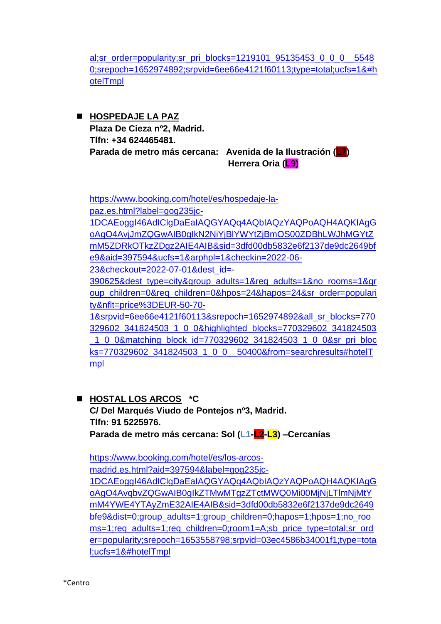[al;sr\\_order=popularity;sr\\_pri\\_blocks=1219101\\_95135453\\_0\\_0\\_0\\_\\_5548](https://www.booking.com/hotel/es/rofer.es.html?aid=397594&label=gog235jc-1DCAEoggI46AdIClgDaEaIAQGYAQq4AQbIAQzYAQPoAQH4AQKIAgGoAgO4AvjJmZQGwAIB0gIkN2NiYjBlYWYtZjBmOS00ZDBhLWJhMGYtZmM5ZDRkOTkzZDgz2AIE4AIB&sid=3dfd00db5832e6f2137de9dc2649bfe9&all_sr_blocks=1219101_95135453_0_0_0;checkin=2022-06-23;checkout=2022-07-01;dest_id=-390625;dest_type=city;dist=0;group_adults=1;group_children=0;hapos=23;highlighted_blocks=1219101_95135453_0_0_0;hpos=23;matching_block_id=1219101_95135453_0_0_0;nflt=price%3DEUR-50-70-1;no_rooms=1;req_adults=1;req_children=0;room1=A;sb_price_type=total;sr_order=popularity;sr_pri_blocks=1219101_95135453_0_0_0__55480;srepoch=1652974892;srpvid=6ee66e4121f60113;type=total;ucfs=1&#hotelTmpl) [0;srepoch=1652974892;srpvid=6ee66e4121f60113;type=total;ucfs=1&#h](https://www.booking.com/hotel/es/rofer.es.html?aid=397594&label=gog235jc-1DCAEoggI46AdIClgDaEaIAQGYAQq4AQbIAQzYAQPoAQH4AQKIAgGoAgO4AvjJmZQGwAIB0gIkN2NiYjBlYWYtZjBmOS00ZDBhLWJhMGYtZmM5ZDRkOTkzZDgz2AIE4AIB&sid=3dfd00db5832e6f2137de9dc2649bfe9&all_sr_blocks=1219101_95135453_0_0_0;checkin=2022-06-23;checkout=2022-07-01;dest_id=-390625;dest_type=city;dist=0;group_adults=1;group_children=0;hapos=23;highlighted_blocks=1219101_95135453_0_0_0;hpos=23;matching_block_id=1219101_95135453_0_0_0;nflt=price%3DEUR-50-70-1;no_rooms=1;req_adults=1;req_children=0;room1=A;sb_price_type=total;sr_order=popularity;sr_pri_blocks=1219101_95135453_0_0_0__55480;srepoch=1652974892;srpvid=6ee66e4121f60113;type=total;ucfs=1&#hotelTmpl) [otelTmpl](https://www.booking.com/hotel/es/rofer.es.html?aid=397594&label=gog235jc-1DCAEoggI46AdIClgDaEaIAQGYAQq4AQbIAQzYAQPoAQH4AQKIAgGoAgO4AvjJmZQGwAIB0gIkN2NiYjBlYWYtZjBmOS00ZDBhLWJhMGYtZmM5ZDRkOTkzZDgz2AIE4AIB&sid=3dfd00db5832e6f2137de9dc2649bfe9&all_sr_blocks=1219101_95135453_0_0_0;checkin=2022-06-23;checkout=2022-07-01;dest_id=-390625;dest_type=city;dist=0;group_adults=1;group_children=0;hapos=23;highlighted_blocks=1219101_95135453_0_0_0;hpos=23;matching_block_id=1219101_95135453_0_0_0;nflt=price%3DEUR-50-70-1;no_rooms=1;req_adults=1;req_children=0;room1=A;sb_price_type=total;sr_order=popularity;sr_pri_blocks=1219101_95135453_0_0_0__55480;srepoch=1652974892;srpvid=6ee66e4121f60113;type=total;ucfs=1&#hotelTmpl)

◼ **HOSPEDAJE LA PAZ Plaza De Cieza nº2, Madrid. Tlfn: +34 624465481. Parada de metro más cercana: Avenida de la Ilustración (L7) Herrera Oria (L9)**

[https://www.booking.com/hotel/es/hospedaje-la](https://www.booking.com/hotel/es/hospedaje-la-paz.es.html?label=gog235jc-1DCAEoggI46AdIClgDaEaIAQGYAQq4AQbIAQzYAQPoAQH4AQKIAgGoAgO4AvjJmZQGwAIB0gIkN2NiYjBlYWYtZjBmOS00ZDBhLWJhMGYtZmM5ZDRkOTkzZDgz2AIE4AIB&sid=3dfd00db5832e6f2137de9dc2649bfe9&aid=397594&ucfs=1&arphpl=1&checkin=2022-06-23&checkout=2022-07-01&dest_id=-390625&dest_type=city&group_adults=1&req_adults=1&no_rooms=1&group_children=0&req_children=0&hpos=24&hapos=24&sr_order=popularity&nflt=price%3DEUR-50-70-1&srpvid=6ee66e4121f60113&srepoch=1652974892&all_sr_blocks=770329602_341824503_1_0_0&highlighted_blocks=770329602_341824503_1_0_0&matching_block_id=770329602_341824503_1_0_0&sr_pri_blocks=770329602_341824503_1_0_0__50400&from=searchresults#hotelTmpl)[paz.es.html?label=gog235jc-](https://www.booking.com/hotel/es/hospedaje-la-paz.es.html?label=gog235jc-1DCAEoggI46AdIClgDaEaIAQGYAQq4AQbIAQzYAQPoAQH4AQKIAgGoAgO4AvjJmZQGwAIB0gIkN2NiYjBlYWYtZjBmOS00ZDBhLWJhMGYtZmM5ZDRkOTkzZDgz2AIE4AIB&sid=3dfd00db5832e6f2137de9dc2649bfe9&aid=397594&ucfs=1&arphpl=1&checkin=2022-06-23&checkout=2022-07-01&dest_id=-390625&dest_type=city&group_adults=1&req_adults=1&no_rooms=1&group_children=0&req_children=0&hpos=24&hapos=24&sr_order=popularity&nflt=price%3DEUR-50-70-1&srpvid=6ee66e4121f60113&srepoch=1652974892&all_sr_blocks=770329602_341824503_1_0_0&highlighted_blocks=770329602_341824503_1_0_0&matching_block_id=770329602_341824503_1_0_0&sr_pri_blocks=770329602_341824503_1_0_0__50400&from=searchresults#hotelTmpl)[1DCAEoggI46AdIClgDaEaIAQGYAQq4AQbIAQzYAQPoAQH4AQKIAgG](https://www.booking.com/hotel/es/hospedaje-la-paz.es.html?label=gog235jc-1DCAEoggI46AdIClgDaEaIAQGYAQq4AQbIAQzYAQPoAQH4AQKIAgGoAgO4AvjJmZQGwAIB0gIkN2NiYjBlYWYtZjBmOS00ZDBhLWJhMGYtZmM5ZDRkOTkzZDgz2AIE4AIB&sid=3dfd00db5832e6f2137de9dc2649bfe9&aid=397594&ucfs=1&arphpl=1&checkin=2022-06-23&checkout=2022-07-01&dest_id=-390625&dest_type=city&group_adults=1&req_adults=1&no_rooms=1&group_children=0&req_children=0&hpos=24&hapos=24&sr_order=popularity&nflt=price%3DEUR-50-70-1&srpvid=6ee66e4121f60113&srepoch=1652974892&all_sr_blocks=770329602_341824503_1_0_0&highlighted_blocks=770329602_341824503_1_0_0&matching_block_id=770329602_341824503_1_0_0&sr_pri_blocks=770329602_341824503_1_0_0__50400&from=searchresults#hotelTmpl) [oAgO4AvjJmZQGwAIB0gIkN2NiYjBlYWYtZjBmOS00ZDBhLWJhMGYtZ](https://www.booking.com/hotel/es/hospedaje-la-paz.es.html?label=gog235jc-1DCAEoggI46AdIClgDaEaIAQGYAQq4AQbIAQzYAQPoAQH4AQKIAgGoAgO4AvjJmZQGwAIB0gIkN2NiYjBlYWYtZjBmOS00ZDBhLWJhMGYtZmM5ZDRkOTkzZDgz2AIE4AIB&sid=3dfd00db5832e6f2137de9dc2649bfe9&aid=397594&ucfs=1&arphpl=1&checkin=2022-06-23&checkout=2022-07-01&dest_id=-390625&dest_type=city&group_adults=1&req_adults=1&no_rooms=1&group_children=0&req_children=0&hpos=24&hapos=24&sr_order=popularity&nflt=price%3DEUR-50-70-1&srpvid=6ee66e4121f60113&srepoch=1652974892&all_sr_blocks=770329602_341824503_1_0_0&highlighted_blocks=770329602_341824503_1_0_0&matching_block_id=770329602_341824503_1_0_0&sr_pri_blocks=770329602_341824503_1_0_0__50400&from=searchresults#hotelTmpl) [mM5ZDRkOTkzZDgz2AIE4AIB&sid=3dfd00db5832e6f2137de9dc2649bf](https://www.booking.com/hotel/es/hospedaje-la-paz.es.html?label=gog235jc-1DCAEoggI46AdIClgDaEaIAQGYAQq4AQbIAQzYAQPoAQH4AQKIAgGoAgO4AvjJmZQGwAIB0gIkN2NiYjBlYWYtZjBmOS00ZDBhLWJhMGYtZmM5ZDRkOTkzZDgz2AIE4AIB&sid=3dfd00db5832e6f2137de9dc2649bfe9&aid=397594&ucfs=1&arphpl=1&checkin=2022-06-23&checkout=2022-07-01&dest_id=-390625&dest_type=city&group_adults=1&req_adults=1&no_rooms=1&group_children=0&req_children=0&hpos=24&hapos=24&sr_order=popularity&nflt=price%3DEUR-50-70-1&srpvid=6ee66e4121f60113&srepoch=1652974892&all_sr_blocks=770329602_341824503_1_0_0&highlighted_blocks=770329602_341824503_1_0_0&matching_block_id=770329602_341824503_1_0_0&sr_pri_blocks=770329602_341824503_1_0_0__50400&from=searchresults#hotelTmpl) [e9&aid=397594&ucfs=1&arphpl=1&checkin=2022-06-](https://www.booking.com/hotel/es/hospedaje-la-paz.es.html?label=gog235jc-1DCAEoggI46AdIClgDaEaIAQGYAQq4AQbIAQzYAQPoAQH4AQKIAgGoAgO4AvjJmZQGwAIB0gIkN2NiYjBlYWYtZjBmOS00ZDBhLWJhMGYtZmM5ZDRkOTkzZDgz2AIE4AIB&sid=3dfd00db5832e6f2137de9dc2649bfe9&aid=397594&ucfs=1&arphpl=1&checkin=2022-06-23&checkout=2022-07-01&dest_id=-390625&dest_type=city&group_adults=1&req_adults=1&no_rooms=1&group_children=0&req_children=0&hpos=24&hapos=24&sr_order=popularity&nflt=price%3DEUR-50-70-1&srpvid=6ee66e4121f60113&srepoch=1652974892&all_sr_blocks=770329602_341824503_1_0_0&highlighted_blocks=770329602_341824503_1_0_0&matching_block_id=770329602_341824503_1_0_0&sr_pri_blocks=770329602_341824503_1_0_0__50400&from=searchresults#hotelTmpl) [23&checkout=2022-07-01&dest\\_id=-](https://www.booking.com/hotel/es/hospedaje-la-paz.es.html?label=gog235jc-1DCAEoggI46AdIClgDaEaIAQGYAQq4AQbIAQzYAQPoAQH4AQKIAgGoAgO4AvjJmZQGwAIB0gIkN2NiYjBlYWYtZjBmOS00ZDBhLWJhMGYtZmM5ZDRkOTkzZDgz2AIE4AIB&sid=3dfd00db5832e6f2137de9dc2649bfe9&aid=397594&ucfs=1&arphpl=1&checkin=2022-06-23&checkout=2022-07-01&dest_id=-390625&dest_type=city&group_adults=1&req_adults=1&no_rooms=1&group_children=0&req_children=0&hpos=24&hapos=24&sr_order=popularity&nflt=price%3DEUR-50-70-1&srpvid=6ee66e4121f60113&srepoch=1652974892&all_sr_blocks=770329602_341824503_1_0_0&highlighted_blocks=770329602_341824503_1_0_0&matching_block_id=770329602_341824503_1_0_0&sr_pri_blocks=770329602_341824503_1_0_0__50400&from=searchresults#hotelTmpl) [390625&dest\\_type=city&group\\_adults=1&req\\_adults=1&no\\_rooms=1&gr](https://www.booking.com/hotel/es/hospedaje-la-paz.es.html?label=gog235jc-1DCAEoggI46AdIClgDaEaIAQGYAQq4AQbIAQzYAQPoAQH4AQKIAgGoAgO4AvjJmZQGwAIB0gIkN2NiYjBlYWYtZjBmOS00ZDBhLWJhMGYtZmM5ZDRkOTkzZDgz2AIE4AIB&sid=3dfd00db5832e6f2137de9dc2649bfe9&aid=397594&ucfs=1&arphpl=1&checkin=2022-06-23&checkout=2022-07-01&dest_id=-390625&dest_type=city&group_adults=1&req_adults=1&no_rooms=1&group_children=0&req_children=0&hpos=24&hapos=24&sr_order=popularity&nflt=price%3DEUR-50-70-1&srpvid=6ee66e4121f60113&srepoch=1652974892&all_sr_blocks=770329602_341824503_1_0_0&highlighted_blocks=770329602_341824503_1_0_0&matching_block_id=770329602_341824503_1_0_0&sr_pri_blocks=770329602_341824503_1_0_0__50400&from=searchresults#hotelTmpl) oup children=0&req children=0&hpos=24&hapos=24&sr\_order=populari [ty&nflt=price%3DEUR-50-70-](https://www.booking.com/hotel/es/hospedaje-la-paz.es.html?label=gog235jc-1DCAEoggI46AdIClgDaEaIAQGYAQq4AQbIAQzYAQPoAQH4AQKIAgGoAgO4AvjJmZQGwAIB0gIkN2NiYjBlYWYtZjBmOS00ZDBhLWJhMGYtZmM5ZDRkOTkzZDgz2AIE4AIB&sid=3dfd00db5832e6f2137de9dc2649bfe9&aid=397594&ucfs=1&arphpl=1&checkin=2022-06-23&checkout=2022-07-01&dest_id=-390625&dest_type=city&group_adults=1&req_adults=1&no_rooms=1&group_children=0&req_children=0&hpos=24&hapos=24&sr_order=popularity&nflt=price%3DEUR-50-70-1&srpvid=6ee66e4121f60113&srepoch=1652974892&all_sr_blocks=770329602_341824503_1_0_0&highlighted_blocks=770329602_341824503_1_0_0&matching_block_id=770329602_341824503_1_0_0&sr_pri_blocks=770329602_341824503_1_0_0__50400&from=searchresults#hotelTmpl) [1&srpvid=6ee66e4121f60113&srepoch=1652974892&all\\_sr\\_blocks=770](https://www.booking.com/hotel/es/hospedaje-la-paz.es.html?label=gog235jc-1DCAEoggI46AdIClgDaEaIAQGYAQq4AQbIAQzYAQPoAQH4AQKIAgGoAgO4AvjJmZQGwAIB0gIkN2NiYjBlYWYtZjBmOS00ZDBhLWJhMGYtZmM5ZDRkOTkzZDgz2AIE4AIB&sid=3dfd00db5832e6f2137de9dc2649bfe9&aid=397594&ucfs=1&arphpl=1&checkin=2022-06-23&checkout=2022-07-01&dest_id=-390625&dest_type=city&group_adults=1&req_adults=1&no_rooms=1&group_children=0&req_children=0&hpos=24&hapos=24&sr_order=popularity&nflt=price%3DEUR-50-70-1&srpvid=6ee66e4121f60113&srepoch=1652974892&all_sr_blocks=770329602_341824503_1_0_0&highlighted_blocks=770329602_341824503_1_0_0&matching_block_id=770329602_341824503_1_0_0&sr_pri_blocks=770329602_341824503_1_0_0__50400&from=searchresults#hotelTmpl) [329602\\_341824503\\_1\\_0\\_0&highlighted\\_blocks=770329602\\_341824503](https://www.booking.com/hotel/es/hospedaje-la-paz.es.html?label=gog235jc-1DCAEoggI46AdIClgDaEaIAQGYAQq4AQbIAQzYAQPoAQH4AQKIAgGoAgO4AvjJmZQGwAIB0gIkN2NiYjBlYWYtZjBmOS00ZDBhLWJhMGYtZmM5ZDRkOTkzZDgz2AIE4AIB&sid=3dfd00db5832e6f2137de9dc2649bfe9&aid=397594&ucfs=1&arphpl=1&checkin=2022-06-23&checkout=2022-07-01&dest_id=-390625&dest_type=city&group_adults=1&req_adults=1&no_rooms=1&group_children=0&req_children=0&hpos=24&hapos=24&sr_order=popularity&nflt=price%3DEUR-50-70-1&srpvid=6ee66e4121f60113&srepoch=1652974892&all_sr_blocks=770329602_341824503_1_0_0&highlighted_blocks=770329602_341824503_1_0_0&matching_block_id=770329602_341824503_1_0_0&sr_pri_blocks=770329602_341824503_1_0_0__50400&from=searchresults#hotelTmpl) [\\_1\\_0\\_0&matching\\_block\\_id=770329602\\_341824503\\_1\\_0\\_0&sr\\_pri\\_bloc](https://www.booking.com/hotel/es/hospedaje-la-paz.es.html?label=gog235jc-1DCAEoggI46AdIClgDaEaIAQGYAQq4AQbIAQzYAQPoAQH4AQKIAgGoAgO4AvjJmZQGwAIB0gIkN2NiYjBlYWYtZjBmOS00ZDBhLWJhMGYtZmM5ZDRkOTkzZDgz2AIE4AIB&sid=3dfd00db5832e6f2137de9dc2649bfe9&aid=397594&ucfs=1&arphpl=1&checkin=2022-06-23&checkout=2022-07-01&dest_id=-390625&dest_type=city&group_adults=1&req_adults=1&no_rooms=1&group_children=0&req_children=0&hpos=24&hapos=24&sr_order=popularity&nflt=price%3DEUR-50-70-1&srpvid=6ee66e4121f60113&srepoch=1652974892&all_sr_blocks=770329602_341824503_1_0_0&highlighted_blocks=770329602_341824503_1_0_0&matching_block_id=770329602_341824503_1_0_0&sr_pri_blocks=770329602_341824503_1_0_0__50400&from=searchresults#hotelTmpl) [ks=770329602\\_341824503\\_1\\_0\\_0\\_\\_50400&from=searchresults#hotelT](https://www.booking.com/hotel/es/hospedaje-la-paz.es.html?label=gog235jc-1DCAEoggI46AdIClgDaEaIAQGYAQq4AQbIAQzYAQPoAQH4AQKIAgGoAgO4AvjJmZQGwAIB0gIkN2NiYjBlYWYtZjBmOS00ZDBhLWJhMGYtZmM5ZDRkOTkzZDgz2AIE4AIB&sid=3dfd00db5832e6f2137de9dc2649bfe9&aid=397594&ucfs=1&arphpl=1&checkin=2022-06-23&checkout=2022-07-01&dest_id=-390625&dest_type=city&group_adults=1&req_adults=1&no_rooms=1&group_children=0&req_children=0&hpos=24&hapos=24&sr_order=popularity&nflt=price%3DEUR-50-70-1&srpvid=6ee66e4121f60113&srepoch=1652974892&all_sr_blocks=770329602_341824503_1_0_0&highlighted_blocks=770329602_341824503_1_0_0&matching_block_id=770329602_341824503_1_0_0&sr_pri_blocks=770329602_341824503_1_0_0__50400&from=searchresults#hotelTmpl) [mpl](https://www.booking.com/hotel/es/hospedaje-la-paz.es.html?label=gog235jc-1DCAEoggI46AdIClgDaEaIAQGYAQq4AQbIAQzYAQPoAQH4AQKIAgGoAgO4AvjJmZQGwAIB0gIkN2NiYjBlYWYtZjBmOS00ZDBhLWJhMGYtZmM5ZDRkOTkzZDgz2AIE4AIB&sid=3dfd00db5832e6f2137de9dc2649bfe9&aid=397594&ucfs=1&arphpl=1&checkin=2022-06-23&checkout=2022-07-01&dest_id=-390625&dest_type=city&group_adults=1&req_adults=1&no_rooms=1&group_children=0&req_children=0&hpos=24&hapos=24&sr_order=popularity&nflt=price%3DEUR-50-70-1&srpvid=6ee66e4121f60113&srepoch=1652974892&all_sr_blocks=770329602_341824503_1_0_0&highlighted_blocks=770329602_341824503_1_0_0&matching_block_id=770329602_341824503_1_0_0&sr_pri_blocks=770329602_341824503_1_0_0__50400&from=searchresults#hotelTmpl) 

◼ **HOSTAL LOS ARCOS \*C C/ Del Marqués Viudo de Pontejos nº3, Madrid. Tlfn: 91 5225976. Parada de metro más cercana: Sol (L1-L2-L3) –Cercanías**

[https://www.booking.com/hotel/es/los-arcos](https://www.booking.com/hotel/es/los-arcos-madrid.es.html?aid=397594&label=gog235jc-1DCAEoggI46AdIClgDaEaIAQGYAQq4AQbIAQzYAQPoAQH4AQKIAgGoAgO4AvqbvZQGwAIB0gIkZTMwMTgzZTctMWQ0Mi00MjNjLTlmNjMtYmM4YWE4YTAyZmE32AIE4AIB&sid=3dfd00db5832e6f2137de9dc2649bfe9&dist=0;group_adults=1;group_children=0;hapos=1;hpos=1;no_rooms=1;req_adults=1;req_children=0;room1=A;sb_price_type=total;sr_order=popularity;srepoch=1653558798;srpvid=03ec4586b34001f1;type=total;ucfs=1&#hotelTmpl)[madrid.es.html?aid=397594&label=gog235jc-](https://www.booking.com/hotel/es/los-arcos-madrid.es.html?aid=397594&label=gog235jc-1DCAEoggI46AdIClgDaEaIAQGYAQq4AQbIAQzYAQPoAQH4AQKIAgGoAgO4AvqbvZQGwAIB0gIkZTMwMTgzZTctMWQ0Mi00MjNjLTlmNjMtYmM4YWE4YTAyZmE32AIE4AIB&sid=3dfd00db5832e6f2137de9dc2649bfe9&dist=0;group_adults=1;group_children=0;hapos=1;hpos=1;no_rooms=1;req_adults=1;req_children=0;room1=A;sb_price_type=total;sr_order=popularity;srepoch=1653558798;srpvid=03ec4586b34001f1;type=total;ucfs=1&#hotelTmpl)[1DCAEoggI46AdIClgDaEaIAQGYAQq4AQbIAQzYAQPoAQH4AQKIAgG](https://www.booking.com/hotel/es/los-arcos-madrid.es.html?aid=397594&label=gog235jc-1DCAEoggI46AdIClgDaEaIAQGYAQq4AQbIAQzYAQPoAQH4AQKIAgGoAgO4AvqbvZQGwAIB0gIkZTMwMTgzZTctMWQ0Mi00MjNjLTlmNjMtYmM4YWE4YTAyZmE32AIE4AIB&sid=3dfd00db5832e6f2137de9dc2649bfe9&dist=0;group_adults=1;group_children=0;hapos=1;hpos=1;no_rooms=1;req_adults=1;req_children=0;room1=A;sb_price_type=total;sr_order=popularity;srepoch=1653558798;srpvid=03ec4586b34001f1;type=total;ucfs=1&#hotelTmpl) [oAgO4AvqbvZQGwAIB0gIkZTMwMTgzZTctMWQ0Mi00MjNjLTlmNjMtY](https://www.booking.com/hotel/es/los-arcos-madrid.es.html?aid=397594&label=gog235jc-1DCAEoggI46AdIClgDaEaIAQGYAQq4AQbIAQzYAQPoAQH4AQKIAgGoAgO4AvqbvZQGwAIB0gIkZTMwMTgzZTctMWQ0Mi00MjNjLTlmNjMtYmM4YWE4YTAyZmE32AIE4AIB&sid=3dfd00db5832e6f2137de9dc2649bfe9&dist=0;group_adults=1;group_children=0;hapos=1;hpos=1;no_rooms=1;req_adults=1;req_children=0;room1=A;sb_price_type=total;sr_order=popularity;srepoch=1653558798;srpvid=03ec4586b34001f1;type=total;ucfs=1&#hotelTmpl) [mM4YWE4YTAyZmE32AIE4AIB&sid=3dfd00db5832e6f2137de9dc2649](https://www.booking.com/hotel/es/los-arcos-madrid.es.html?aid=397594&label=gog235jc-1DCAEoggI46AdIClgDaEaIAQGYAQq4AQbIAQzYAQPoAQH4AQKIAgGoAgO4AvqbvZQGwAIB0gIkZTMwMTgzZTctMWQ0Mi00MjNjLTlmNjMtYmM4YWE4YTAyZmE32AIE4AIB&sid=3dfd00db5832e6f2137de9dc2649bfe9&dist=0;group_adults=1;group_children=0;hapos=1;hpos=1;no_rooms=1;req_adults=1;req_children=0;room1=A;sb_price_type=total;sr_order=popularity;srepoch=1653558798;srpvid=03ec4586b34001f1;type=total;ucfs=1&#hotelTmpl) [bfe9&dist=0;group\\_adults=1;group\\_children=0;hapos=1;hpos=1;no\\_roo](https://www.booking.com/hotel/es/los-arcos-madrid.es.html?aid=397594&label=gog235jc-1DCAEoggI46AdIClgDaEaIAQGYAQq4AQbIAQzYAQPoAQH4AQKIAgGoAgO4AvqbvZQGwAIB0gIkZTMwMTgzZTctMWQ0Mi00MjNjLTlmNjMtYmM4YWE4YTAyZmE32AIE4AIB&sid=3dfd00db5832e6f2137de9dc2649bfe9&dist=0;group_adults=1;group_children=0;hapos=1;hpos=1;no_rooms=1;req_adults=1;req_children=0;room1=A;sb_price_type=total;sr_order=popularity;srepoch=1653558798;srpvid=03ec4586b34001f1;type=total;ucfs=1&#hotelTmpl) [ms=1;req\\_adults=1;req\\_children=0;room1=A;sb\\_price\\_type=total;sr\\_ord](https://www.booking.com/hotel/es/los-arcos-madrid.es.html?aid=397594&label=gog235jc-1DCAEoggI46AdIClgDaEaIAQGYAQq4AQbIAQzYAQPoAQH4AQKIAgGoAgO4AvqbvZQGwAIB0gIkZTMwMTgzZTctMWQ0Mi00MjNjLTlmNjMtYmM4YWE4YTAyZmE32AIE4AIB&sid=3dfd00db5832e6f2137de9dc2649bfe9&dist=0;group_adults=1;group_children=0;hapos=1;hpos=1;no_rooms=1;req_adults=1;req_children=0;room1=A;sb_price_type=total;sr_order=popularity;srepoch=1653558798;srpvid=03ec4586b34001f1;type=total;ucfs=1&#hotelTmpl) [er=popularity;srepoch=1653558798;srpvid=03ec4586b34001f1;type=tota](https://www.booking.com/hotel/es/los-arcos-madrid.es.html?aid=397594&label=gog235jc-1DCAEoggI46AdIClgDaEaIAQGYAQq4AQbIAQzYAQPoAQH4AQKIAgGoAgO4AvqbvZQGwAIB0gIkZTMwMTgzZTctMWQ0Mi00MjNjLTlmNjMtYmM4YWE4YTAyZmE32AIE4AIB&sid=3dfd00db5832e6f2137de9dc2649bfe9&dist=0;group_adults=1;group_children=0;hapos=1;hpos=1;no_rooms=1;req_adults=1;req_children=0;room1=A;sb_price_type=total;sr_order=popularity;srepoch=1653558798;srpvid=03ec4586b34001f1;type=total;ucfs=1&#hotelTmpl) [l;ucfs=1&#hotelTmpl](https://www.booking.com/hotel/es/los-arcos-madrid.es.html?aid=397594&label=gog235jc-1DCAEoggI46AdIClgDaEaIAQGYAQq4AQbIAQzYAQPoAQH4AQKIAgGoAgO4AvqbvZQGwAIB0gIkZTMwMTgzZTctMWQ0Mi00MjNjLTlmNjMtYmM4YWE4YTAyZmE32AIE4AIB&sid=3dfd00db5832e6f2137de9dc2649bfe9&dist=0;group_adults=1;group_children=0;hapos=1;hpos=1;no_rooms=1;req_adults=1;req_children=0;room1=A;sb_price_type=total;sr_order=popularity;srepoch=1653558798;srpvid=03ec4586b34001f1;type=total;ucfs=1&#hotelTmpl)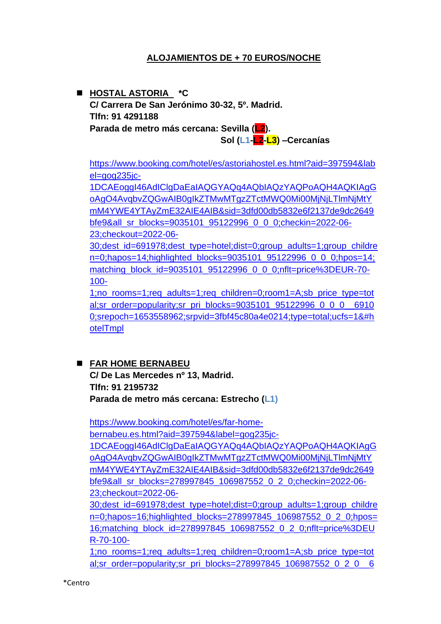## **ALOJAMIENTOS DE + 70 EUROS/NOCHE**

◼ **HOSTAL ASTORIA \*C C/ Carrera De San Jerónimo 30-32, 5º. Madrid. Tlfn: 91 4291188 Parada de metro más cercana: Sevilla (L2). Sol (L1-L2-L3) –Cercanías**

[https://www.booking.com/hotel/es/astoriahostel.es.html?aid=397594&lab](https://www.booking.com/hotel/es/astoriahostel.es.html?aid=397594&label=gog235jc-1DCAEoggI46AdIClgDaEaIAQGYAQq4AQbIAQzYAQPoAQH4AQKIAgGoAgO4AvqbvZQGwAIB0gIkZTMwMTgzZTctMWQ0Mi00MjNjLTlmNjMtYmM4YWE4YTAyZmE32AIE4AIB&sid=3dfd00db5832e6f2137de9dc2649bfe9&all_sr_blocks=9035101_95122996_0_0_0;checkin=2022-06-23;checkout=2022-06-30;dest_id=691978;dest_type=hotel;dist=0;group_adults=1;group_children=0;hapos=14;highlighted_blocks=9035101_95122996_0_0_0;hpos=14;matching_block_id=9035101_95122996_0_0_0;nflt=price%3DEUR-70-100-1;no_rooms=1;req_adults=1;req_children=0;room1=A;sb_price_type=total;sr_order=popularity;sr_pri_blocks=9035101_95122996_0_0_0__69100;srepoch=1653558962;srpvid=3fbf45c80a4e0214;type=total;ucfs=1&#hotelTmpl) [el=gog235jc-](https://www.booking.com/hotel/es/astoriahostel.es.html?aid=397594&label=gog235jc-1DCAEoggI46AdIClgDaEaIAQGYAQq4AQbIAQzYAQPoAQH4AQKIAgGoAgO4AvqbvZQGwAIB0gIkZTMwMTgzZTctMWQ0Mi00MjNjLTlmNjMtYmM4YWE4YTAyZmE32AIE4AIB&sid=3dfd00db5832e6f2137de9dc2649bfe9&all_sr_blocks=9035101_95122996_0_0_0;checkin=2022-06-23;checkout=2022-06-30;dest_id=691978;dest_type=hotel;dist=0;group_adults=1;group_children=0;hapos=14;highlighted_blocks=9035101_95122996_0_0_0;hpos=14;matching_block_id=9035101_95122996_0_0_0;nflt=price%3DEUR-70-100-1;no_rooms=1;req_adults=1;req_children=0;room1=A;sb_price_type=total;sr_order=popularity;sr_pri_blocks=9035101_95122996_0_0_0__69100;srepoch=1653558962;srpvid=3fbf45c80a4e0214;type=total;ucfs=1&#hotelTmpl)

[1DCAEoggI46AdIClgDaEaIAQGYAQq4AQbIAQzYAQPoAQH4AQKIAgG](https://www.booking.com/hotel/es/astoriahostel.es.html?aid=397594&label=gog235jc-1DCAEoggI46AdIClgDaEaIAQGYAQq4AQbIAQzYAQPoAQH4AQKIAgGoAgO4AvqbvZQGwAIB0gIkZTMwMTgzZTctMWQ0Mi00MjNjLTlmNjMtYmM4YWE4YTAyZmE32AIE4AIB&sid=3dfd00db5832e6f2137de9dc2649bfe9&all_sr_blocks=9035101_95122996_0_0_0;checkin=2022-06-23;checkout=2022-06-30;dest_id=691978;dest_type=hotel;dist=0;group_adults=1;group_children=0;hapos=14;highlighted_blocks=9035101_95122996_0_0_0;hpos=14;matching_block_id=9035101_95122996_0_0_0;nflt=price%3DEUR-70-100-1;no_rooms=1;req_adults=1;req_children=0;room1=A;sb_price_type=total;sr_order=popularity;sr_pri_blocks=9035101_95122996_0_0_0__69100;srepoch=1653558962;srpvid=3fbf45c80a4e0214;type=total;ucfs=1&#hotelTmpl) [oAgO4AvqbvZQGwAIB0gIkZTMwMTgzZTctMWQ0Mi00MjNjLTlmNjMtY](https://www.booking.com/hotel/es/astoriahostel.es.html?aid=397594&label=gog235jc-1DCAEoggI46AdIClgDaEaIAQGYAQq4AQbIAQzYAQPoAQH4AQKIAgGoAgO4AvqbvZQGwAIB0gIkZTMwMTgzZTctMWQ0Mi00MjNjLTlmNjMtYmM4YWE4YTAyZmE32AIE4AIB&sid=3dfd00db5832e6f2137de9dc2649bfe9&all_sr_blocks=9035101_95122996_0_0_0;checkin=2022-06-23;checkout=2022-06-30;dest_id=691978;dest_type=hotel;dist=0;group_adults=1;group_children=0;hapos=14;highlighted_blocks=9035101_95122996_0_0_0;hpos=14;matching_block_id=9035101_95122996_0_0_0;nflt=price%3DEUR-70-100-1;no_rooms=1;req_adults=1;req_children=0;room1=A;sb_price_type=total;sr_order=popularity;sr_pri_blocks=9035101_95122996_0_0_0__69100;srepoch=1653558962;srpvid=3fbf45c80a4e0214;type=total;ucfs=1&#hotelTmpl) [mM4YWE4YTAyZmE32AIE4AIB&sid=3dfd00db5832e6f2137de9dc2649](https://www.booking.com/hotel/es/astoriahostel.es.html?aid=397594&label=gog235jc-1DCAEoggI46AdIClgDaEaIAQGYAQq4AQbIAQzYAQPoAQH4AQKIAgGoAgO4AvqbvZQGwAIB0gIkZTMwMTgzZTctMWQ0Mi00MjNjLTlmNjMtYmM4YWE4YTAyZmE32AIE4AIB&sid=3dfd00db5832e6f2137de9dc2649bfe9&all_sr_blocks=9035101_95122996_0_0_0;checkin=2022-06-23;checkout=2022-06-30;dest_id=691978;dest_type=hotel;dist=0;group_adults=1;group_children=0;hapos=14;highlighted_blocks=9035101_95122996_0_0_0;hpos=14;matching_block_id=9035101_95122996_0_0_0;nflt=price%3DEUR-70-100-1;no_rooms=1;req_adults=1;req_children=0;room1=A;sb_price_type=total;sr_order=popularity;sr_pri_blocks=9035101_95122996_0_0_0__69100;srepoch=1653558962;srpvid=3fbf45c80a4e0214;type=total;ucfs=1&#hotelTmpl) [bfe9&all\\_sr\\_blocks=9035101\\_95122996\\_0\\_0\\_0;checkin=2022-06-](https://www.booking.com/hotel/es/astoriahostel.es.html?aid=397594&label=gog235jc-1DCAEoggI46AdIClgDaEaIAQGYAQq4AQbIAQzYAQPoAQH4AQKIAgGoAgO4AvqbvZQGwAIB0gIkZTMwMTgzZTctMWQ0Mi00MjNjLTlmNjMtYmM4YWE4YTAyZmE32AIE4AIB&sid=3dfd00db5832e6f2137de9dc2649bfe9&all_sr_blocks=9035101_95122996_0_0_0;checkin=2022-06-23;checkout=2022-06-30;dest_id=691978;dest_type=hotel;dist=0;group_adults=1;group_children=0;hapos=14;highlighted_blocks=9035101_95122996_0_0_0;hpos=14;matching_block_id=9035101_95122996_0_0_0;nflt=price%3DEUR-70-100-1;no_rooms=1;req_adults=1;req_children=0;room1=A;sb_price_type=total;sr_order=popularity;sr_pri_blocks=9035101_95122996_0_0_0__69100;srepoch=1653558962;srpvid=3fbf45c80a4e0214;type=total;ucfs=1&#hotelTmpl) [23;checkout=2022-06-](https://www.booking.com/hotel/es/astoriahostel.es.html?aid=397594&label=gog235jc-1DCAEoggI46AdIClgDaEaIAQGYAQq4AQbIAQzYAQPoAQH4AQKIAgGoAgO4AvqbvZQGwAIB0gIkZTMwMTgzZTctMWQ0Mi00MjNjLTlmNjMtYmM4YWE4YTAyZmE32AIE4AIB&sid=3dfd00db5832e6f2137de9dc2649bfe9&all_sr_blocks=9035101_95122996_0_0_0;checkin=2022-06-23;checkout=2022-06-30;dest_id=691978;dest_type=hotel;dist=0;group_adults=1;group_children=0;hapos=14;highlighted_blocks=9035101_95122996_0_0_0;hpos=14;matching_block_id=9035101_95122996_0_0_0;nflt=price%3DEUR-70-100-1;no_rooms=1;req_adults=1;req_children=0;room1=A;sb_price_type=total;sr_order=popularity;sr_pri_blocks=9035101_95122996_0_0_0__69100;srepoch=1653558962;srpvid=3fbf45c80a4e0214;type=total;ucfs=1&#hotelTmpl)

[30;dest\\_id=691978;dest\\_type=hotel;dist=0;group\\_adults=1;group\\_childre](https://www.booking.com/hotel/es/astoriahostel.es.html?aid=397594&label=gog235jc-1DCAEoggI46AdIClgDaEaIAQGYAQq4AQbIAQzYAQPoAQH4AQKIAgGoAgO4AvqbvZQGwAIB0gIkZTMwMTgzZTctMWQ0Mi00MjNjLTlmNjMtYmM4YWE4YTAyZmE32AIE4AIB&sid=3dfd00db5832e6f2137de9dc2649bfe9&all_sr_blocks=9035101_95122996_0_0_0;checkin=2022-06-23;checkout=2022-06-30;dest_id=691978;dest_type=hotel;dist=0;group_adults=1;group_children=0;hapos=14;highlighted_blocks=9035101_95122996_0_0_0;hpos=14;matching_block_id=9035101_95122996_0_0_0;nflt=price%3DEUR-70-100-1;no_rooms=1;req_adults=1;req_children=0;room1=A;sb_price_type=total;sr_order=popularity;sr_pri_blocks=9035101_95122996_0_0_0__69100;srepoch=1653558962;srpvid=3fbf45c80a4e0214;type=total;ucfs=1&#hotelTmpl) [n=0;hapos=14;highlighted\\_blocks=9035101\\_95122996\\_0\\_0\\_0;hpos=14;](https://www.booking.com/hotel/es/astoriahostel.es.html?aid=397594&label=gog235jc-1DCAEoggI46AdIClgDaEaIAQGYAQq4AQbIAQzYAQPoAQH4AQKIAgGoAgO4AvqbvZQGwAIB0gIkZTMwMTgzZTctMWQ0Mi00MjNjLTlmNjMtYmM4YWE4YTAyZmE32AIE4AIB&sid=3dfd00db5832e6f2137de9dc2649bfe9&all_sr_blocks=9035101_95122996_0_0_0;checkin=2022-06-23;checkout=2022-06-30;dest_id=691978;dest_type=hotel;dist=0;group_adults=1;group_children=0;hapos=14;highlighted_blocks=9035101_95122996_0_0_0;hpos=14;matching_block_id=9035101_95122996_0_0_0;nflt=price%3DEUR-70-100-1;no_rooms=1;req_adults=1;req_children=0;room1=A;sb_price_type=total;sr_order=popularity;sr_pri_blocks=9035101_95122996_0_0_0__69100;srepoch=1653558962;srpvid=3fbf45c80a4e0214;type=total;ucfs=1&#hotelTmpl) [matching\\_block\\_id=9035101\\_95122996\\_0\\_0\\_0;nflt=price%3DEUR-70-](https://www.booking.com/hotel/es/astoriahostel.es.html?aid=397594&label=gog235jc-1DCAEoggI46AdIClgDaEaIAQGYAQq4AQbIAQzYAQPoAQH4AQKIAgGoAgO4AvqbvZQGwAIB0gIkZTMwMTgzZTctMWQ0Mi00MjNjLTlmNjMtYmM4YWE4YTAyZmE32AIE4AIB&sid=3dfd00db5832e6f2137de9dc2649bfe9&all_sr_blocks=9035101_95122996_0_0_0;checkin=2022-06-23;checkout=2022-06-30;dest_id=691978;dest_type=hotel;dist=0;group_adults=1;group_children=0;hapos=14;highlighted_blocks=9035101_95122996_0_0_0;hpos=14;matching_block_id=9035101_95122996_0_0_0;nflt=price%3DEUR-70-100-1;no_rooms=1;req_adults=1;req_children=0;room1=A;sb_price_type=total;sr_order=popularity;sr_pri_blocks=9035101_95122996_0_0_0__69100;srepoch=1653558962;srpvid=3fbf45c80a4e0214;type=total;ucfs=1&#hotelTmpl) [100-](https://www.booking.com/hotel/es/astoriahostel.es.html?aid=397594&label=gog235jc-1DCAEoggI46AdIClgDaEaIAQGYAQq4AQbIAQzYAQPoAQH4AQKIAgGoAgO4AvqbvZQGwAIB0gIkZTMwMTgzZTctMWQ0Mi00MjNjLTlmNjMtYmM4YWE4YTAyZmE32AIE4AIB&sid=3dfd00db5832e6f2137de9dc2649bfe9&all_sr_blocks=9035101_95122996_0_0_0;checkin=2022-06-23;checkout=2022-06-30;dest_id=691978;dest_type=hotel;dist=0;group_adults=1;group_children=0;hapos=14;highlighted_blocks=9035101_95122996_0_0_0;hpos=14;matching_block_id=9035101_95122996_0_0_0;nflt=price%3DEUR-70-100-1;no_rooms=1;req_adults=1;req_children=0;room1=A;sb_price_type=total;sr_order=popularity;sr_pri_blocks=9035101_95122996_0_0_0__69100;srepoch=1653558962;srpvid=3fbf45c80a4e0214;type=total;ucfs=1&#hotelTmpl)

[1;no\\_rooms=1;req\\_adults=1;req\\_children=0;room1=A;sb\\_price\\_type=tot](https://www.booking.com/hotel/es/astoriahostel.es.html?aid=397594&label=gog235jc-1DCAEoggI46AdIClgDaEaIAQGYAQq4AQbIAQzYAQPoAQH4AQKIAgGoAgO4AvqbvZQGwAIB0gIkZTMwMTgzZTctMWQ0Mi00MjNjLTlmNjMtYmM4YWE4YTAyZmE32AIE4AIB&sid=3dfd00db5832e6f2137de9dc2649bfe9&all_sr_blocks=9035101_95122996_0_0_0;checkin=2022-06-23;checkout=2022-06-30;dest_id=691978;dest_type=hotel;dist=0;group_adults=1;group_children=0;hapos=14;highlighted_blocks=9035101_95122996_0_0_0;hpos=14;matching_block_id=9035101_95122996_0_0_0;nflt=price%3DEUR-70-100-1;no_rooms=1;req_adults=1;req_children=0;room1=A;sb_price_type=total;sr_order=popularity;sr_pri_blocks=9035101_95122996_0_0_0__69100;srepoch=1653558962;srpvid=3fbf45c80a4e0214;type=total;ucfs=1&#hotelTmpl) [al;sr\\_order=popularity;sr\\_pri\\_blocks=9035101\\_95122996\\_0\\_0\\_0\\_\\_6910](https://www.booking.com/hotel/es/astoriahostel.es.html?aid=397594&label=gog235jc-1DCAEoggI46AdIClgDaEaIAQGYAQq4AQbIAQzYAQPoAQH4AQKIAgGoAgO4AvqbvZQGwAIB0gIkZTMwMTgzZTctMWQ0Mi00MjNjLTlmNjMtYmM4YWE4YTAyZmE32AIE4AIB&sid=3dfd00db5832e6f2137de9dc2649bfe9&all_sr_blocks=9035101_95122996_0_0_0;checkin=2022-06-23;checkout=2022-06-30;dest_id=691978;dest_type=hotel;dist=0;group_adults=1;group_children=0;hapos=14;highlighted_blocks=9035101_95122996_0_0_0;hpos=14;matching_block_id=9035101_95122996_0_0_0;nflt=price%3DEUR-70-100-1;no_rooms=1;req_adults=1;req_children=0;room1=A;sb_price_type=total;sr_order=popularity;sr_pri_blocks=9035101_95122996_0_0_0__69100;srepoch=1653558962;srpvid=3fbf45c80a4e0214;type=total;ucfs=1&#hotelTmpl) [0;srepoch=1653558962;srpvid=3fbf45c80a4e0214;type=total;ucfs=1&#h](https://www.booking.com/hotel/es/astoriahostel.es.html?aid=397594&label=gog235jc-1DCAEoggI46AdIClgDaEaIAQGYAQq4AQbIAQzYAQPoAQH4AQKIAgGoAgO4AvqbvZQGwAIB0gIkZTMwMTgzZTctMWQ0Mi00MjNjLTlmNjMtYmM4YWE4YTAyZmE32AIE4AIB&sid=3dfd00db5832e6f2137de9dc2649bfe9&all_sr_blocks=9035101_95122996_0_0_0;checkin=2022-06-23;checkout=2022-06-30;dest_id=691978;dest_type=hotel;dist=0;group_adults=1;group_children=0;hapos=14;highlighted_blocks=9035101_95122996_0_0_0;hpos=14;matching_block_id=9035101_95122996_0_0_0;nflt=price%3DEUR-70-100-1;no_rooms=1;req_adults=1;req_children=0;room1=A;sb_price_type=total;sr_order=popularity;sr_pri_blocks=9035101_95122996_0_0_0__69100;srepoch=1653558962;srpvid=3fbf45c80a4e0214;type=total;ucfs=1&#hotelTmpl) [otelTmpl](https://www.booking.com/hotel/es/astoriahostel.es.html?aid=397594&label=gog235jc-1DCAEoggI46AdIClgDaEaIAQGYAQq4AQbIAQzYAQPoAQH4AQKIAgGoAgO4AvqbvZQGwAIB0gIkZTMwMTgzZTctMWQ0Mi00MjNjLTlmNjMtYmM4YWE4YTAyZmE32AIE4AIB&sid=3dfd00db5832e6f2137de9dc2649bfe9&all_sr_blocks=9035101_95122996_0_0_0;checkin=2022-06-23;checkout=2022-06-30;dest_id=691978;dest_type=hotel;dist=0;group_adults=1;group_children=0;hapos=14;highlighted_blocks=9035101_95122996_0_0_0;hpos=14;matching_block_id=9035101_95122996_0_0_0;nflt=price%3DEUR-70-100-1;no_rooms=1;req_adults=1;req_children=0;room1=A;sb_price_type=total;sr_order=popularity;sr_pri_blocks=9035101_95122996_0_0_0__69100;srepoch=1653558962;srpvid=3fbf45c80a4e0214;type=total;ucfs=1&#hotelTmpl)

#### ◼ **FAR HOME BERNABEU**

**C/ De Las Mercedes nº 13, Madrid. Tlfn: 91 2195732 Parada de metro más cercana: Estrecho (L1)**

[https://www.booking.com/hotel/es/far-home](https://www.booking.com/hotel/es/far-home-bernabeu.es.html?aid=397594&label=gog235jc-1DCAEoggI46AdIClgDaEaIAQGYAQq4AQbIAQzYAQPoAQH4AQKIAgGoAgO4AvqbvZQGwAIB0gIkZTMwMTgzZTctMWQ0Mi00MjNjLTlmNjMtYmM4YWE4YTAyZmE32AIE4AIB&sid=3dfd00db5832e6f2137de9dc2649bfe9&all_sr_blocks=278997845_106987552_0_2_0;checkin=2022-06-23;checkout=2022-06-30;dest_id=691978;dest_type=hotel;dist=0;group_adults=1;group_children=0;hapos=16;highlighted_blocks=278997845_106987552_0_2_0;hpos=16;matching_block_id=278997845_106987552_0_2_0;nflt=price%3DEUR-70-100-1;no_rooms=1;req_adults=1;req_children=0;room1=A;sb_price_type=total;sr_order=popularity;sr_pri_blocks=278997845_106987552_0_2_0__66774;srepoch=1653558962;srpvid=3fbf45c80a4e0214;type=total;ucfs=1&#hotelTmpl)[bernabeu.es.html?aid=397594&label=gog235jc-](https://www.booking.com/hotel/es/far-home-bernabeu.es.html?aid=397594&label=gog235jc-1DCAEoggI46AdIClgDaEaIAQGYAQq4AQbIAQzYAQPoAQH4AQKIAgGoAgO4AvqbvZQGwAIB0gIkZTMwMTgzZTctMWQ0Mi00MjNjLTlmNjMtYmM4YWE4YTAyZmE32AIE4AIB&sid=3dfd00db5832e6f2137de9dc2649bfe9&all_sr_blocks=278997845_106987552_0_2_0;checkin=2022-06-23;checkout=2022-06-30;dest_id=691978;dest_type=hotel;dist=0;group_adults=1;group_children=0;hapos=16;highlighted_blocks=278997845_106987552_0_2_0;hpos=16;matching_block_id=278997845_106987552_0_2_0;nflt=price%3DEUR-70-100-1;no_rooms=1;req_adults=1;req_children=0;room1=A;sb_price_type=total;sr_order=popularity;sr_pri_blocks=278997845_106987552_0_2_0__66774;srepoch=1653558962;srpvid=3fbf45c80a4e0214;type=total;ucfs=1&#hotelTmpl)[1DCAEoggI46AdIClgDaEaIAQGYAQq4AQbIAQzYAQPoAQH4AQKIAgG](https://www.booking.com/hotel/es/far-home-bernabeu.es.html?aid=397594&label=gog235jc-1DCAEoggI46AdIClgDaEaIAQGYAQq4AQbIAQzYAQPoAQH4AQKIAgGoAgO4AvqbvZQGwAIB0gIkZTMwMTgzZTctMWQ0Mi00MjNjLTlmNjMtYmM4YWE4YTAyZmE32AIE4AIB&sid=3dfd00db5832e6f2137de9dc2649bfe9&all_sr_blocks=278997845_106987552_0_2_0;checkin=2022-06-23;checkout=2022-06-30;dest_id=691978;dest_type=hotel;dist=0;group_adults=1;group_children=0;hapos=16;highlighted_blocks=278997845_106987552_0_2_0;hpos=16;matching_block_id=278997845_106987552_0_2_0;nflt=price%3DEUR-70-100-1;no_rooms=1;req_adults=1;req_children=0;room1=A;sb_price_type=total;sr_order=popularity;sr_pri_blocks=278997845_106987552_0_2_0__66774;srepoch=1653558962;srpvid=3fbf45c80a4e0214;type=total;ucfs=1&#hotelTmpl) [oAgO4AvqbvZQGwAIB0gIkZTMwMTgzZTctMWQ0Mi00MjNjLTlmNjMtY](https://www.booking.com/hotel/es/far-home-bernabeu.es.html?aid=397594&label=gog235jc-1DCAEoggI46AdIClgDaEaIAQGYAQq4AQbIAQzYAQPoAQH4AQKIAgGoAgO4AvqbvZQGwAIB0gIkZTMwMTgzZTctMWQ0Mi00MjNjLTlmNjMtYmM4YWE4YTAyZmE32AIE4AIB&sid=3dfd00db5832e6f2137de9dc2649bfe9&all_sr_blocks=278997845_106987552_0_2_0;checkin=2022-06-23;checkout=2022-06-30;dest_id=691978;dest_type=hotel;dist=0;group_adults=1;group_children=0;hapos=16;highlighted_blocks=278997845_106987552_0_2_0;hpos=16;matching_block_id=278997845_106987552_0_2_0;nflt=price%3DEUR-70-100-1;no_rooms=1;req_adults=1;req_children=0;room1=A;sb_price_type=total;sr_order=popularity;sr_pri_blocks=278997845_106987552_0_2_0__66774;srepoch=1653558962;srpvid=3fbf45c80a4e0214;type=total;ucfs=1&#hotelTmpl) [mM4YWE4YTAyZmE32AIE4AIB&sid=3dfd00db5832e6f2137de9dc2649](https://www.booking.com/hotel/es/far-home-bernabeu.es.html?aid=397594&label=gog235jc-1DCAEoggI46AdIClgDaEaIAQGYAQq4AQbIAQzYAQPoAQH4AQKIAgGoAgO4AvqbvZQGwAIB0gIkZTMwMTgzZTctMWQ0Mi00MjNjLTlmNjMtYmM4YWE4YTAyZmE32AIE4AIB&sid=3dfd00db5832e6f2137de9dc2649bfe9&all_sr_blocks=278997845_106987552_0_2_0;checkin=2022-06-23;checkout=2022-06-30;dest_id=691978;dest_type=hotel;dist=0;group_adults=1;group_children=0;hapos=16;highlighted_blocks=278997845_106987552_0_2_0;hpos=16;matching_block_id=278997845_106987552_0_2_0;nflt=price%3DEUR-70-100-1;no_rooms=1;req_adults=1;req_children=0;room1=A;sb_price_type=total;sr_order=popularity;sr_pri_blocks=278997845_106987552_0_2_0__66774;srepoch=1653558962;srpvid=3fbf45c80a4e0214;type=total;ucfs=1&#hotelTmpl) [bfe9&all\\_sr\\_blocks=278997845\\_106987552\\_0\\_2\\_0;checkin=2022-06-](https://www.booking.com/hotel/es/far-home-bernabeu.es.html?aid=397594&label=gog235jc-1DCAEoggI46AdIClgDaEaIAQGYAQq4AQbIAQzYAQPoAQH4AQKIAgGoAgO4AvqbvZQGwAIB0gIkZTMwMTgzZTctMWQ0Mi00MjNjLTlmNjMtYmM4YWE4YTAyZmE32AIE4AIB&sid=3dfd00db5832e6f2137de9dc2649bfe9&all_sr_blocks=278997845_106987552_0_2_0;checkin=2022-06-23;checkout=2022-06-30;dest_id=691978;dest_type=hotel;dist=0;group_adults=1;group_children=0;hapos=16;highlighted_blocks=278997845_106987552_0_2_0;hpos=16;matching_block_id=278997845_106987552_0_2_0;nflt=price%3DEUR-70-100-1;no_rooms=1;req_adults=1;req_children=0;room1=A;sb_price_type=total;sr_order=popularity;sr_pri_blocks=278997845_106987552_0_2_0__66774;srepoch=1653558962;srpvid=3fbf45c80a4e0214;type=total;ucfs=1&#hotelTmpl) [23;checkout=2022-06-](https://www.booking.com/hotel/es/far-home-bernabeu.es.html?aid=397594&label=gog235jc-1DCAEoggI46AdIClgDaEaIAQGYAQq4AQbIAQzYAQPoAQH4AQKIAgGoAgO4AvqbvZQGwAIB0gIkZTMwMTgzZTctMWQ0Mi00MjNjLTlmNjMtYmM4YWE4YTAyZmE32AIE4AIB&sid=3dfd00db5832e6f2137de9dc2649bfe9&all_sr_blocks=278997845_106987552_0_2_0;checkin=2022-06-23;checkout=2022-06-30;dest_id=691978;dest_type=hotel;dist=0;group_adults=1;group_children=0;hapos=16;highlighted_blocks=278997845_106987552_0_2_0;hpos=16;matching_block_id=278997845_106987552_0_2_0;nflt=price%3DEUR-70-100-1;no_rooms=1;req_adults=1;req_children=0;room1=A;sb_price_type=total;sr_order=popularity;sr_pri_blocks=278997845_106987552_0_2_0__66774;srepoch=1653558962;srpvid=3fbf45c80a4e0214;type=total;ucfs=1&#hotelTmpl) [30;dest\\_id=691978;dest\\_type=hotel;dist=0;group\\_adults=1;group\\_childre](https://www.booking.com/hotel/es/far-home-bernabeu.es.html?aid=397594&label=gog235jc-1DCAEoggI46AdIClgDaEaIAQGYAQq4AQbIAQzYAQPoAQH4AQKIAgGoAgO4AvqbvZQGwAIB0gIkZTMwMTgzZTctMWQ0Mi00MjNjLTlmNjMtYmM4YWE4YTAyZmE32AIE4AIB&sid=3dfd00db5832e6f2137de9dc2649bfe9&all_sr_blocks=278997845_106987552_0_2_0;checkin=2022-06-23;checkout=2022-06-30;dest_id=691978;dest_type=hotel;dist=0;group_adults=1;group_children=0;hapos=16;highlighted_blocks=278997845_106987552_0_2_0;hpos=16;matching_block_id=278997845_106987552_0_2_0;nflt=price%3DEUR-70-100-1;no_rooms=1;req_adults=1;req_children=0;room1=A;sb_price_type=total;sr_order=popularity;sr_pri_blocks=278997845_106987552_0_2_0__66774;srepoch=1653558962;srpvid=3fbf45c80a4e0214;type=total;ucfs=1&#hotelTmpl) [n=0;hapos=16;highlighted\\_blocks=278997845\\_106987552\\_0\\_2\\_0;hpos=](https://www.booking.com/hotel/es/far-home-bernabeu.es.html?aid=397594&label=gog235jc-1DCAEoggI46AdIClgDaEaIAQGYAQq4AQbIAQzYAQPoAQH4AQKIAgGoAgO4AvqbvZQGwAIB0gIkZTMwMTgzZTctMWQ0Mi00MjNjLTlmNjMtYmM4YWE4YTAyZmE32AIE4AIB&sid=3dfd00db5832e6f2137de9dc2649bfe9&all_sr_blocks=278997845_106987552_0_2_0;checkin=2022-06-23;checkout=2022-06-30;dest_id=691978;dest_type=hotel;dist=0;group_adults=1;group_children=0;hapos=16;highlighted_blocks=278997845_106987552_0_2_0;hpos=16;matching_block_id=278997845_106987552_0_2_0;nflt=price%3DEUR-70-100-1;no_rooms=1;req_adults=1;req_children=0;room1=A;sb_price_type=total;sr_order=popularity;sr_pri_blocks=278997845_106987552_0_2_0__66774;srepoch=1653558962;srpvid=3fbf45c80a4e0214;type=total;ucfs=1&#hotelTmpl) [16;matching\\_block\\_id=278997845\\_106987552\\_0\\_2\\_0;nflt=price%3DEU](https://www.booking.com/hotel/es/far-home-bernabeu.es.html?aid=397594&label=gog235jc-1DCAEoggI46AdIClgDaEaIAQGYAQq4AQbIAQzYAQPoAQH4AQKIAgGoAgO4AvqbvZQGwAIB0gIkZTMwMTgzZTctMWQ0Mi00MjNjLTlmNjMtYmM4YWE4YTAyZmE32AIE4AIB&sid=3dfd00db5832e6f2137de9dc2649bfe9&all_sr_blocks=278997845_106987552_0_2_0;checkin=2022-06-23;checkout=2022-06-30;dest_id=691978;dest_type=hotel;dist=0;group_adults=1;group_children=0;hapos=16;highlighted_blocks=278997845_106987552_0_2_0;hpos=16;matching_block_id=278997845_106987552_0_2_0;nflt=price%3DEUR-70-100-1;no_rooms=1;req_adults=1;req_children=0;room1=A;sb_price_type=total;sr_order=popularity;sr_pri_blocks=278997845_106987552_0_2_0__66774;srepoch=1653558962;srpvid=3fbf45c80a4e0214;type=total;ucfs=1&#hotelTmpl) [R-70-100-](https://www.booking.com/hotel/es/far-home-bernabeu.es.html?aid=397594&label=gog235jc-1DCAEoggI46AdIClgDaEaIAQGYAQq4AQbIAQzYAQPoAQH4AQKIAgGoAgO4AvqbvZQGwAIB0gIkZTMwMTgzZTctMWQ0Mi00MjNjLTlmNjMtYmM4YWE4YTAyZmE32AIE4AIB&sid=3dfd00db5832e6f2137de9dc2649bfe9&all_sr_blocks=278997845_106987552_0_2_0;checkin=2022-06-23;checkout=2022-06-30;dest_id=691978;dest_type=hotel;dist=0;group_adults=1;group_children=0;hapos=16;highlighted_blocks=278997845_106987552_0_2_0;hpos=16;matching_block_id=278997845_106987552_0_2_0;nflt=price%3DEUR-70-100-1;no_rooms=1;req_adults=1;req_children=0;room1=A;sb_price_type=total;sr_order=popularity;sr_pri_blocks=278997845_106987552_0_2_0__66774;srepoch=1653558962;srpvid=3fbf45c80a4e0214;type=total;ucfs=1&#hotelTmpl)

[1;no\\_rooms=1;req\\_adults=1;req\\_children=0;room1=A;sb\\_price\\_type=tot](https://www.booking.com/hotel/es/far-home-bernabeu.es.html?aid=397594&label=gog235jc-1DCAEoggI46AdIClgDaEaIAQGYAQq4AQbIAQzYAQPoAQH4AQKIAgGoAgO4AvqbvZQGwAIB0gIkZTMwMTgzZTctMWQ0Mi00MjNjLTlmNjMtYmM4YWE4YTAyZmE32AIE4AIB&sid=3dfd00db5832e6f2137de9dc2649bfe9&all_sr_blocks=278997845_106987552_0_2_0;checkin=2022-06-23;checkout=2022-06-30;dest_id=691978;dest_type=hotel;dist=0;group_adults=1;group_children=0;hapos=16;highlighted_blocks=278997845_106987552_0_2_0;hpos=16;matching_block_id=278997845_106987552_0_2_0;nflt=price%3DEUR-70-100-1;no_rooms=1;req_adults=1;req_children=0;room1=A;sb_price_type=total;sr_order=popularity;sr_pri_blocks=278997845_106987552_0_2_0__66774;srepoch=1653558962;srpvid=3fbf45c80a4e0214;type=total;ucfs=1&#hotelTmpl) [al;sr\\_order=popularity;sr\\_pri\\_blocks=278997845\\_106987552\\_0\\_2\\_0\\_\\_6](https://www.booking.com/hotel/es/far-home-bernabeu.es.html?aid=397594&label=gog235jc-1DCAEoggI46AdIClgDaEaIAQGYAQq4AQbIAQzYAQPoAQH4AQKIAgGoAgO4AvqbvZQGwAIB0gIkZTMwMTgzZTctMWQ0Mi00MjNjLTlmNjMtYmM4YWE4YTAyZmE32AIE4AIB&sid=3dfd00db5832e6f2137de9dc2649bfe9&all_sr_blocks=278997845_106987552_0_2_0;checkin=2022-06-23;checkout=2022-06-30;dest_id=691978;dest_type=hotel;dist=0;group_adults=1;group_children=0;hapos=16;highlighted_blocks=278997845_106987552_0_2_0;hpos=16;matching_block_id=278997845_106987552_0_2_0;nflt=price%3DEUR-70-100-1;no_rooms=1;req_adults=1;req_children=0;room1=A;sb_price_type=total;sr_order=popularity;sr_pri_blocks=278997845_106987552_0_2_0__66774;srepoch=1653558962;srpvid=3fbf45c80a4e0214;type=total;ucfs=1&#hotelTmpl)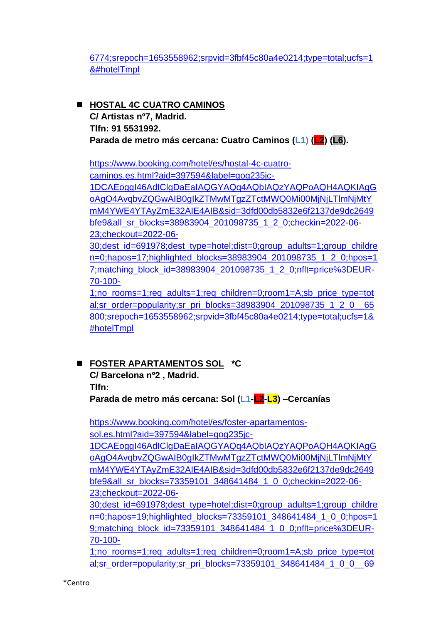6774;srepoch=1653558962;srpvid=3fbf45c80a4e0214;type=total;ucfs=1 &#hotelTmpl

## ◼ **HOSTAL 4C CUATRO CAMINOS C/ Artistas nº7, Madrid. Tlfn: 91 5531992.** Parada de metro más cercana: Cuatro Caminos (L1) (L2) (L6).

https://www.booking.com/hotel/es/hostal-4c-cuatrocaminos.es.html?aid=397594&label=gog235jc-1DCAEoggI46AdIClgDaEaIAQGYAQq4AQbIAQzYAQPoAQH4AQKIAgG oAgO4AvqbvZQGwAIB0gIkZTMwMTgzZTctMWQ0Mi00MjNjLTlmNjMtY mM4YWE4YTAyZmE32AIE4AIB&sid=3dfd00db5832e6f2137de9dc2649 bfe9&all\_sr\_blocks=38983904\_201098735\_1\_2\_0;checkin=2022-06- 23;checkout=2022-06- 30;dest\_id=691978;dest\_type=hotel;dist=0;group\_adults=1;group\_childre n=0;hapos=17;highlighted\_blocks=38983904\_201098735\_1\_2\_0;hpos=1 7;matching\_block\_id=38983904\_201098735\_1\_2\_0;nflt=price%3DEUR-70-100-

1;no\_rooms=1;req\_adults=1;req\_children=0;room1=A;sb\_price\_type=tot al;sr\_order=popularity;sr\_pri\_blocks=38983904\_201098735\_1\_2\_0\_\_65 800;srepoch=1653558962;srpvid=3fbf45c80a4e0214;type=total;ucfs=1& #hotelTmpl

# ◼ **FOSTER APARTAMENTOS SOL \*C**

**C/ Barcelona nº2 , Madrid. Tlfn:** 

**Parada de metro más cercana: Sol (L1-L2-L3) –Cercanías**

https://www.booking.com/hotel/es/foster-apartamentossol.es.html?aid=397594&label=gog235jc-

1DCAEoggI46AdIClgDaEaIAQGYAQq4AQbIAQzYAQPoAQH4AQKIAgG oAgO4AvqbvZQGwAIB0gIkZTMwMTgzZTctMWQ0Mi00MjNjLTlmNjMtY mM4YWE4YTAyZmE32AIE4AIB&sid=3dfd00db5832e6f2137de9dc2649 bfe9&all\_sr\_blocks=73359101\_348641484\_1\_0\_0;checkin=2022-06-23;checkout=2022-06-

30;dest\_id=691978;dest\_type=hotel;dist=0;group\_adults=1;group\_childre n=0;hapos=19;highlighted\_blocks=73359101\_348641484\_1\_0\_0;hpos=1 9;matching\_block\_id=73359101\_348641484\_1\_0\_0;nflt=price%3DEUR-70-100-

1;no\_rooms=1;req\_adults=1;req\_children=0;room1=A;sb\_price\_type=tot al;sr\_order=popularity;sr\_pri\_blocks=73359101\_348641484\_1\_0\_0\_\_69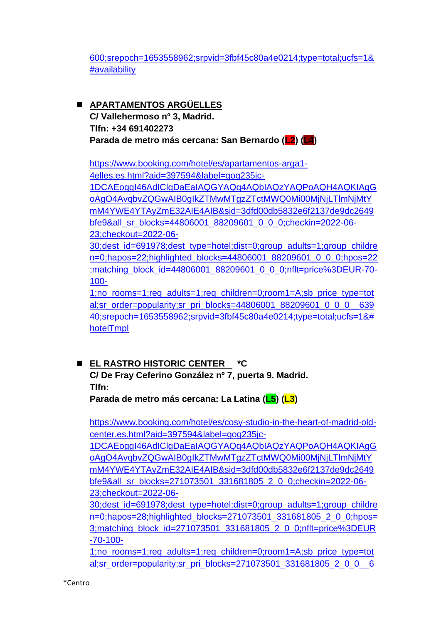600;srepoch=1653558962;srpvid=3fbf45c80a4e0214;type=total;ucfs=1& #availability

◼ **APARTAMENTOS ARGÜELLES C/ Vallehermoso nº 3, Madrid. Tlfn: +34 691402273 Parada de metro más cercana: San Bernardo (L2) (L4)**

https://www.booking.com/hotel/es/apartamentos-arga1- 4elles.es.html?aid=397594&label=gog235jc-1DCAEoggI46AdIClgDaEaIAQGYAQq4AQbIAQzYAQPoAQH4AQKIAgG oAgO4AvqbvZQGwAIB0gIkZTMwMTgzZTctMWQ0Mi00MjNjLTlmNjMtY mM4YWE4YTAyZmE32AIE4AIB&sid=3dfd00db5832e6f2137de9dc2649 bfe9&all\_sr\_blocks=44806001\_88209601\_0\_0\_0;checkin=2022-06-23;checkout=2022-06-

30;dest\_id=691978;dest\_type=hotel;dist=0;group\_adults=1;group\_childre n=0;hapos=22;highlighted\_blocks=44806001\_88209601\_0\_0\_0;hpos=22 ;matching\_block\_id=44806001\_88209601\_0\_0\_0;nflt=price%3DEUR-70- 100-

1;no\_rooms=1;req\_adults=1;req\_children=0;room1=A;sb\_price\_type=tot al;sr\_order=popularity;sr\_pri\_blocks=44806001\_88209601\_0\_0\_0\_639 40;srepoch=1653558962;srpvid=3fbf45c80a4e0214;type=total;ucfs=1&# hotelTmpl

# ◼ **EL RASTRO HISTORIC CENTER \*C**

# **C/ De Fray Ceferino González nº 7, puerta 9. Madrid. Tlfn:**

**Parada de metro más cercana: La Latina (L5) (L3)**

https://www.booking.com/hotel/es/cosy-studio-in-the-heart-of-madrid-oldcenter.es.html?aid=397594&label=gog235jc-

1DCAEoggI46AdIClgDaEaIAQGYAQq4AQbIAQzYAQPoAQH4AQKIAgG oAgO4AvqbvZQGwAIB0gIkZTMwMTgzZTctMWQ0Mi00MjNjLTlmNjMtY mM4YWE4YTAyZmE32AIE4AIB&sid=3dfd00db5832e6f2137de9dc2649 bfe9&all\_sr\_blocks=271073501\_331681805\_2\_0\_0;checkin=2022-06-23;checkout=2022-06-

30;dest\_id=691978;dest\_type=hotel;dist=0;group\_adults=1;group\_childre n=0;hapos=28;highlighted\_blocks=271073501\_331681805\_2\_0\_0;hpos= 3;matching\_block\_id=271073501\_331681805\_2\_0\_0;nflt=price%3DEUR -70-100-

1;no\_rooms=1;req\_adults=1;req\_children=0;room1=A;sb\_price\_type=tot al;sr\_order=popularity;sr\_pri\_blocks=271073501\_331681805\_2\_0\_0\_\_6